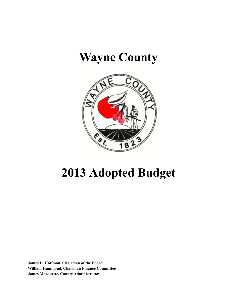## **Wayne County**



# **2013 Adopted Budget**

 **James D. Hoffman, Chairman of the Board William Hammond, Chairman Finance Committee James Marquette, County Administrator**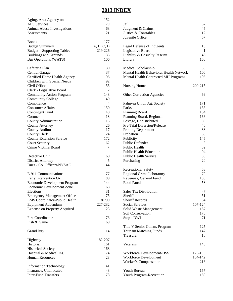### **2013 INDEX**

| Aging, Area Agency on                | 152        |                                         |         |
|--------------------------------------|------------|-----------------------------------------|---------|
| <b>ALS</b> Services                  | 79         | Jail                                    | 67      |
| Animal Abuse Investigations          | 63         | Judgment & Claims                       | 45      |
| Assessments                          | 21         | Justice & Constables                    | 12      |
|                                      |            | Juvenile Office                         | 57      |
| <b>Bonds</b>                         | 177        |                                         |         |
| <b>Budget Summary</b>                | A, B, C, D | Legal Defense of Indigents              | 10      |
| <b>Budget - Supporting Tables</b>    | 219-226    | Legislative Board                       | -1      |
| <b>Buildings and Grounds</b>         | 33         |                                         | 46      |
|                                      |            | Liability & Casualty Reserve            |         |
| <b>Bus Operations (WATS)</b>         | 106        | Library                                 | 160     |
| Cafeteria Plan                       | 30         | Medical Scholarship                     | 50      |
| Central Garage                       | 37         | Mental Health Behavioral Health Network | 100     |
| Certified Home Health Agency         | 96         | Mental Health Contracted MH Programs    | 105     |
| Children with Special Needs          | 92         |                                         |         |
| Civil Office                         | 55         | Nursing Home                            | 209-215 |
| Clerk - Legislative Board            | 2          |                                         |         |
| <b>Community Action Program</b>      | 143        | Other Correction Agencies               | 69      |
| <b>Community College</b>             | 49         |                                         |         |
| Compliance                           | 4          | Palmyra Union Ag. Society               | 171     |
| <b>Consumer Affairs</b>              |            | Parks                                   |         |
|                                      | 150        |                                         | 155     |
| <b>Contingent Fund</b>               | 48         | Planning Board                          | 164     |
| Coroner                              | 13         | Planning Board, Regional                | 166     |
| County Administration                | 15         | Postage, Undistributed                  | 39      |
| <b>County Attorney</b>               | 26         | Pre-Trial Diversion/Release             | 40      |
| <b>County Auditor</b>                | 17         | <b>Printing Department</b>              | 38      |
| <b>County Clerk</b>                  | 24         | Probation                               | 65      |
| <b>County Extension Service</b>      | 172        | Publicity                               | 145     |
| <b>Court Security</b>                | 62         | Public Defender                         | 8       |
| Crime Victims Board                  | 7          | Public Health                           | 82      |
|                                      |            | <b>Public Health Education</b>          | 94      |
| Detective Unit                       | 60         | <b>Public Health Service</b>            | 85      |
| <b>District Attorney</b>             | 5          |                                         | 20      |
| Dues - Co. Officers/NYSAC            | 44         | Purchasing                              |         |
|                                      |            | <b>Recreational Safety</b>              | 53      |
| E-911 Communications                 | 77         | <b>Regional Crime Laboratory</b>        | 70      |
| Early Intervention O-1               | 89         | Revenues, General Fund                  | 180     |
| Economic Development Program         | 144        | Road Patrol                             | 58      |
|                                      |            |                                         |         |
| Economic Development Zone            | 168        |                                         |         |
| Elections                            | 31         | <b>Sales Tax Distribution</b>           | 47      |
| <b>Emergency Management Office</b>   | 75         | Sheriff                                 | 51      |
| <b>EMS</b> Coordinator-Public Health | 81/99      | <b>Sheriff Records</b>                  | 64      |
| Equipment Addendum                   | 227-232    | <b>Social Services</b>                  | 107-124 |
| <b>Expense on Property Acquired</b>  | 23         | Solid Waste Management                  | 167     |
|                                      |            | Soil Conservation                       | 170     |
| Fire Coordinator                     | 73         | Stop - DWI                              | 71      |
| Fish & Game                          | 169        |                                         |         |
|                                      |            | Title V Senior Comm. Program            | 125     |
| Grand Jury                           | 14         | <b>Tourism Matching Funds</b>           | 147     |
|                                      |            | Treasurer                               | 18      |
| Highway                              | 182-207    |                                         |         |
| Historian                            | 161        | Veterans                                | 148     |
|                                      | 163        |                                         |         |
| <b>Historical Society</b>            |            |                                         |         |
| Hospital & Medical Ins.              | 174        | Workforce Development-DSS               | 125-133 |
| <b>Human Resources</b>               | 28         | Workforce Development                   | 134-142 |
|                                      |            | Worker's Compensation                   | 216     |
| <b>Information Technology</b>        | 41         |                                         |         |
| Insurance, Unallocated               | 43         | Youth Bureau                            | 157     |
| <b>Inter-Fund Transfers</b>          | 178        | Youth Program-Recreation                | 159     |
|                                      |            |                                         |         |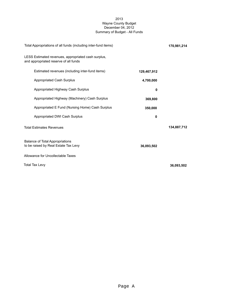#### 2013 Wayne County Budget December 04, 2012 Summary of Budget - All Funds

| Total Appropriations of all funds (including inter-fund items)                               |             | 170,981,214 |
|----------------------------------------------------------------------------------------------|-------------|-------------|
| LESS Estimated revenues, appropriated cash surplus,<br>and appropriated reserve of all funds |             |             |
| Estimated revenues (including inter-fund items)                                              | 129,467,912 |             |
| <b>Appropriated Cash Surplus</b>                                                             | 4,700,000   |             |
| Appropriated Highway Cash Surplus                                                            | 0           |             |
| Appropriated Highway (Machinery) Cash Surplus                                                | 369,800     |             |
| Appropriated E Fund (Nursing Home) Cash Surplus                                              | 350,000     |             |
| Appropriated DWI Cash Surplus                                                                | 0           |             |
| <b>Total Estimates Revenues</b>                                                              |             | 134,887,712 |
| <b>Balance of Total Appropriations</b><br>to be raised by Real Estate Tax Levy               | 36,093,502  |             |
| Allowance for Uncollectable Taxes                                                            |             |             |
| <b>Total Tax Levy</b>                                                                        |             | 36,093,502  |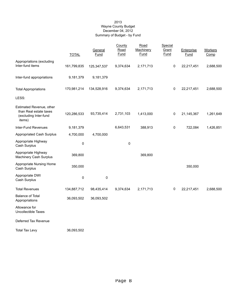#### 2013 Wayne County Budget December 04, 2012 Summary of Budget - by Fund

|                                                                                       | <b>TOTAL</b> | General<br>Fund | County<br>Road<br>Fund | Road<br>Machinery<br>Fund | Special<br>Grant<br><b>Fund</b> | Enterprise<br>Fund | <b>Workers</b><br>Comp |
|---------------------------------------------------------------------------------------|--------------|-----------------|------------------------|---------------------------|---------------------------------|--------------------|------------------------|
| Appropriations (excluding<br>Inter-fund items                                         | 161,799,835  | 125,347,537     | 9,374,634              | 2,171,713                 | $\pmb{0}$                       | 22,217,451         | 2,688,500              |
| Inter-fund appropriations                                                             | 9,181,379    | 9,181,379       |                        |                           |                                 |                    |                        |
| <b>Total Appropriations</b>                                                           | 170,981,214  | 134,528,916     | 9,374,634              | 2,171,713                 | $\pmb{0}$                       | 22,217,451         | 2,688,500              |
| LESS:                                                                                 |              |                 |                        |                           |                                 |                    |                        |
| Estimated Revenue, other<br>than Real estate taxes<br>(excluding Inter-fund<br>items) | 120,286,533  | 93,735,414      | 2,731,103              | 1,413,000                 | 0                               | 21,145,367         | 1,261,649              |
| Inter-Fund Revenues                                                                   | 9,181,379    |                 | 6,643,531              | 388,913                   | 0                               | 722,084            | 1,426,851              |
| <b>Appropriated Cash Surplus</b>                                                      | 4,700,000    | 4,700,000       |                        |                           |                                 |                    |                        |
| Appropriate Highway<br>Cash Surplus                                                   | 0            |                 | 0                      |                           |                                 |                    |                        |
| Appropriate Highway<br><b>Machinery Cash Surplus</b>                                  | 369,800      |                 |                        | 369,800                   |                                 |                    |                        |
| Appropriate Nursing Home<br>Cash Surplus                                              | 350,000      |                 |                        |                           |                                 | 350,000            |                        |
| Appropriate DWI<br>Cash Surplus                                                       | 0            | 0               |                        |                           |                                 |                    |                        |
| <b>Total Revenues</b>                                                                 | 134,887,712  | 98,435,414      | 9,374,634              | 2,171,713                 | $\pmb{0}$                       | 22,217,451         | 2,688,500              |
| <b>Balance of Total</b><br>Appropriations                                             | 36,093,502   | 36,093,502      |                        |                           |                                 |                    |                        |
| Allowance for<br>Uncollectible Taxes                                                  |              |                 |                        |                           |                                 |                    |                        |
| Deferred Tax Revenue                                                                  |              |                 |                        |                           |                                 |                    |                        |
| <b>Total Tax Levy</b>                                                                 | 36,093,502   |                 |                        |                           |                                 |                    |                        |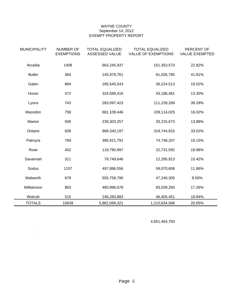#### WAYNE COUNTY September 14, 2012 EXEMPT PROPERTY REPORT

| <b>MUNICIPALITY</b> | <b>NUMBER OF</b><br><b>EXEMPTIONS</b> | <b>TOTAL EQUALIZED</b><br>ASSESSED VALUE | <b>TOTAL EQUALIZED</b><br><b>VALUE OF EXEMPTIONS</b> | PERCENT OF<br><b>VALUE EXEMPTED</b> |
|---------------------|---------------------------------------|------------------------------------------|------------------------------------------------------|-------------------------------------|
| Arcadia             | 1408                                  | 663,245,937                              | 151,353,573                                          | 22.82%                              |
| <b>Butler</b>       | 364                                   | 145,979,761                              | 61,035,785                                           | 41.81%                              |
| Galen               | 864                                   | 185,545,543                              | 36,224,513                                           | 19.52%                              |
| Huron               | 472                                   | 324,589,416                              | 43,186,481                                           | 13.30%                              |
| Lyons               | 743                                   | 283,097,423                              | 111,228,269                                          | 39.29%                              |
| Macedon             | 758                                   | 681,109,446                              | 109,114,025                                          | 16.02%                              |
| Marion              | 506                                   | 239,303,257                              | 33,215,673                                           | 13.88%                              |
| Ontario             | 828                                   | 968,340,197                              | 319,744,915                                          | 33.02%                              |
| Palmyra             | 769                                   | 390,421,791                              | 74,748,207                                           | 19.15%                              |
| Rose                | 452                                   | 119,790,997                              | 22,731,592                                           | 18.98%                              |
| Savannah            | 311                                   | 79,749,646                               | 12,295,913                                           | 15.42%                              |
| Sodus               | 1107                                  | 497,886,556                              | 59,070,606                                           | 11.86%                              |
| Walworth            | 679                                   | 555,758,790                              | 47,240,305                                           | 8.50%                               |
| Williamson          | 863                                   | 480,996,678                              | 83,039,260                                           | 17.26%                              |
| Wolcott             | 515                                   | 246,283,883                              | 46,405,451                                           | 18.84%                              |
| <b>TOTALS</b>       | 10639                                 | 5,862,099,321                            | 1,210,634,568                                        | 20.65%                              |

4,651,464,783

.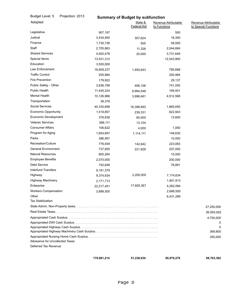| Budget Level: 5                                         | Projection: 2013 |             | <b>Summary of Budget by subfunction</b> |                                      |                                              |
|---------------------------------------------------------|------------------|-------------|-----------------------------------------|--------------------------------------|----------------------------------------------|
| Adopted                                                 |                  |             | State &<br><b>Federal Aid</b>           | Revenue Attributable<br>to Functions | Revenue Attributable<br>to Special Functions |
| Legislative                                             |                  | 907,197     |                                         | 500                                  |                                              |
| Judical                                                 |                  | 3,434,955   | 357,624                                 | 18,350                               |                                              |
| Finance                                                 |                  | 1,730,736   | 500                                     | 59,000                               |                                              |
| Staff                                                   |                  | 2,705,863   | 11,326                                  | 2,044,684                            |                                              |
| <b>Shared Services</b>                                  |                  | 4,920,478   | 20,000                                  | 3,731,649                            |                                              |
| Special Items                                           |                  | 13,531,312  |                                         | 12,543,900                           |                                              |
| Education                                               |                  | 3,500,000   |                                         |                                      |                                              |
| Law Enforcement                                         |                  | 18,809,237  | 1,450,643                               | 785,688                              |                                              |
| <b>Traffic Control</b>                                  |                  | 200,984     |                                         | 200,984                              |                                              |
| <b>Fire Prevention</b>                                  |                  | 179,922     |                                         | 29,137                               |                                              |
| Public Safety - Other                                   |                  | 3,836,799   | 406,106                                 | 741,050                              |                                              |
| <b>Public Health</b>                                    |                  | 11,445,224  | 6,994,548                               | 169,501                              |                                              |
| <b>Mental Health</b>                                    |                  | 10,126,966  | 3,998,461                               | 4,912,568                            |                                              |
| Transportation                                          |                  | 38,378      |                                         |                                      |                                              |
| Social Services                                         |                  | 40,335,698  | 16,398,893                              | 1,865,650                            |                                              |
| <b>Economic Opportunity</b>                             |                  | 1,519,857   | 239,331                                 | 622,943                              |                                              |
| Economic Development                                    |                  | 376,838     | 60,000                                  | 13,600                               |                                              |
| <b>Veteran Services</b>                                 |                  | 266,111     | 13,154                                  |                                      |                                              |
| <b>Consumer Affairs</b>                                 |                  | 106,622     | 4,000                                   | 1,000                                |                                              |
| Program for Aging                                       |                  | 1,854,697   | 1,114,111                               | 148,630                              |                                              |
| Parks                                                   |                  | 386,957     |                                         | 10,000                               |                                              |
| Recreation/Culture                                      |                  | 776,939     | 142,642                                 | 223,083                              |                                              |
| <b>General Environment</b>                              |                  | 737,855     | 221,928                                 | 207,050                              |                                              |
| <b>Natural Resources</b>                                |                  | 805,264     |                                         | 15,000                               |                                              |
| <b>Employee Benefits</b>                                |                  | 2,070,000   |                                         | 200,000                              |                                              |
| Debt Service                                            |                  | 742,648     |                                         | 76,891                               |                                              |
| <b>Interfund Transfers</b>                              |                  | 9,181,379   |                                         |                                      |                                              |
| Highway                                                 |                  | 9,374,634   | 2,200,000                               | 7,174,634                            |                                              |
| <b>Highway Machinery</b>                                |                  | 2,171,713   |                                         | 1,801,913                            |                                              |
| Enterprise                                              |                  | 22,217,451  | 17,605,367                              | 4,262,084                            |                                              |
| <b>Workers Compensation</b>                             |                  | 2,688,500   |                                         | 2,688,500                            |                                              |
| Other                                                   |                  |             |                                         | 6,431,289                            |                                              |
| <b>Tax Stabilization</b>                                |                  |             |                                         |                                      |                                              |
|                                                         |                  |             |                                         |                                      | 27,250,000                                   |
|                                                         |                  |             |                                         |                                      | 36,093,502                                   |
|                                                         |                  |             |                                         |                                      | 4,700,000                                    |
|                                                         |                  |             |                                         |                                      |                                              |
|                                                         |                  |             |                                         |                                      | 0<br>369,800                                 |
|                                                         |                  |             |                                         |                                      | 350,000                                      |
| Allowance for Uncollected Taxes<br>Deferred Tax Revenue |                  |             |                                         |                                      |                                              |
|                                                         |                  |             |                                         |                                      |                                              |
|                                                         |                  | 170,981,214 | 51,238,634                              | 50,979,278                           | 68,763,302                                   |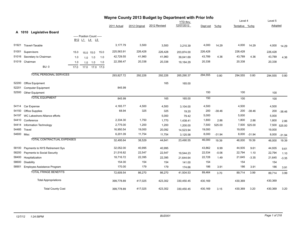|            |                                    |      |                                                                                            |                |      |             | Wayne County 2013 Budget by Department with Prior Info |              |                               |          |          | Level 4        | Level 5  |         |          |
|------------|------------------------------------|------|--------------------------------------------------------------------------------------------|----------------|------|-------------|--------------------------------------------------------|--------------|-------------------------------|----------|----------|----------------|----------|---------|----------|
|            |                                    |      |                                                                                            |                |      | 2011 Actual | 2012 Original                                          | 2012 Revised | <b>YTD</b> thru<br>12/07/2012 | Dept est | $%$ chg  | Tentative %chg |          | Adopted |          |
|            |                                    |      |                                                                                            |                |      |             |                                                        |              |                               |          |          |                |          |         |          |
|            | A 1010<br><b>Legislative Board</b> |      | ----- Position Count -----<br>B <sub>12</sub> L <sub>1</sub> L <sub>4</sub> L <sub>5</sub> |                |      |             |                                                        |              |                               |          |          |                |          |         |          |
| 51921      | Traverl-Taxable                    |      |                                                                                            |                |      | 3,177.79    | 3,500                                                  | 3,500        | 3,210.39                      | 4,000    | 14.29    | 4,000          | 14.29    | 4,000   | 14.29    |
| 51001      | Supervisors                        | 15.0 |                                                                                            | 15.0 15.0      | 15.0 | 225,563.91  | 226,428                                                | 226,428      | 203,874.00                    | 226,428  |          | 226,428        |          | 226,428 |          |
| 51016      | Secretary to Chairman              | 1.0  | 1.0                                                                                        | 1.0            | 1.0  | 42,729.55   | 41,960                                                 | 41,960       | 39,041.69                     | 43,789   | 4.36     | 43,789         | 4.36     | 43,789  | 4.36     |
|            | 51019 Chairman                     | 1.0  | 1.0                                                                                        | 1.0            | 1.0  | 22,356.47   | 20,338                                                 | 20,338       | 19,164.29                     | 20,338   |          | 20,338         |          | 20,338  |          |
|            | <b>BU: 0</b>                       | 17.0 |                                                                                            | 17.0 17.0 17.0 |      |             |                                                        |              |                               |          |          |                |          |         |          |
|            | <b>TOTAL PERSONAL SERVICES</b>     |      |                                                                                            |                |      | 293,827.72  | 292,226                                                | 292,226      | 265,290.37                    | 294,555  | 0.80     | 294,555        | 0.80     | 294,555 | 0.80     |
| 52200      | Office Equipment                   |      |                                                                                            |                |      |             |                                                        | 165          | 165.00                        |          |          |                |          |         |          |
| 52201      | <b>Computer Equipment</b>          |      |                                                                                            |                |      | 845.99      |                                                        |              |                               |          |          |                |          |         |          |
| 52500      | <b>Other Equipment</b>             |      |                                                                                            |                |      |             |                                                        |              |                               | 150      |          | 100            |          | 100     |          |
|            | <b>TOTAL EQUIPMENT</b>             |      |                                                                                            |                |      | 845.99      |                                                        | 165          | 165.00                        | 150      |          | 100            |          | 100     |          |
| 54114      | Car Expense                        |      |                                                                                            |                |      | 4,165.77    | 4,500                                                  | 4,500        | 3,104.00                      | 4,500    |          | 4,500          |          | 4,500   |          |
| 54150      | <b>Office Supplies</b>             |      |                                                                                            |                |      | 68.94       | 325                                                    | 325          | 19.20                         | 200      | $-38.46$ | 200            | $-38.46$ | 200     | $-38.46$ |
| 54197      | WC Lakeshore Alliance efforts      |      |                                                                                            |                |      |             |                                                        | 5,000        | 79.42                         | 5,000    |          | 5,000          |          | 5,000   |          |
| 54410      | Conference                         |      |                                                                                            |                |      | 2,334.30    | 1,750                                                  | 1,770        | 1,438.41                      | 1,800    | 2.86     | 1,800          | 2.86     | 1,800   | 2.86     |
| 54414      | Information Technology             |      |                                                                                            |                |      | 2,775.00    | 1,200                                                  | 1,200        | 1,200.00                      | 7,500    | 525.00   | 7,500          | 525.00   | 7,500   | 525.00   |
| 54485      | Travel                             |      |                                                                                            |                |      | 16,950.54   | 19,000                                                 | 20,092       | 14,523.94                     | 19,000   |          | 19,000         |          | 19,000  |          |
| 54600 Misc |                                    |      |                                                                                            |                |      | 6,201.09    | 11,754                                                 | 11,754       | 3,125.58                      | 8,000    | $-31.94$ | 8,000          | $-31.94$ | 8,000   | $-31.94$ |
|            | <b>TOTAL CONTRACTUAL EXPENSES</b>  |      |                                                                                            |                |      | 32,495.64   | 38,529                                                 | 44,641       | 23,490.55                     | 46,000   | 19.39    | 46,000         | 19.39    | 46,000  | 19.39    |
| 58100      | Payments to NYS Retirement Sys     |      |                                                                                            |                |      | 32,052.00   | 40,995                                                 | 40,995       |                               | 43,862   | 6.99     | 44,935         | 9.61     | 44,935  | 9.61     |
| 58200      | Payments to Social Security        |      |                                                                                            |                |      | 21,516.82   | 22,547                                                 | 22,547       | 19,544.23                     | 22,534   | $-0.06$  | 22,794         | 1.10     | 22,794  | 1.10     |
| 58400      | Hospitalization                    |      |                                                                                            |                |      | 18,716.72   | 22,395                                                 | 22,395       | 21,644.64                     | 22,728   | 1.49     | 21,645         | $-3.35$  | 21,645  | $-3.35$  |
| 58600      | Disability                         |      |                                                                                            |                |      | 154.00      | 154                                                    | 154          | 141.00                        | 154      |          | 154            |          | 154     |          |
| 58901      | Employee Assistance Program        |      |                                                                                            |                |      | 170.00      | 179                                                    | 179          | 174.66                        | 186      | 3.91     | 186            | 3.91     | 186     | 3.91     |
|            | <b>TOTAL FRINGE BENEFITS</b>       |      |                                                                                            |                |      | 72,609.54   | 86,270                                                 | 86,270       | 41,504.53                     | 89,464   | 3.70     | 89,714         | 3.99     | 89,714  | 3.99     |
|            | <b>Total Appropriations</b>        |      |                                                                                            |                |      | 399,778.89  | 417,025                                                | 423,302      | 330,450.45                    | 430,169  |          | 430,369        |          | 430,369 |          |
|            | <b>Total County Cost</b>           |      |                                                                                            |                |      | 399.778.89  | 417,025                                                | 423,302      | 330,450.45                    | 430,169  | 3.15     | 430,369        | 3.20     | 430,369 | 3.20     |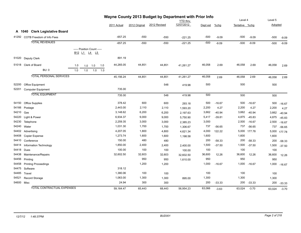|            |                                   | Wayne County 2013 Budget by Department with Prior Info<br><b>YTD</b> thru |     |                            |     |             | Level 4       | Level 5      |            |          |          |                |          |         |          |
|------------|-----------------------------------|---------------------------------------------------------------------------|-----|----------------------------|-----|-------------|---------------|--------------|------------|----------|----------|----------------|----------|---------|----------|
|            |                                   |                                                                           |     |                            |     | 2011 Actual | 2012 Original | 2012 Revised | 12/07/2012 | Dept est | $%$ chg  | Tentative %chg |          | Adopted |          |
|            | A 1040 Clerk Legislative Board    |                                                                           |     |                            |     |             |               |              |            |          |          |                |          |         |          |
|            | 41292 COTB Freedom of Info Fees   |                                                                           |     |                            |     | $-657.25$   | $-550$        | $-550$       |            | $-500$   | $-9.09$  | $-500$         | $-9.09$  | $-500$  |          |
|            | <b>TOTAL REVENUES</b>             |                                                                           |     |                            |     |             |               |              | $-221.25$  |          |          |                |          |         | $-9.09$  |
|            |                                   |                                                                           |     |                            |     | $-657.25$   | $-550$        | $-550$       | $-221.25$  | $-500$   | $-9.09$  | $-500$         | $-9.09$  | $-500$  | $-9.09$  |
|            |                                   |                                                                           |     | ----- Position Count ----- |     |             |               |              |            |          |          |                |          |         |          |
|            |                                   |                                                                           |     | B12 L1 L4 L5               |     |             |               |              |            |          |          |                |          |         |          |
|            | 51020 Deputy Clerk                |                                                                           |     |                            |     | 891.19      |               |              |            |          |          |                |          |         |          |
|            | 51018 Clerk of Board              | 1.0                                                                       | 1.0 | 1.0                        | 1.0 | 44,265.05   | 44,851        | 44,851       | 41,261.27  | 46,058   | 2.69     | 46,058         | 2.69     | 46,058  | 2.69     |
|            | <b>BU: 0</b>                      | 1.0                                                                       | 1.0 | $1.0$                      | 1.0 |             |               |              |            |          |          |                |          |         |          |
|            | <b>TOTAL PERSONAL SERVICES</b>    |                                                                           |     |                            |     | 45,156.24   | 44,851        | 44,851       | 41,261.27  | 46,058   |          | 46,058         | 2.69     |         |          |
|            |                                   |                                                                           |     |                            |     |             |               |              |            |          | 2.69     |                |          | 46,058  | 2.69     |
| 52200      | <b>Office Equipment</b>           |                                                                           |     |                            |     |             |               | 548          | 419.98     | 500      |          | 500            |          | 500     |          |
| 52201      | <b>Computer Equipment</b>         |                                                                           |     |                            |     | 735.00      |               |              |            |          |          |                |          |         |          |
|            | <b>TOTAL EQUIPMENT</b>            |                                                                           |     |                            |     | 735.00      |               | 548          | 419.98     | 500      |          | 500            |          | 500     |          |
|            |                                   |                                                                           |     |                            |     |             |               |              |            |          |          |                |          |         |          |
|            | 54150 Office Supplies             |                                                                           |     |                            |     | 378.42      | 600           | 600          | 293.18     | 500      | $-16.67$ | 500            | $-16.67$ | 500     | $-16.67$ |
| 54166      | Postage                           |                                                                           |     |                            |     | 2,443.00    | 2,110         | 2,110        | 1,593.20   | 2,200    | 4.27     | 2,200          | 4.27     | 2,200   | 4.27     |
| 54210      | Gas                               |                                                                           |     |                            |     | 3,148.62    | 6,200         | 6,200        | 2,197.63   | 3,662    | $-40.94$ | 3,662          | $-40.94$ | 3,662   | $-40.94$ |
| 54220      | Light & Power                     |                                                                           |     |                            |     | 6,934.37    | 9,000         | 9,000        | 5,750.90   | 5,417    | $-39.81$ | 4,875          | $-45.83$ | 4,875   | $-45.83$ |
| 54230      | Telephone                         |                                                                           |     |                            |     | 2,259.35    | 3,000         | 3,000        | 2,385.23   | 3,000    |          | 2,500          | $-16.67$ | 2,500   | $-16.67$ |
| 54240      | Water                             |                                                                           |     |                            |     | 1,031.30    | 1,700         | 1,700        | 1,306.67   | 737      | $-56.65$ | 737            | $-56.65$ | 737     | $-56.65$ |
|            | 54402 Advertising                 |                                                                           |     |                            |     | 4,207.05    | 1,800         | 4,800        | 4,621.34   | 4,000    | 122.22   | 5,000          | 177.78   | 5,000   | 177.78   |
| 54408      | Copier Expense                    |                                                                           |     |                            |     | 1,273.74    | 1,600         | 1,600        | 1,198.58   | 1,600    |          | 1,600          |          | 1,600   |          |
| 54410      | Conference                        |                                                                           |     |                            |     | 150.00      | 480           | 480          |            | 200      | $-58.33$ | 200            | $-58.33$ | 200     | $-58.33$ |
| 54414      | <b>Information Technology</b>     |                                                                           |     |                            |     | 1,850.00    | 2,400         | 2,400        | 2,400.00   | 1,500    | $-37.50$ | 1,500          | $-37.50$ | 1,500   | $-37.50$ |
| 54418      | Dues                              |                                                                           |     |                            |     | 100.00      | 100           | 100          | 100.00     | 100      |          | 100            |          | 100     |          |
| 54438      | Maintenance/Repairs               |                                                                           |     |                            |     | 32,602.50   | 32,603        | 32,603       | 32,602.50  | 36,600   | 12.26    | 36,600         | 12.26    | 36,600  | 12.26    |
| 54456      | Printing                          |                                                                           |     |                            |     |             | 950           | 950          | 1,610.00   | 950      |          | 950            |          | 950     |          |
| 54458      | <b>Printing Proceedings</b>       |                                                                           |     |                            |     |             | 1,200         | 1,200        |            | 1,000    | $-16.67$ | 1,000          | $-16.67$ | 1,000   | $-16.67$ |
| 54475      | Software                          |                                                                           |     |                            |     | 318.12      |               |              |            |          |          |                |          |         |          |
| 54485      | Travel                            |                                                                           |     |                            |     | 1,380.06    | 100           | 100          |            | 100      |          | 100            |          | 100     |          |
| 54521      | Record Storage                    |                                                                           |     |                            |     | 1,063.00    | 1,300         | 1,300        | 895.00     | 1,300    |          | 1,300          |          | 1,300   |          |
| 54600 Misc |                                   |                                                                           |     |                            |     | 24.94       | 300           | 300          |            | 200      | $-33.33$ | 200            | $-33.33$ | 200     | $-33.33$ |
|            | <b>TOTAL CONTRACTUAL EXPENSES</b> |                                                                           |     |                            |     | 59.164.47   | 65.443        | 68.443       | 56.954.23  | 63,066   | $-3.63$  | 63,024         | $-3.70$  | 63,024  | $-3.70$  |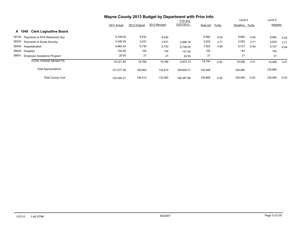|                                          |             | Wayne County 2013 Budget by Department with Prior Info |              |                 |          |         |                |         |         |         |  |
|------------------------------------------|-------------|--------------------------------------------------------|--------------|-----------------|----------|---------|----------------|---------|---------|---------|--|
|                                          |             |                                                        |              | <b>YTD thru</b> |          |         | Level 4        |         | Level 5 |         |  |
|                                          | 2011 Actual | 2012 Original                                          | 2012 Revised | 12/07/2012      | Dept est | $%$ chg | Tentative %chg |         | Adopted |         |  |
| <b>Clerk Legisaltive Board</b><br>A 1040 |             |                                                        |              |                 |          |         |                |         |         |         |  |
| 58100 Payments to NYS Retirement Sys     | 6,339.00    | 8,432                                                  | 8,432        |                 | 8,982    | 6.52    | 8,982          | 6.52    | 8,982   | 6.52    |  |
| 58200 Payments to Social Security        | 3,346.45    | 3,431                                                  | 3,431        | 3,086.18        | 3,524    | 2.71    | 3,524          | 2.71    | 3,524   | 2.71    |  |
| 58400<br>Hospitalization                 | 6,662.40    | 6,730                                                  | 6,730        | 6,726.00        | 7,063    | 4.95    | 6,727          | $-0.04$ | 6,727   | $-0.04$ |  |
| 58600<br>Disability                      | 154.00      | 154                                                    | 154          | 141.00          | 154      |         | 154            |         | 154     |         |  |
| 58901<br>Employee Assistance Program     | 20.00       | 21                                                     | 21           | 20.55           | 21       |         | 21             |         | 21      |         |  |
| <b>TOTAL FRINGE BENEFITS</b>             | 16,521.85   | 18,768                                                 | 18,768       | 9,973.73        | 19,744   | 5.20    | 19,408         | 3.41    | 19,408  | 3.41    |  |
| <b>Total Appropriations</b>              | 121,577.56  | 129,062                                                | 132,610      | 108,609.21      | 129,368  |         | 128,990        |         | 128,990 |         |  |
| <b>Total County Cost</b>                 | 120.920.31  | 128,512                                                | 132,060      | 108.387.96      | 128,868  | 0.28    | 128,490        | $-0.02$ | 128,490 | $-0.02$ |  |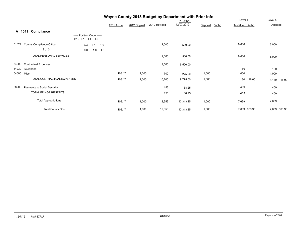|            |                                    |                                                                                            |             |               | Wayne County 2013 Budget by Department with Prior Info | <b>YTD</b> thru |                     | Level 4        | Level 5        |
|------------|------------------------------------|--------------------------------------------------------------------------------------------|-------------|---------------|--------------------------------------------------------|-----------------|---------------------|----------------|----------------|
|            |                                    |                                                                                            | 2011 Actual | 2012 Original | 2012 Revised                                           | 12/07/2012      | $%$ chg<br>Dept est | Tentative %chg | Adopted        |
|            | Compliance<br>A 1041               |                                                                                            |             |               |                                                        |                 |                     |                |                |
|            |                                    | ----- Position Count -----<br>B <sub>12</sub> L <sub>1</sub> L <sub>4</sub> L <sub>5</sub> |             |               |                                                        |                 |                     |                |                |
| 51627      | County Compliance Officer          | 1.0<br>1.0<br>0.0                                                                          |             |               | 2,000                                                  | 500.00          |                     | 6,000          | 6,000          |
|            | <b>BU: 0</b>                       | 0.0<br>1.0<br>1.0                                                                          |             |               |                                                        |                 |                     |                |                |
|            | <b>TOTAL PERSONAL SERVICES</b>     |                                                                                            |             |               | 2,000                                                  | 500.00          |                     | 6,000          | 6,000          |
| 54000      | <b>Contractual Expenses</b>        |                                                                                            |             |               | 9,500                                                  | 9,500.00        |                     |                |                |
| 54230      | Telephone                          |                                                                                            |             |               |                                                        |                 |                     | 180            | 180            |
| 54600 Misc |                                    |                                                                                            | 108.17      | 1,000         | 700                                                    | 275.00          | 1,000               | 1,000          | 1,000          |
|            | <b>TOTAL CONTRACTUAL EXPENSES</b>  |                                                                                            | 108.17      | 1,000         | 10,200                                                 | 9,775.00        | 1,000               | 1,180<br>18.00 | 18.00<br>1,180 |
| 58200      | <b>Payments to Social Security</b> |                                                                                            |             |               | 153                                                    | 38.25           |                     | 459            | 459            |
|            | <b>TOTAL FRINGE BENEFITS</b>       |                                                                                            |             |               | 153                                                    | 38.25           |                     | 459            | 459            |
|            | <b>Total Appropriations</b>        |                                                                                            | 108.17      | 1,000         | 12,353                                                 | 10,313.25       | 1,000               | 7,639          | 7,639          |
|            | <b>Total County Cost</b>           |                                                                                            | 108.17      | 1,000         | 12,353                                                 | 10,313.25       | 1,000               | 7,639 663.90   | 7,639 663.90   |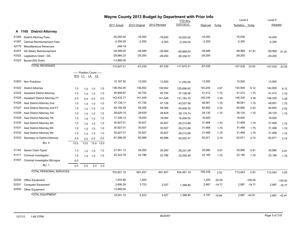|       |                                       |      |                                                              |      |      |               | Wayne County 2013 Budget by Department with Prior Info |              |                               |           |          |                | Level 4       |                    |              |
|-------|---------------------------------------|------|--------------------------------------------------------------|------|------|---------------|--------------------------------------------------------|--------------|-------------------------------|-----------|----------|----------------|---------------|--------------------|--------------|
|       |                                       |      |                                                              |      |      | 2011 Actual   | 2012 Original                                          | 2012 Revised | <b>YTD thru</b><br>12/07/2012 | Dept est  | %chg     | Tentative %chq |               | Level 5<br>Adopted |              |
|       |                                       |      |                                                              |      |      |               |                                                        |              |                               |           |          |                |               |                    |              |
|       | A 1165 District Attorney              |      |                                                              |      |      |               |                                                        |              |                               |           |          |                |               |                    |              |
| 41265 | <b>District Attorney Fees</b>         |      |                                                              |      |      | $-25,000.00$  | $-16,000$                                              | $-16,000$    | $-16,000.00$                  | $-16,000$ |          | $-16,000$      |               | $-16,000$          |              |
| 41267 | <b>Clerical Reimbursement Fees</b>    |      |                                                              |      |      | $-2,350.00$   | $-2,350$                                               | $-2,350$     | $-2,350.00$                   | $-2,350$  |          | $-2,350$       |               | $-2,350$           |              |
| 42770 | Miscellaneous Revenues                |      |                                                              |      |      | $-248.18$     |                                                        |              |                               |           |          |                |               |                    |              |
| 43307 | DA Salary Reimbursement               |      |                                                              |      |      | $-39,489.00$  | $-39,489$                                              | $-39,489$    | -59,989.00                    | $-39,489$ |          | $-59,989$      | 51.91         | $-59,989$          | 51.91        |
| 43322 | Legislative Grant - DA                |      |                                                              |      |      | $-29,880.23$  | $-29,200$                                              | $-29,200$    | $-39,336.51$                  | $-29,200$ |          | $-29,200$      |               | $-29,200$          |              |
|       | 43323 Byrne/JAG Grant                 |      |                                                              |      |      | $-13,880.00$  |                                                        |              |                               |           |          |                |               |                    |              |
|       | <b>TOTAL REVENUES</b>                 |      |                                                              |      |      | $-110,847.41$ | $-87,039$                                              | $-87,039$    | $-117,675.51$                 | $-87,039$ |          | $-107,539$     | 23.55         | $-107,539$         | 23.55        |
|       |                                       |      | ----- Position Count -----                                   |      |      |               |                                                        |              |                               |           |          |                |               |                    |              |
|       |                                       |      | B <sub>12</sub> L <sub>1</sub> L <sub>4</sub> L <sub>5</sub> |      |      |               |                                                        |              |                               |           |          |                |               |                    |              |
|       | 51903 Non Positions                   |      |                                                              |      |      | 15,187.50     | 13,500                                                 | 13,500       | 11,250.00                     | 13,500    |          | 13,500         |               | 13,500             |              |
| 51022 | <b>District Attorney</b>              | 1.0  | 1.0                                                          | 1.0  | 1.0  | 136,552.00    | 136,552                                                | 136,552      | 125,696.65                    | 140,200   | 2.67     | 144,905        | 6.12          | 144,905            | 6.12         |
| 51024 | <b>Assistant District Attorney</b>    | 1.0  | 1.0                                                          | 1.0  | 1.0  | 40,699.87     | 40,700                                                 | 40,700       | 37,128.08                     | 41,412    | 1.75     | 41,412         | 1.75          | 41,412             | 1.75         |
| 51025 | <b>Assistant District Attorney FT</b> | 2.0  | 2.0                                                          | 2.0  | 2.0  | 143,432.77    | 141,549                                                | 141,549      | 131,183.70                    | 146,335   | 3.38     | 146,335        | 3.38          | 146,335            | 3.38         |
| 51026 | Asst District Attorney 2nd            | 1.0  | 1.0                                                          | 1.0  | 1.0  | 47,726.11     | 47,726                                                 | 47,726       | 43,537.56                     | 48,561    | 1.75     | 48,561         | 1.75          | 48,561             | 1.75         |
| 51027 | Asst District Attorney 2nd FT         | 1.0  | 1.0                                                          | 1.0  | 1.0  | 59,792.59     | 59,356                                                 | 59,356       | 54,608.32                     | 60,850    | 2.52     | 60,850         | 2.52          | 60,850             | 2.52         |
| 51028 | Asst District Attorney 3rd            | 1.0  | 1.0                                                          | 1.0  | 1.0  | 28,629.15     | 28,629                                                 | 28,629       | 26,116.74                     | 29,130    | 1.75     | 29,130         | 1.75          | 29,130             | 1.75         |
| 51029 | Asst District Attorney 7th            | 1.0  | 1.0                                                          | 1.0  | 1.0  | 17,339.13     | 18,000                                                 | 18,000       | 16,200.05                     | 18,000    |          | 18,000         |               | 18,000             |              |
| 51030 | Asst District Attorney 4th            | 1.0  | 1.0                                                          | 1.0  | 1.0  | 30,927.01     | 30,927                                                 | 30,927       | 28,212.68                     | 31,468    | 1.75     | 31,468         | 1.75          | 31,468             | 1.75         |
| 51031 | Asst District Attorney 6th            | 1.0  | 1.0                                                          | 1.0  | 1.0  | 30,927.01     | 30,927                                                 | 30,927       | 28,212.68                     | 31,468    | 1.75     | 31,468         | 1.75          | 31,468             | 1.75         |
| 51032 | Asst District Attorney 5th            | 1.0  | 1.0                                                          | 1.0  | 1.0  | 30,927.01     | 30,927                                                 | 30,927       | 28,212.68                     | 31,468    | 1.75     | 31,468         | 1.75          | 31,468             | 1.75         |
| 51033 | Secretary to District Attorney        | 2.0  | 2.0                                                          | 2.0  | 2.0  | 67,586.05     | 60,998                                                 | 60,998       | 55,830.47                     | 62,671    | 2.74     | 62,671         | 2.74          | 62,671             | 2.74         |
|       | <b>BU: 0</b>                          | 13.0 | 13.0                                                         | 13.0 | 13.0 |               |                                                        |              |                               |           |          |                |               |                    |              |
| 51142 | Senior Clerk-Typist                   | 1.0  | 1.0                                                          | 1.0  | 1.0  | 27,551.12     | 29,260                                                 | 29,260       | 26,221.09                     | 30,990    | 5.91     | 30,990         | 5.91          | 30,990             | 5.91         |
| 51311 | Criminal Investigator                 | 1.0  | 1.0                                                          | 1.0  | 1.0  | 25,323.78     | 22,786                                                 | 22,786       | 22,050.49                     | 23,185    | 1.75     | 23,185         | 1.75          | 23,185             | 1.75         |
| 51557 | Criminal Investigator BiLingua        | 0.0  |                                                              |      |      |               |                                                        |              |                               |           |          |                |               |                    |              |
|       | <b>BU: 1</b>                          | 2.0  | 2.0                                                          | 2.0  | 2.0  |               |                                                        |              |                               |           |          |                |               |                    |              |
|       | <b>TOTAL PERSONAL SERVICES</b>        |      |                                                              |      |      | 702,601.10    | 691,837                                                | 691,837      | 634,461.19                    | 709,238   | 2.52     | 713,943        | 3.20          | 713,943            | 3.20         |
| 52200 | Office Equipment                      |      |                                                              |      |      | 1,970.86      | 1,500                                                  |              |                               | 1,200     | $-20.00$ |                | $-100.00$     |                    | $-100.00$    |
| 52201 | <b>Computer Equipment</b>             |      |                                                              |      |      | 2,690.29      | 3,723                                                  | 2,027        | 1,398.80                      | 2,987     | $-19.77$ |                | 2,987 - 19.77 |                    | 2,987 -19.77 |
| 52500 | <b>Other Equipment</b>                |      |                                                              |      |      | 13,880.00     |                                                        |              |                               |           |          |                |               |                    |              |
|       | <b>TOTAL EQUIPMENT</b>                |      |                                                              |      |      | 18,541.15     | 5,223                                                  | 2,027        | 1,398.80                      | 4,187     | $-19.84$ |                | 2,987 -42.81  |                    | 2,987 -42.81 |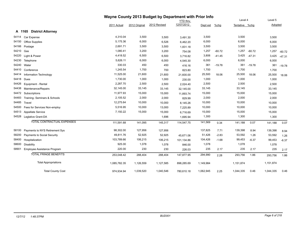|       |                                   |              | Wayne County 2013 Budget by Department with Prior Info |              |                 |           |          |                |          |           |          |  |
|-------|-----------------------------------|--------------|--------------------------------------------------------|--------------|-----------------|-----------|----------|----------------|----------|-----------|----------|--|
|       |                                   |              |                                                        |              | <b>YTD thru</b> |           |          | Level 4        |          | Level 5   |          |  |
|       |                                   | 2011 Actual  | 2012 Original                                          | 2012 Revised | 12/07/2012      | Dept est  | $%$ chg  | Tentative %chg |          | Adopted   |          |  |
|       | A 1165 District Attorney          |              |                                                        |              |                 |           |          |                |          |           |          |  |
| 54114 | Car Expense                       | 4,310.04     | 3,500                                                  | 3,500        | 3,491.30        | 3,500     |          | 3,500          |          | 3,500     |          |  |
| 54150 | <b>Office Supplies</b>            | 5,175.36     | 6,000                                                  | 6,526        | 6,462.20        | 6,000     |          | 6,000          |          | 6,000     |          |  |
| 54166 | Postage                           | 2,691.71     | 3,500                                                  | 3,500        | 1,831.18        | 3,500     |          | 3,500          |          | 3,500     |          |  |
| 54210 | Gas                               | 1,080.41     | 3,200                                                  | 3,200        | 754.08          | 1,257     | $-60.72$ | 1,257          | $-60.72$ | 1,257     | $-60.72$ |  |
| 54220 | Light & Power                     | 4,418.52     | 6,500                                                  | 6,500        | 3,716.82        | 3,806     | $-41.45$ | 3,425          | $-47.31$ | 3,425     | $-47.31$ |  |
| 54230 | Telephone                         | 5,626.11     | 6,000                                                  | 6,000        | 4,545.30        | 6,000     |          | 6,000          |          | 6,000     |          |  |
| 54240 | Water                             | 330.03       | 450                                                    | 450          | 416.16          | 361       | $-19.78$ | 361            | $-19.78$ | 361       | $-19.78$ |  |
| 54410 | Conference                        | 1,245.54     | 1,700                                                  | 700          | 823.80          | 1,700     |          | 1,700          |          | 1,700     |          |  |
| 54414 | Information Technology            | 11,525.00    | 21,600                                                 | 21,600       | 21,600.00       | 25,500    | 18.06    | 25,500         | 18.06    | 25,500    | 18.06    |  |
| 54418 | Dues                              | 1,730.00     | 1,000                                                  | 1,000        | 230.00          | 1,000     |          | 1,000          |          | 1,000     |          |  |
| 54426 | Equipment - Rental                | 2,287.70     | 2,500                                                  | 2,500        | 2,024.40        | 2,500     |          | 2,500          |          | 2,500     |          |  |
| 54438 | Maintenance/Repairs               | 32,145.00    | 33,145                                                 | 33,145       | 32,145.00       | 33,145    |          | 33,145         |          | 33,145    |          |  |
| 54472 | Subscriptions                     | 11,977.93    | 15,000                                                 | 15,000       | 11,893.74       | 15,000    |          | 15,000         |          | 15,000    |          |  |
| 54483 | Training- Seminars & Schools      | 2,105.52     | 2,000                                                  | 2,000        | 829.99          | 2,000     |          | 2,000          |          | 2,000     |          |  |
| 54485 | Travel                            | 12,275.64    | 10,000                                                 | 10,000       | 8,145.26        | 10,000    |          | 10,000         |          | 10,000    |          |  |
| 54500 | Fees for Services Non-employ      | 5,516.95     | 10,000                                                 | 13,000       | 7,225.89        | 10,000    |          | 10,000         |          | 10,000    |          |  |
| 54513 | Appellate Service                 | 7,150.22     | 15,000                                                 | 15,000       | 6,716.69        | 15,000    |          | 15,000         |          | 15,000    |          |  |
|       | 54528 Leglative Grant-DA          |              |                                                        | 1,696        | 1,695.94        | 1,300     |          | 1,300          |          | 1,300     |          |  |
|       | <b>TOTAL CONTRACTUAL EXPENSES</b> | 111,591.68   | 141,095                                                | 145,317      | 114,547.75      | 141,569   | 0.34     | 141,188        | 0.07     | 141,188   | 0.07     |  |
| 58100 | Payments to NYS Retirement Sys    | 98,302.00    | 127,956                                                | 127,956      |                 | 137,825   | 7.71     | 139,398        | 8.94     | 139,398   | 8.94     |  |
| 58200 | Payments to Social Security       | 49,811.76    | 52,925                                                 | 52,925       | 45,671.06       | 51,426    | $-2.83$  | 53,592         | 1.26     | 53,592    | 1.26     |  |
| 58400 | Hospitalization                   | 103,789.66   | 106,215                                                | 106,215      | 101,134.86      | 104,426   | $-1.68$  | 99,453         | $-6.37$  | 99,453    | $-6.37$  |  |
| 58600 | <b>Disability</b>                 | 925.00       | 1,078                                                  | 1,078        | 846.00          | 1,078     |          | 1,078          |          | 1,078     |          |  |
| 58901 | Employee Assistance Program       | 220.00       | 230                                                    | 230          | 226.03          | 235       | 2.17     | 235            | 2.17     | 235       | 2.17     |  |
|       | <b>TOTAL FRINGE BENEFITS</b>      | 253,048.42   | 288,404                                                | 288,404      | 147,877.95      | 294,990   | 2.28     | 293,756        | 1.86     | 293,756   | 1.86     |  |
|       | <b>Total Appropriations</b>       | 1,085,782.35 | 1,126,559                                              | 1,127,585    | 898,285.69      | 1,149,984 |          | 1,151,874      |          | 1,151,874 |          |  |
|       | <b>Total County Cost</b>          | 974,934.94   | 1,039,520                                              | 1,040,546    | 780,610.18      | 1,062,945 | 2.25     | 1,044,335      | 0.46     | 1,044,335 | 0.46     |  |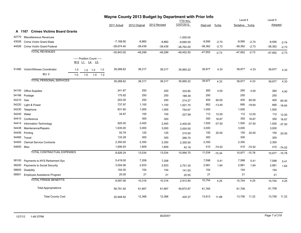|            |                                              |     |                                            |            |              | Wayne County 2013 Budget by Department with Prior Info |              |                 |           |          |                |               |           |          |
|------------|----------------------------------------------|-----|--------------------------------------------|------------|--------------|--------------------------------------------------------|--------------|-----------------|-----------|----------|----------------|---------------|-----------|----------|
|            |                                              |     |                                            |            |              |                                                        |              | <b>YTD thru</b> |           |          | Level 4        |               | Level 5   |          |
|            |                                              |     |                                            |            | 2011 Actual  | 2012 Original                                          | 2012 Revised | 12/07/2012      | Dept est  | $%$ chg  | Tentative %chg |               | Adopted   |          |
|            | <b>Crimes Victims Board Grants</b><br>A 1167 |     |                                            |            |              |                                                        |              |                 |           |          |                |               |           |          |
| 42770      | Miscellaneous Revenues                       |     |                                            |            |              |                                                        |              | $-1,000.00$     |           |          |                |               |           |          |
| 43026      | Crime Victim Grant-State                     |     |                                            |            | $-7,168.60$  | $-9,860$                                               | $-9,860$     | $-9,690.50$     | $-9,590$  | $-2.74$  | $-9,590$       | $-2.74$       | $-9,590$  | $-2.74$  |
|            | 44026 Crime Victim Grant-Federal             |     |                                            |            | $-28,674.40$ | $-39,439$                                              | $-39,439$    | $-38,762.00$    | $-38,362$ | $-2.73$  | $-38,362$      | $-2.73$       | $-38,362$ | $-2.73$  |
|            | <b>TOTAL REVENUES</b>                        |     |                                            |            | $-35,843.00$ | $-49,299$                                              | $-49,299$    | $-49,452.50$    | $-47,952$ | $-2.73$  | $-47,952$      | $-2.73$       | $-47,952$ | $-2.73$  |
|            |                                              |     | ----- Position Count -----<br>B12 L1 L4 L5 |            |              |                                                        |              |                 |           |          |                |               |           |          |
| 51480      | Victim/Witness Coordinator                   | 1.0 | 1.0<br>1.0                                 | 1.0        | 39,268.62    | 38,317                                                 | 38,317       | 35,965.22       | 39,977    | 4.33     | 39,977         | 4.33          | 39,977    | 4.33     |
|            | <b>BU: 0</b>                                 | 1.0 | 1.0                                        | 1.0<br>1.0 |              |                                                        |              |                 |           |          |                |               |           |          |
|            | <b>TOTAL PERSONAL SERVICES</b>               |     |                                            |            | 39,268.62    | 38,317                                                 | 38,317       | 35,965.22       | 39,977    | 4.33     | 39,977         | 4.33          | 39,977    | 4.33     |
| 54150      | <b>Office Supplies</b>                       |     |                                            |            | 241.87       | 250                                                    | 250          | 333.85          | 260       | 4.00     | 260            | 4.00          | 260       | 4.00     |
| 54166      | Postage                                      |     |                                            |            | 175.82       | 250                                                    | 250          | 188.39          | 250       |          | 250            |               | 250       |          |
| 54210      | Gas                                          |     |                                            |            | 203.00       | 250                                                    | 250          | 214.27          | 400       | 60.00    | 400            | 60.00         | 400       | 60.00    |
| 54220      | Light & Power                                |     |                                            |            | 737.97       | 1,100                                                  | 1,100        | 1,001.70        | 952       | $-13.45$ | 895            | $-18.64$      | 895       | $-18.64$ |
| 54230      | Telephone                                    |     |                                            |            | 831.60       | 1,000                                                  | 1,000        | 754.67          | 1,000     |          | 1,000          |               | 1,000     |          |
| 54240      | Water                                        |     |                                            |            | 34.97        | 100                                                    | 100          | 227.99          | 112       | 12.00    | 112            | 12.00         | 112       | 12.00    |
| 54410      | Conference                                   |     |                                            |            |              | 300                                                    | 300          |                 | 350       | 16.67    | 350            | 16.67         | 350       | 16.67    |
| 54414      | Information Technology                       |     |                                            |            | 925.00       | 2,400                                                  | 2,400        | 2,400.00        | 1,500     | $-37.50$ | 1,500          | $-37.50$      | 1,500     | $-37.50$ |
| 54438      | Maintenance/Repairs                          |     |                                            |            | 1,635.00     | 3,000                                                  | 3,000        | 3,000.00        | 3,000     |          | 3,000          |               | 3,000     |          |
| 54456      | Printing                                     |     |                                            |            | 50.79        | 125                                                    | 125          | 215.00          | 150       | 20.00    | 150            | 20.00         | 150       | 20.00    |
| 54485      | Travel                                       |     |                                            |            | 133.29       | 300                                                    | 300          | 266.70          | 300       |          | 300            |               | 300       |          |
| 54493      | <b>Clerical Service Contracts</b>            |     |                                            |            | 2,350.00     | 2,350                                                  | 2,350        | 2,350.00        | 2,350     |          | 2,350          |               | 2,350     |          |
| 54600 Misc |                                              |     |                                            |            | 1,606.93     | 1,609                                                  | 1,609        | 42.18           | 410       | $-74.52$ |                | 410 -74.52    | 410       | $-74.52$ |
|            | TOTAL CONTRACTUAL EXPENSES                   |     |                                            |            | 8,926.24     | 13,034                                                 | 13,034       | 10,994.75       | 11,034    | $-15.34$ |                | 10,977 -15.78 | 10,977    | $-15.78$ |
| 58100      | Payments to NYS Retirement Sys               |     |                                            |            | 5,419.00     | 7,208                                                  | 7,208        |                 | 7,598     | 5.41     | 7,598          | 5.41          | 7,598     | 5.41     |
| 58200      | Payments to Social Security                  |     |                                            |            | 3,004.06     | 2,933                                                  | 2,933        | 2,751.35        | 2,981     | 1.64     | 2,981          | 1.64          | 2,981     | 1.64     |
| 58600      | <b>Disability</b>                            |     |                                            |            | 154.00       | 154                                                    | 154          | 141.00          | 154       |          | 154            |               | 154       |          |
| 58901      | Employee Assistance Program                  |     |                                            |            | 20.00        | 21                                                     | 21           | 20.55           | 21        |          | 21             |               | 21        |          |
|            | <b>TOTAL FRINGE BENEFITS</b>                 |     |                                            |            | 8,597.06     | 10,316                                                 | 10,316       | 2,912.90        | 10,754    | 4.25     | 10,754         | 4.25          | 10,754    | 4.25     |
|            | <b>Total Appropriations</b>                  |     |                                            |            | 56,791.92    | 61,667                                                 | 61,667       | 49,872.87       | 61,765    |          | 61,708         |               | 61,708    |          |
|            | <b>Total County Cost</b>                     |     |                                            |            | 20,948.92    | 12,368                                                 | 12,368       | 420.37          | 13,813    | 11.68    | 13,756         | 11.22         | 13,756    | 11.22    |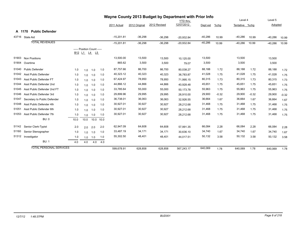|        |                                |                                |                            |              |      |              | Wayne County 2013 Budget by Department with Prior Info |              |                 |           |         |                |         |           |         |
|--------|--------------------------------|--------------------------------|----------------------------|--------------|------|--------------|--------------------------------------------------------|--------------|-----------------|-----------|---------|----------------|---------|-----------|---------|
|        |                                |                                |                            |              |      |              |                                                        |              | <b>YTD</b> thru |           |         | Level 4        |         | Level 5   |         |
|        |                                |                                |                            |              |      | 2011 Actual  | 2012 Original                                          | 2012 Revised | 12/07/2012      | Dept est  | $%$ chg | Tentative %chq |         | Adopted   |         |
| A 1170 | <b>Public Defender</b>         |                                |                            |              |      |              |                                                        |              |                 |           |         |                |         |           |         |
|        | 43716 State Aid                |                                |                            |              |      | $-15,201.81$ | $-36,298$                                              | $-36,298$    | $-20,932.84$    | $-40,286$ | 10.99   | $-40,286$      | 10.99   | $-40,286$ | 10.99   |
|        | <b>TOTAL REVENUES</b>          |                                |                            |              |      | $-15,201.81$ | $-36,298$                                              | $-36,298$    | $-20,932.84$    | $-40,286$ | 10.99   | $-40,286$      | 10.99   | $-40,286$ | 10.99   |
|        |                                |                                | ----- Position Count ----- |              |      |              |                                                        |              |                 |           |         |                |         |           |         |
|        |                                | B <sub>12</sub> L <sub>1</sub> |                            | <u>L4 L5</u> |      |              |                                                        |              |                 |           |         |                |         |           |         |
| 51903  | <b>Non Positions</b>           |                                |                            |              |      | 13,500.00    | 13,500                                                 | 13,500       | 10,125.00       | 13,500    |         | 13,500         |         | 13,500    |         |
| 51904  | Overtime                       |                                |                            |              |      | 865.62       | 3,500                                                  | 3,500        | 79.07           | 3,500     |         | 3,500          |         | 3,500     |         |
| 51040  | <b>Public Defender</b>         | 1.0                            | 1.0                        | 1.0          | 1.0  | 87,757.66    | 86,700                                                 | 86,700       | 80,038.27       | 88,188    | 1.72    | 88,188         | 1.72    | 88,188    | 1.72    |
| 51042  | Asst Public Defender           | 1.0                            | 1.0                        | 1.0          | 1.0  | 40,323.12    | 40,323                                                 | 40,323       | 36.783.87       | 41,028    | 1.75    | 41,028         | 1.75    | 41,028    | 1.75    |
| 51043  | Asst Public Defender FT        | 1.0                            | 1.0                        | 1.0          | 1.0  | 67,424.97    | 78,950                                                 | 78,950       | 71,995.15       | 80,315    | 1.73    | 80,315         | 1.73    | 80,315    | 1.73    |
| 51044  | Asst Public Defender 2nd       | 1.0                            | 1.0                        | 1.0          | 1.0  | 44,866.12    | 44,866                                                 | 44,866       | 40,928.48       | 45,651    | 1.75    | 45,651         | 1.75    | 45,651    | 1.75    |
| 51045  | Asst Public Defender 2nd FT    | 1.0                            | 1.0                        | 1.0          | 1.0  | 33,785.64    | 55,000                                                 | 55,000       | 50,173.78       | 55,963    | 1.75    | 55,963         | 1.75    | 55,963    | 1.75    |
| 51046  | Asst Public Defender 3rd       | 1.0                            | 1.0                        | 1.0          | 1.0  | 29,899.96    | 29,995                                                 | 29,995       | 26,910.00       | 29,900    | $-0.32$ | 29,900         | $-0.32$ | 29,900    | $-0.32$ |
| 51047  | Secretary to Public Defender   | 1.0                            | 1.0                        | 1.0          | 1.0  | 36,738.01    | 36,063                                                 | 36,063       | 32,926.55       | 36,664    | 1.67    | 36,664         | 1.67    | 36,664    | 1.67    |
| 51048  | Asst Public Defender 4th       | 1.0                            | 1.0                        | 1.0          | 1.0  | 30,927.01    | 30,927                                                 | 30,927       | 28,212.68       | 31,468    | 1.75    | 31,468         | 1.75    | 31,468    | 1.75    |
| 51051  | Asst Public Defender 6th       | 1.0                            | 1.0                        | 1.0          | 1.0  | 30,927.01    | 30,927                                                 | 30,927       | 28,212.68       | 31,468    | 1.75    | 31,468         | 1.75    | 31,468    | 1.75    |
| 51053  | Asst Public Defender 7th       | 1.0                            | 1.0                        | 1.0          | 1.0  | 30,927.01    | 30,927                                                 | 30,927       | 28,212.68       | 31,468    | 1.75    | 31,468         | 1.75    | 31,468    | 1.75    |
|        | <b>BU: 0</b>                   | 10.0                           | 10.0                       | 10.0         | 10.0 |              |                                                        |              |                 |           |         |                |         |           |         |
| 51142  | Senior Clerk-Typist            | 2.0                            | 2.0                        | 2.0          | 2.0  | 62,947.09    | 64,608                                                 | 64,608       | 57,991.35       | 66,084    | 2.28    | 66,084         | 2.28    | 66,084    | 2.28    |
| 51160  | Senior Stenographer            | 1.0                            | 1.0                        | 1.0          | 1.0  | 33,487.19    | 34,171                                                 | 34,171       | 30,636.10       | 34,740    | 1.67    | 34,740         | 1.67    | 34,740    | 1.67    |
|        | 51312 Investigator             | 1.0                            | 1.0                        | 1.0          | 1.0  | 55,302.50    | 48,401                                                 | 48,401       | 44,017.51       | 50,132    | 3.58    | 50,132         | 3.58    | 50,132    | 3.58    |
|        | <b>BU: 1</b>                   | 4.0                            | 4.0                        | 4.0          | 4.0  |              |                                                        |              |                 |           |         |                |         |           |         |
|        | <b>TOTAL PERSONAL SERVICES</b> |                                |                            |              |      | 599,678.91   | 628,858                                                | 628,858      | 567,243.17      | 640,069   | 1.78    | 640,069        | 1.78    | 640,069   | 1.78    |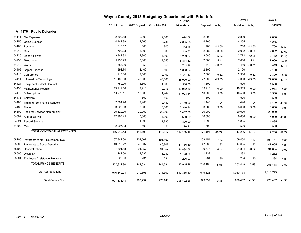|            |                                   | Wayne County 2013 Budget by Department with Prior Info |               |              |                 |           |          |                |          |           |          |
|------------|-----------------------------------|--------------------------------------------------------|---------------|--------------|-----------------|-----------|----------|----------------|----------|-----------|----------|
|            |                                   |                                                        |               |              | <b>YTD thru</b> |           |          | Level 4        |          | Level 5   |          |
|            |                                   | 2011 Actual                                            | 2012 Original | 2012 Revised | 12/07/2012      | Dept est  | $%$ chg  | Tentative %chg |          | Adopted   |          |
|            | A 1170 Public Defender            |                                                        |               |              |                 |           |          |                |          |           |          |
| 54114      | Car Expense                       | 2,590.68                                               | 2,800         | 2,800        | 1,074.08        | 2,800     |          | 2,800          |          | 2,800     |          |
| 54150      | <b>Office Supplies</b>            | 4,442.88                                               | 4,265         | 3,786        | 2,835.68        | 4,265     |          | 4,265          |          | 4,265     |          |
| 54166      | Postage                           | 616.62                                                 | 800           | 800          | 443.88          | 700       | $-12.50$ | 700            | $-12.50$ | 700       | $-12.50$ |
| 54210      | Gas                               | 1,790.23                                               | 3,000         | 3,000        | 1,249.52        | 2,082     | $-30.60$ | 2,082          | $-30.60$ | 2,082     | $-30.60$ |
| 54220      | Light & Power                     | 3,942.82                                               | 4,800         | 4,800        | 3,269.87        | 3,080     | $-35.83$ | 2,772          | $-42.25$ | 2,772     | $-42.25$ |
| 54230      | Telephone                         | 5,930.29                                               | 7,300         | 7,050        | 5,814.62        | 7,000     | $-4.11$  | 7,000          | $-4.11$  | 7,000     | $-4.11$  |
| 54240      | Water                             | 586.39                                                 | 850           | 850          | 742.96          | 419       | $-50.71$ | 419            | $-50.71$ | 419       | $-50.71$ |
| 54408      | Copier Expense                    | 1,991.74                                               | 2,100         | 2,100        | 1,850.54        | 2,100     |          | 2,100          |          | 2,100     |          |
| 54410      | Conference                        | 1,210.00                                               | 2,100         | 2,100        | 1,011.12        | 2,300     | 9.52     | 2,300          | 9.52     | 2,300     | 9.52     |
| 54414      | Information Technology            | 11,100.00                                              | 48,000        | 48,000       | 48,000.00       | 27,000    | $-43.75$ | 27,000         | $-43.75$ | 27,000    | $-43.75$ |
| 54424      | Equipment - Maint Contract        | 1,759.00                                               | 1,500         | 1,500        | 1,500.00        | 1,500     |          | 1,500          |          | 1,500     |          |
| 54438      | Maintenance/Repairs               | 19,912.50                                              | 19,913        | 19,913       | 19,912.50       | 19,913    | 0.00     | 19,913         | 0.00     | 19,913    | 0.00     |
| 54472      | Subscriptions                     | 14,270.11                                              | 10,000        | 11,444       | 11,023.14       | 10,500    | 5.00     | 10,500         | 5.00     | 10,500    | 5.00     |
| 54475      | Software                          |                                                        | 500           | 500          |                 | 500       |          | 500            |          | 500       |          |
| 54483      | Training-Seminars & Schools       | 2,094.96                                               | 2,480         | 2,480        | 2,150.00        | 1,440     | $-41.94$ | 1,440          | -41.94   | 1,440     | $-41.94$ |
| 54485      | Travel                            | 3,225.83                                               | 3,300         | 3,300        | 3,310.34        | 3,600     | 9.09     | 3,600          | 9.09     | 3,600     | 9.09     |
| 54500      | Fees for Services Non-employ      | 25,520.00                                              | 20,000        | 20,000       | 5,457.50        | 20,000    |          | 20,000         |          | 20,000    |          |
| 54502      | <b>Appeal Service</b>             | 12,967.45                                              | 10,000        | 4,000        | 630.29          | 10,000    |          | 6,000          | $-40.00$ | 6,000     | $-40.00$ |
| 54521      | Record Storage                    |                                                        | 1,895         | 1,895        | 1,800.00        | 1,895     |          | 1,895          |          | 1,895     |          |
| 54600 Misc |                                   | 2,097.93                                               | 500           | 500          | 70.41           | 500       |          | 500            |          | 500       |          |
|            | <b>TOTAL CONTRACTUAL EXPENSES</b> | 116,049.43                                             | 146,103       | 140,817      | 112,146.45      | 121,594   | $-16.77$ | 117,286 -19.72 |          | 117,286   | $-19.72$ |
| 58100      | Payments to NYS Retirement Sys    | 67,842.00                                              | 101,507       | 101,507      |                 | 109,454   | 7.83     | 109,454        | 7.83     | 109,454   | 7.83     |
| 58200      | Payments to Social Security       | 43,916.22                                              | 46,807        | 46,807       | 41,756.89       | 47,665    | 1.83     | 47,665         | 1.83     | 47,665    | 1.83     |
| 58400      | Hospitalization                   | 87,691.68                                              | 94,857        | 94,857       | 94,834.56       | 99,576    | 4.97     | 94,834         | $-0.02$  | 94,834    | $-0.02$  |
| 58600      | <b>Disability</b>                 | 1,142.00                                               | 1,232         | 1,232        | 1,128.00        | 1,232     |          | 1,232          |          | 1,232     |          |
| 58901      | Employee Assistance Program       | 220.00                                                 | 231           | 231          | 226.03          | 234       | 1.30     | 234            | 1.30     | 234       | 1.30     |
|            | <b>TOTAL FRINGE BENEFITS</b>      | 200,811.90                                             | 244,634       | 244,634      | 137,945.48      | 258,160   | 5.53     | 253,418        | 3.59     | 253,418   | 3.59     |
|            | <b>Total Appropriations</b>       | 916,540.24                                             | 1,019,595     | 1,014,309    | 817,335.10      | 1,019,823 |          | 1,010,773      |          | 1,010,773 |          |
|            | <b>Total County Cost</b>          | 901,338.43                                             | 983,297       | 978,011      | 796,402.26      | 979,537   | $-0.38$  | 970,487        | $-1.30$  | 970,487   | $-1.30$  |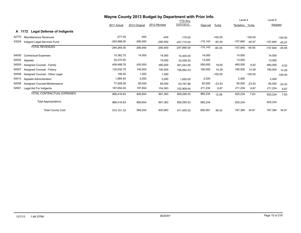|       |                                             | Wayne County 2013 Budget by Department with Prior Info |               |              |                 |            |           |           |           |            |           |
|-------|---------------------------------------------|--------------------------------------------------------|---------------|--------------|-----------------|------------|-----------|-----------|-----------|------------|-----------|
|       |                                             |                                                        |               |              | <b>YTD thru</b> |            |           | Level 4   |           | Level 5    |           |
|       |                                             | 2011 Actual                                            | 2012 Original | 2012 Revised | 12/07/2012      | Dept est   | $%$ chg   | Tentative | %chg      | Adopted    |           |
|       | A 1172<br><b>Legal Defense of Indigents</b> |                                                        |               |              |                 |            |           |           |           |            |           |
| 42770 | Miscellaneous Revenues                      | $-277.50$                                              | $-400$        | $-400$       | $-175.00$       |            | $-100.00$ |           | $-100.00$ |            | $-100.00$ |
| 43024 | Indigent Legal Services Fund                | -293,988.00                                            | $-290,000$    | $-290,000$   | $-247.715.00$   | $-115,143$ | $-60.30$  | -157,840  | $-45.57$  | $-157,840$ | $-45.57$  |
|       | <b>TOTAL REVENUES</b>                       | $-294, 265.50$                                         | $-290,400$    | $-290,400$   | $-247,890.00$   | $-115,143$ | $-60.35$  | -157,840  | $-45.65$  | -157,840   | $-45.65$  |
| 54000 | <b>Contractual Expenses</b>                 | 10,362.75                                              | 14,000        | 14,000       | 10,305.00       | 14,000     |           | 14,000    |           | 14,000     |           |
| 54502 | Appeals                                     | 35,270.50                                              |               | 15,000       | 33,058.35       | 13,000     |           | 13,000    |           | 13,000     |           |
| 54505 | Assigned Counsel - Family                   | 409,488.76                                             | 420,000       | 480,000      | 491,543.55      | 500,000    | 19.05     | 460,000   | 9.52      | 460,000    | 9.52      |
| 54507 | Assigned Counsel - Felony                   | 135,932.75                                             | 140,000       | 140,000      | 156,062.03      | 160,000    | 14.29     | 160,000   | 14.29     | 160,000    | 14.29     |
| 54508 | Assigned Counsel - Other Legal              | 195.00                                                 | 1,000         | 1,000        |                 |            | $-100.00$ |           | $-100.00$ |            | $-100.00$ |
| 54513 | Appeals Administration                      | 1,684.45                                               | 2,000         | 2,000        | 1,650.00        | 2,000      |           | 2,000     |           | 2,000      |           |
| 54556 | Assigned Counsel-Misdemeanor                | 77,828.58                                              | 85,000        | 85,000       | 63,767.96       | 65,000     | $-23.53$  | 65,000    | $-23.53$  | 65,000     | $-23.53$  |
| 54561 | Legal Aid For Indigents                     | 197,654.04                                             | 197,654       | 154,363      | 102,908.64      | 211,234    | 6.87      | 211,234   | 6.87      | 211,234    | 6.87      |
|       | TOTAL CONTRACTUAL EXPENSES                  | 868,416.83                                             | 859,654       | 891,363      | 859,295.53      | 965,234    | 12.28     | 925,234   | 7.63      | 925,234    | 7.63      |
|       | <b>Total Appropriations</b>                 | 868,416.83                                             | 859,654       | 891,363      | 859,295.53      | 965,234    |           | 925,234   |           | 925,234    |           |
|       | <b>Total County Cost</b>                    | 574,151.33                                             | 569,254       | 600,963      | 611,405.53      | 850,091    | 49.33     | 767,394   | 34.81     | 767,394    | 34.81     |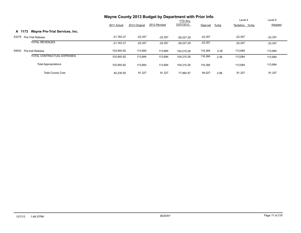|                                          | Wayne County 2013 Budget by Department with Prior Info |               |              | Level 4                       | Level 5   |         |                |                |
|------------------------------------------|--------------------------------------------------------|---------------|--------------|-------------------------------|-----------|---------|----------------|----------------|
|                                          | 2011 Actual                                            | 2012 Original | 2012 Revised | <b>YTD thru</b><br>12/07/2012 | Dept est  | $%$ chg | Tentative %chg | <b>Adopted</b> |
| Wayne Pre-Trial Services, Inc.<br>A 1173 |                                                        |               |              |                               |           |         |                |                |
| 43279<br><b>Pre-Trial Release</b>        | $-21.763.37$                                           | $-22,357$     | $-22,357$    | $-26.227.29$                  | $-22,357$ |         | $-22,357$      | $-22,357$      |
| <b>TOTAL REVENUES</b>                    | $-21,763.37$                                           | $-22,357$     | $-22,357$    | $-26,227.29$                  | $-22,357$ |         | $-22,357$      | $-22,357$      |
| 54624<br><b>Pre-trial Release</b>        | 103,993.92                                             | 113,684       | 113,684      | 104.210.26                    | 116,384   | 2.38    | 113,684        | 113,684        |
| TOTAL CONTRACTUAL EXPENSES               | 103.993.92                                             | 113,684       | 113,684      | 104.210.26                    | 116,384   | 2.38    | 113,684        | 113,684        |
| <b>Total Appropriations</b>              | 103.993.92                                             | 113,684       | 113,684      | 104.210.26                    | 116,384   |         | 113,684        | 113,684        |
| <b>Total County Cost</b>                 | 82,230.55                                              | 91,327        | 91,327       | 77.982.97                     | 94,027    | 2.96    | 91,327         | 91,327         |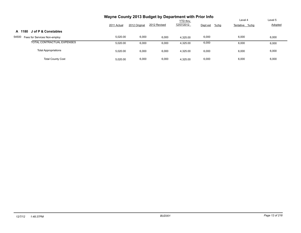|                                       | Wayne County 2013 Budget by Department with Prior Info |               |              |                 |                     |                |         |  |  |  |
|---------------------------------------|--------------------------------------------------------|---------------|--------------|-----------------|---------------------|----------------|---------|--|--|--|
|                                       |                                                        |               |              | <b>YTD thru</b> |                     | Level 4        | Level 5 |  |  |  |
|                                       | 2011 Actual                                            | 2012 Original | 2012 Revised | 12/07/2012      | Dept est<br>$%$ chg | Tentative %chg | Adopted |  |  |  |
| J of P & Constables<br>A 1180         |                                                        |               |              |                 |                     |                |         |  |  |  |
| 54500<br>Fees for Services Non-employ | 5,020.00                                               | 6,000         | 6,000        | 4.325.00        | 6,000               | 6,000          | 6,000   |  |  |  |
| TOTAL CONTRACTUAL EXPENSES            | 5.020.00                                               | 6,000         | 6,000        | 4,325.00        | 6,000               | 6,000          | 6,000   |  |  |  |
| <b>Total Appropriations</b>           | 5.020.00                                               | 6,000         | 6,000        | 4.325.00        | 6,000               | 6,000          | 6,000   |  |  |  |
| <b>Total County Cost</b>              | 5.020.00                                               | 6,000         | 6,000        | 4.325.00        | 6,000               | 6,000          | 6,000   |  |  |  |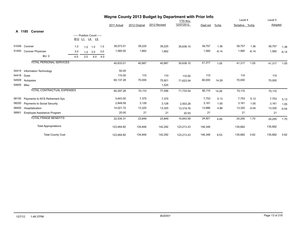|       |                                   | Wayne County 2013 Budget by Department with Prior Info |                            |     |     |             |               |              |                 |          |         |                |         |         |         |
|-------|-----------------------------------|--------------------------------------------------------|----------------------------|-----|-----|-------------|---------------|--------------|-----------------|----------|---------|----------------|---------|---------|---------|
|       |                                   |                                                        |                            |     |     |             |               |              | <b>YTD thru</b> |          |         | Level 4        |         | Level 5 |         |
|       |                                   |                                                        |                            |     |     | 2011 Actual | 2012 Original | 2012 Revised | 12/07/2012      | Dept est | $%$ chg | Tentative %chg |         | Adopted |         |
|       | A 1185 Coroner                    |                                                        |                            |     |     |             |               |              |                 |          |         |                |         |         |         |
|       |                                   |                                                        | ----- Position Count ----- |     |     |             |               |              |                 |          |         |                |         |         |         |
|       |                                   |                                                        | B12 L1 L4 L5               |     |     |             |               |              |                 |          |         |                |         |         |         |
| 51049 | Coroner                           | 1.0                                                    | 1.0                        | 1.0 | 1.0 | 39,073.01   | 39,225        | 39,225       | 35,636.10       | 39,757   | 1.36    | 39,757         | 1.36    | 39,757  | 1.36    |
| 51493 | Coroner Physician                 | 3.0                                                    | 1.0                        | 3.0 | 3.0 | 1,560.00    | 1,662         | 1,662        |                 | 1,560    | $-6.14$ | 1,560          | $-6.14$ | 1,560   | $-6.14$ |
|       | <b>BU: 0</b>                      | 4.0                                                    | 2.0                        | 4.0 | 4.0 |             |               |              |                 |          |         |                |         |         |         |
|       | <b>TOTAL PERSONAL SERVICES</b>    |                                                        |                            |     |     | 40,633.01   | 40,887        | 40,887       | 35,636.10       | 41,317   | 1.05    | 41,317         | 1.05    | 41,317  | 1.05    |
| 54414 | Information Technology            |                                                        |                            |     |     | 50.00       |               |              |                 |          |         |                |         |         |         |
| 54418 | Dues                              |                                                        |                            |     |     | 110.00      | 110           | 110          | 110.00          | 110      |         | 110            |         | 110     |         |
| 54509 | Autopsies                         |                                                        |                            |     |     | 60,137.28   | 70,000        | 75,921       | 71,623.54       | 80,000   | 14.29   | 70,000         |         | 70,000  |         |
| 54600 | Misc                              |                                                        |                            |     |     |             |               | 1,525        |                 |          |         |                |         |         |         |
|       | <b>TOTAL CONTRACTUAL EXPENSES</b> |                                                        |                            |     |     | 60,297.28   | 70,110        | 77,556       | 71,733.54       | 80,110   | 14.26   | 70,110         |         | 70,110  |         |
| 58100 | Payments to NYS Retirement Sys    |                                                        |                            |     |     | 5,643.00    | 7,375         | 7,375        |                 | 7,753    | 5.13    | 7,753          | 5.13    | 7,753   | 5.13    |
| 58200 | Payments to Social Security       |                                                        |                            |     |     | 2,849.59    | 3,128         | 3,128        | 2,503.28        | 3,161    | 1.05    | 3,161          | 1.05    | 3,161   | 1.05    |
| 58400 | Hospitalization                   |                                                        |                            |     |     | 14,021.72   | 13,325        | 13,325       | 13,319.76       | 13,986   | 4.96    | 13,320         | $-0.04$ | 13,320  | $-0.04$ |
| 58901 | Employee Assistance Program       |                                                        |                            |     |     | 20.00       | 21            | 21           | 20.55           | 21       |         | 21             |         | 21      |         |
|       | <b>TOTAL FRINGE BENEFITS</b>      |                                                        |                            |     |     | 22,534.31   | 23,849        | 23,849       | 15,843.59       | 24,921   | 4.49    | 24,255         | 1.70    | 24,255  | 1.70    |
|       | <b>Total Appropriations</b>       |                                                        |                            |     |     | 123,464.60  | 134,846       | 142,292      | 123,213.23      | 146,348  |         | 135,682        |         | 135,682 |         |
|       | <b>Total County Cost</b>          |                                                        |                            |     |     | 123,464.60  | 134,846       | 142,292      | 123,213.23      | 146,348  | 8.53    | 135,682        | 0.62    | 135,682 | 0.62    |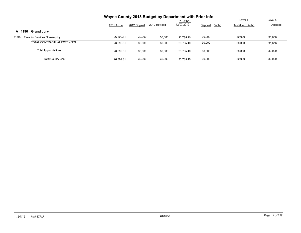|                                       | Wayne County 2013 Budget by Department with Prior Info |               |              |                 |                     |                |         |  |  |  |
|---------------------------------------|--------------------------------------------------------|---------------|--------------|-----------------|---------------------|----------------|---------|--|--|--|
|                                       |                                                        |               |              | <b>YTD thru</b> |                     | Level 4        | Level 5 |  |  |  |
|                                       | 2011 Actual                                            | 2012 Original | 2012 Revised | 12/07/2012      | Dept est<br>$%$ chg | Tentative %chg | Adopted |  |  |  |
| A 1190<br><b>Grand Jury</b>           |                                                        |               |              |                 |                     |                |         |  |  |  |
| 54500<br>Fees for Services Non-employ | 26,399.81                                              | 30,000        | 30,000       | 23.785.40       | 30,000              | 30,000         | 30,000  |  |  |  |
| TOTAL CONTRACTUAL EXPENSES            | 26,399.81                                              | 30,000        | 30,000       | 23.785.40       | 30,000              | 30,000         | 30,000  |  |  |  |
| <b>Total Appropriations</b>           | 26,399.81                                              | 30,000        | 30,000       | 23.785.40       | 30,000              | 30.000         | 30,000  |  |  |  |
| <b>Total County Cost</b>              | 26.399.81                                              | 30,000        | 30,000       | 23.785.40       | 30,000              | 30.000         | 30,000  |  |  |  |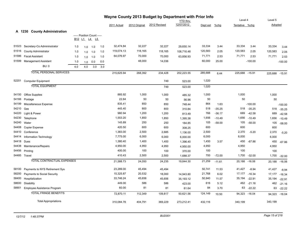|       |                                   |     |                            |           |     |             |               | Wayne County 2013 Budget by Department with Prior Info |                 |          |          |                |               |                |           |
|-------|-----------------------------------|-----|----------------------------|-----------|-----|-------------|---------------|--------------------------------------------------------|-----------------|----------|----------|----------------|---------------|----------------|-----------|
|       |                                   |     |                            |           |     |             |               |                                                        | <b>YTD</b> thru |          |          | Level 4        |               | Level 5        |           |
|       |                                   |     |                            |           |     | 2011 Actual | 2012 Original | 2012 Revised                                           | 12/07/2012      | Dept est | %chg     | Tentative %chg |               | Adopted        |           |
|       | A 1230 County Administration      |     |                            |           |     |             |               |                                                        |                 |          |          |                |               |                |           |
|       |                                   |     | ----- Position Count ----- |           |     |             |               |                                                        |                 |          |          |                |               |                |           |
|       |                                   |     | B12 L1 L4 L5               |           |     |             |               |                                                        |                 |          |          |                |               |                |           |
| 51023 | Secretary-Co Admininstrator       | 1.0 | 1.0                        | 1.0       | 1.0 | 32,474.84   | 32,227        | 32,227                                                 | 29,650.14       | 33,334   | 3.44     | 33,334         | 3.44          | 33,334         | 3.44      |
| 51516 | <b>County Administrator</b>       | 1.0 |                            | $1.0$ 1.0 | 1.0 | 119,074.13  | 118,165       | 118,165                                                | 108,716.48      | 120,583  | 2.05     | 120,583        | 2.05          | 120,583        | 2.05      |
| 51586 | <b>Fiscal Assistant</b>           | 1.0 |                            | $1.0$ 1.0 | 1.0 | 64,076.97   | 70,000        | 70,000                                                 | 63,856.93       | 71,771   | 2.53     | 71,771         | 2.53          | 71,771         | 2.53      |
| 51599 | Management Assistant              | 1.0 | 1.0                        | 0.0       | 0.0 |             | 48,000        | 14,036                                                 |                 | 60,000   | 25.00    |                | $-100.00$     |                | $-100.00$ |
|       | <b>BU: 0</b>                      | 4.0 | 4.0                        | 3.0       | 3.0 |             |               |                                                        |                 |          |          |                |               |                |           |
|       | <b>TOTAL PERSONAL SERVICES</b>    |     |                            |           |     | 215,625.94  | 268,392       | 234,428                                                | 202,223.55      | 285,688  | 6.44     | 225,688 -15.91 |               | 225,688 -15.91 |           |
|       | 52201 Computer Equipment          |     |                            |           |     |             |               | 749                                                    | 523.00          | 1,020    |          |                |               |                |           |
|       | <b>TOTAL EQUIPMENT</b>            |     |                            |           |     |             |               | 749                                                    | 523.00          | 1,020    |          |                |               |                |           |
| 54150 | <b>Office Supplies</b>            |     |                            |           |     | 885.92      | 1,000         | 1,000                                                  | 485.32          | 1,000    |          | 1,000          |               | 1,000          |           |
| 54166 | Postage                           |     |                            |           |     | 22.64       | 50            | 50                                                     | 56.96           | 50       |          | 50             |               | 50             |           |
| 54199 | Miscellaneous Expense             |     |                            |           |     | 835.41      | 850           | 850                                                    | 748.44          | 864      | 1.63     |                | $-100.00$     |                | $-100.00$ |
| 54210 | Gas                               |     |                            |           |     | 445.40      | 800           | 800                                                    | 310.84          | 518      | $-35.25$ | 518            | $-35.25$      | 518            | $-35.25$  |
| 54220 | Light & Power                     |     |                            |           |     | 980.94      | 1,200         | 1,200                                                  | 813.49          | 766      | $-36.17$ | 689            | $-42.58$      | 689            | $-42.58$  |
| 54230 | Telephone                         |     |                            |           |     | 1,553.20    | 1,850         | 1,850                                                  | 1,395.38        | 1,656    | $-10.49$ | 1,656          | $-10.49$      | 1,656          | $-10.49$  |
| 54240 | Water                             |     |                            |           |     | 145.89      | 250           | 250                                                    | 184.85          | 105      | $-58.00$ | 105            | $-58.00$      | 105            | $-58.00$  |
| 54408 | Copier Expense                    |     |                            |           |     | 420.50      | 600           | 600                                                    | 308.25          | 600      |          | 600            |               | 600            |           |
| 54410 | Conference                        |     |                            |           |     | 1,383.00    | 2,500         | 2,685                                                  | 1,136.00        | 2,500    |          | 2,370          | $-5.20$       | 2,370          | $-5.20$   |
| 54414 | Information Technology            |     |                            |           |     | 7,775.00    | 6,000         | 6,000                                                  | 6,000.00        | 6,000    |          | 6,000          |               | 6,000          |           |
| 54418 | Dues                              |     |                            |           |     | 1,380.40    | 1,400         | 1,400                                                  | 1,396.40        | 1,450    | 3.57     | 450            | $-67.86$      | 450            | $-67.86$  |
| 54438 | Maintenance/Repairs               |     |                            |           |     | 4,950.00    | 4,950         | 4,950                                                  | 4,950.00        | 4,950    |          | 4,950          |               | 4,950          |           |
| 54456 | Printing                          |     |                            |           |     | 400.00      | 100           | 100                                                    | 370.00          | 100      |          | 100            |               | 100            |           |
|       | 54485 Travel                      |     |                            |           |     | 410.43      | 2,500         | 2,500                                                  | 1,688.37        | 700      | $-72.00$ | 1,700          | $-32.00$      | 1,700          | $-32.00$  |
|       | <b>TOTAL CONTRACTUAL EXPENSES</b> |     |                            |           |     | 21,588.73   | 24,050        | 24,235                                                 | 19,844.30       | 21,259   | $-11.61$ | 20,188         | $-16.06$      | 20,188         | $-16.06$  |
| 58100 | Payments to NYS Retirement Sys    |     |                            |           |     | 23,289.00   | 45,494        | 45,494                                                 |                 | 50,741   | 11.53    | 41,427         | $-8.94$       | 41,427         | $-8.94$   |
| 58200 | Payments to Social Security       |     |                            |           |     | 15,325.87   | 20,532        | 18,000                                                 | 14,943.80       | 21,768   | 6.02     | 17,177         | $-16.34$      | 17,177         | $-16.34$  |
| 58400 | Hospitalization                   |     |                            |           |     | 33,746.24   | 45,656        | 45,656                                                 | 35,193.12       | 50,940   | 11.57    | 35,194         | $-22.91$      | 35,194         | $-22.91$  |
| 58600 | Disability                        |     |                            |           |     | 449.00      | 586           | 586                                                    | 423.00          | 616      | 5.12     | 462            | $-21.16$      | 462            | $-21.16$  |
| 58901 | Employee Assistance Program       |     |                            |           |     | 60.00       | 81            | 81                                                     | 61.64           | 84       | 3.70     | 63             | $-22.22$      | 63             | $-22.22$  |
|       | <b>TOTAL FRINGE BENEFITS</b>      |     |                            |           |     | 72,870.11   | 112,349       | 109,817                                                | 50,621.56       | 124,149  | 10.50    |                | 94,323 -16.04 | 94,323         | $-16.04$  |
|       | <b>Total Appropriations</b>       |     |                            |           |     | 310,084.78  | 404,791       | 369,229                                                | 273,212.41      | 432,116  |          | 340,199        |               | 340,199        |           |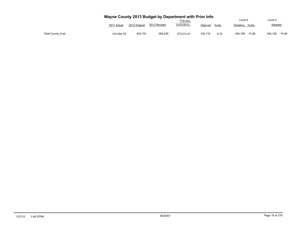|                          | Wayne County 2013 Budget by Department with Prior Info |               |              | <b>YTD thru</b> |                  | Level 4             | Level 5             |
|--------------------------|--------------------------------------------------------|---------------|--------------|-----------------|------------------|---------------------|---------------------|
|                          | 2011 Actual                                            | 2012 Original | 2012 Revised | 12/07/2012      | Dept est<br>%chq | Tentative<br>%cha   | Adopted             |
| <b>Total County Cost</b> | 310.084.78                                             | 404.791       | 369.229      | 273.212.41      | 432.116<br>6.75  | 340.199<br>$-15.96$ | $-15.96$<br>340.199 |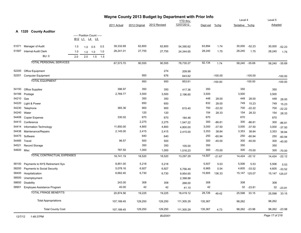|         | Wayne County 2013 Budget by Department with Prior Info<br>Level 4 |     |                                |                            |             |             |               |               |            |          |           |                |               |                |               |
|---------|-------------------------------------------------------------------|-----|--------------------------------|----------------------------|-------------|-------------|---------------|---------------|------------|----------|-----------|----------------|---------------|----------------|---------------|
|         |                                                                   |     |                                |                            |             |             |               |               | YTD thru   |          |           |                |               | Level 5        |               |
|         |                                                                   |     |                                |                            |             | 2011 Actual | 2012 Original | 2012 Revised  | 12/07/2012 | Dept est | $%$ chg   | Tentative %chg |               | Adopted        |               |
|         | A 1320 County Auditor                                             |     |                                |                            |             |             |               |               |            |          |           |                |               |                |               |
|         |                                                                   |     |                                | ----- Position Count ----- |             |             |               |               |            |          |           |                |               |                |               |
|         |                                                                   |     | B <sub>12</sub> L <sub>1</sub> | L4<br>L5                   |             |             |               |               |            |          |           |                |               |                |               |
| 51071   | Manager of Audit                                                  | 1.0 | 1.0                            | 0.5                        | 0.5         | 39,332.69   | 62,800        | 62,800        | 54,390.62  | 63,894   | 1.74      | 30,000         | $-52.23$      | 30,000         | $-52.23$      |
| 51587   | Internal Audit Clerk                                              | 1.0 |                                | $1.0$ 1.0                  | 1.0         | 28,241.01   | 27,755        | 27,755        | 24,344.65  | 28,240   | 1.75      | 28,240         | 1.75          | 28,240         | 1.75          |
|         | <b>BU: 0</b>                                                      | 2.0 | 2.0                            |                            | $1.5$ $1.5$ |             |               |               |            |          |           |                |               |                |               |
|         | <b>TOTAL PERSONAL SERVICES</b>                                    |     |                                |                            |             | 67,573.70   | 90,555        | 90,555        | 78,735.27  | 92,134   | 1.74      |                | 58,240 -35.69 | 58,240         | $-35.69$      |
| 52200   | Office Equipment                                                  |     |                                |                            |             |             |               | 274           | 209.99     |          |           |                |               |                |               |
| 52201   | <b>Computer Equipment</b>                                         |     |                                |                            |             |             | 950           | 676           | 643.62     |          | $-100.00$ |                | $-100.00$     |                | $-100.00$     |
|         | <b>TOTAL EQUIPMENT</b>                                            |     |                                |                            |             |             | 950           | 950           | 853.61     |          | $-100.00$ |                | $-100.00$     |                | $-100.00$     |
|         |                                                                   |     |                                |                            |             |             |               |               |            |          |           |                |               |                |               |
| 54150   | Office Supplies                                                   |     |                                |                            |             | 396.97      | 350           | 350           | 417.36     | 350      |           | 350            |               | 350            |               |
| 54166   | Postage                                                           |     |                                |                            |             | 2,769.77    | 3,500         | 3,500         | 2,196.60   | 3,500    |           | 3,500          |               | 3,500          |               |
| 54210   | Gas                                                               |     |                                |                            |             |             | 350           | 350           |            | 448      | 28.00     | 448            | 28.00         | 448            | 28.00         |
| 54220   | Light & Power                                                     |     |                                |                            |             |             | 650           | 650           |            | 832      | 28.00     | 749            | 15.23         | 749            | 15.23         |
| 54230   | Telephone                                                         |     |                                |                            |             | 365.36      | 900           | 900           | 615.40     | 700      | $-22.22$  | 700            | $-22.22$      | 700            | $-22.22$      |
| 54240   | Water                                                             |     |                                |                            |             |             | 120           | 120           |            | 154      | 28.33     | 154            | 28.33         | 154            | 28.33         |
| 54408   | Copier Expense                                                    |     |                                |                            |             | 330.02      | 670           | 670           | 184.48     | 670      |           | 670            |               | 670            |               |
| 54410   | Conference                                                        |     |                                |                            |             |             | 2,275         | 2,275         | 1,547.22   | 300      | $-86.81$  | 300            | $-86.81$      | 300            | $-86.81$      |
| 54414   | Information Technology                                            |     |                                |                            |             | 11,850.00   | 4,800         | 4,800         | 4,800.00   | 3,000    | $-37.50$  | 3,000          | $-37.50$      | 3,000          | $-37.50$      |
| 54438   | Maintenance/Repairs                                               |     |                                |                            |             | 2,145.00    | 2,415         | 2,415         | 2,415.00   | 3,353    | 38.84     | 3,353          | 38.84         | 3,353          | 38.84         |
| 54475   | Software                                                          |     |                                |                            |             |             | 640           | 640           |            | 250      | $-60.94$  | 250            | $-60.94$      | 250            | $-60.94$      |
| 54485   | Travel                                                            |     |                                |                            |             | 96.57       | 500           | 500           |            | 300      | $-40.00$  | 300            | $-40.00$      | 300            | $-40.00$      |
| 54521   | Record Storage                                                    |     |                                |                            |             |             | 350           | 350           | 105.00     | 350      |           | 350            |               | 350            |               |
|         | 54600 Misc                                                        |     |                                |                            |             | 787.50      | 1,000         | 1,000         | 1,016.23   | 300      | $-70.00$  | 300            | $-70.00$      | 300            | $-70.00$      |
|         | TOTAL CONTRACTUAL EXPENSES                                        |     |                                |                            |             | 18,741.19   | 18,520        | 18,520        | 13,297.29  | 14,507   | $-21.67$  | 14,424         | $-22.12$      | 14,424         | $-22.12$      |
| 58100   | Payments to NYS Retirement Sys                                    |     |                                |                            |             | 8,851.00    | 5,218         | 5,218         |            | 5,507    | 5.53      | 5,506          | 5.53          | 5,506          | 5.53          |
| 58200   | Payments to Social Security                                       |     |                                |                            |             | 5,078.16    | 6,927         | 6,927         | 5,756.49   | 6,965    | 0.54      | 4,605          | $-33.52$      | 4,605          | $-33.52$      |
| 58400   | Hospitalization                                                   |     |                                |                            |             | 6,662.40    | 6,730         | 6,730         | 9,954.65   | 15,905   | 136.33    |                | 15,147 125.07 | 15,147         | 125.07        |
| 58500   | Unemployment                                                      |     |                                |                            |             |             |               |               | 2,398.88   |          |           |                |               |                |               |
| 58600   | Disability                                                        |     |                                |                            |             | 243.00      | 308           | 308           | 268.00     | 308      |           | 308            |               | 308            |               |
|         | 58901 Employee Assistance Program                                 |     |                                |                            |             | 40.00       | $42\,$        | 42            | 41.10      | 42       |           |                | 32 -23.81     |                | 32 -23.81     |
|         | <b>TOTAL FRINGE BENEFITS</b>                                      |     |                                |                            |             | 20,874.56   | 19,225        | 19,225        | 18,419.12  | 28,726   | 49.42     | 25,598         | 33.15         | 25,598         | 33.15         |
|         | <b>Total Appropriations</b>                                       |     |                                |                            |             | 107,189.45  | 129,250       | 129,250       | 111,305.29 | 135,367  |           | 98,262         |               | 98,262         |               |
|         | <b>Total County Cost</b>                                          |     |                                |                            |             | 107,189.45  | 129,250       | 129,250       | 111,305.29 | 135,367  | 4.73      |                | 98,262 -23.98 |                | 98,262 -23.98 |
| 12/7/12 | 1:48:37PM                                                         |     |                                |                            |             |             |               | <b>BUD001</b> |            |          |           |                |               | Page 17 of 218 |               |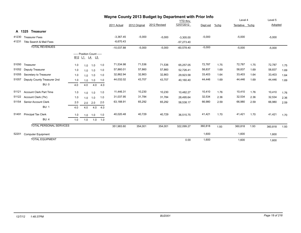|       | Wayne County 2013 Budget by Department with Prior Info |        |                            |              |     |              |               |              |                 |          |      |                |      |          |      |
|-------|--------------------------------------------------------|--------|----------------------------|--------------|-----|--------------|---------------|--------------|-----------------|----------|------|----------------|------|----------|------|
|       |                                                        |        |                            |              |     |              |               |              | <b>YTD thru</b> |          |      | Level 4        |      | Level 5  |      |
|       |                                                        |        |                            |              |     | 2011 Actual  | 2012 Original | 2012 Revised | 12/07/2012      | Dept est | %chg | Tentative %chq |      | Adopted  |      |
|       | A 1325 Treasurer                                       |        |                            |              |     |              |               |              |                 |          |      |                |      |          |      |
| 41230 | <b>Treasurer Fees</b>                                  |        |                            |              |     | $-3,367.45$  | $-5,000$      | $-5,000$     | $-3,305.00$     | $-5,000$ |      | $-5,000$       |      | $-5,000$ |      |
| 41231 | Title Search & Mail Fees                               |        |                            |              |     | $-6,670.43$  |               |              | $-57,273.40$    |          |      |                |      |          |      |
|       | <b>TOTAL REVENUES</b>                                  |        |                            |              |     | $-10,037.88$ | $-5,000$      | $-5,000$     | $-60,578.40$    | $-5,000$ |      | $-5,000$       |      | $-5,000$ |      |
|       |                                                        | B12 L1 | ----- Position Count ----- | <u>L4 L5</u> |     |              |               |              |                 |          |      |                |      |          |      |
| 51050 | Treasurer                                              | 1.0    | 1.0                        | 1.0          | 1.0 | 71,534.98    | 71,536        | 71,536       | 65,257.05       | 72,787   | 1.75 | 72,787         | 1.75 | 72,787   | 1.75 |
| 51052 | Deputy Treasurer                                       | 1.0    | 1.0                        | 1.0          | 1.0 | 57,860.01    | 57,860        | 57,860       | 52,726.41       | 58,837   | 1.69 | 58,837         | 1.69 | 58,837   | 1.69 |
| 51055 | Secretary to Treasurer                                 | 1.0    | 1.0                        | 1.0          | 1.0 | 32,862.94    | 32,863        | 32,863       | 29,923.58       | 33,403   | 1.64 | 33,403         | 1.64 | 33,403   | 1.64 |
| 51057 | Deputy County Treasurer 2nd                            | 1.0    |                            | $1.0$ 1.0    | 1.0 | 44,032.02    | 43,707        | 43,707       | 40,160.40       | 44,446   | 1.69 | 44,446         | 1.69 | 44,446   | 1.69 |
|       | <b>BU: 0</b>                                           | 4.0    | 4.0                        | 4.0          | 4.0 |              |               |              |                 |          |      |                |      |          |      |
| 51121 | <b>Account Clerk Part Time</b>                         | 1.0    | 1.0                        | 1.0          | 1.0 | 11,446.31    | 10,230        | 10,230       | 10,482.27       | 10,410   | 1.76 | 10,410         | 1.76 | 10,410   | 1.76 |
| 51122 | Account Clerk (7hr)                                    | 1.0    | 1.0                        | 1.0          | 1.0 | 31,037.95    | 31,784        | 31,784       | 28,495.64       | 32,534   | 2.36 | 32,534         | 2.36 | 32,534   | 2.36 |
| 51154 | Senior Account Clerk                                   | 2.0    | 2.0                        | 2.0          | 2.0 | 63,188.91    | 65,292        | 65,292       | 58,538.17       | 66,980   | 2.59 | 66,980         | 2.59 | 66,980   | 2.59 |
|       | <b>BU: 1</b>                                           | 4.0    | 4.0                        | 4.0          | 4.0 |              |               |              |                 |          |      |                |      |          |      |
| 51491 | Principal Tax Clerk                                    | 1.0    |                            | $1.0$ 1.0    | 1.0 | 40,020.48    | 40,729        | 40,729       | 36,515.75       | 41,421   | 1.70 | 41,421         | 1.70 | 41,421   | 1.70 |
|       | <b>BU: 4</b>                                           | 1.0    | 1.0                        | 1.0          | 1.0 |              |               |              |                 |          |      |                |      |          |      |
|       | <b>TOTAL PERSONAL SERVICES</b>                         |        |                            |              |     | 351,983.60   | 354,001       | 354,001      | 322,099.27      | 360,818  | 1.93 | 360,818        | 1.93 | 360,818  | 1.93 |
| 52201 | <b>Computer Equipment</b>                              |        |                            |              |     |              |               |              |                 | 1,600    |      | 1,600          |      | 1,600    |      |
|       | <b>TOTAL EQUIPMENT</b>                                 |        |                            |              |     |              |               |              | 0.00            | 1,600    |      | 1,600          |      | 1,600    |      |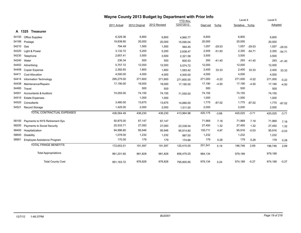|       |                                   |             |               | Wayne County 2013 Budget by Department with Prior Info |                 |          |          |                |          |         |          |
|-------|-----------------------------------|-------------|---------------|--------------------------------------------------------|-----------------|----------|----------|----------------|----------|---------|----------|
|       |                                   |             |               |                                                        | <b>YTD</b> thru |          |          | Level 4        |          | Level 5 |          |
|       |                                   | 2011 Actual | 2012 Original | 2012 Revised                                           | 12/07/2012      | Dept est | $%$ chg  | Tentative %chg |          | Adopted |          |
|       | A 1325 Treasurer                  |             |               |                                                        |                 |          |          |                |          |         |          |
| 54150 | <b>Office Supplies</b>            | 6,329.36    | 6,800         | 6,800                                                  | 4,860.77        | 6,800    |          | 6,800          |          | 6,800   |          |
| 54166 | Postage                           | 19,838.80   | 20,000        | 20,000                                                 | 15,090.04       | 20,000   |          | 20,000         |          | 20,000  |          |
| 54210 | Gas                               | 794.49      | 1,500         | 1,500                                                  | 564.45          | 1,057    | $-29.53$ | 1,057          | $-29.53$ | 1,057   | $-29.53$ |
| 54220 | Light & Power                     | 3,132.72    | 5,200         | 5,200                                                  | 2,638.47        | 2,505    | $-51.83$ | 2,355          | $-54.71$ | 2,355   | $-54.71$ |
| 54230 | Telephone                         | 2,657.41    | 3,500         | 3,500                                                  | 2,321.58        | 3,500    |          | 3,500          |          | 3,500   |          |
| 54240 | Water                             | 236.34      | 500           | 500                                                    | 600.53          | 293      | $-41.40$ | 293            | $-41.40$ | 293     | $-41.40$ |
| 54402 | Advertising                       | 5,757.72    | 12,000        | 12,000                                                 | 5,574.72        | 12,000   |          | 12,000         |          | 12,000  |          |
| 54408 | <b>Copier Expense</b>             | 2,392.65    | 1,800         | 1,800                                                  | 1,583.42        | 2,400    | 33.33    | 2,400          | 33.33    | 2,400   | 33.33    |
| 54411 | <b>Cost Allocation</b>            | 4,000.00    | 4,000         | 4,000                                                  | 4,000.00        | 4,000    |          | 4,000          |          | 4,000   |          |
| 54414 | Information Technology            | 295,275.00  | 271,600       | 271,600                                                | 271,600.00      | 271,000  | $-0.22$  | 271,000        | $-0.22$  | 271,000 | $-0.22$  |
| 54438 | Maintenance/Repairs               | 17,190.00   | 18,000        | 18,000                                                 | 17,190.00       | 17,190   | $-4.50$  | 17,190         | $-4.50$  | 17,190  | $-4.50$  |
| 54485 | Travel                            |             | 500           | 500                                                    |                 | 500      |          | 500            |          | 500     |          |
| 54501 | <b>Accountants &amp; Auditors</b> | 74,055.00   | 74,155        | 74,155                                                 | 71,550.00       | 74,155   |          | 74,155         |          | 74,155  |          |
| 54515 | <b>Estate Expenses</b>            |             | 1,000         | 1,000                                                  |                 | 1,000    |          | 1,000          |          | 1,000   |          |
| 54520 | Consultants                       | 3,480.00    | 13,675        | 13,675                                                 | 14,880.00       | 1,775    | $-87.02$ | 1,775          | $-87.02$ | 1,775   | $-87.02$ |
| 54521 | <b>Record Storage</b>             | 1,425.00    | 2,000         | 2,000                                                  | 1,511.00        | 2,000    |          | 2,000          |          | 2,000   |          |
|       | TOTAL CONTRACTUAL EXPENSES        | 436,564.49  | 436,230       | 436,230                                                | 413,964.98      | 420,175  | $-3.68$  | 420,025        | $-3.71$  | 420,025 | $-3.71$  |
| 58100 | Payments to NYS Retirement Sys    | 50,875.00   | 67,147        | 67,147                                                 |                 | 71,969   | 7.18     | 71,969         | 7.18     | 71,969  | 7.18     |
| 58200 | Payments to Social Security       | 25,533.71   | 27,093        | 27,093                                                 | 23,338.54       | 27,450   | 1.32     | 27,450         | 1.32     | 27,450  | 1.32     |
| 58400 | Hospitalization                   | 94,996.80   | 95,946        | 95,946                                                 | 95,914.80       | 100,711  | 4.97     | 95,916         | $-0.03$  | 95,916  | $-0.03$  |
| 58600 | Disability                        | 1,078.00    | 1,232         | 1,232                                                  | 987.00          | 1,232    |          | 1,232          |          | 1,232   |          |
| 58901 | Employee Assistance Program       | 170.00      | 179           | 179                                                    | 174.66          | 179      | 0.28     | 179            | 0.28     | 179     | 0.28     |
|       | <b>TOTAL FRINGE BENEFITS</b>      | 172,653.51  | 191,597       | 191,597                                                | 120,415.00      | 201,541  | 5.19     | 196,746        | 2.69     | 196,746 | 2.69     |
|       | <b>Total Appropriations</b>       | 961,201.60  | 981,828       | 981,828                                                | 856,479.25      | 984,134  |          | 979,189        |          | 979,189 |          |
|       | <b>Total County Cost</b>          | 951,163.72  | 976,828       | 976,828                                                | 795,900.85      | 979,134  | 0.24     | 974,189        | $-0.27$  | 974,189 | $-0.27$  |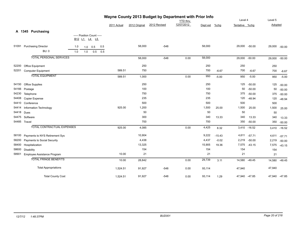| Wayne County 2013 Budget by Department with Prior Info |                                   |     |     |                            |     |             |               |                 |            |          |          |                |              |         |               |
|--------------------------------------------------------|-----------------------------------|-----|-----|----------------------------|-----|-------------|---------------|-----------------|------------|----------|----------|----------------|--------------|---------|---------------|
|                                                        |                                   |     |     |                            |     |             |               | <b>YTD</b> thru |            |          | Level 4  |                | Level 5      |         |               |
|                                                        |                                   |     |     |                            |     | 2011 Actual | 2012 Original | 2012 Revised    | 12/07/2012 | Dept est | $%$ chg  | Tentative %chg |              | Adopted |               |
|                                                        | A 1345 Purchasing                 |     |     |                            |     |             |               |                 |            |          |          |                |              |         |               |
|                                                        |                                   |     |     | ----- Position Count ----- |     |             |               |                 |            |          |          |                |              |         |               |
|                                                        |                                   |     |     | B12 L1 L4 L5               |     |             |               |                 |            |          |          |                |              |         |               |
| 51091                                                  | <b>Purchasing Director</b>        | 1.0 | 1.0 | 0.5                        | 0.5 |             | 58,000        | $-548$          |            | 58,000   |          | 29,000 -50.00  |              | 29,000  | $-50.00$      |
|                                                        | <b>BU: 0</b>                      | 1.0 | 1.0 | 0.5                        | 0.5 |             |               |                 |            |          |          |                |              |         |               |
|                                                        | <b>TOTAL PERSONAL SERVICES</b>    |     |     |                            |     |             | 58,000        | $-548$          | 0.00       | 58,000   |          | 29,000 -50.00  |              | 29,000  | $-50.00$      |
| 52200                                                  | Office Equipment                  |     |     |                            |     |             | 250           |                 |            | 250      |          | 250            |              | 250     |               |
| 52201                                                  | <b>Computer Equipment</b>         |     |     |                            |     | 589.51      | 750           |                 |            | 700      | $-6.67$  | 700            | $-6.67$      | 700     | $-6.67$       |
|                                                        | <b>TOTAL EQUIPMENT</b>            |     |     |                            |     | 589.51      | 1,000         |                 | 0.00       | 950      | $-5.00$  | 950            | $-5.00$      | 950     | $-5.00$       |
|                                                        | 54150 Office Supplies             |     |     |                            |     |             | 250           |                 |            | 250      |          | 125            | $-50.00$     | 125     | $-50.00$      |
| 54166                                                  | Postage                           |     |     |                            |     |             | 100           |                 |            | 100      |          | 50             | $-50.00$     | 50      | $-50.00$      |
| 54230                                                  | Telephone                         |     |     |                            |     |             | 750           |                 |            | 750      |          | 375            | $-50.00$     | 375     | $-50.00$      |
| 54408                                                  | <b>Copier Expense</b>             |     |     |                            |     |             | 235           |                 |            | 235      |          | 120            | $-48.94$     | 120     | $-48.94$      |
|                                                        | 54410 Conference                  |     |     |                            |     |             | 500           |                 |            | 500      |          | 500            |              | 500     |               |
| 54414                                                  | Information Technology            |     |     |                            |     | 925.00      | 1,200         |                 |            | 1,500    | 25.00    | 1,500          | 25.00        | 1,500   | 25.00         |
| 54418                                                  | Dues                              |     |     |                            |     |             | 50            |                 |            | 50       |          | 50             |              | 50      |               |
| 54475                                                  | Software                          |     |     |                            |     |             | 300           |                 |            | 340      | 13.33    | 340            | 13.33        | 340     | 13.33         |
|                                                        | 54485 Travel                      |     |     |                            |     |             | 700           |                 |            | 700      |          | 350            | $-50.00$     | 350     | $-50.00$      |
|                                                        | <b>TOTAL CONTRACTUAL EXPENSES</b> |     |     |                            |     | 925.00      | 4,085         |                 | 0.00       | 4,425    | 8.32     |                | 3,410 -16.52 | 3,410   | $-16.52$      |
| 58100                                                  | Payments to NYS Retirement Sys    |     |     |                            |     |             | 10,904        |                 |            | 9,222    | $-15.43$ | 4,611          | $-57.71$     | 4,611   | $-57.71$      |
| 58200                                                  | Payments to Social Security       |     |     |                            |     |             | 4,438         |                 |            | 4,437    | $-0.02$  | 2,219          | $-50.00$     | 2,219   | $-50.00$      |
| 58400                                                  | Hospitalization                   |     |     |                            |     |             | 13,325        |                 |            | 15,905   | 19.36    | 7,575          | $-43.15$     | 7,575   | $-43.15$      |
| 58600                                                  | Disability                        |     |     |                            |     |             | 154           |                 |            | 154      |          | 154            |              | 154     |               |
| 58901                                                  | Employee Assistance Program       |     |     |                            |     | 10.00       | 21            |                 |            | 21       |          | 21             |              | 21      |               |
|                                                        | <b>TOTAL FRINGE BENEFITS</b>      |     |     |                            |     | 10.00       | 28,842        |                 | 0.00       | 29,739   | 3.11     | 14,580 -49.45  |              | 14,580  | $-49.45$      |
|                                                        | <b>Total Appropriations</b>       |     |     |                            |     | 1,524.51    | 91,927        | $-548$          | 0.00       | 93,114   |          | 47,940         |              | 47,940  |               |
|                                                        | <b>Total County Cost</b>          |     |     |                            |     | 1,524.51    | 91,927        | -548            | 0.00       | 93,114   | 1.29     | 47,940 -47.85  |              |         | 47,940 -47.85 |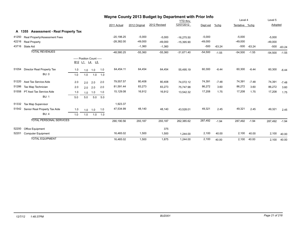|       |                                                 |            |     |                                        | Wayne County 2013 Budget by Department with Prior Info |              |               |              |                 |           |          |                |          |           |          |
|-------|-------------------------------------------------|------------|-----|----------------------------------------|--------------------------------------------------------|--------------|---------------|--------------|-----------------|-----------|----------|----------------|----------|-----------|----------|
|       |                                                 |            |     |                                        |                                                        |              |               |              | <b>YTD thru</b> |           |          | Level 4        |          | Level 5   |          |
|       |                                                 |            |     |                                        |                                                        | 2011 Actual  | 2012 Original | 2012 Revised | 12/07/2012      | Dept est  | $%$ chg  | Tentative %chg |          | Adopted   |          |
|       | <b>Assessment - Real Property Tax</b><br>A 1355 |            |     |                                        |                                                        |              |               |              |                 |           |          |                |          |           |          |
| 41250 | Real Property/Assessment Fees                   |            |     |                                        |                                                        | $-20,198.25$ | $-5,000$      | $-5,000$     | $-16,275.50$    | $-5,000$  |          | $-5,000$       |          | $-5,000$  |          |
| 42216 | <b>Real Property</b>                            |            |     |                                        |                                                        | $-28,382.00$ | $-49,000$     | $-49,000$    | $-15,395.90$    | $-49,000$ |          | $-49,000$      |          | $-49,000$ |          |
| 43716 | State Aid                                       |            |     |                                        |                                                        |              | $-1,360$      | $-1,360$     |                 | $-500$    | $-63.24$ | $-500$         | $-63.24$ | $-500$    | $-63.24$ |
|       | <b>TOTAL REVENUES</b>                           |            |     |                                        |                                                        | $-48,580.25$ | $-55,360$     | $-55,360$    | $-31,671.40$    | $-54,500$ | $-1.55$  | $-54,500$      | $-1.55$  | $-54,500$ | $-1.55$  |
|       |                                                 | <b>B12</b> | L1  | ----- Position Count -----<br>L4<br>L5 |                                                        |              |               |              |                 |           |          |                |          |           |          |
| 51054 | Director Real Property Tax                      | 1.0        | 1.0 | 1.0                                    | 1.0                                                    | 64,454.11    | 64,454        | 64,454       | 55,495.19       | 60,300    | $-6.44$  | 60,300         | $-6.44$  | 60,300    | $-6.44$  |
|       | BU: 0                                           | 1.0        | 1.0 | 1.0                                    | 1.0                                                    |              |               |              |                 |           |          |                |          |           |          |
| 51220 | Asst Tax Service Aide                           | 2.0        | 2.0 | 2.0                                    | 2.0                                                    | 79,557.57    | 80,408        | 80,408       | 74.072.12       | 74,391    | $-7.48$  | 74,391         | $-7.48$  | 74,391    | $-7.48$  |
| 51286 | Tax Map Technician                              | 2.0        | 2.0 | 2.0                                    | 2.0                                                    | 81,591.44    | 83,273        | 83,273       | 75.747.98       | 86,272    | 3.60     | 86,272         | 3.60     | 86,272    | 3.60     |
| 51558 | PT Asst Tax Service Aide                        | 1.0        | 1.0 | 1.0                                    | 1.0                                                    | 15,129.08    | 16,912        | 16,912       | 13,542.32       | 17,208    | 1.75     | 17,208         | 1.75     | 17,208    | 1.75     |
|       | <b>BU: 1</b>                                    | 5.0        | 5.0 | 5.0                                    | 5.0                                                    |              |               |              |                 |           |          |                |          |           |          |
| 51332 | Tax Map Supervisor                              |            |     |                                        |                                                        | 1,923.37     |               |              |                 |           |          |                |          |           |          |
| 51542 | Senior Real Property Tax Aide                   | 1.0        | 1.0 | 1.0                                    | 1.0                                                    | 47,534.99    | 48,140        | 48,140       | 43,528.01       | 49,321    | 2.45     | 49,321         | 2.45     | 49,321    | 2.45     |
|       | <b>BU: 4</b>                                    | 1.0        | 1.0 | 1.0                                    | 1.0                                                    |              |               |              |                 |           |          |                |          |           |          |
|       | <b>TOTAL PERSONAL SERVICES</b>                  |            |     |                                        |                                                        | 290,190.56   | 293,187       | 293,187      | 262,385.62      | 287,492   | $-1.94$  | 287,492        | $-1.94$  | 287,492   | $-1.94$  |
| 52200 | Office Equipment                                |            |     |                                        |                                                        |              |               | 375          |                 |           |          |                |          |           |          |
| 52201 | <b>Computer Equipment</b>                       |            |     |                                        |                                                        | 16,465.02    | 1,500         | 1,500        | 1,244.00        | 2,100     | 40.00    | 2,100          | 40.00    | 2,100     | 40.00    |
|       | <b>TOTAL EQUIPMENT</b>                          |            |     |                                        |                                                        | 16,465.02    | 1,500         | 1,875        | 1,244.00        | 2,100     | 40.00    | 2,100          | 40.00    | 2,100     | 40.00    |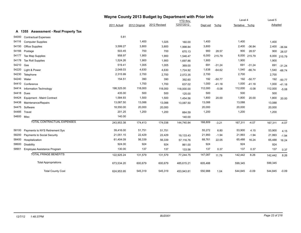|       |                                       | Wayne County 2013 Budget by Department with Prior Info<br><b>YTD thru</b> |               |              |            |          |          | Level 4        |          | Level 5 |          |
|-------|---------------------------------------|---------------------------------------------------------------------------|---------------|--------------|------------|----------|----------|----------------|----------|---------|----------|
|       |                                       | 2011 Actual                                                               | 2012 Original | 2012 Revised | 12/07/2012 | Dept est | $%$ chg  | Tentative %chg |          | Adopted |          |
|       | A 1355 Assessment - Real Property Tax |                                                                           |               |              |            |          |          |                |          |         |          |
| 54000 | <b>Contractual Expenses</b>           | 5.81                                                                      |               |              |            |          |          |                |          |         |          |
| 54116 | <b>Computer Supplies</b>              |                                                                           | 1,400         | 1,025        | 160.00     | 1,400    |          | 1,400          |          | 1,400   |          |
| 54150 | <b>Office Supplies</b>                | 3,599.27                                                                  | 3,800         | 3,800        | 1,998.84   | 3,800    |          | 2,400          | $-36.84$ | 2,400   | $-36.84$ |
| 54166 | Postage                               | 503.45                                                                    | 700           | 700          | 670.13     | 900      | 28.57    | 900            | 28.57    | 900     | 28.57    |
| 54177 | <b>Tax Map Supplies</b>               | 958.97                                                                    | 1,900         | 1,900        | 1,546.47   | 6,000    | 215.79   | 6,000          | 215.79   | 6,000   | 215.79   |
| 54178 | <b>Tax Roll Supplies</b>              | 1,524.26                                                                  | 1,900         | 1,900        | 1,697.86   | 1,900    |          | 1,900          |          | 1,900   |          |
| 54210 | Gas                                   | 519.41                                                                    | 1,005         | 1,005        | 369.00     | 691      | $-31.24$ | 691            | $-31.24$ | 691     | $-31.24$ |
| 54220 | Light & Power                         | 2,048.03                                                                  | 4,630         | 4,630        | 1,724.92   | 1,638    | $-64.62$ | 1,540          | $-66.74$ | 1,540   | $-66.74$ |
| 54230 | Telephone                             | 2,315.99                                                                  | 2,700         | 2,700        | 2,072.35   | 2,700    |          | 2,700          |          | 2,700   |          |
| 54240 | Water                                 | 154.51                                                                    | 390           | 390          | 392.60     | 192      | $-50.77$ | 192            | $-50.77$ | 192     | $-50.77$ |
| 54410 | Conference                            |                                                                           | 1,700         | 1,700        | 637.02     | 1,000    | $-41.18$ | 1,000          | $-41.18$ | 1,000   | $-41.18$ |
| 54414 | Information Technology                | 198,325.00                                                                | 118,000       | 118,000      | 118,000.00 | 112,000  | $-5.08$  | 112,000        | $-5.08$  | 112,000 | $-5.08$  |
| 54418 | Dues                                  | 435.00                                                                    | 500           | 500          | 125.00     | 500      |          | 500            |          | 500     |          |
| 54424 | Equipment - Maint Contract            | 1,584.93                                                                  | 1,500         | 1,500        | 1,454.56   | 1,800    | 20.00    | 1,800          | 20.00    | 1,800   | 20.00    |
| 54438 | Maintenance/Repairs                   | 13,087.50                                                                 | 13,088        | 13,088       | 13,087.50  | 13,088   |          | 13,088         |          | 13,088  |          |
| 54475 | Software                              | 18,550.00                                                                 | 20,000        | 20,000       |            | 20,000   |          | 20,000         |          | 20,000  |          |
| 54485 | Travel                                | 201.25                                                                    | 1,200         | 1,200        | 664.59     | 1,200    |          | 1,200          |          | 1,200   |          |
|       | 54600 Misc                            | 140.00                                                                    |               |              | 140.00     |          |          |                |          |         |          |
|       | <b>TOTAL CONTRACTUAL EXPENSES</b>     | 243,953.38                                                                | 174,413       | 174,038      | 144,740.84 | 168,809  | $-3.21$  | 167,311        | $-4.07$  | 167,311 | $-4.07$  |
| 58100 | Payments to NYS Retirement Sys        | 39,416.00                                                                 | 51,751        | 51,751       |            | 55,272   | 6.80     | 53,900         | 4.15     | 53,900  | 4.15     |
| 58200 | Payments to Social Security           | 21,051.15                                                                 | 22,429        | 22,429       | 19,133.43  | 21,993   | $-1.94$  | 21,993         | $-1.94$  | 21,993  | $-1.94$  |
| 58400 | Hospitalization                       | 61,404.09                                                                 | 56,339        | 56,339       | 57,116.76  | 68,761   | 22.05    | 65,488         | 16.24    | 65,488  | 16.24    |
| 58600 | <b>Disability</b>                     | 924.00                                                                    | 924           | 924          | 861.00     | 924      |          | 924            |          | 924     |          |
| 58901 | Employee Assistance Program           | 130.00                                                                    | 137           | 137          | 133.56     | 137      | 0.37     | 137            | 0.37     | 137     | 0.37     |
|       | <b>TOTAL FRINGE BENEFITS</b>          | 122,925.24                                                                | 131,579       | 131,579      | 77,244.75  | 147,087  | 11.79    | 142,442        | 8.26     | 142,442 | 8.26     |
|       | <b>Total Appropriations</b>           | 673,534.20                                                                | 600,679       | 600,679      | 485,615.21 | 605,488  |          | 599,345        |          | 599,345 |          |
|       | <b>Total County Cost</b>              | 624,953.95                                                                | 545,319       | 545,319      | 453,943.81 | 550,988  | 1.04     | 544,845        | $-0.09$  | 544,845 | $-0.09$  |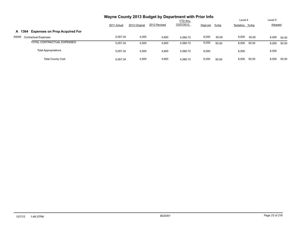|                                                | Wayne County 2013 Budget by Department with Prior Info |               |              | Level 4                       |          |         |                |       |                           |       |
|------------------------------------------------|--------------------------------------------------------|---------------|--------------|-------------------------------|----------|---------|----------------|-------|---------------------------|-------|
|                                                | 2011 Actual                                            | 2012 Original | 2012 Revised | <b>YTD thru</b><br>12/07/2012 | Dept est | $%$ chg | Tentative %chg |       | Level 5<br><b>Adopted</b> |       |
| <b>Expenses on Prop Acquired For</b><br>A 1364 |                                                        |               |              |                               |          |         |                |       |                           |       |
| 54000<br><b>Contractual Expenses</b>           | 5.057.34                                               | 4,000         | 4,600        | 4.590.73                      | 6,000    | 50.00   | 6,000          | 50.00 | 6,000                     | 50.00 |
| TOTAL CONTRACTUAL EXPENSES                     | 5.057.34                                               | 4,000         | 4,600        | 4,590.73                      | 6,000    | 50.00   | 6,000          | 50.00 | 6,000                     | 50.00 |
| <b>Total Appropriations</b>                    | 5,057.34                                               | 4,000         | 4,600        | 4,590.73                      | 6,000    |         | 6,000          |       | 6,000                     |       |
| <b>Total County Cost</b>                       | 5.057.34                                               | 4,000         | 4,600        | 4.590.73                      | 6,000    | 50.00   | 6,000          | 50.00 | 6,000                     | 50.00 |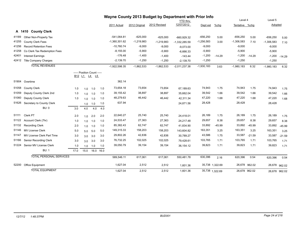| Wayne County 2013 Budget by Department with Prior Info |                                |      |                            |     |           |                 |               |              |                 |              |                 |                |               |              |               |
|--------------------------------------------------------|--------------------------------|------|----------------------------|-----|-----------|-----------------|---------------|--------------|-----------------|--------------|-----------------|----------------|---------------|--------------|---------------|
|                                                        |                                |      |                            |     |           |                 |               |              | <b>YTD thru</b> |              |                 | Level 4        |               | Level 5      |               |
|                                                        |                                |      |                            |     |           | 2011 Actual     | 2012 Original | 2012 Revised | 12/07/2012      | Dept est     | $%$ chg         | Tentative %chg |               | Adopted      |               |
|                                                        | A 1410 County Clerk            |      |                            |     |           |                 |               |              |                 |              |                 |                |               |              |               |
| 41189                                                  | Other Non-Property Tax         |      |                            |     |           | -541.064.81     | $-625,000$    | $-625,000$   | $-660,929.32$   | $-656,250$   | 5.00            | $-656,250$     | 5.00          | $-656,250$   | 5.00          |
| 41255                                                  | <b>County Clerk Fees</b>       |      |                            |     |           | $-1,360,301.62$ | $-1,219,983$  | $-1,219,983$ | $-1,332,285.59$ | $-1,256,583$ | 3.00            | $-1,306,583$   | 7.10          | $-1,306,583$ | 7.10          |
| 41256                                                  | <b>Record Retention Fees</b>   |      |                            |     |           | $-10,760.74$    | $-9,000$      | $-9,000$     | $-9,073.00$     | $-9,000$     |                 | $-9,000$       |               | $-9,000$     |               |
| 41258                                                  | Co Clerk Tax Redemption Fees   |      |                            |     |           | $-8,155.00$     | $-5,900$      | $-5,900$     | $-6,666.33$     | $-5,900$     |                 | $-5,900$       |               | $-5,900$     |               |
| 42401                                                  | <b>Interest Earnings</b>       |      |                            |     |           | $-176.48$       | $-1,400$      | $-1,400$     | $-143.44$       | $-1,200$     | $-14.29$        | $-1,200$       | $-14.29$      | $-1,200$     | $-14.29$      |
| 42412                                                  | <b>Title Company Charges</b>   |      |                            |     |           | $-2,139.70$     | $-1,250$      | $-1,250$     | $-2,139.70$     | $-1,250$     |                 | $-1,250$       |               | $-1,250$     |               |
|                                                        | <b>TOTAL REVENUES</b>          |      |                            |     |           | $-1,922,598.35$ | $-1,862,533$  | $-1,862,533$ | $-2,011,237.38$ | $-1,930,183$ | 3.63            | $-1,980,183$   | 6.32          | $-1,980,183$ | 6.32          |
|                                                        |                                |      | ----- Position Count ----- |     |           |                 |               |              |                 |              |                 |                |               |              |               |
|                                                        |                                |      | B12 L1 L4 L5               |     |           |                 |               |              |                 |              |                 |                |               |              |               |
| 51904                                                  | Overtime                       |      |                            |     |           | 362.14          |               |              |                 |              |                 |                |               |              |               |
| 51058                                                  | <b>County Clerk</b>            | 1.0  | 1.0                        | 1.0 | 1.0       | 73,654.18       | 73,654        | 73,654       | 67,189.63       | 74,943       | 1.75            | 74,943         | 1.75          | 74,943       | 1.75          |
| 51059                                                  | Deputy County Clerk 2nd        | 1.0  | 1.0                        | 1.0 | 1.0       | 39,155.42       | 38,897        | 38,897       | 35,662.04       | 39,542       | 1.66            | 39,542         | 1.66          | 39,542       | 1.66          |
| 51060                                                  | Deputy County Clerk            | 1.0  | 1.0                        | 1.0 | 1.0       | 48,279.63       | 46,442        | 46,442       | 42,311.34       | 47,220       | 1.68            | 47,220         | 1.68          | 47,220       | 1.68          |
| 51626                                                  | Secretary to County Clerk      |      | 1.0                        | 1.0 | 1.0       | 637.94          |               |              | 24,871.56       | 28,428       |                 | 28,428         |               | 28,428       |               |
|                                                        | BU: 0                          | 3.0  | 4.0                        | 4.0 | 4.0       |                 |               |              |                 |              |                 |                |               |              |               |
| 51111                                                  | Clerk PT                       | 2.0  | 1.0                        | 2.0 | 2.0       | 22,640.27       | 25,740        | 25,740       | 24,418.01       | 26,189       | 1.75            | 26,189         | 1.75          | 26,189       | 1.75          |
| 51122                                                  | Account Clerk (7hr)            | 1.0  | 1.0                        | 1.0 | 1.0       | 24,533.47       | 27,363        | 27,363       | 24,217.48       | 29,657       | 8.38            | 29,657         | 8.38          | 29,657       | 8.38          |
| 51132                                                  | <b>Recording Clerk</b>         | 2.0  | 1.0                        | 1.0 | 1.0       | 85,382.43       | 62,747        | 62,747       | 41,834.90       | 33,892       | $-45.99$        | 33,892         | $-45.99$      | 33,892       | $-45.99$      |
| 51146                                                  | <b>MV License Clerk</b>        | 5.0  | 5.0                        | 5.0 | 5.0       | 149,315.33      | 158,203       | 158,203      | 143,604.82      | 163,351      | 3.25            | 163,351        | 3.25          | 163,351      | 3.25          |
| 51147                                                  | MV License Clerk Part Time     | 3.0  | 3.0                        | 3.0 | 3.0       | 29,802.26       | 42,836        | 42,836       | 30,789.27       | 43,586       | 1.75            | 33,587         | $-21.59$      | 33,587       | $-21.59$      |
| 51166                                                  | Senior Recording Clerk         | 3.0  | 3.0                        | 3.0 | 3.0       | 76,732.25       | 102,025       | 102,025      | 79.428.61       | 103,765      | 1.71            | 103,765        | 1.71          | 103,765      | 1.71          |
| 51224                                                  | Senior MV License Clerk        | 1.0  | 1.0                        | 1.0 | 1.0       | 39,050.79       | 39,154        | 39,154       | 36, 154. 12     | 39,823       | 1.71            | 39,823         | 1.71          | 39,823       | 1.71          |
|                                                        | <b>BU: 1</b>                   | 17.0 | 15.0                       |     | 16.0 16.0 |                 |               |              |                 |              |                 |                |               |              |               |
|                                                        | <b>TOTAL PERSONAL SERVICES</b> |      |                            |     |           | 589,546.11      | 617,061       | 617,061      | 550,481.78      | 630,396      | 2.16            | 620,396        | 0.54          | 620,396      | 0.54          |
| 52200                                                  | Office Equipment               |      |                            |     |           | 1,627.04        | 2,512         | 2,512        | 1,601.36        |              | 35,738 1,322.69 |                | 26,678 962.02 | 26,678       | 962.02        |
|                                                        | <b>TOTAL EQUIPMENT</b>         |      |                            |     |           | 1.627.04        | 2,512         | 2,512        | 1.601.36        |              | 35,738 1,322.69 |                | 26,678 962.02 |              | 26,678 962.02 |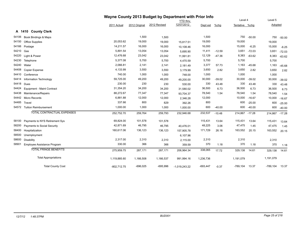|       |                                   | Wayne County 2013 Budget by Department with Prior Info |               |              |                 |            |          |                |          |            |          |
|-------|-----------------------------------|--------------------------------------------------------|---------------|--------------|-----------------|------------|----------|----------------|----------|------------|----------|
|       |                                   |                                                        |               |              | <b>YTD thru</b> |            |          | Level 4        |          | Level 5    |          |
|       |                                   | 2011 Actual                                            | 2012 Original | 2012 Revised | 12/07/2012      | Dept est   | $%$ chg  | Tentative %chg |          | Adopted    |          |
|       | A 1410 County Clerk               |                                                        |               |              |                 |            |          |                |          |            |          |
| 54106 | Book Bindings & Maps              |                                                        | 1,500         | 1,500        |                 | 1,500      |          | 750            | $-50.00$ | 750        | $-50.00$ |
| 54150 | <b>Office Supplies</b>            | 20,053.62                                              | 19,000        | 19,000       | 15,817.51       | 19,000     |          | 19,000         |          | 19,000     |          |
| 54166 | Postage                           | 14,211.57                                              | 16,000        | 16,000       | 10,108.46       | 16,000     |          | 15,000         | $-6.25$  | 15,000     | $-6.25$  |
| 54210 | Gas                               | 5,891.54                                               | 13,054        | 13,054       | 5,695.90        | 11,411     | $-12.59$ | 3,651          | $-72.03$ | 3,651      | $-72.03$ |
| 54220 | Light & Power                     | 12,476.68                                              | 23,042        | 23,042       | 11,991.81       | 12,129     | $-47.36$ | 8,383          | $-63.62$ | 8,383      | $-63.62$ |
| 54230 | Telephone                         | 5,377.08                                               | 5,700         | 5,700        | 4,470.59        | 5,700      |          | 5,700          |          | 5,700      |          |
| 54240 | Water                             | 2,066.81                                               | 2,141         | 2,141        | 2,181.49        | 3,377      | 57.73    | 1,163          | $-45.68$ | 1,163      | $-45.68$ |
| 54408 | Copier Expense                    | 4,133.99                                               | 3,550         | 3,550        | 3,179.99        | 3,650      | 2.82     | 3,650          | 2.82     | 3,650      | 2.82     |
| 54410 | Conference                        | 740.00                                                 | 1,000         | 1,000        | 748.00          | 1,000      |          | 1,000          |          | 1,000      |          |
| 54414 | Information Technology            | 59,725.00                                              | 49,200        | 49,200       | 49,200.00       | 30,000     | $-39.02$ | 30,000         | $-39.02$ | 30,000     | $-39.02$ |
| 54418 | Dues                              | 230.00                                                 | 230           | 230          | 530.00          | 330        | 43.48    | 330            | 43.48    | 330        | 43.48    |
| 54424 | Equipment - Maint Contract        | 31,354.20                                              | 34,200        | 34,200       | 31,580.02       | 36,500     | 6.73     | 36,500         | 6.73     | 36,500     | 6.73     |
| 54438 | Maintenance/Repairs               | 88,272.67                                              | 77,347        | 77,347       | 93,704.37       | 78,540     | 1.54     | 78,540         | 1.54     | 78,540     | 1.54     |
| 54442 | Micro Records                     | 6,881.88                                               | 12,000        | 12,000       | 2,346.28        | 12,000     |          | 10,000         | $-16.67$ | 10,000     | $-16.67$ |
| 54485 | Travel                            | 337.66                                                 | 800           | 829          | 392.26          | 800        |          | 600            | $-25.00$ | 600        | $-25.00$ |
|       | 54572 Tuition Reimbursement       | 1,000.00                                               | 1,000         | 1,000        | 1,000.00        | 600        | $-40.00$ | 600            | $-40.00$ | 600        | $-40.00$ |
|       | <b>TOTAL CONTRACTUAL EXPENSES</b> | 252,752.70                                             | 259,764       | 259,793      | 232,946.68      | 232,537    | $-10.48$ | 214,867 -17.28 |          | 214,867    | $-17.28$ |
| 58100 | Payments to NYS Retirement Sys    | 69,824.00                                              | 101,578       | 101,578      |                 | 115,431    | 13.64    | 115,431        | 13.64    | 115,431    | 13.64    |
| 58200 | Payments to Social Security       | 42,871.69                                              | 46,795        | 46,795       | 40,476.01       | 48,225     | 3.06     | 47,475         | 1.45     | 47,475     | 1.45     |
| 58400 | Hospitalization                   | 160,617.06                                             | 136,123       | 136,123      | 157,905.78      | 171,729    | 26.16    | 163,552        | 20.15    | 163,552    | 20.15    |
| 58500 | Unemployment                      |                                                        |               |              | 6,107.96        |            |          |                |          |            |          |
| 58600 | Disability                        | 2,317.00                                               | 2,310         | 2,310        | 2,115.00        | 2,310      |          | 2,310          |          | 2,310      |          |
| 58901 | Employee Assistance Program       | 330.00                                                 | 366           | 366          | 359.59          | 370        | 1.18     | 370            | 1.18     | 370        | 1.18     |
|       | <b>TOTAL FRINGE BENEFITS</b>      | 275,959.75                                             | 287,171       | 287,171      | 206,964.34      | 338,065    | 17.72    | 329,138        | 14.61    | 329,138    | 14.61    |
|       | <b>Total Appropriations</b>       | 1,119,885.60                                           | 1,166,508     | 1,166,537    | 991,994.16      | 1,236,736  |          | 1,191,079      |          | 1,191,079  |          |
|       | <b>Total County Cost</b>          | -802,712.75                                            | $-696,025$    | $-695,996$   | $-1,019,243.22$ | $-693,447$ | $-0.37$  | $-789,104$     | 13.37    | $-789,104$ | 13.37    |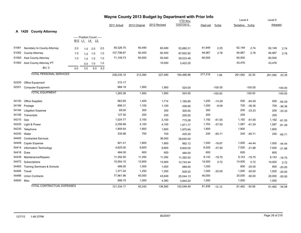|            | Wayne County 2013 Budget by Department with Prior Info |     |                            |           |     |             |               |              |                 |          |           |                |               |         |           |
|------------|--------------------------------------------------------|-----|----------------------------|-----------|-----|-------------|---------------|--------------|-----------------|----------|-----------|----------------|---------------|---------|-----------|
|            |                                                        |     |                            |           |     |             |               |              | <b>YTD thru</b> |          |           | Level 4        |               | Level 5 |           |
|            |                                                        |     |                            |           |     | 2011 Actual | 2012 Original | 2012 Revised | 12/07/2012      | Dept est | $%$ chg   | Tentative %chg |               | Adopted |           |
|            | A 1420 County Attorney                                 |     |                            |           |     |             |               |              |                 |          |           |                |               |         |           |
|            |                                                        |     | ----- Position Count ----- |           |     |             |               |              |                 |          |           |                |               |         |           |
|            |                                                        |     | B12 L1 L4 L5               |           |     |             |               |              |                 |          |           |                |               |         |           |
| 51061      | Secretary to County Attorney                           | 2.0 | 1.0                        | 2.0       | 2.0 | 59,326.70   | 60,490        | 60,490       | 53,880.31       | 61,849   | 2.25      | 62,149         | 2.74          | 62,149  | 2.74      |
| 51062      | <b>County Attorney</b>                                 | 1.0 |                            | $1.0$ 1.0 | 1.0 | 107,798.67  | 92,400        | 92,400       | 87,652.92       | 94,967   | 2.78      | 94,967         | 2.78          | 94,967  | 2.78      |
| 51083      | <b>Asst County Attorney</b>                            | 1.0 | 1.0                        | 1.0       | 1.0 | 71,109.73   | 60,500        | 55,040       | 39,533.48       | 60,500   |           | 60,500         |               | 60,500  |           |
| 51563      | Asst County Attorney PT                                |     | 0.0                        | 1.0       | 1.0 |             |               | 19,550       | 3,422.25        |          |           | 43,476         |               | 43,476  |           |
|            | <b>BU: 0</b>                                           | 4.0 | 3.0                        | 5.0       | 5.0 |             |               |              |                 |          |           |                |               |         |           |
|            | <b>TOTAL PERSONAL SERVICES</b>                         |     |                            |           |     | 238,235.10  | 213,390       | 227,480      | 184,488.96      | 217,316  | 1.84      | 261,092        | 22.35         | 261,092 | 22.35     |
| 52200      | Office Equipment                                       |     |                            |           |     | 315.17      |               |              |                 |          |           |                |               |         |           |
| 52201      | <b>Computer Equipment</b>                              |     |                            |           |     | 968.19      | 1,950         | 1,950        | 524.00          |          | $-100.00$ |                | $-100.00$     |         | $-100.00$ |
|            | <b>TOTAL EQUIPMENT</b>                                 |     |                            |           |     | 1,283.36    | 1,950         | 1,950        | 524.00          |          | $-100.00$ |                | $-100.00$     |         | $-100.00$ |
| 54150      | <b>Office Supplies</b>                                 |     |                            |           |     | 963.65      | 1,400         | 1,714        | 1,160.85        | 1,200    | $-14.29$  | 500            | $-64.29$      | 500     | $-64.29$  |
| 54166      | Postage                                                |     |                            |           |     | 898.31      | 1,100         | 1,100        | 436.85          | 1,000    | $-9.09$   | 700            | $-36.36$      | 700     | $-36.36$  |
| 54184      | <b>Litigation Expense</b>                              |     |                            |           |     | 69.00       | 300           | 300          | 300.00          | 300      |           | 200            | $-33.33$      | 200     | $-33.33$  |
| 54185      | Transcripts                                            |     |                            |           |     | 127.50      | 200           | 200          | 200.00          | 200      |           | 200            |               | 200     |           |
| 54210      | Gas                                                    |     |                            |           |     | 1,024.77    | 3,100         | 3,100        | 715.28          | 1,192    | $-61.55$  | 1,192          | $-61.55$      | 1,192   | $-61.55$  |
| 54220      | Light & Power                                          |     |                            |           |     | 2,256.98    | 4,100         | 4,100        | 1,871.77        | 1,763    | $-57.00$  | 1,587          | $-61.29$      | 1,587   | $-61.29$  |
| 54230      | Telephone                                              |     |                            |           |     | 1,859.54    | 1,800         | 1,800        | 1,975.84        | 1,800    |           | 1,800          |               | 1,800   |           |
| 54240      | Water                                                  |     |                            |           |     | 335.66      | 700           | 700          | 425.29          | 240      | $-65.71$  | 240            | $-65.71$      | 240     | $-65.71$  |
| 54400      | <b>Contracted Services</b>                             |     |                            |           |     |             |               | 38,000       | 29,645.00       |          |           |                |               |         |           |
| 54408      | Copier Expense                                         |     |                            |           |     | 921.41      | 1,800         | 1,800        | 892.12          | 1,500    | $-16.67$  |                | 1,000 -44.44  | 1,000   | $-44.44$  |
| 54414      | Information Technology                                 |     |                            |           |     | 4,625.00    | 9,600         | 9,600        | 9,600.00        | 6,000    | $-37.50$  | 7,500          | $-21.88$      | 7,500   | $-21.88$  |
| 54418      | Dues                                                   |     |                            |           |     | 484.00      | 600           | 600          | 484.00          | 600      |           | 600            |               | 600     |           |
| 54438      | Maintenance/Repairs                                    |     |                            |           |     | 11,392.50   | 11,392        | 11,392       | 11,392.50       | 9,143    | $-19.75$  | 9,143          | $-19.75$      | 9,143   | $-19.75$  |
| 54472      | Subscriptions                                          |     |                            |           |     | 15,554.10   | 13,900        | 13,900       | 12,743.44       | 14,000   | 0.72      | 14,000         | 0.72          | 14,000  | 0.72      |
| 54483      | Training Seminars & Schools                            |     |                            |           |     | 489.00      | 1,000         | 1,000        | 689.00          | 1,000    |           | 800            | $-20.00$      | 800     | $-20.00$  |
| 54485      | Travel                                                 |     |                            |           |     | 1,371.04    | 1,250         | 1,250        | 628.22          | 1,000    | $-20.00$  | 1,000          | $-20.00$      | 1,000   | $-20.00$  |
| 54486      | <b>Union Contracts</b>                                 |     |                            |           |     | 77,961.96   | 40,000        | 43,649       | 25,044.13       | 40,000   |           | 20,000         | $-50.00$      | 20,000  | $-50.00$  |
| 54600 Misc |                                                        |     |                            |           |     | 999.75      | 1,000         | 4,360        | 3,844.20        | 1,000    |           | 1,000          |               | 1,000   |           |
|            | <b>TOTAL CONTRACTUAL EXPENSES</b>                      |     |                            |           |     | 121.334.17  | 93.242        | 138.565      | 102.048.49      | 81,938   | $-12.12$  |                | 61,462 -34.08 | 61,462  | $-34.08$  |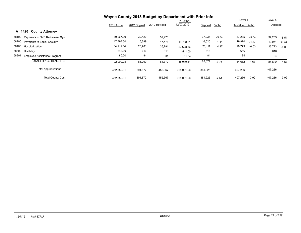|                                             | Wayne County 2013 Budget by Department with Prior Info |               |              |                 |          |         |                |         |         |         |
|---------------------------------------------|--------------------------------------------------------|---------------|--------------|-----------------|----------|---------|----------------|---------|---------|---------|
|                                             |                                                        |               |              | <b>YTD thru</b> |          |         | Level 4        |         | Level 5 |         |
|                                             | 2011 Actual                                            | 2012 Original | 2012 Revised | 12/07/2012      | Dept est | $%$ chg | Tentative %chg |         | Adopted |         |
| A 1420<br><b>County Attorney</b>            |                                                        |               |              |                 |          |         |                |         |         |         |
| 58100 Payments to NYS Retirement Sys        | 39,267.00                                              | 39,420        | 39,420       |                 | 37,235   | $-5.54$ | 37,235         | $-5.54$ | 37,235  | $-5.54$ |
| 58200 Payments to Social Security           | 17,797.64                                              | 16,389        | 17,471       | 13.788.81       | 16,625   | 1.44    | 19,974         | 21.87   | 19,974  | 21.87   |
| 58400 Hospitalization                       | 34,212.64                                              | 26,781        | 26,781       | 23,628.36       | 28,111   | 4.97    | 26,773         | $-0.03$ | 26,773  | $-0.03$ |
| 58600<br>Disability                         | 643.00                                                 | 616           | 616          | 541.00          | 616      |         | 616            |         | 616     |         |
| 58901<br><b>Employee Assistance Program</b> | 80.00                                                  | 84            | 84           | 61.64           | 84       |         | 84             |         | 84      |         |
| <b>TOTAL FRINGE BENEFITS</b>                | 92,000.28                                              | 83,290        | 84,372       | 38,019.81       | 82,671   | $-0.74$ | 84,682         | 1.67    | 84,682  | 1.67    |
| <b>Total Appropriations</b>                 | 452.852.91                                             | 391,872       | 452,367      | 325.081.26      | 381,925  |         | 407,236        |         | 407,236 |         |
| <b>Total County Cost</b>                    | 452.852.91                                             | 391,872       | 452,367      | 325.081.26      | 381,925  | $-2.54$ | 407,236        | 3.92    | 407,236 | 3.92    |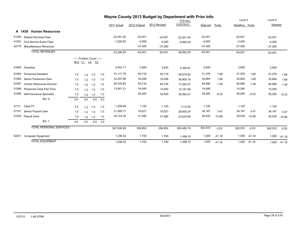| Wayne County 2013 Budget by Department with Prior Info |                                  |                                |     |                                            |     |              |               |              |              |           |          |                |          |           |          |
|--------------------------------------------------------|----------------------------------|--------------------------------|-----|--------------------------------------------|-----|--------------|---------------|--------------|--------------|-----------|----------|----------------|----------|-----------|----------|
|                                                        |                                  |                                |     |                                            |     |              |               |              | YTD thru     |           |          | Level 4        |          | Level 5   |          |
|                                                        |                                  |                                |     |                                            |     | 2011 Actual  | 2012 Original | 2012 Revised | 12/07/2012   | Dept est  | %chg     | Tentative %chq |          | Adopted   |          |
| A                                                      | 1430<br><b>Human Resources</b>   |                                |     |                                            |     |              |               |              |              |           |          |                |          |           |          |
| 41280                                                  | <b>Shared Services Fees</b>      |                                |     |                                            |     | $-22,001.00$ | $-22,001$     | $-22,001$    | $-22,001.00$ | $-22,001$ |          | $-22,001$      |          | $-22,001$ |          |
| 41291                                                  | Civil Service Exam Fees          |                                |     |                                            |     | $-1,205.50$  | $-4,000$      | $-4,000$     | $-6,892.00$  | $-4,000$  |          | $-4,000$       |          | $-4,000$  |          |
| 42770                                                  | Miscellaneous Revenues           |                                |     |                                            |     |              | $-37,000$     | $-37,000$    |              | $-37,000$ |          | $-37,000$      |          | $-37,000$ |          |
|                                                        | <b>TOTAL REVENUES</b>            |                                |     |                                            |     | $-23,206.50$ | $-63,001$     | $-63,001$    | $-28,893.00$ | $-63,001$ |          | $-63,001$      |          | $-63,001$ |          |
|                                                        |                                  | B <sub>12</sub> L <sub>1</sub> |     | ----- Position Count -----<br><u>L4</u> L5 |     |              |               |              |              |           |          |                |          |           |          |
| 51904                                                  | Overtime                         |                                |     |                                            |     | 2,452.17     | 2,600         | 2,600        | 4,300.81     | 2,600     |          | 2,600          |          | 2,600     |          |
| 51064                                                  | <b>Personnel Assistant</b>       | 1.0                            | 1.0 | 1.0                                        | 1.0 | 51,117.78    | 50,718        | 50,718       | 46,619.63    | 51,576    | 1.69     | 51,576         | 1.69     | 51,576    | 1.69     |
| 51065                                                  | Senior Personnel Clerk           | 1.0                            | 1.0 | 1.0                                        | 1.0 | 32,257.98    | 32,058        | 32,058       | 34,800.16    | 32,664    | 1.89     | 32,664         | 1.89     | 32,664    | 1.89     |
| 51067                                                  | <b>Human Resources Director</b>  | 1.0                            | 1.0 | 1.0                                        | 1.0 | 84,576.85    | 83,735        | 83,735       | 77,263.07    | 84,895    | 1.39     | 84,895         | 1.39     | 84,895    | 1.39     |
| 51069                                                  | <b>Personnel Clerk Part Time</b> | 1.0                            | 1.0 | 1.0                                        | 1.0 | 13,951.21    | 14,040        | 14,040       | 12,161.60    | 14,040    |          | 14,040         |          | 14,040    |          |
| 51595                                                  | Self-Insurance Specialist        | 1.0                            | 1.0 | 1.0                                        | 1.0 |              | 60,000        | 42,000       | 30,992.07    | 55,000    | $-8.33$  | 55,000         | $-8.33$  | 55,000    | $-8.33$  |
|                                                        | <b>BU: 0</b>                     | 5.0                            | 5.0 | 5.0                                        | 5.0 |              |               |              |              |           |          |                |          |           |          |
| 51111                                                  | Clerk PT                         | 2.0                            | 1.0 | 1.0                                        | 1.0 | 1,258.69     | 1,100         | 1,100        | 1,112.52     | 1,100     |          | 1,100          |          | 1,100     |          |
| 51157                                                  | Senior Payroll Clerk             | 1.0                            | 1.0 | 1.0                                        | 1.0 | 31,592.77    | 33,021        | 33,021       | 29,605.24    | 34,167    | 3.47     | 34,167         | 3.47     | 34,167    | 3.47     |
| 51552                                                  | Payroll Clerk                    | 1.0                            | 1.0 | 1.0                                        | 1.0 | 30,723.35    | 31,580        | 31,580       | 23,625.69    | 26,530    | $-15.99$ | 26,530         | $-15.99$ | 26,530    | $-15.99$ |
|                                                        | <b>BU: 1</b>                     | 4.0                            | 3.0 | 3.0                                        | 3.0 |              |               |              |              |           |          |                |          |           |          |
|                                                        | <b>TOTAL PERSONAL SERVICES</b>   |                                |     |                                            |     | 247,930.80   | 308,852       | 290,852      | 260,480.79   | 302,572   | $-2.03$  | 302,572        | $-2.03$  | 302,572   | $-2.03$  |
| 52201                                                  | <b>Computer Equipment</b>        |                                |     |                                            |     | 1,239.32     | 1,700         | 1,700        | 1,499.12     | 1,000     | $-41.18$ | 1,000          | $-41.18$ | 1,000     | $-41.18$ |
|                                                        | <b>TOTAL EQUIPMENT</b>           |                                |     |                                            |     | 1,239.32     | 1,700         | 1,700        | 1,499.12     | 1,000     | $-41.18$ | 1,000          | $-41.18$ | 1,000     | $-41.18$ |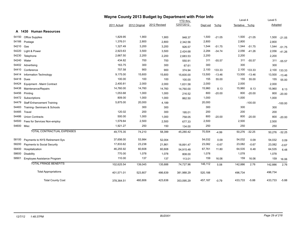|            |                                   |             |               | Wayne County 2013 Budget by Department with Prior Info |                 |          |          |                |              |         |           |
|------------|-----------------------------------|-------------|---------------|--------------------------------------------------------|-----------------|----------|----------|----------------|--------------|---------|-----------|
|            |                                   |             |               |                                                        | <b>YTD</b> thru |          |          | Level 4        |              | Level 5 |           |
|            |                                   | 2011 Actual | 2012 Original | 2012 Revised                                           | 12/07/2012      | Dept est | $%$ chg  | Tentative %chg |              | Adopted |           |
|            | A 1430 Human Resources            |             |               |                                                        |                 |          |          |                |              |         |           |
| 54150      | Office Supplies                   | 1,829.95    | 1,900         | 1,900                                                  | 948.37          | 1,500    | $-21.05$ |                | 1,500 -21.05 | 1,500   | $-21.05$  |
| 54166      | Postage                           | 1,376.01    | 2,800         | 2,800                                                  | 2,342.56        | 2,800    |          | 2,800          |              | 2,800   |           |
| 54210      | Gas                               | 1,327.49    | 3,200         | 3,200                                                  | 926.57          | 1,544    | $-51.75$ | 1,544          | $-51.75$     | 1,544   | $-51.75$  |
| 54220      | Light & Power                     | 2,923.63    | 3,500         | 3,500                                                  | 2,424.68        | 2,284    | $-34.74$ |                | 2,056 -41.26 | 2,056   | $-41.26$  |
| 54230      | Telephone                         | 2,667.50    | 2,200         | 2,200                                                  | 2,683.53        | 2,200    |          | 2,200          |              | 2,200   |           |
| 54240      | Water                             | 434.82      | 700           | 700                                                    | 550.91          | 311      | $-55.57$ | 311            | $-55.57$     | 311     | $-55.57$  |
| 54402      | Advertising                       | 163.75      | 300           | 300                                                    | 67.61           | 300      |          | 300            |              | 300     |           |
| 54410      | Conference                        | 757.58      | 900           | 900                                                    | 374.94          | 2,100    | 133.33   | 2,100          | 133.33       | 2,100   | 133.33    |
| 54414      | Information Technology            | 9,175.00    | 15,600        | 15,600                                                 | 15,600.00       | 13,500   | $-13.46$ | 13,500         | $-13.46$     | 13,500  | $-13.46$  |
| 54418      | Dues                              | 100.00      | 100           | 100                                                    | 100.00          | 155      | 55.00    | 155            | 55.00        | 155     | 55.00     |
| 54424      | Equipment - Maint Contract        | 2,400.81    | 2,000         | 2,000                                                  | 1,631.58        | 2,000    |          | 2,000          |              | 2,000   |           |
| 54438      | Maintenance/Repairs               | 14,760.00   | 14,760        | 14,760                                                 | 14,760.00       | 15,960   | 8.13     | 15,960         | 8.13         | 15,960  | 8.13      |
| 54456      | Printing                          | 1,053.68    | 1,000         | 1,000                                                  | 216.52          | 800      | $-20.00$ | 800            | $-20.00$     | 800     | $-20.00$  |
| 54472      | Subscriptions                     | 809.00      | 1,000         | 1,000                                                  | 862.50          | 1,000    |          | 1,000          |              | 1,000   |           |
| 54479      | <b>Staff Enhancement Training</b> | 5,875.00    | 20,000        | 4,189                                                  |                 | 20,000   |          |                | $-100.00$    |         | $-100.00$ |
| 54483      | Training-Seminars & Schools       |             | 300           | 300                                                    |                 | 300      |          | 300            |              | 300     |           |
| 54485      | Travel                            | 120.02      | 200           | 300                                                    | 195.01          | 200      |          | 200            |              | 200     |           |
| 54486      | <b>Union Contracts</b>            | 500.00      | 1,000         | 1,000                                                  | 758.05          | 800      | $-20.00$ | 800            | $-20.00$     | 800     | $-20.00$  |
| 54500      | Fees for Services Non-employ      | 1,579.84    | 2,500         | 2,500                                                  | 677.33          | 2,500    |          | 2,500          |              | 2,500   |           |
| 54600 Misc |                                   | 1,921.27    | 250           | 150                                                    | 134.00          | 250      |          | 250            |              | 250     |           |
|            | TOTAL CONTRACTUAL EXPENSES        | 49,775.35   | 74,210        | 58,399                                                 | 45,280.42       | 70,504   | $-4.99$  | 50,276 -32.25  |              | 50,276  | $-32.25$  |
| 58100      | Payments to NYS Retirement Sys    | 37,656.00   | 53,984        | 52,004                                                 |                 | 54,032   | 0.09     | 54,032         | 0.09         | 54,032  | 0.09      |
| 58200      | Payments to Social Security       | 17,833.62   | 23,238        | 21,861                                                 | 18,891.47       | 23,082   | $-0.67$  | 23,082         | $-0.67$      | 23,082  | $-0.67$   |
| 58400      | Hospitalization                   | 46,255.92   | 60,608        | 60,608                                                 | 54,915.48       | 67,761   | 11.80    | 64,535         | 6.48         | 64,535  | 6.48      |
| 58600      | Disability                        | 770.00      | 1,078         | 1,078                                                  | 808.00          | 1,078    |          | 1,078          |              | 1,078   |           |
| 58901      | Employee Assistance Program       | 110.00      | 137           | 137                                                    | 113.01          | 159      | 16.06    | 159            | 16.06        | 159     | 16.06     |
|            | <b>TOTAL FRINGE BENEFITS</b>      | 102,625.54  | 139,045       | 135,688                                                | 74,727.96       | 146,112  | 5.08     | 142,886        | 2.76         | 142,886 | 2.76      |
|            | <b>Total Appropriations</b>       | 401,571.01  | 523,807       | 486,639                                                | 381,988.29      | 520,188  |          | 496,734        |              | 496,734 |           |
|            | <b>Total County Cost</b>          | 378,364.51  | 460,806       | 423,638                                                | 353,095.29      | 457,187  | $-0.79$  | 433,733        | $-5.88$      | 433,733 | $-5.88$   |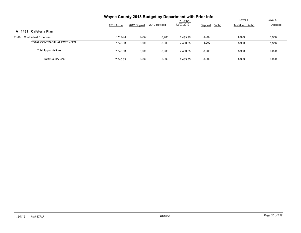|                                      |             |               | Wayne County 2013 Budget by Department with Prior Info |            |                     |                |         |
|--------------------------------------|-------------|---------------|--------------------------------------------------------|------------|---------------------|----------------|---------|
|                                      |             |               |                                                        | YTD thru   |                     | Level 4        | Level 5 |
|                                      | 2011 Actual | 2012 Original | 2012 Revised                                           | 12/07/2012 | $%$ chg<br>Dept est | Tentative %chg | Adopted |
| Cafeteria Plan<br>A 1431             |             |               |                                                        |            |                     |                |         |
| 54000<br><b>Contractual Expenses</b> | 7,745.33    | 8,900         | 8,900                                                  | 7.483.35   | 8,900               | 8,900          | 8,900   |
| TOTAL CONTRACTUAL EXPENSES           | 7,745.33    | 8,900         | 8,900                                                  | 7,483.35   | 8,900               | 8,900          | 8,900   |
| <b>Total Appropriations</b>          | 7,745.33    | 8,900         | 8,900                                                  | 7,483.35   | 8,900               | 8,900          | 8,900   |
| <b>Total County Cost</b>             | 7.745.33    | 8,900         | 8,900                                                  | 7.483.35   | 8,900               | 8,900          | 8,900   |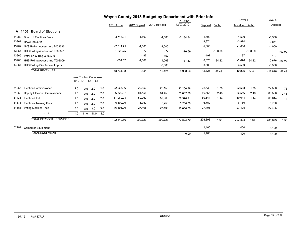|       |                                     |      |                                                                             |     |           |              | Wayne County 2013 Budget by Department with Prior Info |              |                 |           |           |                |           |           |           |
|-------|-------------------------------------|------|-----------------------------------------------------------------------------|-----|-----------|--------------|--------------------------------------------------------|--------------|-----------------|-----------|-----------|----------------|-----------|-----------|-----------|
|       |                                     |      |                                                                             |     |           |              |                                                        |              | <b>YTD</b> thru |           |           | Level 4        |           | Level 5   |           |
|       |                                     |      |                                                                             |     |           | 2011 Actual  | 2012 Original                                          | 2012 Revised | 12/07/2012      | Dept est  | %chg      | Tentative %chg |           | Adopted   |           |
|       | <b>Board of Elections</b><br>A 1450 |      |                                                                             |     |           |              |                                                        |              |                 |           |           |                |           |           |           |
| 41289 | <b>Board of Elections Fees</b>      |      |                                                                             |     |           | $-3,746.01$  | $-1,500$                                               | $-1,500$     | $-5,184.84$     | $-1,500$  |           | $-1,500$       |           | $-1,500$  |           |
| 43961 | <b>HAVA State Aid</b>               |      |                                                                             |     |           |              |                                                        |              |                 | $-3,874$  |           | $-3,874$       |           | $-3,874$  |           |
| 43962 | NYS Polling Access Imp T002696      |      |                                                                             |     |           | $-7,514.75$  | $-1,000$                                               | $-1,000$     |                 | $-1,000$  |           | $-1,000$       |           | $-1,000$  |           |
| 43964 | HHS Polling Access Imp T002821      |      |                                                                             |     |           | $-1,828.75$  | $-77$                                                  | $-77$        | $-76.69$        |           | $-100.00$ |                | $-100.00$ |           | $-100.00$ |
| 43965 | Voter Ed & Trng C002580             |      |                                                                             |     |           |              | $-197$                                                 | $-197$       |                 | $-197$    |           | $-197$         |           | $-197$    |           |
| 43966 | HHS Polling Access Imp T003009      |      |                                                                             |     |           | $-654.57$    | $-4,068$                                               | $-4,068$     | $-737.43$       | $-2,676$  | $-34.22$  | $-2,676$       | $-34.22$  | $-2,676$  | $-34.22$  |
| 44967 | HHS Polling Site Access Improv      |      |                                                                             |     |           |              |                                                        | $-3,580$     |                 | $-3,580$  |           | $-3,580$       |           | $-3,580$  |           |
|       | <b>TOTAL REVENUES</b>               |      |                                                                             |     |           | $-13,744.08$ | $-6,841$                                               | $-10,421$    | $-5,998.96$     | $-12,826$ | 87.49     | $-12,826$      | 87.49     | $-12,826$ | 87.49     |
|       |                                     |      | ----- Position Count -----<br>B <sub>12</sub> L <sub>1</sub> L <sub>4</sub> | L5  |           |              |                                                        |              |                 |           |           |                |           |           |           |
| 51066 | <b>Election Commissioner</b>        | 2.0  | 2.0                                                                         | 2.0 | 2.0       | 22,065.16    | 22,150                                                 | 22,150       | 20.200.88       | 22,538    | 1.75      | 22,538         | 1.75      | 22,538    | 1.75      |
| 51068 | <b>Deputy Election Commissioner</b> | 2.0  | 2.0                                                                         | 2.0 | 2.0       | 86,520.37    | 84,458                                                 | 84,458       | 78,802.70       | 86,556    | 2.48      | 86,556         | 2.48      | 86,556    | 2.48      |
| 51128 | <b>Election Clerk</b>               | 2.0  | 2.0                                                                         | 2.0 | 2.0       | 61,069.03    | 59,960                                                 | 59,960       | 52,570.21       | 60,644    | 1.14      | 60,644         | 1.14      | 60,644    | 1.14      |
| 51578 | <b>Elections Training Coord</b>     | 2.0  | 2.0                                                                         | 2.0 | 2.0       | 6,300.00     | 6,750                                                  | 6,750        | 5,200.00        | 6,750     |           | 6,750          |           | 6,750     |           |
| 51665 | Voting Machine Tech                 | 3.0  | 3.0                                                                         | 3.0 | 3.0       | 16,395.00    | 27,405                                                 | 27,405       | 16,050.00       | 27,405    |           | 27,405         |           | 27,405    |           |
|       | BU: 0                               | 11.0 | 11.0                                                                        |     | 11.0 11.0 |              |                                                        |              |                 |           |           |                |           |           |           |
|       | <b>TOTAL PERSONAL SERVICES</b>      |      |                                                                             |     |           | 192,349.56   | 200,723                                                | 200,723      | 172,823.79      | 203,893   | 1.58      | 203,893        | 1.58      | 203,893   | 1.58      |
| 52201 | <b>Computer Equipment</b>           |      |                                                                             |     |           |              |                                                        |              |                 | 1,400     |           | 1,400          |           | 1,400     |           |
|       | <b>TOTAL EQUIPMENT</b>              |      |                                                                             |     |           |              |                                                        |              | 0.00            | 1,400     |           | 1,400          |           | 1,400     |           |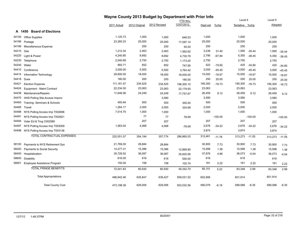|       |                                   | Wayne County 2013 Budget by Department with Prior Info |               |              |            |          |           |                |           |         |           |
|-------|-----------------------------------|--------------------------------------------------------|---------------|--------------|------------|----------|-----------|----------------|-----------|---------|-----------|
|       |                                   |                                                        |               |              | YTD thru   |          |           | Level 4        |           | Level 5 |           |
|       |                                   | 2011 Actual                                            | 2012 Original | 2012 Revised | 12/07/2012 | Dept est | %chg      | Tentative %chg |           | Adopted |           |
|       | A 1450 Board of Elections         |                                                        |               |              |            |          |           |                |           |         |           |
| 54150 | <b>Office Supplies</b>            | 1,125.73                                               | 1,000         | 1,000        | 646.53     | 1,000    |           | 1,000          |           | 1,000   |           |
| 54166 | Postage                           | 23,260.23                                              | 25,000        | 25,000       | 17,087.14  | 25,000   |           | 25,000         |           | 25,000  |           |
| 54199 | Miscellaneous Expense             |                                                        | 250           | 250          | 55.00      | 250      |           | 250            |           | 250     |           |
| 54210 | Gas                               | 1,212.34                                               | 2,463         | 2,463        | 1,562.62   | 3,236    | 31.40     | 1,590          | $-35.44$  | 1,590   | $-35.44$  |
| 54220 | Light & Power                     | 4,240.85                                               | 8,692         | 8,692        | 4,730.79   | 2,795    | $-67.84$  | 5,350          | $-38.45$  | 5,350   | $-38.45$  |
| 54230 | Telephone                         | 2,040.68                                               | 2,750         | 2,750        | 1,173.20   | 2,750    |           | 2,750          |           | 2,750   |           |
| 54240 | Water                             | 993.71                                                 | 652           | 652          | 747.95     | 522      | $-19.92$  | 425            | $-34.80$  | 425     | $-34.80$  |
| 54410 | Conference                        | 3,500.00                                               | 5,500         | 5,500        | 3,764.42   | 3,000    | $-45.45$  | 3,000          | $-45.45$  | 3,000   | $-45.45$  |
| 54414 | Information Technology            | 29,600.00                                              | 18,000        | 18,000       | 18,000.00  | 15,000   | $-16.67$  | 15,000         | $-16.67$  | 15,000  | $-16.67$  |
| 54418 | Dues                              | 180.00                                                 | 200           | 200          | 180.00     | 250      | 25.00     | 250            | 25.00     | 250     | 25.00     |
| 54421 | <b>Election Expense</b>           | 111, 181.57                                            | 234,525       | 234,525      | 198,300.10 | 195,300  | $-16.73$  | 195,300        | $-16.73$  | 195,300 | $-16.73$  |
| 54424 | Equipment - Maint Contract        | 22,234.30                                              | 23,063        | 23,063       | 22,179.93  | 23,063   |           | 23,063         |           | 23,063  |           |
| 54438 | Maintenance/Repairs               | 11,646.06                                              | 24,249        | 24,249       | 17,757.67  | 26,459   | 9.12      | 26,459         | 9.12      | 26,459  | 9.12      |
| 54470 | HHS Polling Site Access Improv    |                                                        |               | 3,580        |            | 3,580    |           | 3,580          |           | 3,580   |           |
| 54483 | Training-Seminars & Schools       | 493.64                                                 | 500           | 500          | 355.00     | 500      |           | 500            |           | 500     |           |
| 54485 | Travel                            | 1,264.17                                               | 2,000         | 2,000        | 324.68     | 2,000    |           | 2,000          |           | 2,000   |           |
| 54488 | NYS Polling Access Imp T002696    | 7,514.75                                               | 1,000         | 1,000        |            | 1,000    |           | 1,000          |           | 1,000   |           |
| 54491 | NYS Polling Access Imp T002821    |                                                        | 77            | 77           | 76.69      |          | $-100.00$ |                | $-100.00$ |         | $-100.00$ |
| 54494 | Voter Ed & Trng C002580           |                                                        | 207           | 207          |            | 207      |           | 207            |           | 207     |           |
| 54497 | NYS Polling Access Imp T003009    | 1,563.04                                               | 4,068         | 4,068        | $-76.69$   | 2,676    | $-34.22$  | 2,676          | $-34.22$  | 2,676   | $-34.22$  |
| 54498 | NYS Polling Access Imp T003136    |                                                        |               |              |            | 3,874    |           | 3,874          |           | 3,874   |           |
|       | <b>TOTAL CONTRACTUAL EXPENSES</b> | 222,051.07                                             | 354,194       | 357,774      | 286,865.03 | 312,461  | $-11.78$  | 313,273        | $-11.55$  | 313,273 | $-11.55$  |
| 58100 | Payments to NYS Retirement Sys    | 21,769.00                                              | 28,684        | 28,684       |            | 30,900   | 7.73      | 30,900         | 7.73      | 30,900  | 7.73      |
| 58200 | Payments to Social Security       | 14,277.31                                              | 15,386        | 15,386       | 12,869.90  | 15,598   | 1.38      | 15,598         | 1.38      | 15,598  | 1.38      |
| 58400 | Hospitalization                   | 35,729.52                                              | 36,087        | 36,087       | 35,820.06  | 37,876   | 4.96      | 36,073         | $-0.04$   | 36,073  | $-0.04$   |
| 58600 | <b>Disability</b>                 | 616.00                                                 | 616           | 616          | 550.00     | 616      |           | 616            |           | 616     |           |
| 58901 | Employee Assistance Program       | 150.00                                                 | 158           | 158          | 102.74     | 161      | 2.22      | 161            | 2.22      | 161     | 2.22      |
|       | <b>TOTAL FRINGE BENEFITS</b>      | 72,541.83                                              | 80,930        | 80,930       | 49,342.70  | 85,151   | 5.22      | 83,348         | 2.99      | 83,348  | 2.99      |
|       | <b>Total Appropriations</b>       | 486,942.46                                             | 635,847       | 639,427      | 509,031.52 | 602,906  |           | 601,914        |           | 601,914 |           |
|       | <b>Total County Cost</b>          | 473.198.38                                             | 629.006       | 629.006      | 503,032.56 | 590,079  | $-6.19$   | 589,088        | $-6.35$   | 589,088 | $-6.35$   |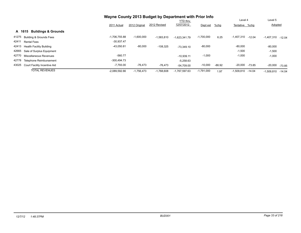|       |                                          | Wayne County 2013 Budget by Department with Prior Info |               |              |                 |              |          |                |          |              |          |
|-------|------------------------------------------|--------------------------------------------------------|---------------|--------------|-----------------|--------------|----------|----------------|----------|--------------|----------|
|       |                                          |                                                        |               |              | <b>YTD thru</b> |              |          | Level 4        |          | Level 5      |          |
|       |                                          | 2011 Actual                                            | 2012 Original | 2012 Revised | 12/07/2012      | Dept est     | %chg     | Tentative %chq |          | Adopted      |          |
|       | <b>Buildings &amp; Grounds</b><br>A 1615 |                                                        |               |              |                 |              |          |                |          |              |          |
| 41275 | <b>Building &amp; Grounds Fees</b>       | $-1,706,755.88$                                        | $-1.600.000$  | $-1,583,810$ | $-1.623.341.79$ | $-1,700,000$ | 6.25     | $-1,407,310$   | $-12.04$ | $-1,407,310$ | $-12.04$ |
| 42411 | <b>Rental Fees</b>                       | $-30,937.47$                                           |               |              |                 |              |          |                |          |              |          |
| 42413 | <b>Health Facility Building</b>          | $-43,050.81$                                           | $-80,000$     | $-108,325$   | $-73.349.10$    | $-80,000$    |          | $-80,000$      |          | $-80,000$    |          |
| 42665 | Sale of Surplus Equipment                |                                                        |               |              |                 |              |          | $-1,500$       |          | $-1,500$     |          |
| 42770 | Miscellaneous Revenues                   | $-560.77$                                              |               |              | $-10.939.11$    | $-1,000$     |          | $-1,000$       |          | $-1,000$     |          |
| 42778 | <b>Telephone Reimbursement</b>           | $-300.494.73$                                          |               |              | $-5.258.63$     |              |          |                |          |              |          |
| 43025 | Court Facility Incentive Aid             | $-7.793.00$                                            | $-76.473$     | $-76.473$    | $-54.709.00$    | $-10,000$    | $-86.92$ | $-20,000$      | $-73.85$ | $-20,000$    | $-73.85$ |
|       | <b>TOTAL REVENUES</b>                    | $-2.089.592.66$                                        | $-1.756.473$  | $-1.768.608$ | $-1.767.597.63$ | $-1,791,000$ | 1.97     | $-1.509.810$   | $-14.04$ | $-1,509,810$ | $-14.04$ |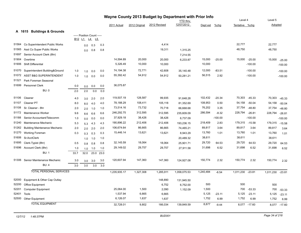| Wayne County 2013 Budget by Department with Prior Info |                                      |        |                            |                 |      |              |               |              |                 |           |           |                  |              |           |              |
|--------------------------------------------------------|--------------------------------------|--------|----------------------------|-----------------|------|--------------|---------------|--------------|-----------------|-----------|-----------|------------------|--------------|-----------|--------------|
|                                                        |                                      |        |                            |                 |      |              |               |              | <b>YTD</b> thru |           |           | Level 4          |              | Level 5   |              |
|                                                        |                                      |        |                            |                 |      | 2011 Actual  | 2012 Original | 2012 Revised | 12/07/2012      | Dept est  | $%$ chg   | Tentative %chg   |              | Adopted   |              |
|                                                        | A 1615 Buildings & Grounds           |        |                            |                 |      |              |               |              |                 |           |           |                  |              |           |              |
|                                                        |                                      | B12 L1 | ----- Position Count ----- |                 |      |              |               |              |                 |           |           |                  |              |           |              |
|                                                        |                                      |        |                            | <u>L4</u><br>L5 |      |              |               |              |                 |           |           |                  |              |           |              |
|                                                        | 51564 Co Superintendent Public Works |        | 0.0                        | 0.3             | 0.3  |              |               | 4,414        |                 |           |           | 22,777           |              | 22,777    |              |
| 51565                                                  | Asst Co Super Public Works           |        | 0.0                        | 0.8             | 0.8  |              |               | 19,311       | 1,315.25        |           |           | 48,750           |              | 48,750    |              |
| 51697                                                  | Senior Account Clerk (8hr)           |        |                            |                 |      |              |               |              | 7,214.55        |           |           |                  |              |           |              |
| 51904                                                  | Overtime                             |        |                            |                 |      | 14,594.89    | 20,000        | 20,000       | 6,233.87        | 15,000    | $-25.00$  | 15,000           | $-25.00$     | 15,000    | $-25.00$     |
| 51906                                                  | Shift Differential                   |        |                            |                 |      | 5,326.49     | 10,000        | 10,000       |                 | 10,000    |           |                  | $-100.00$    |           | $-100.00$    |
| 51070                                                  | Superintendent Building&Ground       | 1.0    | 1.0                        | 0.0             | 0.0  | 74,194.38    | 72,771        | 42,608       | 35,140.48       | 12,000    | $-83.51$  |                  | $-100.00$    |           | $-100.00$    |
| 51072                                                  | <b>ASST B&amp;G SUPERINTENDENT</b>   | 1.0    | 1.0                        | 0.0             | 0.0  | 55,392.42    | 54,912        | 54,912       | 50,281.21       | 56,515    | 2.92      |                  | $-100.00$    |           | $-100.00$    |
| 51321                                                  | Park Foreman Seasonal                |        |                            |                 |      |              |               |              |                 |           |           |                  |              |           |              |
| 51699                                                  | <b>Personnel Clerk</b>               | 0.0    | 0.0                        | 0.0             | 0.0  | 36,075.87    |               |              |                 |           |           |                  |              |           |              |
|                                                        | <b>BU: 0</b>                         | 2.0    | 2.0                        | 0.0             | 0.0  |              |               |              |                 |           |           |                  |              |           |              |
| 51106                                                  | Cleaner                              | 4.0    | 3.0                        | 2.0             | 2.0  | 119,507.19   | 128,587       | 99,935       | 91,648.28       | 102,432   | $-20.34$  | 70,303           | $-45.33$     | 70,303    | $-45.33$     |
| 51107                                                  | Cleaner PT                           | 8.0    | 8.0                        | 4.0             | 4.0  | 78,188.29    | 108,411       | 105,118      | 81,352.69       | 108,953   | 0.50      | 54,158           | $-50.04$     | 54,158    | $-50.04$     |
| 51108                                                  | Sr. Cleaner - 8hr                    | 2.0    | 2.0                        | 1.0             | 1.0  | 73,514.16    | 73,732        | 70,718       | 66,668.68       | 76,202    | 3.35      | 37,754           | $-48.80$     | 37,754    | $-48.80$     |
| 51172                                                  | Maintenance Worker                   | 9.6    | 8.6                        | 6.6             | 6.6  | 246,292.75   | 312,595       | 312,595      | 235,609.09      | 286,594   | $-8.32$   | 228,794          | $-26.81$     | 228,794   | $-26.81$     |
| 51188                                                  | Senior Accountant/Telecomm           | 1.0    | 0.0                        | 0.0             | 0.0  | 37,929.18    | 38,426        | 38,426       | 6,737.09        |           | $-100.00$ |                  | $-100.00$    |           | $-100.00$    |
| 51240                                                  | Maintenance Mechanic                 | 5.3    | 5.3                        | 4.3             | 4.3  | 190,896.22   | 212,406       | 212,406      | 193,236.15      | 218,409   | 2.83      | 179,315 -15.58   |              | 179,315   | $-15.58$     |
| 51262                                                  | <b>Building Maintenance Mechanic</b> | 2.0    | 2.0                        | 2.0             | 2.0  | 106,674.64   | 86,665        | 86,665       | 74,465.21       | 89,817    | 3.64      | 89,817           | 3.64         | 89,817    | 3.64         |
| 51270                                                  | Working Foreman                      | 0.3    | 0.3                        | 0.3             | 0.3  | 15,446.14    | 13,621        | 13,621       | 8,943.29        | 13,760    | 1.01      | 13,760           | 1.01         | 13,760    | 1.01         |
| 51606                                                  | Sr.AcctClerk                         |        | 1.0                        | 1.0             | 1.0  |              |               |              | 20,489.32       | 38,611    |           | 38,611           |              | 38,611    |              |
| 51695                                                  | Clerk-Typist (8hr)                   | 0.5    | 0.8                        | 0.8             | 0.8  | 32,145.59    | 18,064        | 18,064       | 25,901.71       | 29,720    | 64.53     | 29,720           | 64.53        | 29,720    | 64.53        |
|                                                        | 51696 Account Clerk (8hr)            | 1.0    | 1.0                        | 1.0             | 1.0  | 29,149.02    | 29,757        | 29,757       | 27,911.58       | 31,698    | 6.52      | 31,698           | 6.52         | 31,698    | 6.52         |
|                                                        | <b>BU: 1</b>                         | 33.7   | 32.0                       | 23.0            | 23.0 |              |               |              |                 |           |           |                  |              |           |              |
| 51306                                                  | Senior Maintenance Mechanic          | 3.0    | 3.0                        | 3.0             | 3.0  | 120,607.94   | 147,360       | 147,360      | 124,927.08      | 150,774   | 2.32      | 150,774          | 2.32         | 150,774   | 2.32         |
|                                                        | <b>BU: 4</b>                         | 3.0    | 3.0                        | 3.0             | 3.0  |              |               |              |                 |           |           |                  |              |           |              |
|                                                        | <b>TOTAL PERSONAL SERVICES</b>       |        |                            |                 |      | 1,235,935.17 | 1,327,308     | 1,285,911    | 1,058,075.53    | 1,240,484 | $-6.54$   | 1,011,230 -23.81 |              | 1,011,230 | $-23.81$     |
| 52000                                                  | Equipment & Other Cap Outlay         |        |                            |                 |      |              |               | 148,890      | 131,945.50      |           |           |                  |              |           |              |
| 52200                                                  | Office Equipment                     |        |                            |                 |      |              |               | 6,752        | 6,752.00        | 500       |           | 500              |              | 500       |              |
| 52201                                                  | <b>Computer Equipment</b>            |        |                            |                 |      | 25,064.00    | 1,500         | 2,090        | 1,152.09        | 1,500     |           | 700              | $-53.33$     | 700       | $-53.33$     |
| 52401                                                  | Tools                                |        |                            |                 |      | 1,537.94     | 6,665         | 6,665        |                 | 5,125     | $-23.11$  | 5,125            | $-23.11$     | 5,125     | $-23.11$     |
| 52500                                                  | Other Equipment                      |        |                            |                 |      | 6,126.07     | 1,637         | 1,637        |                 | 1,752     | 6.99      | 1,752            | 6.99         | 1,752     | 6.99         |
|                                                        | <b>TOTAL EQUIPMENT</b>               |        |                            |                 |      | 32,728.01    | 9,802         | 166,034      | 139,849.59      | 8,877     | $-9.44$   |                  | 8,077 -17.60 |           | 8,077 -17.60 |
|                                                        |                                      |        |                            |                 |      |              |               |              |                 |           |           |                  |              |           |              |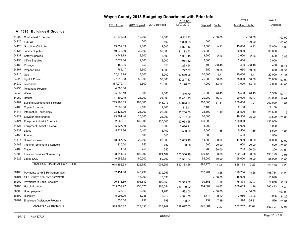|       | Wayne County 2013 Budget by Department with Prior Info |              |               |              |            |          |           |                |           |         |           |
|-------|--------------------------------------------------------|--------------|---------------|--------------|------------|----------|-----------|----------------|-----------|---------|-----------|
|       |                                                        |              |               |              | YTD thru   |          |           | Level 4        |           | Level 5 |           |
|       |                                                        | 2011 Actual  | 2012 Original | 2012 Revised | 12/07/2012 | Dept est | %chg      | Tentative %chg |           | Adopted |           |
|       | A 1615 Buildings & Grounds                             |              |               |              |            |          |           |                |           |         |           |
| 54000 | <b>Contractual Expenses</b>                            | 71,876.08    | 12,000        | 12,000       | 5,112.33   |          | $-100.00$ |                | $-100.00$ |         | $-100.00$ |
| 54125 | Fuel Oil                                               |              | 500           | 500          | 5,833.03   | 500      |           |                | $-100.00$ |         | $-100.00$ |
| 54128 | Gasoline- Oil- Lube                                    | 13,732.03    | 12,000        | 12,000       | 5,877.46   | 13,000   | 8.33      | 13,000         | 8.33      | 13,000  | 8.33      |
| 54135 | Janitor Supplies                                       | 40,272.09    | 30,000        | 30,000       | 21,172.72  | 30,000   |           | 30,000         |           | 30,000  |           |
| 54137 | <b>Safety Supplies</b>                                 | 3,742.78     | 3,500         | 3,500        | 1,301.45   | 3,600    | 2.86      | 3,600          | 2.86      | 3,600   | 2.86      |
| 54150 | <b>Office Supplies</b>                                 | 2,079.36     | 2,000         | 2,000        | 984.62     | 2,000    |           | 2,000          |           | 2,000   |           |
| 54166 | Postage                                                | 180.96       | 650           | 650          | 263.94     | 400      | $-38.46$  | 400            | $-38.46$  | 400     | $-38.46$  |
| 54167 | Propane Gas                                            | 1,765.17     | 1,600         | 1,600        | 777.77     | 650      | $-59.38$  | 650            | $-59.38$  | 650     | $-59.38$  |
| 54210 | Gas                                                    | 20,113.98    | 18,000        | 18,000       | 13,630.95  | 20,000   | 11.11     | 20,000         | 11.11     | 20,000  | 11.11     |
| 54220 | Light & Power                                          | 127,910.08   | 50,000        | 50,000       | 67,247.13  | 75,000   | 50.00     | 75,000         | 50.00     | 75,000  | 50.00     |
| 54230 | Telephone                                              | 167,279.11   | 12,500        | 12,500       | 6,170.57   | 7,000    | $-44.00$  | 7,000          | $-44.00$  | 7,000   | $-44.00$  |
| 54235 | <b>Telephone Repairs</b>                               | 4,500.00     |               |              |            |          |           |                |           |         |           |
| 54240 | Water                                                  | 5,833.13     | 2,800         | 2,800        | 7,116.79   | 5,500    | 96.43     | 5,500          | 96.43     | 5,500   | 96.43     |
| 54250 | Refuse                                                 | 17,809.45    | 24,000        | 24,000       | 12,451.93  | 20,000   | $-16.67$  | 20,000         | $-16.67$  | 20,000  | $-16.67$  |
| 54407 | <b>Building Maintenance &amp; Repair</b>               | 213,268.69   | 198,000       | 445,973      | 333,873.04 | 260,000  | 31.31     | 200,000        | 1.01      | 200,000 | 1.01      |
| 54408 | Copier Expense                                         | 2,339.86     | 2,100         | 2,100        | 1,816.11   | 2,100    |           | 2,100          |           | 2,100   |           |
| 54414 | Information Technology                                 | 23,125.00    | 25,200        | 25,200       | 25,200.00  | 25,500   | 1.19      | 25,500         | 1.19      | 25,500  | 1.19      |
| 54422 | <b>Elevator Maintenance</b>                            | 23,391.40    | 26,000        | 26,000       | 22,707.00  | 26,000   |           | 19,500         | $-25.00$  | 19,500  | $-25.00$  |
| 54424 | Equipment - Maint Contract                             | 92,068.31    | 130,000       | 130,000      | 92,053.58  | 130,000  |           | 130,000        |           | 130,000 |           |
| 54425 | Equipment - Maint & Repair                             | 5,827.19     | 8,000         | 8,000        | 7,086.21   | 8,000    |           | 8,000          |           | 8,000   |           |
| 54437 | Lease                                                  | 5,323.36     | 5,400         | 5,400        | 3,500.00   | 5,500    | 1.85      | 5,500          | 1.85      | 5,500   | 1.85      |
| 54456 | Printing                                               |              | 500           | 500          |            | 500      |           | 500            |           | 500     |           |
| 54474 | Snow Removal                                           | 18,357.06    | 20,000        | 20,000       | 3,039.10   | 14,000   | $-30.00$  | 14,000         | $-30.00$  | 14,000  | $-30.00$  |
| 54483 | Training- Seminars & Schools                           | 225.00       | 750           | 750          | 60.00      | 600      | $-20.00$  | 600            | $-20.00$  | 600     | $-20.00$  |
| 54485 | Travel                                                 | 4.08         | 250           | 250          |            | 200      | $-20.00$  | 200            | $-20.00$  | 200     | $-20.00$  |
| 54500 | Fees for Services Non-employ                           | 108,314.84   | 190,000       | 121,184      | 203,306.19 | 190,123  | 0.06      | 190,123        | 0.06      | 190,123 | 0.06      |
| 54525 | Lease-DOL                                              | 49,556.32    | 50,000        | 50,000       | 51,551.64  | 55,000   | 10.00     | 55,000         | 10.00     | 55,000  | 10.00     |
|       | <b>TOTAL CONTRACTUAL EXPENSES</b>                      | 1,018,895.33 | 825,750       | 1,004,907    | 892,133.56 | 895,173  | 8.41      | 828,173        | 0.29      | 828,173 | 0.29      |
| 58100 | Payments to NYS Retirement Sys                         | 182,451.00   | 240,790       | 239,957      |            | 232,901  | $-3.28$   | 196,764        | $-18.28$  | 196,764 | $-18.28$  |
| 58101 | <b>EARLY RETIREMENT PAYMENT</b>                        |              | 15,090        | 15,090       |            |          | $-100.00$ | 15,090         |           | 15,090  |           |
| 58200 | Payments to Social Security                            | 90,615.89    | 101,540       | 100,859      | 77,515.60  | 99,666   | $-1.85$   | 75,878         | $-25.27$  | 75,878  | $-25.27$  |
| 58400 | Hospitalization                                        | 235,039.92   | 256,676       | 255,551      | 235,700.02 | 304,604  | 18.67     | 260,413        | 1.46      | 260,413 | 1.46      |
| 58500 | Unemployment                                           | 1,935.01     | 8,000         | 11,280       | 1,582.00   |          | $-100.00$ |                | $-100.00$ |         | $-100.00$ |
| 58600 | Disability                                             | 5,094.00     | 5,236         | 5,212        | 4,321.00   | 4,774    | $-8.82$   | 3,966          | $-24.26$  | 3,966   | $-24.26$  |
| 58901 | Employee Assistance Program                            | 730.00       | 798           | 798          | 708.91     | 739      | $-7.39$   | 596            | $-25.31$  | 596     | $-25.31$  |
|       | <b>TOTAL FRINGE BENEFITS</b>                           | 515,865.82   | 628,130       | 628,747      | 319,827.53 | 642,684  | 2.32      | 552,707 -12.01 |           | 552,707 | $-12.01$  |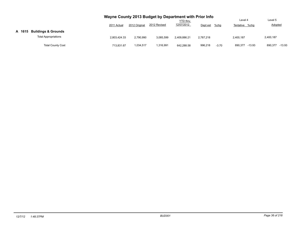|        |                                | Wayne County 2013 Budget by Department with Prior Info |               |              | <b>YTD</b> thru |           |         | Level 4           | Level 5           |
|--------|--------------------------------|--------------------------------------------------------|---------------|--------------|-----------------|-----------|---------|-------------------|-------------------|
|        |                                | 2011 Actual                                            | 2012 Original | 2012 Revised | 12/07/2012      | Dept est  | %chg    | Tentative %chg    | <b>Adopted</b>    |
| A 1615 | <b>Buildings &amp; Grounds</b> |                                                        |               |              |                 |           |         |                   |                   |
|        | <b>Total Appropriations</b>    | 2.803.424.33                                           | 2.790.990     | 3.085.599    | 2.409.886.21    | 2.787.218 |         | 2.400.187         | 2,400,187         |
|        | <b>Total County Cost</b>       | 713.831.67                                             | 1,034,517     | 1,316,991    | 642.288.58      | 996,218   | $-3.70$ | 890.377<br>-13.93 | 890,377<br>-13.93 |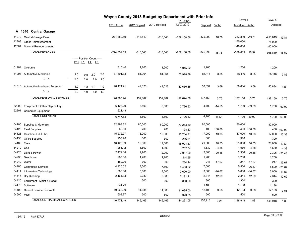|            |                                   |                            | Wayne County 2013 Budget by Department with Prior Info |               |              |                               |            |          | Level 4        |          | Level 5             |          |
|------------|-----------------------------------|----------------------------|--------------------------------------------------------|---------------|--------------|-------------------------------|------------|----------|----------------|----------|---------------------|----------|
|            |                                   |                            | 2011 Actual                                            | 2012 Original | 2012 Revised | <b>YTD</b> thru<br>12/07/2012 | Dept est   | $%$ chg  | Tentative %chg |          | Adopted             |          |
|            |                                   |                            |                                                        |               |              |                               |            |          |                |          |                     |          |
|            | A 1640 Central Garage             |                            |                                                        |               |              |                               |            |          |                |          |                     |          |
| 41272      | <b>Central Garage Fees</b>        |                            | $-274,659.59$                                          | $-316,540$    | $-316,540$   | $-259, 108.66$                | $-375,999$ | 18.78    | $-253,819$     | $-19.81$ | $-253,819$ $-19.81$ |          |
| 42303      | Labor Reimbursement               |                            |                                                        |               |              |                               |            |          | $-75,000$      |          | $-75,000$           |          |
| 42304      | <b>Material Reimbursement</b>     |                            |                                                        |               |              |                               |            |          | $-40,000$      |          | $-40,000$           |          |
|            | <b>TOTAL REVENUES</b>             |                            | $-274,659.59$                                          | $-316,540$    | $-316,540$   | $-259, 108.66$                | $-375,999$ | 18.78    | $-368,819$     | 16.52    | $-368,819$          | 16.52    |
|            |                                   | ----- Position Count ----- |                                                        |               |              |                               |            |          |                |          |                     |          |
|            |                                   | B12 L1 L4 L5               |                                                        |               |              |                               |            |          |                |          |                     |          |
| 51904      | Overtime                          |                            | 715.40                                                 | 1,200         | 1,200        | 1,045.02                      | 1,200      |          | 1,200          |          | 1,200               |          |
| 51298      | Automotive Mechanic               | 2.0<br>2.0<br>2.0<br>2.0   | 77,691.33                                              | 81,964        | 81,964       | 72,928.79                     | 85,116     | 3.85     | 85,116         | 3.85     | 85,116              | 3.85     |
|            | <b>BU: 1</b>                      | 2.0<br>2.0<br>2.0<br>2.0   |                                                        |               |              |                               |            |          |                |          |                     |          |
| 51318      | Automotive Mechanic Foreman       | 1.0<br>1.0<br>1.0<br>1.0   | 48,474.21                                              | 49,023        | 49,023       | 43,650.85                     | 50,834     | 3.69     | 50,834         | 3.69     | 50,834              | 3.69     |
|            | <b>BU: 4</b>                      | 1.0<br>1.0<br>1.0<br>1.0   |                                                        |               |              |                               |            |          |                |          |                     |          |
|            | <b>TOTAL PERSONAL SERVICES</b>    |                            | 126,880.94                                             | 132,187       | 132,187      | 117,624.66                    | 137,150    | 3.75     | 137,150        | 3.75     | 137,150             | 3.75     |
| 52000      | Equipment & Other Cap Outlay      |                            | 6,126.20                                               | 5,500         | 5,500        | 2,796.63                      | 4,700      | $-14.55$ | 1,700          | $-69.09$ | 1,700               | $-69.09$ |
| 52201      | <b>Computer Equipment</b>         |                            | 621.43                                                 |               |              |                               |            |          |                |          |                     |          |
|            | <b>TOTAL EQUIPMENT</b>            |                            | 6,747.63                                               | 5,500         | 5,500        | 2,796.63                      | 4,700      | $-14.55$ | 1,700          | $-69.09$ | 1,700               | $-69.09$ |
|            |                                   |                            |                                                        |               |              |                               |            |          |                |          |                     |          |
| 54100      | Supplies & Materials              |                            | 82,993.32                                              | 80,000        | 80,000       | 79,263.89                     | 80,000     |          | 80,000         |          | 80,000              |          |
| 54126      | <b>Field Supplies</b>             |                            | 69.80                                                  | 200           | 200          | 198.63                        | 400        | 100.00   | 400            | 100.00   | 400                 | 100.00   |
| 54128      | Gasoline- Oil- Lube               |                            | 15,232.97                                              | 15,000        | 15,000       | 18,284.91                     | 17,000     | 13.33    | 17,000         | 13.33    | 17,000              | 13.33    |
| 54150      | <b>Office Supplies</b>            |                            | 255.98                                                 | 300           | 300          | 216.84                        | 300        |          | 300            |          | 300                 |          |
| 54180      | <b>Tires</b>                      |                            | 16,423.39                                              | 19,000        | 19,000       | 18,094.17                     | 21,000     | 10.53    | 21,000         | 10.53    | 21,000              | 10.53    |
| 54210      | Gas                               |                            | 1,253.12                                               | 1,600         | 1,600        | 702.54                        | 1,530      | $-4.38$  | 1,530          | $-4.38$  | 1,530               | $-4.38$  |
| 54220      | Light & Power                     |                            | 2,472.18                                               | 2,900         | 2,900        | 2,067.90                      | 2,306      | $-20.48$ | 2,306          | $-20.48$ | 2,306               | $-20.48$ |
| 54230      | Telephone                         |                            | 987.56                                                 | 1,200         | 1,200        | 1,114.95                      | 1,200      |          | 1,200          |          | 1,200               |          |
| 54240      | Water                             |                            | 189.26                                                 | 300           | 300          | 234.14                        | 247        | $-17.67$ | 247            | $-17.67$ | 247                 | $-17.67$ |
| 54400      | <b>Contracted Services</b>        |                            | 4,925.02                                               | 7,500         | 7,500        | 5,463.62                      | 7,500      |          | 5,500          | $-26.67$ | 5,500               | $-26.67$ |
| 54414      | Information Technology            |                            | 1,388.00                                               | 3,600         | 3,600        | 3,600.00                      | 3,000      | $-16.67$ | 3,000          | $-16.67$ | 3,000               | $-16.67$ |
| 54417      | Dry Cleaning                      |                            | 2,164.33                                               | 2,080         | 2,080        | 2,191.41                      | 2,344      | 12.69    | 2,344          | 12.69    | 2,344               | 12.69    |
| 54425      | Equipment - Maint & Repair        |                            |                                                        | 300           | 300          | 850.00                        | 300        |          | 300            |          | 300                 |          |
| 54475      | Software                          |                            | 844.79                                                 |               |              |                               | 1,188      |          | 1,188          |          | 1,188               |          |
| 54493      | <b>Clerical Service Contracts</b> |                            | 10,963.00                                              | 11,685        | 11,685       | 11,685.00                     | 12,103     | 3.58     | 12,103         | 3.58     | 12,103              | 3.58     |
| 54600 Misc |                                   |                            | 608.77                                                 | 500           | 500          | 323.05                        | 500        |          | 500            |          | 500                 |          |
|            | <b>TOTAL CONTRACTUAL EXPENSES</b> |                            | 140,771.49                                             | 146,165       | 146,165      | 144,291.05                    | 150,918    | 3.25     | 148,918        | 1.88     | 148,918             | 1.88     |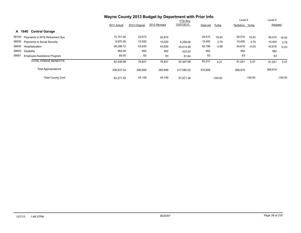|                                         | Wayne County 2013 Budget by Department with Prior Info |               |              |                 |          |           |                |           |         |           |
|-----------------------------------------|--------------------------------------------------------|---------------|--------------|-----------------|----------|-----------|----------------|-----------|---------|-----------|
|                                         |                                                        |               |              | <b>YTD thru</b> |          |           | Level 4        |           | Level 5 |           |
|                                         | 2011 Actual                                            | 2012 Original | 2012 Revised | 12/07/2012      | Dept est | $%$ chg   | Tentative %chg |           | Adopted |           |
| <b>Central Garage</b><br>A 1640         |                                                        |               |              |                 |          |           |                |           |         |           |
| 58100<br>Payments to NYS Retirement Sys | 14,741.00                                              | 22,672        | 22,672       |                 | 26,510   | 16.93     | 26,510         | 16.93     | 26,510  | 16.93     |
| 58200<br>Payments to Social Security    | 8,975.26                                               | 10,020        | 10,020       | 8,268.56        | 10,400   | 3.79      | 10,400         | 3.79      | 10,400  | 3.79      |
| 58400<br>Hospitalization                | 38,298.72                                              | 43,630        | 43,630       | 43.614.48       | 45,796   | 4.96      | 43,616         | $-0.03$   | 43,616  | $-0.03$   |
| 58600<br>Disability                     | 462.00                                                 | 462           | 462          | 423.00          | 462      |           | 462            |           | 462     |           |
| 58901<br>Employee Assistance Program    | 60.00                                                  | 63            | 63           | 61.64           | 63       |           | 63             |           | 63      |           |
| <b>TOTAL FRINGE BENEFITS</b>            | 62,536.98                                              | 76,847        | 76,847       | 52.367.68       | 83,231   | 8.31      | 81,051         | 5.47      | 81,051  | 5.47      |
| <b>Total Appropriations</b>             | 336,937.04                                             | 360,699       | 360,699      | 317.080.02      | 375,999  |           | 368,819        |           | 368,819 |           |
| <b>Total County Cost</b>                | 62.277.45                                              | 44,159        | 44,159       | 57,971.36       |          | $-100.00$ |                | $-100.00$ |         | $-100.00$ |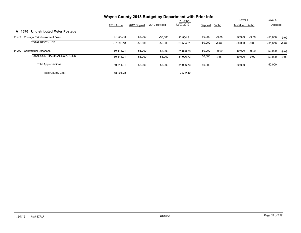|                                              | Wayne County 2013 Budget by Department with Prior Info |               | Level 4      |                               | Level 5   |         |                |         |                |         |
|----------------------------------------------|--------------------------------------------------------|---------------|--------------|-------------------------------|-----------|---------|----------------|---------|----------------|---------|
|                                              | 2011 Actual                                            | 2012 Original | 2012 Revised | <b>YTD thru</b><br>12/07/2012 | Dept est  | $%$ chg | Tentative %chg |         | <b>Adopted</b> |         |
| <b>Undistributed Meter Postage</b><br>A 1670 |                                                        |               |              |                               |           |         |                |         |                |         |
| 41274<br>Postage Reimbursement Fees          | $-37,290.18$                                           | $-55,000$     | $-55,000$    | $-23.564.31$                  | $-50,000$ | $-9.09$ | $-50,000$      | $-9.09$ | $-50,000$      | $-9.09$ |
| <b>TOTAL REVENUES</b>                        | $-37,290.18$                                           | $-55,000$     | $-55,000$    | $-23,564.31$                  | $-50,000$ | $-9.09$ | $-50,000$      | $-9.09$ | $-50,000$      | $-9.09$ |
| 54000<br><b>Contractual Expenses</b>         | 50,514.91                                              | 55,000        | 55,000       | 31.096.73                     | 50,000    | $-9.09$ | 50,000         | $-9.09$ | 50,000         | $-9.09$ |
| TOTAL CONTRACTUAL EXPENSES                   | 50,514.91                                              | 55,000        | 55,000       | 31,096.73                     | 50,000    | $-9.09$ | 50,000         | $-9.09$ | 50,000         | $-9.09$ |
| <b>Total Appropriations</b>                  | 50.514.91                                              | 55,000        | 55,000       | 31,096.73                     | 50,000    |         | 50,000         |         | 50,000         |         |
| <b>Total County Cost</b>                     | 13.224.73                                              |               |              | 7.532.42                      |           |         |                |         |                |         |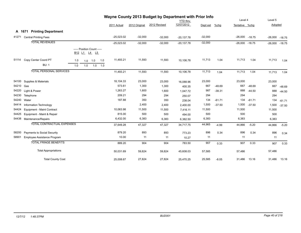|       | wayne County 2013 Budget by Department with Prior Info<br><b>YTD thru</b> |     |                                            |           |     |              |               |              |              |           | Level 4  |                  | Level 5  |           |          |
|-------|---------------------------------------------------------------------------|-----|--------------------------------------------|-----------|-----|--------------|---------------|--------------|--------------|-----------|----------|------------------|----------|-----------|----------|
|       |                                                                           |     |                                            |           |     | 2011 Actual  | 2012 Original | 2012 Revised | 12/07/2012   | Dept est  | %chg     | Tentative %chg   |          | Adopted   |          |
|       | A 1671 Printing Department                                                |     |                                            |           |     |              |               |              |              |           |          |                  |          |           |          |
| 41271 | <b>Central Printing Fees</b>                                              |     |                                            |           |     | $-25,023.02$ | $-32,000$     | $-32,000$    | $-20,137.78$ | $-32,000$ |          | $-26,000 -18.75$ |          | $-26,000$ | $-18.75$ |
|       | <b>TOTAL REVENUES</b>                                                     |     |                                            |           |     | $-25,023.02$ | $-32,000$     | $-32,000$    | $-20,137.78$ | $-32,000$ |          | $-26,000 -18.75$ |          | $-26,000$ | $-18.75$ |
|       |                                                                           |     | ----- Position Count -----<br>B12 L1 L4 L5 |           |     |              |               |              |              |           |          |                  |          |           |          |
| 51114 | Copy Center Coord PT                                                      | 1.0 |                                            | $1.0$ 1.0 | 1.0 | 11,493.21    | 11,593        | 11,593       | 10,106.78    | 11,713    | 1.04     | 11,713           | 1.04     | 11,713    | 1.04     |
|       | <b>BU: 1</b>                                                              | 1.0 | 1.0                                        | 1.0       | 1.0 |              |               |              |              |           |          |                  |          |           |          |
|       | <b>TOTAL PERSONAL SERVICES</b>                                            |     |                                            |           |     | 11,493.21    | 11,593        | 11,593       | 10,106.78    | 11,713    | 1.04     | 11,713           | 1.04     | 11,713    | 1.04     |
| 54100 | Supplies & Materials                                                      |     |                                            |           |     | 18,104.33    | 23,000        | 23,000       | 16,088.96    | 23,000    |          | 23,000           |          | 23,000    |          |
| 54210 | Gas                                                                       |     |                                            |           |     | 573.61       | 1,300         | 1,300        | 400.35       | 667       | $-48.69$ | 667              | $-48.69$ | 667       | $-48.69$ |
| 54220 | Light & Power                                                             |     |                                            |           |     | 1,263.27     | 1,600         | 1,600        | 1.047.72     | 987       | $-38.31$ | 888              | $-44.50$ | 888       | $-44.50$ |
| 54230 | Telephone                                                                 |     |                                            |           |     | 209.21       | 294           | 294          | 250.07       | 294       |          | 294              |          | 294       |          |
| 54240 | Water                                                                     |     |                                            |           |     | 187.88       | 350           | 350          | 238.04       | 134       | $-61.71$ | 134              | $-61.71$ | 134       | $-61.71$ |
| 54414 | Information Technology                                                    |     |                                            |           |     |              | 2,400         | 2,400        | 2,400.00     | 1,500     | $-37.50$ | 1,500            | $-37.50$ | 1,500     | $-37.50$ |
| 54424 | Equipment - Maint Contract                                                |     |                                            |           |     | 10,063.98    | 11,500        | 11,500       | 7,416.11     | 11,500    |          | 11,500           |          | 11,500    |          |
| 54425 | Equipment - Maint & Repair                                                |     |                                            |           |     | 815.00       | 500           | 500          | 494.00       | 500       |          | 500              |          | 500       |          |
| 54438 | Maintenance/Repairs                                                       |     |                                            |           |     | 6,432.00     | 6,383         | 6,383        | 6,382.50     | 6,383     |          | 6,383            |          | 6,383     |          |
|       | <b>TOTAL CONTRACTUAL EXPENSES</b>                                         |     |                                            |           |     | 37,649.28    | 47,327        | 47,327       | 34,717.75    | 44,965    | $-4.99$  | 44,866           | $-5.20$  | 44,866    | $-5.20$  |
| 58200 | Payments to Social Security                                               |     |                                            |           |     | 879.20       | 893           | 893          | 773.23       | 896       | 0.34     | 896              | 0.34     | 896       | 0.34     |
| 58901 | Employee Assistance Program                                               |     |                                            |           |     | 10.00        | 11            | 11           | 10.27        | 11        |          | 11               |          | 11        |          |
|       | <b>TOTAL FRINGE BENEFITS</b>                                              |     |                                            |           |     | 889.20       | 904           | 904          | 783.50       | 907       | 0.33     | 907              | 0.33     | 907       | 0.33     |
|       | <b>Total Appropriations</b>                                               |     |                                            |           |     | 50,031.69    | 59,824        | 59,824       | 45,608.03    | 57,585    |          | 57,486           |          | 57,486    |          |
|       | <b>Total County Cost</b>                                                  |     |                                            |           |     | 25,008.67    | 27,824        | 27,824       | 25,470.25    | 25,585    | $-8.05$  | 31,486           | 13.16    | 31,486    | 13.16    |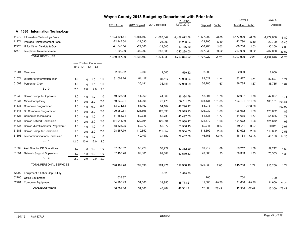|       |                                | Wayne County 2013 Budget by Department with Prior Info<br><b>YTD thru</b> |                            |         |      |                 |               |                           |                              |              |                    | Level 4        |           | Level 5      |               |
|-------|--------------------------------|---------------------------------------------------------------------------|----------------------------|---------|------|-----------------|---------------|---------------------------|------------------------------|--------------|--------------------|----------------|-----------|--------------|---------------|
|       |                                |                                                                           |                            |         |      | 2011 Actual     | 2012 Original | 2012 Revised              | 12/07/2012                   | Dept est     | $%$ chg            | Tentative %chg |           | Adopted      |               |
|       | A 1680 Information Technology  |                                                                           |                            |         |      |                 |               |                           |                              |              |                    |                |           |              |               |
| 41270 | Information Technology Fees    |                                                                           |                            |         |      | $-1,423,894.51$ | $-1,584,800$  |                           |                              | $-1,477,000$ |                    | $-1,477,000$   | $-6.80$   | $-1,477,000$ |               |
| 41274 | Postage Reimbursement Fees     |                                                                           |                            |         |      | $-22,447.64$    | $-24,090$     | $-1,620,349$<br>$-24,090$ | $-1,468,872.78$              | $-22,790$    | $-6.80$<br>$-5.40$ | $-22,790$      | $-5.40$   | $-22,790$    | $-6.80$       |
| 42228 | IT for Other Districts & Govt  |                                                                           |                            |         |      | $-21,646.54$    | $-29,600$     | $-29,600$                 | $-18,286.94$<br>$-19,476.30$ | $-30,200$    | 2.03               | $-30,200$      | 2.03      | $-30,200$    | $-5.40$       |
| 42778 | Telephone Reimbursement        |                                                                           |                            |         |      | $-1,899.30$     | $-200,000$    | $-200,000$                | $-247,238.00$                | $-267,030$   | 33.52              | $-267,030$     | 33.52     | $-267,030$   | 2.03<br>33.52 |
|       | <b>TOTAL REVENUES</b>          |                                                                           |                            |         |      |                 |               |                           |                              |              |                    |                |           |              |               |
|       |                                |                                                                           |                            |         |      | -1,469,887.99   | $-1,838,490$  | $-1,874,039$              | $-1,753,874.02$              | $-1,797,020$ | $-2.26$            | $-1,797,020$   | $-2.26$   | $-1,797,020$ | $-2.26$       |
|       |                                |                                                                           | ----- Position Count ----- |         |      |                 |               |                           |                              |              |                    |                |           |              |               |
|       |                                |                                                                           | B12 L1 L4 L5               |         |      |                 |               |                           |                              |              |                    |                |           |              |               |
| 51904 | Overtime                       |                                                                           |                            |         |      | 2,599.82        | 2,000         | 2,000                     | 1,559.32                     | 2,000        |                    | 2,000          |           | 2,000        |               |
| 51074 | Director of Information Tech   | 1.0                                                                       | 1.0                        | 1.0     | 1.0  | 81,009.26       | 81,117        | 81,117                    | 73,983.04                    | 82,527       | 1.74               | 82,527         | 1.74      | 82,527       | 1.74          |
| 51699 | Personnel Clerk                | 1.0                                                                       | 1.0                        | 1.0     | 1.0  |                 | 36,181        | 36,181                    | 32,953.99                    | 36,785       | 1.67               | 36,785         | 1.67      | 36,785       | 1.67          |
|       | <b>BU: 0</b>                   | 2.0                                                                       | 2.0                        | 2.0     | 2.0  |                 |               |                           |                              |              |                    |                |           |              |               |
| 51238 | Senior Computer Operator       | 1.0                                                                       | 1.0                        | 1.0     | 1.0  | 40,325.18       | 41,369        | 41,369                    | 36,384.79                    | 42,097       | 1.76               | 42,097         | 1.76      | 42,097       | 1.76          |
| 51337 | Micro Comp Prog                | 1.0                                                                       | 2.0                        | 2.0     | 2.0  | 50,639.01       | 51,098        | 76,473                    | 60,511.33                    | 103,131      | 101.83             | 103,131        | 101.83    | 103,131      | 101.83        |
| 51338 | <b>Computer Programmer</b>     | 1.0                                                                       | 1.0                        | 0.0     | 0.0  | 53,071.83       | 54,162        | 54,162                    | 47,290.17                    | 55,073       | 1.68               |                | $-100.00$ |              | $-100.00$     |
| 51346 | Sr. Computer Programmer        | 2.0                                                                       | 2.0                        | 2.0     | 2.0  | 120,259.61      | 123,696       | 123,696                   | 109,915.23                   | 126,032      | 1.89               | 126,032        | 1.89      | 126,032      | 1.89          |
| 51528 | <b>Computer Technicians</b>    | 1.0                                                                       | 1.0                        | 1.0     | 1.0  | 51,685.74       | 50,738        | 50,738                    | 45,497.05                    | 51,635       | 1.77               | 51,635         | 1.77      | 51,635       | 1.77          |
| 51535 | Senior Network Technician      | 2.0                                                                       | 2.0                        | 2.0     | 2.0  | 114,914.19      | 120,394       | 120,394                   | 107,938.47                   | 121,672      | 1.06               | 121,672        | 1.06      | 121,672      | 1.06          |
| 51537 | Senior MicroComputer Programmr | 1.0                                                                       | 1.0                        | 1.0     | 1.0  | 58,525.95       | 59,972        | 59,972                    | 53,588.15                    | 60,011       | 0.07               | 60,011         | 0.07      | 60,011       | 0.07          |
| 51588 | Senior Computer Technician     | 2.0                                                                       | 2.0                        | 2.0     | 2.0  | 98,557.79       | 110,852       | 110,852                   | 99,384.05                    | 113,692      | 2.56               | 113,692        | 2.56      | 113,692      | 2.56          |
| 51593 | Telecommunications Technician  | 1.0                                                                       | 1.0                        | 1.0     | 1.0  |                 | 40,407        | 40,407                    | 37,402.59                    | 46,163       | 14.25              | 46,163         | 14.25     | 46,163       | 14.25         |
|       | <b>BU: 1</b>                   | 12.0                                                                      | 13.0                       | 12.0    | 12.0 |                 |               |                           |                              |              |                    |                |           |              |               |
| 51339 | Asst Director DP Operations    | 1.0                                                                       | 1.0                        | 1.0     | 1.0  | 57,056.62       | 58,229        | 58,229                    | 52,362.29                    | 59,212       | 1.69               | 59,212         | 1.69      | 59,212       | 1.69          |
| 51351 | Network Support Supervisor     | 1.0                                                                       | 1.0                        | 1.0     | 1.0  | 67,457.76       | 69,381        | 69,381                    | 60,579.63                    | 70,303       | 1.33               | 70,303         | 1.33      | 70,303       | 1.33          |
|       | <b>BU: 4</b>                   | 2.0                                                                       | $2.0\,$                    | $2.0\,$ | 2.0  |                 |               |                           |                              |              |                    |                |           |              |               |
|       | <b>TOTAL PERSONAL SERVICES</b> |                                                                           |                            |         |      | 796,102.76      | 899,596       | 924,971                   | 819,350.10                   | 970,333      | 7.86               | 915,260        | 1.74      | 915,260      | 1.74          |
| 52000 | Equipment & Other Cap Outlay   |                                                                           |                            |         |      |                 |               | 3,529                     | 3,528.70                     |              |                    |                |           |              |               |
| 52200 | Office Equipment               |                                                                           |                            |         |      | 1,633.37        |               |                           |                              | 700          |                    | 700            |           | 700          |               |
| 52201 | <b>Computer Equipment</b>      |                                                                           |                            |         |      | 84,966.49       | 54,600        | 39,955                    | 38,773.21                    | 11,600       | $-78.75$           | 11,600         | $-78.75$  | 11,600       | $-78.75$      |
|       | <b>TOTAL EQUIPMENT</b>         |                                                                           |                            |         |      | 86.599.86       | 54.600        | 43.484                    | 42.301.91                    | 12,300       | $-77.47$           | 12.300 -77.47  |           |              | 12,300 -77.47 |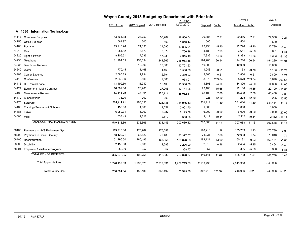|       |                                    | Wayne County 2013 Budget by Department with Prior Info |               |              |                 |           |          |                |              |           |          |
|-------|------------------------------------|--------------------------------------------------------|---------------|--------------|-----------------|-----------|----------|----------------|--------------|-----------|----------|
|       |                                    |                                                        |               |              | <b>YTD</b> thru |           |          | Level 4        |              | Level 5   |          |
|       |                                    | 2011 Actual                                            | 2012 Original | 2012 Revised | 12/07/2012      | Dept est  | $%$ chg  | Tentative %chg |              | Adopted   |          |
|       | A 1680 Information Technology      |                                                        |               |              |                 |           |          |                |              |           |          |
| 54116 | <b>Computer Supplies</b>           | 43,564.38                                              | 28,752        | 30,209       | 38,550.64       | 29,386    | 2.21     | 29,386         | 2.21         | 29,386    | 2.21     |
| 54150 | <b>Office Supplies</b>             | 564.97                                                 | 500           | 500          | 1,616.44        | 500       |          | 500            |              | 500       |          |
| 54166 | Postage                            | 19,913.28                                              | 24,090        | 24,090       | 19,895.91       | 22,790    | $-5.40$  | 22,790         | $-5.40$      | 22,790    | $-5.40$  |
| 54210 | Gas                                | 1,984.12                                               | 3,879         | 3,879        | 1,706.48        | 4,189     | 7.99     | 3,651          | $-5.88$      | 3,651     | $-5.88$  |
| 54220 | Light & Power                      | 8,106.51                                               | 17,236        | 17,236       | 7,315.10        | 7,832     | $-54.56$ | 8,383          | $-51.36$     | 8,383     | $-51.36$ |
| 54230 | Telephone                          | 31,994.59                                              | 153,054       | 241,365      | 215,063.38      | 194,280   | 26.94    | 194,280        | 26.94        | 194,280   | 26.94    |
| 54235 | <b>Telephone Repairs</b>           |                                                        | 10,000        | 10,000       | 12,701.63       | 10,000    |          | 10,000         |              | 10,000    |          |
| 54240 | Water                              | 770.45                                                 | 1,468         | 1,468        | 1,580.38        | 1,048     | $-28.61$ | 1,163          | $-20.78$     | 1,163     | $-20.78$ |
| 54408 | Copier Expense                     | 2,566.83                                               | 2,794         | 2,794        | 2,330.23        | 2,800     | 0.21     | 2,800          | 0.21         | 2,800     | 0.21     |
| 54410 | Conference                         | 2,832.06                                               | 2,800         | 2,800        | 1,958.01        | 8,670     | 209.64   | 8,670          | 209.64       | 8,670     | 209.64   |
| 54415 | IT - Rental/Lease                  | 13,499.50                                              | 11,940        | 12,105       | 10,530.00       | 14,806    | 24.00    | 14,806         | 24.00        | 14,806    | 24.00    |
| 54424 | Equipment - Maint Contract         | 16,569.00                                              | 26,200        | 27,005       | 17,744.25       | 22,100    | $-15.65$ | 22,100         | $-15.65$     | 22,100    | $-15.65$ |
| 54438 | Maintenance/Repairs                | 44,414.73                                              | 47,091        | 123,914      | 48,062.41       | 48,408    | 2.80     | 48,408         | 2.80         | 48,408    | 2.80     |
| 54472 | Subscriptions                      | 75.00                                                  | 200           | 200          |                 | 225       | 12.50    | 225            | 12.50        | 225       | 12.50    |
| 54475 | Software                           | 324,911.21                                             | 298,050       | 323,138      | 314,956.43      | 331,414   | 11.19    | 331,414        | 11.19        | 331,414   | 11.19    |
| 54483 | Training-Seminars & Schools        | 150.00                                                 | 1,000         | 2,592        | 2,901.70        | 1,000     |          | 1,000          |              | 1,000     |          |
| 54485 | Travel                             | 6,259.74                                               | 5,000         | 5,237        | 6,123.08        | 6,000     | 20.00    | 6,000          | 20.00        | 6,000     | 20.00    |
|       | 54600 Misc                         | 1,637.49                                               | 2,612         | 2,612        | 653.35          | 2,112     | $-19.14$ |                | 2,112 -19.14 | 2,112     | $-19.14$ |
|       | <b>TOTAL CONTRACTUAL EXPENSES</b>  | 519,813.86                                             | 636,666       | 831,145      | 703,689.42      | 707,560   | 11.14    | 707,688        | 11.16        | 707,688   | 11.16    |
| 58100 | Payments to NYS Retirement Sys     | 113,918.00                                             | 170,787       | 175,558      |                 | 190,218   | 11.38    | 175,789        | 2.93         | 175,789   | 2.93     |
| 58200 | <b>Payments to Social Security</b> | 58,122.71                                              | 68,822        | 70,483       | 60,377.07       | 74,231    | 7.86     | 70,018         | 1.74         | 70,018    | 1.74     |
| 58400 | Hospitalization                    | 151,196.64                                             | 160,186       | 163,851      | 160,876.53      | 182,121   | 13.69    | 160,131        | $-0.03$      | 160,131   | $-0.03$  |
| 58600 | Disability                         | 2,156.00                                               | 2,606         | 2,683        | 2,296.00        | 2,618     | 0.46     | 2,464          | $-5.45$      | 2,464     | $-5.45$  |
| 58901 | Employee Assistance Program        | 280.00                                                 | 357           | 357          | 328.77          | 357       |          | 336            | $-5.88$      | 336       | $-5.88$  |
|       | <b>TOTAL FRINGE BENEFITS</b>       | 325,673.35                                             | 402,758       | 412,932      | 223,878.37      | 449,545   | 11.62    | 408,738        | 1.48         | 408,738   | 1.48     |
|       | <b>Total Appropriations</b>        | 1,728,189.83                                           | 1,993,620     | 2,212,531    | 1,789,219.80    | 2,139,738 |          | 2,043,986      |              | 2,043,986 |          |
|       | <b>Total County Cost</b>           | 258,301.84                                             | 155,130       | 338,492      | 35,345.78       | 342,718   | 120.92   | 246,966        | 59.20        | 246,966   | 59.20    |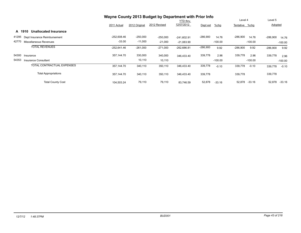|       |                                        | Wayne County 2013 Budget by Department with Prior Info |               |              |                 |            |           |                |           |            |           |
|-------|----------------------------------------|--------------------------------------------------------|---------------|--------------|-----------------|------------|-----------|----------------|-----------|------------|-----------|
|       |                                        |                                                        |               |              | <b>YTD</b> thru |            |           | Level 4        |           | Level 5    |           |
|       |                                        | 2011 Actual                                            | 2012 Original | 2012 Revised | 12/07/2012      | Dept est   | $%$ chg   | Tentative %chg |           | Adopted    |           |
|       | <b>Unallocated Insurance</b><br>A 1910 |                                                        |               |              |                 |            |           |                |           |            |           |
| 41295 | Dept Insurance Reimbursement           | $-252,608.46$                                          | $-250,000$    | $-250,000$   | $-241.602.91$   | $-286,900$ | 14.76     | -286,900       | 14.76     | $-286,900$ | 14.76     |
| 42770 | Miscellaneous Revenues                 | $-33.00$                                               | $-11,000$     | $-21,000$    | $-21,083.90$    |            | $-100.00$ |                | $-100.00$ |            | $-100.00$ |
|       | <b>TOTAL REVENUES</b>                  | $-252,641.46$                                          | $-261,000$    | $-271,000$   | $-262,686.81$   | $-286,900$ | 9.92      | $-286,900$     | 9.92      | $-286,900$ | 9.92      |
| 54300 | Insurance                              | 357,144.70                                             | 330,000       | 340,000      | 346.433.40      | 339,778    | 2.96      | 339,778        | 2.96      | 339,778    | 2.96      |
| 54353 | Insurance Consultant                   |                                                        | 10,110        | 10,110       |                 |            | $-100.00$ |                | $-100.00$ |            | $-100.00$ |
|       | <b>TOTAL CONTRACTUAL EXPENSES</b>      | 357,144.70                                             | 340,110       | 350,110      | 346,433.40      | 339,778    | $-0.10$   | 339,778        | $-0.10$   | 339,778    | $-0.10$   |
|       | <b>Total Appropriations</b>            | 357,144.70                                             | 340,110       | 350,110      | 346,433.40      | 339,778    |           | 339,778        |           | 339,778    |           |
|       | <b>Total County Cost</b>               | 104,503.24                                             | 79,110        | 79,110       | 83.746.59       | 52,878     | $-33.16$  | 52,878         | $-33.16$  | 52,878     | $-33.16$  |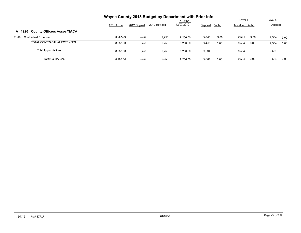|                                      | Wayne County 2013 Budget by Department with Prior Info |               |              |                               |          |         |                |      |                |      |
|--------------------------------------|--------------------------------------------------------|---------------|--------------|-------------------------------|----------|---------|----------------|------|----------------|------|
|                                      |                                                        |               |              | <b>YTD</b> thru<br>12/07/2012 |          |         | Level 4        |      | Level 5        |      |
|                                      | 2011 Actual                                            | 2012 Original | 2012 Revised |                               | Dept est | $%$ chg | Tentative %chg |      | <b>Adopted</b> |      |
| A 1920 County Officers Assoc/NACA    |                                                        |               |              |                               |          |         |                |      |                |      |
| 54000<br><b>Contractual Expenses</b> | 8.987.00                                               | 9,256         | 9,256        | 9.256.00                      | 9,534    | 3.00    | 9,534          | 3.00 | 9,534          | 3.00 |
| TOTAL CONTRACTUAL EXPENSES           | 8.987.00                                               | 9,256         | 9,256        | 9.256.00                      | 9,534    | 3.00    | 9,534          | 3.00 | 9,534          | 3.00 |
| <b>Total Appropriations</b>          | 8.987.00                                               | 9,256         | 9,256        | 9,256.00                      | 9,534    |         | 9,534          |      | 9,534          |      |
| <b>Total County Cost</b>             | 8.987.00                                               | 9,256         | 9,256        | 9.256.00                      | 9,534    | 3.00    | 9,534          | 3.00 | 9,534          | 3.00 |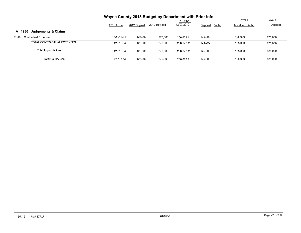|                                          | Wayne County 2013 Budget by Department with Prior Info |               |              |                 |                     |                |                |
|------------------------------------------|--------------------------------------------------------|---------------|--------------|-----------------|---------------------|----------------|----------------|
|                                          |                                                        |               |              | <b>YTD</b> thru |                     | Level 4        | Level 5        |
|                                          | 2011 Actual                                            | 2012 Original | 2012 Revised | 12/07/2012      | $%$ chg<br>Dept est | Tentative %chg | <b>Adopted</b> |
| <b>Judgements &amp; Claims</b><br>A 1930 |                                                        |               |              |                 |                     |                |                |
| 54000<br><b>Contractual Expenses</b>     | 142.018.34                                             | 125,000       | 270.000      | 266.673.11      | 125,000             | 125.000        | 125.000        |
| TOTAL CONTRACTUAL EXPENSES               | 142.018.34                                             | 125,000       | 270.000      | 266.673.11      | 125,000             | 125.000        | 125,000        |
| <b>Total Appropriations</b>              | 142.018.34                                             | 125,000       | 270.000      | 266.673.11      | 125,000             | 125.000        | 125,000        |
| <b>Total County Cost</b>                 | 142.018.34                                             | 125,000       | 270,000      | 266.673.11      | 125,000             | 125.000        | 125.000        |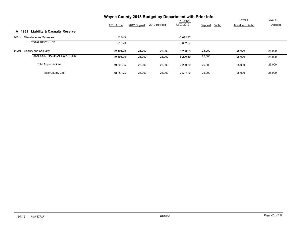|                                                   | Wayne County 2013 Budget by Department with Prior Info |               |              |             |                     |                |         |
|---------------------------------------------------|--------------------------------------------------------|---------------|--------------|-------------|---------------------|----------------|---------|
|                                                   |                                                        |               |              | YTD thru    |                     | Level 4        | Level 5 |
|                                                   | 2011 Actual                                            | 2012 Original | 2012 Revised | 12/07/2012  | $%$ chg<br>Dept est | Tentative %chg | Adopted |
| <b>Liability &amp; Casualty Reserve</b><br>A 1931 |                                                        |               |              |             |                     |                |         |
| 42770<br>Miscellaneous Revenues                   | -815.20                                                |               |              | $-3,692.87$ |                     |                |         |
| <b>TOTAL REVENUES</b>                             | $-815.20$                                              |               |              | $-3,692.87$ |                     |                |         |
| 54998<br>Liability and Casualty                   | 19,698.95                                              | 25,000        | 25,000       | 6,200.39    | 25,000              | 25,000         | 25,000  |
| TOTAL CONTRACTUAL EXPENSES                        | 19.698.95                                              | 25,000        | 25,000       | 6,200.39    | 25,000              | 25,000         | 25,000  |
| <b>Total Appropriations</b>                       | 19.698.95                                              | 25,000        | 25,000       | 6,200.39    | 25,000              | 25,000         | 25,000  |
| <b>Total County Cost</b>                          | 18,883.75                                              | 25,000        | 25,000       | 2.507.52    | 25,000              | 25,000         | 25,000  |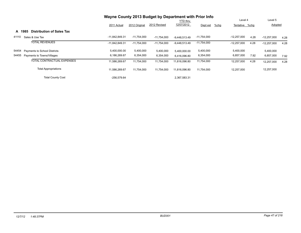|       |                                            | Wayne County 2013 Budget by Department with Prior Info |               |               |                 |                     |                |      |               |      |
|-------|--------------------------------------------|--------------------------------------------------------|---------------|---------------|-----------------|---------------------|----------------|------|---------------|------|
|       |                                            |                                                        |               |               | <b>YTD thru</b> |                     | Level 4        |      | Level 5       |      |
|       |                                            | 2011 Actual                                            | 2012 Original | 2012 Revised  | 12/07/2012      | $%$ chg<br>Dept est | Tentative %chq |      | Adopted       |      |
|       | <b>Distribution of Sales Tax</b><br>A 1985 |                                                        |               |               |                 |                     |                |      |               |      |
| 41110 | Sales & Use Tax                            | $-11,842,849.31$                                       | $-11,754,000$ | $-11,754,000$ | $-9.448.513.49$ | $-11,754,000$       | $-12,257,000$  | 4.28 | $-12,257,000$ | 4.28 |
|       | <b>TOTAL REVENUES</b>                      | $-11,842,849.31$                                       | $-11,754,000$ | $-11,754,000$ | $-9,448,513.49$ | $-11,754,000$       | $-12,257,000$  | 4.28 | $-12,257,000$ | 4.28 |
| 54454 | Payments to School Districts               | 5,400,000.00                                           | 5,400,000     | 5,400,000     | 5,400,000.00    | 5,400,000           | 5,400,000      |      | 5,400,000     |      |
| 54455 | Payments to Towns/Villages                 | 6,186,269.67                                           | 6,354,000     | 6,354,000     | 6,416,096.80    | 6,354,000           | 6,857,000      | 7.92 | 6,857,000     | 7.92 |
|       | <b>TOTAL CONTRACTUAL EXPENSES</b>          | 11.586.269.67                                          | 11.754.000    | 11,754,000    | 11.816.096.80   | 11,754,000          | 12,257,000     | 4.28 | 12,257,000    | 4.28 |
|       | <b>Total Appropriations</b>                | 11.586.269.67                                          | 11,754,000    | 11,754,000    | 11.816.096.80   | 11,754,000          | 12,257,000     |      | 12,257,000    |      |
|       | <b>Total County Cost</b>                   | $-256,579.64$                                          |               |               | 2,367,583.31    |                     |                |      |               |      |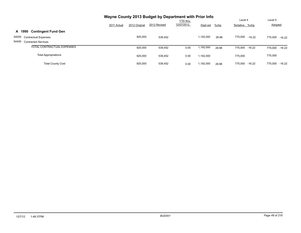|                                      | Wayne County 2013 Budget by Department with Prior Info |               |              |                 |           |       |                     |                     |
|--------------------------------------|--------------------------------------------------------|---------------|--------------|-----------------|-----------|-------|---------------------|---------------------|
|                                      |                                                        |               |              | <b>YTD thru</b> |           |       | Level 4             | Level 5             |
|                                      | 2011 Actual                                            | 2012 Original | 2012 Revised | 12/07/2012      | Dept est  | %chg  | Tentative %chg      | <b>Adopted</b>      |
| <b>Contingent Fund Gen</b><br>A 1990 |                                                        |               |              |                 |           |       |                     |                     |
| 54000<br><b>Contractual Expenses</b> |                                                        | 925,000       | 539,452      |                 | 1.192.000 | 28.86 | 775,000<br>$-16.22$ | 775,000 -16.22      |
| 54400 Contracted Services            |                                                        |               |              |                 |           |       |                     |                     |
| <b>TOTAL CONTRACTUAL EXPENSES</b>    |                                                        | 925,000       | 539,452      | 0.00            | 1,192,000 | 28.86 | 775,000 -16.22      | $-16.22$<br>775.000 |
| <b>Total Appropriations</b>          |                                                        | 925,000       | 539,452      | 0.00            | 1,192,000 |       | 775.000             | 775,000             |
| <b>Total County Cost</b>             |                                                        | 925,000       | 539.452      | 0.00            | 1,192,000 | 28.86 | 775.000<br>-16.22   | 775.000<br>$-16.22$ |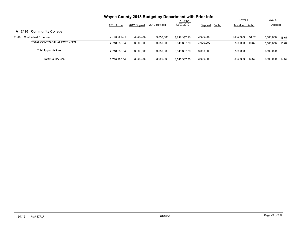|                                      | Wayne County 2013 Budget by Department with Prior Info |               |              |                 |                     |                |       |                |       |
|--------------------------------------|--------------------------------------------------------|---------------|--------------|-----------------|---------------------|----------------|-------|----------------|-------|
|                                      |                                                        |               |              | <b>YTD</b> thru |                     | Level 4        |       | Level 5        |       |
|                                      | 2011 Actual                                            | 2012 Original | 2012 Revised | 12/07/2012      | $%$ chg<br>Dept est | Tentative %chg |       | <b>Adopted</b> |       |
| A 2490<br><b>Community College</b>   |                                                        |               |              |                 |                     |                |       |                |       |
| 54000<br><b>Contractual Expenses</b> | 2.718.286.04                                           | 3,000,000     | 3,650,000    | 3.646.337.30    | 3,000,000           | 3,500,000      | 16.67 | 3,500,000      | 16.67 |
| TOTAL CONTRACTUAL EXPENSES           | 2.718.286.04                                           | 3,000,000     | 3,650,000    | 3.646.337.30    | 3,000,000           | 3,500,000      | 16.67 | 3,500,000      | 16.67 |
| <b>Total Appropriations</b>          | 2.718.286.04                                           | 3,000,000     | 3,650,000    | 3.646.337.30    | 3,000,000           | 3,500,000      |       | 3,500,000      |       |
| <b>Total County Cost</b>             | 2.718.286.04                                           | 3,000,000     | 3,650,000    | 3.646.337.30    | 3,000,000           | 3,500,000      | 16.67 | 3,500,000      | 16.67 |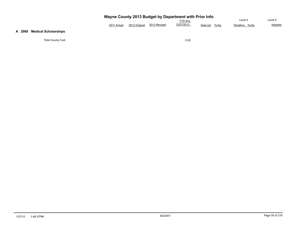| Wayne County 2013 Budget by Department with Prior Info |
|--------------------------------------------------------|
|--------------------------------------------------------|

|             |               |              | $\frac{1}{2}$  |          |      |                   |         |
|-------------|---------------|--------------|----------------|----------|------|-------------------|---------|
|             |               |              | <b>TD</b> thru |          |      | ∟evel 4           | _evel 5 |
| 2011 Actual | 2012 Original | 2012 Revised | 12/07/2012     | Dept est | %cha | %cha<br>Tentative | Adopted |

## **A 2980 Medical Scholarships**

Total County Cost 0.00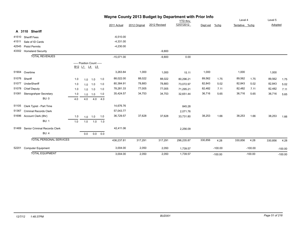| Wayne County 2013 Budget by Department with Prior Info |  |  |  |  |
|--------------------------------------------------------|--|--|--|--|
|--------------------------------------------------------|--|--|--|--|

|       |                                |                                |                            |              |             |              |               |              | <b>YTD</b> thru |          |           | Level 4        |           | Level 5 |           |
|-------|--------------------------------|--------------------------------|----------------------------|--------------|-------------|--------------|---------------|--------------|-----------------|----------|-----------|----------------|-----------|---------|-----------|
|       |                                |                                |                            |              |             | 2011 Actual  | 2012 Original | 2012 Revised | 12/07/2012      | Dept est | %chg      | Tentative %chg |           | Adopted |           |
|       | A 3110 Sheriff                 |                                |                            |              |             |              |               |              |                 |          |           |                |           |         |           |
| 41510 | <b>Sheriff Fees</b>            |                                |                            |              |             | $-6,510.00$  |               |              |                 |          |           |                |           |         |           |
| 41511 | Sale of ID Cards               |                                |                            |              |             | $-4,331.00$  |               |              |                 |          |           |                |           |         |           |
| 42545 | <b>Pistol Permits</b>          |                                |                            |              |             | $-4,230.00$  |               |              |                 |          |           |                |           |         |           |
| 43302 | <b>Homeland Security</b>       |                                |                            |              |             |              |               | $-9,800$     |                 |          |           |                |           |         |           |
|       | <b>TOTAL REVENUES</b>          |                                |                            |              |             | $-15,071.00$ |               | $-9,800$     | 0.00            |          |           |                |           |         |           |
|       |                                | B <sub>12</sub> L <sub>1</sub> | ----- Position Count ----- | <u>L4 L5</u> |             |              |               |              |                 |          |           |                |           |         |           |
|       | 51904 Overtime                 |                                |                            |              |             | 3,263.84     | 1,000         | 1,000        | 15.11           | 1,000    |           | 1,000          |           | 1,000   |           |
|       | 51076 Sheriff                  | 1.0                            | 1.0                        | 1.0          | 1.0         | 88,022.00    | 88,022        | 88,022       | 80,296.21       | 89,562   | 1.75      | 89,562         | 1.75      | 89,562  | 1.75      |
|       | 51077 UnderSheriff             | 1.0                            |                            | $1.0$ 1.0    | 1.0         | 80,384.91    | 78,883        | 78,883       | 73,072.97       | 82,843   | 5.02      | 82,843         | 5.02      | 82,843  | 5.02      |
| 51078 | <b>Chief Deputy</b>            | 1.0                            | 1.0                        | 1.0          | 1.0         | 78,281.33    | 77,005        | 77,005       | 71,295.21       | 82,482   | 7.11      | 82,482         | 7.11      | 82,482  | 7.11      |
| 51081 | <b>Stenograhper Secretary</b>  | 1.0                            |                            | $1.0$ 1.0    | 1.0         | 35,424.57    | 34,753        | 34,753       | 32,651.44       | 36,716   | 5.65      | 36,716         | 5.65      | 36,716  | 5.65      |
|       | <b>BU: 0</b>                   | 4.0                            | 4.0                        |              | 4.0 4.0     |              |               |              |                 |          |           |                |           |         |           |
| 51105 | Clerk Typist - Part Time       |                                |                            |              |             | 14,676.76    |               |              | 845.28          |          |           |                |           |         |           |
| 51367 | <b>Criminal Records Clerk</b>  |                                |                            |              |             | 57,043.77    |               |              | 2,071.76        |          |           |                |           |         |           |
|       | 51696 Account Clerk (8hr)      | 1.0                            |                            | $1.0$ 1.0    | 1.0         | 36,729.57    | 37,628        | 37,628       | 33,731.80       | 38,253   | 1.66      | 38,253         | 1.66      | 38,253  | 1.66      |
|       | <b>BU: 1</b>                   | 1.0                            | 1.0                        |              | $1.0$ $1.0$ |              |               |              |                 |          |           |                |           |         |           |
| 51469 | Senior Criminal Records Clerk  |                                |                            |              |             | 42,411.06    |               |              | 2,256.09        |          |           |                |           |         |           |
|       | <b>BU: 4</b>                   |                                | 0.0                        |              | 0.0 0.0     |              |               |              |                 |          |           |                |           |         |           |
|       | <b>TOTAL PERSONAL SERVICES</b> |                                |                            |              |             | 436,237.81   | 317,291       | 317,291      | 296,235.87      | 330,856  | 4.28      | 330,856        | 4.28      | 330,856 | 4.28      |
| 52201 | <b>Computer Equipment</b>      |                                |                            |              |             | 3,004.00     | 2,050         | 2,050        | 1,739.57        |          | $-100.00$ |                | $-100.00$ |         | $-100.00$ |
|       | <b>TOTAL EQUIPMENT</b>         |                                |                            |              |             | 3,004.00     | 2.050         | 2.050        | 1.739.57        |          | $-100.00$ |                | $-100.00$ |         | $-100.00$ |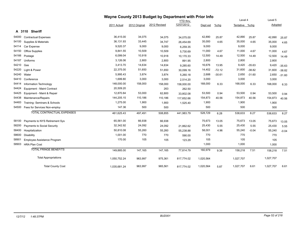|       |                                   |              | Wayne County 2013 Budget by Department with Prior Info |              |                 |           |          |                |          |           |          |  |
|-------|-----------------------------------|--------------|--------------------------------------------------------|--------------|-----------------|-----------|----------|----------------|----------|-----------|----------|--|
|       |                                   |              |                                                        |              | <b>YTD</b> thru |           |          | Level 4        |          | Level 5   |          |  |
|       |                                   | 2011 Actual  | 2012 Original                                          | 2012 Revised | 12/07/2012      | Dept est  | %chg     | Tentative %chg |          | Adopted   |          |  |
|       | A 3110 Sheriff                    |              |                                                        |              |                 |           |          |                |          |           |          |  |
| 54000 | <b>Contractual Expenses</b>       | 36,415.00    | 34,075                                                 | 34,075       | 34,075.00       | 42,890    | 25.87    | 42,890         | 25.87    | 42,890    | 25.87    |  |
| 54100 | Supplies & Materials              | 36,131.93    | 33,445                                                 | 34,747       | 26,454.69       | 35,000    | 4.65     | 35,000         | 4.65     | 35,000    | 4.65     |  |
| 54114 | Car Expense                       | 9,520.37     | 9,000                                                  | 9,000        | 6,259.35        | 9,000     |          | 9,000          |          | 9,000     |          |  |
| 54150 | Office Supplies                   | 9,841.55     | 10,509                                                 | 10,509       | 5,730.69        | 11,000    | 4.67     | 11,000         | 4.67     | 11,000    | 4.67     |  |
| 54166 | Postage                           | 6,099.04     | 10,918                                                 | 10,918       | 10,170.33       | 12,500    | 14.49    | 12,500         | 14.49    | 12,500    | 14.49    |  |
| 54187 | Uniforms                          | 3,126.06     | 2,800                                                  | 2,800        | 891.95          | 2,800     |          | 2,800          |          | 2,800     |          |  |
| 54210 | Gas                               | 3,413.70     | 14,634                                                 | 14,634       | 9,285.60        | 16,676    | 13.95    | 9,420          | $-35.63$ | 9,420     | $-35.63$ |  |
| 54220 | Light & Power                     | 22,375.00    | 51,650                                                 | 51,650       | 30,099.16       | 14,402    | $-72.12$ | 31,600         | $-38.82$ | 31,600    | $-38.82$ |  |
| 54240 | Water                             | 5,995.43     | 3,874                                                  | 3,874        | 5,260.18        | 2,688     | $-30.61$ | 2,650          | $-31.60$ | 2,650     | $-31.60$ |  |
| 54410 | Conference                        | 1,699.80     | 3,000                                                  | 3,000        | 2,514.20        | 3,000     |          | 3,000          |          | 3,000     |          |  |
| 54414 | <b>Information Technology</b>     | 148,000.00   | 158,000                                                | 158,000      | 158,000.00      | 168,000   | 6.33     | 168,000        | 6.33     | 168,000   | 6.33     |  |
| 54424 | Equipment - Maint Contract        | 20,509.20    |                                                        | 263          | 262.50          |           |          |                |          |           |          |  |
| 54425 | Equipment - Maint & Repair        | 12,870.84    | 53,000                                                 | 62,800       | 33,802.08       | 53,500    | 0.94     | 53,500         | 0.94     | 53,500    | 0.94     |  |
| 54438 | Maintenance/Repairs               | 144,205.15   | 110,186                                                | 110,186      | 117,652.66      | 154,873   | 40.56    | 154,873        | 40.56    | 154,873   | 40.56    |  |
| 54483 | Training- Seminars & Schools      | 1,275.00     | 1,900                                                  | 1,900        | 1,525.40        | 1,900     |          | 1,900          |          | 1,900     |          |  |
| 54500 | Fees for Services Non-employ      | 147.36       | 500                                                    | 500          |                 | 500       |          | 500            |          | 500       |          |  |
|       | <b>TOTAL CONTRACTUAL EXPENSES</b> | 461,625.43   | 497,491                                                | 508,855      | 441,983.79      | 528,729   | 6.28     | 538,633        | 8.27     | 538,633   | 8.27     |  |
| 58100 | Payments to NYS Retirement Sys    | 65,561.00    | 66,938                                                 | 66,938       |                 | 75,673    | 13.05    | 75,673         | 13.05    | 75,673    | 13.05    |  |
| 58200 | Payments to Social Security       | 32,342.92    | 24,092                                                 | 24,092       | 21,862.62       | 25,430    | 5.55     | 25,430         | 5.55     | 25,430    | 5.55     |  |
| 58400 | Hospitalization                   | 50,810.08    | 55,260                                                 | 55,260       | 55,238.88       | 58,001    | 4.96     | 55,240         | $-0.04$  | 55,240    | $-0.04$  |  |
| 58600 | Disability                        | 1,001.00     | 770                                                    | 770          | 590.00          | 770       |          | 770            |          | 770       |          |  |
| 58901 | Employee Assistance Program       | 170.00       | 105                                                    | 105          | 123.29          | 105       |          | 105            |          | 105       |          |  |
| 58903 | <b>HRA Plan Cost</b>              |              |                                                        |              |                 | 1,000     |          | 1,000          |          | 1,000     |          |  |
|       | <b>TOTAL FRINGE BENEFITS</b>      | 149,885.00   | 147,165                                                | 147,165      | 77,814.79       | 160,979   | 9.39     | 158,218        | 7.51     | 158,218   | 7.51     |  |
|       | <b>Total Appropriations</b>       | 1,050,752.24 | 963,997                                                | 975,361      | 817,774.02      | 1,020,564 |          | 1,027,707      |          | 1,027,707 |          |  |
|       | <b>Total County Cost</b>          | 1,035,681.24 | 963,997                                                | 965,561      | 817,774.02      | 1,020,564 | 5.87     | 1,027,707      | 6.61     | 1,027,707 | 6.61     |  |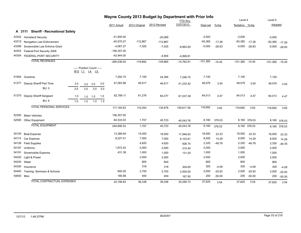|            |                                      |     |                                                                                            |             |               |               | Wayne County 2013 Budget by Department with Prior Info |                        |            |          |                   |                   |                   |              |
|------------|--------------------------------------|-----|--------------------------------------------------------------------------------------------|-------------|---------------|---------------|--------------------------------------------------------|------------------------|------------|----------|-------------------|-------------------|-------------------|--------------|
|            |                                      |     |                                                                                            |             |               |               |                                                        | YTD thru<br>12/07/2012 |            |          | Level 4           |                   | Level 5           |              |
|            |                                      |     |                                                                                            |             | 2011 Actual   | 2012 Original | 2012 Revised                                           |                        | Dept est   | %chg     | Tentative %chg    |                   | <b>Adopted</b>    |              |
|            | A 3111 Sheriff - Recreational Safety |     |                                                                                            |             |               |               |                                                        |                        |            |          |                   |                   |                   |              |
| 43302      | <b>Homeland Security</b>             |     |                                                                                            |             | $-41,600.00$  |               | $-25,069$                                              |                        | $-3,000$   |          | $-3,000$          |                   | $-3,000$          |              |
| 43315      | Navigation Law Enforcement           |     |                                                                                            |             | -40,570.27    | $-112,867$    | $-112,867$                                             |                        | $-93,365$  | $-17.28$ | $-93,365$         | $-17.28$          | $-93,365$         | $-17.28$     |
| 43399      | Snowmobile Law Enforce Grant         |     |                                                                                            |             | $-4,067.27$   | $-7,025$      | $-7,025$                                               | $-9,863.00$            | $-5,000$   | $-28.83$ |                   | $-5,000$ $-28.83$ | $-5,000$          | $-28.83$     |
| 44303      | Federal-Port Security 2009           |     |                                                                                            |             | $-156,357.00$ |               |                                                        |                        |            |          |                   |                   |                   |              |
| 44304      | FEDERAL-PORT SECURITY                |     |                                                                                            |             | $-42,944.00$  |               | $-4,904$                                               | $-4,899.81$            |            |          |                   |                   |                   |              |
|            | <b>TOTAL REVENUES</b>                |     |                                                                                            |             | $-285,538.54$ | $-119,892$    | $-149,865$                                             | $-14,762.81$           | $-101,365$ | $-15.45$ | $-101,365 -15.45$ |                   | $-101,365 -15.45$ |              |
|            |                                      |     | ----- Position Count -----<br>B <sub>12</sub> L <sub>1</sub> L <sub>4</sub> L <sub>5</sub> |             |               |               |                                                        |                        |            |          |                   |                   |                   |              |
|            | 51904 Overtime                       |     |                                                                                            |             | 7.292.74      | 7,100         | 24,384                                                 | 7,046.75               | 7,100      |          | 7,100             |                   | 7,100             |              |
|            | 51377 Deputy Sheriff Part Time       | 3.0 | 3.0                                                                                        | 3.0<br>3.0  | 47,083.98     | 46,917        | 46,917                                                 | 41,233.42              | 48,579     | 3.54     | 48,579            | 3.54              | 48,579            | 3.54         |
|            | <b>BU: 0</b>                         | 3.0 | 3.0                                                                                        | 3.0<br>3.0  |               |               |                                                        |                        |            |          |                   |                   |                   |              |
|            | 51370 Deputy Sheriff Sergeant        | 1.0 | 1.0<br>1.0                                                                                 | 1.0         | 62,789.11     | 61,276        | 64,377                                                 | 61,537.39              | 64,013     | 4.47     | 64,013            | 4.47              | 64,013            | 4.47         |
|            | <b>BU: 6</b>                         | 1.0 | 1.0                                                                                        | $1.0$ $1.0$ |               |               |                                                        |                        |            |          |                   |                   |                   |              |
|            | <b>TOTAL PERSONAL SERVICES</b>       |     |                                                                                            |             | 117, 165.83   | 115,293       | 135,678                                                | 109,817.56             | 119,692    | 3.82     | 119,692           | 3.82              | 119,692           | 3.82         |
| 52300      | <b>Motor Vehicles</b>                |     |                                                                                            |             | 156,357.00    |               |                                                        |                        |            |          |                   |                   |                   |              |
|            | 52500 Other Equipment                |     |                                                                                            |             | 84,533.53     | 1,707         | 45,723                                                 | 40,043.76              | 8,160      | 378.03   |                   | 8,160 378.03      |                   | 8,160 378.03 |
|            | <b>TOTAL EQUIPMENT</b>               |     |                                                                                            |             | 240,890.53    | 1,707         | 45,723                                                 | 40,043.76              | 8,160      | 378.03   |                   | 8,160 378.03      |                   | 8,160 378.03 |
| 54105      | <b>Boat Expense</b>                  |     |                                                                                            |             | 13,389.94     | 15,000        | 18,000                                                 | 17,946.63              | 18,500     | 23.33    | 18,500            | 23.33             | 18,500            | 23.33        |
| 54114      | Car Expense                          |     |                                                                                            |             | 8,227.41      | 7,000         | 7,000                                                  | 8,103.61               | 8,000      | 14.29    | 8,000             | 14.29             | 8,000             | 14.29        |
| 54126      | <b>Field Supplies</b>                |     |                                                                                            |             |               | 4,620         | 4,620                                                  | 926.74                 | 2,320      | $-49.78$ | 2,320             | $-49.78$          | 2,320             | $-49.78$     |
| 54187      | Uniforms                             |     |                                                                                            |             | 1,672.42      | 2,000         | 2,000                                                  | 210.40                 | 2,000      |          | 2,000             |                   | 2,000             |              |
| 54191      | Snowmobile Expense                   |     |                                                                                            |             | 431.38        | 1,000         | 1,000                                                  | 131.20                 | 1,000      |          | 1,000             |                   | 1,000             |              |
| 54220      | Light & Power                        |     |                                                                                            |             |               | 2,500         | 2,500                                                  |                        | 2,500      |          | 2,500             |                   | 2,500             |              |
| 54240      | Water                                |     |                                                                                            |             |               | 800           | 800                                                    |                        | 800        |          | 800               |                   | 800               |              |
| 54300      | Insurance                            |     |                                                                                            |             |               | 318           | 318                                                    | 304.65                 | 305        | $-4.09$  | 305               | $-4.09$           | 305               | $-4.09$      |
| 54483      | Training- Seminars & Schools         |     |                                                                                            |             | 840.00        | 2,700         | 2,700                                                  | 2,500.00               | 2,000      | $-25.93$ | 2,000             | $-25.93$          | 2,000             | $-25.93$     |
| 54600 Misc |                                      |     |                                                                                            |             | 185.68        | 400           | 400                                                    | 167.50                 | 200        | $-50.00$ | 200               | $-50.00$          | 200               | $-50.00$     |
|            | <b>TOTAL CONTRACTUAL EXPENSES</b>    |     |                                                                                            |             | 24,746.83     | 36,338        | 39,338                                                 | 30,290.73              | 37,625     | 3.54     | 37,625            | 3.54              | 37,625            | 3.54         |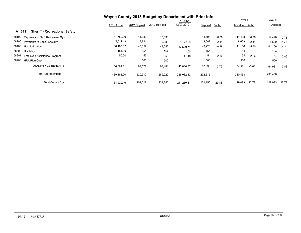|                                                |             |               | Wayne County 2013 Budget by Department with Prior Info |                 |          |         |                |         |         |         |
|------------------------------------------------|-------------|---------------|--------------------------------------------------------|-----------------|----------|---------|----------------|---------|---------|---------|
|                                                |             |               |                                                        | <b>YTD thru</b> |          |         | Level 4        |         | Level 5 |         |
|                                                | 2011 Actual | 2012 Original | 2012 Revised                                           | 12/07/2012      | Dept est | $%$ chg | Tentative %chq |         | Adopted |         |
| <b>Sheriff - Recreational Safety</b><br>A 3111 |             |               |                                                        |                 |          |         |                |         |         |         |
| 58100<br>Payments to NYS Retirement Sys        | 11,782.00   | 14,389        | 15,033                                                 |                 | 14,498   | 0.76    | 14,498         | 0.76    | 14,498  | 0.76    |
| 58200<br><b>Payments to Social Security</b>    | 8,511.49    | 8,824         | 9,089                                                  | 8,177.53        | 8,609    | $-2.44$ | 8,609          | $-2.44$ | 8,609   | $-2.44$ |
| 58400<br>Hospitalization                       | 36,167.32   | 43,652        | 43,652                                                 | 37,520.74       | 43,223   | $-0.98$ | 41,166         | $-5.70$ | 41,166  | $-5.70$ |
| 58600<br>Disability                            | 154.00      | 154           | 154                                                    | 141.00          | 154      |         | 154            |         | 154     |         |
| 58901<br>Employee Assistance Program           | 50.00       | 53            | 53                                                     | 41.10           | 54       | 2.86    | 54             | 2.86    | 54      | 2.86    |
| 58903<br><b>HRA Plan Cost</b>                  |             | 500           | 500                                                    |                 | 500      |         | 500            |         | 500     |         |
| <b>TOTAL FRINGE BENEFITS</b>                   | 56,664.81   | 67,572        | 68,481                                                 | 45,880.37       | 67,038   | $-0.79$ | 64,981         | $-3.83$ | 64,981  | $-3.83$ |
| <b>Total Appropriations</b>                    | 439,468.00  | 220,910       | 289,220                                                | 226,032.42      | 232,515  |         | 230,458        |         | 230,458 |         |
| <b>Total County Cost</b>                       | 153,929.46  | 101,018       | 139,355                                                | 211.269.61      | 131,150  | 29.83   | 129,093        | 27.79   | 129,093 | 27.79   |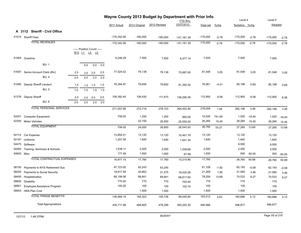|            |                                   |     |     |                                                              |     |               |               | Wayne County 2013 Budget by Department with Prior Info |                 |            |         |                |            |            |          |
|------------|-----------------------------------|-----|-----|--------------------------------------------------------------|-----|---------------|---------------|--------------------------------------------------------|-----------------|------------|---------|----------------|------------|------------|----------|
|            |                                   |     |     |                                                              |     |               |               |                                                        | <b>YTD</b> thru |            |         | Level 4        |            | Level 5    |          |
|            |                                   |     |     |                                                              |     | 2011 Actual   | 2012 Original | 2012 Revised                                           | 12/07/2012      | Dept est   | $%$ chg | Tentative %chg |            | Adopted    |          |
|            | A 3112 Sheriff - Civil Office     |     |     |                                                              |     |               |               |                                                        |                 |            |         |                |            |            |          |
|            | 41510 Sheriff Fees                |     |     |                                                              |     | $-170,342.06$ | $-180,000$    | $-180,000$                                             | $-141, 181.39$  | $-175,000$ | $-2.78$ | $-175,000$     | $-2.78$    | $-175,000$ | $-2.78$  |
|            | <b>TOTAL REVENUES</b>             |     |     |                                                              |     | $-170,342.06$ | $-180,000$    | $-180,000$                                             | $-141, 181.39$  | $-175,000$ | $-2.78$ | $-175,000$     | $-2.78$    | $-175,000$ | $-2.78$  |
|            |                                   |     |     | ----- Position Count -----                                   |     |               |               |                                                        |                 |            |         |                |            |            |          |
|            |                                   |     |     | B <sub>12</sub> L <sub>1</sub> L <sub>4</sub> L <sub>5</sub> |     |               |               |                                                        |                 |            |         |                |            |            |          |
|            | 51904 Overtime                    |     |     |                                                              |     | 6,246.29      | 7,500         | 7,500                                                  | 6,077.14        | 7,500      |         | 7,500          |            | 7,500      |          |
|            | <b>BU: 1</b>                      |     | 0.0 | 0.0                                                          | 0.0 |               |               |                                                        |                 |            |         |                |            |            |          |
|            |                                   |     |     |                                                              |     |               |               |                                                        |                 |            |         |                |            |            |          |
| 51697      | Senior Account Clerk (8hr)        | 2.0 | 2.0 | 2.0                                                          | 2.0 | 77,524.02     | 79,138        | 79,138                                                 | 70,687.65       | 81,548     | 3.05    | 81,548         | 3.05       | 81,548     | 3.05     |
|            | <b>BU: 4</b>                      | 2.0 | 2.0 | 2.0                                                          | 2.0 |               |               |                                                        |                 |            |         |                |            |            |          |
| 51080      | Deputy Sheriff Lieutent           | 1.0 | 1.0 | 1.0                                                          | 1.0 | 78,394.97     | 79,650        | 79,650                                                 | 81,392.52       | 76,061     | $-4.51$ | 80,198         | 0.69       | 80,198     | 0.69     |
|            | <b>BU: 5</b>                      | 1.0 | 1.0 | 1.0                                                          | 1.0 |               |               |                                                        |                 |            |         |                |            |            |          |
|            |                                   |     |     |                                                              |     |               |               |                                                        |                 |            |         |                |            |            |          |
|            | 51376 Deputy Sheriff              | 2.0 | 2.0 | 2.0                                                          | 2.0 | 109,392.40    | 106,430       | 111,815                                                | 106,295.59      | 112,900    | 6.08    | 112,900        | 6.08       | 112,900    | 6.08     |
|            | BU: 6                             | 2.0 | 2.0 | 2.0                                                          | 2.0 |               |               |                                                        |                 |            |         |                |            |            |          |
|            | <b>TOTAL PERSONAL SERVICES</b>    |     |     |                                                              |     | 271,557.68    | 272,718       | 278,103                                                | 264,452.90      | 278,009    | 1.94    | 282,146        | 3.46       | 282,146    | 3.46     |
| 52201      | <b>Computer Equipment</b>         |     |     |                                                              |     | 708.00        | 1,250         | 1,250                                                  | 993.00          | 10,520     | 741.60  | 1,020          | $-18.40$   | 1,020      | $-18.40$ |
|            | 52300 Motor Vehicles              |     |     |                                                              |     |               | 22,750        | 25,550                                                 | 25,550.00       | 26,265     | 15.45   | 26,265         | 15.45      | 26,265     | 15.45    |
|            | <b>TOTAL EQUIPMENT</b>            |     |     |                                                              |     |               |               |                                                        |                 | 36,785     |         |                |            |            |          |
|            |                                   |     |     |                                                              |     | 708.00        | 24,000        | 26,800                                                 | 26,543.00       |            | 53.27   | 27,285         | 13.69      | 27,285     | 13.69    |
| 54114      | Car Expense                       |     |     |                                                              |     | 13,854.01     | 13,120        | 13,120                                                 | 10,461.79       | 13,120     |         | 13,120         |            | 13,120     |          |
| 54187      | Uniforms                          |     |     |                                                              |     | 1,207.55      | 1,640         | 1,640                                                  | 1,641.34        | 1,640      |         | 1,640          |            | 1,640      |          |
| 54475      | Software                          |     |     |                                                              |     |               |               |                                                        |                 |            |         | 9,500          |            | 9,500      |          |
| 54483      | Training- Seminars & Schools      |     |     |                                                              |     | 1,638.11      | 2,000         | 2,000                                                  | 1,039.68        | 2,000      |         | 2,000          |            | 2,000      |          |
| 54600 Misc |                                   |     |     |                                                              |     | 177.48        | 1,000         | 1,000                                                  | 67.99           | 1,000      |         |                | 500 -50.00 | 500        | $-50.00$ |
|            | <b>TOTAL CONTRACTUAL EXPENSES</b> |     |     |                                                              |     | 16,877.15     | 17,760        | 17,760                                                 | 13,210.80       | 17,760     |         | 26,760         | 50.68      | 26,760     | 50.68    |
| 58100      | Payments to NYS Retirement Sys    |     |     |                                                              |     | 47,723.00     | 62,243        | 63,245                                                 |                 | 61,109     | $-1.82$ | 62,193         | $-0.08$    | 62,193     | $-0.08$  |
| 58200      | Payments to Social Security       |     |     |                                                              |     | 19,817.59     | 20,863        | 21,275                                                 | 19,420.26       | 21,269     | 1.95    | 21,585         | 3.46       | 21,585     | 3.46     |
| 58400      | Hospitalization                   |     |     |                                                              |     | 68,158.56     | 68,841        | 68,841                                                 | 68,817.60       | 78,259     | 13.68   | 74,533         | 8.27       | 74,533     | 8.27     |
| 58600      | <b>Disability</b>                 |     |     |                                                              |     | 770.00        | 770           | 770                                                    | 705.00          | 770        |         | 770            |            | 770        |          |
| 58901      | Employee Assistance Program       |     |     |                                                              |     | 100.00        | 105           | 105                                                    | 102.74          | 105        |         | 105            |            | 105        |          |
| 58903      | <b>HRA Plan Cost</b>              |     |     |                                                              |     |               | 1,500         | 1,500                                                  |                 | 1,500      |         | 1,500          |            | 1,500      |          |
|            | <b>TOTAL FRINGE BENEFITS</b>      |     |     |                                                              |     | 136,569.15    | 154,322       | 155,736                                                | 89,045.60       | 163,012    | 5.63    | 160,686        | 4.12       | 160,686    | 4.12     |
|            | <b>Total Appropriations</b>       |     |     |                                                              |     | 425,711.98    | 468,800       | 478,399                                                | 393,252.30      | 495,566    |         | 496,877        |            | 496,877    |          |
|            |                                   |     |     |                                                              |     |               |               |                                                        |                 |            |         |                |            |            |          |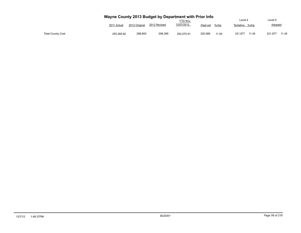## **Wayne County 2013 Budget by Department with Prior Info**

|                          |             |               |              | <b>YTD thru</b> |          |       | Level 4   |       | ∟evel 5 |       |
|--------------------------|-------------|---------------|--------------|-----------------|----------|-------|-----------|-------|---------|-------|
|                          | 2011 Actual | 2012 Original | 2012 Revised | 12/07/2012      | Dept est | %chq  | Tentative | %cha  | Adopted |       |
| <b>Total County Cost</b> | 255,369.92  | 288,800       | 298,399      | 252.070.91      | 320,566  | 11.00 | 321,877   | 11.45 | 321,877 | 11.45 |

 $\overline{a}$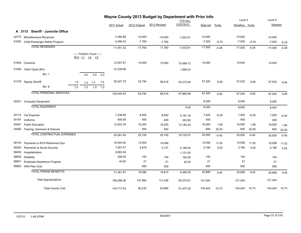|       |                                   |     |     |                                                                                            |     |              |               | Wayne County 2013 Budget by Department with Prior Info |                               |           |         | Level 4        |         | Level 5   |         |
|-------|-----------------------------------|-----|-----|--------------------------------------------------------------------------------------------|-----|--------------|---------------|--------------------------------------------------------|-------------------------------|-----------|---------|----------------|---------|-----------|---------|
|       |                                   |     |     |                                                                                            |     | 2011 Actual  | 2012 Original | 2012 Revised                                           | <b>YTD thru</b><br>12/07/2012 | Dept est  | $%$ chg | Tentative %chg |         | Adopted   |         |
|       |                                   |     |     |                                                                                            |     |              |               |                                                        |                               |           |         |                |         |           |         |
|       | A 3113 Sheriff - Juvenile Office  |     |     |                                                                                            |     |              |               |                                                        |                               |           |         |                |         |           |         |
| 42770 | Miscellaneous Revenues            |     |     |                                                                                            |     | $-7,260.89$  | $-10,000$     | $-10,000$                                              | $-1,633.61$                   | $-10,000$ |         | $-10,000$      |         | $-10,000$ |         |
| 43362 | Child Passenger Safety Program    |     |     |                                                                                            |     | $-4,290.43$  | $-7,760$      | $-7,760$                                               |                               | $-7,000$  | $-9.79$ | $-7,000$       | $-9.79$ | $-7,000$  | $-9.79$ |
|       | <b>TOTAL REVENUES</b>             |     |     |                                                                                            |     | $-11,551.32$ | $-17,760$     | $-17,760$                                              | $-1,633.61$                   | $-17,000$ | $-4.28$ | $-17,000$      | $-4.28$ | $-17,000$ | $-4.28$ |
|       |                                   |     |     | ----- Position Count -----<br>B <sub>12</sub> L <sub>1</sub> L <sub>4</sub> L <sub>5</sub> |     |              |               |                                                        |                               |           |         |                |         |           |         |
| 51904 | Overtime                          |     |     |                                                                                            |     | 12,057.67    | 10,000        | 10,000                                                 | 10,589.12                     | 10,000    |         | 10,000         |         | 10,000    |         |
|       | 51695 Clerk-Typist (8hr)          |     |     |                                                                                            |     | 37,239.99    |               |                                                        | 1,999.53                      |           |         |                |         |           |         |
|       | <b>BU: 1</b>                      |     | 0.0 | 0.0                                                                                        | 0.0 |              |               |                                                        |                               |           |         |                |         |           |         |
|       | 51376 Deputy Sheriff              | 1.0 | 1.0 | 1.0                                                                                        | 1.0 | 55,247.79    | 53,794        | 56,516                                                 | 55,272.04                     | 57,525    | 6.94    | 57,525         | 6.94    | 57,525    | 6.94    |
|       | <b>BU: 6</b>                      | 1.0 | 1.0 | 1.0                                                                                        | 1.0 |              |               |                                                        |                               |           |         |                |         |           |         |
|       | <b>TOTAL PERSONAL SERVICES</b>    |     |     |                                                                                            |     | 104,545.45   | 63,794        | 66,516                                                 | 67,860.69                     | 67,525    | 5.85    | 67,525         | 5.85    | 67,525    | 5.85    |
| 52201 | <b>Computer Equipment</b>         |     |     |                                                                                            |     |              |               |                                                        |                               | 8,000     |         | 8,000          |         | 8,000     |         |
|       | <b>TOTAL EQUIPMENT</b>            |     |     |                                                                                            |     |              |               |                                                        | 0.00                          | 8,000     |         | 8,000          |         | 8,000     |         |
| 54114 | Car Expense                       |     |     |                                                                                            |     | 7,338.69     | 8,000         | 8,000                                                  | 5,191.18                      | 7,500     | $-6.25$ | 7,500          | $-6.25$ | 7,500     | $-6.25$ |
| 54187 | Uniforms                          |     |     |                                                                                            |     | 400.00       | 400           | 400                                                    | 353.95                        | 400       |         | 400            |         | 400       |         |
| 54461 | <b>Public Education</b>           |     |     |                                                                                            |     | 12,522.35    | 16,200        | 16,200                                                 | 13,180.44                     | 16,500    | 1.85    | 16,500         | 1.85    | 16,500    | 1.85    |
|       | 54483 Training-Seminars & Schools |     |     |                                                                                            |     |              | 500           | 500                                                    |                               | 600       | 20.00   | 600            | 20.00   | 600       | 20.00   |
|       | <b>TOTAL CONTRACTUAL EXPENSES</b> |     |     |                                                                                            |     | 20,261.04    | 25,100        | 25,100                                                 | 18,725.57                     | 25,000    | $-0.40$ | 25,000         | $-0.40$ | 25,000    | $-0.40$ |
| 58100 | Payments to NYS Retirement Sys    |     |     |                                                                                            |     | 16,544.00    | 13,502        | 14,008                                                 |                               | 15,058    | 11.52   | 15,058         | 11.52   | 15,058    | 11.52   |
| 58200 | Payments to Social Security       |     |     |                                                                                            |     | 7,907.47     | 4,919         | 5,127                                                  | 5,189.00                      | 5,166     | 5.02    | 5,166          | 5.02    | 5,166     | 5.02    |
| 58400 | Hospitalization                   |     |     |                                                                                            |     | 6,662.40     |               |                                                        | 1,121.00                      |           |         |                |         |           |         |
| 58600 | <b>Disability</b>                 |     |     |                                                                                            |     | 308.00       | 154           | 154                                                    | 154.00                        | 154       |         | 154            |         | 154       |         |
| 58901 | Employee Assistance Program       |     |     |                                                                                            |     | 40.00        | 21            | 21                                                     | 20.55                         | 21        |         | 21             |         | 21        |         |
| 58903 | <b>HRA Plan Cost</b>              |     |     |                                                                                            |     |              | 500           | 500                                                    |                               | 500       |         | 500            |         | 500       |         |
|       | <b>TOTAL FRINGE BENEFITS</b>      |     |     |                                                                                            |     | 31,461.87    | 19,096        | 19,810                                                 | 6,484.55                      | 20,899    | 9.44    | 20,899         | 9.44    | 20,899    | 9.44    |
|       | <b>Total Appropriations</b>       |     |     |                                                                                            |     | 156,268.36   | 107,990       | 111,426                                                | 93,070.81                     | 121,424   |         | 121,424        |         | 121,424   |         |
|       | <b>Total County Cost</b>          |     |     |                                                                                            |     | 144,717.04   | 90,230        | 93,666                                                 | 91,437.20                     | 104,424   | 15.73   | 104,424        | 15.73   | 104,424   | 15.73   |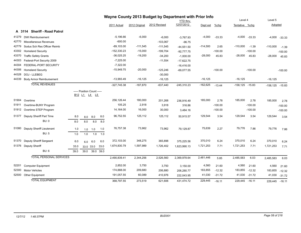|       |                                 |      |                                            |           |      |               |               | Wayne County 2013 Budget by Department with Prior Info |                 |            |           |                     |                   |                    |           |
|-------|---------------------------------|------|--------------------------------------------|-----------|------|---------------|---------------|--------------------------------------------------------|-----------------|------------|-----------|---------------------|-------------------|--------------------|-----------|
|       |                                 |      |                                            |           |      |               |               |                                                        | <b>YTD</b> thru |            |           | Level 4             |                   | Level 5            |           |
|       |                                 |      |                                            |           |      | 2011 Actual   | 2012 Original | 2012 Revised                                           | 12/07/2012      | Dept est   | %chg      | Tentative %chq      |                   | Adopted            |           |
|       | A 3114 Sheriff - Road Patrol    |      |                                            |           |      |               |               |                                                        |                 |            |           |                     |                   |                    |           |
| 41279 | <b>DWI Reimbursement</b>        |      |                                            |           |      | $-5,196.66$   | $-6,000$      | $-6,000$                                               | $-3,767.93$     | $-4,000$   | $-33.33$  |                     | $-4,000$ $-33.33$ | $-4,000$           | $-33.33$  |
| 42770 | Miscellaneous Revenues          |      |                                            |           |      | $-600.00$     |               | $-103,067$                                             | $-96.75$        |            |           |                     |                   |                    |           |
| 42779 | Sodus Sch Res Officer Reimb     |      |                                            |           |      | $-89,103.00$  | $-111,545$    | $-111,545$                                             | $-44,551.50$    | $-114,500$ | 2.65      | $-110,000$          | $-1.39$           | $-110,000$         | $-1.39$   |
| 43302 | <b>Homeland Security</b>        |      |                                            |           |      | $-152,330.23$ | $-15,000$     | $-199,704$                                             | $-92,777.75$    |            | $-100.00$ |                     | $-100.00$         |                    | $-100.00$ |
| 43370 | <b>Traffic Safety Grants</b>    |      |                                            |           |      | $-36,025.25$  | $-19,200$     | $-34,200$                                              | $-1,000.00$     | $-28,000$  | 45.83     | $-28,000$           | 45.83             | $-28,000$          | 45.83     |
| 44303 | Federal-Port Security 2009      |      |                                            |           |      | $-7,225.00$   |               | $-11,554$                                              | $-17,622.75$    |            |           |                     |                   |                    |           |
| 44304 | FEDERAL-PORT SECURITY           |      |                                            |           |      | $-7,322.00$   |               |                                                        | $-16,416.00$    |            |           |                     |                   |                    |           |
| 44306 | <b>Homeland Security</b>        |      |                                            |           |      | $-15,949.75$  | $-20,000$     | $-125,246$                                             | $-69,077.55$    |            | $-100.00$ |                     | $-100.00$         |                    | $-100.00$ |
| 44328 | DOJ - LLEBEG                    |      |                                            |           |      |               |               | $-30,000$                                              |                 |            |           |                     |                   |                    |           |
| 44339 | <b>Body Armor Reimbursement</b> |      |                                            |           |      | $-13,993.49$  | $-16, 125$    | $-16, 125$                                             |                 | $-16, 125$ |           | $-16, 125$          |                   | $-16, 125$         |           |
|       | <b>TOTAL REVENUES</b>           |      |                                            |           |      | $-327,745.38$ | $-187,870$    | $-637,440$                                             | $-245,310.23$   | $-162,625$ | $-13.44$  | $-158, 125 - 15.83$ |                   | $-158, 125 -15.83$ |           |
|       |                                 |      | ----- Position Count -----<br>B12 L1 L4 L5 |           |      |               |               |                                                        |                 |            |           |                     |                   |                    |           |
| 51904 | Overtime                        |      |                                            |           |      | 256,126.44    | 180,000       | 201,268                                                | 236,916.49      | 185,000    | 2.78      | 185,000             | 2.78              | 185,000            | 2.78      |
| 51911 | Overtime-BUNY Program           |      |                                            |           |      | 105.25        | 2,918         | 3,918                                                  | 316.86          |            | $-100.00$ |                     | $-100.00$         |                    | $-100.00$ |
| 51912 | Overtime STEP Program           |      |                                            |           |      | 14,164.00     | 16,000        | 30,000                                                 | 3,484.16        |            | $-100.00$ |                     | $-100.00$         |                    | $-100.00$ |
| 51377 | Deputy Sheriff Part Time        | 8.0  | 8.0                                        | 8.0       | 8.0  | 96,752.55     | 125,112       | 125,112                                                | 50,915.57       | 129,544    | 3.54      | 129,544             | 3.54              | 129,544            | 3.54      |
|       | <b>BU: 0</b>                    | 8.0  | 8.0                                        | 8.0       | 8.0  |               |               |                                                        |                 |            |           |                     |                   |                    |           |
| 51080 | Deputy Sheriff Lieutenant       | 1.0  | 1.0                                        | 1.0       | 1.0  | 76,757.38     | 73,962        | 73,962                                                 | 79,129.87       | 75,639     | 2.27      | 79,776              | 7.86              | 79,776             | 7.86      |
|       | <b>BU: 5</b>                    | 1.0  | 1.0                                        | 1.0       | 1.0  |               |               |                                                        |                 |            |           |                     |                   |                    |           |
| 51370 | Deputy Sheriff Sergeant         | 6.0  | 6.0                                        | 6.0       | 6.0  | 372,103.00    | 348,275       | 365,898                                                | 375,225.56      | 370,010    | 6.24      | 370,010             | 6.24              | 370,010            | 6.24      |
| 51376 | Deputy Sheriff                  | 33.0 | 33.0 33.0                                  |           | 33.0 | 1,674,830.79  | 1,597,989     | 1,726,402                                              | 1,623,990.13    | 1,721,253  | 7.71      | 1,721,253           | 7.71              | 1,721,253          | 7.71      |
|       | <b>BU: 6</b>                    | 39.0 | 39.0                                       | 39.0 39.0 |      |               |               |                                                        |                 |            |           |                     |                   |                    |           |
|       | <b>TOTAL PERSONAL SERVICES</b>  |      |                                            |           |      | 2,490,839.41  | 2,344,256     | 2,526,560                                              | 2,369,978.64    | 2,481,446  | 5.85      | 2,485,583           | 6.03              | 2,485,583          | 6.03      |
| 52201 | <b>Computer Equipment</b>       |      |                                            |           |      | 2,852.00      | 3,750         | 3,750                                                  | 3,150.00        | 4,560      | 21.60     | 4,560               | 21.60             | 4,560              | 21.60     |
| 52300 | <b>Motor Vehicles</b>           |      |                                            |           |      | 174,888.00    | 209,680       | 206,880                                                | 206,280.77      | 183,855    | $-12.32$  | 183,855             | $-12.32$          | 183,855            | $-12.32$  |
| 52500 | Other Equipment                 |      |                                            |           |      | 191,057.55    | 60,089        | 410,976                                                | 222,043.95      | 41,030     | $-31.72$  |                     | 41,030 -31.72     | 41,030             | $-31.72$  |
|       | <b>TOTAL EQUIPMENT</b>          |      |                                            |           |      | 368,797.55    | 273,519       | 621,606                                                | 431,474.72      | 229,445    | $-16.11$  | 229,445 -16.11      |                   | 229,445            | $-16.11$  |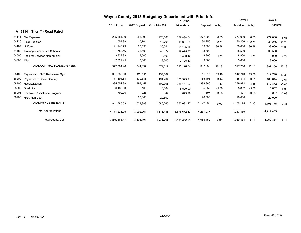|       |                                        |              |               | Wayne County 2013 Budget by Department with Prior Info |                 |           |         |                |         |           |         |
|-------|----------------------------------------|--------------|---------------|--------------------------------------------------------|-----------------|-----------|---------|----------------|---------|-----------|---------|
|       |                                        |              |               |                                                        | <b>YTD thru</b> |           |         | Level 4        |         | Level 5   |         |
|       |                                        | 2011 Actual  | 2012 Original | 2012 Revised                                           | 12/07/2012      | Dept est  | $%$ chg | Tentative %chg |         | Adopted   |         |
|       | <b>Sheriff - Road Patrol</b><br>A 3114 |              |               |                                                        |                 |           |         |                |         |           |         |
| 54114 | Car Expense                            | 285,654.90   | 255,000       | 276,503                                                | 258.888.04      | 277,000   | 8.63    | 277,000        | 8.63    | 277,000   | 8.63    |
| 54126 | <b>Field Supplies</b>                  | 1,554.99     | 10,701        | 10,701                                                 | 10,361.09       | 30,256    | 182.74  | 30,256         | 182.74  | 30,256    | 182.74  |
| 54187 | Uniforms                               | 41,946.73    | 28,596        | 36,041                                                 | 21,195.65       | 39,000    | 36.38   | 39,000         | 36.38   | 39,000    | 36.38   |
| 54483 | Training- Seminars & Schools           | 37,788.46    | 38,500        | 43,672                                                 | 19,075.77       | 38,500    |         | 38,500         |         | 38,500    |         |
| 54500 | Fees for Services Non-employ           | 3,829.93     | 8,500         | 8,500                                                  | 3,480.42        | 8,900     | 4.71    | 8,900          | 4.71    | 8,900     | 4.71    |
| 54600 | Misc                                   | 2,029.45     | 3,600         | 3,600                                                  | 2,125.67        | 3,600     |         | 3,600          |         | 3,600     |         |
|       | <b>TOTAL CONTRACTUAL EXPENSES</b>      | 372,804.46   | 344,897       | 379,017                                                | 315,126.64      | 397,256   | 15.18   | 397,256        | 15.18   | 397,256   | 15.18   |
| 58100 | Payments to NYS Retirement Sys         | 361,386.00   | 429,511       | 457,607                                                |                 | 511,817   | 19.16   | 512,740        | 19.38   | 512,740   | 19.38   |
| 58200 | <b>Payments to Social Security</b>     | 177,894.64   | 179,336       | 191,204                                                | 168,525.91      | 185,498   | 3.44    | 185,814        | 3.61    | 185,814   | 3.61    |
| 58400 | Hospitalization                        | 395,551.89   | 393,457       | 409,706                                                | 385, 164.27     | 398,866   | 1.37    | 379,872        | $-3.45$ | 379,872   | $-3.45$ |
| 58600 | Disability                             | 6,163.00     | 6,160         | 6,304                                                  | 5,529.00        | 5,852     | $-5.00$ | 5,852          | $-5.00$ | 5,852     | $-5.00$ |
| 58901 | Employee Assistance Program            | 790.00       | 925           | 944                                                    | 873.29          | 897       | $-3.03$ | 897            | $-3.03$ | 897       | $-3.03$ |
| 58903 | <b>HRA Plan Cost</b>                   |              | 20,000        | 20,500                                                 |                 | 20,000    |         | 20,000         |         | 20,000    |         |
|       | <b>TOTAL FRINGE BENEFITS</b>           | 941,785.53   | 1,029,389     | 1,086,265                                              | 560,092.47      | 1,122,930 | 9.09    | 1,105,175      | 7.36    | 1,105,175 | 7.36    |
|       | <b>Total Appropriations</b>            | 4,174,226.95 | 3,992,061     | 4,613,448                                              | 3,676,672.47    | 4,231,077 |         | 4,217,459      |         | 4,217,459 |         |
|       | <b>Total County Cost</b>               | 3.846.481.57 | 3,804,191     | 3,976,008                                              | 3,431,362.24    | 4,068,452 | 6.95    | 4,059,334      | 6.71    | 4,059,334 | 6.71    |

## *12/7/12 1:48:37PM BUD001 Page 59 of 218*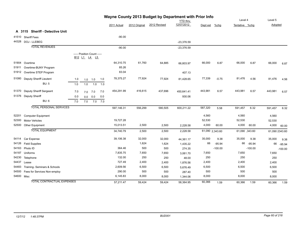|            |                                   |     |                                            |     |             |               | Wayne County 2013 Budget by Department with Prior Info | <b>YTD</b> thru |                 |           | Level 4        |           | Level 5        |           |
|------------|-----------------------------------|-----|--------------------------------------------|-----|-------------|---------------|--------------------------------------------------------|-----------------|-----------------|-----------|----------------|-----------|----------------|-----------|
|            |                                   |     |                                            |     | 2011 Actual | 2012 Original | 2012 Revised                                           | 12/07/2012      | Dept est        | $%$ chg   | Tentative %chg |           | Adopted        |           |
|            | A 3115 Sheriff - Detective Unit   |     |                                            |     |             |               |                                                        |                 |                 |           |                |           |                |           |
|            | 41510 Sheriff Fees                |     |                                            |     | $-90.00$    |               |                                                        |                 |                 |           |                |           |                |           |
|            | 44328 DOJ - LLEBEG                |     |                                            |     |             |               |                                                        | $-23,376.59$    |                 |           |                |           |                |           |
|            | <b>TOTAL REVENUES</b>             |     |                                            |     | $-90.00$    |               |                                                        | $-23,376.59$    |                 |           |                |           |                |           |
|            |                                   |     | ----- Position Count -----<br>B12 L1 L4 L5 |     |             |               |                                                        |                 |                 |           |                |           |                |           |
| 51904      | Overtime                          |     |                                            |     | 64,310.75   | 61,760        | 64,885                                                 | 66,803.97       | 66,000          | 6.87      | 66,000         | 6.87      | 66,000         | 6.87      |
| 51911      | Overtime-BUNY Program             |     |                                            |     | 85.26       |               |                                                        |                 |                 |           |                |           |                |           |
|            | 51912 Overtime STEP Program       |     |                                            |     | 83.04       |               |                                                        | 407.13          |                 |           |                |           |                |           |
| 51080      | Deputy Sheriff Lieutent           | 1.0 | 1.0<br>1.0                                 | 1.0 | 78,375.27   | 77,924        | 77,924                                                 | 81,428.65       | 77,339          | $-0.75$   | 81,476         | 4.56      | 81,476         | 4.56      |
|            | <b>BU: 5</b>                      | 1.0 | 1.0<br>1.0                                 | 1.0 |             |               |                                                        |                 |                 |           |                |           |                |           |
| 51370      | Deputy Sheriff Sergeant           | 7.0 | 7.0<br>7.0                                 | 7.0 | 454,291.99  | 416,615       | 437,696                                                | 450,641.41      | 443,981         | 6.57      | 443,981        | 6.57      | 443,981        | 6.57      |
|            | 51376 Deputy Sheriff              | 0.0 | 0.0<br>0.0                                 | 0.0 |             |               |                                                        | 930.06          |                 |           |                |           |                |           |
|            | <b>BU: 6</b>                      | 7.0 | 7.0 7.0<br>7.0                             |     |             |               |                                                        |                 |                 |           |                |           |                |           |
|            | <b>TOTAL PERSONAL SERVICES</b>    |     |                                            |     | 597,146.31  | 556,299       | 580,505                                                | 600,211.22      | 587,320         | 5.58      | 591,457        | 6.32      | 591,457        | 6.32      |
| 52201      | <b>Computer Equipment</b>         |     |                                            |     |             |               |                                                        |                 | 4,560           |           | 4,560          |           | 4,560          |           |
| 52300      | <b>Motor Vehicles</b>             |     |                                            |     | 19,727.28   |               |                                                        |                 | 52,530          |           | 52,530         |           | 52,530         |           |
| 52500      | Other Equipment                   |     |                                            |     | 15,013.51   | 2,500         | 2,500                                                  | 2,228.58        | 4,000           | 60.00     | 4,000          | 60.00     | 4,000          | 60.00     |
|            | <b>TOTAL EQUIPMENT</b>            |     |                                            |     | 34,740.79   | 2,500         | 2,500                                                  | 2,228.58        | 61,090 2,343.60 |           | 61,090 343.60  |           | 61,090 2343.60 |           |
| 54114      | Car Expense                       |     |                                            |     | 39,106.38   | 32,000        | 32,000                                                 | 44,361.17       | 35,000          | 9.38      | 35,000         | 9.38      | 35,000         | 9.38      |
| 54126      | <b>Field Supplies</b>             |     |                                            |     |             | 1,624         | 1,624                                                  | 1,435.22        | 66              | $-95.94$  | 66             | $-95.94$  | 66             | $-95.94$  |
| 54163      | Photo ID                          |     |                                            |     | 364.46      | 500           | 500                                                    | 274.35          |                 | $-100.00$ |                | $-100.00$ |                | $-100.00$ |
| 54187      | Uniforms                          |     |                                            |     | 7,835.75    | 7,650         | 7,650                                                  | 3,061.70        | 7,650           |           | 7,650          |           | 7,650          |           |
| 54230      | Telephone                         |     |                                            |     | 132.00      | 250           | 250                                                    | 48.00           | 250             |           | 250            |           | 250            |           |
| 54437      | Lease                             |     |                                            |     | 727.49      | 2,400         | 2,400                                                  | 1,876.56        | 2,400           |           | 2,400          |           | 2,400          |           |
| 54483      | Training- Seminars & Schools      |     |                                            |     | 2,609.56    | 6,500         | 6,500                                                  | 5,676.49        | 6,500           |           | 6,500          |           | 6,500          |           |
| 54500      | Fees for Services Non-employ      |     |                                            |     | 290.00      | 500           | 500                                                    | 287.40          | 500             |           | 500            |           | 500            |           |
| 54600 Misc |                                   |     |                                            |     | 6,145.83    | 8,000         | 8,000                                                  | 1,344.06        | 8,000           |           | 8,000          |           | 8,000          |           |
|            | <b>TOTAL CONTRACTUAL EXPENSES</b> |     |                                            |     | 57,211.47   | 59,424        | 59,424                                                 | 58,364.95       | 60,366          | 1.59      | 60,366         | 1.59      | 60,366         | 1.59      |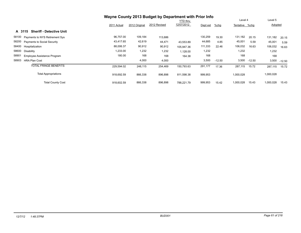|                                             |             |               | Wayne County 2013 Budget by Department with Prior Info |                 |          |          |                |          |           |          |
|---------------------------------------------|-------------|---------------|--------------------------------------------------------|-----------------|----------|----------|----------------|----------|-----------|----------|
|                                             |             |               |                                                        | <b>YTD</b> thru |          |          | Level 4        |          | Level 5   |          |
|                                             | 2011 Actual | 2012 Original | 2012 Revised                                           | 12/07/2012      | Dept est | $%$ chg  | Tentative %chg |          | Adopted   |          |
| <b>Sheriff - Detective Unit</b><br>A 3115   |             |               |                                                        |                 |          |          |                |          |           |          |
| 58100<br>Payments to NYS Retirement Sys     | 96,757.00   | 109,184       | 113,686                                                |                 | 130,259  | 19.30    | 131,182        | 20.15    | 131,182   | 20.15    |
| 58200<br><b>Payments to Social Security</b> | 43,417.65   | 42,619        | 44,471                                                 | 43,553.89       | 44,685   | 4.85     | 45,001         | 5.59     | 45,001    | 5.59     |
| 58400<br>Hospitalization                    | 88,006.37   | 90,912        | 90,912                                                 | 105.947.36      | 111,333  | 22.46    | 106,032        | 16.63    | 106,032   | 16.63    |
| 58600<br><b>Disability</b>                  | 1,233.00    | 1,232         | 1,232                                                  | 1,128.00        | 1,232    |          | 1,232          |          | 1,232     |          |
| 58901<br>Employee Assistance Program        | 180.00      | 168           | 168                                                    | 164.38          | 168      |          | 168            |          | 168       |          |
| 58903<br><b>HRA Plan Cost</b>               |             | 4,000         | 4,000                                                  |                 | 3,500    | $-12.50$ | 3,500          | $-12.50$ | 3,500     | $-12.50$ |
| <b>TOTAL FRINGE BENEFITS</b>                | 229,594.02  | 248,115       | 254,469                                                | 150,793.63      | 291,177  | 17.36    | 287,115        | 15.72    | 287,115   | 15.72    |
| <b>Total Appropriations</b>                 | 918.692.59  | 866,338       | 896,898                                                | 811.598.38      | 999,953  |          | 1,000,028      |          | 1,000,028 |          |
| <b>Total County Cost</b>                    | 918,602.59  | 866,338       | 896,898                                                | 788.221.79      | 999,953  | 15.42    | 1,000,028      | 15.43    | 1,000,028 | 15.43    |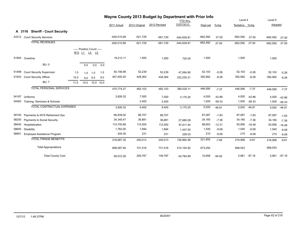|        |                                   |      |                                            |     |           |               |               | Wayne County 2013 Budget by Department with Prior Info |                 |            |          |                |          |            |          |
|--------|-----------------------------------|------|--------------------------------------------|-----|-----------|---------------|---------------|--------------------------------------------------------|-----------------|------------|----------|----------------|----------|------------|----------|
|        |                                   |      |                                            |     |           |               |               |                                                        | <b>YTD thru</b> |            |          | Level 4        |          | Level 5    |          |
|        |                                   |      |                                            |     |           | 2011 Actual   | 2012 Original | 2012 Revised                                           | 12/07/2012      | Dept est   | %chg     | Tentative %chq |          | Adopted    |          |
| A 3116 | <b>Sheriff - Court Security</b>   |      |                                            |     |           |               |               |                                                        |                 |            |          |                |          |            |          |
| 43312  | <b>Court Security Services</b>    |      |                                            |     |           | $-640,515.68$ | $-521,729$    | $-581,729$                                             | $-544,939.81$   | $-662,592$ | 27.00    | $-662,592$     | 27.00    | $-662,592$ | 27.00    |
|        | <b>TOTAL REVENUES</b>             |      |                                            |     |           | $-640,515.68$ | $-521,729$    | $-581,729$                                             | $-544,939.81$   | $-662,592$ | 27.00    | $-662,592$     | 27.00    | $-662,592$ | 27.00    |
|        |                                   |      | ----- Position Count -----<br>B12 L1 L4 L5 |     |           |               |               |                                                        |                 |            |          |                |          |            |          |
|        | 51904 Overtime                    |      |                                            |     |           | 18,212.11     | 1,500         | 1,500                                                  | 725.00          | 1,500      |          | 1,500          |          | 1,500      |          |
|        | <b>BU: 0</b>                      |      | 0.0                                        | 0.0 | 0.0       |               |               |                                                        |                 |            |          |                |          |            |          |
| 51499  | <b>Court Security Supervisor</b>  | 1.0  | 1.0                                        | 1.0 | 1.0       | 50,156.96     | 52,239        | 52,239                                                 | 47,064.90       | 52,103     | $-0.26$  | 52,103         | $-0.26$  | 52,103     | $-0.26$  |
| 51503  | Court Security Officer            | 10.0 | 9.0                                        | 9.0 | 9.0       | 407,405.20    | 428,364       | 428,364                                                | 332,230.21      | 392,992    | $-8.26$  | 392,992        | $-8.26$  | 392,992    | $-8.26$  |
|        | <b>BU: 7</b>                      | 11.0 | 10.0                                       |     | 10.0 10.0 |               |               |                                                        |                 |            |          |                |          |            |          |
|        | <b>TOTAL PERSONAL SERVICES</b>    |      |                                            |     |           | 475,774.27    | 482,103       | 482,103                                                | 380,020.11      | 446,595    | $-7.37$  | 446,595        | $-7.37$  | 446,595    | $-7.37$  |
| 54187  | Uniforms                          |      |                                            |     |           | 3,826.32      | 7,000         | 7,000                                                  | 3,170.25        | 4,000      | $-42.86$ | 4,000          | $-42.86$ | 4,000      | $-42.86$ |
| 54483  | Training- Seminars & Schools      |      |                                            |     |           |               | 2,400         | 2,400                                                  |                 | 1,000      | $-58.33$ | 1,000          | $-58.33$ | 1,000      | $-58.33$ |
|        | <b>TOTAL CONTRACTUAL EXPENSES</b> |      |                                            |     |           | 3,826.32      | 9,400         | 9,400                                                  | 3,170.25        | 5,000      | $-46.81$ | 5,000          | $-46.81$ | 5,000      | $-46.81$ |
| 58100  | Payments to NYS Retirement Sys    |      |                                            |     |           | 66,939.00     | 88,707        | 88,707                                                 |                 | 87,087     | $-1.83$  | 87,087         | $-1.83$  | 87,087     | $-1.83$  |
| 58200  | Payments to Social Security       |      |                                            |     |           | 34,345.47     | 36,881        | 36,881                                                 | 27,680.09       | 34,165     | $-7.36$  | 34,165         | $-7.36$  | 34,165     | $-7.36$  |
| 58400  | Hospitalization                   |      |                                            |     |           | 115,700.88    | 112,500       | 112,500                                                | 97,611.44       | 98,653     | $-12.31$ | 93,956         | $-16.48$ | 93,956     | $-16.48$ |
| 58600  | <b>Disability</b>                 |      |                                            |     |           | 1,762.00      | 1,694         | 1,694                                                  | 1,447.00        | 1,540      | $-9.09$  | 1,540          | $-9.09$  | 1,540      | $-9.09$  |
| 58901  | Employee Assistance Program       |      |                                            |     |           | 240.00        | 231           | 231                                                    | 226.03          | 210        | $-9.09$  | 210            | $-9.09$  | 210        | $-9.09$  |
|        | <b>TOTAL FRINGE BENEFITS</b>      |      |                                            |     |           | 218,987.35    | 240,013       | 240,013                                                | 126,964.56      | 221,655    | $-7.65$  | 216,958        | $-9.61$  | 216,958    | $-9.61$  |
|        | <b>Total Appropriations</b>       |      |                                            |     |           | 698,587.94    | 731,516       | 731,516                                                | 510,154.92      | 673,250    |          | 668,553        |          | 668,553    |          |
|        | <b>Total County Cost</b>          |      |                                            |     |           | 58,072.26     | 209,787       | 149,787                                                | $-34,784.89$    | 10,658     | $-94.92$ | 5,961          | $-97.16$ | 5,961      | $-97.16$ |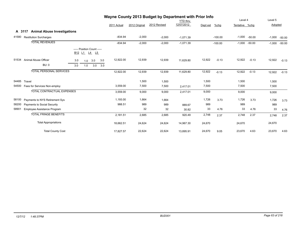|       |                                              |                                                            |             |               | Wayne County 2013 Budget by Department with Prior Info |                 |          |           |                |          |          |          |
|-------|----------------------------------------------|------------------------------------------------------------|-------------|---------------|--------------------------------------------------------|-----------------|----------|-----------|----------------|----------|----------|----------|
|       |                                              |                                                            |             |               |                                                        | <b>YTD</b> thru |          |           | Level 4        |          | Level 5  |          |
|       |                                              |                                                            | 2011 Actual | 2012 Original | 2012 Revised                                           | 12/07/2012      | Dept est | %chg      | Tentative %chg |          | Adopted  |          |
|       | <b>Animal Abuse Investigations</b><br>A 3117 |                                                            |             |               |                                                        |                 |          |           |                |          |          |          |
| 41580 | <b>Restitution Surcharges</b>                |                                                            | $-834.94$   | $-2,000$      | $-2,000$                                               | $-1,071.39$     |          | $-100.00$ | $-1,000$       | $-50.00$ | $-1,000$ | $-50.00$ |
|       | <b>TOTAL REVENUES</b>                        |                                                            | $-834.94$   | $-2,000$      | $-2,000$                                               | $-1,071.39$     |          | $-100.00$ | $-1,000$       | $-50.00$ | $-1,000$ | $-50.00$ |
|       |                                              | ----- Position Count -----<br>$L1$ $L4$ $L5$<br><b>B12</b> |             |               |                                                        |                 |          |           |                |          |          |          |
| 51534 | Animal Abuse Officer<br><b>BU: 0</b>         | 3.0<br>3.0<br>3.0<br>1.0<br>3.0<br>3.0<br>1.0<br>3.0       | 12,922.00   | 12,939        | 12,939                                                 | 11,629.80       | 12,922   | $-0.13$   | 12,922         | $-0.13$  | 12,922   | $-0.13$  |
|       | <b>TOTAL PERSONAL SERVICES</b>               |                                                            | 12,922.00   | 12,939        | 12,939                                                 | 11,629.80       | 12,922   | $-0.13$   | 12,922         | $-0.13$  | 12,922   | $-0.13$  |
| 54485 | Travel                                       |                                                            |             | 1,500         | 1,500                                                  |                 | 1,500    |           | 1,500          |          | 1,500    |          |
| 54500 | Fees for Services Non-employ                 |                                                            | 3,559.00    | 7,500         | 7,500                                                  | 2,417.01        | 7,500    |           | 7,500          |          | 7,500    |          |
|       | <b>TOTAL CONTRACTUAL EXPENSES</b>            |                                                            | 3,559.00    | 9,000         | 9,000                                                  | 2,417.01        | 9,000    |           | 9,000          |          | 9,000    |          |
| 58100 | Payments to NYS Retirement Sys               |                                                            | 1,193.00    | 1,664         | 1,664                                                  |                 | 1,726    | 3.73      | 1,726          | 3.73     | 1,726    | 3.73     |
| 58200 | <b>Payments to Social Security</b>           |                                                            | 988.51      | 989           | 989                                                    | 889.67          | 989      |           | 989            |          | 989      |          |
| 58901 | Employee Assistance Program                  |                                                            |             | 32            | 32                                                     | 30.82           | 33       | 4.76      | 33             | 4.76     | 33       | 4.76     |
|       | <b>TOTAL FRINGE BENEFITS</b>                 |                                                            | 2,181.51    | 2,685         | 2,685                                                  | 920.49          | 2,748    | 2.37      | 2,748          | 2.37     | 2,748    | 2.37     |
|       | <b>Total Appropriations</b>                  |                                                            | 18,662.51   | 24,624        | 24,624                                                 | 14,967.30       | 24,670   |           | 24,670         |          | 24,670   |          |
|       | <b>Total County Cost</b>                     |                                                            | 17,827.57   | 22,624        | 22,624                                                 | 13,895.91       | 24,670   | 9.05      | 23,670         | 4.63     | 23,670   | 4.63     |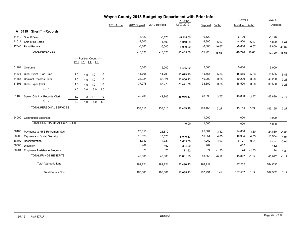|       |                                   |     |     |                                                                                            |     |             |               | Wayne County 2013 Budget by Department with Prior Info |                 |           |         |                |         |           |         |
|-------|-----------------------------------|-----|-----|--------------------------------------------------------------------------------------------|-----|-------------|---------------|--------------------------------------------------------|-----------------|-----------|---------|----------------|---------|-----------|---------|
|       |                                   |     |     |                                                                                            |     |             |               |                                                        | <b>YTD</b> thru |           |         | Level 4        |         | Level 5   |         |
|       |                                   |     |     |                                                                                            |     | 2011 Actual | 2012 Original | 2012 Revised                                           | 12/07/2012      | Dept est  | %chg    | Tentative %chg |         | Adopted   |         |
|       | A 3119 Sheriff - Records          |     |     |                                                                                            |     |             |               |                                                        |                 |           |         |                |         |           |         |
|       | 41510 Sheriff Fees                |     |     |                                                                                            |     |             | $-6,120$      | $-6,120$                                               | $-5,115.00$     | $-6,120$  |         | $-6,120$       |         | $-6,120$  |         |
| 41511 | Sale of ID Cards                  |     |     |                                                                                            |     |             | $-4,500$      | $-4,500$                                               | $-5,310.00$     | $-4,800$  | 6.67    | $-4,800$       | 6.67    | $-4,800$  | 6.67    |
|       | 42545 Pistol Permits              |     |     |                                                                                            |     |             | $-6,000$      | $-6,000$                                               | $-5,030.00$     | $-8,800$  | 46.67   | $-8,800$       | 46.67   | $-8,800$  | 46.67   |
|       | <b>TOTAL REVENUES</b>             |     |     |                                                                                            |     |             | $-16,620$     | $-16,620$                                              | $-15,455.00$    | $-19,720$ | 18.65   | $-19,720$      | 18.65   | $-19,720$ | 18.65   |
|       |                                   |     |     | ----- Position Count -----<br>B <sub>12</sub> L <sub>1</sub> L <sub>4</sub> L <sub>5</sub> |     |             |               |                                                        |                 |           |         |                |         |           |         |
| 51904 | Overtime                          |     |     |                                                                                            |     |             | 5,000         | 5,000                                                  | 4,455.62        | 5,000     |         | 5,000          |         | 5,000     |         |
| 51105 | Clerk Typist - Part Time          | 1.0 | 1.0 | 1.0                                                                                        | 1.0 |             | 14,708        | 14,708                                                 | 12,679.20       | 15,565    | 5.83    | 15,565         | 5.83    | 15,565    | 5.83    |
| 51367 | <b>Criminal Records Clerk</b>     | 1.0 | 1.0 | 1.0                                                                                        | 1.0 |             | 38,924        | 38,924                                                 | 32,856.43       | 40,200    | 3.28    | 40,200         | 3.28    | 40,200    | 3.28    |
| 51695 | Clerk-Typist (8hr)                | 1.0 | 1.0 | 1.0                                                                                        | 1.0 |             | 37,278        | 37,278                                                 | 31,421.36       | 38,500    | 3.28    | 38,500         | 3.28    | 38,500    | 3.28    |
|       | <b>BU: 1</b>                      | 3.0 | 3.0 | 3.0                                                                                        | 3.0 |             |               |                                                        |                 |           |         |                |         |           |         |
| 51469 | Senior Criminal Records Clerk     | 1.0 | 1.0 | 1.0                                                                                        | 1.0 |             | 42,706        | 42,706                                                 | 36,076.57       | 43,890    | 2.77    | 43,890         | 2.77    | 43,890    | 2.77    |
|       | BU:4                              | 1.0 | 1.0 | 1.0                                                                                        | 1.0 |             |               |                                                        |                 |           |         |                |         |           |         |
|       | <b>TOTAL PERSONAL SERVICES</b>    |     |     |                                                                                            |     |             | 138,616       | 138,616                                                | 117,489.18      | 143,155   | 3.27    | 143,155        | 3.27    | 143,155   | 3.27    |
|       | 54000 Contractual Expenses        |     |     |                                                                                            |     |             |               |                                                        |                 | 1,000     |         | 1,000          |         | 1,000     |         |
|       | <b>TOTAL CONTRACTUAL EXPENSES</b> |     |     |                                                                                            |     |             |               |                                                        | 0.00            | 1,000     |         | 1,000          |         | 1,000     |         |
| 58100 | Payments to NYS Retirement Sys    |     |     |                                                                                            |     |             | 25,810        | 25,810                                                 |                 | 25,004    | $-3.12$ | 24,880         | $-3.60$ | 24,880    | $-3.60$ |
| 58200 | Payments to Social Security       |     |     |                                                                                            |     |             | 10,528        | 10,528                                                 | 8,940.33        | 10,954    | 4.05    | 10,954         | 4.05    | 10,954    | 4.05    |
| 58400 | Hospitalization                   |     |     |                                                                                            |     |             | 6,730         | 6,730                                                  | 5,605.00        | 7,062     | 4.93    | 6,727          | $-0.04$ | 6,727     | $-0.04$ |
| 58600 | Disability                        |     |     |                                                                                            |     |             | 462           | 462                                                    | 384.00          | 462       |         | 462            |         | 462       |         |
| 58901 | Employee Assistance Program       |     |     |                                                                                            |     |             | 75            | 75                                                     | 71.92           | 74        | $-1.33$ | 74             | $-1.33$ | 74        | $-1.33$ |
|       | <b>TOTAL FRINGE BENEFITS</b>      |     |     |                                                                                            |     |             | 43,605        | 43,605                                                 | 15,001.25       | 43,556    | $-0.11$ | 43,097         | $-1.17$ | 43,097    | $-1.17$ |
|       | <b>Total Appropriations</b>       |     |     |                                                                                            |     |             | 182,221       | 182,221                                                | 132,490.43      | 187,711   |         | 187,252        |         | 187,252   |         |
|       | <b>Total County Cost</b>          |     |     |                                                                                            |     |             | 165,601       | 165,601                                                | 117,035.43      | 167,991   | 1.44    | 167,532        | 1.17    | 167,532   | 1.17    |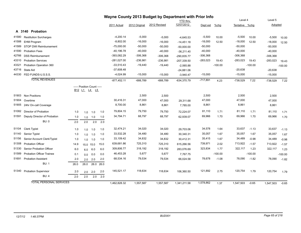|       |                                  |      |                            |      |      |               |               | Wayne County 2013 Budget by Department with Prior Info |               |            |           |                |           |            |           |
|-------|----------------------------------|------|----------------------------|------|------|---------------|---------------|--------------------------------------------------------|---------------|------------|-----------|----------------|-----------|------------|-----------|
|       |                                  |      |                            |      |      |               |               | <b>YTD thru</b>                                        |               |            | Level 4   | Level 5        |           |            |           |
|       |                                  |      |                            |      |      | 2011 Actual   | 2012 Original | 2012 Revised                                           | 12/07/2012    | Dept est   | %chg      | Tentative %chg |           | Adopted    |           |
|       | A 3140 Probation                 |      |                            |      |      |               |               |                                                        |               |            |           |                |           |            |           |
| 41580 | <b>Restitution Surcharges</b>    |      |                            |      |      | $-4,200.14$   | $-5,000$      | $-5,000$                                               | $-4,645.53$   | $-5,500$   | 10.00     | $-5,500$       | 10.00     | $-5,500$   | 10.00     |
| 41588 | <b>EHM Program</b>               |      |                            |      |      | $-8,802.00$   | $-16,000$     | $-16,000$                                              | $-14,451.18$  | $-18,000$  | 12.50     | $-18,000$      | 12.50     | $-18,000$  | 12.50     |
| 41589 | STOP DWI Reimbursement           |      |                            |      |      | $-75,000.00$  | $-50,000$     | $-50,000$                                              | $-50,000.00$  | $-50,000$  |           | $-50,000$      |           | $-50,000$  |           |
| 41590 | <b>Probation Fees</b>            |      |                            |      |      | $-40, 196.78$ | $-40,000$     | $-40,000$                                              | $-36,211.40$  | $-40,000$  |           | $-40,000$      |           | $-40,000$  |           |
| 42766 | <b>DSS Reimbursement</b>         |      |                            |      |      | -393,082.29   | $-306,368$    | $-306,368$                                             | -290,835.77   | $-306,368$ |           | $-306,368$     |           | $-306,368$ |           |
| 43310 | <b>Probation Services</b>        |      |                            |      |      | $-281,027.00$ | $-236,981$    | $-236,981$                                             | $-207,339.50$ | $-283,023$ | 19.43     | $-283,023$     | 19.43     | $-283,023$ | 19.43     |
| 43321 | Probation Operation 360          |      |                            |      |      | $-33,510.43$  | $-19,440$     | $-19,440$                                              | $-2,065.88$   |            | $-100.00$ |                | $-100.00$ |            | $-100.00$ |
| 43716 | State Aid                        |      |                            |      |      | $-37,608.48$  |               |                                                        | $-24,881.06$  |            |           | $-20,638$      |           | $-20,638$  |           |
| 44330 | FED FUNDS-U.S.S.S.               |      |                            |      |      | $-4,024.99$   | $-15,000$     | $-15,000$                                              | $-3,940.47$   | $-15,000$  |           | $-15,000$      |           | $-15,000$  |           |
|       | <b>TOTAL REVENUES</b>            |      |                            |      |      | $-877,452.11$ | $-688,789$    | $-688,789$                                             | -634,370.79   | $-717,891$ | 4.23      | -738,529       | 7.22      | $-738,529$ | 7.22      |
|       |                                  |      | ----- Position Count ----- |      |      |               |               |                                                        |               |            |           |                |           |            |           |
|       |                                  |      | B12 L1 L4 L5               |      |      |               |               |                                                        |               |            |           |                |           |            |           |
| 51903 | <b>Non Positions</b>             |      |                            |      |      |               | 2,500         | 2,500                                                  |               | 2,500      |           | 2,500          |           | 2,500      |           |
| 51904 | Overtime                         |      |                            |      |      | 30,416.31     | 47,000        | 47,000                                                 | 29,311.68     | 47,000     |           | 47,000         |           | 47,000     |           |
| 51905 | 24hr On-call Coverage            |      |                            |      |      | 8,700.00      | 8,861         | 8,861                                                  | 7,785.00      | 8,861      |           | 8,861          |           | 8,861      |           |
| 51082 | Director of Probation            | 1.0  | 1.0                        | 1.0  | 1.0  | 79,804.15     | 79,750        | 79,750                                                 | 72,224.07     | 81,110     | 1.71      | 81,110         | 1.71      | 81,110     | 1.71      |
| 51591 | Deputy Director of Probation     | 1.0  | 1.0                        | 1.0  | 1.0  | 34,794.71     | 68,797        | 68,797                                                 | 62,939.07     | 69,966     | 1.70      | 69,966         | 1.70      | 69,966     | 1.70      |
|       | <b>BU: 0</b>                     | 2.0  | 2.0                        | 2.0  | 2.0  |               |               |                                                        |               |            |           |                |           |            |           |
| 51104 | <b>Clerk Typist</b>              | 1.0  | 1.0                        | 1.0  | 1.0  | 32,474.21     | 34,020        | 34,020                                                 | 29,703.06     | 34,578     | 1.64      | 33,637         | $-1.13$   | 33,637     | $-1.13$   |
| 51140 | Senior Typist                    | 1.0  | 1.0                        | 1.0  | 1.0  | 33,532.28     | 34,480        | 34,480                                                 | 30,340.31     | 35,057     | 1.67      | 35,057         | 1.67      | 35,057     | 1.67      |
| 51156 | Senior Account Clerk/Typist      | 1.0  | 1.0                        | 1.0  | 1.0  | 33,109.42     | 34,832        | 34,832                                                 | 30,412.31     | 35,415     | 1.67      | 34,489         | $-0.98$   | 34,489     | $-0.98$   |
| 51308 | <b>Probation Officer</b>         | 14.9 | 15.0 15.0                  |      | 15.0 | 639,681.86    | 725,310       | 725,310                                                | 615,266.56    | 739,971    | 2.02      | 713,922        | $-1.57$   | 713,922    | $-1.57$   |
| 51330 | Senior Probation Officer         | 6.0  | 6.0                        | 6.0  | 6.0  | 309,806.77    | 318,192       | 318,192                                                | 283,076.69    | 323,834    | 1.77      | 322,117        | 1.23      | 322,117    | 1.23      |
| 51589 | <b>Probation Officer Trainee</b> | 0.1  | 0.0                        | 0.0  | 0.0  | 46,453.28     | 5,677         | 5,677                                                  | 7,767.75      |            | $-100.00$ |                | $-100.00$ |            | $-100.00$ |
| 51691 | <b>Probation Assistant</b>       | 2.0  | 2.0                        | 2.0  | 2.0  | 68,534.16     | 79,534        | 79,534                                                 | 66,024.58     | 78,678     | $-1.08$   | 78,090         | $-1.82$   | 78,090     | $-1.82$   |
|       | <b>BU: 1</b>                     | 26.0 | 26.0                       | 26.0 | 26.0 |               |               |                                                        |               |            |           |                |           |            |           |
|       | 51340 Probation Supervisor       | 2.0  | 2.0                        | 2.0  | 2.0  | 145,521.17    | 118,634       | 118,634                                                | 106,360.50    | 121,892    | 2.75      | 120,754        | 1.79      | 120,754    | 1.79      |
|       | <b>BU: 4</b>                     | 2.0  | 2.0                        | 2.0  | 2.0  |               |               |                                                        |               |            |           |                |           |            |           |
|       | <b>TOTAL PERSONAL SERVICES</b>   |      |                            |      |      | 1,462,828.32  | 1,557,587     | 1,557,587                                              | 1,341,211.58  | 1,578,862  | 1.37      | 1,547,503      | $-0.65$   | 1,547,503  | $-0.65$   |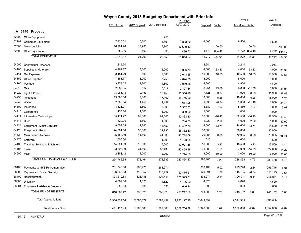|            |                                   | Wayne County 2013 Budget by Department with Prior Info |               |              |                 |           |           |                |              |           |              |
|------------|-----------------------------------|--------------------------------------------------------|---------------|--------------|-----------------|-----------|-----------|----------------|--------------|-----------|--------------|
|            |                                   |                                                        |               |              | <b>YTD</b> thru |           |           | Level 4        |              | Level 5   |              |
|            |                                   | 2011 Actual                                            | 2012 Original | 2012 Revised | 12/07/2012      | Dept est  | $%$ chg   | Tentative %chg |              | Adopted   |              |
|            | A 3140 Probation                  |                                                        |               |              |                 |           |           |                |              |           |              |
| 52200      | Office Equipment                  |                                                        |               | 250          |                 |           |           |                |              |           |              |
| 52201      | <b>Computer Equipment</b>         | 7,425.02                                               | 6,500         | 4,100        | 3,668.02        | 6,500     |           | 6,500          |              | 6,500     |              |
| 52300      | <b>Motor Vehicles</b>             | 16,901.96                                              | 17,700        | 17,700       | 17,689.13       |           | $-100.00$ |                | $-100.00$    |           | $-100.00$    |
| 52500      | <b>Other Equipment</b>            | 589.99                                                 | 500           | 500          | 486.72          | 4,772     | 854.40    |                | 4,772 854.40 |           | 4,772 854.40 |
|            | <b>TOTAL EQUIPMENT</b>            | 24,916.97                                              | 24,700        | 22,550       | 21,843.87       | 11,272    | $-54.36$  | 11,272         | $-54.36$     | 11,272    | $-54.36$     |
| 54000      | <b>Contractual Expenses</b>       | 219.70                                                 |               |              |                 | 2,244     |           | 2,244          |              | 2,244     |              |
| 54100      | Supplies & Materials              | 4,462.87                                               | 3,000         | 3,000        | 3,006.79        | 4,000     | 33.33     | 4,000          | 33.33        | 4,000     | 33.33        |
| 54114      | Car Expense                       | 8,181.29                                               | 9,500         | 9,500        | 7,013.65        | 10,500    | 10.53     | 10,500         | 10.53        | 10,500    | 10.53        |
| 54150      | Office Supplies                   | 7,851.77                                               | 8,000         | 7,750        | 4,824.08        | 8,000     |           | 8,000          |              | 8,000     |              |
| 54166      | Postage                           | 3,973.02                                               | 4,800         | 4,800        | 3,080.68        | 4,800     |           | 4,800          |              | 4,800     |              |
| 54210      | Gas                               | 2,856.65                                               | 5,512         | 5,512        | 3,497.34        | 8,251     | 49.69     | 3,800          | $-31.06$     | 3,800     | $-31.06$     |
| 54220      | Light & Power                     | 13,981.13                                              | 19,453        | 19,453       | 10,588.26       | 7,126     | $-63.37$  | 11,900         | $-38.83$     | 11,900    | $-38.83$     |
| 54230      | Telephone                         | 19,886.56                                              | 17,100        | 17,100       | 15,446.90       | 18,000    | 5.26      | 18,000         | 5.26         | 18,000    | 5.26         |
| 54240      | Water                             | 2,309.54                                               | 1,459         | 1,459        | 1,674.05        | 1,330     | $-8.84$   | 1,000          | $-31.46$     | 1,000     | $-31.46$     |
| 54300      | Insurance                         | 4,621.21                                               | 5,500         | 5,500        | 5,352.62        | 5,889     | 7.07      | 5,889          | 7.07         | 5,889     | 7.07         |
| 54410      | Conference                        | 1,130.00                                               | 1,000         | 1,000        | 390.00          | 1,000     |           | 1,000          |              | 1,000     |              |
| 54414      | Information Technology            | 85,471.27                                              | 62,800        | 62,800       | 52,333.30       | 52,500    | $-16.40$  | 52,500         | $-16.40$     | 52,500    | $-16.40$     |
| 54418      | Dues                              | 520.00                                                 | 1,500         | 1,500        | 740.00          | 1,020     | $-32.00$  | 1,020          | $-32.00$     | 1,020     | $-32.00$     |
| 54424      | Equipment - Maint Contract        | 8,559.55                                               | 12,840        | 13,450       | 13,432.76       | 14,600    | 13.71     | 14,600         | 13.71        | 14,600    | 13.71        |
| 54426      | Equipment - Rental                | 24,001.50                                              | 30,000        | 31,730       | 25,352.50       | 30,000    |           | 30,000         |              | 30,000    |              |
| 54438      | Maintenance/Repairs               | 25,488.19                                              | 41,500        | 41,500       | 40,722.59       | 70,085    | 68.88     | 70,085         | 68.88        | 70,085    | 68.88        |
| 54475      | Software                          | 1,000.00                                               |               | 1,200        | 1,193.20        | 620       |           | 620            |              | 620       |              |
| 54483      | Training- Seminars & Schools      | 14,504.59                                              | 16,000        | 16,000       | 10,001.58       | 16,500    | 3.13      | 16,500         | 3.13         | 16,500    | 3.13         |
| 54485      | Travel                            | 23,596.89                                              | 31,500        | 33,435       | 23,459.38       | 31,000    | $-1.59$   | 27,000         | $-14.29$     | 27,000    | $-14.29$     |
| 54600 Misc |                                   | 2,151.12                                               | 2,000         | 2,000        | 1,744.69        | 3,000     | 50.00     | 3,000          | 50.00        | 3,000     | 50.00        |
|            | <b>TOTAL CONTRACTUAL EXPENSES</b> | 254,766.85                                             | 273,464       | 278,689      | 223,854.37      | 290,465   | 6.22      | 286,458        | 4.75         | 286,458   | 4.75         |
| 58100      | Payments to NYS Retirement Sys    | 201,748.00                                             | 288,971       | 288,971      |                 | 303,485   | 5.02      | 295,746        | 2.34         | 295,746   | 2.34         |
| 58200      | Payments to Social Security       | 106,239.58                                             | 118,957       | 118,957      | 97,875.21       | 120,591   | 1.37      | 118,195        | $-0.64$      | 118,195   | $-0.64$      |
| 58400      | Hospitalization                   | 303,210.84                                             | 326,448       | 326,448      | 303,529.71      | 333,974   | 2.31      | 326,911        | 0.14         | 326,911   | 0.14         |
| 58600      | Disability                        | 4,569.00                                               | 4,620         | 4,620        | 4,196.00        | 4,620     |           | 4,620          |              | 4,620     |              |
| 58901      | Employee Assistance Program       | 600.00                                                 | 630           | 630          | 616.44          | 630       |           | 630            |              | 630       |              |
|            | <b>TOTAL FRINGE BENEFITS</b>      | 616,367.42                                             | 739,626       | 739,626      | 406,217.36      | 763,300   | 3.20      | 746,102        | 0.88         | 746,102   | 0.88         |
|            | <b>Total Appropriations</b>       | 2,358,879.56                                           | 2,595,377     | 2,598,452    | 1,993,127.18    | 2,643,899 |           | 2,591,335      |              | 2,591,335 |              |
|            | <b>Total County Cost</b>          | 1,481,427.45                                           | 1,906,588     | 1,909,663    | 1,358,756.39    | 1,926,008 | 1.02      | 1,852,806      | $-2.82$      | 1,852,806 | $-2.82$      |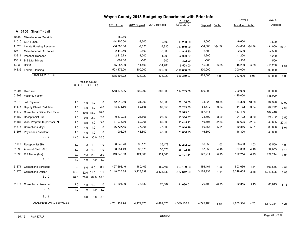|       | Wayne County 2013 Budget by Department with Prior Info |      |                            |           |      |                |               |              |                               |            |          | Level 4        |          | Level 5        |          |
|-------|--------------------------------------------------------|------|----------------------------|-----------|------|----------------|---------------|--------------|-------------------------------|------------|----------|----------------|----------|----------------|----------|
|       |                                                        |      |                            |           |      | 2011 Actual    | 2012 Original | 2012 Revised | <b>YTD thru</b><br>12/07/2012 |            |          | Tentative %chg |          | Adopted        |          |
|       |                                                        |      |                            |           |      |                |               |              |                               | Dept est   | $%$ chg  |                |          |                |          |
|       | A 3150 Sheriff - Jail                                  |      |                            |           |      |                |               |              |                               |            |          |                |          |                |          |
| 40000 | <b>Miscellaneous Receipts</b>                          |      |                            |           |      | $-882.59$      |               |              |                               |            |          |                |          |                |          |
| 41516 | SSA Funds                                              |      |                            |           |      | $-14,200.00$   | $-9,600$      | $-9,600$     | $-13,200.00$                  | $-9,600$   |          | $-9,600$       |          | $-9,600$       |          |
| 41526 | Inmate Housing Revenue                                 |      |                            |           |      | $-36,890.00$   | $-7,820$      | $-7,820$     | -319,940.00                   | $-34,000$  | 334.78   | $-34,000$      | 334.78   | -34,000 334.78 |          |
| 42770 | Miscellaneous Revenues                                 |      |                            |           |      | $-2,149.40$    | $-2,500$      | $-2,500$     | $-1,945.40$                   | $-2,500$   |          | $-2,500$       |          | $-2,500$       |          |
| 43311 | <b>Prisoner Transport</b>                              |      |                            |           |      | $-2,215.73$    | $-1,200$      | $-1,200$     | $-2,393.87$                   | $-1,200$   |          | $-1,200$       |          | $-1,200$       |          |
| 43319 | B & L for Minors                                       |      |                            |           |      | $-709.00$      | $-500$        | $-500$       | $-322.00$                     | $-500$     |          | $-500$         |          | $-500$         |          |
| 44333 | <b>USDA</b>                                            |      |                            |           |      | $-15,287.00$   | $-14,400$     | $-14,400$    | $-9,508.00$                   | $-15,200$  | 5.56     | $-15,200$      | 5.56     | $-15,200$      | 5.56     |
|       | 44336 Federal Housing                                  |      |                            |           |      | $-503, 175.00$ | $-300,000$    | $-300,000$   | $-319,050.00$                 | $-300,000$ |          | $-300,000$     |          | $-300,000$     |          |
|       | <b>TOTAL REVENUES</b>                                  |      |                            |           |      | $-575,508.72$  | $-336,020$    | $-336,020$   | -666,359.27                   | $-363,000$ | 8.03     | $-363,000$     | 8.03     | $-363,000$     | 8.03     |
|       |                                                        |      | ----- Position Count ----- |           |      |                |               |              |                               |            |          |                |          |                |          |
|       |                                                        |      | <u>B12 L1 L4 L5</u>        |           |      |                |               |              |                               |            |          |                |          |                |          |
| 51904 | Overtime                                               |      |                            |           |      | 648,575.96     | 300,000       | 300,000      | 514,263.59                    | 300,000    |          | 300,000        |          | 300,000        |          |
| 51999 | Vacancy Factor                                         |      |                            |           |      |                |               |              |                               |            |          | $-145,000$     |          | $-145,000$     |          |
| 51079 | Jail Physician                                         | 1.0  | 1.0                        | 1.0       | 1.0  | 42,912.50      | 31,200        | 32,800       | 38,150.00                     | 34,320     | 10.00    | 34,320         | 10.00    | 34,320         | 10.00    |
| 51377 | Deputy Sheriff Part Time                               | 4.0  | 4.0                        | 4.0       | 4.0  | 48,475.66      | 62,556        | 62,556       | 66,289.80                     | 64,772     | 3.54     | 64,772         | 3.54     | 64,772         | 3.54     |
| 51470 | Corrections Officer Part Time                          | 0.0  |                            | 12.0 18.0 | 18.0 |                |               |              | 58,979.61                     | 187,416    |          | 187,416        |          | 187,416        |          |
| 51482 | <b>Receptionist Sub</b>                                | 2.0  | 2.0                        | 2.0       | 2.0  | 9,679.08       | 23,866        | 23,866       | 10,386.77                     | 24,702     | 3.50     | 24,702         | 3.50     | 24,702         | 3.50     |
| 51483 | Work Program Supervisor PT                             | 4.0  | 3.0                        | 3.0       | 3.0  | 17,975.30      | 60,008        | 60,008       | 20,445.12                     | 46,605     | $-22.34$ | 46,605         | $-22.34$ | 46,605         | $-22.34$ |
| 51577 | <b>Corrections Major</b>                               | 1.0  | 1.0                        | 1.0       | 1.0  | 76,727.45      | 77,005        | 77,005       | 70,916.29                     | 80,866     | 5.01     | 80,866         | 5.01     | 80,866         | 5.01     |
| 51597 | <b>Physicians Assistant</b>                            | 1.0  | 1.0                        | 1.0       | 1.0  | 11,906.25      | 46,800        | 48,000       | 31.856.25                     | 46,800     |          | 46,800         |          | 46,800         |          |
|       | <b>BU: 0</b>                                           | 13.0 | 24.0                       | 30.0      | 30.0 |                |               |              |                               |            |          |                |          |                |          |
| 51109 | Receptionist 8Hr                                       | 1.0  | 1.0                        | 1.0       | 1.0  | 36,942.26      | 36,178        | 36,178       | 33,212.92                     | 36,550     | 1.03     | 36,550         | 1.03     | 36,550         | 1.03     |
| 51696 | Account Clerk (8hr)                                    | 1.0  | 1.0                        | 1.0       | 1.0  | 30,934.49      | 35,573        | 35,573       | 26,702.48                     | 37,053     | 4.16     | 37,053         | 4.16     | 37,053         | 4.16     |
|       | 51698 R P Nurse (8hr)                                  | 2.0  | 2.0                        | 2.0       | 2.0  | 113,243.83     | 121,060       | 121,060      | 90,491.14                     | 122,214    | 0.95     | 122,214        | 0.95     | 122,214        | 0.95     |
|       | <b>BU: 1</b>                                           | 4.0  | 4.0                        | 4.0       | 4.0  |                |               |              |                               |            |          |                |          |                |          |
|       |                                                        |      |                            |           |      |                |               |              |                               |            |          |                |          |                |          |
| 51371 | <b>Corrections Sergeant</b>                            | 8.0  | 8.0                        | 8.0       | 8.0  | 497,698.46     | 480,403       | 480,403      | 463,199.63                    | 486,461    | 1.26     | 503,636        | 4.84     | 503,636        | 4.84     |
| 51475 | <b>Corrections Officer</b>                             | 62.0 |                            | 62.0 61.0 | 61.0 | 3,148,637.35   | 3,128,339     | 3,128,339    | 2,882,642.50                  | 3,184,938  | 1.81     | 3,249,605      | 3.88     | 3,249,605      | 3.88     |
|       | <b>BU: 2</b>                                           | 70.0 | 70.0                       | 69.0      | 69.0 |                |               |              |                               |            |          |                |          |                |          |
| 51374 | <b>Corrections Lieutenant</b>                          | 1.0  | 1.0                        | 1.0       | 1.0  | 77,394.19      | 76,882        | 76,882       | 81,630.01                     | 76,708     | $-0.23$  | 80,845         | 5.15     | 80,845         | 5.15     |
|       | <b>BU: 5</b>                                           | 1.0  | 1.0                        | 1.0       | 1.0  |                |               |              |                               |            |          |                |          |                |          |
|       | <b>BU: 6</b>                                           |      | 0.0                        | 0.0       | 0.0  |                |               |              |                               |            |          |                |          |                |          |
|       | <b>TOTAL PERSONAL SERVICES</b>                         |      |                            |           |      | 4,761,102.78   | 4,479,870     | 4,482,670    | 4,389,166.11                  | 4,729,405  | 5.57     | 4,670,384      | 4.25     | 4,670,384      | 4.25     |
|       |                                                        |      |                            |           |      |                |               |              |                               |            |          |                |          |                |          |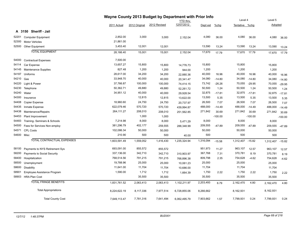|            |                                   | Wayne County 2013 Budget by Department with Prior Info |               | Level 4      |                               | Level 5   |           |                  |           |           |           |
|------------|-----------------------------------|--------------------------------------------------------|---------------|--------------|-------------------------------|-----------|-----------|------------------|-----------|-----------|-----------|
|            |                                   | 2011 Actual                                            | 2012 Original | 2012 Revised | <b>YTD thru</b><br>12/07/2012 | Dept est  | $%$ chg   | Tentative %chg   |           | Adopted   |           |
|            | A 3150 Sheriff - Jail             |                                                        |               |              |                               |           |           |                  |           |           |           |
| 52201      | <b>Computer Equipment</b>         | 2,852.00                                               | 3,000         | 3,000        | 2,152.04                      | 4,080     | 36.00     | 4,080            | 36.00     | 4,080     | 36.00     |
| 52300      | <b>Motor Vehicles</b>             | 21,861.00                                              |               |              |                               |           |           |                  |           |           |           |
| 52500      | Other Equipment                   | 3,453.40                                               | 12,001        | 12,001       |                               | 13,590    | 13.24     | 13,590           | 13.24     | 13,590    | 13.24     |
|            | <b>TOTAL EQUIPMENT</b>            | 28,166.40                                              | 15,001        | 15,001       | 2,152.04                      | 17,670    | 17.79     | 17,670           | 17.79     | 17,670    | 17.79     |
| 54000      | <b>Contractual Expenses</b>       | 7,500.00                                               |               |              |                               |           |           |                  |           |           |           |
| 54114      | Car Expense                       | 13,657.27                                              | 15,800        | 15,800       | 14,776.73                     | 15,800    |           | 15,800           |           | 15,800    |           |
| 54145      | Maintenance Supplies              | 827.48                                                 | 1,200         | 1,200        | 944.00                        | 1,200     |           | 1,200            |           | 1,200     |           |
| 54187      | Uniforms                          | 28,617.00                                              | 34,200        | 34,200       | 22,880.36                     | 40,000    | 16.96     | 40,000           | 16.96     | 40,000    | 16.96     |
| 54210      | Gas                               | 33,948.70                                              | 40,000        | 40,000       | 20,341.47                     | 34,080    | $-14.80$  | 34,080           | $-14.80$  | 34,080    | $-14.80$  |
| 54220      | Light & Power                     | 37,766.87                                              | 100,000       | 100,000      | 74,414.15                     | 73,742    | $-26.26$  | 70,055           | $-29.95$  | 70,055    | $-29.95$  |
| 54230      | Telephone                         | 50,362.71                                              | 49,880        | 49,880       | 52,261.72                     | 50,500    | 1.24      | 50,500           | 1.24      | 50,500    | 1.24      |
| 54240      | Water                             | 34,951.12                                              | 40,000        | 40,000       | 29,928.54                     | 32,875    | $-17.81$  | 32,875           | $-17.81$  | 32,875    | $-17.81$  |
| 54300      | Insurance                         |                                                        | 12,815        | 12,815       | 13,622.00                     | 13,500    | 5.35      | 13,500           | 5.35      | 13,500    | 5.35      |
| 54408      | <b>Copier Expense</b>             | 18,960.60                                              | 24,750        | 24,750       | 20,737.97                     | 26,500    | 7.07      | 26,500           | 7.07      | 26,500    | 7.07      |
| 54435      | Inmate Expense                    | 622,079.46                                             | 570,720       | 570,720      | 439,994.87                    | 488,000   | $-14.49$  | 488,000          | $-14.49$  | 488,000   | $-14.49$  |
| 54438      | Maintenance/Repairs               | 264,111.27                                             | 208,010       | 208,010      | 251,562.85                    | 271,842   | 30.69     | 271,842          | 30.69     | 271,842   | 30.69     |
| 54453      | Plant Improvement                 |                                                        | 1,000         | 1,000        |                               |           | $-100.00$ |                  | $-100.00$ |           | $-100.00$ |
| 54483      | Training- Seminars & Schools      | 7,214.98                                               | 8,000         | 8,000        | 5,471.29                      | 8,000     |           | 8,000            |           | 8,000     |           |
| 54500      | Fees for Services Non-employ      | 381,296.79                                             | 402,177       | 259,555      | 288,348.99                    | 209,555   | $-47.89$  | 209,555          | $-47.89$  | 209,555   | $-47.89$  |
| 54571      | <b>CPL Costs</b>                  | 102,086.34                                             | 50,000        | 50,000       |                               | 50,000    |           | 50,000           |           | 50,000    |           |
| 54600 Misc |                                   | 210.90                                                 | 500           | 500          | 40.00                         | 500       |           | 500              |           | 500       |           |
|            | <b>TOTAL CONTRACTUAL EXPENSES</b> | 1,603,591.49                                           | 1,559,052     | 1,416,430    | 1,235,324.94                  | 1,316,094 | $-15.58$  | 1,312,407 -15.82 |           | 1,312,407 | $-15.82$  |
| 58100      | Payments to NYS Retirement Sys    | 693,091.00                                             | 855,572       | 855,572      |                               | 951,973   | 11.27     | 963,107          | 12.57     | 963,107   | 12.57     |
| 58200      | Payments to Social Security       | 337,136.00                                             | 342,710       | 342,710      | 310,903.97                    | 367,768   | 7.31      | 370,781          | 8.19      | 370,781   | 8.19      |
| 58400      | Hospitalization                   | 768,514.56                                             | 791,215       | 791,215      | 768,896.38                    | 809,798   | 2.35      | 754,628          | $-4.62$   | 754,628   | $-4.62$   |
| 58500      | Unemployment                      | 19,788.96                                              | 25,000        | 25,000       | 10,061.23                     | 25,000    |           | 25,000           |           | 25,000    |           |
| 58600      | <b>Disability</b>                 | 11,641.00                                              | 11,704        | 11,704       | 10,686.00                     | 11,704    |           | 11,704           |           | 11,704    |           |
| 58901      | Employee Assistance Program       | 1,590.00                                               | 1,712         | 1,712        | 1,664.39                      | 1,750     | 2.22      | 1,750            | 2.22      | 1,750     | 2.22      |
| 58903      | <b>HRA Plan Cost</b>              |                                                        | 35,500        | 35,500       |                               | 35,500    |           | 35,500           |           | 35,500    |           |
|            | <b>TOTAL FRINGE BENEFITS</b>      | 1,831,761.52                                           | 2,063,413     | 2,063,413    | 1,102,211.97                  | 2,203,493 | 6.79      | 2,162,470        | 4.80      | 2,162,470 | 4.80      |
|            | <b>Total Appropriations</b>       | 8,224,622.19                                           | 8,117,336     | 7,977,514    | 6,728,855.06                  | 8,266,662 |           | 8,162,931        |           | 8,162,931 |           |
|            | <b>Total County Cost</b>          | 7,649,113.47                                           | 7,781,316     | 7,641,494    | 6,062,495.79                  | 7,903,662 | 1.57      | 7,799,931        | 0.24      | 7,799,931 | 0.24      |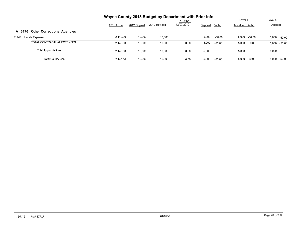|                                              |             |               | Wayne County 2013 Budget by Department with Prior Info |                               |          |          |                           |                    |
|----------------------------------------------|-------------|---------------|--------------------------------------------------------|-------------------------------|----------|----------|---------------------------|--------------------|
|                                              | 2011 Actual | 2012 Original | 2012 Revised                                           | <b>YTD</b> thru<br>12/07/2012 | Dept est | $%$ chg  | Level 4<br>Tentative %chg | Level 5<br>Adopted |
| <b>Other Correctional Agencies</b><br>A 3170 |             |               |                                                        |                               |          |          |                           |                    |
| 54435<br>Inmate Expense                      | 2.140.00    | 10,000        | 10.000                                                 |                               | 5,000    | $-50.00$ | 5,000<br>-50.00           | 5,000<br>$-50.00$  |
| TOTAL CONTRACTUAL EXPENSES                   | 2.140.00    | 10,000        | 10,000                                                 | 0.00                          | 5,000    | $-50.00$ | 5.000<br>-50.00           | $-50.00$<br>5,000  |
| <b>Total Appropriations</b>                  | 2.140.00    | 10,000        | 10,000                                                 | 0.00                          | 5,000    |          | 5,000                     | 5,000              |
| <b>Total County Cost</b>                     | 2.140.00    | 10,000        | 10,000                                                 | 0.00                          | 5,000    | $-50.00$ | 5,000<br>-50.00           | $-50.00$<br>5,000  |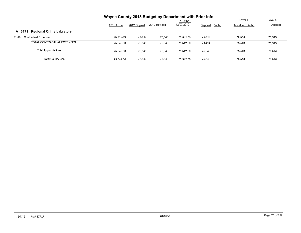|                                           | Wayne County 2013 Budget by Department with Prior Info |               |              |                 |                     |                |         |
|-------------------------------------------|--------------------------------------------------------|---------------|--------------|-----------------|---------------------|----------------|---------|
|                                           |                                                        |               |              | <b>YTD thru</b> |                     | Level 4        | Level 5 |
|                                           | 2011 Actual                                            | 2012 Original | 2012 Revised | 12/07/2012      | $%$ chg<br>Dept est | Tentative %chg | Adopted |
| <b>Regional Crime Labratory</b><br>A 3171 |                                                        |               |              |                 |                     |                |         |
| 54000<br><b>Contractual Expenses</b>      | 75,542.50                                              | 75,543        | 75.543       | 75.542.50       | 75,543              | 75,543         | 75,543  |
| TOTAL CONTRACTUAL EXPENSES                | 75.542.50                                              | 75,543        | 75,543       | 75.542.50       | 75,543              | 75,543         | 75,543  |
| <b>Total Appropriations</b>               | 75.542.50                                              | 75,543        | 75,543       | 75.542.50       | 75,543              | 75,543         | 75,543  |
| <b>Total County Cost</b>                  | 75.542.50                                              | 75.543        | 75.543       | 75.542.50       | 75,543              | 75.543         | 75,543  |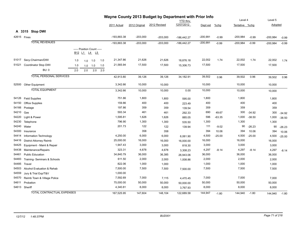|       | Wayne County 2013 Budget by Department with Prior Info<br><b>YTD</b> thru |                                |     |                                                                                            |     |     |             |               |              |               |            | Level 4  |                | Level 5  |            |          |
|-------|---------------------------------------------------------------------------|--------------------------------|-----|--------------------------------------------------------------------------------------------|-----|-----|-------------|---------------|--------------|---------------|------------|----------|----------------|----------|------------|----------|
|       |                                                                           |                                |     |                                                                                            |     |     | 2011 Actual | 2012 Original | 2012 Revised | 12/07/2012    | Dept est   | $%$ chg  | Tentative %chg |          | Adopted    |          |
|       |                                                                           |                                |     |                                                                                            |     |     |             |               |              |               |            |          |                |          |            |          |
|       | 42615 Fines                                                               | A 3315 Stop DWI                |     |                                                                                            |     |     | -193,883.38 | $-203,000$    | $-203,000$   | $-186,442.27$ | $-200,991$ | $-0.99$  | $-200,984$     | $-0.99$  | $-200,984$ | $-0.99$  |
|       |                                                                           | <b>TOTAL REVENUES</b>          |     |                                                                                            |     |     | -193,883.38 | $-203,000$    | $-203,000$   | $-186,442.27$ | $-200,991$ | $-0.99$  | $-200,984$     | $-0.99$  | $-200,984$ | $-0.99$  |
|       |                                                                           |                                |     | ----- Position Count -----<br>B <sub>12</sub> L <sub>1</sub> L <sub>4</sub> L <sub>5</sub> |     |     |             |               |              |               |            |          |                |          |            |          |
| 51017 |                                                                           | Secy-Chairman/DWI              | 1.0 | 1.0                                                                                        | 1.0 | 1.0 | 21,347.86   | 21,626        | 21,626       | 18,876.18     | 22,002     | 1.74     | 22,002         | 1.74     | 22,002     | 1.74     |
| 51021 |                                                                           | Coordinator Stop DWI           | 1.0 | 1.0                                                                                        | 1.0 | 1.0 | 21,565.94   | 17,500        | 17,500       | 15,306.73     | 17,500     |          | 17,500         |          | 17,500     |          |
|       |                                                                           | <b>BU: 0</b>                   | 2.0 | 2.0                                                                                        | 2.0 | 2.0 |             |               |              |               |            |          |                |          |            |          |
|       |                                                                           | <b>TOTAL PERSONAL SERVICES</b> |     |                                                                                            |     |     | 42,913.80   | 39,126        | 39,126       | 34,182.91     | 39,502     | 0.96     | 39,502         | 0.96     | 39,502     | 0.96     |
|       |                                                                           | 52500 Other Equipment          |     |                                                                                            |     |     | 3,342.66    | 10,000        | 10,000       |               | 10,000     |          | 10,000         |          | 10,000     |          |
|       |                                                                           | <b>TOTAL EQUIPMENT</b>         |     |                                                                                            |     |     | 3,342.66    | 10,000        | 10,000       | 0.00          | 10,000     |          | 10,000         |          | 10,000     |          |
| 54126 |                                                                           | <b>Field Supplies</b>          |     |                                                                                            |     |     | 751.86      | 1,800         | 1,800        | 595.00        | 1,800      |          | 1,800          |          | 1,800      |          |
| 54150 |                                                                           | Office Supplies                |     |                                                                                            |     |     | 159.86      | 400           | 400          | 223.49        | 400        |          | 400            |          | 400        |          |
| 54166 | Postage                                                                   |                                |     |                                                                                            |     |     | 197.86      | 359           | 359          | 139.54        | 359        |          | 359            |          | 359        |          |
| 54210 | Gas                                                                       |                                |     |                                                                                            |     |     | 593.34      | 461           | 461          | 292.33        | 690        | 49.67    | 300            | $-34.92$ | 300        | $-34.92$ |
| 54220 |                                                                           | Light & Power                  |     |                                                                                            |     |     | 1,595.81    | 1,626         | 1,626        | 885.05        | 596        | $-63.35$ | 1,000          | $-38.50$ | 1,000      | $-38.50$ |
| 54230 |                                                                           | Telephone                      |     |                                                                                            |     |     | 796.90      | 1,300         | 1,300        | 535.50        | 1,300      |          | 1,300          |          | 1,300      |          |
| 54240 | Water                                                                     |                                |     |                                                                                            |     |     | 201.73      | 122           | 122          | 139.94        | 111        | $-9.02$  | 90             | $-26.23$ | 90         | $-26.23$ |
| 54300 | Insurance                                                                 |                                |     |                                                                                            |     |     |             | 358           | 358          |               | 394        | 10.06    | 394            | 10.06    | 394        | 10.06    |
| 54414 |                                                                           | Information Technology         |     |                                                                                            |     |     | 4,250.00    | 6,000         | 6,000        | 6,061.90      | 4,500      | $-25.00$ | 4,500          | $-25.00$ | 4,500      | $-25.00$ |
| 54416 |                                                                           | <b>District Attorney Reimb</b> |     |                                                                                            |     |     | 25,000.00   | 16,000        | 16,000       | 16,000.00     | 16,000     |          | 16,000         |          | 16,000     |          |
| 54425 |                                                                           | Equipment - Maint & Repair     |     |                                                                                            |     |     | 1,947.43    | 3,000         | 3,000        | 818.30        | 3,000      |          | 3,000          |          | 3,000      |          |
| 54438 |                                                                           | Maintenance/Repairs            |     |                                                                                            |     |     | 323.31      | 4,678         | 4,678        | 3,308.23      | 4,297      | $-8.14$  | 4,297          | $-8.14$  | 4,297      | $-8.14$  |
| 54461 |                                                                           | <b>Public Education</b>        |     |                                                                                            |     |     | 34,840.79   | 36,000        | 36,385       | 26,943.06     | 36,000     |          | 36,000         |          | 36,000     |          |
| 54483 |                                                                           | Training-Seminars & Schools    |     |                                                                                            |     |     | 611.50      | 2,000         | 2,000        | 1,008.86      | 2,000      |          | 2,000          |          | 2,000      |          |
| 54485 | Travel                                                                    |                                |     |                                                                                            |     |     | 822.06      | 1,000         | 1,000        |               | 1,000      |          | 1,000          |          | 1,000      |          |
| 54503 |                                                                           | Alcohol Evaluation & Rehab     |     |                                                                                            |     |     | 7,500.00    | 7,500         | 7,500        | 7,500.00      | 7,500      |          | 7,500          |          | 7,500      |          |
| 54559 |                                                                           | Jury & Trial Exp/T&V           |     |                                                                                            |     |     | 1,000.00    |               |              |               |            |          |                |          |            |          |
| 54570 |                                                                           | Reimb Town & Village Police    |     |                                                                                            |     |     | 7,592.69    | 7,000         | 7,115        | 4,470.45      | 7,000      |          | 7,000          |          | 7,000      |          |
| 54611 | Probation                                                                 |                                |     |                                                                                            |     |     | 75,000.00   | 50,000        | 50,000       | 50,000.00     | 50,000     |          | 50,000         |          | 50,000     |          |
|       | 54613 Sheriff                                                             |                                |     |                                                                                            |     |     | 4,340.81    | 8,000         | 8,000        | 3,767.93      | 8,000      |          | 8,000          |          | 8,000      |          |
|       |                                                                           | TOTAL CONTRACTUAL EXPENSES     |     |                                                                                            |     |     | 167,525.95  | 147,604       | 148,104      | 122,689.58    | 144,947    | $-1.80$  | 144,940        | $-1.80$  | 144,940    | $-1.80$  |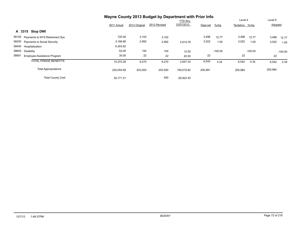|                                             | Wayne County 2013 Budget by Department with Prior Info |               |              |                 |          |           |                |           |         |           |
|---------------------------------------------|--------------------------------------------------------|---------------|--------------|-----------------|----------|-----------|----------------|-----------|---------|-----------|
|                                             |                                                        |               |              | <b>YTD thru</b> |          |           | Level 4        |           | Level 5 |           |
|                                             | 2011 Actual                                            | 2012 Original | 2012 Revised | 12/07/2012      | Dept est | %chg      | Tentative %chg |           | Adopted |           |
| A 3315 Stop DWI                             |                                                        |               |              |                 |          |           |                |           |         |           |
| 58100 Payments to NYS Retirement Sys        | 720.00                                                 | 3,102         | 3,102        |                 | 3,498    | 12.77     | 3,498          | 12.77     | 3,498   | 12.77     |
| 58200 Payments to Social Security           | 3,166.66                                               | 2,992         | 2,992        | 2.614.78        | 3,022    | 1.00      | 3,022          | 1.00      | 3,022   | 1.00      |
| 58400 Hospitalization                       | 6,303.62                                               |               |              |                 |          |           |                |           |         |           |
| 58600<br>Disability                         | 52.00                                                  | 154           | 154          | 12.00           |          | $-100.00$ |                | $-100.00$ |         | $-100.00$ |
| 58901<br><b>Employee Assistance Program</b> | 30.00                                                  | 22            | 22           | 20.55           | 22       |           | 22             |           | 22      |           |
| <b>TOTAL FRINGE BENEFITS</b>                | 10,272.28                                              | 6,270         | 6,270        | 2,647.33        | 6,542    | 4.34      | 6,542          | 4.34      | 6,542   | 4.34      |
| <b>Total Appropriations</b>                 | 224,054.69                                             | 203,000       | 203,500      | 159,519.82      | 200,991  |           | 200,984        |           | 200,984 |           |
| <b>Total County Cost</b>                    | 30,171.31                                              |               | 500          | $-26.922.45$    |          |           |                |           |         |           |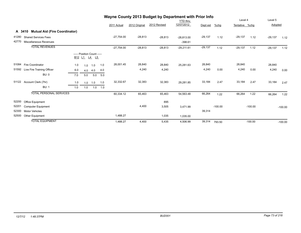|       |                                      |               |     |                                            | Wayne County 2013 Budget by Department with Prior Info |              |               |              |              |           |           |                |           |           |           |
|-------|--------------------------------------|---------------|-----|--------------------------------------------|--------------------------------------------------------|--------------|---------------|--------------|--------------|-----------|-----------|----------------|-----------|-----------|-----------|
|       |                                      |               |     |                                            |                                                        |              |               |              | YTD thru     |           |           | Level 4        |           | Level 5   |           |
|       |                                      |               |     |                                            |                                                        | 2011 Actual  | 2012 Original | 2012 Revised | 12/07/2012   | Dept est  | $%$ chg   | Tentative %chg |           | Adopted   |           |
|       | A 3410 Mutual Aid (Fire Coordinator) |               |     |                                            |                                                        |              |               |              |              |           |           |                |           |           |           |
| 41280 | <b>Shared Services Fees</b>          |               |     |                                            |                                                        | $-27,754.00$ | $-28,813$     | $-28,813$    | $-28,813.00$ | $-29,137$ | 1.12      | $-29,137$      | 1.12      | $-29,137$ | 1.12      |
| 42770 | Miscellaneous Revenues               |               |     |                                            |                                                        |              |               |              | $-398.61$    |           |           |                |           |           |           |
|       | <b>TOTAL REVENUES</b>                |               |     |                                            |                                                        | $-27,754.00$ | $-28,813$     | $-28,813$    | $-29,211.61$ | $-29,137$ | 1.12      | $-29,137$      | 1.12      | $-29,137$ | 1.12      |
|       |                                      | <u>B12 L1</u> |     | ----- Position Count -----<br><u>L4</u> L5 |                                                        |              |               |              |              |           |           |                |           |           |           |
| 51084 | Fire Coordinator                     | 1.0           | 1.0 | 1.0                                        | 1.0                                                    | 28,001.45    | 28,840        | 28,840       | 25.281.63    | 28,840    |           | 28,840         |           | 28,840    |           |
| 51592 | Live Fire Training Officer           | 6.0           | 4.0 | 4.0                                        | 4.0                                                    |              | 4,240         | 4,240        |              | 4,240     | 0.00      | 4,240          | 0.00      | 4,240     | 0.00      |
|       | <b>BU: 0</b>                         | 7.0           | 5.0 | 5.0                                        | 5.0                                                    |              |               |              |              |           |           |                |           |           |           |
| 51122 | Account Clerk (7hr)                  | 1.0           | 1.0 | 1.0                                        | 1.0                                                    | 32,332.67    | 32,383        | 32,383       | 29,281.85    | 33,184    | 2.47      | 33,184         | 2.47      | 33,184    | 2.47      |
|       | <b>BU: 1</b>                         | 1.0           | 1.0 | 1.0                                        | 1.0                                                    |              |               |              |              |           |           |                |           |           |           |
|       | <b>TOTAL PERSONAL SERVICES</b>       |               |     |                                            |                                                        | 60,334.12    | 65,463        | 65,463       | 54,563.48    | 66,264    | 1.22      | 66,264         | 1.22      | 66,264    | 1.22      |
| 52200 | Office Equipment                     |               |     |                                            |                                                        |              |               | 895          |              |           |           |                |           |           |           |
| 52201 | <b>Computer Equipment</b>            |               |     |                                            |                                                        |              | 4,400         | 3,505        | 3,471.99     |           | $-100.00$ |                | $-100.00$ |           | $-100.00$ |
| 52300 | <b>Motor Vehicles</b>                |               |     |                                            |                                                        |              |               |              |              | 39,314    |           |                |           |           |           |
| 52500 | Other Equipment                      |               |     |                                            |                                                        | 1,488.27     |               | 1,035        | 1,035.00     |           |           |                |           |           |           |
|       | <b>TOTAL EQUIPMENT</b>               |               |     |                                            |                                                        | 1,488.27     | 4,400         | 5,435        | 4,506.99     | 39,314    | 793.50    |                | $-100.00$ |           | $-100.00$ |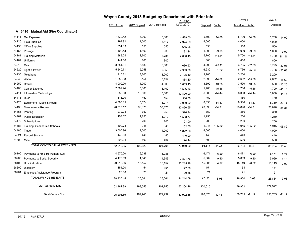|       |                                      | Wayne County 2013 Budget by Department with Prior Info |               |              |                        |          |          | Level 4        |          | Level 5        |          |
|-------|--------------------------------------|--------------------------------------------------------|---------------|--------------|------------------------|----------|----------|----------------|----------|----------------|----------|
|       |                                      | 2011 Actual                                            | 2012 Original | 2012 Revised | YTD thru<br>12/07/2012 | Dept est | $%$ chg  | Tentative %chg |          | Adopted        |          |
|       | A 3410 Mutual Aid (Fire Coordinator) |                                                        |               |              |                        |          |          |                |          |                |          |
|       | 54114 Car Expense                    | 7,530.42                                               | 5,000         | 5,000        | 4,529.50               | 5,700    | 14.00    | 5,700          | 14.00    | 5,700          | 14.00    |
| 54126 | <b>Field Supplies</b>                | 1,299.92                                               | 4,000         | 5,517        | 2,974.69               | 4,000    |          | 4,000          |          | 4,000          |          |
| 54150 | <b>Office Supplies</b>               | 631.19                                                 | 550           | 550          | 645.95                 | 550      |          | 550            |          | 550            |          |
| 54166 | Postage                              | 1,408.43                                               | 1,100         | 900          | 191.24                 | 1,000    | $-9.09$  | 1,000          | $-9.09$  | 1,000          | $-9.09$  |
| 54181 | <b>Training Materials</b>            | 389.24                                                 | 2,700         | 3,781        | 2,636.45               | 5,700    | 111.11   | 5,700          | 111.11   | 5,700          | 111.11   |
| 54187 | Uniforms                             | 144.00                                                 | 800           | 800          |                        | 800      |          | 800            |          | 800            |          |
| 54210 | Gas                                  | 3,554.81                                               | 5,583         | 5,583        | 1,630.93               | 4,293    | $-23.11$ | 3,795          | $-32.03$ | 3,795          | $-32.03$ |
| 54220 | Light & Power                        | 5,240.71                                               | 9,058         | 9,058        | 4,983.50               | 6,230    | $-31.22$ | 6,736          | $-25.63$ | 6,736          | $-25.63$ |
| 54230 | Telephone                            | 1,910.31                                               | 3,200         | 3,200        | 2,125.10               | 3,200    |          | 3,200          |          | 3,200          |          |
| 54240 | Water                                | 1,350.98                                               | 3,154         | 3,154        | 1,884.80               | 2,693    | $-14.62$ | 2,662          | $-15.60$ | 2,662          | $-15.60$ |
| 54250 | Refuse                               | 4,000.00                                               | 4,000         | 4,000        | 3,059.45               | 3,590    | $-10.25$ | 3,590          | $-10.25$ | 3,590          | $-10.25$ |
| 54408 | Copier Expense                       | 2,369.94                                               | 3,100         | 3,100        | 1,596.56               | 1,700    | $-45.16$ | 1,700          | $-45.16$ | 1,700          | $-45.16$ |
| 54414 | Information Technology               | 1,388.00                                               | 10,800        | 10,800       | 10,800.00              | 6,000    | $-44.44$ | 6,000          | $-44.44$ | 6,000          | $-44.44$ |
| 54418 | Dues                                 | 315.00                                                 | 450           | 450          | 500.00                 | 450      |          | 450            |          | 450            |          |
| 54425 | Equipment - Maint & Repair           | 4,590.85                                               | 5,074         | 5,074        | 6,980.92               | 8,330    | 64.17    | 8,330          | 64.17    | 8,330          | 64.17    |
| 54438 | Maintenance/Repairs                  | 20,717.17                                              | 36,375        | 36,375       | 30,850.55              | 23,896   | $-34.31$ | 23,896         | $-34.31$ | 23,896         | $-34.31$ |
| 54456 | Printing                             | 272.23                                                 | 350           | 250          | 320.94                 | 350      |          | 350            |          | 350            |          |
| 54461 | <b>Public Education</b>              | 158.07                                                 | 1,250         | 1,210        | 1,598.77               | 1,250    |          | 1,250          |          | 1,250          |          |
| 54472 | Subscriptions                        |                                                        | 200           | 200          | 21.00                  | 200      |          | 200            |          | 200            |          |
| 54483 | Training- Seminars & Schools         | 499.78                                                 | 945           | 945          | 152.05                 | 1,945    | 105.82   | 1,945          | 105.82   | 1,945          | 105.82   |
| 54485 | Travel                               | 3,600.96                                               | 4,000         | 4,000        | 1,872.36               | 4,000    |          | 4,000          |          | 4,000          |          |
| 54521 | <b>Record Storage</b>                | 440.00                                                 | 440           | 440          | 440.00                 | 440      |          | 440            |          | 440            |          |
|       | 54600 Misc                           | 398.04                                                 | 500           | 404          | 124.44                 | 500      |          | 500            |          | 500            |          |
|       | <b>TOTAL CONTRACTUAL EXPENSES</b>    | 62,210.05                                              | 102,629       | 104,791      | 79,919.20              | 86,817   | $-15.41$ | 86,794         | $-15.43$ | 86,794         | $-15.43$ |
| 58100 | Payments to NYS Retirement Sys       | 4,570.00                                               | 6,088         | 6,088        |                        | 6,471    | 6.29     | 6,471          | 6.29     | 6,471          | 6.29     |
| 58200 | Payments to Social Security          | 4,175.59                                               | 4,646         | 4,646        | 3,801.76               | 5,069    | 9.10     | 5,069          | 9.10     | 5,069          | 9.10     |
| 58400 | Hospitalization                      | 20,010.86                                              | 15,152        | 15,152       | 20,215.28              | 15,905   | 4.97     | 15,149         | $-0.02$  | 15,149         | $-0.02$  |
| 58600 | Disability                           | 154.00                                                 | 154           | 154          | 177.00                 | 154      |          | 154            |          | 154            |          |
| 58901 | Employee Assistance Program          | 20.00                                                  | 21            | 21           | 20.55                  | 21       |          | 21             |          | 21             |          |
|       | <b>TOTAL FRINGE BENEFITS</b>         | 28,930.45                                              | 26,061        | 26,061       | 24,214.59              | 27,620   | 5.98     | 26,864         | 3.08     | 26,864         | 3.08     |
|       | <b>Total Appropriations</b>          | 152,962.89                                             | 198,553       | 201,750      | 163,204.26             | 220,015  |          | 179,922        |          | 179,922        |          |
|       | <b>Total County Cost</b>             | 125,208.89                                             | 169,740       | 172,937      | 133,992.65             | 190,878  | 12.45    | 150,785 -11.17 |          | 150,785 -11.17 |          |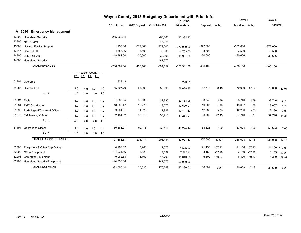|       |                                 |     |                                                              |           |     |               |               | Wayne County 2013 Budget by Department with Prior Info |                 |             |          |                |               |             |               |
|-------|---------------------------------|-----|--------------------------------------------------------------|-----------|-----|---------------|---------------|--------------------------------------------------------|-----------------|-------------|----------|----------------|---------------|-------------|---------------|
|       |                                 |     |                                                              |           |     |               |               |                                                        | <b>YTD</b> thru |             |          | Level 4        |               | Level 5     |               |
|       |                                 |     |                                                              |           |     | 2011 Actual   | 2012 Original | 2012 Revised                                           | 12/07/2012      | Dept est    | $%$ chg  | Tentative %chg |               | Adopted     |               |
|       | A 3640 Emergency Management     |     |                                                              |           |     |               |               |                                                        |                 |             |          |                |               |             |               |
| 43302 | <b>Homeland Security</b>        |     |                                                              |           |     | $-265,069.14$ |               | $-60,000$                                              | 17,382.92       |             |          |                |               |             |               |
| 43305 | <b>NYS Grants</b>               |     |                                                              |           |     |               |               | $-46,875$                                              |                 |             |          |                |               |             |               |
| 43306 | <b>Nuclear Facility Support</b> |     |                                                              |           |     | 1,953.36      | $-372,000$    | $-372,000$                                             | $-372,000.00$   | $-372,000$  |          | $-372,000$     |               | $-372,000$  |               |
| 43317 | Sara Title III                  |     |                                                              |           |     | $-4,585.86$   | $-3,500$      | $-3,500$                                               | $-4,703.00$     | $-3,500$    |          | $-3,500$       |               | $-3,500$    |               |
| 44305 | <b>LEMP GRANT</b>               |     |                                                              |           |     | $-18,981.00$  | $-30,606$     | $-30,606$                                              | $-18,981.00$    | $-30,606$   |          | $-30,606$      |               | $-30,606$   |               |
| 44306 | <b>Homeland Security</b>        |     |                                                              |           |     |               |               | $-81,676$                                              |                 |             |          |                |               |             |               |
|       | <b>TOTAL REVENUES</b>           |     |                                                              |           |     | -286,682.64   | $-406, 106$   | $-594,657$                                             | $-378,301.08$   | $-406, 106$ |          | $-406, 106$    |               | $-406, 106$ |               |
|       |                                 |     | ----- Position Count -----                                   |           |     |               |               |                                                        |                 |             |          |                |               |             |               |
|       |                                 |     | B <sub>12</sub> L <sub>1</sub> L <sub>4</sub> L <sub>5</sub> |           |     |               |               |                                                        |                 |             |          |                |               |             |               |
| 51904 | Overtime                        |     |                                                              |           |     | 939.19        |               |                                                        | 223.81          |             |          |                |               |             |               |
| 51085 | Director ODP                    | 1.0 |                                                              | $1.0$ 1.0 | 1.0 | 55,607.70     | 53,390        | 53,390                                                 | 56,628.85       | 57,743      | 8.15     | 79,000         | 47.97         | 79,000      | 47.97         |
|       | <b>BU: 0</b>                    | 1.0 | 1.0                                                          | 1.0       | 1.0 |               |               |                                                        |                 |             |          |                |               |             |               |
| 51112 | Typist                          | 1.0 | 1.0                                                          | 1.0       | 1.0 | 31,060.65     | 32,830        | 32,830                                                 | 29,433.98       | 33,746      | 2.79     | 33,746         | 2.79          | 33,746      | 2.79          |
| 51284 | <b>EMT Coordinator</b>          | 1.0 | 1.0                                                          | 1.0       | 1.0 | 18,005.47     | 19,270        | 19,270                                                 | 13,690.01       | 19,607      | 1.75     | 19,607         | 1.75          | 19,607      | 1.75          |
| 51299 | Radiological/Chemical Officer   | 1.0 | 1.0                                                          | 1.0       | 1.0 | 9,204.91      | 11,928        | 11,928                                                 | 10,441.53       | 12,286      | 3.00     | 12,286         | 3.00          | 12,286      | 3.00          |
| 51575 | <b>EM Training Officer</b>      | 1.0 | 1.0                                                          | 1.0       | 1.0 | 32,484.52     | 33,910        | 33,910                                                 | 31,234.91       | 50,000      | 47.45    | 37,746         | 11.31         | 37,746      | 11.31         |
|       | <b>BU: 1</b>                    | 4.0 | 4.0                                                          | 4.0       | 4.0 |               |               |                                                        |                 |             |          |                |               |             |               |
| 51494 | <b>Operations Officer</b>       | 1.0 |                                                              | $1.0$ 1.0 | 1.0 | 50,386.07     | 50,116        | 50,116                                                 | 46,274.44       | 53,623      | 7.00     | 53,623         | 7.00          | 53,623      | 7.00          |
|       | BU: 4                           | 1.0 | 1.0                                                          | 1.0       | 1.0 |               |               |                                                        |                 |             |          |                |               |             |               |
|       | <b>TOTAL PERSONAL SERVICES</b>  |     |                                                              |           |     | 197,688.51    | 201,444       | 201,444                                                | 187,927.53      | 227,005     | 12.69    | 236,008        | 17.16         | 236,008     | 17.16         |
| 52000 | Equipment & Other Cap Outlay    |     |                                                              |           |     | 4,296.02      | 8,200         | 11,576                                                 | 4,525.92        | 21,150      | 157.93   |                | 21,150 157.93 |             | 21,150 157.93 |
| 52200 | Office Equipment                |     |                                                              |           |     | 134,034.66    | 6,620         | 7,697                                                  | 7,660.11        | 3,159       | $-52.28$ | 3,159          | $-52.28$      | 3,159       | $-52.28$      |
| 52201 | <b>Computer Equipment</b>       |     |                                                              |           |     | 49,082.58     | 15,700        | 15,700                                                 | 15,043.98       | 6,300       | $-59.87$ | 6,300          | $-59.87$      | 6,300       | $-59.87$      |
| 52203 | Homeland Security-Equipment     |     |                                                              |           |     | 144,636.88    |               | 141,676                                                | 60,000.00       |             |          |                |               |             |               |
|       | <b>TOTAL EQUIPMENT</b>          |     |                                                              |           |     | 332.050.14    | 30,520        | 176,649                                                | 87,230.01       | 30,609      | 0.29     | 30,609         | 0.29          | 30,609      | 0.29          |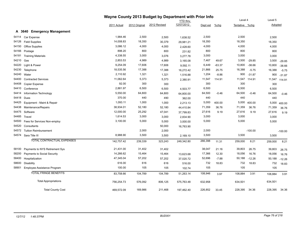|       |                                       | Wayne County 2013 Budget by Department with Prior Info |               |              |                 |          |          |                |           |         |           |
|-------|---------------------------------------|--------------------------------------------------------|---------------|--------------|-----------------|----------|----------|----------------|-----------|---------|-----------|
|       |                                       |                                                        |               |              | <b>YTD</b> thru |          |          | Level 4        |           | Level 5 |           |
|       |                                       | 2011 Actual                                            | 2012 Original | 2012 Revised | 12/07/2012      | Dept est | $%$ chg  | Tentative %chg |           | Adopted |           |
|       | <b>Emergency Management</b><br>A 3640 |                                                        |               |              |                 |          |          |                |           |         |           |
| 54114 | Car Expense                           | 1,984.46                                               | 2,500         | 2,500        | 1,638.52        | 2,500    |          | 2,500          |           | 2,500   |           |
| 54126 | <b>Field Supplies</b>                 | 14,008.83                                              | 18,350        | 30,379       | 29,981.21       | 18,350   |          | 18,350         |           | 18,350  |           |
| 54150 | Office Supplies                       | 3,086.12                                               | 4,000         | 4,000        | 2,428.60        | 4,000    |          | 4,000          |           | 4,000   |           |
| 54166 | Postage                               | 898.20                                                 | 800           | 800          | 231.82          | 800      |          | 800            |           | 800     |           |
| 54181 | <b>Training Materials</b>             | 4,338.55                                               | 3,000         | 3,076        | 3,277.78        | 3,000    |          | 3,000          |           | 3,000   |           |
| 54210 | Gas                                   | 2,853.53                                               | 4,989         | 4,989        | 3,165.08        | 7,467    | 49.67    | 3,500          | $-29.85$  | 3,500   | $-29.85$  |
| 54220 | Light & Power                         | 9,254.09                                               | 17,606        | 17,606       | 9,592.11        | 6,449    | $-63.37$ | 10,800         | $-38.66$  | 10,800  | $-38.66$  |
| 54230 | Telephone                             | 18,535.56                                              | 17,388        | 17,388       | 16,272.42       | 21,866   | 25.75    | 16,388         | $-5.75$   | 16,388  | $-5.75$   |
| 54240 | Water                                 | 2,110.92                                               | 1,321         | 1,321        | 1,516.88        | 1,204    | $-8.86$  | 900            | $-31.87$  | 900     | $-31.87$  |
| 54400 | <b>Contracted Services</b>            | 11,062.64                                              | 5,373         | 5,373        | 2,380.91        | 11,547   | 114.91   | 11,547 114.91  |           | 11,547  | 114.91    |
| 54408 | <b>Copier Expense</b>                 | 92.00                                                  | 300           | 300          |                 | 300      |          | 300            |           | 300     |           |
| 54410 | Conference                            | 2,881.97                                               | 6,500         | 6,500        | 4,503.77        | 6,500    |          | 6,500          |           | 6,500   |           |
| 54414 | Information Technology                | 5,550.00                                               | 64,800        | 64,800       | 64,800.00       | 64,500   | $-0.46$  | 64,500         | $-0.46$   | 64,500  | $-0.46$   |
| 54418 | Dues                                  | 370.00                                                 | 440           | 490          | 362.00          | 440      |          | 440            |           | 440     |           |
| 54425 | Equipment - Maint & Repair            | 1,093.11                                               | 1,000         | 1,000        | 2,213.13        | 5,000    | 400.00   | 5,000          | 400.00    | 5,000   | 400.00    |
| 54438 | Maintenance/Repairs                   | 38,934.01                                              | 52,180        | 52,180       | 44,410.84       | 71,359   | 36.76    | 71,359         | 36.76     | 71,359  | 36.76     |
| 54475 | Software                              | 12,000.00                                              | 25,292        | 47,041       | 37,799.83       | 27,616   | 9.19     | 27,616         | 9.19      | 27,616  | 9.19      |
| 54485 | Travel                                | 1,614.53                                               | 3,000         | 3,000        | 2,834.90        | 3,000    |          | 3,000          |           | 3,000   |           |
| 54500 | Fees for Services Non-employ          | 3,100.00                                               | 5,000         | 5,000        | 3,000.00        | 5,000    |          | 5,000          |           | 5,000   |           |
| 54520 | Consultants                           |                                                        |               | 50,000       | 16,763.90       |          |          |                |           |         |           |
| 54572 | <b>Tuition Reimbursement</b>          |                                                        | 2,000         | 2,000        |                 | 2,000    |          |                | $-100.00$ |         | $-100.00$ |
|       | 54574 Sara Title III                  | 8,988.90                                               | 3,500         | 3,500        | 2,169.10        | 3,500    |          | 3,500          |           | 3,500   |           |
|       | TOTAL CONTRACTUAL EXPENSES            | 142,757.42                                             | 239,339       | 323,243      | 249,342.80      | 266,398  | 11.31    | 259,000        | 8.21      | 259,000 | 8.21      |
| 58100 | Payments to NYS Retirement Sys        | 21,431.00                                              | 31,402        | 31,402       |                 | 38,047   | 21.16    | 39,803         | 26.75     | 39,803  | 26.75     |
| 58200 | Payments to Social Security           | 14,266.62                                              | 15,464        | 15,464       | 13,623.68       | 17,366   | 12.30    | 18,056         | 16.76     | 18,056  | 16.76     |
| 58400 | Hospitalization                       | 47,345.04                                              | 57,202        | 57,202       | 37,020.72       | 52,696   | $-7.88$  | 50,188         | $-12.26$  | 50,188  | $-12.26$  |
| 58600 | Disability                            | 616.00                                                 | 616           | 616          | 516.00          | 732      | 18.83    | 732            | 18.83     | 732     | 18.83     |
| 58901 | Employee Assistance Program           | 100.00                                                 | 105           | 105          | 102.74          | 105      |          | 105            |           | 105     |           |
|       | <b>TOTAL FRINGE BENEFITS</b>          | 83,758.66                                              | 104,789       | 104,789      | 51,263.14       | 108,946  | 3.97     | 108,884        | 3.91      | 108,884 | 3.91      |
|       | <b>Total Appropriations</b>           | 756,254.73                                             | 576,092       | 806,125      | 575,763.48      | 632,958  |          | 634,501        |           | 634,501 |           |
|       | <b>Total County Cost</b>              | 469,572.09                                             | 169,986       | 211.468      | 197,462.40      | 226,852  | 33.45    | 228,395        | 34.36     | 228,395 | 34.36     |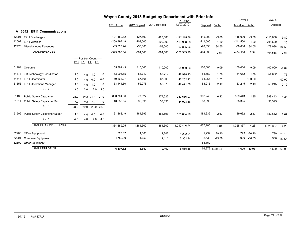| Wayne County 2013 Budget by Department with Prior Info |                                      |      |                                                                             |           |           |               |               |              |                 |            |                 |                |              |            |           |
|--------------------------------------------------------|--------------------------------------|------|-----------------------------------------------------------------------------|-----------|-----------|---------------|---------------|--------------|-----------------|------------|-----------------|----------------|--------------|------------|-----------|
|                                                        |                                      |      |                                                                             |           |           |               |               |              | <b>YTD thru</b> |            |                 | Level 4        |              | Level 5    |           |
|                                                        |                                      |      |                                                                             |           |           | 2011 Actual   | 2012 Original | 2012 Revised | 12/07/2012      | Dept est   | %chg            | Tentative %chq |              | Adopted    |           |
|                                                        | <b>E911 Communications</b><br>A 3642 |      |                                                                             |           |           |               |               |              |                 |            |                 |                |              |            |           |
| 42091                                                  | E911 Surcharges                      |      |                                                                             |           |           | $-121,159.62$ | $-127,500$    | $-127,500$   | $-112, 115.76$  | $-115,000$ | $-9.80$         | $-115,000$     | $-9.80$      | $-115,000$ | $-9.80$   |
| 42092                                                  | E911 Wireless                        |      |                                                                             |           |           | $-208,893.18$ | $-209,000$    | $-209,000$   | -193.938.88     | $-211,500$ | 1.20            | $-211,500$     | 1.20         | $-211,500$ | 1.20      |
| 42770                                                  | Miscellaneous Revenues               |      |                                                                             |           |           | $-69,327.24$  | $-58,000$     | $-58,000$    | $-62,885.26$    | $-78,038$  | 34.55           | $-78,038$      | 34.55        | $-78,038$  | 34.55     |
|                                                        | <b>TOTAL REVENUES</b>                |      |                                                                             |           |           | -399,380.04   | $-394,500$    | $-394,500$   | $-368,939.90$   | $-404,538$ | 2.54            | $-404,538$     | 2.54         | $-404,538$ | 2.54      |
|                                                        |                                      |      | ----- Position Count -----<br>B <sub>12</sub> L <sub>1</sub> L <sub>4</sub> | L5        |           |               |               |              |                 |            |                 |                |              |            |           |
| 51904                                                  | Overtime                             |      |                                                                             |           |           | 155,362.43    | 110,000       | 110,000      | 95,980.86       | 100,000    | $-9.09$         | 100,000        | $-9.09$      | 100,000    | $-9.09$   |
| 51378                                                  | 911 Technology Coordinator           | 1.0  | 1.0                                                                         | 1.0       | 1.0       | 53,905.65     | 53,712        | 53,712       | 48,998.23       | 54,652     | 1.75            | 54,652         | 1.75         | 54,652     | 1.75      |
| 51514                                                  | E911 Coordinator                     | 1.0  | 1.0                                                                         | 0.0       | 0.0       | 69,368.27     | 67,805        | 67,805       | 47,252.22       | 68,966     | 1.71            |                | $-100.00$    |            | $-100.00$ |
| 51555                                                  | E911 Operations Manager              | 1.0  | 1.0                                                                         | 1.0       | 1.0       | 53,444.50     | 52,075        | 52,075       | 47,471.30       | 53,215     | 2.19            | 53,215         | 2.19         | 53,215     | 2.19      |
|                                                        | BU: 0                                | 3.0  | 3.0                                                                         | 2.0       | 2.0       |               |               |              |                 |            |                 |                |              |            |           |
| 51489                                                  | <b>Public Safety Dispatcher</b>      | 21.0 |                                                                             | 22.0 21.0 | 21.0      | 830,704.36    | 877,622       | 877,622      | 763,656.07      | 932,246    | 6.22            | 889,443        | 1.35         | 889,443    | 1.35      |
| 51511                                                  | Public Safety Dispatcher Sub         | 7.0  |                                                                             | 7.0 7.0   | 7.0       | 40,635.65     | 38,395        | 38,395       | 44,023.86       | 38,395     |                 | 38,395         |              | 38,395     |           |
|                                                        | <b>BU: 1</b>                         | 28.0 | 29.0                                                                        |           | 28.0 28.0 |               |               |              |                 |            |                 |                |              |            |           |
| 51509                                                  | Public Safety Dispatcher Super       | 4.0  | 4.0                                                                         | 4.0       | 4.0       | 161,268.19    | 184,693       | 184,693      | 165,064.20      | 189,632    | 2.67            | 189,632        | 2.67         | 189,632    | 2.67      |
|                                                        | <b>BU: 4</b>                         | 4.0  | 4.0                                                                         | 4.0       | 4.0       |               |               |              |                 |            |                 |                |              |            |           |
|                                                        | <b>TOTAL PERSONAL SERVICES</b>       |      |                                                                             |           |           | 1,364,689.05  | 1,384,302     | 1,384,302    | 1,212,446.74    | 1,437,106  | 3.81            | 1,325,337      | $-4.26$      | 1,325,337  | $-4.26$   |
| 52200                                                  | Office Equipment                     |      |                                                                             |           |           | 1,327.82      | 1,000         | 2,342        | 1,202.24        | 1,299      | 29.90           | 799            | $-20.10$     | 799        | $-20.10$  |
| 52201                                                  | <b>Computer Equipment</b>            |      |                                                                             |           |           | 4,780.00      | 4,650         | 7,118        | 5,362.94        | 2,530      | $-45.59$        | 900            | $-80.65$     | 900        | $-80.65$  |
| 52500                                                  | <b>Other Equipment</b>               |      |                                                                             |           |           |               |               |              |                 | 63,150     |                 |                |              |            |           |
|                                                        | <b>TOTAL EQUIPMENT</b>               |      |                                                                             |           |           | 6,107.82      | 5,650         | 9,460        | 6,565.18        |            | 66,979 1,085.47 |                | 1,699 -69.93 | 1,699      | $-69.93$  |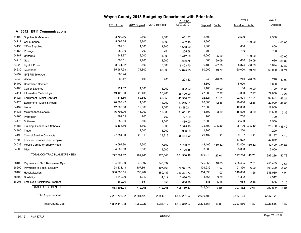|            |                                   |              |               | Wayne County 2013 Budget by Department with Prior Info |                 |           |          |                |               |           |               |
|------------|-----------------------------------|--------------|---------------|--------------------------------------------------------|-----------------|-----------|----------|----------------|---------------|-----------|---------------|
|            |                                   |              |               |                                                        | <b>YTD</b> thru |           |          | Level 4        |               | Level 5   |               |
|            |                                   | 2011 Actual  | 2012 Original | 2012 Revised                                           | 12/07/2012      | Dept est  | %chg     | Tentative %chg |               | Adopted   |               |
|            | A 3642 E911 Communications        |              |               |                                                        |                 |           |          |                |               |           |               |
| 54100      | Supplies & Materials              | 3,709.86     | 2,500         | 2,500                                                  | 1,061.77        | 2,500     |          | 2,500          |               | 2,500     |               |
| 54114      | Car Expense                       | 5,597.25     | 3,800         | 3,800                                                  | 3,462.15        | 3,800     |          |                | $-100.00$     |           | $-100.00$     |
| 54150      | <b>Office Supplies</b>            | 1,769.01     | 1,800         | 1,800                                                  | 1,658.99        | 1,800     |          | 1,800          |               | 1,800     |               |
| 54166      | Postage                           | 988.80       | 700           | 700                                                    | 205.68          | 700       |          | 700            |               | 700       |               |
| 54187      | Uniforms                          | 942.87       | 8,000         | 4,906                                                  | 3,442.20        | 6,000     | $-25.00$ |                | $-100.00$     |           | $-100.00$     |
| 54210      | Gas                               | 1,006.51     | 2,200         | 2,200                                                  | 515.75          | 680       | $-69.09$ | 680            | $-69.09$      | 680       | $-69.09$      |
| 54220      | Light & Power                     | 8,341.32     | 8,500         | 8,500                                                  | 6,403.70        | 6,183     | $-27.26$ | 5,874          | $-30.89$      | 5,874     | $-30.89$      |
| 54230      | Telephone                         | 85,987.98    | 74,800        | 68,800                                                 | 54,825.25       | 60,000    | $-19.79$ | 60,000         | $-19.79$      | 60,000    | $-19.79$      |
| 54232      | <b>NYSPIN Teletype</b>            | 568.44       |               |                                                        |                 |           |          |                |               |           |               |
| 54240      | Water                             | 265.42       | 400           | 400                                                    | 223.82          | 240       | $-40.00$ | 240            | $-40.00$      | 240       | $-40.00$      |
| 54400      | <b>Contracted Services</b>        |              |               |                                                        |                 | 5,600     |          | 5,600          |               | 5,600     |               |
| 54408      | Copier Expense                    | 1,221.07     | 1,000         | 1,000                                                  | 892.02          | 1,100     | 10.00    | 1,100          | 10.00         | 1,100     | 10.00         |
| 54414      | Information Technology            | 19,425.00    | 26,400        | 26,400                                                 | 26,400.00       | 27,000    | 2.27     | 27,000         | 2.27          | 27,000    | 2.27          |
| 54424      | Equipment - Maint Contract        | 44,613.80    | 62,850        | 62,850                                                 | 40,550.87       | 92,524    | 47.21    | 92,524         | 47.21         | 92,524    | 47.21         |
| 54425      | Equipment - Maint & Repair        | 20,707.42    | 14,000        | 14,000                                                 | 33,216.21       | 20,000    | 42.86    | 20,000         | 42.86         | 20,000    | 42.86         |
| 54437      | Lease                             | 12,000.00    | 12,000        | 12,000                                                 | 13,680.11       | 12,000    |          | 12,000         |               | 12,000    |               |
| 54438      | Maintenance/Repairs               | 16,793.90    | 15,000        | 15,980                                                 | 31,651.22       | 15,509    | 3.39     | 15,509         | 3.39          | 15,509    | 3.39          |
| 54460      | Promotion                         | 892.09       | 700           | 700                                                    | 777.09          | 700       |          | 700            |               | 700       |               |
| 54475      | Software                          | 550.00       | 2,500         | 2,500                                                  | 1,489.00        | 2,500     |          | 2,500          |               | 2,500     |               |
| 54483      | Training- Seminars & Schools      | 5,165.50     | 4,800         | 6,300                                                  | 5,375.90        | 25,700    | 435.42   |                | 25,700 435.42 |           | 25,700 435.42 |
| 54485      | Travel                            |              | 1,200         | 1,200                                                  | 956.39          | 1,200     |          | 1,200          |               | 1,200     |               |
| 54493      | <b>Clerical Service Contracts</b> | 27,754.00    | 28,813        | 28,813                                                 | 28,813.00       | 29,137    | 1.12     | 29,137         | 1.12          | 29,137    | 1.12          |
| 54500      | Fees for Services - Non-employ    |              |               |                                                        |                 |           |          | 47,072         |               | 47,072    |               |
| 54533      | Mobile Computer Supply/Repair     | 9,594.80     | 7,300         | 7,300                                                  | 1,793.71        | 42,400    | 480.82   | 42,400         | 480.82        | 42,400    | 480.82        |
| 54600 Misc |                                   | 4,609.83     | 3,000         | 3,000                                                  | 4,105.65        | 3,000     |          | 3,000          |               | 3,000     |               |
|            | TOTAL CONTRACTUAL EXPENSES        | 272,504.87   | 282,263       | 275,648                                                | 261,500.48      | 360,273   | 27.64    | 397,236        | 40.73         | 397,236   | 40.73         |
| 58100      | Payments to NYS Retirement Sys    | 184,392.00   | 248,897       | 248,897                                                |                 | 275,855   | 10.83    | 255,405        | 2.61          | 255,405   | 2.61          |
| 58200      | Payments to Social Security       | 98,831.13    | 107,861       | 107,861                                                | 87,921.85       | 109,939   | 1.93     | 101,390        | $-6.00$       | 101,390   | $-6.00$       |
| 58400      | Hospitalization                   | 300,398.15   | 350,487       | 350,487                                                | 316,324.73      | 354,098   | 1.03     | 346,080        | $-1.26$       | 346,080   | $-1.26$       |
| 58600      | Disability                        | 4,310.00     | 4,312         | 4,312                                                  | 3,886.00        | 4,466     | 3.57     | 4,312          |               | 4,312     |               |
| 58901      | Employee Assistance Program       | 560.00       | 651           | 651                                                    | 636.99          | 686       | 5.38     | 665            | 2.15          | 665       | 2.15          |
|            | <b>TOTAL FRINGE BENEFITS</b>      | 588,491.28   | 712,208       | 712,208                                                | 408,769.57      | 745,044   | 4.61     | 707,852        | $-0.61$       | 707,852   | $-0.61$       |
|            | <b>Total Appropriations</b>       | 2,231,793.02 | 2,384,423     | 2,381,619                                              | 1,889,281.97    | 2,609,402 |          | 2,432,124      |               | 2,432,124 |               |
|            | <b>Total County Cost</b>          | 1,832,412.98 | 1,989,923     | 1,987,119                                              | 1,520,342.07    | 2,204,864 | 10.80    | 2,027,586      | 1.89          | 2,027,586 | 1.89          |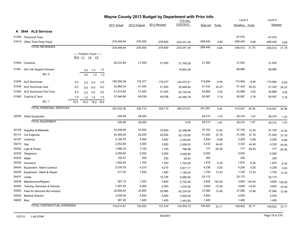|            |                                   |      |      |                                                   |      |               |               | Wayne County 2013 Budget by Department with Prior Info |                 |            |          |                |          |            |          |
|------------|-----------------------------------|------|------|---------------------------------------------------|------|---------------|---------------|--------------------------------------------------------|-----------------|------------|----------|----------------|----------|------------|----------|
|            |                                   |      |      |                                                   |      |               |               |                                                        | <b>YTD</b> thru |            |          | Level 4        |          | Level 5    |          |
|            |                                   |      |      |                                                   |      | 2011 Actual   | 2012 Original | 2012 Revised                                           | 12/07/2012      | Dept est   | %chg     | Tentative %chg |          | Adopted    |          |
|            | A 3644 ALS Services               |      |      |                                                   |      |               |               |                                                        |                 |            |          |                |          |            |          |
|            | 41282 Personnel Fees              |      |      |                                                   |      |               |               |                                                        |                 |            |          | $-47,072$      |          | $-47,072$  |          |
|            | 41615 Other Third Party Payer     |      |      |                                                   |      | -218,499.94   | $-276,500$    | $-278,600$                                             | $-233,341.24$   | $-289,440$ | 4.68     | $-289,440$     | 4.68     | $-289,440$ | 4.68     |
|            | <b>TOTAL REVENUES</b>             |      |      |                                                   |      | $-218,499.94$ | $-276,500$    | $-278,600$                                             | $-233,341.24$   | $-289,440$ | 4.68     | $-336,512$     | 21.70    | $-336,512$ | 21.70    |
|            |                                   |      |      |                                                   |      |               |               |                                                        |                 |            |          |                |          |            |          |
|            |                                   |      |      | ----- Position Count -----<br><u>B12 L1 L4 L5</u> |      |               |               |                                                        |                 |            |          |                |          |            |          |
| 51904      | Overtime                          |      |      |                                                   |      | 28,233.88     | 21,500        | 21,500                                                 | 31,706.29       | 21,500     |          | 21,500         |          | 21,500     |          |
|            |                                   |      |      |                                                   |      |               |               |                                                        |                 |            |          | 68,966         |          |            |          |
|            | 51561 Adv Life Support Director   |      | 0.0  | 1.0                                               | 1.0  |               |               |                                                        | 15,854.28       |            |          |                |          | 68,966     |          |
|            | <b>BU: 0</b>                      |      | 0.0  | 1.0                                               | 1.0  |               |               |                                                        |                 |            |          |                |          |            |          |
|            | 51548 ALS Technician              | 4.0  | 4.0  | 4.0                                               | 4.0  | 180,558.38    | 176,377       | 176,377                                                | 124,474.21      | 174,694    | $-0.95$  | 174,694        | $-0.95$  | 174,694    | $-0.95$  |
| 51549      | <b>ALS Technician Sub</b>         | 5.0  | 6.0  | 6.0                                               | 6.0  | 33,882.34     | 41,400        | 41,400                                                 | 35,848.64       | 51,432     | 24.23    | 51,432         | 24.23    | 51,432     | 24.23    |
|            | 51550 ALS Technician Part Time    | 5.0  | 5.0  | 5.0                                               | 5.0  | 41,910.80     | 41,400        | 41,400                                                 | 42,734.40       | 42,868     | 3.55     | 42,868         | 3.55     | 42,868     | 3.55     |
|            | 51562 Chief ALS Tech              | 1.0  | 1.0  | 1.0                                               | 1.0  | 37,946.96     | 49,038        | 49,038                                                 | 44,395.79       | 50,587     | 3.16     | 50,587         | 3.16     | 50,587     | 3.16     |
|            | <b>BU: 1</b>                      | 15.0 | 16.0 | 16.0                                              | 16.0 |               |               |                                                        |                 |            |          |                |          |            |          |
|            | <b>TOTAL PERSONAL SERVICES</b>    |      |      |                                                   |      | 322,532.36    | 329,715       | 329,715                                                | 295,013.61      | 341,081    | 3.45     | 410,047        | 24.36    | 410,047    | 24.36    |
|            |                                   |      |      |                                                   |      |               |               |                                                        |                 |            |          |                |          |            |          |
|            | 52500 Other Equipment             |      |      |                                                   |      | 249.99        | 29,000        |                                                        |                 | 29,310     | 1.07     | 29,310         | 1.07     | 29,310     | 1.07     |
|            | <b>TOTAL EQUIPMENT</b>            |      |      |                                                   |      | 249.99        | 29,000        |                                                        | 0.00            | 29,310     | 1.07     | 29,310         | 1.07     | 29,310     | 1.07     |
|            |                                   |      |      |                                                   |      |               |               |                                                        |                 |            |          |                |          |            |          |
| 54100      | Supplies & Materials              |      |      |                                                   |      | 32,406.69     | 33,500        | 33,500                                                 | 32,398.96       | 37,700     | 12.54    | 37,700         | 12.54    | 37,700     | 12.54    |
| 54114      | Car Expense                       |      |      |                                                   |      | 24,489.28     | 22,500        | 22,500                                                 | 25,123.65       | 31,000     | 37.78    | 31,000         | 37.78    | 31,000     | 37.78    |
| 54187      | Uniforms                          |      |      |                                                   |      | 2,164.76      | 3,400         | 3,400                                                  | 2,393.85        | 3,200      | $-5.88$  | 3,200          | $-5.88$  | 3,200      | $-5.88$  |
| 54210      | Gas                               |      |      |                                                   |      | 2,552.80      | 3,000         | 3,000                                                  | 2,456.03        | 4,332      | 44.40    | 4,332          | 44.40    | 4,332      | 44.40    |
| 54220      | Light & Power                     |      |      |                                                   |      | 1,086.76      | 1,100         | 1,100                                                  | 798.98          | 777        | $-29.36$ | 777            | $-29.36$ | 777        | $-29.36$ |
| 54230      | Telephone                         |      |      |                                                   |      | 4,099.95      | 5,000         | 5,000                                                  | 3,948.95        | 5,000      |          | 5,000          |          | 5,000      |          |
| 54240      | Water                             |      |      |                                                   |      | 105.47        | 250           | 250                                                    | 29.40           | 250        |          | 250            |          | 250        |          |
| 54300      | Insurance                         |      |      |                                                   |      | 1,602.00      | 1,763         | 1,763                                                  | 1,704.00        | 1,875      | 6.35     | 1,875          | 6.35     | 1,875      | 6.35     |
| 54424      | <b>Equipment - Maint Contract</b> |      |      |                                                   |      | 5,578.78      | 4,215         | 4,215                                                  | 5,817.17        | 4,236      | 0.50     | 4,236          | 0.50     | 4,236      | 0.50     |
| 54425      | Equipment - Maint & Repair        |      |      |                                                   |      | 217.00        | 1,500         | 1,500                                                  | 1,195.05        | 1,700      | 13.33    | 1,700          | 13.33    | 1,700      | 13.33    |
| 54437      | Lease                             |      |      |                                                   |      |               |               | 15,126                                                 | 8,568.56        | 20,172     |          | 20,172         |          | 20,172     |          |
| 54438      | Maintenance/Repairs               |      |      |                                                   |      | 587.19        | 1,500         | 3,600                                                  | 2,752.48        | 3,600      | 140.00   | 3,600          | 140.00   | 3,600      | 140.00   |
| 54483      | Training- Seminars & Schools      |      |      |                                                   |      | 7,497.83      | 4,000         | 4,000                                                  | 1,070.00        | 3,600      | $-10.00$ | 3,600          | $-10.00$ | 3,600      | $-10.00$ |
| 54500      | Fees for Services Non-employ      |      |      |                                                   |      | 32,859.00     | 32,965        | 32,965                                                 | 42,234.00       | 37,080     | 12.48    | 37,080         | 12.48    | 37,080     | 12.48    |
|            | 54532 Medical Director            |      |      |                                                   |      | 3,000.00      | 4,000         | 4,000                                                  | 3,000.00        | 4,000      |          | 4,000          |          | 4,000      |          |
| 54600 Misc |                                   |      |      |                                                   |      | 267.40        | 1,400         | 1,400                                                  | 1,443.05        | 1,400      |          | 1,400          |          | 1,400      |          |
|            | <b>TOTAL CONTRACTUAL EXPENSES</b> |      |      |                                                   |      | 118,514.91    | 120,093       | 137,319                                                | 134,934.13      | 159,922    | 33.17    | 159,922        | 33.17    | 159,922    | 33.17    |
|            |                                   |      |      |                                                   |      |               |               |                                                        |                 |            |          |                |          |            |          |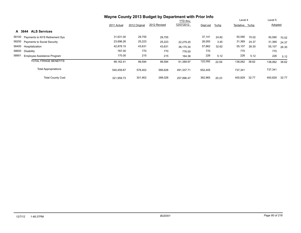|                                      | Wayne County 2013 Budget by Department with Prior Info |               |              |                 |          |         |                |       |         |       |
|--------------------------------------|--------------------------------------------------------|---------------|--------------|-----------------|----------|---------|----------------|-------|---------|-------|
|                                      |                                                        |               |              | <b>YTD thru</b> |          |         | Level 4        |       | Level 5 |       |
|                                      | 2011 Actual                                            | 2012 Original | 2012 Revised | 12/07/2012      | Dept est | $%$ chg | Tentative %chg |       | Adopted |       |
| <b>ALS Services</b><br>A 3644        |                                                        |               |              |                 |          |         |                |       |         |       |
| 58100 Payments to NYS Retirement Sys | 31,631.00                                              | 29,755        | 29,755       |                 | 37,141   | 24.82   | 50,590         | 70.02 | 50,590  | 70.02 |
| 58200 Payments to Social Security    | 23,696.26                                              | 25,223        | 25,223       | 22.279.25       | 26,093   | 3.45    | 31,369         | 24.37 | 31,369  | 24.37 |
| 58400 Hospitalization                | 42,878.15                                              | 43,631        | 43,631       | 38.170.34       | 57,862   | 32.62   | 55,107         | 26.30 | 55,107  | 26.30 |
| 58600 Disability                     | 787.00                                                 | 770           | 770          | 776.00          | 770      |         | 770            |       | 770     |       |
| 58901<br>Employee Assistance Program | 170.00                                                 | 215           | 215          | 164.38          | 226      | 5.12    | 226            | 5.12  | 226     | 5.12  |
| <b>TOTAL FRINGE BENEFITS</b>         | 99.162.41                                              | 99,594        | 99,594       | 61.389.97       | 122,092  | 22.59   | 138,062        | 38.62 | 138,062 | 38.62 |
| <b>Total Appropriations</b>          | 540.459.67                                             | 578,402       | 566,628      | 491,337.71      | 652,405  |         | 737,341        |       | 737,341 |       |
| <b>Total County Cost</b>             | 321,959.73                                             | 301,902       | 288,028      | 257.996.47      | 362,965  | 20.23   | 400,829        | 32.77 | 400,829 | 32.77 |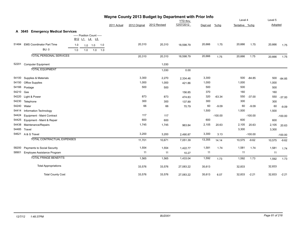|       | Wayne County 2013 Budget by Department with Prior Info |     |                                |           |     |             |               |              |            |          |           |                |           |         |           |
|-------|--------------------------------------------------------|-----|--------------------------------|-----------|-----|-------------|---------------|--------------|------------|----------|-----------|----------------|-----------|---------|-----------|
|       |                                                        |     |                                |           |     |             |               |              | YTD thru   |          |           | Level 4        |           | Level 5 |           |
|       |                                                        |     |                                |           |     | 2011 Actual | 2012 Original | 2012 Revised | 12/07/2012 | Dept est | %chg      | Tentative %chg |           | Adopted |           |
|       | A 3645 Emergency Medical Services                      |     |                                |           |     |             |               |              |            |          |           |                |           |         |           |
|       |                                                        |     | ----- Position Count -----     |           |     |             |               |              |            |          |           |                |           |         |           |
|       |                                                        |     | B <sub>12</sub> L <sub>1</sub> | $L4$ $L5$ |     |             |               |              |            |          |           |                |           |         |           |
| 51484 | <b>EMS Coordinator Part Time</b>                       | 1.0 |                                | 1.0 1.0   | 1.0 |             | 20,310        | 20,310       | 18,598.79  | 20,666   | 1.75      | 20,666         | 1.75      | 20,666  | 1.75      |
|       | <b>BU: 0</b>                                           | 1.0 | 1.0                            | 1.0       | 1.0 |             |               |              |            |          |           |                |           |         |           |
|       | <b>TOTAL PERSONAL SERVICES</b>                         |     |                                |           |     |             | 20,310        | 20,310       | 18,598.79  | 20,666   | 1.75      | 20,666         | 1.75      | 20,666  | 1.75      |
|       | 52201 Computer Equipment                               |     |                                |           |     |             |               | 1,030        |            |          |           |                |           |         |           |
|       | <b>TOTAL EQUIPMENT</b>                                 |     |                                |           |     |             |               | 1,030        | 0.00       |          |           |                |           |         |           |
| 54100 | Supplies & Materials                                   |     |                                |           |     |             | 3,300         | 2,270        | 2,334.46   | 3,300    |           | 500            | $-84.85$  | 500     | $-84.85$  |
| 54150 | <b>Office Supplies</b>                                 |     |                                |           |     |             | 1,000         | 1,000        | 421.86     | 1,000    |           | 1,000          |           | 1,000   |           |
| 54166 | Postage                                                |     |                                |           |     |             | 500           | 500          |            | 500      |           | 500            |           | 500     |           |
| 54210 | Gas                                                    |     |                                |           |     |             |               |              | 156.85     | 370      |           | 160            |           | 160     |           |
| 54220 | Light & Power                                          |     |                                |           |     |             | 873           | 873          | 474.83     | 320      | $-63.34$  | 550            | $-37.00$  | 550     | $-37.00$  |
| 54230 | Telephone                                              |     |                                |           |     |             | 300           | 300          | 137.89     | 300      |           | 300            |           | 300     |           |
| 54240 | Water                                                  |     |                                |           |     |             | 66            | 66           | 70.79      | 60       | $-9.09$   | 60             | $-9.09$   | 60      | $-9.09$   |
| 54414 | Information Technology                                 |     |                                |           |     |             |               |              |            | 1,500    |           | 1,500          |           | 1,500   |           |
| 54424 | <b>Equipment - Maint Contract</b>                      |     |                                |           |     |             | 117           | 117          |            |          | $-100.00$ |                | $-100.00$ |         | $-100.00$ |
| 54425 | Equipment - Maint & Repair                             |     |                                |           |     |             | 600           | 600          |            | 600      |           | 600            |           | 600     |           |
| 54438 | Maintenance/Repairs                                    |     |                                |           |     |             | 1,745         | 1,745        | 963.84     | 2,105    | 20.63     | 2,105          | 20.63     | 2,105   | 20.63     |
| 54485 | Travel                                                 |     |                                |           |     |             |               |              |            |          |           | 3,300          |           | 3,300   |           |
|       | 54621 A & G Travel                                     |     |                                |           |     |             | 3,200         | 3,200        | 2,490.87   | 3,300    | 3.13      |                | $-100.00$ |         | $-100.00$ |
|       | TOTAL CONTRACTUAL EXPENSES                             |     |                                |           |     |             | 11,701        | 10,671       | 7,051.39   | 13,355   | 14.14     | 10,575         | $-9.62$   | 10,575  | $-9.62$   |
| 58200 | Payments to Social Security                            |     |                                |           |     |             | 1,554         | 1,554        | 1,422.77   | 1,581    | 1.74      | 1,581          | 1.74      | 1,581   | 1.74      |
| 58901 | Employee Assistance Program                            |     |                                |           |     |             | 11            | 11           | 10.27      | 11       |           | 11             |           | 11      |           |
|       | <b>TOTAL FRINGE BENEFITS</b>                           |     |                                |           |     |             | 1,565         | 1,565        | 1,433.04   | 1,592    | 1.73      | 1,592          | 1.73      | 1,592   | 1.73      |
|       | <b>Total Appropriations</b>                            |     |                                |           |     |             | 33,576        | 33,576       | 27,083.22  | 35,613   |           | 32,833         |           | 32,833  |           |
|       | <b>Total County Cost</b>                               |     |                                |           |     |             | 33,576        | 33,576       | 27,083.22  | 35,613   | 6.07      | 32,833         | $-2.21$   | 32,833  | $-2.21$   |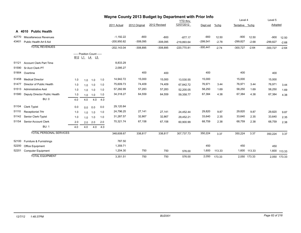|       |                                |     |     |                                            |     |               |               | Wayne County 2013 Budget by Department with Prior Info |                 |            |         |                |              |            |              |
|-------|--------------------------------|-----|-----|--------------------------------------------|-----|---------------|---------------|--------------------------------------------------------|-----------------|------------|---------|----------------|--------------|------------|--------------|
|       |                                |     |     |                                            |     |               |               |                                                        | <b>YTD thru</b> |            |         | Level 4        |              | Level 5    |              |
|       |                                |     |     |                                            |     | 2011 Actual   | 2012 Original | 2012 Revised                                           | 12/07/2012      | Dept est   | $%$ chg | Tentative %chg |              | Adopted    |              |
|       | A 4010 Public Health           |     |     |                                            |     |               |               |                                                        |                 |            |         |                |              |            |              |
| 42770 | Miscellaneous Revenues         |     |     |                                            |     | $-1,192.22$   | $-800$        | $-800$                                                 | $-877.17$       | $-900$     | 12.50   | $-900$         | 12.50        | $-900$     | 12.50        |
| 43401 | Public Health Art 6 Aid        |     |     |                                            |     | -200,950.82   | $-308,095$    | $-308,095$                                             | $-219,893.64$   | $-299,541$ | $-2.78$ | $-299,827$     | $-2.68$      | $-299,827$ | $-2.68$      |
|       | <b>TOTAL REVENUES</b>          |     |     |                                            |     | $-202,143.04$ | $-308,895$    | $-308,895$                                             | $-220,770.81$   | $-300,441$ | $-2.74$ | $-300,727$     | $-2.64$      | $-300,727$ | $-2.64$      |
|       |                                |     |     | ----- Position Count -----<br>B12 L1 L4 L5 |     |               |               |                                                        |                 |            |         |                |              |            |              |
| 51121 | <b>Account Clerk Part Time</b> |     |     |                                            |     | 8,833.29      |               |                                                        |                 |            |         |                |              |            |              |
| 51590 | Sr Acct Clerk PT               |     |     |                                            |     | 2,095.27      |               |                                                        |                 |            |         |                |              |            |              |
| 51904 | Overtime                       |     |     |                                            |     |               | 400           | 400                                                    |                 | 400        |         | 400            |              | 400        |              |
| 51458 | <b>Medical Director</b>        | 1.0 | 1.0 | 1.0                                        | 1.0 | 14,942.72     | 15,000        | 15,000                                                 | 13,530.55       | 15,000     |         | 15,000         |              | 15,000     |              |
| 51477 | Director of Public Health      | 1.0 | 1.0 | 1.0                                        | 1.0 | 75,609.73     | 74,409        | 74,409                                                 | 67,842.72       | 76,971     | 3.44    | 76,971         | 3.44         | 76,971     | 3.44         |
| 51513 | <b>Administrative Asst</b>     | 1.0 | 1.0 | 1.0                                        | 1.0 | 57,282.99     | 57,283        | 57,283                                                 | 52,200.05       | 58,250     | 1.69    | 58,250         | 1.69         | 58,250     | 1.69         |
| 51580 | Deputy Director Public Health  | 1.0 | 1.0 | 1.0                                        | 1.0 | 34,318.27     | 64,559        | 64,559                                                 | 59,358.77       | 67,384     | 4.38    | 67,384         | 4.38         | 67,384     | 4.38         |
|       | <b>BU: 0</b>                   | 4.0 | 4.0 | 4.0                                        | 4.0 |               |               |                                                        |                 |            |         |                |              |            |              |
| 51104 | <b>Clerk Typist</b>            | 0.0 | 0.0 | 0.0                                        | 0.0 | 29,120.84     |               |                                                        |                 |            |         |                |              |            |              |
| 51110 | Receptionist 7Hr               | 1.0 | 1.0 | 1.0                                        | 1.0 | 24,796.25     | 27,141        | 27,141                                                 | 24,452.44       | 29,820     | 9.87    | 29,820         | 9.87         | 29,820     | 9.87         |
| 51142 | Senior Clerk-Typist            | 1.0 | 1.0 | 1.0                                        | 1.0 | 31,287.57     | 32,867        | 32,867                                                 | 29,452.21       | 33,640     | 2.35    | 33,640         | 2.35         | 33,640     | 2.35         |
| 51154 | Senior Account Clerk           | 2.0 | 2.0 | 2.0                                        | 2.0 | 70,321.74     | 67,158        | 67,158                                                 | 60,900.99       | 68,759     | 2.38    | 68,759         | 2.38         | 68,759     | 2.38         |
|       | <b>BU: 1</b>                   | 4.0 | 4.0 | 4.0                                        | 4.0 |               |               |                                                        |                 |            |         |                |              |            |              |
|       | <b>TOTAL PERSONAL SERVICES</b> |     |     |                                            |     | 348,608.67    | 338,817       | 338,817                                                | 307,737.73      | 350,224    | 3.37    | 350,224        | 3.37         | 350,224    | 3.37         |
| 52100 | Furniture & Furnishings        |     |     |                                            |     | 787.50        |               |                                                        |                 |            |         |                |              |            |              |
| 52200 | Office Equipment               |     |     |                                            |     | 1,359.71      |               |                                                        |                 | 450        |         | 450            |              | 450        |              |
| 52201 | <b>Computer Equipment</b>      |     |     |                                            |     | 1,204.30      | 750           | 750                                                    | 576.00          | 1,600      | 113.33  |                | 1,600 113.33 |            | 1,600 113.33 |
|       | <b>TOTAL EQUIPMENT</b>         |     |     |                                            |     | 3.351.51      | 750           | 750                                                    | 576.00          | 2,050      | 173.33  |                | 2.050 173.33 |            | 2,050 173.33 |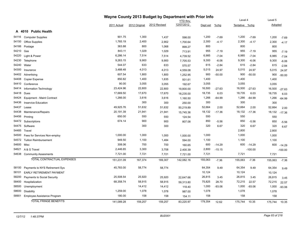|       |                                    |             |               | Wayne County 2013 Budget by Department with Prior Info |                 |          |          |                |           |         |           |
|-------|------------------------------------|-------------|---------------|--------------------------------------------------------|-----------------|----------|----------|----------------|-----------|---------|-----------|
|       |                                    |             |               |                                                        | <b>YTD</b> thru |          |          | Level 4        |           | Level 5 |           |
|       |                                    | 2011 Actual | 2012 Original | 2012 Revised                                           | 12/07/2012      | Dept est | $%$ chg  | Tentative %chg |           | Adopted |           |
|       | <b>Public Health</b><br>A 4010     |             |               |                                                        |                 |          |          |                |           |         |           |
| 54116 | <b>Computer Supplies</b>           | 901.75      | 1,300         | 1,437                                                  | 598.00          | 1,200    | $-7.69$  | 1,200          | $-7.69$   | 1,200   | $-7.69$   |
| 54150 | <b>Office Supplies</b>             | 1,765.19    | 2,400         | 2,902                                                  | 1,700.64        | 2,300    | $-4.17$  | 2,300          | $-4.17$   | 2,300   | $-4.17$   |
| 54166 | Postage                            | 363.88      | 800           | 1,068                                                  | 899.27          | 800      |          | 800            |           | 800     |           |
| 54210 | Gas                                | 843.11      | 1,029         | 1,029                                                  | 713.91          | 955      | $-7.19$  | 955            | $-7.19$   | 955     | $-7.19$   |
| 54220 | Light & Power                      | 6,286.14    | 7,514         | 7,514                                                  | 4,739.52        | 6,985    | $-7.04$  | 6,985          | $-7.04$   | 6,985   | $-7.04$   |
| 54230 | Telephone                          | 9,263.15    | 9,900         | 9,900                                                  | 7,705.53        | 9,300    | $-6.06$  | 9,300          | $-6.06$   | 9,300   | $-6.06$   |
| 54240 | Water                              | 544.07      | 633           | 633                                                    | 570.57          | 615      | $-2.84$  | 615            | $-2.84$   | 615     | $-2.84$   |
| 54300 | Insurance                          | 3,488.48    | 4,013         | 4,013                                                  | 4,559.08        | 5,015    | 24.97    | 5,015          | 24.97     | 5,015   | 24.97     |
| 54402 | Advertising                        | 607.54      | 1,800         | 1,800                                                  | 1,252.95        | 900      | $-50.00$ | 900            | $-50.00$  | 900     | $-50.00$  |
| 54408 | <b>Copier Expense</b>              | 850.82      | 1,400         | 1,635                                                  | 931.61          | 1,400    |          | 1,400          |           | 1,400   |           |
| 54410 | Conference                         | 90.00       | 3,055         | 3,055                                                  | 192.67          | 3,055    |          | 3,055          |           | 3,055   |           |
| 54414 | Information Technology             | 23,424.96   | 22,800        | 22,800                                                 | 19,800.00       | 16,500   | $-27.63$ | 16,500         | $-27.63$  | 16,500  | $-27.63$  |
| 54418 | Dues                               | 17,669.50   | 17,670        | 17,670                                                 | 18,235.00       | 18,735   | 6.03     | 18,735         | 6.03      | 18,735  | 6.03      |
| 54424 | Equipment - Maint Contract         | 1,266.00    | 3,616         | 3,616                                                  | 1,160.50        | 1,266    | $-64.99$ | 1,266          | $-64.99$  | 1,266   | $-64.99$  |
| 54436 | <b>Inservice Education</b>         |             | 300           | 300                                                    | 250.00          | 300      |          | 300            |           | 300     |           |
| 54437 | Lease                              | 49,925.76   | 51,632        | 51,632                                                 | 50,219.89       | 52,664   | 2.00     | 52,664         | 2.00      | 52,664  | 2.00      |
| 54438 | Maintenance/Repairs                | 20,191.39   | 21,941        | 21,941                                                 | 15,745.36       | 18,132   | $-17.36$ | 18,132         | $-17.36$  | 18,132  | $-17.36$  |
| 54456 | Printing                           | 650.00      | 550           | 550                                                    | 124.54          | 550      |          | 550            |           | 550     |           |
| 54472 | Subscriptions                      | 674.14      | 900           | 900                                                    | 807.08          | 850      | $-5.56$  | 850            | $-5.56$   | 850     | $-5.56$   |
| 54475 | Software                           |             | 300           | 300                                                    |                 | 320      | 6.67     | 320            | 6.67      | 320     | 6.67      |
| 54485 | Travel                             |             |               |                                                        |                 |          |          | 2,800          |           | 2,800   |           |
| 54500 | Fees for Services Non-employ       | 1,000.00    | 1,000         | 1,000                                                  | 1,000.00        | 1,000    |          | 1,000          |           | 1,000   |           |
| 54572 | <b>Tuition Reimbursement</b>       | 949.50      | 1,100         | 1,484                                                  | 594.00          | 1,100    |          | 1,100          |           | 1,100   |           |
| 54600 | Misc                               | 308.06      | 700           | 700                                                    | 160.65          | 600      | $-14.29$ | 600            | $-14.29$  | 600     | $-14.29$  |
| 54621 | A & G Travel                       | 2,446.65    | 3,300         | 3,708                                                  | 2,400.39        | 2,800    | $-15.15$ |                | $-100.00$ |         | $-100.00$ |
| 54638 | <b>Community Assesments</b>        | 7,721.00    | 7,721         | 7,721                                                  | 7,721.00        | 7,721    |          | 7,721          |           | 7,721   |           |
|       | <b>TOTAL CONTRACTUAL EXPENSES</b>  | 151,231.09  | 167,374       | 169,307                                                | 142,082.16      | 155,063  | $-7.36$  | 155,063        | $-7.36$   | 155,063 | $-7.36$   |
| 58100 | Payments to NYS Retirement Sys     | 45,783.00   | 58,774        | 58,774                                                 |                 | 64,354   | 9.49     | 64,354         | 9.49      | 64,354  | 9.49      |
| 58101 | <b>EARLY RETIREMENT PAYMENT</b>    |             |               |                                                        |                 | 10,124   |          | 10,124         |           | 10,124  |           |
| 58200 | <b>Payments to Social Security</b> | 25,508.54   | 25,920        | 25,920                                                 | 22,647.66       | 26,815   | 3.45     | 26,815         | 3.45      | 26,815  | 3.45      |
| 58400 | Hospitalization                    | 68,358.74   | 58,915        | 58,915                                                 | 59,313.80       | 75,825   | 28.70    | 72,215         | 22.57     | 72,215  | 22.57     |
| 58500 | Unemployment                       |             | 14,412        | 14,412                                                 | 118.40          | 1,000    | $-93.06$ | 1,000          | $-93.06$  | 1,000   | $-93.06$  |
| 58600 | Disability                         | 1,259.00    | 1,078         | 1,078                                                  | 987.00          | 1,078    |          | 1,078          |           | 1,078   |           |
| 58901 | Employee Assistance Program        | 180.00      | 158           | 158                                                    | 154.11          | 158      |          | 158            |           | 158     |           |
|       | <b>TOTAL FRINGE BENEFITS</b>       | 141,089.28  | 159,257       | 159,257                                                | 83,220.97       | 179,354  | 12.62    | 175,744        | 10.35     | 175,744 | 10.35     |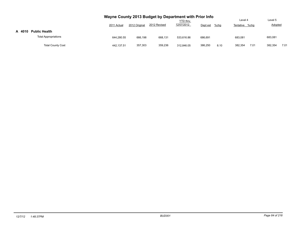|        |                             | Wayne County 2013 Budget by Department with Prior Info<br>2011 Actual | 2012 Original | 2012 Revised | <b>YTD</b> thru<br>12/07/2012 | Dept est | $%$ chg | Level 4<br>Tentative %chg |      | Level 5<br><b>Adopted</b> |      |
|--------|-----------------------------|-----------------------------------------------------------------------|---------------|--------------|-------------------------------|----------|---------|---------------------------|------|---------------------------|------|
| A 4010 | <b>Public Health</b>        |                                                                       |               |              |                               |          |         |                           |      |                           |      |
|        | <b>Total Appropriations</b> | 644.280.55                                                            | 666,198       | 668.131      | 533.616.86                    | 686,691  |         | 683,081                   |      | 683,081                   |      |
|        | <b>Total County Cost</b>    | 442,137.51                                                            | 357,303       | 359,236      | 312.846.05                    | 386,250  | 8.10    | 382.354                   | 7.01 | 382,354                   | 7.01 |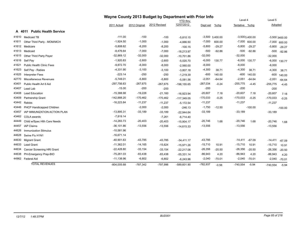|       |                                  |               |               | Wayne County 2013 Budget by Department with Prior Info |                 |            |                   |                |                  |            |                  |
|-------|----------------------------------|---------------|---------------|--------------------------------------------------------|-----------------|------------|-------------------|----------------|------------------|------------|------------------|
|       |                                  |               |               |                                                        | <b>YTD thru</b> |            |                   | Level 4        |                  | Level 5    |                  |
|       |                                  | 2011 Actual   | 2012 Original | 2012 Revised                                           | 12/07/2012      | Dept est   | %chg              | Tentative %chq |                  | Adopted    |                  |
|       | A 4011 Public Health Service     |               |               |                                                        |                 |            |                   |                |                  |            |                  |
| 41610 | Medicaid TB                      | $-111.00$     | $-100$        | $-100$                                                 | $-5,810.15$     |            | $-3,500$ 3,400.00 |                | $-3,5003,400.00$ |            | $-3,500$ 3400.00 |
| 41611 | Other Third Party - MOM/MCH      | $-1,924.50$   | $-1,000$      | $-1,000$                                               | $-4,886.50$     | $-7,000$   | 600.00            |                | $-7,000$ 600.00  |            | $-7,000$ 600.00  |
| 41612 | Medicare                         | $-5,808.62$   | $-8,200$      | $-8,200$                                               | $-100.15$       | $-5,800$   | $-29.27$          | $-5,800$       | $-29.27$         | $-5,800$   | $-29.27$         |
| 41613 | Medicaid                         | $-8,476.64$   | $-7,000$      | $-7,000$                                               | $-18,213.97$    | $-500$     | $-92.86$          | $-500$         | $-92.86$         | $-500$     | $-92.86$         |
| 41615 | Other Third Party Payer          | $-32,869.12$  | $-32,000$     | $-32,000$                                              | $-10,701.86$    | $-32,000$  |                   | $-32,000$      |                  | $-32,000$  |                  |
| 41616 | Self Pay                         | $-1,920.83$   | $-2,600$      | $-2,600$                                               | $-5,020.70$     | $-6,000$   | 130.77            |                | $-6,000$ 130.77  | $-6,000$   | 130.77           |
| 41621 | <b>Public Health Clinic Fees</b> | $-9,872.70$   | $-8,000$      | $-8,000$                                               | $-2,560.00$     | $-8,000$   |                   | $-8,000$       |                  | $-8,000$   |                  |
| 41623 | Self Pay - Rabies                | $-4,331.90$   | $-3,100$      | $-3,100$                                               | $-3,807.18$     | $-4,300$   | 38.71             | $-4,300$       | 38.71            | $-4,300$   | 38.71            |
| 41625 | <b>Interpreter Fees</b>          | $-223.14$     | $-250$        | $-250$                                                 | $-1,219.39$     | $-600$     | 140.00            | $-600$         | 140.00           | $-600$     | 140.00           |
| 42770 | <b>Miscellaneous Revenues</b>    | $-5,749.01$   | $-5,800$      | $-5,800$                                               | $-5,081.56$     | $-2,051$   | $-64.64$          | $-2,051$       | $-64.64$         | $-2,051$   | $-64.64$         |
| 43401 | Public Health Art 6 Aid          | $-297,756.63$ | $-267,675$    | $-267,675$                                             | $-198, 155.65$  | $-267,034$ | $-0.24$           | $-255,775$     | $-4.45$          | $-255,775$ | $-4.45$          |
| 43407 | Lead Lab                         | $-15.00$      | $-200$        | $-200$                                                 |                 | $-200$     |                   | $-200$         |                  | $-200$     |                  |
| 43408 | <b>Lead Education</b>            | $-15,388.98$  | $-19,226$     | $-21,160$                                              | $-16,923.94$    | $-20,607$  | 7.18              | $-20,607$      | 7.18             | $-20,607$  | 7.18             |
| 43409 | Partnership Grant                | $-142,888.20$ | $-170,462$    | $-170,462$                                             | $-117,349.05$   | $-170,033$ | $-0.25$           | $-170,033$     | $-0.25$          | $-170,033$ | $-0.25$          |
| 43442 | Rabies                           | $-16,223.84$  | $-11,237$     | $-11,237$                                              | $-5,172.54$     | $-11,237$  |                   | $-11,237$      |                  | $-11,237$  |                  |
| 43446 | PHCP Handicapped Children        |               | $-2,000$      | $-2,000$                                               | $-246.13$       | $-1,750$   | $-12.50$          |                | $-100.00$        |            | $-100.00$        |
| 43457 | IAP IMMUNIZATION ACTION PLAN     | $-13,895.31$  | $-33,189$     | $-33,189$                                              | $-22,944.64$    | $-33,189$  |                   | $-33,189$      |                  | $-33,189$  |                  |
| 43462 | COLA awards                      | $-7,819.14$   |               | $-7,261$                                               | $-6,714.40$     |            |                   |                |                  |            |                  |
| 44449 | Child w/Spec Hlth Care Needs     | $-14,283.73$  | $-20,403$     | $-20,403$                                              | $-15,904.17$    | $-20,746$  | 1.68              | $-20,746$      | 1.68             | $-20,746$  | 1.68             |
| 44457 | <b>IAP Claims</b>                | $-36, 101.86$ | $-13,556$     | $-13,556$                                              | $-14,615.33$    | $-13,556$  |                   | $-13,556$      |                  | $-13,556$  |                  |
| 44626 | <b>Immunization Stimulus</b>     | $-10,581.96$  |               |                                                        |                 |            |                   |                |                  |            |                  |
| 44628 | Swine Flu H1N1                   | $-16,671.14$  |               |                                                        |                 |            |                   |                |                  |            |                  |
| 44630 | <b>Migrant Grant</b>             | $-40,901.63$  | $-43,785$     | $-43,785$                                              | $-34,411.17$    | $-43,785$  |                   | $-14,411$      | $-67.09$         | $-14,411$  | $-67.09$         |
| 44633 | <b>Lead Grant</b>                | $-11,362.01$  | $-14,165$     | $-15,624$                                              | $-15,971.26$    | $-15,710$  | 10.91             | $-15,710$      | 10.91            | $-15,710$  | 10.91            |
| 44634 | Cancer Screening HRI Grant       | $-22,428.80$  | $-33,154$     | $-33,154$                                              | $-22,217.06$    | $-26,356$  | $-20.50$          | $-26,356$      | $-20.50$         | $-26,356$  | $-20.50$         |
| 44638 | PH-Emergency Prep-BIO            | $-75,261.03$  | $-83,438$     | $-83,438$                                              | $-55,331.14$    | $-86,943$  | 4.20              | $-86,943$      | 4.20             | $-86,943$  | 4.20             |
|       | 44962 Federal Aid                | $-11,138.96$  | $-6,802$      | $-6,802$                                               | $-6,243.96$     | $-2,040$   | $-70.01$          | $-2,040$       | $-70.01$         | $-2,040$   | $-70.01$         |
|       | <b>TOTAL REVENUES</b>            | $-804,005.68$ | $-787,342$    | -797,996                                               | $-589,601.90$   | $-782,937$ | $-0.56$           | $-740,554$     | $-5.94$          | $-740,554$ | $-5.94$          |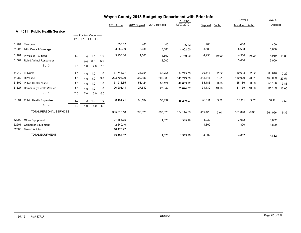|       |                                        |     |                            |     |     |             |               | Wayne County 2013 Budget by Department with Prior Info |                 |          |         |                |          |         |          |
|-------|----------------------------------------|-----|----------------------------|-----|-----|-------------|---------------|--------------------------------------------------------|-----------------|----------|---------|----------------|----------|---------|----------|
|       |                                        |     |                            |     |     |             |               |                                                        | <b>YTD thru</b> |          |         | Level 4        |          | Level 5 |          |
|       |                                        |     |                            |     |     | 2011 Actual | 2012 Original | 2012 Revised                                           | 12/07/2012      | Dept est | $%$ chg | Tentative %chg |          | Adopted |          |
|       | <b>Public Health Service</b><br>A 4011 |     |                            |     |     |             |               |                                                        |                 |          |         |                |          |         |          |
|       |                                        |     | ----- Position Count ----- |     |     |             |               |                                                        |                 |          |         |                |          |         |          |
|       |                                        |     | B12 L1 L4 L5               |     |     |             |               |                                                        |                 |          |         |                |          |         |          |
| 51904 | Overtime                               |     |                            |     |     | 636.32      | 400           | 400                                                    | 86.83           | 400      |         | 400            |          | 400     |          |
| 51905 | 24hr On-call Coverage                  |     |                            |     |     | 3,882.00    | 8,688         | 8,688                                                  | 4,902.00        | 8,688    |         | 8,688          |          | 8,688   |          |
| 51481 | Physician - Clinical                   | 1.0 | 1.0                        | 1.0 | 1.0 | 3,250.00    | 4,500         | 4,500                                                  | 2,750.00        | 4,950    | 10.00   | 4,950          | 10.00    | 4,950   | 10.00    |
| 51567 | Rabid Animal Responder                 |     | 0.0                        | 6.0 | 6.0 |             |               | 2,000                                                  |                 |          |         | 3,000          |          | 3,000   |          |
|       | BU: 0                                  | 1.0 | 1.0                        | 7.0 | 7.0 |             |               |                                                        |                 |          |         |                |          |         |          |
|       | 51210 LPNurse                          | 1.0 | 1.0                        | 1.0 | 1.0 | 37,743.77   | 38,754        | 38,754                                                 | 34,723.05       | 39,613   | 2.22    | 39,613         | 2.22     | 39,613  | 2.22     |
| 51282 | RPNurse                                | 4.0 | 4.0                        | 3.0 | 3.0 | 203,793.09  | 209,183       | 206,683                                                | 143,749.09      | 212,341  | 1.51    | 160,009        | $-23.51$ | 160,009 | $-23.51$ |
| 51302 | <b>Public Health Nurse</b>             | 1.0 | 1.0                        | 1.0 | 1.0 | 51,916.85   | 53,124        | 53,124                                                 | 47,669.22       | 55,186   | 3.88    | 55,186         | 3.88     | 55,186  | 3.88     |
| 51527 | <b>Community Health Worker</b>         | 1.0 | 1.0                        | 1.0 | 1.0 | 26,203.44   | 27,542        | 27,542                                                 | 25,024.57       | 31,139   | 13.06   | 31,139         | 13.06    | 31,139  | 13.06    |
|       | <b>BU: 1</b>                           | 7.0 | 7.0                        | 6.0 | 6.0 |             |               |                                                        |                 |          |         |                |          |         |          |
| 51334 | <b>Public Health Supervisor</b>        | 1.0 | 1.0                        | 1.0 | 1.0 | 8,184.71    | 56,137        | 56,137                                                 | 45,240.07       | 58,111   | 3.52    | 58,111         | 3.52     | 58,111  | 3.52     |
|       | BU:4                                   | 1.0 | 1.0                        | 1.0 | 1.0 |             |               |                                                        |                 |          |         |                |          |         |          |
|       | <b>TOTAL PERSONAL SERVICES</b>         |     |                            |     |     | 335,610.18  | 398,328       | 397,828                                                | 304,144.83      | 410,428  | 3.04    | 361,096        | $-9.35$  | 361,096 | $-9.35$  |
| 52200 | Office Equipment                       |     |                            |     |     | 24,355.75   |               | 1,320                                                  | 1,319.96        | 3,032    |         | 3,032          |          | 3,032   |          |
| 52201 | <b>Computer Equipment</b>              |     |                            |     |     | 2,640.40    |               |                                                        |                 | 1,800    |         | 1,800          |          | 1,800   |          |
| 52300 | <b>Motor Vehicles</b>                  |     |                            |     |     | 16,473.22   |               |                                                        |                 |          |         |                |          |         |          |
|       | <b>TOTAL EQUIPMENT</b>                 |     |                            |     |     | 43,469.37   |               | 1,320                                                  | 1,319.96        | 4,832    |         | 4,832          |          | 4,832   |          |
|       |                                        |     |                            |     |     |             |               |                                                        |                 |          |         |                |          |         |          |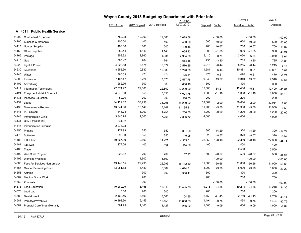|       | Wayne County 2013 Budget by Department with Prior Info<br>Level 4<br>Level 5<br>YTD thru |             |               |              |            |          |           |                |           |         |           |  |  |  |
|-------|------------------------------------------------------------------------------------------|-------------|---------------|--------------|------------|----------|-----------|----------------|-----------|---------|-----------|--|--|--|
|       |                                                                                          |             |               |              |            |          |           |                |           |         |           |  |  |  |
|       |                                                                                          | 2011 Actual | 2012 Original | 2012 Revised | 12/07/2012 | Dept est | $%$ chg   | Tentative %chg |           | Adopted |           |  |  |  |
| A     | <b>Public Health Service</b><br>4011                                                     |             |               |              |            |          |           |                |           |         |           |  |  |  |
| 54000 | <b>Contractual Expenses</b>                                                              | 1,780.98    | 12,000        | 12,000       | 2,029.68   |          | $-100.00$ |                | $-100.00$ |         | $-100.00$ |  |  |  |
| 54100 | Supplies & Materials                                                                     | 400.00      | 400           | 400          | 400.00     | 600      | 50.00     | 600            | 50.00     | 600     | 50.00     |  |  |  |
| 54117 | <b>Nurses Supplies</b>                                                                   | 468.80      | 600           | 600          | 409.45     | 700      | 16.67     | 700            | 16.67     | 700     | 16.67     |  |  |  |
| 54150 | <b>Office Supplies</b>                                                                   | 882.44      | 1,140         | 1,140        | 1,055.12   | 900      | $-21.05$  | 900            | $-21.05$  | 900     | $-21.05$  |  |  |  |
| 54166 | Postage                                                                                  | 1,853.32    | 2,860         | 4,081        | 2,904.00   | 3,110    | 8.74      | 3,050          | 6.64      | 3,050   | 6.64      |  |  |  |
| 54210 | Gas                                                                                      | 580.47      | 764           | 764          | 553.88     | 735      | $-3.80$   | 735            | $-3.80$   | 735     | $-3.80$   |  |  |  |
| 54220 | Light & Power                                                                            | 4,228.58    | 5,574         | 5,574        | 3,570.25   | 5,215    | $-6.44$   | 5,215          | $-6.44$   | 5,215   | $-6.44$   |  |  |  |
| 54230 | Telephone                                                                                | 8,652.30    | 10,880        | 10,880       | 8,290.60   | 11,581   | 6.44      | 10,881         | 0.01      | 10,881  | 0.01      |  |  |  |
| 54240 | Water                                                                                    | 366.03      | 471           | 471          | 425.54     | 470      | $-0.21$   | 470            | $-0.21$   | 470     | $-0.21$   |  |  |  |
| 54300 | Insurance                                                                                | 7,107.47    | 8,224         | 7,578        | 7,577.78   | 9,340    | 13.57     | 9,340          | 13.57     | 9,340   | 13.57     |  |  |  |
| 54402 | Advertising                                                                              | 1,282.96    | 300           | 689          | 688.10     | 300      |           | 300            |           | 300     |           |  |  |  |
| 54414 | <b>Information Technology</b>                                                            | 22,774.92   | 22,800        | 22,800       | 20,200.00  | 15,000   | $-34.21$  | 12,400         | $-45.61$  | 12,400  | $-45.61$  |  |  |  |
| 54424 | Equipment - Maint Contract                                                               | 4,076.00    | 5,358         | 5,358        | 4,024.75   | 1,008    | $-81.19$  | 1,008          | $-81.19$  | 1,008   | $-81.19$  |  |  |  |
| 54436 | <b>Inservice Education</b>                                                               | 50.00       | 200           | 200          | 118.05     | 200      |           | 200            |           | 200     |           |  |  |  |
| 54437 | Lease                                                                                    | 34,122.32   | 38,298        | 38,298       | 38,299.92  | 39,064   | 2.00      | 39,064         | 2.00      | 39,064  | 2.00      |  |  |  |
| 54438 | Maintenance/Repairs                                                                      | 13,641.06   | 13,149        | 13,149       | 11,135.31  | 11,900   | $-9.50$   | 11,900         | $-9.50$   | 11,900  | $-9.50$   |  |  |  |
| 54441 | <b>IAP GRANT</b>                                                                         | 845.78      | 1,000         | 1,751        | 1,250.50   | 1,200    | 20.00     | 1,200          | 20.00     | 1,200   | 20.00     |  |  |  |
| 54443 | <b>Immunization Clinic</b>                                                               | 3,345.75    | 4,000         | 7,251        | 7,306.72   | 4,000    |           | 4,000          |           | 4,000   |           |  |  |  |
| 54444 | H1N1 SWINE FLU                                                                           | 644.92      |               |              |            |          |           |                |           |         |           |  |  |  |
| 54447 | <b>Immunization Stimulus</b>                                                             | 2,273.28    |               |              |            |          |           |                |           |         |           |  |  |  |
| 54456 | Printing                                                                                 | 174.93      | 350           | 350          | 301.90     | 300      | $-14.29$  | 300            | $-14.29$  | 300     | $-14.29$  |  |  |  |
| 54475 | Software                                                                                 | 1,396.00    | 350           | 350          | 149.95     | 320      | $-8.57$   | 320            | $-8.57$   | 320     | $-8.57$   |  |  |  |
| 54480 | T.B. Clinic                                                                              | 10,667.00   | 9,800         | 11,221       | 4,553.81   | 22,360   | 128.16    | 22,360         | 128.16    | 22,360  | 128.16    |  |  |  |
| 54481 | T.B. Lab                                                                                 | 277.26      | 400           | 405          | 114.36     | 400      |           | 400            |           | 400     |           |  |  |  |
| 54485 | Travel                                                                                   |             |               |              |            |          |           | 2,500          |           | 2,500   |           |  |  |  |
| 54492 | Well Child Program                                                                       | 223.82      | 700           | 709          | 57.92      | 500      | $-28.57$  | 500            | $-28.57$  | 500     | $-28.57$  |  |  |  |
| 54499 | <b>Worksite Wellness</b>                                                                 |             | 1,600         | 1,600        |            |          | $-100.00$ |                | $-100.00$ |         | $-100.00$ |  |  |  |
| 54500 | Fees for Services Non-employ                                                             | 19,446.15   | 22,295        | 22,295       | 18,412.50  | 11,000   | $-50.66$  | 11,000         | $-50.66$  | 11,000  | $-50.66$  |  |  |  |
| 54557 | <b>Cancer Screening Grant</b>                                                            | 13,951.63   | 6,489         | 6,689        | 4,624.71   | 8,000    | 23.29     | 8,000          | 23.29     | 8,000   | 23.29     |  |  |  |
| 54558 | Asthma                                                                                   |             | 300           | 300          | 300.41     | 300      |           | 300            |           | 300     |           |  |  |  |
| 54562 | <b>Medical Social Work</b>                                                               |             | 700           |              |            | 700      |           | 700            |           | 700     |           |  |  |  |
| 54569 | Zoonosis                                                                                 |             | 300           |              |            |          | $-100.00$ |                | $-100.00$ |         | $-100.00$ |  |  |  |
| 54573 | Lead Education                                                                           | 10,260.29   | 15,455        | 18,848       | 18,405.73  | 19,218   | 24.35     | 19,218         | 24.35     | 19,218  | 24.35     |  |  |  |
| 54578 | Lead Lab                                                                                 | 15.00       | 200           | 200          |            | 200      |           | 200            |           | 200     |           |  |  |  |
| 54580 | Dental Health                                                                            | 2,468.46    | 3,500         | 3,500        | 1,104.95   | 2,750    | $-21.43$  | 2,750          | $-21.43$  | 2,750   | $-21.43$  |  |  |  |
| 54581 | Primary/Preventive                                                                       | 10,392.90   | 16,155        | 16,155       | 10,858.33  | 1,494    | $-90.75$  | 1,494          | $-90.75$  | 1,494   | $-90.75$  |  |  |  |
|       | 54582 Prenatal Care/ InfantMortality                                                     | 561.93      | 1,100         | 1,127        | 256.62     | 1,000    | $-9.09$   | 1,000          | $-9.09$   | 1,000   | $-9.09$   |  |  |  |
|       |                                                                                          |             |               |              |            |          |           |                |           |         |           |  |  |  |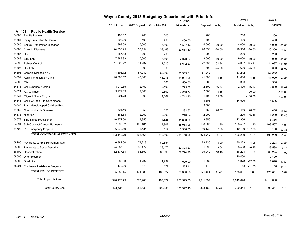|       |                                      |              |               | Wayne County 2013 Budget by Department with Prior Info |            |           |          |                |           |           |           |
|-------|--------------------------------------|--------------|---------------|--------------------------------------------------------|------------|-----------|----------|----------------|-----------|-----------|-----------|
|       |                                      |              |               |                                                        | YTD thru   |           |          | Level 4        |           | Level 5   |           |
|       |                                      | 2011 Actual  | 2012 Original | 2012 Revised                                           | 12/07/2012 | Dept est  | %chg     | Tentative %chg |           | Adopted   |           |
| A     | <b>Public Health Service</b><br>4011 |              |               |                                                        |            |           |          |                |           |           |           |
| 54583 | <b>Family Planning</b>               | 198.02       | 200           | 200                                                    |            | 200       |          | 200            |           | 200       |           |
| 54584 | Injury Prevention & Control          | 398.00       | 400           | 400                                                    | 400.00     | 400       |          | 400            |           | 400       |           |
| 54585 | <b>Sexual Transmitted Diseases</b>   | 1,899.68     | 5,000         | 5,100                                                  | 1,567.14   | 4,000     | $-20.00$ | 4,000          | $-20.00$  | 4,000     | $-20.00$  |
| 54586 | <b>Chronic Diseases</b>              | 24,730.25    | 33,154        | 39,463                                                 | 29,684.80  | 26,356    | $-20.50$ | 26,356         | $-20.50$  | 26,356    | $-20.50$  |
| 54587 | <b>HIV</b>                           | 357.18       | 200           | 200                                                    |            | 200       |          | 200            |           | 200       |           |
| 54589 | STD Lab                              | 7,383.93     | 10,000        | 6,501                                                  | 2,370.57   | 9,000     | $-10.00$ | 9,000          | $-10.00$  | 9,000     | $-10.00$  |
| 54590 | Rabies Control                       | 11,320.22    | 11,237        | 11,510                                                 | 6,642.27   | 22,737    | 102.34   | 24,037         | 113.91    | 24,037    | 113.91    |
| 54595 | <b>HIV Lab</b>                       |              | 800           | 800                                                    |            | 600       | $-25.00$ | 600            | $-25.00$  | 600       | $-25.00$  |
| 54596 | Chronic Disease < 40                 | 44,595.72    | 57,242        | 62,802                                                 | 26,959.61  | 57,242    |          | 57,242         |           | 57,242    |           |
| 54599 | <b>Adult Immunization Clinic</b>     | 40,306.57    | 43,000        | 48,015                                                 | 31,904.98  | 41,000    | $-4.65$  | 41,000         | $-4.65$   | 41,000    | $-4.65$   |
| 54600 | Misc                                 |              |               | 500                                                    | 500.00     | 300       |          | 300            |           | 300       |           |
| 54616 | Car Expense-Nursing                  | 3,010.55     | 2,400         | 2,400                                                  | 1,775.02   | 2,800     | 16.67    | 2,800          | 16.67     | 2,800     | 16.67     |
| 54621 | A & G Travel                         | 3,272.89     | 2,600         | 2,600                                                  | 2,248.77   | 2,500     | $-3.85$  |                | $-100.00$ |           | $-100.00$ |
| 54634 | Migrant Nurse Program                | 1,001.78     | 900           | 4,669                                                  | 4,712.90   | 1,400     | 55.56    |                | $-100.00$ |           | $-100.00$ |
| 54641 | Child w/Spec Hlth Care Needs         |              |               |                                                        |            | 14,506    |          | 14,506         |           | 14,506    |           |
| 54643 | Phys Handicapped Children Prog       |              |               |                                                        |            | 3,500     |          |                |           |           |           |
| 54650 | Communicable Disease                 | 524.40       | 350           | 358                                                    | 232.63     | 450       | 28.57    | 450            | 28.57     | 450       | 28.57     |
| 54675 | <b>Nutrition</b>                     | 166.54       | 2,200         | 2,200                                                  | 246.24     | 2,200     |          | 1,200          | $-45.45$  | 1,200     | $-45.45$  |
| 54679 | <b>STD Nurse Practitioner</b>        | 10,971.00    | 13,356        | 14,628                                                 | 11,660.00  | 13,356    |          | 13,356         |           | 13,356    |           |
| 54694 | Sub Contract-Cancer Partnershp       | 97,990.62    | 106,481       | 117,907                                                | 88,083.96  | 108,507   | 1.90     | 108,507        | 1.90      | 108,507   | 1.90      |
| 54793 | PH-Emergency Prep-BIO                | 6,070.69     | 6,434         | 5,114                                                  | 3,388.55   | 19,130    | 197.33   | 19,130         | 197.33    | 19,130    | 197.33    |
|       | TOTAL CONTRACTUAL EXPENSES           | 433,410.79   | 503,666       | 542,102                                                | 381,758.28 | 504,249   | 0.12     | 496,289        | $-1.46$   | 496,289   | $-1.46$   |
| 58100 | Payments to NYS Retirement Sys       | 46,882.00    | 73,213        | 69,854                                                 |            | 79,730    | 8.90     | 70,223         | $-4.08$   | 70,223    | $-4.08$   |
| 58200 | Payments to Social Security          | 24,887.91    | 30,472        | 28,472                                                 | 22,398.27  | 31,398    | 3.04     | 28,598         | $-6.15$   | 28,598    | $-6.15$   |
| 58400 | Hospitalization                      | 62,677.54    | 66,890        | 66,890                                                 | 62,774.90  | 79,049    | 18.18    | 68,224         | 1.99      | 68,224    | 1.99      |
| 58500 | Unemployment                         |              |               |                                                        |            |           |          | 10,400         |           | 10,400    |           |
| 58600 | <b>Disability</b>                    | 1,066.00     | 1,232         | 1,232                                                  | 1,029.00   | 1,232     |          | 1,078          | $-12.50$  | 1,078     | $-12.50$  |
| 58901 | Employee Assistance Program          | 170.00       | 179           | 179                                                    | 154.11     | 179       |          | 158            | $-11.73$  | 158       | $-11.73$  |
|       | <b>TOTAL FRINGE BENEFITS</b>         | 135,683.45   | 171,986       | 166,627                                                | 86,356.28  | 191,588   | 11.40    | 178,681        | 3.89      | 178,681   | 3.89      |
|       | <b>Total Appropriations</b>          | 948,173.79   | 1,073,980     | 1,107,877                                              | 773,579.35 | 1,111,097 |          | 1,040,898      |           | 1,040,898 |           |
|       | <b>Total County Cost</b>             | 144, 168. 11 | 286,638       | 309,881                                                | 183,977.45 | 328,160   | 14.49    | 300,344        | 4.78      | 300,344   | 4.78      |

## *12/7/12 1:48:37PM BUD001 Page 88 of 218*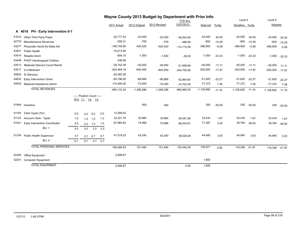|       |                                    |     |     |                            |     |                |               | Wayne County 2013 Budget by Department with Prior Info |                 |              |          |                 |          |              |          |
|-------|------------------------------------|-----|-----|----------------------------|-----|----------------|---------------|--------------------------------------------------------|-----------------|--------------|----------|-----------------|----------|--------------|----------|
|       |                                    |     |     |                            |     |                |               |                                                        | <b>YTD thru</b> |              |          | Level 4         |          | Level 5      |          |
|       |                                    |     |     |                            |     | 2011 Actual    | 2012 Original | 2012 Revised                                           | 12/07/2012      | Dept est     | $%$ chg  | Tentative %chg  |          | Adopted      |          |
|       | A 4016 PH - Early Intervention 0-1 |     |     |                            |     |                |               |                                                        |                 |              |          |                 |          |              |          |
| 41615 | Other Third Party Payer            |     |     |                            |     | $-20,777.42$   | $-22,000$     | $-22,000$                                              | $-39,053.85$    | $-34,000$    | 54.55    | $-34,000$       | 54.55    | $-34,000$    | 54.55    |
| 42770 | <b>Miscellaneous Revenues</b>      |     |     |                            |     | $-559.31$      | $-700$        | $-700$                                                 | $-489.06$       | $-600$       | $-14.29$ | $-600$          | $-14.29$ | $-600$       | $-14.29$ |
| 43277 | Physically Handi Ed-State Aid      |     |     |                            |     | $-190,705.80$  | $-420,420$    | $-420,420$                                             | $-112, 115.58$  | $-396,900$   | $-5.59$  | $-396,900$      | $-5.59$  | $-396,900$   | $-5.59$  |
| 43401 | <b>Public Health</b>               |     |     |                            |     | $-19,413.00$   |               |                                                        |                 |              |          |                 |          |              |          |
| 43414 | <b>Respite Grant</b>               |     |     |                            |     | $-654.10$      | $-1,500$      | $-1,500$                                               | $-36.00$        | $-1,000$     | $-33.33$ | $-1,000$        | $-33.33$ | $-1,000$     | $-33.33$ |
| 43446 | PHCP Handicapped Children          |     |     |                            |     | $-436.96$      |               |                                                        |                 |              |          |                 |          |              |          |
| 43513 | Medicaid iService Coord Reimb      |     |     |                            |     | $-26,752.36$   | $-45,000$     | $-45,000$                                              | $-21,998.66$    | $-40,000$    | $-11.11$ | $-40,000$       | $-11.11$ | $-40,000$    | $-11.11$ |
| 43517 | 0-2 Medicaid                       |     |     |                            |     | $-524,469.18$  | $-640,000$    | $-640,000$                                             | $-334,700.80$   | $-525,000$   | $-17.97$ | -525,000 -17.97 |          | $-525,000$   | $-17.97$ |
| 44625 | <b>El Stimulus</b>                 |     |     |                            |     | $-25,083.26$   |               |                                                        |                 |              |          |                 |          |              |          |
| 44632 | Early Intervention Grant           |     |     |                            |     | $-65,796.95$   | $-66,666$     | $-66,666$                                              | $-42,864.60$    | $-51,820$    | $-22.27$ | $-51,820$       | $-22.27$ | $-51,820$    | $-22.27$ |
| 44635 | Medicaid Assistance Admin          |     |     |                            |     | $-115,485.00$  | $-72,000$     | $-72,000$                                              | $-14,702.00$    | $-77,372$    | 7.46     | $-77,372$       | 7.46     | $-77,372$    | 7.46     |
|       | <b>TOTAL REVENUES</b>              |     |     |                            |     | $-990, 133.34$ | $-1,268,286$  | $-1,268,286$                                           | $-565,960.55$   | $-1,126,692$ | $-11.16$ | $-1,126,692$    | $-11.16$ | $-1,126,692$ | $-11.16$ |
|       |                                    |     |     | ----- Position Count ----- |     |                |               |                                                        |                 |              |          |                 |          |              |          |
|       |                                    |     |     | B12 L1 L4 L5               |     |                |               |                                                        |                 |              |          |                 |          |              |          |
| 51904 | Overtime                           |     |     |                            |     |                | 400           | 400                                                    |                 | 200          | $-50.00$ | 200             | $-50.00$ | 200          | $-50.00$ |
|       |                                    |     |     |                            |     |                |               |                                                        |                 |              |          |                 |          |              |          |
| 51104 | Clerk Typist (7hr)                 | 0.0 | 0.0 | 0.0                        | 0.0 | 13,268.00      |               |                                                        |                 |              |          |                 |          |              |          |
| 51123 | Account Clerk - Typist             | 1.0 | 1.0 | 1.0                        | 1.0 | 32,221.70      | 32,884        | 32,884                                                 | 29,481.89       | 33,434       | 1.67     | 33,434          | 1.67     | 33,434       | 1.67     |
| 51521 | Early Intervention Coordinator     | 2.0 | 2.0 | 1.0                        | 1.0 | 67,960.62      | 74,966        | 74,966                                                 | 66,434.61       | 77,397       | 3.24     | 39,784          | $-46.93$ | 39,784       | $-46.93$ |
|       | <b>BU: 1</b>                       | 3.0 | 3.0 | 2.0                        | 2.0 |                |               |                                                        |                 |              |          |                 |          |              |          |
| 51334 | <b>Public Health Supervisor</b>    | 0.7 | 0.7 | 0.7                        | 0.7 | 47,019.22      | 43,240        | 43,240                                                 | 39,529.08       | 44,940       | 3.93     | 44,940          | 3.93     | 44,940       | 3.93     |
|       | <b>BU: 4</b>                       | 0.7 | 0.7 | 0.7                        | 0.7 |                |               |                                                        |                 |              |          |                 |          |              |          |
|       | <b>TOTAL PERSONAL SERVICES</b>     |     |     |                            |     | 160,469.54     | 151,490       | 151,490                                                | 135,445.58      | 155,971      | 2.96     | 118,358 -21.87  |          | 118,358      | $-21.87$ |
|       |                                    |     |     |                            |     |                |               |                                                        |                 |              |          |                 |          |              |          |
| 52200 | Office Equipment                   |     |     |                            |     | 2,808.67       |               |                                                        |                 |              |          |                 |          |              |          |
| 52201 | <b>Computer Equipment</b>          |     |     |                            |     |                |               |                                                        |                 | 1,800        |          |                 |          |              |          |
|       | <b>TOTAL EQUIPMENT</b>             |     |     |                            |     | 2,808.67       |               |                                                        | 0.00            | 1,800        |          |                 |          |              |          |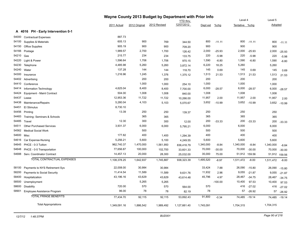|       |                                    |              |               | Wayne County 2013 Budget by Department with Prior Info | YTD thru     |           |           | Level 4        |               | Level 5   |          |
|-------|------------------------------------|--------------|---------------|--------------------------------------------------------|--------------|-----------|-----------|----------------|---------------|-----------|----------|
|       |                                    | 2011 Actual  | 2012 Original | 2012 Revised                                           | 12/07/2012   | Dept est  | $%$ chg   | Tentative %chg |               | Adopted   |          |
|       | A 4016 PH - Early Intervention 0-1 |              |               |                                                        |              |           |           |                |               |           |          |
| 54000 | <b>Contractual Expenses</b>        | 887.73       |               |                                                        |              |           |           |                |               |           |          |
| 54100 | Supplies & Materials               | 605.13       | 900           | 769                                                    | 344.50       | 800       | $-11.11$  | 800            | $-11.11$      | 800       | $-11.11$ |
| 54150 | <b>Office Supplies</b>             | 905.19       | 900           | 900                                                    | 709.20       | 900       |           | 900            |               | 900       |          |
| 54166 | Postage                            | 1,989.57     | 2,700         | 1,700                                                  | 126.42       | 2,000     | $-25.93$  | 2,000          | $-25.93$      | 2,000     | $-25.93$ |
| 54210 | Gas                                | 215.77       | 234           | 234                                                    | 133.75       | 220       | $-5.98$   | 220            | $-5.98$       | 220       | $-5.98$  |
| 54220 | Light & Power                      | 1,596.64     | 1,706         | 1,706                                                  | 970.15       | 1,590     | $-6.80$   | 1,590          | $-6.80$       | 1,590     | $-6.80$  |
| 54230 | Telephone                          | 4,485.98     | 5,260         | 5,260                                                  | 3,872.14     | 6,220     | 18.25     | 5,260          |               | 5,260     |          |
| 54240 | Water                              | 137.28       | 144           | 144                                                    | 118.70       | 145       | 0.69      | 145            | 0.69          | 145       | 0.69     |
| 54300 | Insurance                          | 1,216.96     | 1,245         | 1,376                                                  | 1,375.12     | 1,513     | 21.53     | 1,513          | 21.53         | 1,513     | 21.53    |
| 54402 | Advertising                        |              | 200           | 200                                                    |              | 200       |           | 200            |               | 200       |          |
| 54410 | Conference                         |              | 1,000         | 1,000                                                  | 254.10       | 1,000     |           | 1,000          |               | 1,000     |          |
| 54414 | Information Technology             | 4,625.04     | 8,400         | 8,400                                                  | 7,700.00     | 6,000     | $-28.57$  | 6,000          | $-28.57$      | 6,000     | $-28.57$ |
| 54424 | Equipment - Maint Contract         | 504.00       | 1,008         | 1,008                                                  | 840.00       | 1,008     |           | 1,008          |               | 1,008     |          |
| 54437 | Lease                              | 12,953.36    | 11,722        | 11,722                                                 | 10,266.00    | 11,957    | 2.00      | 11,957         | 2.00          | 11,957    | 2.00     |
| 54438 | Maintenance/Repairs                | 5,280.04     | 4,103         | 5,103                                                  | 5,070.67     | 3,652     | $-10.99$  | 3,652          | $-10.99$      | 3,652     | $-10.99$ |
| 54451 | El Stimulus                        | 8,730.10     |               |                                                        |              |           |           |                |               |           |          |
| 54456 | Printing                           | 13.39        | 250           | 250                                                    | 139.37       | 250       |           | 250            |               | 250       |          |
| 54483 | Training- Seminars & Schools       |              | 365           | 365                                                    |              | 365       |           | 365            |               | 365       |          |
| 54485 | Travel                             | 12.30        | 300           | 300                                                    | 12.00        | 200       | $-33.33$  | 200            | $-33.33$      | 200       | $-33.33$ |
| 54511 | Other Purchased Services           | 3,931.37     | 6,000         | 6,000                                                  | 5,795.21     | 6,000     |           | 6,000          |               | 6,000     |          |
| 54562 | <b>Medical Social Work</b>         |              | 500           |                                                        |              | 500       |           | 500            |               | 500       |          |
| 54600 | Misc                               | 177.82       | 400           | 1,400                                                  | 1,294.39     | 400       |           | 400            |               | 400       |          |
| 54616 | Car Expense-Nursing                | 5,256.21     | 5,600         | 5,100                                                  | 4,249.55     | 5,600     |           | 5,600          |               | 5,600     |          |
| 54645 | PHCE - 0-3 Tuition                 | 962,740.37   | 1,470,000     | 1,561,950                                              | 836,418.79   | 1,340,000 | $-8.84$   | 1,340,000      | $-8.84$       | 1,340,000 | $-8.84$  |
| 54648 | PHCE - 0-5 Transportation          | 77,656.87    | 100,000       | 102,700                                                | 33,601.33    | 70,000    | $-30.00$  | 70,000         | $-30.00$      | 70,000    | $-30.00$ |
| 54688 | Serv. Coordinator Contract         | 14,457.13    | 20,000        | 28,300                                                 | 25,032.00    | 35,000    | 75.00     | 51,912         | 159.56        | 51,912    | 159.56   |
|       | TOTAL CONTRACTUAL EXPENSES         | 1,108,378.25 | 1,642,937     | 1,745,887                                              | 938,323.39   | 1,495,520 | $-8.97$   | 1,511,472      | $-8.00$       | 1,511,472 | $-8.00$  |
| 58100 | Payments to NYS Retirement Sys     | 22,008.00    | 30,984        | 30,984                                                 |              | 33,424    | 7.88      | 26,090         | $-15.80$      | 26,090    | $-15.80$ |
| 58200 | Payments to Social Security        | 11,414.54    | 11,589        | 11,589                                                 | 9,631.76     | 11,932    | 2.96      | 9,055          | $-21.87$      | 9,055     | $-21.87$ |
| 58400 | Hospitalization                    | 43,196.16    | 43,629        | 43,629                                                 | 43,614.48    | 45,796    | 4.97      | 28,467         | $-34.75$      | 28,467    | $-34.75$ |
| 58500 | Unemployment                       |              | 5,265         | 5,265                                                  |              |           | $-100.00$ | 10,400         | 97.53         | 10,400    | 97.53    |
| 58600 | Disability                         | 720.00       | 570           | 570                                                    | 564.00       | 570       |           | 416            | $-27.02$      | 416       | $-27.02$ |
| 58901 | Employee Assistance Program        | 96.00        | 78            | 78                                                     | 82.19        | 78        |           | 57             | $-26.92$      | 57        | $-26.92$ |
|       | <b>TOTAL FRINGE BENEFITS</b>       | 77,434.70    | 92,115        | 92,115                                                 | 53,892.43    | 91,800    | $-0.34$   |                | 74,485 -19.14 | 74,485    | $-19.14$ |
|       | <b>Total Appropriations</b>        | 1,349,091.16 | 1,886,542     | 1,989,492                                              | 1,127,661.40 | 1,745,091 |           | 1,704,315      |               | 1,704,315 |          |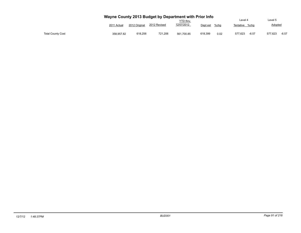|                          | Wayne County 2013 Budget by Department with Prior Info<br>Level 4<br><b>YTD thru</b> |               |              |            |                     |                    |                    |  |  |  |  |  |  |  |
|--------------------------|--------------------------------------------------------------------------------------|---------------|--------------|------------|---------------------|--------------------|--------------------|--|--|--|--|--|--|--|
|                          | 2011 Actual                                                                          | 2012 Original | 2012 Revised | 12/07/2012 | $%$ chg<br>Dept est | Tentative<br>%cha  | Adopted            |  |  |  |  |  |  |  |
| <b>Total County Cost</b> | 358.957.82                                                                           | 618.256       | 721.206      | 561.700.85 | 618,399<br>0.02     | 577.623<br>$-6.57$ | $-6.57$<br>577.623 |  |  |  |  |  |  |  |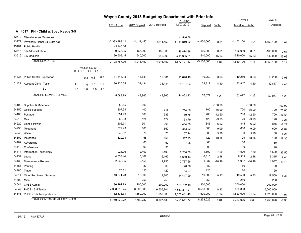|       |                                    |                                |     |                            | Wayne County 2013 Budget by Department with Prior Info |                 |                |              |                        |              |           | Level 4        |           | Level 5        |           |
|-------|------------------------------------|--------------------------------|-----|----------------------------|--------------------------------------------------------|-----------------|----------------|--------------|------------------------|--------------|-----------|----------------|-----------|----------------|-----------|
|       |                                    |                                |     |                            |                                                        |                 |                | 2012 Revised | YTD thru<br>12/07/2012 |              |           |                |           |                |           |
|       |                                    |                                |     |                            |                                                        | 2011 Actual     | 2012 Original  |              |                        | Dept est     | $%$ chg   | Tentative %chg |           | Adopted        |           |
|       | A 4017 PH - Child w/Spec Needs 3-5 |                                |     |                            |                                                        |                 |                |              |                        |              |           |                |           |                |           |
| 42770 | <b>Miscellaneous Revenues</b>      |                                |     |                            |                                                        |                 |                |              | $-1,546.66$            |              |           |                |           |                |           |
| 43277 | Physically Handi Ed-State Aid      |                                |     |                            |                                                        | $-3,333,398.12$ | $-4, 111, 450$ | -4,111,450   | $-1,610,349.92$        | -4,450,060   | 8.24      | $-4, 153, 100$ | 1.01      | $-4, 153, 100$ | 1.01      |
| 43401 | Public Health                      |                                |     |                            |                                                        | $-5,243.68$     |                |              |                        |              |           |                |           |                |           |
| 43515 | 3-5 Administration                 |                                |     |                            |                                                        | $-199.636.05$   | $-165,000$     | $-165,000$   | -46,874.98             | $-166,000$   | 0.61      | $-166,000$     | 0.61      | $-166,000$     | 0.61      |
| 43516 | 3-5 Medicaid                       |                                |     |                            |                                                        | $-190,509.15$   | $-640,000$     | $-640,000$   | $-218,335.61$          | $-540,000$   | $-15.63$  | $-540,000$     | $-15.63$  | $-540,000$     | $-15.63$  |
|       | <b>TOTAL REVENUES</b>              |                                |     |                            |                                                        | $-3,728,787.00$ | $-4,916,450$   | $-4,916,450$ | $-1,877,107.17$        | $-5,156,060$ | 4.87      | $-4,859,100$   | $-1.17$   | $-4,859,100$   | $-1.17$   |
|       |                                    |                                |     | ----- Position Count ----- |                                                        |                 |                |              |                        |              |           |                |           |                |           |
|       |                                    | B <sub>12</sub> L <sub>1</sub> |     | L4<br>L5                   |                                                        |                 |                |              |                        |              |           |                |           |                |           |
| 51334 | <b>Public Health Supervisor</b>    |                                | 0.3 | 0.3                        | 0.3                                                    | 14,648.13       | 18,531         | 18,531       | 16,640.49              | 19,260       | 3.93      | 19,260         | 3.93      | 19,260         | 3.93      |
| 51123 | Account Clerk - Typist             | 1.0                            | 1.0 | 1.0                        | 1.0                                                    | 30,435.65       | 31,434         | 31,434       | 28,181.94              | 32,817       | 4.40      | 32,817         | 4.40      | 32,817         | 4.40      |
|       | <b>BU: 1</b>                       | 1.0                            | 1.0 | 1.0                        | 1.0                                                    |                 |                |              |                        |              |           |                |           |                |           |
|       | <b>TOTAL PERSONAL SERVICES</b>     |                                |     |                            |                                                        | 45,083.78       | 49,965         | 49,965       | 44,822.43              | 52,077       | 4.23      | 52,077         | 4.23      | 52,077         | 4.23      |
|       |                                    |                                |     |                            |                                                        |                 |                |              |                        |              |           |                |           |                |           |
| 54100 | Supplies & Materials               |                                |     |                            |                                                        | 83.55           | 300            |              |                        |              | $-100.00$ |                | $-100.00$ |                | $-100.00$ |
| 54150 | Office Supplies                    |                                |     |                            |                                                        | 207.34          | 400            | 715          | 714.56                 | 700          | 75.00     | 700            | 75.00     | 700            | 75.00     |
| 54166 | Postage                            |                                |     |                            |                                                        | 654.99          | 800            | 385          | 159.75                 | 700          | $-12.50$  | 700            | $-12.50$  | 700            | $-12.50$  |
| 54210 | Gas                                |                                |     |                            |                                                        | 68.33           | 124            | 124          | 53.79                  | 120          | $-3.23$   | 120            | $-3.23$   | 120            | $-3.23$   |
| 54220 | Light & Power                      |                                |     |                            |                                                        | 502.71          | 901            | 901          | 454.38                 | 845          | $-6.22$   | 845            | $-6.22$   | 845            | $-6.22$   |
| 54230 | Telephone                          |                                |     |                            |                                                        | 372.43          | 660            | 660          | 353.22                 | 600          | $-9.09$   | 600            | $-9.09$   | 600            | $-9.09$   |
| 54240 | Water                              |                                |     |                            |                                                        | 43.32           | 76             | 76           | 57.24                  | 80           | 5.26      | 80             | 5.26      | 80             | 5.26      |
| 54300 | Insurance                          |                                |     |                            |                                                        | 120.94          | 158            | 158          | 117.23                 | 129          | $-18.35$  | 129            | $-18.35$  | 129            | $-18.35$  |
| 54402 | Advertising                        |                                |     |                            |                                                        |                 | 60             | 60           | 37.95                  | 60           |           | 60             |           | 60             |           |
| 54410 | Conference                         |                                |     |                            |                                                        |                 | 90             | 90           |                        | 90           |           | 90             |           | 90             |           |
| 54414 | Information Technology             |                                |     |                            |                                                        | 924.96          | 2,400          | 2,400        | 2,200.00               | 1,500        | $-37.50$  | 1,500          | $-37.50$  | 1,500          | $-37.50$  |
| 54437 | Lease                              |                                |     |                            |                                                        | 4,037.44        | 6,162          | 6,162        | 4,650.13               | 6,315        | 2.48      | 6,315          | 2.48      | 6,315          | 2.48      |
| 54438 | Maintenance/Repairs                |                                |     |                            |                                                        | 2,033.85        | 2,156          | 2,756        | 2,787.66               | 1,937        | $-10.16$  | 1,937          | $-10.16$  | 1,937          | $-10.16$  |
| 54456 | Printing                           |                                |     |                            |                                                        |                 | 80             | 80           | 28.00                  | 80           |           | 80             |           | 80             |           |
| 54485 | Travel                             |                                |     |                            |                                                        | 75.31           | 120            | 120          | 54.27                  | 120          |           | 120            |           | 120            |           |
| 54511 | <b>Other Purchased Services</b>    |                                |     |                            |                                                        | 13,571.23       | 18,000         | 19,800       | 14,417.99              | 19,500       | 8.33      | 19,500         | 8.33      | 19,500         | 8.33      |
| 54600 | Misc                               |                                |     |                            |                                                        |                 | 250            | 250          |                        | 250          |           | 250            |           | 250            |           |
| 54644 | <b>CPSE Admin</b>                  |                                |     |                            |                                                        | 196,491.73      | 200,000        | 200,000      | 166,762.18             | 200,000      |           | 200,000        |           | 200,000        |           |
| 54647 | PHCE - 3-5 Tuition                 |                                |     |                            |                                                        | 4,368,096.25    | 6,000,000      | 6,505,901    | 4,563,211.91           | 6,500,000    | 8.33      | 6,000,000      |           | 6,000,000      |           |
| 54648 | PHCE - 0-5 Transportation          |                                |     |                            |                                                        | 1,162,336.34    | 1,550,000      | 1,656,500    | 1,005,481.46           | 1,520,000    | $-1.94$   | 1,520,000      | $-1.94$   | 1,520,000      | $-1.94$   |
|       | <b>TOTAL CONTRACTUAL EXPENSES</b>  |                                |     |                            |                                                        | 5,749,620.72    | 7,782,737      | 8,397,138    | 5,761,541.72           | 8,253,026    | 6.04      | 7,753,026      | $-0.38$   | 7,753,026      | $-0.38$   |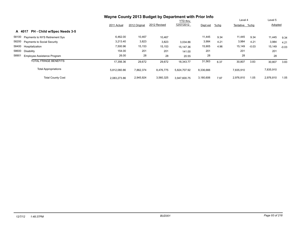|                                         | Wayne County 2013 Budget by Department with Prior Info |               |              |                 |           |         |                |         |                |         |
|-----------------------------------------|--------------------------------------------------------|---------------|--------------|-----------------|-----------|---------|----------------|---------|----------------|---------|
|                                         |                                                        |               |              | <b>YTD thru</b> |           |         | Level 4        |         | Level 5        |         |
|                                         | 2011 Actual                                            | 2012 Original | 2012 Revised | 12/07/2012      | Dept est  | $%$ chg | Tentative %chg |         | <b>Adopted</b> |         |
| PH - Child w/Spec Needs 3-5<br>A 4017   |                                                        |               |              |                 |           |         |                |         |                |         |
| 58100<br>Payments to NYS Retirement Sys | 6,462.00                                               | 10,467        | 10,467       |                 | 11,445    | 9.34    | 11,445         | 9.34    | 11,445         | 9.34    |
| 58200<br>Payments to Social Security    | 3,213.40                                               | 3,823         | 3,823        | 3.034.86        | 3,984     | 4.21    | 3,984          | 4.21    | 3,984          | 4.21    |
| 58400<br>Hospitalization                | 7,500.96                                               | 15,153        | 15,153       | 15,147.36       | 15,905    | 4.96    | 15,149         | $-0.03$ | 15,149         | $-0.03$ |
| 58600<br>Disability                     | 154.00                                                 | 201           | 201          | 141.00          | 201       |         | 201            |         | 201            |         |
| 58901<br>Employee Assistance Program    | 26.00                                                  | 28            | 28           | 20.55           | 28        |         | 28             |         | 28             |         |
| <b>TOTAL FRINGE BENEFITS</b>            | 17,356.36                                              | 29,672        | 29,672       | 18.343.77       | 31,563    | 6.37    | 30,807         | 3.83    | 30,807         | 3.83    |
| <b>Total Appropriations</b>             | 5,812,060.86                                           | 7,862,374     | 8,476,775    | 5.824.707.92    | 8,336,666 |         | 7,835,910      |         | 7,835,910      |         |
| <b>Total County Cost</b>                | 2,083,273.86                                           | 2,945,924     | 3,560,325    | 3.947.600.75    | 3,180,606 | 7.97    | 2,976,810      | 1.05    | 2,976,810      | 1.05    |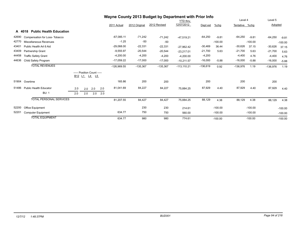|       |                                          |                                                                                            |     |     | Wayne County 2013 Budget by Department with Prior Info |               |               |              |                 |            |           |                |           |            |           |
|-------|------------------------------------------|--------------------------------------------------------------------------------------------|-----|-----|--------------------------------------------------------|---------------|---------------|--------------|-----------------|------------|-----------|----------------|-----------|------------|-----------|
|       |                                          |                                                                                            |     |     |                                                        |               |               |              | <b>YTD thru</b> |            |           | Level 4        |           | Level 5    |           |
|       |                                          |                                                                                            |     |     |                                                        | 2011 Actual   | 2012 Original | 2012 Revised | 12/07/2012      | Dept est   | $%$ chg   | Tentative %chg |           | Adopted    |           |
|       | <b>Public Health Education</b><br>A 4018 |                                                                                            |     |     |                                                        |               |               |              |                 |            |           |                |           |            |           |
| 42690 | Compensation for Loss-Tobacco            |                                                                                            |     |     |                                                        | $-67,085.11$  | $-71,242$     | $-71,242$    | $-47.519.21$    | $-64,250$  | $-9.81$   | $-64,250$      | $-9.81$   | $-64,250$  | $-9.81$   |
| 42770 | Miscellaneous Revenues                   |                                                                                            |     |     |                                                        | $-1.25$       | $-50$         | $-50$        |                 |            | $-100.00$ |                | $-100.00$ |            | $-100.00$ |
| 43401 | Public Health Art 6 Aid                  |                                                                                            |     |     |                                                        | $-29,068.00$  | $-22,331$     | $-22,331$    | $-27.962.42$    | $-30,469$  | 36.44     | $-30,626$      | 37.15     | $-30,626$  | 37.15     |
| 43409 | <b>Partnership Grant</b>                 |                                                                                            |     |     |                                                        | $-9,555.97$   | $-20,544$     | $-20,544$    | $-23,217.01$    | $-21,700$  | 5.63      | $-21,700$      | 5.63      | $-21,700$  | 5.63      |
| 44458 | <b>Traffic Safety Grant</b>              |                                                                                            |     |     |                                                        | $-4,200.00$   | $-4,200$      | $-4,200$     | $-4,200.00$     | $-4,200$   |           | $-4,400$       | 4.76      | $-4,400$   | 4.76      |
| 44636 | Child Safety Program                     |                                                                                            |     |     |                                                        | $-17,059.22$  | $-17,000$     | $-17,000$    | $-10,211.57$    | $-16,000$  | $-5.88$   | $-16,000$      | $-5.88$   | $-16,000$  | $-5.88$   |
|       | <b>TOTAL REVENUES</b>                    |                                                                                            |     |     |                                                        | $-126,969.55$ | $-135,367$    | $-135,367$   | $-113.110.21$   | $-136,619$ | 0.92      | $-136,976$     | 1.19      | $-136,976$ | 1.19      |
|       |                                          | ----- Position Count -----<br>B <sub>12</sub> L <sub>1</sub> L <sub>4</sub> L <sub>5</sub> |     |     |                                                        |               |               |              |                 |            |           |                |           |            |           |
| 51904 | Overtime                                 |                                                                                            |     |     |                                                        | 165.86        | 200           | 200          |                 | 200        |           | 200            |           | 200        |           |
| 51486 | <b>Public Health Educator</b>            | 2.0                                                                                        | 2.0 | 2.0 | 2.0                                                    | 81,041.69     | 84,227        | 84,227       | 75,884.25       | 87,929     | 4.40      | 87,929         | 4.40      | 87,929     | 4.40      |
|       | <b>BU: 1</b>                             | 2.0                                                                                        | 2.0 | 2.0 | 2.0                                                    |               |               |              |                 |            |           |                |           |            |           |
|       | <b>TOTAL PERSONAL SERVICES</b>           |                                                                                            |     |     |                                                        | 81,207.55     | 84,427        | 84,427       | 75,884.25       | 88,129     | 4.38      | 88,129         | 4.38      | 88,129     | 4.38      |
| 52200 | <b>Office Equipment</b>                  |                                                                                            |     |     |                                                        |               | 230           | 230          | 214.61          |            | $-100.00$ |                | $-100.00$ |            | $-100.00$ |
| 52201 | <b>Computer Equipment</b>                |                                                                                            |     |     |                                                        | 634.77        | 750           | 750          | 560.00          |            | $-100.00$ |                | $-100.00$ |            | $-100.00$ |
|       | <b>TOTAL EQUIPMENT</b>                   |                                                                                            |     |     |                                                        | 634.77        | 980           | 980          | 774.61          |            | $-100.00$ |                | $-100.00$ |            | $-100.00$ |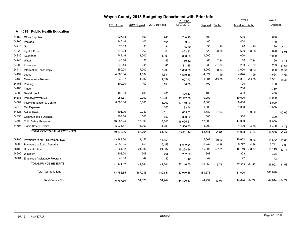|       |                                |             |               | Wayne County 2013 Budget by Department with Prior Info |                 |          |          |                |               |         |               |
|-------|--------------------------------|-------------|---------------|--------------------------------------------------------|-----------------|----------|----------|----------------|---------------|---------|---------------|
|       |                                |             |               |                                                        | <b>YTD thru</b> |          |          | Level 4        |               | Level 5 |               |
|       |                                | 2011 Actual | 2012 Original | 2012 Revised                                           | 12/07/2012      | Dept est | $%$ chg  | Tentative %chg |               | Adopted |               |
|       | A 4018 Public Health Education |             |               |                                                        |                 |          |          |                |               |         |               |
| 54150 | <b>Office Supplies</b>         | 327.83      | 600           | 740                                                    | 740.25          | 600      |          | 600            |               | 600     |               |
| 54166 | Postage                        | 446.16      | 400           | 404                                                    | 169.27          | 400      |          | 400            |               | 400     |               |
| 54210 | Gas                            | 73.83       | 91            | 91                                                     | 65.50           | 90       | $-1.10$  | 90             | $-1.10$       | 90      | $-1.10$       |
| 54220 | Light & Power                  | 543.23      | 660           | 660                                                    | 422.32          | 620      | $-6.06$  | 620            | $-6.06$       | 620     | $-6.06$       |
| 54230 | Telephone                      | 743.16      | 1,000         | 1,000                                                  | 650.60          | 1,000    |          | 1,000          |               | 1,000   |               |
| 54240 | Water                          | 46.84       | 56            | 56                                                     | 50.32           | 60       | 7.14     | 60             | 7.14          | 60      | 7.14          |
| 54300 | Insurance                      | 242.44      | 341           | 341                                                    | 211.15          | 233      | $-31.67$ | 233            | $-31.67$      | 233     | $-31.67$      |
| 54414 | Information Technology         | 1,850.04    | 7,200         | 7,200                                                  | 6,600.00        | 3,000    | $-58.33$ | 3,000          | $-58.33$      | 3,000   | $-58.33$      |
| 54437 | Lease                          | 4,363.04    | 4,534         | 4,534                                                  | 4,530.48        | 4,624    | 1.99     | 4,624          | 1.99          | 4,624   | 1.99          |
| 54438 | Maintenance/Repairs            | 1,643.87    | 1,632         | 1,632                                                  | 1,627.77        | 1,381    | $-15.38$ | 1,381          | $-15.38$      | 1,381   | $-15.38$      |
| 54456 | Printing                       | 100.00      | 100           | 100                                                    | 100.00          | 100      |          | 100            |               | 100     |               |
| 54485 | Travel                         |             |               |                                                        |                 |          |          | 1,780          |               | 1,780   |               |
| 54580 | Dental Health                  | 400.00      | 400           | 400                                                    | 395.63          | 400      |          | 400            |               | 400     |               |
| 54581 | Primary/Preventive             | 7,954.31    | 10,000        | 12,288                                                 | 12,117.36       | 10,000   |          | 10,000         |               | 10,000  |               |
| 54584 | Injury Prevention & Control    | 8,006.00    | 8,000         | 8,000                                                  | 10,140.20       | 8,000    |          | 8,000          |               | 8,000   |               |
| 54616 | Car Expense                    |             |               | 300                                                    | 83.74           | 1,000    |          | 1,000          |               | 1,000   |               |
| 54621 | A & G Travel                   | 1,301.96    | 2,280         | 2,113                                                  | 1,655.02        | 1,780    | $-21.93$ |                | $-100.00$     |         | $-100.00$     |
| 54650 | Communicable Disease           | 308.84      | 300           | 300                                                    | 300.00          | 300      |          | 300            |               | 300     |               |
| 54792 | Child Safety Program           | 16,387.24   | 17,000        | 17,000                                                 | 16,695.51       | 17,000   |          | 17,000         |               | 17,000  |               |
|       | 54794 Traffic Safety Helmet    | 5,934.57    | 4,200         | 4,200                                                  | 2,556.00        | 4,200    |          | 4,400          | 4.76          | 4,400   | 4.76          |
|       | TOTAL CONTRACTUAL EXPENSES     | 50,673.36   | 58,794        | 61,360                                                 | 59,111.12       | 54,788   | $-6.81$  | 54,988         | $-6.47$       | 54,988  | $-6.47$       |
| 58100 | Payments to NYS Retirement Sys | 13,389.00   | 14,153        | 14,153                                                 |                 | 15,662   | 10.66    | 15,662         | 10.66         | 15,662  | 10.66         |
| 58200 | Payments to Social Security    | 5,839.85    | 6,459         | 6,459                                                  | 5,549.24        | 6,742    | 4.38     | 6,742          | 4.38          | 6,742   | 4.38          |
| 58400 | Hospitalization                | 21,664.32   | 21,882        | 21,882                                                 | 16,268.36       | 15,905   | $-27.31$ | 15,149         | $-30.77$      | 15,149  | $-30.77$      |
| 58600 | Disability                     | 308.00      | 308           | 308                                                    | 282.00          | 308      |          | 308            |               | 308     |               |
| 58901 | Employee Assistance Program    | 40.00       | 42            | 42                                                     | 41.10           | 42       |          | 42             |               | 42      |               |
|       | <b>TOTAL FRINGE BENEFITS</b>   | 41,241.17   | 42,844        | 42,844                                                 | 22,140.70       | 38,659   | $-9.77$  |                | 37,903 -11.53 |         | 37,903 -11.53 |
|       | <b>Total Appropriations</b>    | 173,756.85  | 187,045       | 189,611                                                | 157,910.68      | 181,576  |          | 181,020        |               | 181,020 |               |
|       | <b>Total County Cost</b>       | 46,787.30   | 51,678        | 54,244                                                 | 44,800.47       | 44,957   | $-13.01$ |                | 44,044 -14.77 |         | 44,044 -14.77 |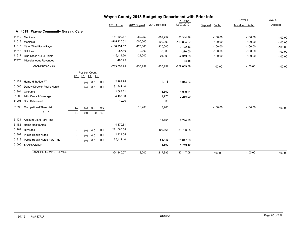|       |                                     |                                |     |                                            | Wayne County 2013 Budget by Department with Prior Info |                |               |              |                 |                  |                |                        |
|-------|-------------------------------------|--------------------------------|-----|--------------------------------------------|--------------------------------------------------------|----------------|---------------|--------------|-----------------|------------------|----------------|------------------------|
|       |                                     |                                |     |                                            |                                                        |                |               |              | <b>YTD</b> thru |                  | Level 4        | Level 5                |
|       |                                     |                                |     |                                            |                                                        | 2011 Actual    | 2012 Original | 2012 Revised | 12/07/2012      | %chg<br>Dept est | Tentative %chg | Adopted                |
|       | A 4019 Wayne Community Nursing Care |                                |     |                                            |                                                        |                |               |              |                 |                  |                |                        |
| 41612 | Medicare                            |                                |     |                                            |                                                        | $-141,699.67$  | $-289,252$    | $-289,252$   | $-53,344.38$    | $-100.00$        |                | $-100.00$<br>$-100.00$ |
| 41613 | Medicaid                            |                                |     |                                            |                                                        | $-515, 120.51$ | $-500,000$    | $-500,000$   | $-193,884.87$   | $-100.00$        |                | $-100.00$<br>$-100.00$ |
| 41615 | Other Third Party Payer             |                                |     |                                            |                                                        | $-108,951.52$  | $-120,000$    | $-120,000$   | $-9,172.16$     | $-100.00$        |                | $-100.00$<br>$-100.00$ |
| 41616 | Self Pay                            |                                |     |                                            |                                                        | $-987.50$      | $-2,000$      | $-2,000$     | $-270.00$       | $-100.00$        |                | $-100.00$<br>$-100.00$ |
| 41617 | Blue Cross / Blue Shield            |                                |     |                                            |                                                        | $-16, 114.50$  | $-24,000$     | $-24,000$    | $-2,319.83$     | $-100.00$        |                | $-100.00$<br>$-100.00$ |
| 42770 | Miscellaneous Revenues              |                                |     |                                            |                                                        | $-185.25$      |               |              | $-18.55$        |                  |                |                        |
|       | <b>TOTAL REVENUES</b>               |                                |     |                                            |                                                        | -783,058.95    | $-935,252$    | $-935,252$   | $-259,009.79$   | $-100.00$        |                | $-100.00$<br>$-100.00$ |
|       |                                     | B <sub>12</sub> L <sub>1</sub> |     | ----- Position Count -----<br><u>L4 L5</u> |                                                        |                |               |              |                 |                  |                |                        |
| 51153 | Home Hith Aide PT                   |                                | 0.0 | 0.0                                        | 0.0                                                    | 2,289.75       |               | 14,118       | 8,044.34        |                  |                |                        |
| 51580 | Deputy Director Public Health       |                                | 0.0 | 0.0                                        | 0.0                                                    | 31,841.40      |               |              |                 |                  |                |                        |
| 51904 | Overtime                            |                                |     |                                            |                                                        | 2,587.21       |               | 6,500        | 1,009.84        |                  |                |                        |
| 51905 | 24hr On-call Coverage               |                                |     |                                            |                                                        | 4,137.00       |               | 2,725        | 2,265.00        |                  |                |                        |
| 51906 | Shift Differential                  |                                |     |                                            |                                                        | 12.00          |               | 800          |                 |                  |                |                        |
| 51596 | <b>Occupational Therapist</b>       | 1.0                            | 0.0 | 0.0                                        | 0.0                                                    |                | 18,200        | 18,200       |                 | $-100.00$        |                | $-100.00$<br>$-100.00$ |
|       | <b>BU: 0</b>                        | 1.0                            | 0.0 | 0.0                                        | 0.0                                                    |                |               |              |                 |                  |                |                        |
| 51121 | <b>Account Clerk Part Time</b>      |                                |     |                                            |                                                        |                |               | 15,554       | 9,294.20        |                  |                |                        |
| 51152 | Home Health Aide                    |                                |     |                                            |                                                        | 4,370.61       |               |              |                 |                  |                |                        |
| 51282 | RPNurse                             | 0.0                            | 0.0 | 0.0                                        | 0.0                                                    | 221,065.65     |               | 102,865      | 39,766.95       |                  |                |                        |
| 51302 | <b>Public Health Nurse</b>          | 0.0                            | 0.0 | 0.0                                        | 0.0                                                    | 2,924.05       |               |              |                 |                  |                |                        |
| 51319 | Public Health Nurse Part Time       | 0.0                            | 0.0 | 0.0                                        | 0.0                                                    | 55,112.40      |               | 51,433       | 25,047.33       |                  |                |                        |
| 51590 | Sr Acct Clerk PT                    |                                |     |                                            |                                                        |                |               | 5,690        | 1,719.42        |                  |                |                        |
|       | <b>TOTAL PERSONAL SERVICES</b>      |                                |     |                                            |                                                        | 324,340.07     | 18,200        | 217,885      | 87,147.08       | $-100.00$        |                | $-100.00$<br>$-100.00$ |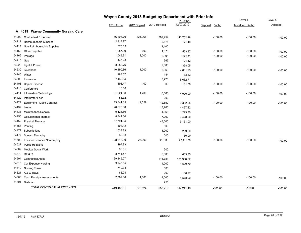|           |                                     | Wayne County 2013 Budget by Department with Prior Info |               |              |                 |                     |                |           |
|-----------|-------------------------------------|--------------------------------------------------------|---------------|--------------|-----------------|---------------------|----------------|-----------|
|           |                                     |                                                        |               |              | <b>YTD</b> thru |                     | Level 4        | Level 5   |
|           |                                     | 2011 Actual                                            | 2012 Original | 2012 Revised | 12/07/2012      | $%$ chg<br>Dept est | Tentative %chg | Adopted   |
|           | A 4019 Wayne Community Nursing Care |                                                        |               |              |                 |                     |                |           |
| 54000     | <b>Contractual Expenses</b>         | 56,305.70                                              | 824,065       | 382,954      | 143,752.28      | $-100.00$           | $-100.00$      | $-100.00$ |
| 54118     | Reimburseable Supplies              | 2,917.97                                               |               | 2,671        | 171.40          |                     |                |           |
| 54119     | Non-Reimburseable Supplies          | 575.69                                                 |               | 1,100        |                 |                     |                |           |
| 54150     | <b>Office Supplies</b>              | 1,087.09                                               | 600           | 1,078        | 563.87          | $-100.00$           | $-100.00$      | $-100.00$ |
| 54166     | Postage                             | 1,049.91                                               | 2,000         | 2,395        | 929.11          | $-100.00$           | $-100.00$      | $-100.00$ |
| 54210 Gas |                                     | 446.48                                                 |               | 365          | 104.42          |                     |                |           |
|           | 54220 Light & Power                 | 3,283.76                                               |               | 2,800        | 358.05          |                     |                |           |
| 54230     | Telephone                           | 10,390.86                                              | 1,000         | 5,060        | 4,881.23        | $-100.00$           | $-100.00$      | $-100.00$ |
|           | 54240 Water                         | 283.07                                                 |               | 184          | 33.63           |                     |                |           |
| 54300     | Insurance                           | 7,432.64                                               |               | 3,720        | 5,632.71        |                     |                |           |
| 54408     | <b>Copier Expense</b>               | 398.47                                                 | 100           | 300          | 101.38          | $-100.00$           | $-100.00$      | $-100.00$ |
|           | 54410 Conference                    | 10.00                                                  |               |              |                 |                     |                |           |
| 54414     | Information Technology              | 31,224.96                                              | 1,200         | 6,000        | 4,900.00        | $-100.00$           | $-100.00$      | $-100.00$ |
| 54420     | <b>Interpreter Fees</b>             | 55.32                                                  |               | 200          |                 |                     |                |           |
| 54424     | Equipment - Maint Contract          | 13,841.35                                              | 12,559        | 12,559       | 9,302.25        | $-100.00$           | $-100.00$      | $-100.00$ |
| 54437     | Lease                               | 26,373.60                                              |               | 13,200       | 4,497.22        |                     |                |           |
|           | 54438 Maintenance/Repairs           | 9,124.80                                               |               | 4,666        | 1,223.30        |                     |                |           |
| 54450     | <b>Occupational Therapy</b>         | 8,344.00                                               |               | 7,000        | 3,428.00        |                     |                |           |
|           | 54452 Physical Therapy              | 57,791.34                                              |               | 48,000       | 9,151.00        |                     |                |           |
|           | 54456 Printing                      | 408.12                                                 |               | 500          |                 |                     |                |           |
|           | 54472 Subscriptions                 | 1,038.83                                               |               | 1,000        | 209.00          |                     |                |           |
| 54477     | Speech Theraphy                     | 30.00                                                  |               | 500          | 30.00           |                     |                |           |
| 54500     | Fees for Services Non-employ        | 28,648.00                                              | 25,000        | 25,036       | 22,111.00       | $-100.00$           | $-100.00$      | $-100.00$ |
| 54527     | <b>Public Relations</b>             | 1,197.83                                               |               |              |                 |                     |                |           |
|           | 54562 Medical Social Work           | 90.01                                                  |               | 200          |                 |                     |                |           |
|           | 54579 RT & R                        | 3,714.47                                               |               | 6,000        | 663.35          |                     |                |           |
| 54594     | <b>Contractual Aides</b>            | 169,849.27                                             |               | 116,781      | 101,988.52      |                     |                |           |
|           | 54616 Car Expense-Nursing           | 9,943.85                                               |               | 4,000        | 1,500.79        |                     |                |           |
|           | 54619 Nursing Travel                | 749.38                                                 |               | 500          |                 |                     |                |           |
| 54621     | A & G Travel                        | 68.04                                                  |               | 200          | 130.97          |                     |                |           |
| 54666     | <b>Cash Receipts Assessments</b>    | 2,789.00                                               | 4,000         | 4,000        | 1,578.00        | $-100.00$           | $-100.00$      | $-100.00$ |
|           | 54691 Dietician                     |                                                        |               | 250          |                 |                     |                |           |
|           | TOTAL CONTRACTUAL EXPENSES          | 449,463.81                                             | 870,524       | 653,219      | 317,241.48      | $-100.00$           | $-100.00$      | $-100.00$ |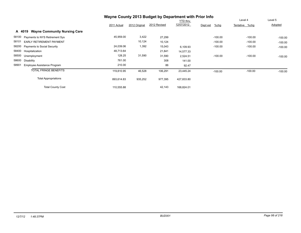|                                               | Wayne County 2013 Budget by Department with Prior Info |               |              |                 |                     |                |           |
|-----------------------------------------------|--------------------------------------------------------|---------------|--------------|-----------------|---------------------|----------------|-----------|
|                                               |                                                        |               |              | <b>YTD thru</b> |                     | Level 4        | Level 5   |
|                                               | 2011 Actual                                            | 2012 Original | 2012 Revised | 12/07/2012      | $%$ chg<br>Dept est | Tentative %chg | Adopted   |
| <b>Wayne Community Nursing Care</b><br>A 4019 |                                                        |               |              |                 |                     |                |           |
| 58100<br>Payments to NYS Retirement Sys       | 45,959.00                                              | 3,422         | 27,299       |                 | $-100.00$           | $-100.00$      | $-100.00$ |
| 58101<br><b>EARLY RETIREMENT PAYMENT</b>      |                                                        | 10,124        | 10,124       |                 | $-100.00$           | $-100.00$      | $-100.00$ |
| 58200<br><b>Payments to Social Security</b>   | 24,039.06                                              | 1,392         | 15,043       | 6,109.93        | $-100.00$           | $-100.00$      | $-100.00$ |
| 58400<br>Hospitalization                      | 48,713.64                                              |               | 21,841       | 14,577.33       |                     |                |           |
| 58500<br>Unemployment                         | 128.25                                                 | 31,590        | 31,590       | 2,524.51        | $-100.00$           | $-100.00$      | $-100.00$ |
| 58600<br><b>Disability</b>                    | 761.00                                                 |               | 308          | 141.00          |                     |                |           |
| 58901<br>Employee Assistance Program          | 210.00                                                 |               | 86           | 92.47           |                     |                |           |
| <b>TOTAL FRINGE BENEFITS</b>                  | 119,810.95                                             | 46,528        | 106,291      | 23,445.24       | $-100.00$           | $-100.00$      | $-100.00$ |
| <b>Total Appropriations</b>                   | 893,614.83                                             | 935,252       | 977,395      | 427,833.80      |                     |                |           |
| <b>Total County Cost</b>                      | 110,555.88                                             |               | 42,143       | 168,824.01      |                     |                |           |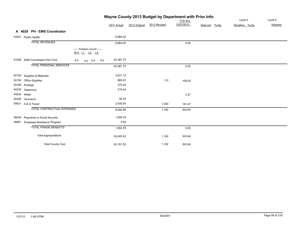|       |                                   | Wayne County 2013 Budget by Department with Prior Info | Level 4     | Level 5       |              |                               |                  |                |         |
|-------|-----------------------------------|--------------------------------------------------------|-------------|---------------|--------------|-------------------------------|------------------|----------------|---------|
|       |                                   |                                                        | 2011 Actual | 2012 Original | 2012 Revised | <b>YTD</b> thru<br>12/07/2012 | %chg<br>Dept est | Tentative %chg | Adopted |
|       | A 4020 PH - EMS Coordinator       |                                                        |             |               |              |                               |                  |                |         |
|       | 43401 Public Health               |                                                        | $-5,864.00$ |               |              |                               |                  |                |         |
|       | <b>TOTAL REVENUES</b>             |                                                        | $-5,864.00$ |               |              | 0.00                          |                  |                |         |
|       |                                   | ----- Position Count -----<br>B12 L1 L4 L5             |             |               |              |                               |                  |                |         |
|       | 51484 EMS Coordinator Part Time   | 0.0<br>0.0<br>$0.0\ 0.0$                               | 20,387.75   |               |              |                               |                  |                |         |
|       | <b>TOTAL PERSONAL SERVICES</b>    |                                                        | 20,387.75   |               |              | 0.00                          |                  |                |         |
|       | 54100 Supplies & Materials        |                                                        | 3,631.12    |               |              |                               |                  |                |         |
| 54150 | <b>Office Supplies</b>            |                                                        | 869.91      |               | 112          | 108.20                        |                  |                |         |
|       | 54166 Postage                     |                                                        | 379.83      |               |              |                               |                  |                |         |
|       | 54230 Telephone                   |                                                        | 219.44      |               |              |                               |                  |                |         |
|       | 54240 Water                       |                                                        |             |               |              | 4.27                          |                  |                |         |
|       | 54300 Insurance                   |                                                        | 56.76       |               |              |                               |                  |                |         |
|       | 54621 A & G Travel                |                                                        | 2,935.93    |               | 1,050        | 191.47                        |                  |                |         |
|       | <b>TOTAL CONTRACTUAL EXPENSES</b> |                                                        | 8,092.99    |               | 1,162        | 303.94                        |                  |                |         |
| 58200 | Payments to Social Security       |                                                        | 1,559.78    |               |              |                               |                  |                |         |
| 58901 | Employee Assistance Program       |                                                        | 5.00        |               |              |                               |                  |                |         |
|       | <b>TOTAL FRINGE BENEFITS</b>      |                                                        | 1,564.78    |               |              | 0.00                          |                  |                |         |
|       | <b>Total Appropriations</b>       |                                                        | 30,045.52   |               | 1,162        | 303.94                        |                  |                |         |
|       | <b>Total County Cost</b>          |                                                        | 24,181.52   |               | 1,162        | 303.94                        |                  |                |         |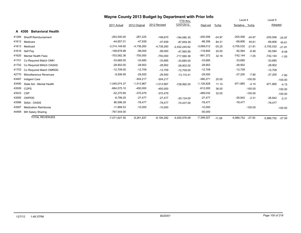|       |                                    | Wayne County 2013 Budget by Department with Prior Info |               |              |                 |              |          |                |           |              |           |
|-------|------------------------------------|--------------------------------------------------------|---------------|--------------|-----------------|--------------|----------|----------------|-----------|--------------|-----------|
|       |                                    |                                                        |               |              | YTD thru        |              |          | Level 4        |           | Level 5      |           |
|       |                                    | 2011 Actual                                            | 2012 Original | 2012 Revised | 12/07/2012      | Dept est     | $%$ chg  | Tentative %chg |           | Adopted      |           |
|       | <b>Behavioral Health</b><br>A 4300 |                                                        |               |              |                 |              |          |                |           |              |           |
| 41284 | <b>Sheriff Reimbursement</b>       | $-263,500.00$                                          | $-267,225$    | $-199,670$   | $-184,080.35$   | $-200,506$   | $-24.97$ | $-200,506$     | $-24.97$  | $-200,506$   | $-24.97$  |
| 41612 | Medicare                           | $-44,657.01$                                           | $-47,939$     | $-47,939$    | $-87,659.39$    | $-88,356$    | 84.31    | $-69,806$      | 45.61     | $-69,806$    | 45.61     |
| 41613 | Medicaid                           | $-3,314,149.60$                                        | $-4,738,260$  | $-4,738,260$ | $-2,452,245.62$ | $-3,068,012$ | $-35.25$ | $-3,705,032$   | $-21.81$  | $-3,705,032$ | $-21.81$  |
| 41616 | Self Pay                           | -199,878.98                                            | $-99,000$     | $-99,000$    | $-47,560.95$    | $-118,800$   | 20.00    | $-92,584$      | $-6.48$   | $-92,584$    | $-6.48$   |
| 41620 | <b>Mental Health Fees</b>          | -703,582.36                                            | $-750,000$    | $-750,000$   | -717,060.36     | -991,372     | 32.18    | $-742,144$     | $-1.05$   | $-742,144$   | $-1.05$   |
| 41701 | Co Required Match OMH              | $-33,685.00$                                           | $-33,685$     | $-33,685$    | $-33,685.00$    | $-33,685$    |          | $-33,685$      |           | $-33,685$    |           |
| 41702 | Co Required MAtch OASAS            | $-28,902.00$                                           | $-28,902$     | $-28,902$    | $-28,902.00$    | $-28,902$    |          | $-28,902$      |           | $-28,902$    |           |
| 41703 | Co Required Match OMRDD            | $-12,709.00$                                           | $-12,709$     | $-12,709$    | $-12,709.00$    | $-12,709$    |          | $-12,709$      |           | $-12,709$    |           |
| 42770 | <b>Miscellaneous Revenues</b>      | $-9,506.95$                                            | $-29,500$     | $-29,500$    | $-13.110.41$    | $-29,500$    |          | -27,200        | $-7.80$   | $-27,200$    | $-7.80$   |
| 43487 | Indigent Care                      |                                                        | $-304,217$    | $-304,217$   |                 | $-380,271$   | 25.00    |                | $-100.00$ |              | $-100.00$ |
| 43490 | State Aid - Mental Health          | $-1,045,074.37$                                        | $-1,013,967$  | $-1,013,967$ | -728.992.00     | $-1,126,928$ | 11.14    | $-971,865$     | $-4.15$   | $-971,865$   | $-4.15$   |
| 43509 | <b>COPS</b>                        | $-664,075.10$                                          | $-450,000$    | $-450,000$   |                 | $-612,000$   | 36.00    |                | $-100.00$ |              | $-100.00$ |
| 43523 | <b>CSP</b>                         | $-52,270.69$                                           | $-370,479$    | $-370,479$   |                 | $-489,032$   | 32.00    |                | $-100.00$ |              | $-100.00$ |
| 43585 | OWPDD                              | $-6,799.25$                                            | $-27,477$     | $-27,477$    | $-20,134.00$    | $-27,477$    |          | $-26,842$      | $-2.31$   | $-26,842$    | $-2.31$   |
| 43586 | StAid - OASIS                      | 86,596.29                                              | $-78,477$     | $-78,477$    | $-74,437.00$    | $-78,477$    |          | $-78,477$      |           | $-78,477$    |           |
| 43587 | <b>Medication Reimburse</b>        | $-11,889.53$                                           | $-10,000$     | $-10,000$    |                 | $-10,000$    |          |                | $-100.00$ |              | $-100.00$ |
| 44469 | MH Salary Sharing                  | $-767,544.00$                                          |               |              |                 | $-50,000$    |          |                |           |              |           |
|       | <b>TOTAL REVENUES</b>              | $-7,071,627.55$                                        | $-8,261,837$  | $-8,194,282$ | -4,400,576.08   | $-7,346,027$ | $-11.08$ | -5,989,752     | $-27.50$  | $-5,989,752$ | $-27.50$  |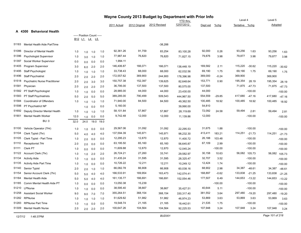|       | Wayne County 2013 Budget by Department with Prior Info |      |                                                              |      |            |             |               |              |                 |          |           |                |           |                |           |
|-------|--------------------------------------------------------|------|--------------------------------------------------------------|------|------------|-------------|---------------|--------------|-----------------|----------|-----------|----------------|-----------|----------------|-----------|
|       |                                                        |      |                                                              |      |            |             |               |              | <b>YTD</b> thru |          |           | Level 4        |           | Level 5        |           |
|       |                                                        |      |                                                              |      |            | 2011 Actual | 2012 Original | 2012 Revised | 12/07/2012      | Dept est | $%$ chg   | Tentative %chg |           | <b>Adopted</b> |           |
|       | A 4300<br><b>Behavioral Health</b>                     |      |                                                              |      |            |             |               |              |                 |          |           |                |           |                |           |
|       |                                                        |      | ----- Position Count -----                                   |      |            |             |               |              |                 |          |           |                |           |                |           |
| 51183 | Mental Health Aide PartTime                            |      | B <sub>12</sub> L <sub>1</sub> L <sub>4</sub> L <sub>5</sub> |      |            |             |               | $-38,288$    |                 |          |           |                |           |                |           |
| 51086 | Director of Mental Health                              |      |                                                              |      |            | 92,361.26   | 91,759        | 83,254       | 83,100.28       | 92,000   | 0.26      | 93,256         | 1.63      | 93,256         |           |
| 51396 | <b>Psychologist Supervisor</b>                         | 1.0  | 1.0                                                          | 1.0  | 1.0<br>1.0 | 77,987.44   | 76,820        | 76,820       | 71,827.15       | 79,876   | 3.98      | 79,877         | 3.98      | 79,877         | 1.63      |
| 51397 | Social Worker Supervisor                               | 1.0  | 3.0                                                          | 1.0  | 0.0        | 1,994.11    |               |              |                 |          |           |                |           |                | 3.98      |
| 51405 | Program Supervisor                                     | 0.0  | 0.0                                                          | 0.0  |            | 146,406.87  | 166,071       | 166,071      |                 | 169,582  | 2.11      | 115,220        | $-30.62$  | 115,220        |           |
| 51495 |                                                        | 3.0  | 6.0                                                          | 2.0  | 2.0        | 33,738.43   | 68,000        | 68,000       | 138,448.19      | 69,190   |           | 69,190         | 1.75      |                | $-30.62$  |
|       | Staff Psychologist                                     | 1.0  | 1.0                                                          | 1.0  | 1.0        | 172,557.62  | 369,900       |              | 62,032.56       | 369,000  | 1.75      | 369,900        |           | 69,190         | 1.75      |
| 51496 | Staff Psychiatrist                                     | 2.0  | 2.0                                                          | 2.0  | 2.0        |             |               | 244,900      | 178,396.98      |          | $-0.24$   |                |           | 369,900        |           |
| 51518 | <b>Psychiatric Nurse Practitioner</b>                  | 2.0  | 2.0                                                          | 3.0  | 3.0        | 150,757.38  | 152,397       | 139,625      | 82,648.64       | 153,771  | 0.90      | 195,354        | 28.19     | 195,354        | 28.19     |
| 51581 | Physician                                              | 2.0  | 2.0                                                          | 2.0  | 2.0        | 36,795.00   | 137,500       | 137,500      | 80,575.00       | 137,500  |           | 71,875         | $-47.73$  | 71,875         | $-47.73$  |
| 51582 | PT Staff Psychologist                                  | 1.0  | 1.0                                                          | 0.0  | 0.0        | 28,985.00   | 44,000        | 44,000       | 23,430.00       | 44,000   |           |                | $-100.00$ |                | $-100.00$ |
| 51583 | PT Staff Psychiatrists                                 | 5.0  | 2.0                                                          | 5.0  | 5.0        | 389,285.00  | 790,499       | 509,543      | 444,967.50      | 554,559  | $-29.85$  | 417,680        | $-47.16$  | 417,680        | $-47.16$  |
| 51584 | Coordinator of Offenders                               | 1.0  | 1.0                                                          | 1.0  | 1.0        | 71,940.00   | 84,500        | 84,500       | 49,362.50       | 100,485  | 18.92     | 100,485        | 18.92     | 100,485        | 18.92     |
| 51598 | PT Psychiatrict NP                                     |      | 1.0                                                          | 0.0  | 0.0        | 5,160.00    |               |              | 39,990.00       | 54,810   |           |                |           |                |           |
| 51692 | Deputy Director Mental Health                          | 1.0  | 1.0                                                          | 1.0  | 1.0        | 58,101.84   | 57,867        | 57,867       | 28,119.69       | 72,092   | 24.58     | 59,494         | 2.81      | 59,494         | 2.81      |
| 51901 | Mental Health Worker                                   | 12.0 | 1.0                                                          | 0.0  | 0.0        | 9,742.48    | 12,000        | 12,000       | 11,139.86       | 12,000   |           |                | $-100.00$ |                | $-100.00$ |
|       | <b>BU: 0</b>                                           | 32.0 | 24.0                                                         | 19.0 | 19.0       |             |               |              |                 |          |           |                |           |                |           |
| 51100 | Vehicle Operator (7Hr)                                 | 1.0  | 1.0                                                          | 0.0  | 0.0        | 29,567.06   | 31,092        | 31,092       | 22,295.53       | 31,675   | 1.88      |                | $-100.00$ |                | $-100.00$ |
| 51104 | Clerk Typist (7hr)                                     | 5.0  | 4.0                                                          | 4.0  | 4.0        | 137,594.39  | 145,971       | 145,971      | 98,232.30       | 413,411  | 183.21    | 114,251        | $-21.73$  | 114,251        | $-21.73$  |
| 51105 | Clerk Typist - Part Time                               | 1.0  | 2.0                                                          | 0.0  | 0.0        | 12,295.23   | 12,870        | 12,870       | 11,400.72       | 26,188   | 103.48    |                | $-100.00$ |                | $-100.00$ |
| 51110 | Receptionist 7Hr                                       | 2.0  | 2.0                                                          | 0.0  | 0.0        | 63,195.50   | 65,160        | 65,160       | 56,645.87       | 67,109   | 2.99      |                | $-100.00$ |                | $-100.00$ |
| 51111 | Clerk PT                                               | 1.0  | 0.0                                                          | 0.0  | 0.0        | 11,609.88   | 12,870        | 12,870       | 12,045.24       |          | $-100.00$ |                | $-100.00$ |                | $-100.00$ |
| 51122 | Account Clerk (7hr)                                    | 1.0  | 1.0                                                          | 2.0  | 2.0        | 26,724.21   | 27,260        | 33,741       | 29,582.97       | 30,158   | 10.63     | 56,082 105.73  |           | 56,082 105.73  |           |
| 51134 | <b>Activity Aide</b>                                   | 1.0  | 1.0                                                          | 0.0  | 0.0        | 31,435.24   | 31,595        | 31,595       | 28,325.47       | 32,707   | 3.52      |                | $-100.00$ |                | $-100.00$ |
| 51135 | <b>Activity Aide Part Time</b>                         | 1.0  | 1.0                                                          | 0.0  | 0.0        | 10,726.22   | 12,211        | 12,211       | 10,249.12       | 12,424   | 1.74      |                | $-100.00$ |                | $-100.00$ |
| 51140 | Senior Typist                                          | 2.0  | 2.0                                                          | 1.0  | 1.0        | 66,082.78   | 66,908        | 66,908       | 60,038.16       | 68,902   | 2.98      | 34,387         | $-48.61$  | 34,387         | $-48.61$  |
| 51154 | Senior Account Clerk (7hr)                             | 5.0  | 5.0                                                          | 4.0  | 4.0        | 166,533.91  | 169,954       | 163,473      | 142,074.41      | 168,897  | $-0.62$   | 133,838        | $-21.25$  | 133,838        | $-21.25$  |
| 51184 | <b>Mental Health Aide</b>                              | 5.0  | 5.0                                                          | 4.0  | 4.0        | 161,135.77  | 166,691       | 166,691      | 152,054.46      | 177,507  | 6.49      | 144,653        | $-13.22$  | 144,653        | $-13.22$  |
| 51185 | Comm Mental Health Aide PT                             | 1.0  | 0.0                                                          | 0.0  | 0.0        | 13,050.38   | 15,239        |              |                 |          | $-100.00$ |                | $-100.00$ |                | $-100.00$ |
| 51210 | LPNurse                                                | 1.0  | 1.0                                                          | 0.0  | 0.0        | 38,595.40   | 38,667        | 38,667       | 35,427.51       | 40,644   | 5.11      |                | $-100.00$ |                | $-100.00$ |
| 51258 | <b>Assistant Social Worker</b>                         | 9.0  | 9.0                                                          | 7.0  | 7.0        | 355,264.51  | 368,154       | 368,154      | 330,317.40      | 381,552  | 3.64      | 297,480        | $-19.20$  | 297,480        | $-19.20$  |
| 51282 | RPNurse                                                | 1.0  | 1.0                                                          | 1.0  | 1.0        | 51,629.82   | 51,982        | 51,982       | 46,974.23       | 53,869   | 3.63      | 53,869         | 3.63      | 53,869         | 3.63      |
| 51283 | <b>RPNurse Part Time</b>                               | 1.0  | 1.0                                                          | 0.0  | 0.0        | 19,548.74   | 21,165        | 21,165       | 18,442.61       | 21,535   | 1.75      |                | $-100.00$ |                | $-100.00$ |
| 51309 | <b>Mental Health Nurse</b>                             | 2.0  |                                                              | 2.0  | 2.0        | 100,647.26  | 104,564       | 104,564      | 92,225.53       | 107,948  | 3.24      | 107,948        | 3.24      | 107,948        | 3.24      |
|       |                                                        |      | 2.0                                                          |      |            |             |               |              |                 |          |           |                |           |                |           |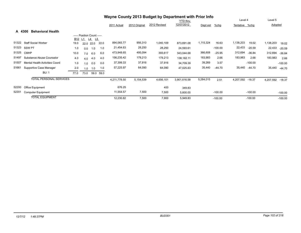|        |                                       |      |                            |           |      |              |               | Wayne County 2013 Budget by Department with Prior Info |              |           |           |                |           |           |           |
|--------|---------------------------------------|------|----------------------------|-----------|------|--------------|---------------|--------------------------------------------------------|--------------|-----------|-----------|----------------|-----------|-----------|-----------|
|        |                                       |      |                            |           |      |              |               |                                                        | YTD thru     |           |           | Level 4        |           | Level 5   |           |
|        |                                       |      |                            |           |      | 2011 Actual  | 2012 Original | 2012 Revised                                           | 12/07/2012   | Dept est  | $%$ chg   | Tentative %chg |           | Adopted   |           |
| A 4300 | <b>Behavioral Health</b>              |      |                            |           |      |              |               |                                                        |              |           |           |                |           |           |           |
|        |                                       |      | ----- Position Count ----- |           |      |              |               |                                                        |              |           |           |                |           |           |           |
|        |                                       | B12  | L1                         | L4<br>L5  |      |              |               |                                                        |              |           |           |                |           |           |           |
| 51322  | <b>Staff Social Worker</b>            | 19.0 |                            | 22.0 22.0 | 22.0 | 894,065.77   | 956,310       | 1,040,109                                              | 873,691.08   | 1,115,324 | 16.63     | 1,138,203      | 19.02     | 1,138,203 | 19.02     |
| 51323  | <b>SSW PT</b>                         | 1.0  | 0.0                        | 1.0       | 1.0  | 21,454.63    | 28,250        | 28,250                                                 | 24,593.61    |           | $-100.00$ | 22,433         | $-20.59$  | 22,433    | $-20.59$  |
| 51325  | <b>CMHP</b>                           | 10.0 | 7.0                        | 6.0       | 6.0  | 473,948.65   | 495,094       | 393,617                                                | 343,044.68   | 366,608   | $-25.95$  | 312,694        | $-36.84$  | 312,694   | $-36.84$  |
| 51497  | Substance Abuse Counselor             | 4.0  | 4.0                        | 4.0       | 4.0  | 156,235.42   | 179,213       | 179,213                                                | 138,182.11   | 183,983   | 2.66      | 183,983        | 2.66      | 183,983   | 2.66      |
| 51507  | <b>Mental Health Activities Coord</b> | 1.0  | 1.0                        | 0.0       | 0.0  | 37,399.33    | 37,916        | 37,916                                                 | 34,709.39    | 39,269    | 3.57      |                | $-100.00$ |           | $-100.00$ |
| 51661  | Supportive Case Manager               | 2.0  | 1.0                        | 1.0       | 1.0  | 57,225.97    | 64,090        | 64,090                                                 | 47,025.83    | 35,440    | $-44.70$  | 35,440         | $-44.70$  | 35,440    | $-44.70$  |
|        | <b>BU: 1</b>                          | 77.0 | 73.0                       | 59.0      | 59.0 |              |               |                                                        |              |           |           |                |           |           |           |
|        | <b>TOTAL PERSONAL SERVICES</b>        |      |                            |           |      | 4,211,778.50 | 5,154,539     | 4,656,101                                              | 3,901,616.58 | 5,284,015 | 2.51      | 4,207,592      | -18.37    | 4,207,592 | $-18.37$  |
| 52200  | Office Equipment                      |      |                            |           |      | 676.25       |               | 400                                                    | 349.83       |           |           |                |           |           |           |
| 52201  | <b>Computer Equipment</b>             |      |                            |           |      | 11,554.57    | 7,500         | 7,500                                                  | 5,600.00     |           | $-100.00$ |                | $-100.00$ |           | $-100.00$ |
|        | <b>TOTAL EQUIPMENT</b>                |      |                            |           |      | 12,230.82    | 7,500         | 7,900                                                  | 5,949.83     |           | $-100.00$ |                | $-100.00$ |           | $-100.00$ |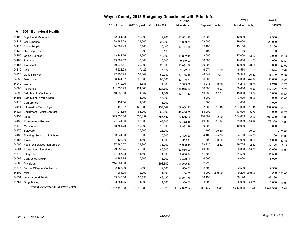|       |                                    |              |               | Wayne County 2013 Budget by Department with Prior Info |                 |           |          |                |           |           |           |
|-------|------------------------------------|--------------|---------------|--------------------------------------------------------|-----------------|-----------|----------|----------------|-----------|-----------|-----------|
|       |                                    |              |               |                                                        | <b>YTD</b> thru |           |          | Level 4        |           | Level 5   |           |
|       |                                    | 2011 Actual  | 2012 Original | 2012 Revised                                           | 12/07/2012      | Dept est  | $%$ chg  | Tentative %chg |           | Adopted   |           |
|       | <b>Behavioral Health</b><br>A 4300 |              |               |                                                        |                 |           |          |                |           |           |           |
| 54100 | Supplies & Materials               | 12,251.98    | 12,900        | 12,900                                                 | 10,552.15       | 12,900    |          | 12,900         |           | 12,900    |           |
| 54114 | Car Expense                        | 29,389.28    | 29,000        | 29,000                                                 | 28,369.73       | 29,000    |          | 29,000         |           | 29,000    |           |
| 54115 | <b>Clinic Supplies</b>             | 14,302.49    | 15,100        | 15,100                                                 | 13,414.55       | 15,100    |          | 15,100         |           | 15,100    |           |
| 54138 | <b>Cleaning Expense</b>            |              | 100           | 100                                                    |                 | 100       |          | 100            |           | 100       |           |
| 54150 | Office Supplies                    | 13,141.26    | 19,600        | 19,600                                                 | 13,882.45       | 19,600    |          | 17,000         | $-13.27$  | 17,000    | $-13.27$  |
| 54166 | Postage                            | 13,889.67    | 16,000        | 16,000                                                 | 9,119.00        | 16,000    |          | 14,000         | $-12.50$  | 14,000    | $-12.50$  |
| 54185 | Transcripts                        | 10,975.51    | 20,000        | 20,000                                                 | 13,091.68       | 20,000    |          | 16,000         | $-20.00$  | 16,000    | $-20.00$  |
| 54210 | Gas                                | 5,821.03     | 7,122         | 7,122                                                  | 5,172.50        | 6,574     | $-7.69$  | 6,574          | $-7.69$   | 6,574     | $-7.69$   |
| 54220 | Light & Power                      | 42,958.95    | 52,049        | 52,049                                                 | 33,445.48       | 48,349    | $-7.11$  | 38,349         | $-26.32$  | 38,349    | $-26.32$  |
| 54230 | Telephone                          | 56,141.97    | 66,000        | 66,000                                                 | 37,145.71       | 66,000    |          | 50,000         | $-24.24$  | 50,000    | $-24.24$  |
| 54240 | Water                              | 3,712.06     | 4,383         | 4,383                                                  | 3,993.89        | 4,218     | $-3.76$  | 4,218          | $-3.76$   | 4,218     | $-3.76$   |
| 54300 | Insurance                          | 111,033.99   | 124,300       | 124,300                                                | 118,915.39      | 130,806   | 5.23     | 130,806        | 5.23      | 130,806   | 5.23      |
| 54395 | <b>Bldg Maint - Contracts</b>      | 10,633.80    | 11,067        | 11,067                                                 | 12,441.80       | 19,933    | 80.11    | 15,000         | 35.54     | 15,000    | 35.54     |
| 54396 | Bldg Maint - Work Orders           |              | 15,000        | 15,000                                                 |                 | 15,000    |          | 3,000          | $-80.00$  | 3,000     | $-80.00$  |
| 54410 | Conference                         | 1,154.14     | 1,000         | 1,000                                                  |                 | 1,000     |          | 1,000          |           | 1,000     |           |
| 54414 | Information Technology             | 101,413.97   | 122,000       | 157,549                                                | 109,954.10      | 197,000   | 61.48    | 197,000        | 61.48     | 197,000   | 61.48     |
| 54424 | Equipment - Maint Contract         | 44,016.55    | 68,000        | 68,000                                                 | 42,406.86       | 68,000    |          | 43,000         | $-36.76$  | 43,000    | $-36.76$  |
| 54437 | Lease                              | 343,833.60   | 357,657       | 357,657                                                | 357,656.04      | 364,809   | 2.00     | 364,809        | 2.00      | 364,809   | 2.00      |
| 54438 | Maintenance/Repairs                | 71,044.66    | 63,006        | 63,006                                                 | 70,332.56       | 49,309    | $-21.74$ | 79,309         | 25.88     | 79,309    | 25.88     |
| 54473 | Medications                        | 18,784.78    | 10,000        | 10,000                                                 | 8,831.49        | 10,000    |          | 10,000         |           | 10,000    |           |
| 54475 | Software                           |              | 25,000        | 25,000                                                 |                 | 100       | $-99.60$ |                | $-100.00$ |           | $-100.00$ |
| 54483 | Training- Seminars & Schools       | 3,641.00     | 5,000         | 5,000                                                  | 2,896.20        | 4,100     | $-18.00$ | 4,100          | $-18.00$  | 4,100     | $-18.00$  |
| 54485 | Travel                             | 120.00       | 1,500         | 1,500                                                  | 409.11          | 600       | $-60.00$ | 1,000          | $-33.33$  | 1,000     | $-33.33$  |
| 54500 | Fees for Services Non-employ       | 37,880.27    | 38,900        | 38,900                                                 | 31,998.45       | 39,725    | 2.12     | 39,725         | 2.12      | 39,725    | 2.12      |
| 54501 | <b>Accountants &amp; Auditors</b>  | 29,257.25    | 40,000        | 40,000                                                 | 27,585.00       | 40,000    |          | 30,000         | $-25.00$  | 30,000    | $-25.00$  |
| 54540 | Interpreter                        | 17,387.23    | 11,500        | 11,500                                                 | 9,080.24        | 11,500    |          | 11,500         |           | 11,500    |           |
| 54563 | <b>Contracted CMHP</b>             | 4,283.75     | 6,000         | 6,000                                                  | 4,473.50        | 6,000     |          | 6,000          |           | 6,000     |           |
| 54566 | Physician                          | 244,584.88   |               | 396,500                                                | 365,252.49      | 62,920    |          |                |           |           |           |
| 54575 | Sexual Offender Contractor         | 2,165.00     | 2,500         | 2,500                                                  | 1,500.00        | 2,500     |          | 2,500          |           | 2,500     |           |
| 54600 | Misc                               | 264.00       | 2,000         | 1,600                                                  | 1,104.80        | 8,000     | 300.00   | 9,200          | 360.00    | 9,200     | 360.00    |
| 54654 | Wrap-around Funds                  | 59,348.56    | 88,196        | 88,196                                                 | 55,247.75       | 88,196    |          | 88,196         |           | 88,196    |           |
| 54784 | <b>Drug Testing</b>                | 3,681.25     | 4,000         | 4,000                                                  | 4,350.00        | 4,000     |          | 5,000          | 25.00     | 5,000     | 25.00     |
|       | TOTAL CONTRACTUAL EXPENSES         | 1,307,112.88 | 1,238,880     | 1,670,529                                              | 1,392,622.92    | 1,361,339 | 9.88     | 1,244,386      | 0.44      | 1,244,386 | 0.44      |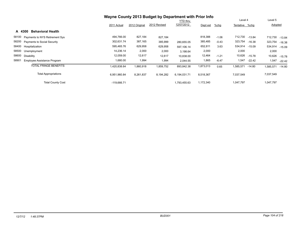|                                             | Wayne County 2013 Budget by Department with Prior Info |               |              |                 |           |         |                |          |                |          |
|---------------------------------------------|--------------------------------------------------------|---------------|--------------|-----------------|-----------|---------|----------------|----------|----------------|----------|
|                                             |                                                        |               |              | <b>YTD thru</b> |           |         | Level 4        |          | Level 5        |          |
|                                             | 2011 Actual                                            | 2012 Original | 2012 Revised | 12/07/2012      | Dept est  | $%$ chg | Tentative %chg |          | Adopted        |          |
| <b>Behavioral Health</b><br>A 4300          |                                                        |               |              |                 |           |         |                |          |                |          |
| 58100<br>Payments to NYS Retirement Sys     | 494,766.00                                             | 827,184       | 827,184      |                 | 818,388   | $-1.06$ | 712,730 -13.84 |          | 712,730        | $-13.84$ |
| 58200<br><b>Payments to Social Security</b> | 302,631.74                                             | 387,165       | 385,999      | 280,655.05      | 385,485   | $-0.43$ | 323,754        | $-16.38$ | 323,754        | $-16.38$ |
| 58400 Hospitalization                       | 595,465.76                                             | 629,958       | 629,958      | 597.106.14      | 652,811   | 3.63    | 534,914 -15.09 |          | 534,914 -15.09 |          |
| 58500<br>Unemployment                       | 14,236.14                                              | 2,000         | 2,000        | 3,198.64        | 2,000     |         | 2,000          |          | 2,000          |          |
| 58600<br>Disability                         | 12,059.00                                              | 12,617        | 12,617       | 10,838.00       | 12,464    | $-1.21$ | 10,626         | $-15.78$ | 10,626         | $-15.78$ |
| 58901<br>Employee Assistance Program        | 1,680.00                                               | 1,994         | 1,994        | 2,044.55        | 1,865     | $-6.47$ | 1,547          | $-22.42$ | 1,547          | $-22.42$ |
| TOTAL FRINGE BENEFITS                       | 1,420,838.64                                           | 1,860,918     | 1,859,752    | 893,842.38      | 1,873,013 | 0.65    | 1,585,571      | -14.80   | 1,585,571      | $-14.80$ |
| <b>Total Appropriations</b>                 | 6,951,960.84                                           | 8,261,837     | 8,194,282    | 6,194,031.71    | 8,518,367 |         | 7,037,549      |          | 7,037,549      |          |
| <b>Total County Cost</b>                    | $-119.666.71$                                          |               |              | 1,793,455.63    | 1,172,340 |         | 1,047,797      |          | 1,047,797      |          |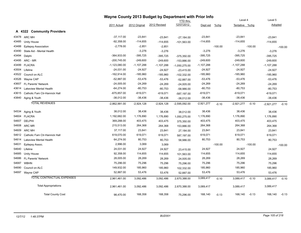|       |                                     | Wayne County 2013 Budget by Department with Prior Info |               | Level 4      |                               |              | Level 5   |                |           |              |           |
|-------|-------------------------------------|--------------------------------------------------------|---------------|--------------|-------------------------------|--------------|-----------|----------------|-----------|--------------|-----------|
|       |                                     | 2011 Actual                                            | 2012 Original | 2012 Revised | <b>YTD thru</b><br>12/07/2012 | Dept est     | %chg      | Tentative %chg |           | Adopted      |           |
|       | A 4322 Community Providers          |                                                        |               |              |                               |              |           |                |           |              |           |
|       | 43478 ARC MH                        | $-37,117.00$                                           | $-23,841$     | $-23,841$    | $-27,184.00$                  | $-23,841$    |           | $-23,841$      |           | $-23,841$    |           |
| 43485 | <b>Unity House</b>                  | $-92,358.00$                                           | $-114,655$    | $-114,655$   | -101,563.00                   | $-114,655$   |           | $-114,655$     |           | $-114,655$   |           |
| 43488 | <b>Epilepsy Association</b>         | $-2,778.00$                                            | $-2,851$      | $-2,851$     |                               |              | $-100.00$ |                | $-100.00$ |              | $-100.00$ |
| 43490 | State Aid - Mental Health           |                                                        | $-3,276$      | $-3,276$     |                               | $-3,276$     |           | $-3,276$       |           | $-3,276$     |           |
| 43494 | Delphi                              | $-364,933.00$                                          | $-395,725$    | $-395,725$   | $-375,350.00$                 | $-395,725$   |           | $-395,725$     |           | $-395,725$   |           |
| 43495 | ARC - MR                            | $-200,745.00$                                          | $-249,600$    | $-249,600$   | -153,886.00                   | $-249,600$   |           | $-249,600$     |           | $-249,600$   |           |
|       | 43499 FLACRA                        | $-1,123,080.00$                                        | $-1,107,288$  | $-1,107,288$ | $-1,050,275.00$               | $-1,107,288$ |           | $-1,107,288$   |           | $-1,107,288$ |           |
| 43504 | Lifeline                            | $-24,031.00$                                           | $-24,927$     | $-24,927$    | $-23,415.00$                  | $-24,927$    |           | $-24,927$      |           | $-24,927$    |           |
| 43522 | Council on ALC                      | $-162,914.00$                                          | $-185,960$    | $-185,960$   | -102,332.00                   | -185,960     |           | $-185,960$     |           | $-185,960$   |           |
| 43526 | Wayne CAP                           | $-52,887.00$                                           | $-53,476$     | $-53,476$    | $-52,887.00$                  | $-53,476$    |           | $-53,476$      |           | $-53,476$    |           |
| 43607 | FL Parents' Network                 | $-24,005.00$                                           | $-24,269$     | $-24,269$    | $-24,005.00$                  | $-24,269$    |           | $-24,269$      |           | $-24,269$    |           |
| 43614 | <b>Lakeview Mental Health</b>       | $-64,274.00$                                           | $-80,753$     | $-80,753$    | $-58,986.00$                  | $-80,753$    |           | $-80,753$      |           | $-80,753$    |           |
| 43615 | Catholic Fam Ctr-Hannick Hall       | $-675,857.00$                                          | $-619,071$    | $-619,071$   | -587,197.00                   | $-619,071$   |           | $-619,071$     |           | $-619,071$   |           |
| 43840 | Aging & Youth                       | $-38,012.00$                                           | $-38,436$     | $-38,436$    | $-38,012.00$                  | $-38,436$    |           | $-38,436$      |           | $-38,436$    |           |
|       | <b>TOTAL REVENUES</b>               | $-2,862,991.00$                                        | $-2,924,128$  | $-2,924,128$ | $-2,595,092.00$               | $-2,921,277$ | $-0.10$   | $-2,921,277$   | $-0.10$   | $-2,921,277$ | $-0.10$   |
| 54534 | Aging & Youth                       | 38,012.00                                              | 38,436        | 38,436       | 38,012.00                     | 38,436       |           | 38,436         |           | 38,436       |           |
| 54604 | <b>FLACRA</b>                       | 1,192,682.00                                           | 1,176,890     | 1,176,890    | 1,050,275.00                  | 1,176,890    |           | 1,176,890      |           | 1,176,890    |           |
| 54607 | <b>DELPHI</b>                       | 369,288.00                                             | 403,475       | 403,475      | 375,350.00                    | 403,475      |           | 403,475        |           | 403,475      |           |
| 54608 | ARC MR                              | 215,513.00                                             | 264,368       | 264,368      | 153,886.00                    | 264,368      |           | 264,368        |           | 264,368      |           |
| 54609 | ARC MH                              | 37,117.00                                              | 23,841        | 23,841       | 27,184.00                     | 23,841       |           | 23,841         |           | 23,841       |           |
|       | 54612 Catholic Fam Ctr-Hannick Hall | 619,070.00                                             | 619,071       | 619,071      | 587,197.00                    | 619,071      |           | 619,071        |           | 619,071      |           |
| 54614 | <b>Lakeview Mental Health</b>       | 64,274.00                                              | 80,753        | 80,753       | 58,986.00                     | 80,753       |           | 80,753         |           | 80,753       |           |
| 54631 | Epilepsy Assoc.                     | 2,996.00                                               | 3,069         | 3,069        |                               |              | $-100.00$ |                | $-100.00$ |              | $-100.00$ |
| 54640 | Lifeline                            | 24,031.00                                              | 24,927        | 24,927       | 23,415.00                     | 24,927       |           | 24,927         |           | 24,927       |           |
| 54685 | <b>Unity House</b>                  | 92,358.00                                              | 114,655       | 114,655      | 101,563.00                    | 114,655      |           | 114,655        |           | 114,655      |           |
|       | 54686 FL Parents' Network           | 28,005.00                                              | 28,269        | 28,269       | 24,005.00                     | 28,269       |           | 28,269         |           | 28,269       |           |
| 54687 | <b>WBHN</b>                         | 75,296.00                                              | 75,296        | 75,296       | 75,296.00                     | 75,296       |           | 75,296         |           | 75,296       |           |
| 54690 | Council on ALC                      | 149,932.00                                             | 185,960       | 185,960      | 102,332.00                    | 185,960      |           | 185,960        |           | 185,960      |           |
|       | 54697 Wayne CAP                     | 52,887.00                                              | 53,476        | 53,476       | 52,887.00                     | 53,476       |           | 53,476         |           | 53,476       |           |
|       | TOTAL CONTRACTUAL EXPENSES          | 2,961,461.00                                           | 3,092,486     | 3,092,486    | 2,670,388.00                  | 3,089,417    | $-0.10$   | 3,089,417      | $-0.10$   | 3,089,417    | $-0.10$   |
|       | <b>Total Appropriations</b>         | 2,961,461.00                                           | 3,092,486     | 3,092,486    | 2,670,388.00                  | 3,089,417    |           | 3,089,417      |           | 3,089,417    |           |
|       | <b>Total County Cost</b>            | 98,470.00                                              | 168,358       | 168,358      | 75,296.00                     | 168,140      | $-0.13$   | 168,140        | $-0.13$   | 168,140      | $-0.13$   |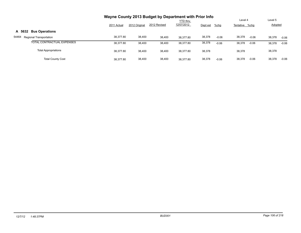|                                   | Wayne County 2013 Budget by Department with Prior Info |               |              |                               |          |         |                           |         |                           |         |
|-----------------------------------|--------------------------------------------------------|---------------|--------------|-------------------------------|----------|---------|---------------------------|---------|---------------------------|---------|
|                                   | 2011 Actual                                            | 2012 Original | 2012 Revised | <b>YTD thru</b><br>12/07/2012 | Dept est | $%$ chg | Level 4<br>Tentative %chg |         | Level 5<br><b>Adopted</b> |         |
| A 5632 Bus Operations             |                                                        |               |              |                               |          |         |                           |         |                           |         |
| 54464<br>Regional Transportation  | 38,377.80                                              | 38,400        | 38,400       | 38.377.80                     | 38,378   | $-0.06$ | 38,378                    | $-0.06$ | 38,378                    | $-0.06$ |
| <b>TOTAL CONTRACTUAL EXPENSES</b> | 38,377.80                                              | 38,400        | 38,400       | 38.377.80                     | 38,378   | $-0.06$ | 38,378                    | $-0.06$ | 38,378                    | $-0.06$ |
| <b>Total Appropriations</b>       | 38,377.80                                              | 38,400        | 38,400       | 38,377.80                     | 38,378   |         | 38,378                    |         | 38,378                    |         |
| <b>Total County Cost</b>          | 38.377.80                                              | 38,400        | 38,400       | 38.377.80                     | 38,378   | $-0.06$ | 38,378                    | $-0.06$ | 38,378                    | $-0.06$ |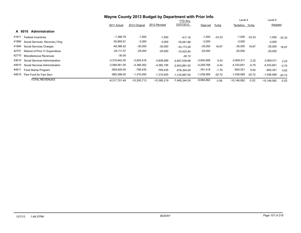|                                         | Wayne County 2013 Budget by Department with Prior Info |               |               |                 |              |          |                |          |               |          |
|-----------------------------------------|--------------------------------------------------------|---------------|---------------|-----------------|--------------|----------|----------------|----------|---------------|----------|
|                                         |                                                        |               |               | <b>YTD thru</b> |              |          | Level 4        |          | Level 5       |          |
|                                         | 2011 Actual                                            | 2012 Original | 2012 Revised  | 12/07/2012      | Dept est     | $%$ chg  | Tentative %chq |          | Adopted       |          |
| <b>Administration</b><br>A 6010         |                                                        |               |               |                 |              |          |                |          |               |          |
| 41811<br><b>Federal Incentives</b>      | $-1,368.79$                                            | $-1,500$      | $-1,500$      | $-411.16$       | $-1,000$     | $-33.33$ | $-1,000$       | $-33.33$ | $-1,000$      | $-33.33$ |
| 41880<br>Social Services- Recovery Chrq | $-35,893.61$                                           | $-3,000$      | $-3,000$      | $-76.591.88$    | $-3,000$     |          | $-3,000$       |          | $-3,000$      |          |
| 41894<br>Social Services Charges        | -49,386.52                                             | $-30,000$     | $-30,000$     | $-33,173.28$    | $-35,000$    | 16.67    | $-35,000$      | 16.67    | $-35,000$     | 16.67    |
| 42701<br>Refund of Prior Yr Expenditure | $-25,111.57$                                           | $-25,000$     | $-25,000$     | $-10.425.84$    | $-25,000$    |          | $-25,000$      |          | $-25,000$     |          |
| 42770<br>Miscellaneous Revenues         | $-30.00$                                               |               |               | -30.10          |              |          |                |          |               |          |
| 43610<br>Social Services Administration | $-3,316,842.00$                                        | $-3,824,516$  | $-3,838,089$  | $-2.607.539.98$ | $-3,840,906$ | 0.43     | $-3,909,511$   | 2.22     | $-3,909,511$  | 2.22     |
| 44610<br>Social Services Administration | $-3,568,561.00$                                        | $-4,366,262$  | $-4,382,195$  | $-2.843.881.00$ | $-4,259,768$ | $-2.44$  | $-4,333,651$   | $-0.75$  | $-4,333,651$  | $-0.75$  |
| 44611<br>Food Stamp Program             | $-659,920.00$                                          | -795,435      | $-795,435$    | $-576,304.00$   | -781,419     | $-1.76$  | $-800,351$     | 0.62     | $-800,351$    | 0.62     |
| 44615<br>Flex Fund for Fam Serv         | $-660,588.00$                                          | $-1,310,000$  | $-1,310,000$  | $-1.316.887.00$ | $-1,038,569$ | $-20.72$ | $-1,038,569$   | $-20.72$ | $-1,038,569$  | $-20.72$ |
| <b>TOTAL REVENUES</b>                   | $-8,317,701.49$                                        | $-10,355,713$ | $-10,385,219$ | $-7,465,244.24$ | $-9,984,662$ | $-3.58$  | $-10,146,082$  | $-2.02$  | $-10,146,082$ | $-2.02$  |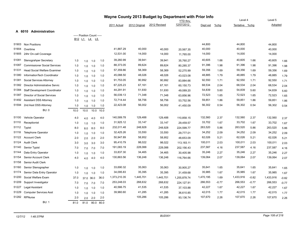|       |                                      |      |                            |                |      |              |               | Wayne County 2013 Budget by Department with Prior Info |                 |           |         |                |         |           |         |
|-------|--------------------------------------|------|----------------------------|----------------|------|--------------|---------------|--------------------------------------------------------|-----------------|-----------|---------|----------------|---------|-----------|---------|
|       |                                      |      |                            |                |      |              |               |                                                        | <b>YTD thru</b> |           |         | Level 4        |         | Level 5   |         |
|       |                                      |      |                            |                |      | 2011 Actual  | 2012 Original | 2012 Revised                                           | 12/07/2012      | Dept est  | %chg    | Tentative %chg |         | Adopted   |         |
|       | A 6010 Administration                |      |                            |                |      |              |               |                                                        |                 |           |         |                |         |           |         |
|       |                                      |      | ----- Position Count ----- |                |      |              |               |                                                        |                 |           |         |                |         |           |         |
|       |                                      |      | B12 L1 L4 L5               |                |      |              |               |                                                        |                 |           |         |                |         |           |         |
| 51903 | <b>Non Positions</b>                 |      |                            |                |      |              |               |                                                        |                 | 44,800    |         | 44,800         |         | 44,800    |         |
| 51904 | Overtime                             |      |                            |                |      | 41,887.29    | 40,000        | 40,000                                                 | 20,567.35       | 40,000    |         | 40,000         |         | 40,000    |         |
| 51905 | 24hr On-call Coverage                |      |                            |                |      | 12,531.00    | 14,000        | 14,000                                                 | 11,765.00       | 14,000    |         | 14,000         |         | 14,000    |         |
| 51081 | Stenograhper Secretary               | 1.0  | 1.0                        | 1.0            | 1.0  | 39,260.99    | 39,941        | 39,941                                                 | 35,760.27       | 40,605    | 1.66    | 40,605         | 1.66    | 40,605    | 1.66    |
| 51087 | <b>Commissioner Social Services</b>  | 1.0  | 1.0                        | 1.0            | 1.0  | 88,373.05    | 89,624        | 89,624                                                 | 80,285.37       | 91,396    | 1.98    | 91,396         | 1.98    | 91,396    | 1.98    |
| 51331 | <b>Head Social Welfare Examiner</b>  | 1.0  | 1.0                        | 1.0            | 1.0  | 57,359.86    | 58,369        | 58,369                                                 | 52,270.99       | 59,356    | 1.69    | 59,356         | 1.69    | 59,356    | 1.69    |
| 51380 | InformationTech Coordinator          | 1.0  | 1.0                        | 1.0            | 1.0  | 45,088.50    | 48,026        | 48,026                                                 | 43,023.08       | 48,885    | 1.79    | 48,885         | 1.79    | 48,885    | 1.79    |
| 51381 | Social Services Attorney             | 1.0  | 1.0                        | 1.0            | 1.0  | 91,753.05    | 90,992        | 90,992                                                 | 83,884.66       | 92,550    | 1.71    | 92,550         | 1.71    | 92,550    | 1.71    |
| 51382 | Director Administrative Servic       | 1.0  | 1.0                        | 1.0            | 1.0  | 67,225.23    | 67,161        | 67,161                                                 | 60,150.73       | 68,534    | 2.04    | 68,534         | 2.04    | 68,534    | 2.04    |
| 51384 | <b>Staff Development Coordinator</b> | 1.0  | 1.0                        | 1.0            | 1.0  | 44,291.91    | 51,930        | 51,930                                                 | 49,089.20       | 54,839    | 5.60    | 54,839         | 5.60    | 54,839    | 5.60    |
| 51387 | <b>Director of Social Services</b>   | 1.0  | 1.0                        | 1.0            | 1.0  | 56,039.13    | 71,348        | 71,348                                                 | 63,856.96       | 72,523    | 1.65    | 72,523         | 1.65    | 72,523    | 1.65    |
| 51492 | <b>Assistant DSS Attorney</b>        | 1.0  | 1.0                        | 1.0            | 1.0  | 72,714.44    | 58,756        | 58,756                                                 | 53,752.56       | 59,851    | 1.86    | 59,851         | 1.86    | 59,851    | 1.86    |
| 51594 | 2nd Asst DSS Attorney                | 1.0  | 1.0                        | 1.0            | 1.0  | 22,423.08    | 56,002        | 56,002                                                 | 41,450.09       | 56,302    | 0.54    | 56,302         | 0.54    | 56,302    | 0.54    |
|       | <b>BU: 0</b>                         | 10.0 | 10.0                       | 10.0           | 10.0 |              |               |                                                        |                 |           |         |                |         |           |         |
| 51100 | Vehicle Operator                     | 4.0  | 4.0                        | 4.0            | 4.0  | 140,589.78   | 129,488       | 129,488                                                | 110,858.15      | 132,560   | 2.37    | 132,560        | 2.37    | 132,560   | 2.37    |
| 51110 | Receptionist                         | 1.0  | 1.0                        | 1.0            | 1.0  | 31,925.12    | 33,147        | 33,147                                                 | 29,459.57       | 33,702    | 1.67    | 33,702         | 1.67    | 33,702    | 1.67    |
| 51112 | Typist                               | 8.0  | 8.0                        | 8.0            | 8.0  | 232,011.48   | 248,928       | 248,928                                                | 224,599.77      | 263,520   | 5.86    | 263,520        | 5.86    | 263,520   | 5.86    |
| 51118 | <b>Telephone Operator</b>            | 1.0  | 1.0                        | 1.0            | 1.0  | 32,425.26    | 33,550        | 33,550                                                 | 29,777.01       | 34,252    | 2.09    | 34,252         | 2.09    | 34,252    | 2.09    |
| 51122 | <b>Account Clerk</b>                 | 2.0  | 2.0                        | 2.0            | 2.0  | 50,947.89    | 58,952        | 58,952                                                 | 48,653.09       | 62,026    | 5.21    | 62,026         | 5.21    | 62,026    | 5.21    |
| 51124 | <b>Audit Clerk</b>                   | 3.0  |                            | 3.0            | 3.0  | 95,410.79    | 98,022        | 98,022                                                 | 113,183.11      | 100,011   | 2.03    | 100,011        | 2.03    | 100,011   | 2.03    |
| 51140 | Senior Typist                        | 7.0  | 3.0                        | 7.0            | 7.0  | 191,083.19   | 228,088       | 228,088                                                | 202,156.43      | 237,587   | 4.16    | 237,587        | 4.16    | 237,587   | 4.16    |
| 51144 | Data Entry Operator                  | 1.0  | 7.0                        | 1.0            | 1.0  | 33,837.30    | 34,465        | 34,465                                                 | 30,405.98       | 35,246    | 2.27    | 35,246         | 2.27    | 35,246    | 2.27    |
| 51154 | Senior Account Clerk                 | 4.0  | 1.0                        | 4.0            | 4.0  | 130,863.56   | 136,248       | 136,248                                                | 116,764.66      | 139,064   | 2.07    | 139,064        | 2.07    | 139,064   | 2.07    |
| 51158 | Senior Audit Clerk                   |      | 4.0                        |                |      |              |               |                                                        |                 |           |         |                |         |           |         |
| 51160 | Senior Stenographer                  | 1.0  | 1.0                        | 1.0            | 1.0  | 33,690.32    | 35,063        | 35,063                                                 | 30,905.27       | 35,641    | 1.65    | 35,641         | 1.65    | 35,641    | 1.65    |
| 51174 | Senior Data Entry Operator           | 1.0  | 1.0                        | 1.0            | 1.0  | 34,095.83    | 35,395        | 35,395                                                 | 31,459.68       | 35,985    | 1.67    | 35,985         | 1.67    | 35,985    | 1.67    |
| 51200 | Social Welfare Exam                  | 37.0 |                            | 37.0 36.0      | 36.0 | 1,373,210.35 | 1,445,701     | 1,445,701                                              | 1,255,878.74    | 1,470,195 | 1.69    | 1,433,916      | $-0.82$ | 1,433,916 | $-0.82$ |
| 51209 | Support Investigator                 | 7.0  |                            |                | 7.0  | 253,248.03   | 268,632       | 268,632                                                | 224,127.91      | 266,553   | $-0.77$ | 266,553        | $-0.77$ | 266,553   | $-0.77$ |
| 51227 | Legal Assistant                      | 1.0  |                            | 7.0 7.0<br>1.0 | 1.0  | 40,566.75    | 41,535        | 41,535                                                 | 37,103.88       | 42,227    | 1.67    | 42,227         | 1.67    | 42,227    | 1.67    |
| 51229 | <b>Computer Services Asst</b>        | 1.0  | 1.0                        |                | 1.0  | 39,960.60    | 41,285        | 41,285                                                 | 36,610.85       | 42,015    | 1.77    | 42,015         | 1.77    | 42,015    | 1.77    |
|       | 51282 RPNurse                        | 2.0  | 1.0                        | 1.0            | 2.0  |              | 105,286       | 105,286                                                | 93,136.74       | 107,670   | 2.26    | 107,670        | 2.26    | 107,670   |         |
|       | <b>BU: 1</b>                         | 81.0 | 2.0<br>81.0                | 2.0<br>80.0    | 80.0 |              |               |                                                        |                 |           |         |                |         |           | 2.26    |
|       |                                      |      |                            |                |      |              |               |                                                        |                 |           |         |                |         |           |         |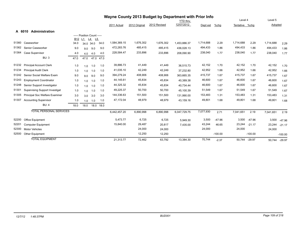|       | Wayne County 2013 Budget by Department with Prior Info |                 |                            |              |           |              |               |              |              |           |           |                |           |           |           |
|-------|--------------------------------------------------------|-----------------|----------------------------|--------------|-----------|--------------|---------------|--------------|--------------|-----------|-----------|----------------|-----------|-----------|-----------|
|       |                                                        |                 |                            |              |           |              |               |              | YTD thru     |           |           | Level 4        |           | Level 5   |           |
|       |                                                        |                 |                            |              |           | 2011 Actual  | 2012 Original | 2012 Revised | 12/07/2012   | Dept est  | %chg      | Tentative %chg |           | Adopted   |           |
|       | A 6010<br>Administration                               |                 |                            |              |           |              |               |              |              |           |           |                |           |           |           |
|       |                                                        |                 | ----- Position Count ----- |              |           |              |               |              |              |           |           |                |           |           |           |
|       |                                                        | B <sub>12</sub> | L1                         | <u>L4 L5</u> |           |              |               |              |              |           |           |                |           |           |           |
| 51360 | Caseworker                                             | 34.0            |                            | 34.0 34.0    | 34.0      | 1,584,369.15 | 1,676,302     | 1,676,302    | 1.453.886.37 | 1,714,688 | 2.29      | 1,714,688      | 2.29      | 1,714,688 | 2.29      |
| 51362 | Senior Caseworker                                      | 9.0             | 9.0                        | 9.0          | 9.0       | 472,283.76   | 485,415       | 485,415      | 436,028.13   | 494,433   | 1.86      | 494,433        | 1.86      | 494,433   | 1.86      |
| 51364 | Case Supervisor                                        | 4.0             | 4.0                        | 4.0          | 4.0       | 228,584.47   | 233,896       | 233,896      | 208,090.90   | 238,040   | 1.77      | 238,040        | 1.77      | 238,040   | 1.77      |
|       | <b>BU: 3</b>                                           | 47.0            | 47.0                       |              | 47.0 47.0 |              |               |              |              |           |           |                |           |           |           |
| 51232 | <b>Principal Account Clerk</b>                         | 1.0             | 1.0                        | 1.0          | 1.0       | 39,886.73    | 41,449        | 41,449       | 36,515.73    | 42,152    | 1.70      | 42,152         | 1.70      | 42,152    | 1.70      |
| 51234 | <b>Principal Audit Clerk</b>                           | 1.0             | 1.0                        | 1.0          | 1.0       | 41,035.10    | 42,249        | 42,249       | 37,232.80    | 42,952    | 1.66      | 42,952         | 1.66      | 42,952    | 1.66      |
| 51242 | Senior Social Welfare Exam                             | 9.0             | 9.0                        | 9.0          | 9.0       | 394,279.24   | 408,906       | 408,906      | 363,665.35   | 415,737   | 1.67      | 415,737        | 1.67      | 415,737   | 1.67      |
| 51243 | <b>Employment Coordinator</b>                          | 1.0             | 1.0                        | 1.0          | 1.0       | 44,145.61    | 45,834        | 45,834       | 40,389.38    | 46,600    | 1.67      | 46,600         | 1.67      | 46,600    | 1.67      |
| 51248 | Senior Support Investigator                            | 1.0             | 1.0                        | 1.0          | 1.0       | 44,325.32    | 45,834        | 45,834       | 40,734.44    | 46,600    | 1.67      | 46,600         | 1.67      | 46,600    | 1.67      |
| 51301 | <b>Supervising Support Investigat</b>                  | 1.0             | 1.0                        | 1.0          | 1.0       | 49,225.37    | 50,700        | 50,700       | 45,100.39    | 51,549    | 1.67      | 51,549         | 1.67      | 51,549    | 1.67      |
| 51305 | Principal Soc Welfare Examiner                         | 3.0             | 3.0                        | 3.0          | 3.0       | 144,336.63   | 151,500       | 151,500      | 131,990.00   | 153,483   | 1.31      | 153,483        | 1.31      | 153,483   | 1.31      |
| 51307 | <b>Accounting Supervisor</b>                           | 1.0             | 1.0                        | 1.0          | 1.0       | 47,172.04    | 48,979        | 48,979       | 43,159.16    | 49,801    | 1.68      | 49,801         | 1.68      | 49,801    | 1.68      |
|       | BU: 4                                                  | 18.0            | 18.0                       | 18.0         | 18.0      |              |               |              |              |           |           |                |           |           |           |
|       | <b>TOTAL PERSONAL SERVICES</b>                         |                 |                            |              |           | 6,442,457.20 | 6,890,998     | 6,890,998    | 6,047,729.75 | 7,077,930 | 2.71      | 7,041,651      | 2.19      | 7,041,651 | 2.19      |
| 52200 | Office Equipment                                       |                 |                            |              |           | 5,473.77     | 6,725         | 6,725        | 5,949.30     | 3,500     | $-47.96$  | 3,500          | $-47.96$  | 3,500     | $-47.96$  |
| 52201 | <b>Computer Equipment</b>                              |                 |                            |              |           | 15,840.00    | 29,487        | 20,817       | 7,435.00     | 43,244    | 46.65     | 23,244         | $-21.17$  | 23,244    | $-21.17$  |
| 52300 | <b>Motor Vehicles</b>                                  |                 |                            |              |           |              | 24,000        | 24,000       |              | 24,000    |           | 24,000         |           | 24,000    |           |
| 52500 | Other Equipment                                        |                 |                            |              |           |              | 12,250        | 12,250       |              |           | $-100.00$ |                | $-100.00$ |           | $-100.00$ |
|       | <b>TOTAL EQUIPMENT</b>                                 |                 |                            |              |           | 21,313.77    | 72,462        | 63,792       | 13,384.30    | 70,744    | $-2.37$   | 50,744         | $-29.97$  | 50.744    | $-29.97$  |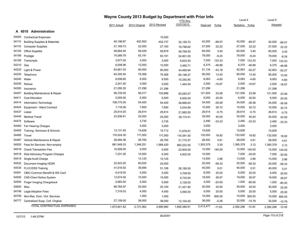|       |                                          | Wayne County 2013 Budget by Department with Prior Info |               |              |                 |           |          |                |          |           |          |
|-------|------------------------------------------|--------------------------------------------------------|---------------|--------------|-----------------|-----------|----------|----------------|----------|-----------|----------|
|       |                                          |                                                        |               |              | <b>YTD</b> thru |           |          | Level 4        |          | Level 5   |          |
|       |                                          | 2011 Actual                                            | 2012 Original | 2012 Revised | 12/07/2012      | Dept est  | %chg     | Tentative %chg |          | Adopted   |          |
|       | A 6010 Administration                    |                                                        |               |              |                 |           |          |                |          |           |          |
| 54000 | <b>Contractual Expenses</b>              |                                                        |               | 10,000       |                 |           |          |                |          |           |          |
| 54110 | <b>Building Supplies &amp; Materials</b> | 40,198.87                                              | 402,500       | 452,737      | 32,159.72       | 42,000    | $-89.57$ | 42,000         | $-89.57$ | 42,000    | $-89.57$ |
| 54116 | <b>Computer Supplies</b>                 | 21,169.73                                              | 22,500        | 27,163       | 18,796.62       | 27,500    | 22.22    | 27,500         | 22.22    | 27,500    | 22.22    |
| 54150 | Office Supplies                          | 48,664.94                                              | 58,029        | 59,679       | 46,769.50       | 60,000    | 3.40     | 60,000         | 3.40     | 60,000    | 3.40     |
| 54166 | Postage                                  | 74,089.79                                              | 83,191        | 83,191       | 54,901.05       | 78,000    | $-6.24$  | 78,000         | $-6.24$  | 78,000    | $-6.24$  |
| 54185 | Transcripts                              | 3,677.00                                               | 3,000         | 3,000        | 6,623.50        | 7,000     | 133.33   | 7,000          | 133.33   | 7,000     | 133.33   |
| 54210 | Gas                                      | 6,008.96                                               | 12,000        | 12,000       | 3,465.71        | 6,375     | $-46.88$ | 6,375          | $-46.88$ | 6,375     | $-46.88$ |
| 54220 | Light & Power                            | 63,661.03                                              | 90,000        | 90,000       | 44,469.94       | 51,134    | $-43.18$ | 42,953         | $-52.27$ | 42,953    | $-52.27$ |
| 54230 | Telephone                                | 64,355.94                                              | 79,368        | 79,368       | 60,196.27       | 90,000    | 13.40    | 90,000         | 13.40    | 90,000    | 13.40    |
| 54240 | Water                                    | 8,938.65                                               | 9,500         | 9,500        | 10,292.80       | 9,063     | $-4.60$  | 9,063          | $-4.60$  | 9,063     | $-4.60$  |
| 54250 | Refuse                                   | 2,241.50                                               | 3,000         | 3,000        | 1,464.00        | 2,500     | $-16.67$ | 2,500          | $-16.67$ | 2,500     | $-16.67$ |
| 54300 | Insurance                                | 21,295.35                                              | 21,296        | 21,296       |                 | 21,296    |          | 21,296         |          | 21,296    |          |
| 54407 | <b>Building Maintenance &amp; Repair</b> | 99,729.55                                              | 98,317        | 103,898      | 83,083.07       | 121,500   | 23.58    | 121,500        | 23.58    | 121,500   | 23.58    |
| 54411 | <b>Cost Allocation</b>                   | 5,000.00                                               | 5,000         | 5,000        | 6,000.00        | 6,000     | 20.00    | 6,000          | 20.00    | 6,000     | 20.00    |
| 54414 | Information Technology                   | 108,775.00                                             | 54,400        | 54,400       | 49,866.63       | 34,500    | $-36.58$ | 34,500         | $-36.58$ | 34,500    | $-36.58$ |
| 54424 | Equipment - Maint Contract               | 7,116.06                                               | 7,650         | 7,650        | 5,534.89        | 10,000    | 30.72    | 10,000         | 30.72    | 10,000    | 30.72    |
| 54437 | Lease                                    | 25,614.00                                              | 26,814        | 26,814       | 21,983.50       | 26,614    | $-0.75$  | 26,614         | $-0.75$  | 26,614    | $-0.75$  |
| 54440 | <b>Medical Travel</b>                    | 23,936.61                                              | 25,000        | 25,000       | 28,110.41       | 35,000    | 40.00    | 35,000         | 40.00    | 35,000    | 40.00    |
| 54475 | Software                                 |                                                        | 3,735         | 3,735        |                 | 2,490     | $-33.33$ | 2,490          | $-33.33$ | 2,490     | $-33.33$ |
| 54482 | Fair Hearing Charges                     |                                                        | 3,000         | 3,000        |                 | 3,000     |          | 3,000          |          | 3,000     |          |
| 54483 | Training- Seminars & Schools             | 13,131.93                                              | 15,626        | 15,712       | 11,676.91       | 15,626    |          | 15,626         |          | 15,626    |          |
| 54485 | Travel                                   | 116,524.30                                             | 111,000       | 111,000      | 116,381.92      | 132,000   | 18.92    | 132,000        | 18.92    | 132,000   | 18.92    |
| 54487 | Vehicle Maintenance & Repair             | 28,894.36                                              | 26,765        | 26,765       | 21,772.57       | 28,000    | 4.61     | 28,000         | 4.61     | 28,000    | 4.61     |
| 54500 | Fees for Services-Non-employ             | 881,949.33                                             | 1,348,251     | 1,566,420    | 962,222.55      | 1,393,379 | 3.35     | 1,390,379      | 3.12     | 1,390,379 | 3.12     |
| 54516 | <b>Check Transaction Fee</b>             | 10,508.00                                              | 5,000         | 5,000        | 23,905.00       | 12,000    | 140.00   | 12,000         | 140.00   | 12,000    | 140.00   |
| 54518 | Disb Advocacy Program Charges            | 7,231.00                                               | 10,000        | 9,300        | 4,832.00        | 10,000    |          | 7,000          | $-30.00$ | 7,000     | $-30.00$ |
| 54519 | Single Audit Charge                      |                                                        | 13,125        | 13,125       |                 | 13,500    | 2.86     | 13,500         | 2.86     | 13,500    | 2.86     |
| 54522 | Document Imaging I/EDR                   | 23,543.00                                              | 60,000        | 25,000       |                 | 25,000    | $-58.33$ | 25,000         | $-58.33$ | 25,000    | $-58.33$ |
| 54535 | <b>FLCC/DSS Training</b>                 | 41,616.92                                              | 39,995        | 51,106       | 28,185.55       | 40,000    | 0.01     | 40,000         | 0.01     | 40,000    | 0.01     |
| 54591 | CBIC-Common Benefit & ISS Card           | 6,419.00                                               | 5,000         | 5,000        | 3,709.00        | 6,000     | 20.00    | 6,000          | 20.00    | 6,000     | 20.00    |
| 54592 | <b>CNS-Client Notice System</b>          | 13,674.00                                              | 15,000        | 15,000       | 9,743.00        | 19,000    | 26.67    | 19,000         | 26.67    | 19,000    | 26.67    |
| 54593 | Finger Imaging Chargeback                | 2,683.00                                               | 5,000         | 5,000        | 2,128.00        | 4,000     | $-20.00$ | 1,000          | $-80.00$ | 1,000     | $-80.00$ |
| 54600 | Misc                                     | 68,765.97                                              | 25,000        | 25,100       | 21,421.80       | 30,000    | 20.00    | 30,000         | 20.00    | 30,000    | 20.00    |
| 54748 | <b>Legal Adoption Fees</b>               | 7,319.03                                               | 4,000         | 4,000        | 3,590.00        | 5,000     | 25.00    | 5,000          | 25.00    | 5,000     | 25.00    |
| 54758 | Non-Res. Dom. Viol. Services             |                                                        | 1,000         | 1,000        |                 | 10,000    | 900.00   | 10,000         | 900.00   | 10,000    | 900.00   |
| 54777 | Centralized Supp. Coll. Chgbac           | 27,109.00                                              | 38,000        | 38,000       | 12,104.00       | 36,000    | $-5.26$  | 32,000         | $-15.79$ | 32,000    | $-15.79$ |
|       | <b>TOTAL CONTRACTUAL EXPENSES</b>        | 1,873,841.82                                           | 2,731,062     | 2,996,960    | 1,695,389.91    | 2,413,477 | $-11.63$ | 2,392,296      | $-12.40$ | 2,392,296 | $-12.40$ |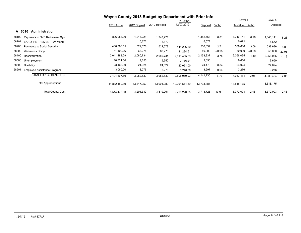|                                             | Wayne County 2013 Budget by Department with Prior Info |               |              |                 |            |          |            |          |            |          |
|---------------------------------------------|--------------------------------------------------------|---------------|--------------|-----------------|------------|----------|------------|----------|------------|----------|
|                                             |                                                        |               |              | <b>YTD thru</b> |            |          | Level 4    |          | Level 5    |          |
|                                             | 2011 Actual                                            | 2012 Original | 2012 Revised | 12/07/2012      | Dept est   | $%$ chg  | Tentative  | %chg     | Adopted    |          |
| <b>Administration</b><br>A 6010             |                                                        |               |              |                 |            |          |            |          |            |          |
| 58100<br>Payments to NYS Retirement Sys     | 896,053.00                                             | 1,243,221     | 1,243,221    |                 | 1,352,768  | 8.81     | 1,346,141  | 8.28     | 1,346,141  | 8.28     |
| 58101<br><b>EARLY RETIREMENT PAYMENT</b>    |                                                        | 5,672         | 5,672        |                 | 5,672      |          | 5,672      |          | 5,672      |          |
| 58200<br><b>Payments to Social Security</b> | 468,386.55                                             | 522,678       | 522,678      | 441,236.89      | 536,834    | 2.71     | 538,686    | 3.06     | 538,686    | 3.06     |
| 58300<br><b>Workmens Comp</b>               | 51,400.26                                              | 63,275        | 63,275       | 21,284.61       | 50,000     | $-20.98$ | 50,000     | $-20.98$ | 50,000     | $-20.98$ |
| 58400<br>Hospitalization                    | 2,041,483.29                                           | 2,080,734     | 2,080,734    | 2,013,455.63    | 2,158,837  | 3.75     | 2,056,035  | $-1.19$  | 2,056,035  | $-1.19$  |
| 58500<br>Unemployment                       | 10,721.50                                              | 9,650         | 9,650        | 3,736.21        | 9,650      |          | 9,650      |          | 9,650      |          |
| 58600<br>Disability                         | 23,463.00                                              | 24,024        | 24,024       | 22,051.00       | 24,178     | 0.64     | 24,024     |          | 24,024     |          |
| 58901<br>Employee Assistance Program        | 3,060.00                                               | 3,276         | 3,276        | 3,246.59        | 3,297      | 0.64     | 3,276      |          | 3,276      |          |
| <b>TOTAL FRINGE BENEFITS</b>                | 3,494,567.60                                           | 3,952,530     | 3,952,530    | 2,505,010.93    | 4,141,236  | 4.77     | 4,033,484  | 2.05     | 4,033,484  | 2.05     |
| <b>Total Appropriations</b>                 | 11,832,180.39                                          | 13,647,052    | 13,904,280   | 10,261,514.89   | 13,703,387 |          | 13,518,175 |          | 13,518,175 |          |
| <b>Total County Cost</b>                    | 3,514,478.90                                           | 3,291,339     | 3,519,061    | 2,796,270.65    | 3,718,725  | 12.99    | 3,372,093  | 2.45     | 3,372,093  | 2.45     |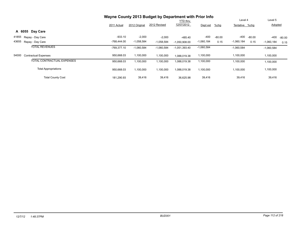|                                      | Wayne County 2013 Budget by Department with Prior Info |               |              |                 |              |          |                |          |              |          |
|--------------------------------------|--------------------------------------------------------|---------------|--------------|-----------------|--------------|----------|----------------|----------|--------------|----------|
|                                      |                                                        |               |              | <b>YTD thru</b> |              |          | Level 4        |          | Level 5      |          |
|                                      | 2011 Actual                                            | 2012 Original | 2012 Revised | 12/07/2012      | Dept est     | $%$ chg  | Tentative %chq |          | Adopted      |          |
| A 6055 Day Care                      |                                                        |               |              |                 |              |          |                |          |              |          |
| 41855<br>Repay - Day Care            | $-933.10$                                              | $-2,000$      | $-2,000$     | $-485.40$       | $-400$       | $-80.00$ | -400           | $-80.00$ | $-400$       | $-80.00$ |
| 43655<br>Repay - Day Care            | $-768,444.00$                                          | $-1,058,584$  | $-1,058,584$ | $-1,050,908.00$ | $-1,060,184$ | 0.15     | $-1,060,184$   | 0.15     | $-1,060,184$ | 0.15     |
| <b>TOTAL REVENUES</b>                | $-769.377.10$                                          | $-1,060,584$  | $-1,060,584$ | $-1,051,393.40$ | $-1,060,584$ |          | $-1,060,584$   |          | $-1,060,584$ |          |
| 54000<br><b>Contractual Expenses</b> | 950,668.03                                             | 1,100,000     | 1,100,000    | 1,088,019.38    | 1,100,000    |          | 1,100,000      |          | 1,100,000    |          |
| <b>TOTAL CONTRACTUAL EXPENSES</b>    | 950,668.03                                             | 1,100,000     | 1,100,000    | 1,088,019.38    | 1,100,000    |          | 1,100,000      |          | 1,100,000    |          |
| <b>Total Appropriations</b>          | 950,668.03                                             | 1,100,000     | 1,100,000    | 1,088,019.38    | 1,100,000    |          | 1,100,000      |          | 1,100,000    |          |
| <b>Total County Cost</b>             | 181.290.93                                             | 39,416        | 39,416       | 36.625.98       | 39,416       |          | 39,416         |          | 39,416       |          |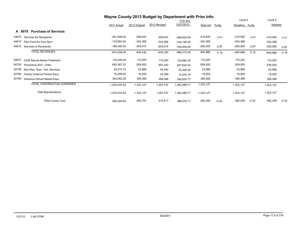|       |                                       | Wayne County 2013 Budget by Department with Prior Info |               |              |                 |            |         |                |         |            |         |
|-------|---------------------------------------|--------------------------------------------------------|---------------|--------------|-----------------|------------|---------|----------------|---------|------------|---------|
|       |                                       |                                                        |               |              | <b>YTD</b> thru |            |         | Level 4        |         | Level 5    |         |
|       |                                       | 2011 Actual                                            | 2012 Original | 2012 Revised | 12/07/2012      | Dept est   | $%$ chg | Tentative %chg |         | Adopted    |         |
|       | <b>Purchase of Services</b><br>A 6070 |                                                        |               |              |                 |            |         |                |         |            |         |
| 43670 | Services for Recipients               | $-351,049.00$                                          | $-309,047$    | $-309,047$   | $-366,624.00$   | $-316,500$ | 2.41    | $-316,500$     | 2.41    | $-316,500$ | 2.41    |
| 44615 | Flex Fund for Fam Serv                | -133,664.00                                            | -324,368      | $-324,368$   | $-335, 185.00$  | -324,368   |         | $-324,368$     |         | $-324,368$ |         |
| 44670 | Services to Recipients                | $-189,495.00$                                          | $-205,915$    | $-205,915$   | $-164,204.00$   | $-200,000$ | $-2.87$ | $-200,000$     | $-2.87$ | $-200,000$ | $-2.87$ |
|       | <b>TOTAL REVENUES</b>                 | $-674,208.00$                                          | $-839,330$    | $-839,330$   | $-866,013.00$   | $-840,868$ | 0.18    | $-840,868$     | 0.18    | $-840,868$ | 0.18    |
| 54637 | Child Sexual Abuse Treatment          | 118,249.25                                             | 115,293       | 115,293      | 105,685.25      | 115,293    |         | 115,293        |         | 115,293    |         |
| 54755 | Preventive SVC. Child                 | 650,367.23                                             | 839,500       | 855,343      | 827,624.53      | 839,500    |         | 839,500        |         | 839,500    |         |
| 54758 | Non-Res. Dom. Viol. Services          | 25,474.72                                              | 43,966        | 54,344       | 25,500.00       | 43,966     |         | 43,966         |         | 43,966     |         |
| 54780 | <b>Family Violence Parent Educ</b>    | 16,259.55                                              | 18,000        | 22,399       | 12,444.16       | 18,000     |         | 18,000         |         | 18,000     |         |
| 54790 | Intensive School Based Educ           | 393,082.29                                             | 306,368       | 306,368      | 290,835.77      | 306,368    |         | 306,368        |         | 306,368    |         |
|       | TOTAL CONTRACTUAL EXPENSES            | 1,203,433.04                                           | 1,323,127     | 1,353,747    | 1,262,089.71    | 1,323,127  |         | 1,323,127      |         | 1,323,127  |         |
|       | <b>Total Appropriations</b>           | 1,203,433.04                                           | 1,323,127     | 1,353,747    | 1,262,089.71    | 1,323,127  |         | 1,323,127      |         | 1,323,127  |         |
|       | <b>Total County Cost</b>              | 529,225.04                                             | 483,797       | 514,417      | 396,076.71      | 482,259    | $-0.32$ | 482,259        | $-0.32$ | 482,259    | $-0.32$ |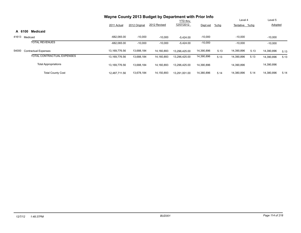|                                      |               | Wayne County 2013 Budget by Department with Prior Info |              |               | <b>YTD thru</b> |         |                |      | Level 5    |      |
|--------------------------------------|---------------|--------------------------------------------------------|--------------|---------------|-----------------|---------|----------------|------|------------|------|
|                                      | 2011 Actual   | 2012 Original                                          | 2012 Revised | 12/07/2012    | Dept est        | $%$ chg | Tentative %chq |      | Adopted    |      |
| Medicaid<br>A 6100                   |               |                                                        |              |               |                 |         |                |      |            |      |
| 41613<br>Medicaid                    | $-682,065.00$ | $-10,000$                                              | $-10,000$    | $-5.424.00$   | $-10,000$       |         | $-10,000$      |      | $-10,000$  |      |
| <b>TOTAL REVENUES</b>                | $-682.065.00$ | $-10,000$                                              | $-10,000$    | $-5,424.00$   | $-10,000$       |         | $-10.000$      |      | $-10.000$  |      |
| 54000<br><b>Contractual Expenses</b> | 13.169.776.56 | 13.688.184                                             | 14,160,893   | 13.296.425.00 | 14,390,896      | 5.13    | 14,390,896     | 5.13 | 14,390,896 | 5.13 |
| TOTAL CONTRACTUAL EXPENSES           | 13,169,776.56 | 13,688,184                                             | 14,160,893   | 13,296,425.00 | 14,390,896      | 5.13    | 14,390,896     | 5.13 | 14,390,896 | 5.13 |
| <b>Total Appropriations</b>          | 13.169.776.56 | 13,688,184                                             | 14,160,893   | 13.296.425.00 | 14,390,896      |         | 14,390,896     |      | 14,390,896 |      |
| <b>Total County Cost</b>             | 12.487.711.56 | 13.678.184                                             | 14,150,893   | 13.291.001.00 | 14,380,896      | 5.14    | 14,380,896     | 5.14 | 14,380,896 | 5.14 |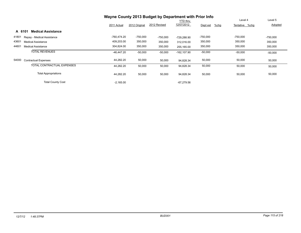|                                      | Wayne County 2013 Budget by Department with Prior Info |               |              |                 |                     |                |            |
|--------------------------------------|--------------------------------------------------------|---------------|--------------|-----------------|---------------------|----------------|------------|
|                                      |                                                        |               |              | <b>YTD thru</b> |                     | Level 4        | Level 5    |
|                                      | 2011 Actual                                            | 2012 Original | 2012 Revised | 12/07/2012      | $%$ chg<br>Dept est | Tentative %chg | Adopted    |
| <b>Medical Assistance</b><br>A 6101  |                                                        |               |              |                 |                     |                |            |
| 41801<br>Repay - Medical Assistance  | $-760.474.20$                                          | $-750,000$    | $-750,000$   | -729.288.90     | $-750,000$          | $-750,000$     | $-750,000$ |
| 43601<br><b>Medical Assistance</b>   | 409,203.00                                             | 350,000       | 350,000      | 312,016.00      | 350,000             | 350,000        | 350,000    |
| 44601<br><b>Medical Assistance</b>   | 304,824.00                                             | 350,000       | 350,000      | 255,165.00      | 350,000             | 350,000        | 350,000    |
| <b>TOTAL REVENUES</b>                | $-46, 447.20$                                          | $-50,000$     | $-50,000$    | $-162, 107.90$  | $-50,000$           | $-50,000$      | $-50,000$  |
| 54000<br><b>Contractual Expenses</b> | 44,282.20                                              | 50,000        | 50,000       | 94,828.34       | 50,000              | 50,000         | 50,000     |
| <b>TOTAL CONTRACTUAL EXPENSES</b>    | 44,282.20                                              | 50,000        | 50,000       | 94,828.34       | 50,000              | 50,000         | 50,000     |
| <b>Total Appropriations</b>          | 44,282.20                                              | 50,000        | 50,000       | 94,828.34       | 50,000              | 50,000         | 50,000     |
| <b>Total County Cost</b>             | $-2,165.00$                                            |               |              | $-67,279.56$    |                     |                |            |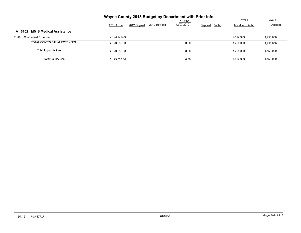| Wayne County 2013 Budget by Department with Prior Info |                              |              |                 |                     |                |                |  |  |  |  |  |  |  |
|--------------------------------------------------------|------------------------------|--------------|-----------------|---------------------|----------------|----------------|--|--|--|--|--|--|--|
|                                                        |                              |              | <b>YTD thru</b> |                     | Level 4        | Level 5        |  |  |  |  |  |  |  |
|                                                        | 2012 Original<br>2011 Actual | 2012 Revised | 12/07/2012      | $%$ chg<br>Dept est | Tentative %chg | <b>Adopted</b> |  |  |  |  |  |  |  |
| <b>MMIS Medical Assistance</b><br>A 6102               |                              |              |                 |                     |                |                |  |  |  |  |  |  |  |
| 54000<br><b>Contractual Expenses</b>                   | 2,123,538.00                 |              |                 |                     | 1,450,000      | 1,450,000      |  |  |  |  |  |  |  |
| TOTAL CONTRACTUAL EXPENSES                             | 2,123,538.00                 |              | 0.00            |                     | 1,450,000      | 1,450,000      |  |  |  |  |  |  |  |
| <b>Total Appropriations</b>                            | 2,123,538.00                 |              | 0.00            |                     | 1,450,000      | 1,450,000      |  |  |  |  |  |  |  |
| <b>Total County Cost</b>                               | 2,123,538.00                 |              | 0.00            |                     | 1,450,000      | 1,450,000      |  |  |  |  |  |  |  |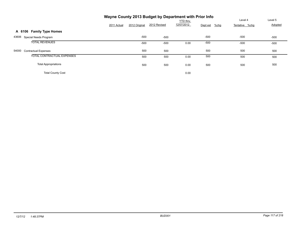|                                      | Wayne County 2013 Budget by Department with Prior Info |               |              |                 |                     |                |         |
|--------------------------------------|--------------------------------------------------------|---------------|--------------|-----------------|---------------------|----------------|---------|
|                                      |                                                        |               |              | <b>YTD thru</b> |                     | Level 4        | Level 5 |
|                                      | 2011 Actual                                            | 2012 Original | 2012 Revised | 12/07/2012      | $%$ chg<br>Dept est | Tentative %chg | Adopted |
| A 6106 Family Type Homes             |                                                        |               |              |                 |                     |                |         |
| 43606 Special Needs Program          |                                                        | $-500$        | $-500$       |                 | $-500$              | $-500$         | $-500$  |
| <b>TOTAL REVENUES</b>                |                                                        | $-500$        | $-500$       | 0.00            | $-500$              | $-500$         | $-500$  |
| 54000<br><b>Contractual Expenses</b> |                                                        | 500           | 500          |                 | 500                 | 500            | 500     |
| <b>TOTAL CONTRACTUAL EXPENSES</b>    |                                                        | 500           | 500          | 0.00            | 500                 | 500            | 500     |
| <b>Total Appropriations</b>          |                                                        | 500           | 500          | 0.00            | 500                 | 500            | 500     |
| <b>Total County Cost</b>             |                                                        |               |              | 0.00            |                     |                |         |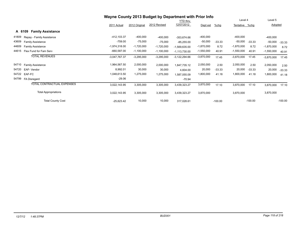|       |                                    | Wayne County 2013 Budget by Department with Prior Info |               |              |                 |              |           |                |           |              |           |
|-------|------------------------------------|--------------------------------------------------------|---------------|--------------|-----------------|--------------|-----------|----------------|-----------|--------------|-----------|
|       |                                    |                                                        |               |              | YTD thru        |              |           | Level 4        |           | Level 5      |           |
|       |                                    | 2011 Actual                                            | 2012 Original | 2012 Revised | 12/07/2012      | Dept est     | $%$ chg   | Tentative %chg |           | Adopted      |           |
|       | <b>Family Assistance</b><br>A 6109 |                                                        |               |              |                 |              |           |                |           |              |           |
| 41809 | Repay - Family Assistance          | $-412, 103.37$                                         | $-400,000$    | $-400,000$   | $-353,674.66$   | $-400,000$   |           | $-400,000$     |           | $-400,000$   |           |
| 43609 | <b>Family Assistance</b>           | $-759.00$                                              | $-75,000$     | $-75,000$    | $-85,255.00$    | $-50,000$    | $-33.33$  | $-50,000$      | $-33.33$  | $-50,000$    | $-33.33$  |
| 44609 | <b>Family Assistance</b>           | $-1,974,318.00$                                        | $-1,720,000$  | $-1,720,000$ | $-1,569,635.00$ | $-1,870,000$ | 8.72      | $-1,870,000$   | 8.72      | $-1,870,000$ | 8.72      |
| 44615 | Flex Fund for Fam Serv             | $-660,587.00$                                          | $-1,100,000$  | $-1,100,000$ | $-1,113,730.00$ | $-1,550,000$ | 40.91     | $-1,550,000$   | 40.91     | $-1,550,000$ | 40.91     |
|       | <b>TOTAL REVENUES</b>              | $-3,047,767.37$                                        | $-3,295,000$  | $-3,295,000$ | $-3,122,294.66$ | $-3,870,000$ | 17.45     | $-3,870,000$   | 17.45     | $-3,870,000$ | 17.45     |
| 54710 | <b>Family Assistance</b>           | 1,964,567.50                                           | 2,000,000     | 2,000,000    | 1,847,735.12    | 2,050,000    | 2.50      | 2,050,000      | 2.50      | 2,050,000    | 2.50      |
| 54720 | EAF-Vendor                         | 8,992.01                                               | 30,000        | 30,000       | 4,604.00        | 20,000       | $-33.33$  | 20,000         | $-33.33$  | 20,000       | $-33.33$  |
| 54722 | EAF-FC                             | 1,048,613.50                                           | 1,275,000     | 1,275,000    | 1,587,055.09    | 1,800,000    | 41.18     | 1,800,000      | 41.18     | 1,800,000    | 41.18     |
| 54799 | FA Disregard                       | $-29.06$                                               |               |              | $-70.94$        |              |           |                |           |              |           |
|       | TOTAL CONTRACTUAL EXPENSES         | 3,022,143.95                                           | 3,305,000     | 3,305,000    | 3,439,323.27    | 3,870,000    | 17.10     | 3,870,000      | 17.10     | 3,870,000    | 17.10     |
|       | <b>Total Appropriations</b>        | 3,022,143.95                                           | 3,305,000     | 3,305,000    | 3,439,323.27    | 3,870,000    |           | 3,870,000      |           | 3,870,000    |           |
|       | <b>Total County Cost</b>           | $-25,623.42$                                           | 10,000        | 10,000       | 317,028.61      |              | $-100.00$ |                | $-100.00$ |              | $-100.00$ |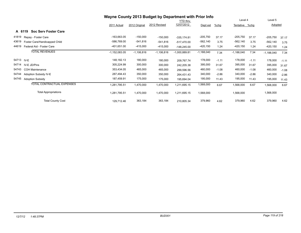|       |                                       |                 | Wayne County 2013 Budget by Department with Prior Info |              |                 |              |         |                |         |              |         |
|-------|---------------------------------------|-----------------|--------------------------------------------------------|--------------|-----------------|--------------|---------|----------------|---------|--------------|---------|
|       |                                       |                 |                                                        |              | YTD thru        |              |         | Level 4        |         | Level 5      |         |
|       |                                       | 2011 Actual     | 2012 Original                                          | 2012 Revised | 12/07/2012      | Dept est     | $%$ chg | Tentative %chg |         | Adopted      |         |
|       | <b>Soc Serv Foster Care</b><br>A 6119 |                 |                                                        |              |                 |              |         |                |         |              |         |
| 41819 | Repay - Foster Care                   | -163,663.05     | $-150,000$                                             | $-150,000$   | $-335,174.81$   | $-205,750$   | 37.17   | $-205,750$     | 37.17   | $-205,750$   | 37.17   |
| 43619 | Foster Care/Handicapped Child         | -586,769.00     | -541,816                                               | $-541,816$   | $-517,470.00$   | $-562,140$   | 3.75    | -562,140       | 3.75    | $-562,140$   | 3.75    |
| 44619 | Federal Aid - Foster Care             | -401,651.00     | $-415,000$                                             | $-415,000$   | $-148,245.00$   | $-420,150$   | 1.24    | $-420,150$     | 1.24    | $-420,150$   | 1.24    |
|       | <b>TOTAL REVENUES</b>                 | $-1,152,083.05$ | $-1,106,816$                                           | $-1,106,816$ | $-1,000,889.81$ | $-1,188,040$ | 7.34    | $-1,188,040$   | 7.34    | $-1,188,040$ | 7.34    |
|       | 54713 IV-E                            | 148,182.13      | 180,000                                                | 180,000      | 209,767.74      | 178,000      | $-1.11$ | 178,000        | $-1.11$ | 178,000      | $-1.11$ |
| 54714 | IV-E JD/Pins                          | 305,224.99      | 300,000                                                | 300,000      | 242,205.38      | 395,000      | 31.67   | 395,000        | 31.67   | 395,000      | 31.67   |
| 54743 | <b>COH Maintenance</b>                | 353,434.05      | 465,000                                                | 465,000      | 299,596.56      | 460,000      | $-1.08$ | 460,000        | $-1.08$ | 460,000      | $-1.08$ |
| 54744 | Adoption Subsidy IV-E                 | 287,494.43      | 350,000                                                | 350,000      | 264,431.43      | 340,000      | $-2.86$ | 340,000        | $-2.86$ | 340,000      | $-2.86$ |
| 54745 | <b>Adoption Subsidy</b>               | 187,459.91      | 175,000                                                | 175,000      | 195,694.04      | 195,000      | 11.43   | 195,000        | 11.43   | 195,000      | 11.43   |
|       | TOTAL CONTRACTUAL EXPENSES            | 1,281,795.51    | 1,470,000                                              | 1,470,000    | 1,211,695.15    | 1,568,000    | 6.67    | 1,568,000      | 6.67    | 1,568,000    | 6.67    |
|       | <b>Total Appropriations</b>           | 1,281,795.51    | 1,470,000                                              | 1,470,000    | 1,211,695.15    | 1,568,000    |         | 1,568,000      |         | 1,568,000    |         |
|       | <b>Total County Cost</b>              | 129,712.46      | 363,184                                                | 363,184      | 210,805.34      | 379,960      | 4.62    | 379,960        | 4.62    | 379,960      | 4.62    |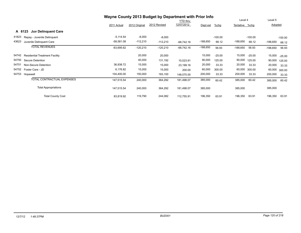|       |                                       |              | Wayne County 2013 Budget by Department with Prior Info |              |                 |            |           |                |           |            |           |
|-------|---------------------------------------|--------------|--------------------------------------------------------|--------------|-----------------|------------|-----------|----------------|-----------|------------|-----------|
|       |                                       |              |                                                        |              | <b>YTD</b> thru |            |           | Level 4        |           | Level 5    |           |
|       |                                       | 2011 Actual  | 2012 Original                                          | 2012 Revised | 12/07/2012      | Dept est   | $%$ chg   | Tentative %chg |           | Adopted    |           |
|       | A 6123<br><b>Juv Delinguent Care</b>  |              |                                                        |              |                 |            |           |                |           |            |           |
| 41823 | Repay - Juvenile Delinquent           | $-5,114.54$  | $-8,000$                                               | $-8,000$     |                 |            | $-100.00$ |                | $-100.00$ |            | $-100.00$ |
| 43623 | Juvenile Delinquent Care              | $-58,581.08$ | $-112,210$                                             | $-112,210$   | $-68,742.16$    | $-188,650$ | 68.12     | -188,650       | 68.12     | $-188,650$ | 68.12     |
|       | <b>TOTAL REVENUES</b>                 | $-63,695.62$ | $-120,210$                                             | $-120,210$   | $-68,742.16$    | $-188,650$ | 56.93     | -188,650       | 56.93     | $-188,650$ | 56.93     |
| 54742 | <b>Residential Treatment Facility</b> |              | 20,000                                                 | 20,000       |                 | 15,000     | $-25.00$  | 15,000         | $-25.00$  | 15,000     | $-25.00$  |
| 54750 | Secure Detention                      |              | 40,000                                                 | 131,192      | 10,023.91       | 90,000     | 125.00    | 90,000         | 125.00    | 90,000     | 125.00    |
| 54751 | Non-Secure Detention                  | 36,938.72    | 15,000                                                 | 15,000       | 23,199.16       | 20,000     | 33.33     | 20,000         | 33.33     | 20,000     | 33.33     |
| 54752 | Foster Care - JD                      | 6,176.82     | 15,000                                                 | 15,000       | 200.00          | 60,000     | 300.00    | 60,000         | 300.00    | 60,000     | 300.00    |
| 54753 | Hopewell                              | 104,400.00   | 150,000                                                | 183,100      | 148,075.00      | 200,000    | 33.33     | 200,000        | 33.33     | 200,000    | 33.33     |
|       | TOTAL CONTRACTUAL EXPENSES            | 147,515.54   | 240,000                                                | 364,292      | 181,498.07      | 385,000    | 60.42     | 385,000        | 60.42     | 385,000    | 60.42     |
|       | <b>Total Appropriations</b>           | 147,515.54   | 240,000                                                | 364,292      | 181,498.07      | 385,000    |           | 385,000        |           | 385,000    |           |
|       | <b>Total County Cost</b>              | 83,819.92    | 119,790                                                | 244,082      | 112,755.91      | 196,350    | 63.91     | 196,350        | 63.91     | 196,350    | 63.91     |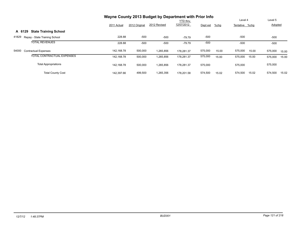|                                        | Wayne County 2013 Budget by Department with Prior Info                                               |         |           |            | Level 5 |       |                           |       |         |       |
|----------------------------------------|------------------------------------------------------------------------------------------------------|---------|-----------|------------|---------|-------|---------------------------|-------|---------|-------|
|                                        | <b>YTD thru</b><br>12/07/2012<br>2012 Revised<br>2012 Original<br>$%$ chg<br>2011 Actual<br>Dept est |         |           |            |         |       | Level 4<br>Tentative %chq |       | Adopted |       |
| <b>State Training School</b><br>A 6129 |                                                                                                      |         |           |            |         |       |                           |       |         |       |
| 41829<br>Repay - State Training School | 228.88                                                                                               | $-500$  | $-500$    | $-79.79$   | $-500$  |       | $-500$                    |       | $-500$  |       |
| <b>TOTAL REVENUES</b>                  | 228.88                                                                                               | $-500$  | $-500$    | $-79.79$   | $-500$  |       | $-500$                    |       | $-500$  |       |
| 54000<br><b>Contractual Expenses</b>   | 142,168.78                                                                                           | 500,000 | 1,265,856 | 178.281.37 | 575,000 | 15.00 | 575,000                   | 15.00 | 575,000 | 15.00 |
| TOTAL CONTRACTUAL EXPENSES             | 142,168.78                                                                                           | 500,000 | 1,265,856 | 178,281.37 | 575,000 | 15.00 | 575,000                   | 15.00 | 575,000 | 15.00 |
| <b>Total Appropriations</b>            | 142.168.78                                                                                           | 500,000 | 1,265,856 | 178.281.37 | 575,000 |       | 575,000                   |       | 575,000 |       |
| <b>Total County Cost</b>               | 142,397.66                                                                                           | 499,500 | 1,265,356 | 178.201.58 | 574,500 | 15.02 | 574,500                   | 15.02 | 574,500 | 15.02 |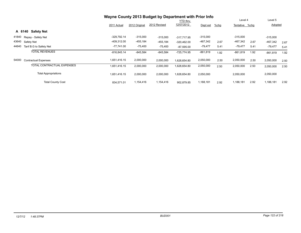|       |                                   | Wayne County 2013 Budget by Department with Prior Info |               |              |                 |            |         |                |      |            |      |
|-------|-----------------------------------|--------------------------------------------------------|---------------|--------------|-----------------|------------|---------|----------------|------|------------|------|
|       |                                   |                                                        |               |              | <b>YTD</b> thru |            |         | Level 4        |      | Level 5    |      |
|       |                                   | 2011 Actual                                            | 2012 Original | 2012 Revised | 12/07/2012      | Dept est   | $%$ chg | Tentative %chg |      | Adopted    |      |
|       | <b>Safety Net</b><br>A 6140       |                                                        |               |              |                 |            |         |                |      |            |      |
|       | 41840 Repay - Safety Net          | $-329,792.14$                                          | $-315,000$    | $-315,000$   | $-317.717.95$   | $-315,000$ |         | $-315,000$     |      | $-315,000$ |      |
| 43640 | Safety Net                        | -409,312.00                                            | $-455,184$    | $-455, 184$  | $-320,462.00$   | $-467,342$ | 2.67    | -467,342       | 2.67 | $-467,342$ | 2.67 |
| 44640 | Tanf B.G to Safety Net            | $-77,741.00$                                           | -75,400       | $-75,400$    | $-87,595.00$    | $-79,477$  | 5.41    | $-79,477$      | 5.41 | $-79,477$  | 5.41 |
|       | <b>TOTAL REVENUES</b>             | $-816, 845.14$                                         | $-845,584$    | $-845,584$   | $-725,774.95$   | -861,819   | 1.92    | $-861,819$     | 1.92 | $-861,819$ | 1.92 |
| 54000 | <b>Contractual Expenses</b>       | 1,651,416.15                                           | 2,000,000     | 2,000,000    | 1,628,654.80    | 2,050,000  | 2.50    | 2,050,000      | 2.50 | 2,050,000  | 2.50 |
|       | <b>TOTAL CONTRACTUAL EXPENSES</b> | 1,651,416.15                                           | 2,000,000     | 2,000,000    | 628,654.80      | 2,050,000  | 2.50    | 2,050,000      | 2.50 | 2,050,000  | 2.50 |
|       | <b>Total Appropriations</b>       | 1.651.416.15                                           | 2,000,000     | 2,000,000    | 628,654.80      | 2,050,000  |         | 2,050,000      |      | 2,050,000  |      |
|       | <b>Total County Cost</b>          | 834,571.01                                             | 1,154,416     | 1,154,416    | 902,879.85      | 1,188,181  | 2.92    | 1,188,181      | 2.92 | 1,188,181  | 2.92 |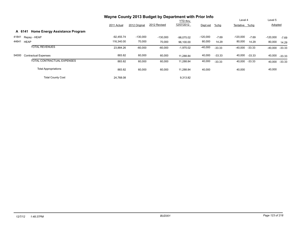|                                                 | Wayne County 2013 Budget by Department with Prior Info |               |              |                 |            |          |                |          |            |          |
|-------------------------------------------------|--------------------------------------------------------|---------------|--------------|-----------------|------------|----------|----------------|----------|------------|----------|
|                                                 |                                                        |               |              | <b>YTD thru</b> |            |          | Level 4        |          | Level 5    |          |
|                                                 | 2011 Actual                                            | 2012 Original | 2012 Revised | 12/07/2012      | Dept est   | $%$ chg  | Tentative %chg |          | Adopted    |          |
| <b>Home Energy Assistance Program</b><br>A 6141 |                                                        |               |              |                 |            |          |                |          |            |          |
| 41841<br>Repay - HEAP                           | $-92,455.74$                                           | $-130,000$    | $-130.000$   | $-98.075.02$    | $-120,000$ | $-7.69$  | $-120,000$     | $-7.69$  | $-120,000$ | $-7.69$  |
| 44641<br><b>HEAP</b>                            | 116.340.00                                             | 70,000        | 70,000       | 96,100.00       | 80,000     | 14.29    | 80,000         | 14.29    | 80,000     | 14.29    |
| <b>TOTAL REVENUES</b>                           | 23,884.26                                              | $-60,000$     | $-60,000$    | $-1,975.02$     | $-40,000$  | $-33.33$ | -40,000        | -33.33   | $-40,000$  | $-33.33$ |
| 54000<br><b>Contractual Expenses</b>            | 883.82                                                 | 60,000        | 60,000       | 11.288.84       | 40,000     | $-33.33$ | 40,000         | $-33.33$ | 40,000     | $-33.33$ |
| TOTAL CONTRACTUAL EXPENSES                      | 883.82                                                 | 60,000        | 60,000       | 11,288.84       | 40,000     | $-33.33$ | 40,000 -33.33  |          | 40,000     | $-33.33$ |
| <b>Total Appropriations</b>                     | 883.82                                                 | 60,000        | 60,000       | 11,288.84       | 40,000     |          | 40,000         |          | 40,000     |          |
| <b>Total County Cost</b>                        | 24.768.08                                              |               |              | 9,313.82        |            |          |                |          |            |          |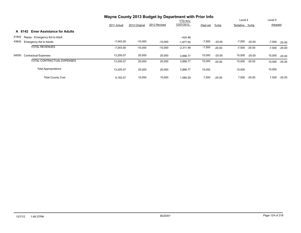|                                             | Wayne County 2013 Budget by Department with Prior Info |               |              |                 |          |          |                      |                      |
|---------------------------------------------|--------------------------------------------------------|---------------|--------------|-----------------|----------|----------|----------------------|----------------------|
|                                             |                                                        |               |              | <b>YTD thru</b> |          |          | Level 4              | Level 5              |
|                                             | 2011 Actual                                            | 2012 Original | 2012 Revised | 12/07/2012      | Dept est | %chg     | Tentative %chg       | Adopted              |
| <b>Emer Assistance for Adults</b><br>A 6142 |                                                        |               |              |                 |          |          |                      |                      |
| 41842<br>Repay - Emergency Aid to Adult     |                                                        |               |              | $-434.48$       |          |          |                      |                      |
| 43642<br><b>Emergency Aid to Adults</b>     | $-7,043.00$                                            | $-10,000$     | $-10,000$    | $-1,877.00$     | $-7,500$ | $-25.00$ | -7,500<br>$-25.00$   | $-7,500$<br>$-25.00$ |
| <b>TOTAL REVENUES</b>                       | $-7,043.00$                                            | $-10,000$     | $-10,000$    | $-2,311.48$     | $-7,500$ | $-25.00$ | $-7,500$<br>$-25.00$ | $-25.00$<br>$-7,500$ |
| 54000<br><b>Contractual Expenses</b>        | 13,205.07                                              | 20,000        | 20,000       | 3.896.77        | 15,000   | $-25.00$ | 15,000<br>$-25.00$   | 15,000<br>$-25.00$   |
| TOTAL CONTRACTUAL EXPENSES                  | 13,205.07                                              | 20,000        | 20,000       | 3,896.77        | 15,000   | $-25.00$ | 15,000<br>$-25.00$   | 15,000<br>$-25.00$   |
| <b>Total Appropriations</b>                 | 13,205.07                                              | 20,000        | 20,000       | 3,896.77        | 15,000   |          | 15,000               | 15,000               |
| <b>Total County Cost</b>                    | 6,162.07                                               | 10,000        | 10,000       | 1.585.29        | 7,500    | $-25.00$ | 7,500<br>$-25.00$    | 7,500<br>$-25.00$    |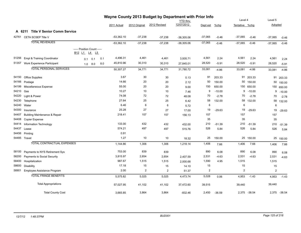|       |                                          | Wayne County 2013 Budget by Department with Prior Info<br><b>YTD</b> thru |          |     |              |               | Level 4        |              | Level 5        |          |                |          |                |          |
|-------|------------------------------------------|---------------------------------------------------------------------------|----------|-----|--------------|---------------|----------------|--------------|----------------|----------|----------------|----------|----------------|----------|
|       |                                          |                                                                           |          |     | 2011 Actual  | 2012 Original | 2012 Revised   | 12/07/2012   | Dept est       | %chg     | Tentative %chg |          | Adopted        |          |
|       | A 6211 Title V Senior Comm Service       |                                                                           |          |     |              |               |                |              |                |          |                |          |                |          |
|       | 42761 CETA SCSEP Title V                 |                                                                           |          |     | $-53,362.10$ | $-37,238$     | $-37,238$      | $-38,305.06$ | $-37,065$      | $-0.46$  | $-37,065$      | $-0.46$  | $-37,065$      | $-0.46$  |
|       | <b>TOTAL REVENUES</b>                    |                                                                           |          |     | $-53,362.10$ | $-37,238$     | $-37,238$      | $-38,305.06$ | $-37,065$      | $-0.46$  | $-37,065$      | $-0.46$  | $-37,065$      | $-0.46$  |
|       |                                          | ----- Position Count -----<br>B <sub>12</sub> L <sub>1</sub>              | L4<br>L5 |     |              |               |                |              |                |          |                |          |                |          |
| 51256 | Empl & Training Coordinator              | 0.1                                                                       | 0.1      | 0.1 | 4,496.31     | 4,461         | 4,461          | 3,935.71     | 4,561          | 2.24     | 4,561          | 2.24     | 4,561          | 2.24     |
|       | 51357 Work Experience Participant        | 1.0                                                                       | 8.0      | 8.0 | 45,810.96    | 30,310        | 30,310         | 27,845.01    | 28,520         | $-5.91$  | 28,520         | $-5.91$  | 28,520         | $-5.91$  |
|       | <b>TOTAL PERSONAL SERVICES</b>           |                                                                           |          |     | 50,307.27    | 34,771        | 34,771         | 31,780.72    | 33,081         | $-4.86$  | 33,081         | $-4.86$  | 33,081         | $-4.86$  |
| 54150 | Office Supplies                          |                                                                           |          |     | 3.67         | 30            | 30             | 0.13         | 91             | 203.33   | 91             | 203.33   | 91             | 203.33   |
| 54166 | Postage                                  |                                                                           |          |     | 14.66        | 20            | 20             | 2.12         | 50             | 150.00   | 50             | 150.00   | 50             | 150.00   |
| 54199 | Miscellaneous Expense                    |                                                                           |          |     | 55.00        | 20            | 20             | 9.00         | 150            | 650.00   | 150            | 650.00   | 150            | 650.00   |
| 54210 | Gas                                      |                                                                           |          |     | 10.27        | 10            | 10             | 7.46         | 9              | $-10.00$ | 9              | $-10.00$ | 9              | $-10.00$ |
| 54220 | Light & Power                            |                                                                           |          |     | 74.08        | 72            | 72             | 48.08        | 70             | $-2.78$  | 70             | $-2.78$  | 70             | $-2.78$  |
| 54230 | Telephone                                |                                                                           |          |     | 27.64        | 25            | 25             | 6.42         | 58             | 132.00   | 58             | 132.00   | 58             | 132.00   |
| 54240 | Water                                    |                                                                           |          |     | 6.46         | 6             | 6              | 5.72         | 6              |          | 6              |          | 6              |          |
| 54300 | Insurance                                |                                                                           |          |     | 25.28        | 27            | 27             | 17.00        | 19             | $-29.63$ | 19             | $-29.63$ | 19             | $-29.63$ |
| 54407 | <b>Building Maintenance &amp; Repair</b> |                                                                           |          |     | 218.41       | 157           | 157            | 156.13       | 157            |          | 157            |          | 157            |          |
| 54408 | <b>Copier Expense</b>                    |                                                                           |          |     |              |               |                |              | 35             |          | 35             |          | 35             |          |
| 54414 | Information Technology                   |                                                                           |          |     | 133.00       | 432           | 432            | 432.00       | 210            | $-51.39$ | 210            | $-51.39$ | 210            | $-51.39$ |
| 54437 | Lease                                    |                                                                           |          |     | 574.21       | 497           | 497            | 515.76       | 526            | 5.84     | 526            | 5.84     | 526            | 5.84     |
| 54456 | Printing                                 |                                                                           |          |     | 0.91         |               |                |              |                |          |                |          |                |          |
|       | 54485 Travel                             |                                                                           |          |     | 1.27         | 10            | 10             | 18.32        | 25             | 150.00   | 25             | 150.00   | 25             | 150.00   |
|       | <b>TOTAL CONTRACTUAL EXPENSES</b>        |                                                                           |          |     | 1,144.86     | 1,306         | 1,306          | 1,218.14     | 1,406          | 7.66     | 1,406          | 7.66     | 1,406          | 7.66     |
| 58100 | Payments to NYS Retirement Sys           |                                                                           |          |     | 753.00       | 839           | 839            |              | 890            | 6.08     | 890            | 6.08     | 890            | 6.08     |
| 58200 | Payments to Social Security              |                                                                           |          |     | 3,815.97     | 2,654         | 2,654          | 2,407.59     | 2,531          | $-4.63$  | 2,531          | $-4.63$  | 2,531          | $-4.63$  |
| 58400 | Hospitalization                          |                                                                           |          |     | 987.67       | 1,515         | 1,515          | 2,000.68     | 1,590          | 4.95     | 1,515          |          | 1,515          |          |
| 58600 | Disability                               |                                                                           |          |     | 17.18        | 15            | 15             | 14.10        | 15             |          | 15             |          | 15             |          |
| 58901 | Employee Assistance Program              |                                                                           |          |     | 2.00         | 2             | $\overline{2}$ | 51.37        | $\overline{2}$ |          | $\overline{2}$ |          | $\overline{2}$ |          |
|       | <b>TOTAL FRINGE BENEFITS</b>             |                                                                           |          |     | 5,575.82     | 5,025         | 5,025          | 4,473.74     | 5,028          | 0.06     | 4,953          | $-1.43$  | 4,953          | $-1.43$  |
|       | <b>Total Appropriations</b>              |                                                                           |          |     | 57,027.95    | 41,102        | 41,102         | 37,472.60    | 39,515         |          | 39,440         |          | 39,440         |          |
|       | <b>Total County Cost</b>                 |                                                                           |          |     | 3,665.85     | 3,864         | 3,864          | $-832.46$    | 2,450          | $-36.59$ | 2,375          | $-38.54$ | 2,375          | $-38.54$ |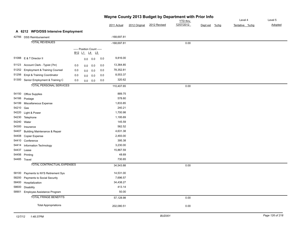| Wayne County 2013 Budget by Department with Prior Info |                                          |     |     |                                                              |     |               |               |              |            |               |  |                |         |
|--------------------------------------------------------|------------------------------------------|-----|-----|--------------------------------------------------------------|-----|---------------|---------------|--------------|------------|---------------|--|----------------|---------|
|                                                        |                                          |     |     |                                                              |     |               |               |              | YTD thru   |               |  | Level 4        | Level 5 |
|                                                        |                                          |     |     |                                                              |     | 2011 Actual   | 2012 Original | 2012 Revised | 12/07/2012 | Dept est %chg |  | Tentative %chg | Adopted |
|                                                        | A 6212 WFD/DSS Intensive Employment      |     |     |                                                              |     |               |               |              |            |               |  |                |         |
|                                                        | 42766 DSS Reimbursement                  |     |     |                                                              |     | $-168,697.81$ |               |              |            |               |  |                |         |
|                                                        | <b>TOTAL REVENUES</b>                    |     |     |                                                              |     | $-168,697.81$ |               |              | 0.00       |               |  |                |         |
|                                                        |                                          |     |     | ----- Position Count -----                                   |     |               |               |              |            |               |  |                |         |
|                                                        |                                          |     |     | B <sub>12</sub> L <sub>1</sub> L <sub>4</sub> L <sub>5</sub> |     |               |               |              |            |               |  |                |         |
|                                                        | 51088 E & T Director II                  |     | 0.0 | 0.0                                                          | 0.0 | 9,816.00      |               |              |            |               |  |                |         |
| 51123                                                  | Account Clerk - Typist (7hr)             | 0.0 | 0.0 | 0.0                                                          | 0.0 | 13,364.85     |               |              |            |               |  |                |         |
| 51252                                                  | <b>Employment &amp; Training Counsel</b> | 0.0 | 0.0 | 0.0                                                          | 0.0 | 78,352.81     |               |              |            |               |  |                |         |
| 51256                                                  | Empl & Training Coordinator              | 0.0 | 0.0 | 0.0                                                          | 0.0 | 8,553.37      |               |              |            |               |  |                |         |
|                                                        | 51300 Senior Employment & Training C     | 0.0 | 0.0 | 0.0                                                          | 0.0 | 320.62        |               |              |            |               |  |                |         |
|                                                        | <b>TOTAL PERSONAL SERVICES</b>           |     |     |                                                              |     | 110,407.65    |               |              | 0.00       |               |  |                |         |
| 54150                                                  |                                          |     |     |                                                              |     | 889.75        |               |              |            |               |  |                |         |
| 54166                                                  | <b>Office Supplies</b><br>Postage        |     |     |                                                              |     | 578.60        |               |              |            |               |  |                |         |
| 54199                                                  | Miscellaneous Expense                    |     |     |                                                              |     | 1,833.85      |               |              |            |               |  |                |         |
| 54210                                                  | Gas                                      |     |     |                                                              |     | 240.21        |               |              |            |               |  |                |         |
| 54220                                                  | Light & Power                            |     |     |                                                              |     | 1,700.98      |               |              |            |               |  |                |         |
| 54230                                                  | Telephone                                |     |     |                                                              |     | 1,195.69      |               |              |            |               |  |                |         |
| 54240                                                  | Water                                    |     |     |                                                              |     | 145.59        |               |              |            |               |  |                |         |
|                                                        | 54300 Insurance                          |     |     |                                                              |     | 562.52        |               |              |            |               |  |                |         |
| 54407                                                  | Building Maintenance & Repair            |     |     |                                                              |     | 4,631.38      |               |              |            |               |  |                |         |
| 54408                                                  | Copier Expense                           |     |     |                                                              |     | 2,493.00      |               |              |            |               |  |                |         |
| 54410                                                  | Conference                               |     |     |                                                              |     | 395.38        |               |              |            |               |  |                |         |
| 54414                                                  | Information Technology                   |     |     |                                                              |     | 3,230.00      |               |              |            |               |  |                |         |
| 54437                                                  | Lease                                    |     |     |                                                              |     | 15,867.59     |               |              |            |               |  |                |         |
|                                                        | 54456 Printing                           |     |     |                                                              |     | 48.69         |               |              |            |               |  |                |         |
|                                                        | 54485 Travel                             |     |     |                                                              |     | 730.65        |               |              |            |               |  |                |         |
|                                                        | TOTAL CONTRACTUAL EXPENSES               |     |     |                                                              |     | 34,543.88     |               |              | 0.00       |               |  |                |         |
| 58100                                                  | Payments to NYS Retirement Sys           |     |     |                                                              |     | 14,531.00     |               |              |            |               |  |                |         |
| 58200                                                  | Payments to Social Security              |     |     |                                                              |     | 7,696.57      |               |              |            |               |  |                |         |
| 58400                                                  | Hospitalization                          |     |     |                                                              |     | 34,438.27     |               |              |            |               |  |                |         |
| 58600                                                  | <b>Disability</b>                        |     |     |                                                              |     | 413.14        |               |              |            |               |  |                |         |
| 58901                                                  | Employee Assistance Program              |     |     |                                                              |     | 50.00         |               |              |            |               |  |                |         |
|                                                        | <b>TOTAL FRINGE BENEFITS</b>             |     |     |                                                              |     | 57,128.98     |               |              | 0.00       |               |  |                |         |
|                                                        |                                          |     |     |                                                              |     |               |               |              |            |               |  |                |         |
|                                                        | <b>Total Appropriations</b>              |     |     |                                                              |     | 202,080.51    |               |              | 0.00       |               |  |                |         |
|                                                        |                                          |     |     |                                                              |     |               |               |              |            |               |  |                |         |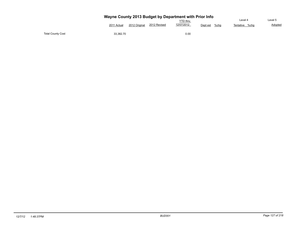|                          | Wayne County 2013 Budget by Department with Prior Info<br>Level 4<br><b>YTD thru</b> |               |              |            |                  |                   |                    |  |  |  |  |  |  |
|--------------------------|--------------------------------------------------------------------------------------|---------------|--------------|------------|------------------|-------------------|--------------------|--|--|--|--|--|--|
|                          | 2011 Actual                                                                          | 2012 Original | 2012 Revised | 12/07/2012 | %chg<br>Dept est | Tentative<br>%cha | Level 5<br>Adopted |  |  |  |  |  |  |
| <b>Total County Cost</b> | 33,382.70                                                                            |               |              | 0.00       |                  |                   |                    |  |  |  |  |  |  |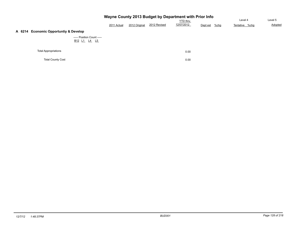| Wayne County 2013 Budget by Department with Prior Info |             |               |              |            |               |                |         |  |  |  |  |  |
|--------------------------------------------------------|-------------|---------------|--------------|------------|---------------|----------------|---------|--|--|--|--|--|
|                                                        |             |               |              | YTD thru   |               | Level 4        | Level 5 |  |  |  |  |  |
|                                                        | 2011 Actual | 2012 Original | 2012 Revised | 12/07/2012 | Dept est %chg | Tentative %chg | Adopted |  |  |  |  |  |
| A 6214 Economic Opportuntiy & Develop                  |             |               |              |            |               |                |         |  |  |  |  |  |
| ----- Position Count -----<br><u>B12 L1 L4 L5</u>      |             |               |              |            |               |                |         |  |  |  |  |  |
| <b>Total Appropriations</b>                            |             |               |              | 0.00       |               |                |         |  |  |  |  |  |
| <b>Total County Cost</b>                               |             |               |              | 0.00       |               |                |         |  |  |  |  |  |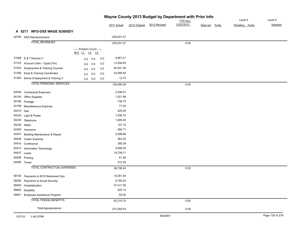| Wayne County 2013 Budget by Department with Prior Info |                                          |                                            |            |               |               |              |                 |               |                |         |  |
|--------------------------------------------------------|------------------------------------------|--------------------------------------------|------------|---------------|---------------|--------------|-----------------|---------------|----------------|---------|--|
|                                                        |                                          |                                            |            |               |               |              | <b>YTD</b> thru |               | Level 4        | Level 5 |  |
|                                                        |                                          |                                            |            | 2011 Actual   | 2012 Original | 2012 Revised | 12/07/2012      | Dept est %chg | Tentative %chg | Adopted |  |
|                                                        | A 6217 WFD-DSS WAGE SUBSIDY              |                                            |            |               |               |              |                 |               |                |         |  |
|                                                        | 42766 DSS Reimbursement                  |                                            |            | $-202,631.27$ |               |              |                 |               |                |         |  |
|                                                        | <b>TOTAL REVENUES</b>                    |                                            |            | $-202,631.27$ |               |              | 0.00            |               |                |         |  |
|                                                        |                                          | ----- Position Count -----<br>B12 L1 L4 L5 |            |               |               |              |                 |               |                |         |  |
|                                                        | 51088 E & T Director II                  | 0.0                                        | 0.0<br>0.0 | 9,881.21      |               |              |                 |               |                |         |  |
| 51123                                                  | Account Clerk - Typist (7hr)             | 0.0                                        | 0.0<br>0.0 | 13,258.93     |               |              |                 |               |                |         |  |
| 51252                                                  | <b>Employment &amp; Training Counsel</b> | 0.0                                        | 0.0<br>0.0 | 82,831.39     |               |              |                 |               |                |         |  |
| 51256                                                  | Empl & Training Coordinator              | 0.0                                        | 0.0<br>0.0 | 23,095.83     |               |              |                 |               |                |         |  |
|                                                        | 51300 Senior Employment & Training C     | 0.0                                        | 0.0<br>0.0 | 12.73         |               |              |                 |               |                |         |  |
|                                                        | <b>TOTAL PERSONAL SERVICES</b>           |                                            |            |               |               |              |                 |               |                |         |  |
|                                                        |                                          |                                            |            | 129,080.09    |               |              | 0.00            |               |                |         |  |
| 54000                                                  | <b>Contractual Expenses</b>              |                                            |            | 2,838.01      |               |              |                 |               |                |         |  |
| 54150                                                  | <b>Office Supplies</b>                   |                                            |            | 1,021.98      |               |              |                 |               |                |         |  |
| 54166                                                  | Postage                                  |                                            |            | 736.75        |               |              |                 |               |                |         |  |
| 54199                                                  | Miscellaneous Expense                    |                                            |            | 77.00         |               |              |                 |               |                |         |  |
| 54210 Gas                                              |                                          |                                            |            | 225.00        |               |              |                 |               |                |         |  |
| 54220                                                  | Light & Power                            |                                            |            | 1,838.70      |               |              |                 |               |                |         |  |
| 54230                                                  | Telephone                                |                                            |            | 1,480.40      |               |              |                 |               |                |         |  |
|                                                        | 54240 Water                              |                                            |            | 147.15        |               |              |                 |               |                |         |  |
| 54300                                                  | Insurance                                |                                            |            | 684.71        |               |              |                 |               |                |         |  |
| 54407                                                  | <b>Building Maintenance &amp; Repair</b> |                                            |            | 5,598.88      |               |              |                 |               |                |         |  |
| 54408                                                  | Copier Expense                           |                                            |            | 563.30        |               |              |                 |               |                |         |  |
| 54410                                                  | Conference                               |                                            |            | 395.38        |               |              |                 |               |                |         |  |
| 54414                                                  | Information Technology                   |                                            |            | 3,896.00      |               |              |                 |               |                |         |  |
| 54437                                                  | Lease                                    |                                            |            | 19,728.71     |               |              |                 |               |                |         |  |
|                                                        | 54456 Printing                           |                                            |            | 61.92         |               |              |                 |               |                |         |  |
|                                                        | 54485 Travel                             |                                            |            | 412.35        |               |              |                 |               |                |         |  |
|                                                        | TOTAL CONTRACTUAL EXPENSES               |                                            |            | 39,706.24     |               |              | 0.00            |               |                |         |  |
| 58100                                                  | Payments to NYS Retirement Sys           |                                            |            | 15,051.00     |               |              |                 |               |                |         |  |
| 58200                                                  | Payments to Social Security              |                                            |            | 9,165.24      |               |              |                 |               |                |         |  |
| 58400                                                  | Hospitalization                          |                                            |            | 37,417.36     |               |              |                 |               |                |         |  |
| 58600                                                  | Disability                               |                                            |            | 520.10        |               |              |                 |               |                |         |  |
| 58901                                                  | Employee Assistance Program              |                                            |            | 62.00         |               |              |                 |               |                |         |  |
|                                                        | <b>TOTAL FRINGE BENEFITS</b>             |                                            |            | 62,215.70     |               |              | 0.00            |               |                |         |  |
|                                                        | <b>Total Appropriations</b>              |                                            |            | 231,002.03    |               |              | 0.00            |               |                |         |  |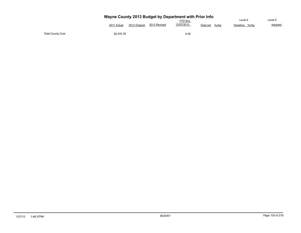|                          | Wayne County 2013 Budget by Department with Prior Info<br>Level 4 |               |              |                               |                  |                   |                    |  |  |  |  |  |  |
|--------------------------|-------------------------------------------------------------------|---------------|--------------|-------------------------------|------------------|-------------------|--------------------|--|--|--|--|--|--|
|                          | 2011 Actual                                                       | 2012 Original | 2012 Revised | <b>YTD thru</b><br>12/07/2012 | %chg<br>Dept est | Tentative<br>%cha | Level 5<br>Adopted |  |  |  |  |  |  |
| <b>Total County Cost</b> | 28,370.76                                                         |               |              | 0.00                          |                  |                   |                    |  |  |  |  |  |  |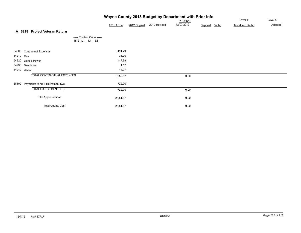| Wayne County 2013 Budget by Department with Prior Info |                                      |                                            |             |               |              |                 |          |         |                |  |                |
|--------------------------------------------------------|--------------------------------------|--------------------------------------------|-------------|---------------|--------------|-----------------|----------|---------|----------------|--|----------------|
|                                                        |                                      |                                            |             |               |              | <b>YTD thru</b> |          |         | Level 4        |  | Level 5        |
|                                                        |                                      |                                            | 2011 Actual | 2012 Original | 2012 Revised | 12/07/2012      | Dept est | $%$ chg | Tentative %chg |  | <b>Adopted</b> |
|                                                        | A 6218 Project Veteran Return        |                                            |             |               |              |                 |          |         |                |  |                |
|                                                        |                                      | ----- Position Count -----<br>B12 L1 L4 L5 |             |               |              |                 |          |         |                |  |                |
|                                                        | 54000 Contractual Expenses           |                                            | 1,191.79    |               |              |                 |          |         |                |  |                |
| 54210 Gas                                              |                                      |                                            | 33.70       |               |              |                 |          |         |                |  |                |
|                                                        | 54220 Light & Power                  |                                            | 117.99      |               |              |                 |          |         |                |  |                |
|                                                        | 54230 Telephone                      |                                            | 1.12        |               |              |                 |          |         |                |  |                |
|                                                        | 54240 Water                          |                                            | 14.97       |               |              |                 |          |         |                |  |                |
|                                                        | TOTAL CONTRACTUAL EXPENSES           |                                            | 1,359.57    |               |              | 0.00            |          |         |                |  |                |
|                                                        | 58100 Payments to NYS Retirement Sys |                                            | 722.00      |               |              |                 |          |         |                |  |                |
|                                                        | <b>TOTAL FRINGE BENEFITS</b>         |                                            | 722.00      |               |              | 0.00            |          |         |                |  |                |
|                                                        | <b>Total Appropriations</b>          |                                            | 2,081.57    |               |              | 0.00            |          |         |                |  |                |
|                                                        | <b>Total County Cost</b>             |                                            | 2,081.57    |               |              | 0.00            |          |         |                |  |                |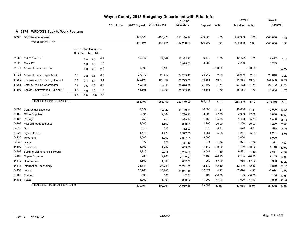|       |                                          | Wayne County 2013 Budget by Department with Prior Info<br><b>YTD</b> thru |     |                            |     |             | Level 4       |              | Level 5       |            |           |                |           |            |               |
|-------|------------------------------------------|---------------------------------------------------------------------------|-----|----------------------------|-----|-------------|---------------|--------------|---------------|------------|-----------|----------------|-----------|------------|---------------|
|       |                                          |                                                                           |     |                            |     | 2011 Actual | 2012 Original | 2012 Revised | 12/07/2012    | Dept est   | $%$ chg   | Tentative %chg |           | Adopted    |               |
|       | A 6275 WFD/DSS Back to Work Pograms      |                                                                           |     |                            |     |             |               |              |               |            |           |                |           |            |               |
| 42766 | <b>DSS Reimbursement</b>                 |                                                                           |     |                            |     |             | $-493,421$    | $-493,421$   | $-312,290.36$ | $-500,000$ | 1.33      | $-500,000$     | 1.33      | $-500,000$ | 1.33          |
|       | <b>TOTAL REVENUES</b>                    |                                                                           |     |                            |     |             | $-493,421$    | $-493,421$   | $-312,290.36$ | $-500,000$ | 1.33      | $-500,000$     | 1.33      | $-500,000$ | 1.33          |
|       |                                          |                                                                           |     | ----- Position Count ----- |     |             |               |              |               |            |           |                |           |            |               |
|       |                                          |                                                                           |     | B12 L1 L4 L5               |     |             |               |              |               |            |           |                |           |            |               |
| 51088 | E & T Director II                        |                                                                           | 0.4 | 0.4                        | 0.4 |             | 19,147        | 19,147       | 15,332.43     | 19,472     | 1.70      | 19,472         | 1.70      | 19,472     | 1.70          |
| 51111 | Clerk PT                                 |                                                                           | 1.0 | 1.0                        | 1.0 |             |               |              | 3,975.00      | 3,289      |           | 3,289          |           | 3,289      |               |
| 51121 | <b>Account Clerk Part Time</b>           |                                                                           | 0.0 | 0.0                        | 0.0 |             | 3,103         | 3,103        |               |            | $-100.00$ |                | $-100.00$ |            | $-100.00$     |
| 51123 | Account Clerk - Typist (7hr)             | 0.8                                                                       | 0.8 | 0.8                        | 0.8 |             | 27,412        | 27,412       | 24,263.47     | 28,040     | 2.29      | 28,040         | 2.29      | 28,040     | 2.29          |
| 51252 | <b>Employment &amp; Training Counsel</b> | 3.1                                                                       | 3.4 | 3.4                        | 3.4 |             | 120,694       | 120,694      | 135,729.32    | 144,553    | 19.77     | 144,553        | 19.77     | 144,553    | 19.77         |
| 51256 | Empl & Training Coordinator              | 0.9                                                                       | 0.6 | 0.6                        | 0.6 |             | 40,145        | 40,145       | 27,670.59     | 27,402     | $-31.74$  | 27,402         | $-31.74$  | 27,402     | $-31.74$      |
| 51300 | Senior Employment & Training C           | 1.0                                                                       | 1.0 | 1.0                        | 1.0 |             | 44,606        | 44,606       | 20,509.18     | 45,363     | 1.70      | 45,363         | 1.70      | 45,363     | 1.70          |
|       | <b>BU: 1</b>                             | 5.8                                                                       | 5.8 | 5.8                        | 5.8 |             |               |              |               |            |           |                |           |            |               |
|       | <b>TOTAL PERSONAL SERVICES</b>           |                                                                           |     |                            |     |             | 255,107       | 255,107      | 227,479.99    | 268,119    | 5.10      | 268,119        | 5.10      | 268,119    | 5.10          |
| 54000 | <b>Contractual Expenses</b>              |                                                                           |     |                            |     |             | 12,122        | 12,122       | 11,710.34     | 10,000     | $-17.51$  | 10,000         | $-17.51$  | 10,000     | $-17.51$      |
| 54150 | <b>Office Supplies</b>                   |                                                                           |     |                            |     |             | 2,104         | 2,104        | 1,786.92      | 3,000      | 42.59     | 3,000          | 42.59     | 3,000      | 42.59         |
| 54166 | Postage                                  |                                                                           |     |                            |     |             | 750           | 750          | 999.34        | 1,468      | 95.73     | 1,468          | 95.73     | 1,468      | 95.73         |
| 54199 | Miscellaneous Expense                    |                                                                           |     |                            |     |             | 1,500         | 1,500        | 860.01        | 1,200      | $-20.00$  | 1,200          | $-20.00$  | 1,200      | $-20.00$      |
| 54210 | Gas                                      |                                                                           |     |                            |     |             | 613           | 613          | 462.02        | 578        | $-5.71$   | 578            | $-5.71$   | 578        | $-5.71$       |
| 54220 | Light & Power                            |                                                                           |     |                            |     |             | 4,476         | 4,476        | 2,977.55      | 4,251      | $-5.03$   | 4,251          | $-5.03$   | 4,251      | $-5.03$       |
| 54230 | Telephone                                |                                                                           |     |                            |     |             | 3,000         | 3,000        | 2,387.95      | 3,000      |           | 3,000          |           | 3,000      |               |
| 54240 | Water                                    |                                                                           |     |                            |     |             | 377           | 377          | 354.89        | 371        | $-1.59$   | 371            | $-1.59$   | 371        | $-1.59$       |
| 54300 | Insurance                                |                                                                           |     |                            |     |             | 1,702         | 1,702        | 1,053.76      | 1,140      | $-33.02$  | 1,140          | $-33.02$  | 1,140      | $-33.02$      |
| 54407 | <b>Building Maintenance &amp; Repair</b> |                                                                           |     |                            |     |             | 9,716         | 9,716        | 9,235.00      | 9,581      | $-1.39$   | 9,581          | $-1.39$   | 9,581      | $-1.39$       |
| 54408 | <b>Copier Expense</b>                    |                                                                           |     |                            |     |             | 2,700         | 2,700        | 2,749.01      | 2,135      | $-20.93$  | 2,135          | $-20.93$  | 2,135      | $-20.93$      |
| 54410 | Conference                               |                                                                           |     |                            |     |             | 1,800         | 1,800        | 882.37        | 950        | $-47.22$  | 950            | $-47.22$  | 950        | $-47.22$      |
| 54414 | Information Technology                   |                                                                           |     |                            |     |             | 26,741        | 26,741       | 26,741.00     | 12,810     | $-52.10$  | 12,810         | $-52.10$  | 12,810     | $-52.10$      |
| 54437 | Lease                                    |                                                                           |     |                            |     |             | 30,760        | 30,760       | 31,941.48     | 32,074     | 4.27      | 32,074         | 4.27      | 32,074     | 4.27          |
| 54456 | Printing                                 |                                                                           |     |                            |     |             | 500           | 500          | 47.52         | 100        | $-80.00$  | 100            | $-80.00$  | 100        | $-80.00$      |
|       | 54485 Travel                             |                                                                           |     |                            |     |             | 1,900         | 1,900        | 800.02        | 1,000      | $-47.37$  | 1,000          | $-47.37$  | 1,000      | $-47.37$      |
|       | <b>TOTAL CONTRACTUAL EXPENSES</b>        |                                                                           |     |                            |     |             | 100.761       | 100.761      | 94.989.18     | 83,658     | $-16.97$  | 83.658         | $-16.97$  |            | 83.658 -16.97 |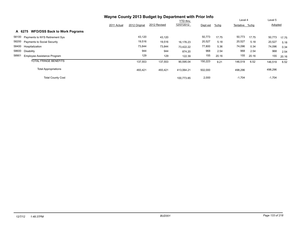|                                               | Wayne County 2013 Budget by Department with Prior Info |               |              |                 |          |         |                |       |          |       |
|-----------------------------------------------|--------------------------------------------------------|---------------|--------------|-----------------|----------|---------|----------------|-------|----------|-------|
|                                               |                                                        |               |              | <b>YTD thru</b> |          |         | Level 4        |       | Level 5  |       |
|                                               | 2011 Actual                                            | 2012 Original | 2012 Revised | 12/07/2012      | Dept est | $%$ chg | Tentative %chg |       | Adopted  |       |
| <b>WFD/DSS Back to Work Pograms</b><br>A 6275 |                                                        |               |              |                 |          |         |                |       |          |       |
| 58100 Payments to NYS Retirement Sys          |                                                        | 43,120        | 43,120       |                 | 50,773   | 17.75   | 50,773         | 17.75 | 50,773   | 17.75 |
| 58200 Payments to Social Security             |                                                        | 19,516        | 19,516       | 16,176.23       | 20,527   | 5.18    | 20,527         | 5.18  | 20,527   | 5.18  |
| 58400 Hospitalization                         |                                                        | 73,844        | 73,844       | 73.422.22       | 77,800   | 5.36    | 74,096         | 0.34  | 74,096   | 0.34  |
| 58600 Disability                              |                                                        | 944           | 944          | 874.20          | 968      | 2.54    | 968            | 2.54  | 968      | 2.54  |
| 58901<br>Employee Assistance Program          |                                                        | 129           | 129          | 122.39          | 155      | 20.16   | 155            | 20.16 | 155      | 20.16 |
| <b>TOTAL FRINGE BENEFITS</b>                  |                                                        | 137,553       | 137,553      | 90,595.04       | 150,223  | 9.21    | 146,519        | 6.52  | 146,519  | 6.52  |
| <b>Total Appropriations</b>                   |                                                        | 493,421       | 493,421      | 413,064.21      | 502,000  |         | 498,296        |       | 498,296  |       |
| <b>Total County Cost</b>                      |                                                        |               |              | 100.773.85      | 2,000    |         | $-1,704$       |       | $-1,704$ |       |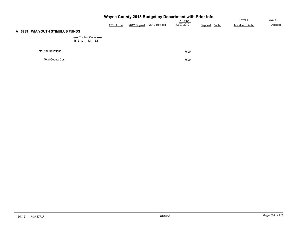|                                 |                                                                                            |             |               | Wayne County 2013 Budget by Department with Prior Info |                               |          | Level 4 | Level 5        |         |
|---------------------------------|--------------------------------------------------------------------------------------------|-------------|---------------|--------------------------------------------------------|-------------------------------|----------|---------|----------------|---------|
|                                 |                                                                                            | 2011 Actual | 2012 Original | 2012 Revised                                           | <b>YTD thru</b><br>12/07/2012 | Dept est | $%$ chg | Tentative %chg | Adopted |
| A 6289 WIA YOUTH STIMULUS FUNDS |                                                                                            |             |               |                                                        |                               |          |         |                |         |
|                                 | ----- Position Count -----<br>B <sub>12</sub> L <sub>1</sub> L <sub>4</sub> L <sub>5</sub> |             |               |                                                        |                               |          |         |                |         |
| <b>Total Appropriations</b>     |                                                                                            |             |               |                                                        | 0.00                          |          |         |                |         |
| <b>Total County Cost</b>        |                                                                                            |             |               |                                                        | 0.00                          |          |         |                |         |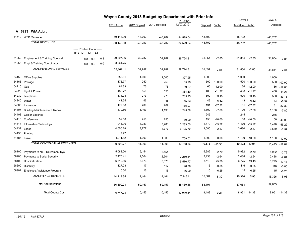|       | Wayne County 2013 Budget by Department with Prior Info |                                                                    |            |                 |               |              |                               | Level 4   | Level 5  |                |              |           |              |
|-------|--------------------------------------------------------|--------------------------------------------------------------------|------------|-----------------|---------------|--------------|-------------------------------|-----------|----------|----------------|--------------|-----------|--------------|
|       |                                                        |                                                                    |            |                 |               | 2012 Revised | <b>YTD</b> thru<br>12/07/2012 |           |          |                |              |           |              |
|       |                                                        |                                                                    |            | 2011 Actual     | 2012 Original |              |                               | Dept est  | %chg     | Tentative %chg |              | Adopted   |              |
|       | A 6293 WIA Adult                                       |                                                                    |            |                 |               |              |                               |           |          |                |              |           |              |
|       | 44712 WFD Revenue                                      |                                                                    |            | $-50, 143.00$   | $-48,702$     | $-48,702$    | $-34,529.04$                  | $-48,702$ |          | $-48,702$      |              | $-48,702$ |              |
|       | <b>TOTAL REVENUES</b>                                  |                                                                    |            | $-50,143.00$    | $-48,702$     | $-48,702$    | $-34,529.04$                  | $-48,702$ |          | $-48,702$      |              | $-48,702$ |              |
|       |                                                        | ----- Position Count -----<br>B <sub>12</sub> L <sub>1</sub><br>L4 | L5         |                 |               |              |                               |           |          |                |              |           |              |
| 51252 | <b>Employment &amp; Training Counsel</b>               | 0.8                                                                | 0.8<br>0.8 | 29,897.36       | 32,787        | 32,787       | 29,724.81                     | 31,854    | $-2.85$  | 31,854         | $-2.85$      | 31,854    | $-2.85$      |
|       | 51256 Empl & Training Coordinator                      | $0.0\ 0.0$                                                         |            | 3,264.75<br>0.0 |               |              |                               |           |          |                |              |           |              |
|       | <b>TOTAL PERSONAL SERVICES</b>                         |                                                                    |            | 33,162.11       | 32,787        | 32,787       | 29,724.81                     | 31,854    | $-2.85$  | 31,854         | $-2.85$      | 31,854    | $-2.85$      |
| 54150 | Office Supplies                                        |                                                                    |            | 553.91          | 1,000         | 1,000        | 327.95                        | 1,000     |          | 1,000          |              | 1,000     |              |
| 54166 | Postage                                                |                                                                    |            | 176.77          | 250           | 250          | 85.29                         | 500       | 100.00   | 500            | 100.00       | 500       | 100.00       |
| 54210 | Gas                                                    |                                                                    |            | 64.33           | 75            | 75           | 59.67                         | 66        | $-12.00$ | 66             | $-12.00$     | 66        | $-12.00$     |
| 54220 | Light & Power                                          |                                                                    |            | 488.72          | 550           | 550          | 384.60                        | 488       | $-11.27$ | 488            | $-11.27$     | 488       | $-11.27$     |
| 54230 | Telephone                                              |                                                                    |            | 374.08          | 273           | 273          | 285.95                        | 500       | 83.15    | 500            | 83.15        | 500       | 83.15        |
| 54240 | Water                                                  |                                                                    |            | 41.55           | 46            | 46           | 45.83                         | 43        | $-6.52$  | 43             | $-6.52$      | 43        | $-6.52$      |
| 54300 | Insurance                                              |                                                                    |            | 179.08          | 209           | 209          | 135.97                        | 131       | $-37.32$ | 131            | $-37.32$     | 131       | $-37.32$     |
| 54407 | Building Maintenance & Repair                          |                                                                    |            | 1,379.66        | 1,193         | 1,193        | 1,245.56                      | 1,100     | $-7.80$  | 1,100          | $-7.80$      | 1,100     | $-7.80$      |
| 54408 | <b>Copier Expense</b>                                  |                                                                    |            |                 |               |              |                               | 245       |          | 245            |              | 245       |              |
| 54410 | Conference                                             |                                                                    |            | 32.50           | 250           | 250          | 30.00                         | 150       | $-40.00$ | 150            | $-40.00$     | 150       | $-40.00$     |
| 54414 | Information Technology                                 |                                                                    |            | 944.00          | 3,283         | 3,283        | 3,283.00                      | 1,470     | $-55.22$ | 1,470          | $-55.22$     | 1,470     | $-55.22$     |
| 54437 | Lease                                                  |                                                                    |            | 4,055.28        | 3,777         | 3,777        | 4,125.72                      | 3,680     | $-2.57$  | 3,680          | $-2.57$      | 3,680     | $-2.57$      |
| 54456 | Printing                                               |                                                                    |            | 7.27            |               |              |                               |           |          |                |              |           |              |
|       | 54485 Travel                                           |                                                                    |            | 1,211.62        | 1,000         | 1,000        | 759.02                        | 1,300     | 30.00    | 1,100          | 10.00        | 1,100     | 10.00        |
|       | <b>TOTAL CONTRACTUAL EXPENSES</b>                      |                                                                    |            | 9,508.77        | 11,906        | 11,906       | 10,768.56                     | 10,673    | $-10.36$ | 10,473         | $-12.04$     | 10,473    | $-12.04$     |
| 58100 | Payments to NYS Retirement Sys                         |                                                                    |            | 5,082.00        | 6,154         | 6,154        |                               | 5,982     | $-2.79$  | 5,982          | $-2.79$      | 5,982     | $-2.79$      |
| 58200 | Payments to Social Security                            |                                                                    |            | 2,475.41        | 2,504         | 2,504        | 2,260.64                      | 2,438     | $-2.64$  | 2,438          | $-2.64$      | 2,438     | $-2.64$      |
| 58400 | Hospitalization                                        |                                                                    |            | 6,519.66        | 5,673         | 5,673        | 5,570.77                      | 7,113     | 25.38    | 6,775          | 19.43        | 6,775     | 19.43        |
| 58600 | <b>Disability</b>                                      |                                                                    |            | 127.28          | 117           | 117          | 98.70                         | 116       | $-0.85$  | 116            | $-0.85$      | 116       | $-0.85$      |
| 58901 | Employee Assistance Program                            |                                                                    |            | 15.00           | 16            | 16           | 16.00                         | 15        | $-6.25$  | 15             | $-6.25$      | 15        | $-6.25$      |
|       | <b>TOTAL FRINGE BENEFITS</b>                           |                                                                    |            | 14,219.35       | 14,464        | 14,464       | 7,946.11                      | 15,664    | 8.30     | 15,326         | 5.96         | 15,326    | 5.96         |
|       | <b>Total Appropriations</b>                            |                                                                    |            | 56,890.23       | 59,157        | 59,157       | 48,439.48                     | 58,191    |          | 57,653         |              | 57,653    |              |
|       | <b>Total County Cost</b>                               |                                                                    |            | 6,747.23        | 10,455        | 10,455       | 13,910.44                     | 9,489     | $-9.24$  |                | 8,951 -14.39 |           | 8,951 -14.39 |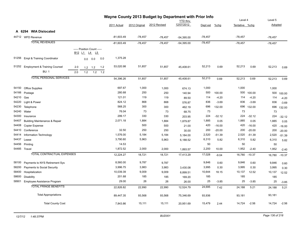| Wayne County 2013 Budget by Department with Prior Info |                                          |     |                                                |     |             |              |               |              |                 |           |          |                |          |           |          |
|--------------------------------------------------------|------------------------------------------|-----|------------------------------------------------|-----|-------------|--------------|---------------|--------------|-----------------|-----------|----------|----------------|----------|-----------|----------|
|                                                        |                                          |     |                                                |     |             |              |               |              | <b>YTD</b> thru |           |          | Level 4        |          | Level 5   |          |
|                                                        |                                          |     |                                                |     |             | 2011 Actual  | 2012 Original | 2012 Revised | 12/07/2012      | Dept est  | %chg     | Tentative %chg |          | Adopted   |          |
|                                                        | A 6294 WIA Dislocated                    |     |                                                |     |             |              |               |              |                 |           |          |                |          |           |          |
|                                                        | 44712 WFD Revenue                        |     |                                                |     |             | $-81,603.49$ | $-78,457$     | $-78,457$    | $-54,395.00$    | $-78,457$ |          | $-78,457$      |          | $-78,457$ |          |
|                                                        | <b>TOTAL REVENUES</b>                    |     |                                                |     |             | $-81,603.49$ | $-78,457$     | $-78,457$    | $-54,395.00$    | $-78,457$ |          | $-78,457$      |          | $-78,457$ |          |
|                                                        |                                          |     | ----- Position Count -----<br><u>B12 L1 L4</u> | L5  |             |              |               |              |                 |           |          |                |          |           |          |
| 51256                                                  | Empl & Training Coordinator              |     | 0.0                                            | 0.0 | 0.0         | 1,375.28     |               |              |                 |           |          |                |          |           |          |
| 51252                                                  | <b>Employment &amp; Training Counsel</b> | 2.0 | 1.2                                            | 1.2 | $1.2$       | 53,020.98    | 51,857        | 51,857       | 45,408.61       | 52,213    | 0.69     | 52,213         | 0.69     | 52,213    | 0.69     |
|                                                        | <b>BU: 1</b>                             | 2.0 | 1.2                                            |     | $1.2$ $1.2$ |              |               |              |                 |           |          |                |          |           |          |
|                                                        | <b>TOTAL PERSONAL SERVICES</b>           |     |                                                |     |             | 54,396.26    | 51,857        | 51,857       | 45,408.61       | 52,213    | 0.69     | 52,213         | 0.69     | 52,213    | 0.69     |
| 54150                                                  | <b>Office Supplies</b>                   |     |                                                |     |             | 697.67       | 1,000         | 1,000        | 674.13          | 1,000     |          | 1,000          |          | 1,000     |          |
| 54166                                                  | Postage                                  |     |                                                |     |             | 280.68       | 250           | 250          | 140.94          | 500       | 100.00   | 500            | 100.00   | 500       | 100.00   |
| 54210                                                  | Gas                                      |     |                                                |     |             | 121.01       | 119           | 119          | 89.50           | 114       | $-4.20$  | 114            | $-4.20$  | 114       | $-4.20$  |
| 54220                                                  | Light & Power                            |     |                                                |     |             | 824.12       | 868           | 868          | 576.87          | 836       | $-3.69$  | 836            | $-3.69$  | 836       | $-3.69$  |
| 54230                                                  | Telephone                                |     |                                                |     |             | 568.25       | 300           | 300          | 462.19          | 696       | 132.00   | 696            | 132.00   | 696       | 132.00   |
| 54240                                                  | Water                                    |     |                                                |     |             | 76.04        | 73            | 73           | 68.75           | 73        |          | 73             |          | 73        |          |
| 54300                                                  | Insurance                                |     |                                                |     |             | 299.17       | 330           | 330          | 203.95          | 224       | $-32.12$ | 224            | $-32.12$ | 224       | $-32.12$ |
| 54407                                                  | <b>Building Maintenance &amp; Repair</b> |     |                                                |     |             | 2,071.18     | 1,884         | 1,884        | 1,879.87        | 1,885     | 0.05     | 1,885          | 0.05     | 1,885     | 0.05     |
| 54408                                                  | Copier Expense                           |     |                                                |     |             |              | 500           | 500          | 21.00           | 420       | $-16.00$ | 420            | $-16.00$ | 420       | $-16.00$ |
| 54410                                                  | Conference                               |     |                                                |     |             | 32.50        | 250           | 250          | 30.00           | 200       | $-20.00$ | 200            | $-20.00$ | 200       | $-20.00$ |
| 54414                                                  | Information Technology                   |     |                                                |     |             | 1,576.00     | 5,184         | 5,184        | 5,184.00        | 2,520     | $-51.39$ | 2,520          | $-51.39$ | 2,520     | $-51.39$ |
| 54437                                                  | Lease                                    |     |                                                |     |             | 3,790.60     | 5,963         | 5,963        | 6,188.52        | 6,310     | 5.82     | 6,310          | 5.82     | 6,310     | 5.82     |
| 54456                                                  | Printing                                 |     |                                                |     |             | 14.53        |               |              |                 | 50        |          | 50             |          | 50        |          |
|                                                        | 54485 Travel                             |     |                                                |     |             | 1,872.52     | 2,000         | 2,000        | 1,893.57        | 2,200     | 10.00    | 1,952          | $-2.40$  | 1,952     | $-2.40$  |
|                                                        | TOTAL CONTRACTUAL EXPENSES               |     |                                                |     |             | 12,224.27    | 18,721        | 18,721       | 17,413.29       | 17,028    | $-9.04$  | 16,780         | $-10.37$ | 16,780    | $-10.37$ |
| 58100                                                  | Payments to NYS Retirement Sys           |     |                                                |     |             | 8,560.00     | 9,787         | 9,787        |                 | 9,846     | 0.60     | 9,846          | 0.60     | 9,846     | 0.60     |
| 58200                                                  | Payments to Social Security              |     |                                                |     |             | 3,996.75     | 3,983         | 3,983        | 3,430.08        | 3,995     | 0.30     | 3,995          | 0.30     | 3,995     | 0.30     |
| 58400                                                  | Hospitalization                          |     |                                                |     |             | 10,039.39    | 9,009         | 9,009        | 8,899.51        | 10,644    | 18.15    | 10,137         | 12.52    | 10,137    | 12.52    |
| 58600                                                  | <b>Disability</b>                        |     |                                                |     |             | 201.68       | 185           | 185          | 169.20          | 185       |          | 185            |          | 185       |          |
| 58901                                                  | Employee Assistance Program              |     |                                                |     |             | 29.00        | 26            | 26           | 26.00           | 25        | $-3.85$  | 25             | $-3.85$  | 25        | $-3.85$  |
|                                                        | <b>TOTAL FRINGE BENEFITS</b>             |     |                                                |     |             | 22,826.82    | 22,990        | 22,990       | 12,524.79       | 24,695    | 7.42     | 24,188         | 5.21     | 24,188    | 5.21     |
|                                                        | <b>Total Appropriations</b>              |     |                                                |     |             | 89,447.35    | 93,568        | 93,568       | 75,346.69       | 93,936    |          | 93,181         |          | 93,181    |          |
|                                                        | <b>Total County Cost</b>                 |     |                                                |     |             | 7,843.86     | 15,111        | 15,111       | 20,951.69       | 15,479    | 2.44     | 14,724         | $-2.56$  | 14,724    | $-2.56$  |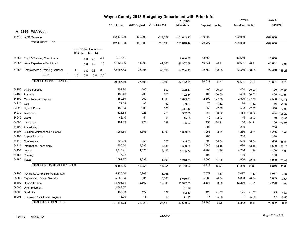|       |                                          |     |                                             |                 |     |                |               | Wayne County 2013 Budget by Department with Prior Info |                               |            |          | Level 4        |              | Level 5        |          |
|-------|------------------------------------------|-----|---------------------------------------------|-----------------|-----|----------------|---------------|--------------------------------------------------------|-------------------------------|------------|----------|----------------|--------------|----------------|----------|
|       |                                          |     |                                             |                 |     |                |               | 2012 Revised                                           | <b>YTD</b> thru<br>12/07/2012 |            |          |                |              |                |          |
|       |                                          |     |                                             |                 |     | 2011 Actual    | 2012 Original |                                                        |                               | Dept est   | $%$ chg  | Tentative %chg |              | <b>Adopted</b> |          |
|       | A 6295 WIA Youth                         |     |                                             |                 |     |                |               |                                                        |                               |            |          |                |              |                |          |
|       | 44712 WFD Revenue                        |     |                                             |                 |     | $-112, 178.00$ | $-109,000$    | $-112,199$                                             | $-101,643.42$                 | $-109,000$ |          | $-109,000$     |              | $-109,000$     |          |
|       | <b>TOTAL REVENUES</b>                    |     |                                             |                 |     | $-112,178.00$  | $-109,000$    | $-112,199$                                             | $-101,643.42$                 | $-109,000$ |          | $-109,000$     |              | $-109,000$     |          |
|       |                                          |     | ----- Position Count -----<br><b>B12 L1</b> | <u>L4</u><br>L5 |     |                |               |                                                        |                               |            |          |                |              |                |          |
| 51256 | Empl & Training Coordinator              |     | 0.3                                         | 0.3             | 0.3 | 2,976.11       |               |                                                        | 8,610.55                      | 13,650     |          | 13,650         |              | 13,650         |          |
| 51357 | Work Experience Participant              |     | 1.0                                         | 1.0             | 1.0 | 44,422.86      | 41,003        | 41,003                                                 | 46,367.69                     | 40,631     | $-0.91$  | 40,631         | $-0.91$      | 40,631         | $-0.91$  |
| 51252 | <b>Employment &amp; Training Counsel</b> | 1.0 | 0.5                                         | 0.5             | 0.5 | 32,288.53      | 36,195        | 38,195                                                 | 27,204.10                     | 22,350     | $-38.25$ | 22,350         | $-38.25$     | 22,350         | $-38.25$ |
|       | <b>BU: 1</b>                             | 1.0 | 0.5                                         | 0.5             | 0.5 |                |               |                                                        |                               |            |          |                |              |                |          |
|       | <b>TOTAL PERSONAL SERVICES</b>           |     |                                             |                 |     | 79,687.50      | 77,198        | 79,198                                                 | 82,182.34                     | 76,631     | $-0.73$  | 76,631         | $-0.73$      | 76,631         | $-0.73$  |
| 54150 | <b>Office Supplies</b>                   |     |                                             |                 |     | 252.90         | 500           | 500                                                    | 478.47                        | 400        | $-20.00$ | 400            | $-20.00$     | 400            | $-20.00$ |
| 54166 | Postage                                  |     |                                             |                 |     | 153.46         | 200           | 200                                                    | 122.34                        | 400        | 100.00   | 400            | 100.00       | 400            | 100.00   |
| 54199 | Miscellaneous Expense                    |     |                                             |                 |     | 1,650.60       | 900           | 1,800                                                  | 1,899.31                      | 2,500      | 177.78   |                | 2,500 177.78 | 2,500          | 177.78   |
| 54210 | Gas                                      |     |                                             |                 |     | 71.05          | 82            | 82                                                     | 59.67                         | 76         | $-7.32$  | 76             | $-7.32$      | 76             | $-7.32$  |
| 54220 | Light & Power                            |     |                                             |                 |     | 488.54         | 600           | 600                                                    | 384.60                        | 558        | $-7.00$  | 558            | $-7.00$      | 558            | $-7.00$  |
| 54230 | Telephone                                |     |                                             |                 |     | 323.63         | 225           | 225                                                    | 337.08                        | 464        | 106.22   | 464            | 106.22       | 464            | 106.22   |
| 54240 | Water                                    |     |                                             |                 |     | 45.10          | 51            | 51                                                     | 45.83                         | 49         | $-3.92$  | 49             | $-3.92$      | 49             | $-3.92$  |
| 54300 | Insurance                                |     |                                             |                 |     | 181.19         | 228           | 228                                                    | 135.97                        | 150        | $-34.21$ | 150            | $-34.21$     | 150            | $-34.21$ |
| 54402 | Advertising                              |     |                                             |                 |     |                |               |                                                        |                               | 200        |          | 200            |              | 200            |          |
| 54407 | <b>Building Maintenance &amp; Repair</b> |     |                                             |                 |     | 1,254.84       | 1,303         | 1,303                                                  | 1,699.28                      | 1,256      | $-3.61$  | 1,256          | $-3.61$      | 1,256          | $-3.61$  |
| 54408 | Copier Expense                           |     |                                             |                 |     |                |               |                                                        |                               | 280        |          | 280            |              | 280            |          |
| 54410 | Conference                               |     |                                             |                 |     | 563.00         | 356           | 356                                                    | 345.00                        | 600        | 68.54    | 600            | 68.54        | 600            | 68.54    |
| 54414 | Information Technology                   |     |                                             |                 |     | 955.00         | 3,586         | 3,586                                                  | 3,586.00                      | 1,680      | $-53.15$ | 1,680          | $-53.15$     | 1,680          | $-53.15$ |
| 54437 | Lease                                    |     |                                             |                 |     | 2,117.41       | 4,125         | 4,125                                                  | 4,125.72                      | 4,206      | 1.96     | 4,206          | 1.96         | 4,206          | 1.96     |
| 54456 | Printing                                 |     |                                             |                 |     | 7.27           |               |                                                        |                               | 100        |          | 100            |              | 100            |          |
|       | 54485 Travel                             |     |                                             |                 |     | 1,091.37       | 1,099         | 1,298                                                  | 1,248.79                      | 2,000      | 81.98    | 1,900          | 72.88        | 1,900          | 72.88    |
|       | <b>TOTAL CONTRACTUAL EXPENSES</b>        |     |                                             |                 |     | 9,155.36       | 13,255        | 14,354                                                 | 14,468.06                     | 14,919     | 12.55    | 14,819         | 11.80        | 14,819         | 11.80    |
| 58100 | Payments to NYS Retirement Sys           |     |                                             |                 |     | 5,120.00       | 6,768         | 6,768                                                  |                               | 7,077      | 4.57     | 7,077          | 4.57         | 7,077          | 4.57     |
| 58200 | Payments to Social Security              |     |                                             |                 |     | 5,905.94       | 5,901         | 6,001                                                  | 6,059.71                      | 5,863      | $-0.64$  | 5,863          | $-0.64$      | 5,863          | $-0.64$  |
| 58400 | Hospitalization                          |     |                                             |                 |     | 13,701.74      | 12,509        | 12,509                                                 | 13,392.83                     | 12,884     | 3.00     | 12,270         | $-1.91$      | 12,270         | $-1.91$  |
| 58500 | Unemployment                             |     |                                             |                 |     | 2,568.57       |               |                                                        | 61.80                         |            |          |                |              |                |          |
| 58600 | <b>Disability</b>                        |     |                                             |                 |     | 130.53         | 127           | 127                                                    | 112.80                        | 125        | $-1.57$  | 125            | $-1.57$      | 125            | $-1.57$  |
| 58901 | Employee Assistance Program              |     |                                             |                 |     | 18.00          | 18            | 18                                                     | 71.92                         | 17         | $-5.56$  | 17             | $-5.56$      | 17             | $-5.56$  |
|       | <b>TOTAL FRINGE BENEFITS</b>             |     |                                             |                 |     | 27,444.78      | 25,323        | 25,423                                                 | 19,699.06                     | 25,966     | 2.54     | 25,352         | 0.11         | 25,352         | 0.11     |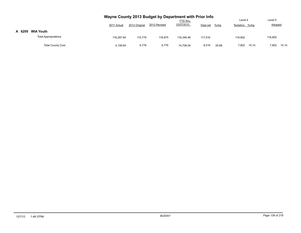|                             | Wayne County 2013 Budget by Department with Prior Info<br><b>YTD</b> thru<br>12/07/2012<br>2012 Revised<br>2012 Original<br>2011 Actual<br>Dept est<br>$%$ chg |         |         |            |         |       |                |                |  |  |  |
|-----------------------------|----------------------------------------------------------------------------------------------------------------------------------------------------------------|---------|---------|------------|---------|-------|----------------|----------------|--|--|--|
| A 6295<br><b>WIA Youth</b>  |                                                                                                                                                                |         |         |            |         |       |                |                |  |  |  |
| <b>Total Appropriations</b> | 116.287.64                                                                                                                                                     | 115.776 | 118.975 | 116.349.46 | 117.516 |       | 116.802        | 116,802        |  |  |  |
| <b>Total County Cost</b>    | 4,109.64                                                                                                                                                       | 6,776   | 6,776   | 14.706.04  | 8,516   | 25.68 | 7,802<br>15.14 | 7,802<br>15.14 |  |  |  |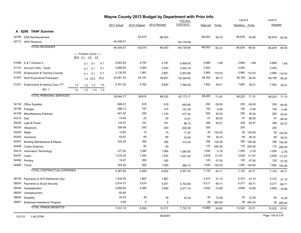|       |                                          | Wayne County 2013 Budget by Department with Prior Info | Level 4                        |              | Level 5 |              |               |              |                               |           |          |                |          |           |          |
|-------|------------------------------------------|--------------------------------------------------------|--------------------------------|--------------|---------|--------------|---------------|--------------|-------------------------------|-----------|----------|----------------|----------|-----------|----------|
|       |                                          |                                                        |                                |              |         | 2011 Actual  | 2012 Original | 2012 Revised | <b>YTD</b> thru<br>12/07/2012 | Dept est  | $%$ chg  | Tentative %chg |          | Adopted   |          |
|       |                                          |                                                        |                                |              |         |              |               |              |                               |           |          |                |          |           |          |
|       | A 6296 TANF Summer                       |                                                        |                                |              |         |              |               |              |                               |           |          |                |          |           |          |
| 42766 | <b>DSS Reimbursement</b>                 |                                                        |                                |              |         |              | $-53,675$     | $-86,003$    |                               | $-86,003$ | 60.23    | -85,878        | 60.00    | $-85,878$ | 60.00    |
|       | 44712 WFD Revenue                        |                                                        |                                |              |         | $-45,409.07$ |               |              | $-64, 139.68$                 |           |          |                |          |           |          |
|       | <b>TOTAL REVENUES</b>                    |                                                        |                                |              |         | $-45,409.07$ | $-53,675$     | $-86,003$    | $-64, 139.68$                 | $-86,003$ | 60.23    | $-85,878$      | 60.00    | $-85,878$ | 60.00    |
|       |                                          |                                                        | ----- Position Count -----     |              |         |              |               |              |                               |           |          |                |          |           |          |
|       |                                          |                                                        | B <sub>12</sub> L <sub>1</sub> | <u>L4</u> L5 |         |              |               |              |                               |           |          |                |          |           |          |
| 51088 | E & T Director II                        |                                                        | 0.1                            | 0.1          | 0.1     | 5,083.64     | 4,787         | 4,787        | 5,826.50                      | 4,868     | 1.69     | 4,868          | 1.69     | 4,868     | 1.69     |
| 51123 | Account Clerk - Typist                   |                                                        | 0.1                            | 0.1          | 0.1     | 2,888.55     | 3,263         | 3,263        | 3,452.19                      | 3,263     |          | 3,263          |          | 3,263     |          |
| 51252 | <b>Employment &amp; Training Counsel</b> |                                                        | 0.1                            | 0.1          | 0.1     | 2,130.55     | 1,881         | 2,881        | 2,953.88                      | 3,960     | 110.53   | 3,960          | 110.53   | 3,960     | 110.53   |
| 51357 | Work Experience Participant              |                                                        |                                | 1.0 33.0     | 33.0    | 24,061.03    | 24,181        | 48,581       | 42,394.60                     | 48,162    | 99.17    | 48,180         | 99.25    | 48,180    | 99.25    |
| 51251 | Employment & training Coun- PT           | 1.0                                                    | 1.0                            | 1.0          | 1.0     | 4,781.00     | 5,762         | 8,820        | 7,546.00                      | 7,952     | 38.01    | 7,952          | 38.01    | 7,952     | 38.01    |
|       | <b>BU: 1</b>                             | 1.0                                                    | 1.0                            | 1.0          | 1.0     |              |               |              |                               |           |          |                |          |           |          |
|       | <b>TOTAL PERSONAL SERVICES</b>           |                                                        |                                |              |         | 38,944.77    | 39,874        | 68,332       | 62,173.17                     | 68,205    | 71.05    | 68,223         | 71.10    | 68,223    | 71.10    |
| 54150 | <b>Office Supplies</b>                   |                                                        |                                |              |         | 686.81       | 618           | 618          | 655.80                        | 250       | $-59.55$ | 250            | $-59.55$ | 250       | $-59.55$ |
| 54166 | Postage                                  |                                                        |                                |              |         | 288.13       | 157           | 157          | 151.26                        | 150       | $-4.46$  | 150            | $-4.46$  | 150       | $-4.46$  |
| 54199 | Miscellaneous Expense                    |                                                        |                                |              |         | 641.42       | 200           | 1,193        | 577.04                        | 250       | 25.00    | 250            | 25.00    | 250       | 25.00    |
| 54210 | Gas                                      |                                                        |                                |              |         | 15.64        | 25            | 25           | 14.91                         | 47        | 88.00    | 47             | 88.00    | 47        | 88.00    |
| 54220 | Light & Power                            |                                                        |                                |              |         | 133.67       | 181           | 181          | 96.14                         | 348       | 92.27    | 348            | 92.27    | 348       | 92.27    |
| 54230 | Telephone                                |                                                        |                                |              |         | 208.48       | 200           | 200          | 200.96                        | 200       |          | 200            |          | 200       |          |
| 54240 | Water                                    |                                                        |                                |              |         | 10.60        | 15            | 15           | 11.45                         | 30        | 100.00   | 30             | 100.00   | 30        | 100.00   |
| 54300 | Insurance                                |                                                        |                                |              |         | 52.67        | 69            | 69           | 33.99                         | 94        | 36.23    | 94             | 36.23    | 94        | 36.23    |
| 54407 | <b>Building Maintenance &amp; Repair</b> |                                                        |                                |              |         | 422.29       | 392           | 392          | 312.45                        | 785       | 100.26   | 785            | 100.26   | 785       | 100.26   |
| 54408 | Copier Expense                           |                                                        |                                |              |         |              | 50            | 50           |                               | 175       | 250.00   | 175            | 250.00   | 175       | 250.00   |
| 54414 | Information Technology                   |                                                        |                                |              |         | 277.00       | 1,080         | 1,080        | 1,080.00                      | 1,050     | $-2.78$  | 1,050          | $-2.78$  | 1,050     | $-2.78$  |
| 54437 | Lease                                    |                                                        |                                |              |         | 1,216.35     | 1,242         | 1,242        | 1,031.40                      | 2,629     | 111.67   | 2,629          | 111.67   | 2,629     | 111.67   |
| 54456 | Printing                                 |                                                        |                                |              |         | 10.47        | 200           | 200          |                               | 125       | $-37.50$ | 125            | $-37.50$ | 125       | $-37.50$ |
|       | 54485 Travel                             |                                                        |                                |              |         | 404.32       | 500           | 1,200        | 386.12                        | 1,000     | 100.00   | 1,000          | 100.00   | 1,000     | 100.00   |
|       | <b>TOTAL CONTRACTUAL EXPENSES</b>        |                                                        |                                |              |         | 4,367.85     | 4,929         | 6,622        | 4,551.52                      | 7,133     | 44.71    | 7,133          | 44.71    | 7,133     | 44.71    |
| 58100 | Payments to NYS Retirement Sys           |                                                        |                                |              |         | 1,435.00     | 1,867         | 1,867        |                               | 2,373     | 27.10    | 2,373          | 27.10    | 2,373     | 27.10    |
| 58200 | Payments to Social Security              |                                                        |                                |              |         | 2,914.77     | 3,074         | 5,251        | 4,702.69                      | 5,217     | 69.71    | 5,217          | 69.71    | 5,217     | 69.71    |
| 58400 | Hospitalization                          |                                                        |                                |              |         | 2,692.60     | 3,569         | 3,569        | 2,977.16                      | 3,002     | $-15.89$ | 2,859          | $-19.89$ | 2,859     | $-19.89$ |
| 58500 | Unemployment                             |                                                        |                                |              |         | $-50.80$     |               |              |                               |           |          |                |          |           |          |
| 58600 | <b>Disability</b>                        |                                                        |                                |              |         | 34.53        | 39            | 39           | 42.30                         | 45        | 15.38    | 45             | 15.38    | 45        | 15.38    |
| 58901 | Employee Assistance Program              |                                                        |                                |              |         | 5.00         | 5             | 5            |                               | 28        | 460.00   | 28             | 460.00   | 28        | 460.00   |
|       | <b>TOTAL FRINGE BENEFITS</b>             |                                                        |                                |              |         | 7,031.10     | 8,554         | 10,731       | 7,722.15                      | 10,665    | 24.68    | 10,522         | 23.01    | 10,522    | 23.01    |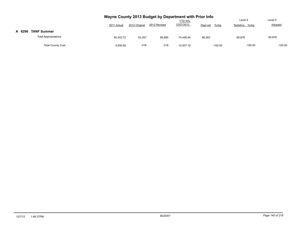|        |                             | Wayne County 2013 Budget by Department with Prior Info |               |              |                               |                     | Level 4        | Level 5        |
|--------|-----------------------------|--------------------------------------------------------|---------------|--------------|-------------------------------|---------------------|----------------|----------------|
|        |                             | 2011 Actual                                            | 2012 Original | 2012 Revised | <b>YTD thru</b><br>12/07/2012 | Dept est<br>$%$ chg | Tentative %chq | <b>Adopted</b> |
| A 6296 | <b>TANF Summer</b>          |                                                        |               |              |                               |                     |                |                |
|        | <b>Total Appropriations</b> | 50.343.72                                              | 53,357        | 85.685       | 74.446.84                     | 86,003              | 85.878         | 85,878         |
|        | <b>Total County Cost</b>    | 4.934.65                                               | $-318$        | $-318$       | 10.307.16                     | $-100.00$           | $-100.00$      | $-100.00$      |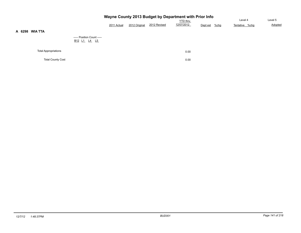|                             |                                                              |             |               |              | Wayne County 2013 Budget by Department with Prior Info |                     |                |         |
|-----------------------------|--------------------------------------------------------------|-------------|---------------|--------------|--------------------------------------------------------|---------------------|----------------|---------|
|                             |                                                              |             |               |              | YTD thru                                               |                     | Level 4        | Level 5 |
|                             |                                                              | 2011 Actual | 2012 Original | 2012 Revised | 12/07/2012                                             | $%$ chg<br>Dept est | Tentative %chg | Adopted |
| <b>WIA TTA</b><br>6298      |                                                              |             |               |              |                                                        |                     |                |         |
|                             | ----- Position Count -----                                   |             |               |              |                                                        |                     |                |         |
|                             | B <sub>12</sub> L <sub>1</sub> L <sub>4</sub> L <sub>5</sub> |             |               |              |                                                        |                     |                |         |
|                             |                                                              |             |               |              |                                                        |                     |                |         |
| <b>Total Appropriations</b> |                                                              |             |               |              | 0.00                                                   |                     |                |         |
| <b>Total County Cost</b>    |                                                              |             |               |              | 0.00                                                   |                     |                |         |

**A 6298 WIA TTA**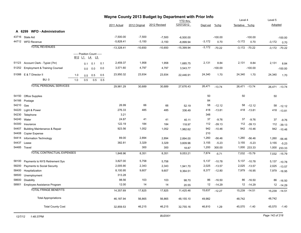|       |                                          | Wayne County 2013 Budget by Department with Prior Info |     |                                                                                            |     |              |               |              |                 |          |           |                |                   |          |                   |
|-------|------------------------------------------|--------------------------------------------------------|-----|--------------------------------------------------------------------------------------------|-----|--------------|---------------|--------------|-----------------|----------|-----------|----------------|-------------------|----------|-------------------|
|       |                                          |                                                        |     |                                                                                            |     |              |               |              | <b>YTD thru</b> |          |           | Level 4        |                   | Level 5  |                   |
|       |                                          |                                                        |     |                                                                                            |     | 2011 Actual  | 2012 Original | 2012 Revised | 12/07/2012      | Dept est | $%$ chg   | Tentative %chg |                   | Adopted  |                   |
|       | A 6299 WFD-Administration                |                                                        |     |                                                                                            |     |              |               |              |                 |          |           |                |                   |          |                   |
|       | 43716 State Aid                          |                                                        |     |                                                                                            |     | $-7,500.00$  | $-7,500$      | $-7,500$     | $-6,500.00$     |          | $-100.00$ |                | $-100.00$         |          | $-100.00$         |
|       | 44712 WFD Revenue                        |                                                        |     |                                                                                            |     | $-5,828.41$  | $-3,150$      | $-3,150$     | $-8,899.94$     | $-3,172$ | 0.70      | $-3,172$       | 0.70              | $-3,172$ | 0.70              |
|       | <b>TOTAL REVENUES</b>                    |                                                        |     |                                                                                            |     | $-13,328.41$ | $-10,650$     | $-10,650$    | $-15,399.94$    | $-3,172$ | $-70.22$  |                | $-3,172$ $-70.22$ |          | $-3,172$ $-70.22$ |
|       |                                          |                                                        |     |                                                                                            |     |              |               |              |                 |          |           |                |                   |          |                   |
|       |                                          |                                                        |     | ----- Position Count -----<br>B <sub>12</sub> L <sub>1</sub> L <sub>4</sub> L <sub>5</sub> |     |              |               |              |                 |          |           |                |                   |          |                   |
| 51123 | Account Clerk - Typist (7hr)             |                                                        |     |                                                                                            |     | 2,459.37     | 1,958         | 1,958        |                 | 2,131    | 8.84      | 2,131          | 8.84              | 2,131    |                   |
| 51252 | <b>Employment &amp; Training Counsel</b> |                                                        | 0.1 | 0.1                                                                                        | 0.1 | 3,571.60     | 4,797         | 4,797        | 1,685.75        |          | $-100.00$ |                |                   |          | 8.84              |
|       |                                          |                                                        | 0.0 | 0.0                                                                                        | 0.0 |              |               |              | 3,543.77        |          |           |                | $-100.00$         |          | $-100.00$         |
|       | 51088 E & T Director II                  | 1.0                                                    | 0.5 | 0.5                                                                                        | 0.5 | 23,950.32    | 23,934        | 23,934       | 22,446.91       | 24,340   | 1.70      | 24,340         | 1.70              | 24,340   | 1.70              |
|       | <b>BU: 0</b>                             | 1.0                                                    | 0.5 | 0.5                                                                                        | 0.5 |              |               |              |                 |          |           |                |                   |          |                   |
|       | <b>TOTAL PERSONAL SERVICES</b>           |                                                        |     |                                                                                            |     | 29,981.29    | 30,689        | 30,689       | 27,676.43       | 26,471   | $-13.74$  |                | 26,471 -13.74     |          | 26,471 -13.74     |
| 54150 | Office Supplies                          |                                                        |     |                                                                                            |     |              |               |              |                 | 50       |           | 50             |                   | 50       |                   |
| 54166 | Postage                                  |                                                        |     |                                                                                            |     |              |               |              |                 | 84       |           |                |                   |          |                   |
| 54210 | Gas                                      |                                                        |     |                                                                                            |     | 26.99        | 66            | 66           | 52.19           | 58       | $-12.12$  | 58             | $-12.12$          | 58       | $-12.12$          |
| 54220 | Light & Power                            |                                                        |     |                                                                                            |     | 276.33       | 485           | 485          | 336.49          | 418      | $-13.81$  |                | 418 - 13.81       | 418      | $-13.81$          |
| 54230 | Telephone                                |                                                        |     |                                                                                            |     | 3.21         |               |              |                 | 348      |           |                |                   |          |                   |
| 54240 | Water                                    |                                                        |     |                                                                                            |     | 24.87        | 41            | 41           | 40.11           | 37       | $-9.76$   | 37             | $-9.76$           | 37       | $-9.76$           |
| 54300 | Insurance                                |                                                        |     |                                                                                            |     | 122.19       | 184           | 184          | 118.97          | 112      | $-39.13$  | 112            | $-39.13$          | 112      | $-39.13$          |
| 54407 | Building Maintenance & Repair            |                                                        |     |                                                                                            |     | 923.56       | 1,052         | 1,052        | 1,982.62        | 942      | $-10.46$  |                | 942 -10.46        | 942      | $-10.46$          |
| 54408 | Copier Expense                           |                                                        |     |                                                                                            |     |              |               |              |                 | 210      |           |                |                   |          |                   |
| 54414 | Information Technology                   |                                                        |     |                                                                                            |     | 89.00        | 2,894         | 2,894        | 2,894.00        | 1,260    | $-56.46$  | 1,260          | $-56.46$          | 1,260    | $-56.46$          |
| 54437 | Lease                                    |                                                        |     |                                                                                            |     | 382.81       | 3,329         | 3,329        | 3,609.96        | 3,155    | $-5.23$   | 3,155          | $-5.23$           | 3,155    | $-5.23$           |
|       | 54485 Travel                             |                                                        |     |                                                                                            |     |              | 300           | 300          | 18.87           | 1,200    | 300.00    |                | 1,000 233.33      | 1,000    | 233.33            |
|       | <b>TOTAL CONTRACTUAL EXPENSES</b>        |                                                        |     |                                                                                            |     | 1,848.96     | 8,351         | 8,351        | 9,053.21        | 7,874    | $-5.71$   |                | 7,032 -15.79      |          | 7,032 -15.79      |
| 58100 | Payments to NYS Retirement Sys           |                                                        |     |                                                                                            |     | 3,827.00     | 5,758         | 5,758        |                 | 5,137    | $-10.78$  |                | 5,137 -10.78      | 5,137    | $-10.78$          |
| 58200 | Payments to Social Security              |                                                        |     |                                                                                            |     | 2,005.90     | 2,343         | 2,343        | 1,941.70        | 2,025    | $-13.57$  |                | 2,025 -13.57      | 2,025    | $-13.57$          |
| 58400 | Hospitalization                          |                                                        |     |                                                                                            |     | 8,100.95     | 9,607         | 9,607        | 9,364.51        | 8,377    | $-12.80$  |                | 7,979 -16.95      |          | 7,979 -16.95      |
| 58500 | Unemployment                             |                                                        |     |                                                                                            |     | 313.28       |               |              |                 |          |           |                |                   |          |                   |
| 58600 | <b>Disability</b>                        |                                                        |     |                                                                                            |     | 98.56        | 103           | 103          | 98.70           | 86       | $-16.50$  | 86             | $-16.50$          | 86       | $-16.50$          |
| 58901 | Employee Assistance Program              |                                                        |     |                                                                                            |     | 12.00        | 14            | 14           | 20.55           | 12       | $-14.29$  |                | 12 - 14.29        |          | 12 -14.29         |
|       | <b>TOTAL FRINGE BENEFITS</b>             |                                                        |     |                                                                                            |     | 14,357.69    | 17,825        | 17,825       | 11,425.46       | 15,637   | $-12.27$  |                | 15,239 -14.51     |          | 15,239 -14.51     |
|       | <b>Total Appropriations</b>              |                                                        |     |                                                                                            |     | 46,187.94    | 56,865        | 56,865       | 48,155.10       | 49,982   |           | 48,742         |                   | 48,742   |                   |
|       | <b>Total County Cost</b>                 |                                                        |     |                                                                                            |     | 32,859.53    | 46,215        | 46,215       | 32,755.16       | 46,810   | 1.29      | 45,570         | $-1.40$           | 45,570   | $-1.40$           |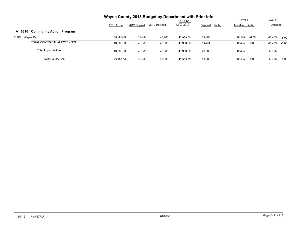|                                           |             |               | Wayne County 2013 Budget by Department with Prior Info |                 |                     |                |         |                |         |
|-------------------------------------------|-------------|---------------|--------------------------------------------------------|-----------------|---------------------|----------------|---------|----------------|---------|
|                                           |             |               |                                                        | <b>YTD</b> thru |                     | Level 4        |         | Level 5        |         |
|                                           | 2011 Actual | 2012 Original | 2012 Revised                                           | 12/07/2012      | $%$ chg<br>Dept est | Tentative %chg |         | <b>Adopted</b> |         |
| <b>Community Action Program</b><br>A 6310 |             |               |                                                        |                 |                     |                |         |                |         |
| 54495<br>Wayne Cap                        | 43,983.00   | 43,983        | 43,983                                                 | 43.983.00       | 43,983              | 40,465         | $-8.00$ | 40,465         | $-8.00$ |
| TOTAL CONTRACTUAL EXPENSES                | 43,983.00   | 43,983        | 43,983                                                 | 43,983.00       | 43,983              | 40.465         | $-8.00$ | 40,465         | $-8.00$ |
| <b>Total Appropriations</b>               | 43,983.00   | 43,983        | 43,983                                                 | 43.983.00       | 43,983              | 40.465         |         | 40,465         |         |
| <b>Total County Cost</b>                  | 43,983.00   | 43,983        | 43,983                                                 | 43.983.00       | 43,983              | 40.465         | $-8.00$ | 40,465         | $-8.00$ |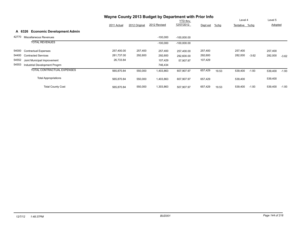|       |                                             |             |               | Wayne County 2013 Budget by Department with Prior Info |                 |          |       |                |         |         |         |
|-------|---------------------------------------------|-------------|---------------|--------------------------------------------------------|-----------------|----------|-------|----------------|---------|---------|---------|
|       |                                             |             |               |                                                        | <b>YTD</b> thru |          |       | Level 4        |         | Level 5 |         |
|       |                                             | 2011 Actual | 2012 Original | 2012 Revised                                           | 12/07/2012      | Dept est | %chg  | Tentative %chg |         | Adopted |         |
|       | <b>Economic Development Admin</b><br>A 6326 |             |               |                                                        |                 |          |       |                |         |         |         |
| 42770 | Miscellaneous Revenues                      |             |               | $-100,000$                                             | $-100,000.00$   |          |       |                |         |         |         |
|       | <b>TOTAL REVENUES</b>                       |             |               | $-100,000$                                             | $-100,000.00$   |          |       |                |         |         |         |
| 54000 | <b>Contractual Expenses</b>                 | 257,400.00  | 257,400       | 257,400                                                | 257,400.00      | 257,400  |       | 257,400        |         | 257,400 |         |
| 54400 | <b>Contracted Services</b>                  | 281,737.00  | 292,600       | 292,600                                                | 292,600.00      | 292,600  |       | 282,000        | $-3.62$ | 282,000 | $-3.62$ |
| 54552 | Joint Municipal Improvement                 | 26,733.84   |               | 107,429                                                | 57,907.97       | 107,429  |       |                |         |         |         |
| 54553 | Industrial Development Progrm               |             |               | 746,434                                                |                 |          |       |                |         |         |         |
|       | <b>TOTAL CONTRACTUAL EXPENSES</b>           | 565,870.84  | 550,000       | 1,403,863                                              | 607,907.97      | 657,429  | 19.53 | 539,400        | $-1.93$ | 539,400 | $-1.93$ |
|       | <b>Total Appropriations</b>                 | 565,870.84  | 550,000       | 1,403,863                                              | 607,907.97      | 657,429  |       | 539,400        |         | 539,400 |         |
|       | <b>Total County Cost</b>                    | 565,870.84  | 550,000       | 1,303,863                                              | 507.907.97      | 657,429  | 19.53 | 539,400        | $-1.93$ | 539,400 | $-1.93$ |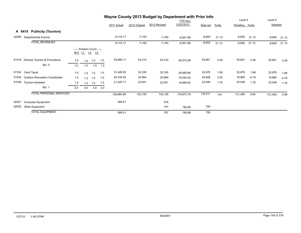|       |                                       |     |                                                                                            |     |     |             |               | Wayne County 2013 Budget by Department with Prior Info |                 |          |         |                |         |          |         |
|-------|---------------------------------------|-----|--------------------------------------------------------------------------------------------|-----|-----|-------------|---------------|--------------------------------------------------------|-----------------|----------|---------|----------------|---------|----------|---------|
|       |                                       |     |                                                                                            |     |     |             |               |                                                        | <b>YTD thru</b> |          |         | Level 4        |         | Level 5  |         |
|       |                                       |     |                                                                                            |     |     | 2011 Actual | 2012 Original | 2012 Revised                                           | 12/07/2012      | Dept est | $%$ chg | Tentative %chg |         | Adopted  |         |
|       | <b>Publicity (Tourism)</b><br>A 6410  |     |                                                                                            |     |     |             |               |                                                        |                 |          |         |                |         |          |         |
| 42089 | Departmental Income                   |     |                                                                                            |     |     | $-9,115.17$ | $-7,100$      | $-7,100$                                               | $-6,821.88$     | $-8,600$ | 21.13   | $-8,600$       | 21.13   | $-8,600$ | 21.13   |
|       | <b>TOTAL REVENUES</b>                 |     |                                                                                            |     |     | $-9,115.17$ | $-7,100$      | $-7,100$                                               | $-6,821.88$     | $-8,600$ | 21.13   | $-8,600$       | 21.13   | $-8,600$ | 21.13   |
|       |                                       |     | ----- Position Count -----<br>B <sub>12</sub> L <sub>1</sub> L <sub>4</sub> L <sub>5</sub> |     |     |             |               |                                                        |                 |          |         |                |         |          |         |
| 51416 | Director Tourism & Promotions         | 1.0 | 1.0                                                                                        | 1.0 | 1.0 | 55,685.11   | 54,310        | 54,310                                                 | 50,973.99       | 55,661   | 2.49    | 55,661         | 2.49    | 55,661   | 2.49    |
|       | BU: 0                                 | 1.0 | 1.0                                                                                        | 1.0 | 1.0 |             |               |                                                        |                 |          |         |                |         |          |         |
| 51104 | <b>Clerk Typist</b>                   | 1.0 | 1.0                                                                                        | 1.0 | 1.0 | 31,426.05   | 32,330        | 32,330                                                 | 28,985.86       | 32,876   | 1.69    | 32,876         | 1.69    | 32,876   | 1.69    |
| 51432 | <b>Outdoor Recreation Coordinator</b> | 1.0 | 1.0                                                                                        | 1.0 | 1.0 | 20,334.35   | 20,864        | 20,864                                                 | 19,044.02       | 20,926   | 0.30    | 19,865         | $-4.79$ | 19,865   | $-4.79$ |
| 51536 | <b>Tourism Assistant</b>              | 1.0 | 1.0                                                                                        | 1.0 | 1.0 | 21,420.17   | 22,651        | 22,651                                                 | 19,869.92       | 23,048   | 1.75    | 23,048         | 1.75    | 23,048   | 1.75    |
|       | <b>BU: 1</b>                          | 3.0 | 3.0                                                                                        | 3.0 | 3.0 |             |               |                                                        |                 |          |         |                |         |          |         |
|       | <b>TOTAL PERSONAL SERVICES</b>        |     |                                                                                            |     |     | 128,865.68  | 130,155       | 130,155                                                | 118,873.79      | 132,511  | 1.81    | 131,450        | 0.99    | 131,450  | 0.99    |
| 52201 | <b>Computer Equipment</b>             |     |                                                                                            |     |     | 589.51      |               | 576                                                    |                 |          |         |                |         |          |         |
| 52500 | Other Equipment                       |     |                                                                                            |     |     |             |               | 191                                                    | 190.88          | 700      |         |                |         |          |         |
|       | <b>TOTAL EQUIPMENT</b>                |     |                                                                                            |     |     | 589.51      |               | 767                                                    | 190.88          | 700      |         |                |         |          |         |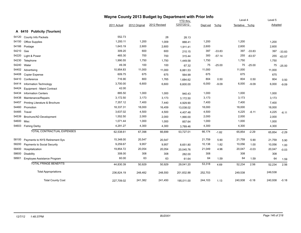|       |                                |             |               | Wayne County 2013 Budget by Department with Prior Info |                               | Level 4  |          |                |          |         |          |
|-------|--------------------------------|-------------|---------------|--------------------------------------------------------|-------------------------------|----------|----------|----------------|----------|---------|----------|
|       |                                |             |               |                                                        | <b>YTD thru</b><br>12/07/2012 |          |          |                |          | Level 5 |          |
|       |                                | 2011 Actual | 2012 Original | 2012 Revised                                           |                               | Dept est | %chg     | Tentative %chg |          | Adopted |          |
|       | A 6410 Publicity (Tourism)     |             |               |                                                        |                               |          |          |                |          |         |          |
| 54120 | County Info Packets            | 552.73      |               | 28                                                     | 28.13                         |          |          |                |          |         |          |
| 54150 | <b>Office Supplies</b>         | 1,200.11    | 1,200         | 1,009                                                  | 888.41                        | 1,200    |          | 1,200          |          | 1,200   |          |
| 54166 | Postage                        | 1,643.19    | 2,600         | 2,600                                                  | 1,911.41                      | 2,600    |          | 2,600          |          | 2,600   |          |
| 54210 | Gas                            | 309.20      | 600           | 600                                                    | 210.15                        | 397      | $-33.83$ | 397            | $-33.83$ | 397     | $-33.83$ |
| 54220 | Light & Power                  | 465.30      | 700           | 700                                                    | 315.44                        | 300      | $-57.14$ | 255            | $-63.57$ | 255     | $-63.57$ |
| 54230 | Telephone                      | 1,990.55    | 1,750         | 1,750                                                  | 1,449.58                      | 1,750    |          | 1,750          |          | 1,750   |          |
| 54240 | Water                          | 49.39       | 100           | 100                                                    | 67.32                         | 75       | $-25.00$ | 75             | $-25.00$ | 75      | $-25.00$ |
| 54402 | Advertising                    | 10,954.83   | 11,000        | 11,000                                                 | 6,881.53                      | 11,000   |          | 11,000         |          | 11,000  |          |
| 54408 | <b>Copier Expense</b>          | 609.75      | 675           | 675                                                    | 564.99                        | 675      |          | 675            |          | 675     |          |
| 54410 | Conference                     | 716.90      | 800           | 1,765                                                  | 1,684.62                      | 804      | 0.50     | 804            | 0.50     | 804     | 0.50     |
| 54414 | Information Technology         | 3,700.00    | 6,600         | 6,600                                                  | 6,600.00                      | 6,000    | $-9.09$  | 6,000          | $-9.09$  | 6,000   | $-9.09$  |
| 54424 | Equipment - Maint Contract     | 42.00       |               |                                                        |                               |          |          |                |          |         |          |
| 54434 | <b>Information Centers</b>     | 885.50      | 1,000         | 1,000                                                  | 940.43                        | 1,000    |          | 1,000          |          | 1,000   |          |
| 54438 | Maintenance/Repairs            | 3,172.50    | 3,173         | 3,173                                                  | 3,172.50                      | 3,173    |          | 3,173          |          | 3,173   |          |
| 54457 | Printing Literature & Brochure | 7,357.12    | 7,400         | 7,440                                                  | 4,929.90                      | 7,400    |          | 7,400          |          | 7,400   |          |
| 54460 | Promotion                      | 18,337.31   | 18,000        | 16,459                                                 | 13,038.02                     | 18,000   |          | 18,000         |          | 18,000  |          |
| 54485 | Travel                         | 3,637.02    | 4,500         | 4,500                                                  | 4,407.48                      | 4,500    |          | 4,225          | $-6.11$  | 4,225   | $-6.11$  |
| 54539 | Brochure/AD Development        | 1,552.50    | 2,000         | 2,000                                                  | 1,990.00                      | 2,000    |          | 2,000          |          | 2,000   |          |
| 54600 | Misc                           | 1,071.44    | 1,000         | 1,000                                                  | 857.64                        | 1,000    |          | 1,000          |          | 1,000   |          |
|       | 54603 Fishing Derby            | 4,291.27    | 4,300         | 4,300                                                  | 3,789.46                      | 4,300    |          | 4,300          |          | 4,300   |          |
|       | TOTAL CONTRACTUAL EXPENSES     | 62,538.61   | 67,398        | 66,699                                                 | 53,727.01                     | 66,174   | $-1.82$  | 65,854         | $-2.29$  | 65,854  | $-2.29$  |
| 58100 | Payments to NYS Retirement Sys | 15,348.00   | 20,547        | 20,547                                                 |                               | 21,759   | 5.90     | 21,759         | 5.90     | 21,759  | 5.90     |
| 58200 | Payments to Social Security    | 9,259.67    | 9,957         | 9,957                                                  | 8,651.80                      | 10,138   | 1.82     | 10,056         | 1.00     | 10,056  | 1.00     |
| 58400 | Hospitalization                | 19,854.72   | 20,054        | 20,054                                                 | 20,045.76                     | 21,049   | 4.96     | 20,047         | $-0.03$  | 20,047  | $-0.03$  |
| 58600 | Disability                     | 308.00      | 308           | 308                                                    | 282.00                        | 308      |          | 308            |          | 308     |          |
| 58901 | Employee Assistance Program    | 60.00       | 63            | 63                                                     | 61.64                         | 64       | 1.59     | 64             | 1.59     | 64      | 1.59     |
|       | <b>TOTAL FRINGE BENEFITS</b>   | 44,830.39   | 50,929        | 50,929                                                 | 29,041.20                     | 53,318   | 4.69     | 52,234         | 2.56     | 52,234  | 2.56     |
|       | <b>Total Appropriations</b>    | 236,824.19  | 248,482       | 248,550                                                | 201,832.88                    | 252,703  |          | 249,538        |          | 249,538 |          |
|       | <b>Total County Cost</b>       | 227,709.02  | 241,382       | 241,450                                                | 195,011.00                    | 244,103  | 1.13     | 240,938        | $-0.18$  | 240,938 | $-0.18$  |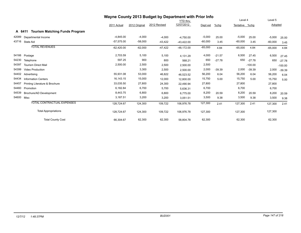|       |                                                 | Wayne County 2013 Budget by Department with Prior Info |               |              |              |           |          |           |           |           |           |
|-------|-------------------------------------------------|--------------------------------------------------------|---------------|--------------|--------------|-----------|----------|-----------|-----------|-----------|-----------|
|       |                                                 |                                                        |               |              | YTD thru     |           |          | Level 4   |           | Level 5   |           |
|       |                                                 | 2011 Actual                                            | 2012 Original | 2012 Revised | 12/07/2012   | Dept est  | $%$ chg  | Tentative | %chq      | Adopted   |           |
|       | <b>Tourism Matching Funds Program</b><br>A 6411 |                                                        |               |              |              |           |          |           |           |           |           |
| 42089 | Departmental Income                             | $-4,845.00$                                            | $-4,000$      | $-4,000$     | $-4,750.00$  | $-5,000$  | 25.00    | $-5,000$  | 25.00     | $-5,000$  | 25.00     |
| 43716 | State Aid                                       | $-57,575.00$                                           | $-58,000$     | $-43,422$    | $-43,422.00$ | $-60,000$ | 3.45     | $-60,000$ | 3.45      | $-60,000$ | 3.45      |
|       | <b>TOTAL REVENUES</b>                           | $-62,420.00$                                           | $-62,000$     | $-47,422$    | $-48,172.00$ | $-65,000$ | 4.84     | $-65,000$ | 4.84      | $-65,000$ | 4.84      |
| 54166 | Postage                                         | 2,703.59                                               | 5,100         | 5,100        | 4,131.29     | 4,000     | $-21.57$ | 6,500     | 27.45     | 6,500     | 27.45     |
| 54230 | Telephone                                       | 597.25                                                 | 900           | 800          | 568.21       | 650       | $-27.78$ | 650       | $-27.78$  | 650       | $-27.78$  |
| 54397 | <b>Tourism Direct Mail</b>                      | 2,500.00                                               | 2,500         | 2,500        | 2,500.00     | 2,500     |          |           | $-100.00$ |           | $-100.00$ |
| 54399 | <b>Video Production</b>                         |                                                        | 3,300         | 2,500        | 2,500.00     | 2,000     | $-39.39$ | 2,000     | $-39.39$  | 2,000     | $-39.39$  |
| 54402 | Advertising                                     | 55,931.08                                              | 53,000        | 46,822       | 46,523.52    | 56,200    | 6.04     | 56,200    | 6.04      | 56,200    | 6.04      |
| 54434 | <b>Information Centers</b>                      | 16,143.15                                              | 15,000        | 12,000       | 12,800.00    | 15,750    | 5.00     | 15,750    | 5.00      | 15,750    | 5.00      |
| 54457 | Printing Literature & Brochure                  | 33,035.50                                              | 27,800        | 24,300       | 22,490.94    | 27,800    |          | 27,800    |           | 27,800    |           |
| 54460 | Promotion                                       | 6,182.84                                               | 6,700         | 5,700        | 5,636.31     | 6,700     |          | 6,700     |           | 6,700     |           |
| 54539 | Brochure/AD Development                         | 8,443.75                                               | 6,800         | 6,800        | 6,775.00     | 8,200     | 20.59    | 8,200     | 20.59     | 8,200     | 20.59     |
|       | 54600 Misc                                      | 3,187.51                                               | 3,200         | 3,200        | 3,051.51     | 3,500     | 9.38     | 3,500     | 9.38      | 3,500     | 9.38      |
|       | <b>TOTAL CONTRACTUAL EXPENSES</b>               | 128,724.67                                             | 124,300       | 109,722      | 106,976.78   | 127,300   | 2.41     | 127,300   | 2.41      | 127,300   | 2.41      |
|       | <b>Total Appropriations</b>                     | 128,724.67                                             | 124,300       | 109,722      | 106,976.78   | 127,300   |          | 127,300   |           | 127,300   |           |
|       | <b>Total County Cost</b>                        | 66,304.67                                              | 62,300        | 62,300       | 58,804.78    | 62,300    |          | 62,300    |           | 62,300    |           |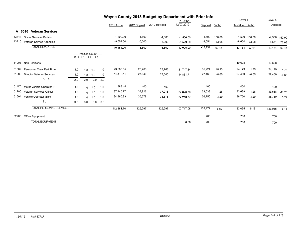|       | Wayne County 2013 Budget by Department with Prior Info |     |                  |                                  |     |              |               |              |              |           |          |           |          |           |          |
|-------|--------------------------------------------------------|-----|------------------|----------------------------------|-----|--------------|---------------|--------------|--------------|-----------|----------|-----------|----------|-----------|----------|
|       |                                                        |     |                  |                                  |     |              |               |              | YTD thru     |           |          | Level 4   |          | Level 5   |          |
|       |                                                        |     |                  |                                  |     | 2011 Actual  | 2012 Original | 2012 Revised | 12/07/2012   | Dept est  | $%$ chg  | Tentative | %chq     | Adopted   |          |
|       | <b>Veteran Services</b><br>A 6510                      |     |                  |                                  |     |              |               |              |              |           |          |           |          |           |          |
| 43648 | <b>Social Services Burials</b>                         |     |                  |                                  |     | $-1,800.00$  | $-1,800$      | $-1,800$     | $-1,566.00$  | $-4,500$  | 150.00   | $-4,500$  | 150.00   | $-4,500$  | 150.00   |
| 43710 | Veteran Service Agencies                               |     |                  |                                  |     | $-8,654.00$  | $-5,000$      | $-5,000$     | $-8,529.00$  | $-8,654$  | 73.08    | $-8,654$  | 73.08    | $-8,654$  | 73.08    |
|       | <b>TOTAL REVENUES</b>                                  |     |                  |                                  |     | $-10,454.00$ | $-6,800$      | $-6,800$     | $-10,095.00$ | $-13,154$ | 93.44    | $-13,154$ | 93.44    | $-13,154$ | 93.44    |
|       |                                                        |     | <u>B12 L1 L4</u> | ----- Position Count -----<br>L5 |     |              |               |              |              |           |          |           |          |           |          |
| 51903 | <b>Non Positions</b>                                   |     |                  |                                  |     |              |               |              |              |           |          | 10,608    |          | 10,608    |          |
| 51069 | <b>Personnel Clerk Part Time</b>                       | 1.0 | 1.0              | 1.0                              | 1.0 | 23,668.55    | 23,763        | 23,763       | 21.747.84    | 35,224    | 48.23    | 24,179    | 1.75     | 24,179    | 1.75     |
| 51089 | <b>Director Veteran Services</b>                       | 1.0 | 1.0              | 1.0                              | 1.0 | 16,418.11    | 27,640        | 27,640       | 14.881.71    | 27,460    | $-0.65$  | 27,460    | $-0.65$  | 27,460    | $-0.65$  |
|       | BU: 0                                                  | 2.0 | 2.0              | 2.0                              | 2.0 |              |               |              |              |           |          |           |          |           |          |
| 51117 | Motor Vehicle Operator- PT                             | 1.0 | 1.0              | 1.0                              | 1.0 | 388.44       | 400           | 400          |              | 400       |          | 400       |          | 400       |          |
| 51206 | Veteran Services Officer                               | 1.0 | 1.0              | 1.0                              | 1.0 | 37,445.77    | 37,916        | 37,916       | 34.876.76    | 33,638    | $-11.28$ | 33,638    | $-11.28$ | 33,638    | $-11.28$ |
| 51694 | Vehicle Operator (8hr)                                 | 1.0 | 1.0              | 1.0                              | 1.0 | 34,960.83    | 35,578        | 35,578       | 32.210.77    | 36,750    | 3.29     | 36,750    | 3.29     | 36,750    | 3.29     |
|       | <b>BU: 1</b>                                           | 3.0 | 3.0              | 3.0                              | 3.0 |              |               |              |              |           |          |           |          |           |          |
|       | <b>TOTAL PERSONAL SERVICES</b>                         |     |                  |                                  |     | 112,881.70   | 125,297       | 125,297      | 103,717.08   | 133,472   | 6.52     | 133,035   | 6.18     | 133,035   | 6.18     |
| 52200 | Office Equipment                                       |     |                  |                                  |     |              |               |              |              | 700       |          | 700       |          | 700       |          |
|       | <b>TOTAL EQUIPMENT</b>                                 |     |                  |                                  |     |              |               |              | 0.00         | 700       |          | 700       |          | 700       |          |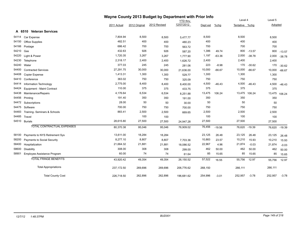|       |                                   | Wayne County 2013 Budget by Department with Prior Info |               |              |                 |          |          |                |               |         |          |
|-------|-----------------------------------|--------------------------------------------------------|---------------|--------------|-----------------|----------|----------|----------------|---------------|---------|----------|
|       |                                   |                                                        |               |              | <b>YTD</b> thru |          |          | Level 4        |               | Level 5 |          |
|       |                                   | 2011 Actual                                            | 2012 Original | 2012 Revised | 12/07/2012      | Dept est | %chg     | Tentative %chg |               | Adopted |          |
|       | A 6510 Veteran Services           |                                                        |               |              |                 |          |          |                |               |         |          |
| 54114 | Car Expense                       | 7,804.94                                               | 8,500         | 8,500        | 5,477.77        | 8,500    |          | 8,500          |               | 8,500   |          |
| 54150 | <b>Office Supplies</b>            | 482.51                                                 | 400           | 400          | 480.23          | 400      |          | 400            |               | 400     |          |
| 54166 | Postage                           | 686.42                                                 | 700           | 700          | 563.72          | 700      |          | 700            |               | 700     |          |
| 54210 | Gas                               | 432.63                                                 | 926           | 926          | 587.20          | 1,386    | 49.74    | 800            | $-13.57$      | 800     | $-13.57$ |
| 54220 | Light & Power                     | 1,720.35                                               | 3,267         | 3,267        | 1,777.90        | 1,197    | $-63.36$ | 2,000          | $-38.78$      | 2,000   | $-38.78$ |
| 54230 | Telephone                         | 2,318.17                                               | 2,400         | 2,400        | 1,626.72        | 2,400    |          | 2,400          |               | 2,400   |          |
| 54240 | Water                             | 377.03                                                 | 245           | 245          | 281.06          | 223      | $-8.98$  | 170            | $-30.62$      | 170     | $-30.62$ |
| 54400 | <b>Contracted Services</b>        | 27,291.75                                              | 30,000        | 30,000       | 21,636.00       | 10,000   | $-66.67$ | 10,000         | $-66.67$      | 10,000  | $-66.67$ |
| 54408 | Copier Expense                    | 1,413.31                                               | 1,300         | 1,300        | 529.77          | 1,300    |          | 1,300          |               | 1,300   |          |
| 54410 | Conference                        | 363.02                                                 | 750           | 750          | 325.09          | 750      |          | 750            |               | 750     |          |
| 54414 | Information Technology            | 2,775.00                                               | 8,400         | 8,400        | 8,400.00        | 4,500    | $-46.43$ | 4,500          | $-46.43$      | 4,500   | $-46.43$ |
| 54424 | Equipment - Maint Contract        | 110.00                                                 | 375           | 375          | 433.75          | 375      |          | 375            |               | 375     |          |
| 54438 | Maintenance/Repairs               | 4,176.64                                               | 6,534         | 6,534        | 8,251.88        | 13,475   | 106.24   | 13,475         | 106.24        | 13,475  | 106.24   |
| 54456 | Printing                          | 191.40                                                 | 350           | 350          | 191.00          | 350      |          | 350            |               | 350     |          |
| 54472 | Subscriptions                     | 28.00                                                  | 50            | 50           | 30.00           | 50       |          | 50             |               | 50      |          |
| 54475 | Software                          | 700.00                                                 | 750           | 750          | 700.00          | 750      |          | 750            |               | 750     |          |
| 54483 | Training- Seminars & Schools      | 883.41                                                 | 2,500         | 2,500        | 669.65          | 2,500    |          | 2,500          |               | 2,500   |          |
| 54485 | Travel                            |                                                        | 100           | 100          |                 | 100      |          | 100            |               | 100     |          |
| 54510 | <b>Burials</b>                    | 28,615.80                                              | 27,500        | 27,500       | 24,947.28       | 27,500   |          | 27,500         |               | 27,500  |          |
|       | <b>TOTAL CONTRACTUAL EXPENSES</b> | 80,370.38                                              | 95,046        | 95,046       | 76,909.02       | 76,456   | $-19.56$ |                | 76,620 -19.39 | 76,620  | $-19.39$ |
| 58100 | Payments to NYS Retirement Sys    | 13,611.00                                              | 18,284        | 18,284       |                 | 23,125   | 26.48    | 23,125         | 26.48         | 23,125  | 26.48    |
| 58200 | Payments to Social Security       | 8,277.10                                               | 8,807         | 8,807        | 7,703.36        | 10,883   | 23.57    | 10,210         | 15.93         | 10,210  | 15.93    |
| 58400 | Hospitalization                   | 21,664.32                                              | 21,881        | 21,881       | 18,086.52       | 22,967   | 4.96     | 21,874         | $-0.03$       | 21,874  | $-0.03$  |
| 58600 | <b>Disability</b>                 | 308.00                                                 | 308           | 308          | 299.00          | 462      | 50.00    | 462            | 50.00         | 462     | 50.00    |
| 58901 | Employee Assistance Program       | 60.00                                                  | 74            | 74           | 61.64           | 85       | 15.65    | 85             | 15.65         | 85      | 15.65    |
|       | <b>TOTAL FRINGE BENEFITS</b>      | 43,920.42                                              | 49,354        | 49,354       | 26,150.52       | 57,522   | 16.55    | 55,756         | 12.97         | 55,756  | 12.97    |
|       | <b>Total Appropriations</b>       | 237,172.50                                             | 269,696       | 269,696      | 206,776.62      | 268,150  |          | 266,111        |               | 266,111 |          |
|       | <b>Total County Cost</b>          | 226,718.50                                             | 262,896       | 262,896      | 196,681.62      | 254,996  | $-3.01$  | 252,957        | $-3.78$       | 252,957 | $-3.78$  |

## *12/7/12 1:48:37PM BUD001 Page 149 of 218*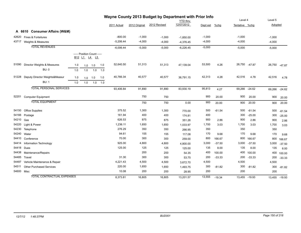|            |                                   |     |     |                                                                                            |     |             |               | Wayne County 2013 Budget by Department with Prior Info |                 |          |          |                |               |          |               |
|------------|-----------------------------------|-----|-----|--------------------------------------------------------------------------------------------|-----|-------------|---------------|--------------------------------------------------------|-----------------|----------|----------|----------------|---------------|----------|---------------|
|            |                                   |     |     |                                                                                            |     |             |               |                                                        | <b>YTD thru</b> |          |          | Level 4        |               | Level 5  |               |
|            |                                   |     |     |                                                                                            |     | 2011 Actual | 2012 Original | 2012 Revised                                           | 12/07/2012      | Dept est | %chg     | Tentative %chg |               | Adopted  |               |
|            | A 6610 Consumer Affairs (W&M)     |     |     |                                                                                            |     |             |               |                                                        |                 |          |          |                |               |          |               |
| 42620      | Fines & Forteitures               |     |     |                                                                                            |     | $-800.00$   | $-1,000$      | $-1,000$                                               | $-1,850.00$     | $-1,000$ |          | $-1,000$       |               | $-1,000$ |               |
|            | 43717 Weights & Measures          |     |     |                                                                                            |     | $-5,206.44$ | $-4,000$      | $-4,000$                                               | $-4,376.45$     | $-4,000$ |          | $-4,000$       |               | $-4,000$ |               |
|            | <b>TOTAL REVENUES</b>             |     |     |                                                                                            |     | $-6,006.44$ | $-5,000$      | $-5,000$                                               | $-6,226.45$     | $-5,000$ |          | $-5,000$       |               | $-5,000$ |               |
|            |                                   |     |     | ----- Position Count -----<br>B <sub>12</sub> L <sub>1</sub> L <sub>4</sub> L <sub>5</sub> |     |             |               |                                                        |                 |          |          |                |               |          |               |
| 51090      | Director Weights & Measures       | 1.0 | 1.0 | 1.0                                                                                        | 1.0 | 52,640.50   | 51,313        | 51,313                                                 | 47,139.04       | 53,500   | 4.26     | 26,750         | $-47.87$      | 26,750   | $-47.87$      |
|            | <b>BU: 0</b>                      | 1.0 | 1.0 | 1.0                                                                                        | 1.0 |             |               |                                                        |                 |          |          |                |               |          |               |
| 51228      | Deputy Director Weights&Measur    | 1.0 | 1.0 | 1.0                                                                                        | 1.0 | 40,766.34   | 40,577        | 40,577                                                 | 36,791.15       | 42,313   | 4.28     | 42,516         | 4.78          | 42,516   | 4.78          |
|            | <b>BU: 1</b>                      | 1.0 | 1.0 | 1.0                                                                                        | 1.0 |             |               |                                                        |                 |          |          |                |               |          |               |
|            | <b>TOTAL PERSONAL SERVICES</b>    |     |     |                                                                                            |     | 93,406.84   | 91,890        | 91,890                                                 | 83,930.19       | 95,813   | 4.27     | 69,266 -24.62  |               | 69,266   | $-24.62$      |
| 52201      | <b>Computer Equipment</b>         |     |     |                                                                                            |     |             | 750           | 750                                                    |                 | 900      | 20.00    | 900            | 20.00         | 900      | 20.00         |
|            | <b>TOTAL EQUIPMENT</b>            |     |     |                                                                                            |     |             | 750           | 750                                                    | 0.00            | 900      | 20.00    | 900            | 20.00         | 900      | 20.00         |
| 54150      | <b>Office Supplies</b>            |     |     |                                                                                            |     | 375.52      | 1,300         | 1,300                                                  | 770.00          | 500      | $-61.54$ | 500            | $-61.54$      | 500      | $-61.54$      |
| 54166      | Postage                           |     |     |                                                                                            |     | 161.94      | 400           | 400                                                    | 174.81          | 400      |          | 300            | $-25.00$      | 300      | $-25.00$      |
| 54210      | Gas                               |     |     |                                                                                            |     | 626.53      | 875           | 875                                                    | 351.26          | 900      | 2.86     | 900            | 2.86          | 900      | 2.86          |
| 54220      | Light & Power                     |     |     |                                                                                            |     | 1,236.11    | 1,650         | 1,650                                                  | 1,033.97        | 1,700    | 3.03     | 1,700          | 3.03          | 1,700    | 3.03          |
| 54230      | Telephone                         |     |     |                                                                                            |     | 276.29      | 350           | 350                                                    | 266.95          | 350      |          | 350            |               | 350      |               |
| 54240      | Water                             |     |     |                                                                                            |     | 94.61       | 155           | 155                                                    | 117.08          | 170      | 9.68     | 170            | 9.68          | 170      | 9.68          |
| 54410      | Conference                        |     |     |                                                                                            |     | 70.00       | 300           | 300                                                    | 259.00          | 800      | 166.67   | 800            | 166.67        | 800      | 166.67        |
| 54414      | Information Technology            |     |     |                                                                                            |     | 925.00      | 4,800         | 4,800                                                  | 4,800.00        | 3,000    | $-37.50$ | 3,000          | $-37.50$      | 3,000    | $-37.50$      |
|            | 54418 Dues                        |     |     |                                                                                            |     | 125.00      | 125           | 125                                                    | 125.00          | 135      | 8.00     | 135            | 8.00          | 135      | 8.00          |
| 54438      | Maintenance/Repairs               |     |     |                                                                                            |     |             | 200           | 200                                                    | 54.35           | 400      | 100.00   | 400            | 100.00        | 400      | 100.00        |
| 54485      | Travel                            |     |     |                                                                                            |     | 31.30       | 300           | 300                                                    | 53.75           | 200      | $-33.33$ | 200            | $-33.33$      | 200      | $-33.33$      |
| 54487      | Vehicle Maintenance & Repair      |     |     |                                                                                            |     | 4,221.43    | 4,500         | 4,500                                                  | 3,672.70        | 4,500    |          | 4,500          |               | 4,500    |               |
| 54511      | <b>Other Purchased Services</b>   |     |     |                                                                                            |     | 220.00      | 1,650         | 1,650                                                  | 1,493.75        | 300      | $-81.82$ | 300            | $-81.82$      | 300      | $-81.82$      |
| 54600 Misc |                                   |     |     |                                                                                            |     | 10.08       | 200           | 200                                                    | 28.95           | 200      |          | 200            |               | 200      |               |
|            | <b>TOTAL CONTRACTUAL EXPENSES</b> |     |     |                                                                                            |     | 8,373.81    | 16,805        | 16,805                                                 | 13,201.57       | 13,555   | $-19.34$ |                | 13,455 -19.93 |          | 13,455 -19.93 |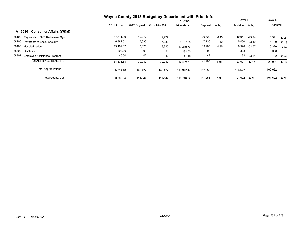|                                             | Wayne County 2013 Budget by Department with Prior Info |               |              |                 |          |         |                |          |         |          |
|---------------------------------------------|--------------------------------------------------------|---------------|--------------|-----------------|----------|---------|----------------|----------|---------|----------|
|                                             |                                                        |               |              | <b>YTD thru</b> |          |         | Level 4        |          | Level 5 |          |
|                                             | 2011 Actual                                            | 2012 Original | 2012 Revised | 12/07/2012      | Dept est | $%$ chg | Tentative %chg |          | Adopted |          |
| <b>Consumer Affairs (W&amp;M)</b><br>A 6610 |                                                        |               |              |                 |          |         |                |          |         |          |
| 58100 Payments to NYS Retirement Sys        | 14,111.00                                              | 19,277        | 19,277       |                 | 20,520   | 6.45    | 10,941         | $-43.24$ | 10,941  | $-43.24$ |
| 58200 Payments to Social Security           | 6,882.51                                               | 7,030         | 7,030        | 6.197.85        | 7,130    | 1.42    | 5,400          | $-23.19$ | 5,400   | $-23.19$ |
| 58400 Hospitalization                       | 13,192.32                                              | 13,325        | 13,325       | 13,319.76       | 13,985   | 4.95    | 6,320          | $-52.57$ | 6,320   | $-52.57$ |
| 58600<br>Disability                         | 308.00                                                 | 308           | 308          | 282.00          | 308      |         | 308            |          | 308     |          |
| 58901<br><b>Employee Assistance Program</b> | 40.00                                                  | 42            | 42           | 41.10           | 42       |         | 32             | $-23.81$ | 32      | $-23.81$ |
| <b>TOTAL FRINGE BENEFITS</b>                | 34,533.83                                              | 39,982        | 39,982       | 19,840.71       | 41,985   | 5.01    | 23,001         | -42.47   | 23,001  | $-42.47$ |
| <b>Total Appropriations</b>                 | 136,314.48                                             | 149,427       | 149,427      | 116.972.47      | 152,253  |         | 106,622        |          | 106,622 |          |
| <b>Total County Cost</b>                    | 130,308.04                                             | 144,427       | 144,427      | 110.746.02      | 147,253  | 1.96    | 101,622        | $-29.64$ | 101,622 | $-29.64$ |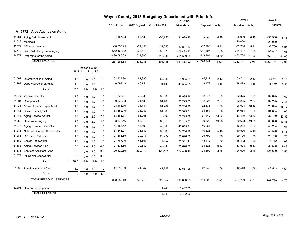|       |                                       |      |                                            |      |      | Wayne County 2013 Budget by Department with Prior Info |               |              |              |              |          |                |          |              |          |
|-------|---------------------------------------|------|--------------------------------------------|------|------|--------------------------------------------------------|---------------|--------------|--------------|--------------|----------|----------------|----------|--------------|----------|
|       |                                       |      |                                            |      |      |                                                        |               |              | YTD thru     |              |          | Level 4        |          | Level 5      |          |
|       |                                       |      |                                            |      |      | 2011 Actual                                            | 2012 Original | 2012 Revised | 12/07/2012   | Dept est     | %chg     | Tentative %chg |          | Adopted      |          |
|       | A 6772 Area Agency on Aging           |      |                                            |      |      |                                                        |               |              |              |              |          |                |          |              |          |
| 41281 | Aging Reimbursement                   |      |                                            |      |      | $-94,457.03$                                           | $-88,430$     | $-90,930$    | $-81,029.45$ | $-95,930$    | 8.48     | $-95,930$      | 8.48     | $-95,930$    | 8.48     |
| 41613 | Medicaid                              |      |                                            |      |      |                                                        |               |              |              |              |          | $-20,000$      |          | $-20,000$    |          |
| 42772 | Office of the Aging                   |      |                                            |      |      | $-30,057.95$                                           | $-31,050$     | $-31,050$    | $-32,891.37$ | $-32,700$    | 5.31     | $-32,700$      | 5.31     | $-32,700$    | 5.31     |
| 43772 | State Aid - Program for Aging         |      |                                            |      |      | -642,168.62                                            | $-662,570$    | $-662,570$   | -406,423.82  | $-651,407$   | $-1.68$  | $-651,407$     | $-1.68$  | $-651,407$   | $-1.68$  |
|       | 44772 Programs for the Aging          |      |                                            |      |      | -490,585.28                                            | $-519,886$    | $-519,886$   | -291,509.28  | $-448,704$   | $-13.69$ | $-462,704$     | $-11.00$ | $-462,704$   | $-11.00$ |
|       | <b>TOTAL REVENUES</b>                 |      |                                            |      |      | $-1,257,268.88$                                        | $-1,301,936$  | $-1,304,436$ | -811,853.92  | $-1,228,741$ | $-5.62$  | $-1,262,741$   | $-3.01$  | $-1,262,741$ | $-3.01$  |
|       |                                       |      | ----- Position Count -----<br>B12 L1 L4 L5 |      |      |                                                        |               |              |              |              |          |                |          |              |          |
| 51092 | Director Office of Aging              | 1.0  | 1.0                                        | 1.0  | 1.0  | 61,923.90                                              | 62,380        | 62,380       | 56,934.29    | 63,711       | 2.13     | 63,711         | 2.13     | 63,711       | 2.13     |
| 51297 | Deputy Director of Aging              | 1.0  | 1.0                                        | 1.0  | 1.0  | 46,599.48                                              | 46,811        | 46,811       | 43,534.65    | 48,479       | 3.56     | 48,479         | 3.56     | 48,479       | 3.56     |
|       | <b>BU: 0</b>                          | 2.0  | 2.0                                        | 2.0  | 2.0  |                                                        |               |              |              |              |          |                |          |              |          |
| 51100 | Vehicle Operator                      | 1.0  | 1.0                                        | 1.0  | 1.0  | 31,633.61                                              | 32,330        | 32,330       | 28,985.86    | 32,875       | 1.69     | 32,875         | 1.69     | 32,875       | 1.69     |
| 51110 | Receptionist                          | 1.0  | 1.0                                        | 1.0  | 1.0  | 30,938.33                                              | 31,480        | 31,480       | 28,223.63    | 32,225       | 2.37     | 32,225         | 2.37     | 32,225       | 2.37     |
| 51123 | Account Clerk - Typist (7hr)          | 1.0  | 1.0                                        | 1.0  | 1.0  | 28,465.70                                              | 31,784        | 31,784       | 26,238.28    | 32,333       | 1.73     | 26,024         | $-18.12$ | 26,024       | $-18.12$ |
| 51142 | Senior Clerk-Typist                   | 1.0  | 1.0                                        | 1.0  | 1.0  | 33,152.16                                              | 34,089        | 34,089       | 30,329.81    | 34,654       | 1.66     | 34,654         | 1.66     | 34,654       | 1.66     |
| 51149 | Aging Service Worker                  | 2.0  | 2.0                                        | 2.0  | 2.0  | 58,185.71                                              | 66,058        | 49,392       | 32,295.39    | 37,440       | $-43.32$ | 37,440         | $-43.32$ | 37,440       | $-43.32$ |
| 51253 | Caseworker Aging                      | 2.0  | 2.0                                        | 2.0  | 2.0  | 88,678.46                                              | 86,910        | 86,910       | 62,243.53    | 69,628       | $-19.88$ | 69,628         | $-19.88$ | 69,628       | $-19.88$ |
| 51276 | <b>Aging Services Specialist</b>      | 1.0  | 1.0                                        | 1.0  | 1.0  | 44,455.42                                              | 45,503        | 45,503       | 40,815.91    | 46,264       | 1.67     | 46,264         | 1.67     | 46,264       | 1.67     |
| 51278 | <b>Nutrition Services Coordinator</b> | 1.0  | 1.0                                        | 1.0  | 1.0  | 37,541.97                                              | 38,539        | 38,539       | 34,700.29    | 40,526       | 5.16     | 40,526         | 5.16     | 40,526       | 5.16     |
| 51283 | <b>RPNurse Part Time</b>              | 1.0  | 1.0                                        | 1.0  | 1.0  | 27,666.89                                              | 29,277        | 29,277       | 25,096.66    | 29,790       | 1.75     | 29,790         | 1.75     | 29,790       | 1.75     |
| 51362 | Senior Caseworker                     | 1.0  | 1.0                                        | 1.0  | 1.0  | 21,767.16                                              | 44,657        | 44,657       | 38,361.41    | 45,412       | 1.69     | 45,412         | 1.69     | 45,412       | 1.69     |
| 51385 | Aging Services Aide                   | 3.0  | 4.0                                        | 4.0  | 4.0  | 27,831.66                                              | 30,639        | 30,639       | 25,628.52    | 33,528       | 9.43     | 33,528         | 9.43     | 33,528       | 9.43     |
| 51576 | Services Assistant - A&Y              | 3.0  | 3.0                                        | 3.0  | 3.0  | 109,129.86                                             | 120,414       | 120,414      | 107,456.46   | 124,690      | 3.55     | 124,690        | 3.55     | 124,690      | 3.55     |
| 51579 | PT Senior Caseworker                  | 0.0  | 0.0                                        | 0.0  | 0.0  |                                                        |               |              |              |              |          |                |          |              |          |
|       | <b>BU: 1</b>                          | 18.0 | 19.0                                       | 19.0 | 19.0 |                                                        |               |              |              |              |          |                |          |              |          |
| 51232 | <b>Principal Account Clerk</b>        | 1.0  | 1.0                                        | 1.0  | 1.0  | 41,013.09                                              | 41,847        | 41,847       | 37,551.08    | 42,543       | 1.66     | 42,543         | 1.66     | 42,543       | 1.66     |
|       | <b>BU: 4</b>                          | 1.0  | 1.0                                        | 1.0  | 1.0  |                                                        |               |              |              |              |          |                |          |              |          |
|       | <b>TOTAL PERSONAL SERVICES</b>        |      |                                            |      |      | 688,983.40                                             | 742,718       | 726,052      | 618,650.98   | 714,098      | $-3.85$  | 707,789        | $-4.70$  | 707,789      | $-4.70$  |
| 52201 | <b>Computer Equipment</b>             |      |                                            |      |      |                                                        |               | 4,240        | 3,432.00     |              |          |                |          |              |          |
|       | <b>TOTAL EQUIPMENT</b>                |      |                                            |      |      |                                                        |               | 4.240        | 3,432.00     |              |          |                |          |              |          |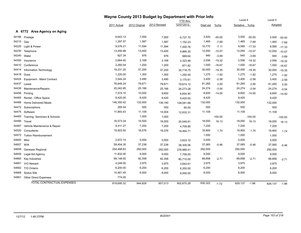|       |                              |             |               | Wayne County 2013 Budget by Department with Prior Info |                 |          |           |                |           |         |           |
|-------|------------------------------|-------------|---------------|--------------------------------------------------------|-----------------|----------|-----------|----------------|-----------|---------|-----------|
|       |                              |             |               |                                                        | <b>YTD</b> thru |          |           | Level 4        |           | Level 5 |           |
|       |                              | 2011 Actual | 2012 Original | 2012 Revised                                           | 12/07/2012      | Dept est | $%$ chg   | Tentative %chg |           | Adopted |           |
|       | A 6772 Area Agency on Aging  |             |               |                                                        |                 |          |           |                |           |         |           |
| 54166 | Postage                      | 6,643.13    | 7,000         | 7,000                                                  | 6,727.70        | 3,500    | $-50.00$  | 3,500          | $-50.00$  | 3,500   | $-50.00$  |
| 54210 | Gas                          | 1,297.57    | 1,587         | 1,587                                                  | 1,152.23        | 1,465    | $-7.69$   | 1,465          | $-7.69$   | 1,465   | $-7.69$   |
| 54220 | Light & Power                | 9,576.21    | 11,594        | 11,594                                                 | 7,450.76        | 10,770   | $-7.11$   | 9,585          | $-17.33$  | 9,585   | $-17.33$  |
| 54230 | Telephone                    | 13,450.98   | 13,400        | 13,400                                                 | 9,866.35        | 12,050   | $-10.07$  | 12,050         | $-10.07$  | 12,050  | $-10.07$  |
| 54240 | Water                        | 827.34      | 976           | 976                                                    | 889.64          | 940      | $-3.69$   | 940            | $-3.69$   | 940     | $-3.69$   |
| 54300 | Insurance                    | 2,664.40    | 3,168         | 3,168                                                  | 2,323.48        | 2,556    | $-19.32$  | 2,556          | $-19.32$  | 2,556   | $-19.32$  |
| 54410 | Conference                   | 2,260.54    | 1,200         | 1,200                                                  | 871.82          | 1,000    | $-16.67$  | 1,000          | $-16.67$  | 1,000   | $-16.67$  |
| 54414 | Information Technology       | 19,231.25   | 37,200        | 37,200                                                 | 35,718.75       | 30,000   | $-19.35$  | 30,000         | $-19.35$  | 30,000  | $-19.35$  |
| 54418 | Dues                         | 1,220.00    | 1,300         | 1,300                                                  | 1,250.00        | 1,275    | $-1.92$   | 1,275          | $-1.92$   | 1,275   | $-1.92$   |
| 54424 | Equipment - Maint Contract   | 3,544.24    | 3,490         | 3,490                                                  | 3,170.61        | 3,400    | $-2.58$   | 3,400          | $-2.58$   | 3,400   | $-2.58$   |
| 54437 | Lease                        | 76,646.24   | 79,671        | 79,671                                                 | 79,674.12       | 81,265   | 2.00      | 81,265         | 2.00      | 81,265  | 2.00      |
| 54438 | Maintenance/Repairs          | 25,042.85   | 25,166        | 25,166                                                 | 26,273.28       | 24,274   | $-3.54$   | 24,274         | $-3.54$   | 24,274  | $-3.54$   |
| 54456 | Printing                     | 7,574.10    | 10,000        | 9,600                                                  | 6,654.90        | 8,600    | $-14.00$  | 8,600          | $-14.00$  | 8,600   | $-14.00$  |
| 54465 | Rental - Office Space        | 9,420.00    | 9,420         | 9,420                                                  | 9,420.00        | 9,420    |           | 9,420          |           | 9,420   |           |
| 54466 | <b>Home Delivered Meals</b>  | 146,350.42  | 132,000       | 139,190                                                | 128,081.68      | 132,000  |           | 132,000        |           | 132,000 |           |
| 54472 | Subscriptions                | 285.54      | 500           | 500                                                    | 60.00           | 500      |           | 500            |           | 500     |           |
| 54475 | Software                     | 11,893.43   | 11,109        | 14,004                                                 | 12,632.31       | 11,109   |           | 11,109         |           | 11,109  |           |
| 54483 | Training- Seminars & Schools |             | 1,000         | 1,000                                                  |                 |          | $-100.00$ |                | $-100.00$ |         | $-100.00$ |
| 54485 | Travel                       | 16,573.24   | 15,500        | 18,000                                                 | 20,049.91       | 18,000   | 16.13     | 18,000         | 16.13     | 18,000  | 16.13     |
| 54487 | Vehicle Maintenance & Repair | 6,411.27    | 7,200         | 7,200                                                  | 4,709.85        | 7,200    |           | 7,200          |           | 7,200   |           |
| 54520 | Consultants                  | 19,503.50   | 18,576        | 18,576                                                 | 18,464.71       | 18,900   | 1.74      | 18,900         | 1.74      | 18,900  | 1.74      |
| 54572 | <b>Tuition Reimbursement</b> |             |               |                                                        |                 | 1,000    |           | 1,000          |           | 1,000   |           |
| 54600 | Misc                         | 2,672.14    | 5,000         | 5,000                                                  | 3,623.10        | 5,000    |           | 5,000          |           | 5,000   |           |
| 54657 | <b>WIA</b>                   | 59,454.35   | 37,238        | 37,238                                                 | 38,305.06       | 37,065   | $-0.46$   | 37,065         | $-0.46$   | 37,065  | $-0.46$   |
| 54658 | Genesee Regional             | 254,488.63  | 292,000       | 292,000                                                | 278,989.41      | 292,000  |           | 292,000        |           | 292,000 |           |
| 54659 | Legal Aid Agency             | 11,832.00   | 9,000         | 9,000                                                  | 7,758.00        | 9,000    |           | 9,000          |           | 9,000   |           |
| 54660 | Key Industries               | 89,148.50   | 92,358        | 92,358                                                 | 80,710.00       | 89,858   | $-2.71$   | 89,858         | $-2.71$   | 89,858  | $-2.71$   |
| 54661 | V/O Newark                   | 4,248.00    | 3,975         | 3,975                                                  | 3,642.61        | 3,975    |           | 3,975          |           | 3,975   |           |
| 54662 | T/O Ontario                  | 6,200.00    | 6,200         | 6,200                                                  | 6,200.00        | 6,200    |           | 6,200          |           | 6,200   |           |
| 54668 | Sodus Site                   | 10,461.45   | 8,000         | 8,000                                                  | 8,000.00        | 8,000    |           | 8,000          |           | 8,000   |           |
| 54891 | <b>Other Direct Expenses</b> | 774.00      |               |                                                        |                 |          |           |                |           |         |           |
|       | TOTAL CONTRACTUAL EXPENSES   | 819,695.32  | 844,828       | 857,013                                                | 802,670.28      | 830,322  | $-1.72$   | 829,137        | $-1.86$   | 829,137 | $-1.86$   |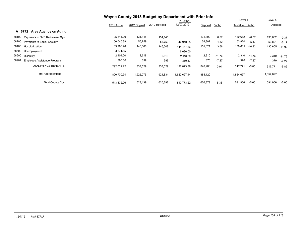|                                             | Wayne County 2013 Budget by Department with Prior Info |               |              |                 |           |          |                |          |           |          |
|---------------------------------------------|--------------------------------------------------------|---------------|--------------|-----------------|-----------|----------|----------------|----------|-----------|----------|
|                                             |                                                        |               |              | <b>YTD</b> thru |           |          | Level 4        |          | Level 5   |          |
|                                             | 2011 Actual                                            | 2012 Original | 2012 Revised | 12/07/2012      | Dept est  | $%$ chg  | Tentative %chg |          | Adopted   |          |
| Area Agency on Aging<br>A 6772              |                                                        |               |              |                 |           |          |                |          |           |          |
| 58100<br>Payments to NYS Retirement Sys     | 95,544.20                                              | 131,145       | 131,145      |                 | 131,892   | 0.57     | 130,662        | $-0.37$  | 130,662   | $-0.37$  |
| 58200<br><b>Payments to Social Security</b> | 50,045.39                                              | 56,759        | 56,759       | 44.910.65       | 54,307    | $-4.32$  | 53,824         | $-5.17$  | 53,824    | $-5.17$  |
| 58400<br>Hospitalization                    | 139,966.98                                             | 146,608       | 146,608      | 144.447.36      | 151,821   | 3.56     | 130,605        | $-10.92$ | 130,605   | $-10.92$ |
| 58500<br>Unemployment                       | 3,671.65                                               |               |              | 6,030.00        |           |          |                |          |           |          |
| 58600<br>Disability                         | 2,404.00                                               | 2,618         | 2,618        | 2,116.00        | 2,310     | $-11.76$ | 2,310          | $-11.76$ | 2,310     | $-11.76$ |
| 58901<br>Employee Assistance Program        | 390.00                                                 | 399           | 399          | 369.87          | 370       | $-7.27$  | 370            | $-7.27$  | 370       | $-7.27$  |
| <b>TOTAL FRINGE BENEFITS</b>                | 292,022.22                                             | 337,529       | 337,529      | 197,873.88      | 340,700   | 0.94     | 317,771        | $-5.85$  | 317,771   | $-5.85$  |
| <b>Total Appropriations</b>                 | 1,800,700.94                                           | 1,925,075     | 1,924,834    | 622,627.14      | 1,885,120 |          | 1,854,697      |          | 1,854,697 |          |
| <b>Total County Cost</b>                    | 543.432.06                                             | 623,139       | 620,398      | 810.773.22      | 656,379   | 5.33     | 591,956        | $-5.00$  | 591,956   | $-5.00$  |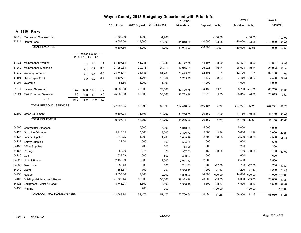|           | Wayne County 2013 Budget by Department with Prior Info<br><b>YTD</b> thru |      |                                                              |           |           |             |               |              |              |           |           | Level 4        |                | Level 5   |           |
|-----------|---------------------------------------------------------------------------|------|--------------------------------------------------------------|-----------|-----------|-------------|---------------|--------------|--------------|-----------|-----------|----------------|----------------|-----------|-----------|
|           |                                                                           |      |                                                              |           |           | 2011 Actual | 2012 Original | 2012 Revised | 12/07/2012   | Dept est  | $%$ chg   | Tentative %chg |                | Adopted   |           |
|           |                                                                           |      |                                                              |           |           |             |               |              |              |           |           |                |                |           |           |
|           | A 7110 Parks                                                              |      |                                                              |           |           |             |               |              |              |           |           |                |                |           |           |
|           | 42012 Recreation Concessions                                              |      |                                                              |           |           | $-1,500.00$ | $-1,200$      | $-1,200$     |              |           | $-100.00$ |                | $-100.00$      |           | $-100.00$ |
| 42411     | <b>Rental Fees</b>                                                        |      |                                                              |           |           | $-8,007.50$ | $-13,000$     | $-13,000$    | $-11,048.90$ | $-10,000$ | $-23.08$  | $-10,000$      | $-23.08$       | $-10,000$ | $-23.08$  |
|           | <b>TOTAL REVENUES</b>                                                     |      |                                                              |           |           | $-9,507.50$ | $-14,200$     | $-14,200$    | $-11,048.90$ | $-10,000$ | $-29.58$  | $-10,000$      | $-29.58$       | $-10,000$ | $-29.58$  |
|           |                                                                           |      | ----- Position Count -----                                   |           |           |             |               |              |              |           |           |                |                |           |           |
|           |                                                                           |      | B <sub>12</sub> L <sub>1</sub> L <sub>4</sub> L <sub>5</sub> |           |           |             |               |              |              |           |           |                |                |           |           |
|           | 51172 Maintenance Worker                                                  |      | 1.4                                                          | 1.4       | 1.4       | 31,397.54   | 48,236        | 48,236       | 44,122.69    | 43,897    | $-8.99$   | 43,897         | $-8.99$        | 43,897    | $-8.99$   |
| 51240     | Maintenance Mechanic                                                      |      | 0.7                                                          | 0.7       | 0.7       | 27,259.34   | 29,016        | 29,016       | 14,915.29    | 26,023    | $-10.31$  | 26,023         | $-10.31$       | 26,023    | $-10.31$  |
| 51270     | <b>Working Foreman</b>                                                    |      | 0.7                                                          | 0.7       | 0.7       | 28,745.47   | 31,783        | 31,783       | 31,495.87    | 32,106    | 1.01      | 32,106         | 1.01           | 32,106    | 1.01      |
| 51695     | Clerk-Typist (8hr)                                                        |      | 0.2                                                          | 0.2       | 0.2       | 3,507.17    | 18,064        | 18,064       | 6,765.26     | 7,430     | $-58.87$  | 7,430          | $-58.87$       | 7,430     | $-58.87$  |
| 51904     | Overtime                                                                  |      |                                                              |           |           | 58.50       | 1,000         | 1,000        |              | 1,000     |           | 1,000          |                | 1,000     |           |
| 51181     | Laborer Seasonal                                                          | 12.0 |                                                              | 12.0 11.0 | 11.0      | 60,569.00   | 78,000        | 78,000       | 69,395.75    | 104,136   | 33.51     | 68,750         | $-11.86$       | 68,750    | $-11.86$  |
| 51321     | Park Foreman Seasonal                                                     | 3.0  | 3.0                                                          | 3.0       | 3.0       | 25,860.63   | 30,000        | 30,000       | 25,723.38    | 31,515    | 5.05      | 28,015         | $-6.62$        | 28,015    | $-6.62$   |
|           | <b>BU: 0</b>                                                              | 15.0 | 15.0                                                         |           | 14.0 14.0 |             |               |              |              |           |           |                |                |           |           |
|           | <b>TOTAL PERSONAL SERVICES</b>                                            |      |                                                              |           |           | 177,397.65  | 236,098       | 236,098      | 192,418.24   | 246,107   | 4.24      |                | 207,221 -12.23 | 207,221   | $-12.23$  |
|           |                                                                           |      |                                                              |           |           |             |               |              |              |           |           |                |                |           |           |
|           | 52500 Other Equipment                                                     |      |                                                              |           |           | 9,697.94    | 18,797        | 13,797       | 11,216.00    | 20,150    | 7.20      | 11,150         | $-40.68$       | 11,150    | $-40.68$  |
|           | <b>TOTAL EQUIPMENT</b>                                                    |      |                                                              |           |           | 9,697.94    | 18,797        | 13,797       | 11,216.00    | 20,150    | 7.20      | 11,150         | $-40.68$       | 11,150    | $-40.68$  |
| 54000     | <b>Contractual Expenses</b>                                               |      |                                                              |           |           |             | 5,000         | 5,000        | 1,340.00     | 5,000     |           | 5,000          |                | 5,000     |           |
| 54128     | Gasoline-Oil-Lube                                                         |      |                                                              |           |           | 5,913.15    | 3,500         | 3,500        | 7,826.72     | 5,000     | 42.86     | 5,000          | 42.86          | 5,000     | 42.86     |
| 54135     | Janitor Supplies                                                          |      |                                                              |           |           | 1,848.75    | 1,200         | 1,200        | 2,649.19     | 2,500     | 108.33    | 2,500          | 108.33         | 2,500     | 108.33    |
| 54137     | <b>Safety Supplies</b>                                                    |      |                                                              |           |           | 22.50       | 600           | 600          | 534.00       | 600       |           | 600            |                | 600       |           |
| 54150     | <b>Office Supplies</b>                                                    |      |                                                              |           |           |             | 200           | 200          | 58.96        | 200       |           | 200            |                | 200       |           |
| 54166     | Postage                                                                   |      |                                                              |           |           | 88.00       | 375           | 375          | 367.00       | 150       | $-60.00$  | 150            | $-60.00$       | 150       | $-60.00$  |
| 54210 Gas |                                                                           |      |                                                              |           |           | 633.23      | 600           | 600          | 403.07       | 600       |           | 600            |                | 600       |           |
| 54220     | Light & Power                                                             |      |                                                              |           |           | 2,432.89    | 2,500         | 2,500        | 2,917.73     | 2,500     |           | 2,500          |                | 2,500     |           |
| 54230     | Telephone                                                                 |      |                                                              |           |           | 656.40      | 800           | 800          | 741.70       | 700       | $-12.50$  | 700            | $-12.50$       | 700       | $-12.50$  |
| 54240     | Water                                                                     |      |                                                              |           |           | 1,856.57    | 700           | 700          | 2,356.12     | 1,200     | 71.43     | 1,200          | 71.43          | 1,200     | 71.43     |
| 54250     | Refuse                                                                    |      |                                                              |           |           | 3,650.60    | 2,000         | 2,000        | 1,880.00     | 14,000    | 600.00    | 14,000         | 600.00         | 14,000    | 600.00    |
| 54407     | <b>Building Maintenance &amp; Repair</b>                                  |      |                                                              |           |           | 21,722.44   | 30,000        | 30,000       | 28,323.96    | 20,000    | $-33.33$  | 20,000         | $-33.33$       | 20,000    | $-33.33$  |
| 54425     | Equipment - Maint & Repair                                                |      |                                                              |           |           | 3,745.21    | 3,500         | 3,500        | 8,368.19     | 4,500     | 28.57     | 4,500          | 28.57          | 4,500     | 28.57     |
|           | 54456 Printing                                                            |      |                                                              |           |           |             | 200           | 200          |              |           | $-100.00$ |                | $-100.00$      |           | $-100.00$ |
|           | <b>TOTAL CONTRACTUAL EXPENSES</b>                                         |      |                                                              |           |           | 42.569.74   | 51,175        | 51,175       | 57,766.64    | 56,950    | 11.28     | 56,950         | 11.28          | 56,950    | 11.28     |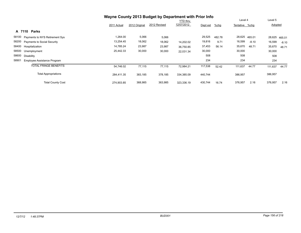|                                             | Wayne County 2013 Budget by Department with Prior Info |               |              |                 |          |         |                |         |         |         |
|---------------------------------------------|--------------------------------------------------------|---------------|--------------|-----------------|----------|---------|----------------|---------|---------|---------|
|                                             |                                                        |               |              | <b>YTD thru</b> |          |         | Level 4        |         | Level 5 |         |
|                                             | 2011 Actual                                            | 2012 Original | 2012 Revised | 12/07/2012      | Dept est | $%$ chg | Tentative %chq |         | Adopted |         |
| Parks<br>A 7110                             |                                                        |               |              |                 |          |         |                |         |         |         |
| 58100<br>Payments to NYS Retirement Sys     | 1,264.00                                               | 5,066         | 5,066        |                 | 29,525   | 482.78  | 28,625 465.01  |         | 28,625  | 465.01  |
| 58200<br><b>Payments to Social Security</b> | 13,254.45                                              | 18,062        | 18,062       | 14,202.02       | 19,816   | 9.71    | 16,599         | $-8.10$ | 16,599  | $-8.10$ |
| 58400<br>Hospitalization                    | 14,785.24                                              | 23,987        | 23,987       | 36,750.85       | 37,453   | 56.14   | 35,670         | 48.71   | 35,670  | 48.71   |
| 58500<br>Unemployment                       | 25,442.33                                              | 30,000        | 30,000       | 22,031.34       | 30,000   |         | 30,000         |         | 30,000  |         |
| 58600<br>Disability                         |                                                        |               |              |                 | 508      |         | 508            |         | 508     |         |
| 58901<br>Employee Assistance Program        |                                                        |               |              |                 | 234      |         | 234            |         | 234     |         |
| <b>TOTAL FRINGE BENEFITS</b>                | 54,746.02                                              | 77,115        | 77,115       | 72,984.21       | 117,538  | 52.42   | 111,637        | 44.77   | 111,637 | 44.77   |
| <b>Total Appropriations</b>                 | 284,411.35                                             | 383,185       | 378,185      | 334,385.09      | 440,744  |         | 386,957        |         | 386,957 |         |
| <b>Total County Cost</b>                    | 274,903.85                                             | 368,985       | 363,985      | 323,336.19      | 430,744  | 16.74   | 376,957        | 2.16    | 376,957 | 2.16    |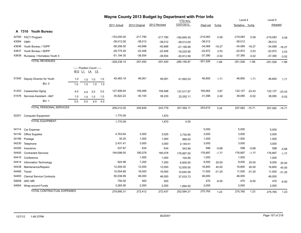|       |                                   |     |         |                            |     | Wayne County 2013 Budget by Department with Prior Info |               |              |                 |            |          |                |          |                |          |
|-------|-----------------------------------|-----|---------|----------------------------|-----|--------------------------------------------------------|---------------|--------------|-----------------|------------|----------|----------------|----------|----------------|----------|
|       |                                   |     |         |                            |     |                                                        |               |              | <b>YTD</b> thru |            |          | Level 4        |          | Level 5        |          |
|       |                                   |     |         |                            |     | 2011 Actual                                            | 2012 Original | 2012 Revised | 12/07/2012      | Dept est   | %chg     | Tentative %chg |          | Adopted        |          |
|       | A 7310 Youth Bureau               |     |         |                            |     |                                                        |               |              |                 |            |          |                |          |                |          |
|       | 42760 FACT Program                |     |         |                            |     | $-153,000.00$                                          | $-217,790$    | $-217,790$   | $-165,849.35$   | -219,083   | 0.59     | $-219,083$     | 0.59     | $-219,083$     | 0.59     |
| 43584 | OMH                               |     |         |                            |     | $-38,012.00$                                           | $-38,012$     | $-38,012$    | $-38,012.00$    | $-38,012$  |          | $-38,012$      |          | $-38,012$      |          |
| 43836 | Youth Bureau / YDPP               |     |         |                            |     | $-56,256.50$                                           | $-40,688$     | $-40,688$    | $-27,156.99$    | $-34,069$  | $-16.27$ | $-34,069$      | $-16.27$ | $-34,069$      | $-16.27$ |
| 43837 | Youth Bureau / SDPP               |     |         |                            |     | $-29,775.29$                                           | $-22,406$     | $-22,406$    | $-18,225.95$    | $-22,972$  | 2.53     | $-22,972$      | 2.53     | $-22,972$      | 2.53     |
| 43839 | Runaway / Homeless Youth II       |     |         |                            |     | $-51,194.35$                                           | $-38,554$     | $-38,554$    | $-30,912.58$    | $-37,390$  | $-3.02$  | $-37,390$      | $-3.02$  | $-37,390$      | $-3.02$  |
|       | <b>TOTAL REVENUES</b>             |     |         |                            |     | $-328,238.14$                                          | $-357,450$    | $-357,450$   | $-280, 156.87$  | $-351,526$ | $-1.66$  | $-351,526$     | $-1.66$  | $-351,526$     | $-1.66$  |
|       |                                   |     |         | ----- Position Count ----- |     |                                                        |               |              |                 |            |          |                |          |                |          |
|       |                                   |     |         | B12 L1 L4 L5               |     |                                                        |               |              |                 |            |          |                |          |                |          |
|       | 51540 Deputy Director for Youth   | 1.0 | 1.0     | 1.0                        | 1.0 | 45,483.19                                              | 46,061        | 46,061       | 41,992.03       | 46,850     | 1.71     | 46,850         | 1.71     | 46,850         | 1.71     |
|       | <b>BU: 0</b>                      | 1.0 | 1.0     | 1.0                        | 1.0 |                                                        |               |              |                 |            |          |                |          |                |          |
| 51253 | Caseworker Aging                  | 4.0 | 4.0     | 3.0                        | 3.0 | 127,906.64                                             | 159,488       | 159,488      | 137,517.97      | 165,662    | 3.87     | 122,127        | $-23.43$ | 122,127        | $-23.43$ |
| 51576 | Services Assistant - A&Y          | 1.0 |         | $1.0$ 1.0                  | 1.0 | 35,822.22                                              | 40,100        | 38,230       | 22,052.11       | 41,098     | 2.49     | 38,085         | $-5.02$  | 38,085         | $-5.02$  |
|       | <b>BU: 1</b>                      | 5.0 | $5.0\,$ | 4.0                        | 4.0 |                                                        |               |              |                 |            |          |                |          |                |          |
|       | <b>TOTAL PERSONAL SERVICES</b>    |     |         |                            |     | 209,212.05                                             | 245,649       | 243,779      | 201,562.11      | 253,610    | 3.24     | 207,062 -15.71 |          | 207,062 -15.71 |          |
| 52201 | <b>Computer Equipment</b>         |     |         |                            |     | 1,770.09                                               |               | 1,870        |                 |            |          |                |          |                |          |
|       | <b>TOTAL EQUIPMENT</b>            |     |         |                            |     | 1,770.09                                               |               | 1,870        | 0.00            |            |          |                |          |                |          |
| 54114 | Car Expense                       |     |         |                            |     |                                                        |               |              |                 | 5,000      |          | 5,000          |          | 5,000          |          |
| 54150 | Office Supplies                   |     |         |                            |     | 4,763.64                                               | 3,000         | 3,025        | 3,730.95        | 3,000      |          | 3,000          |          | 3,000          |          |
| 54166 | Postage                           |     |         |                            |     | 30.20                                                  | 1,000         | 1,000        | 989.00          | 1,000      |          | 1,000          |          | 1,000          |          |
| 54230 | Telephone                         |     |         |                            |     | 2,431.41                                               | 3,000         | 3,000        | 2,149.51        | 3,000      |          | 3,000          |          | 3,000          |          |
| 54300 | Insurance                         |     |         |                            |     | 537.87                                                 | 634           | 634          | 543.99          | 598        | $-5.68$  | 598            | $-5.68$  | 598            | $-5.68$  |
| 54400 | <b>Contracted Services</b>        |     |         |                            |     | 194,698.00                                             | 180,078       | 180,078      | 176,897.00      | 176,897    | $-1.77$  | 176,897        | $-1.77$  | 176,897        | $-1.77$  |
| 54410 | Conference                        |     |         |                            |     |                                                        | 1,000         | 1,000        | 104.95          | 1,000      |          | 1,000          |          | 1,000          |          |
| 54414 | Information Technology            |     |         |                            |     | 924.96                                                 | 7,200         | 7,200        | 6,600.00        | 9,000      | 25.00    | 9,000          | 25.00    | 9,000          | 25.00    |
| 54438 | Maintenance/Repairs               |     |         |                            |     | 12,000.00                                              | 12,000        | 12,000       | 12,000.00       | 16,800     | 40.00    | 16,800         | 40.00    | 16,800         | 40.00    |
| 54485 | Travel                            |     |         |                            |     | 10,554.68                                              | 16,000        | 16,000       | 10,640.58       | 11,000     | $-31.25$ | 11,000         | $-31.25$ | 11,000         | $-31.25$ |
| 54493 | <b>Clerical Service Contracts</b> |     |         |                            |     | 50,038.99                                              | 46,000        | 46,000       | 37,033.73       | 46,000     |          | 46,000         |          | 46,000         |          |
| 54608 | <b>ARC MR</b>                     |     |         |                            |     | 750.00                                                 | 500           | 500          |                 | 470        | $-6.00$  | 470            | $-6.00$  | 470            | $-6.00$  |
|       | 54654 Wrap-around Funds           |     |         |                            |     | 3,265.56                                               | 2,000         | 2,000        | 1,894.50        | 2,000      |          | 2,000          |          | 2,000          |          |
|       | <b>TOTAL CONTRACTUAL EXPENSES</b> |     |         |                            |     | 279.995.31                                             | 272,412       | 272,437      | 252.584.21      | 275,765    | 1.23     | 275,765        | 1.23     | 275,765        | 1.23     |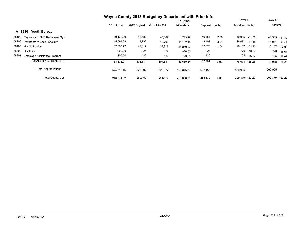|                                      | Wayne County 2013 Budget by Department with Prior Info |               |              |                 |          |          |                |          |                |          |
|--------------------------------------|--------------------------------------------------------|---------------|--------------|-----------------|----------|----------|----------------|----------|----------------|----------|
|                                      |                                                        |               |              | <b>YTD thru</b> |          |          | Level 4        |          | Level 5        |          |
|                                      | 2011 Actual                                            | 2012 Original | 2012 Revised | 12/07/2012      | Dept est | $%$ chg  | Tentative %chg |          | <b>Adopted</b> |          |
| Youth Bureau<br>A 7310               |                                                        |               |              |                 |          |          |                |          |                |          |
| 58100 Payments to NYS Retirement Sys | 29,138.00                                              | 46,182        | 46,182       | 1,783.28        | 49,454   | 7.09     | 40,965         | -11.30   | 40,965         | $-11.30$ |
| 58200 Payments to Social Security    | 15,594.29                                              | 18,792        | 18,792       | 15,102.15       | 19,401   | 3.24     | 16,071         | $-14.48$ | 16,071         | $-14.48$ |
| 58400 Hospitalization                | 37,600.72                                              | 42,817        | 38,817       | 31,840.82       | 37,876   | $-11.54$ | 20,167         | $-52.90$ | 20,167         | $-52.90$ |
| 58600 Disability                     | 902.00                                                 | 924           | 924          | 820.00          | 924      |          | 770            | $-16.67$ | 770            | $-16.67$ |
| 58901<br>Employee Assistance Program | 100.00                                                 | 126           | 126          | 123.29          | 126      |          | 105            | $-16.67$ | 105            | $-16.67$ |
| <b>TOTAL FRINGE BENEFITS</b>         | 83,335.01                                              | 108,841       | 104,841      | 49,669.54       | 107,781  | $-0.97$  | 78,078         | -28.26   | 78,078         | $-28.26$ |
| <b>Total Appropriations</b>          | 574.312.46                                             | 626,902       | 622,927      | 503.815.86      | 637,156  |          | 560,905        |          | 560,905        |          |
| <b>Total County Cost</b>             | 246,074.32                                             | 269,452       | 265.477      | 223,658.99      | 285,630  | 6.00     | 209,379        | $-22.29$ | 209,379        | $-22.29$ |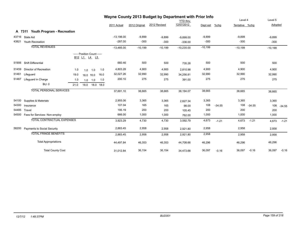|       | Wayne County 2013 Budget by Department with Prior Info |      |                                            |     |           |              |               |              |              |           |          |                |          |           |          |
|-------|--------------------------------------------------------|------|--------------------------------------------|-----|-----------|--------------|---------------|--------------|--------------|-----------|----------|----------------|----------|-----------|----------|
|       |                                                        |      |                                            |     |           |              |               |              | YTD thru     |           |          | Level 4        |          | Level 5   |          |
|       |                                                        |      |                                            |     |           | 2011 Actual  | 2012 Original | 2012 Revised | 12/07/2012   | Dept est  | $%$ chg  | Tentative %chg |          | Adopted   |          |
|       | A 7311 Youth Program - Recreation                      |      |                                            |     |           |              |               |              |              |           |          |                |          |           |          |
| 43716 | State Aid                                              |      |                                            |     |           | $-13,198.00$ | $-9,899$      | $-9,899$     | $-9,899.00$  | $-9,899$  |          | $-9,899$       |          | $-9,899$  |          |
| 43821 | Youth Recreation                                       |      |                                            |     |           | $-287.00$    | $-300$        | $-300$       | $-336.00$    | $-300$    |          | $-300$         |          | $-300$    |          |
|       | <b>TOTAL REVENUES</b>                                  |      |                                            |     |           | $-13,485.00$ | $-10,199$     | $-10,199$    | $-10,235.00$ | $-10,199$ |          | $-10,199$      |          | $-10,199$ |          |
|       |                                                        |      | ----- Position Count -----<br>B12 L1 L4 L5 |     |           |              |               |              |              |           |          |                |          |           |          |
| 51906 | Shift Differential                                     |      |                                            |     |           | 660.46       | 500           | 500          | 735.28       | 500       |          | 500            |          | 500       |          |
| 51459 | Director of Recreation                                 | 1.0  | 1.0                                        | 1.0 | 1.0       | 4,803.28     | 4,900         | 4,900        | 2,810.98     | 4,900     |          | 4,900          |          | 4,900     |          |
| 51461 | Lifeguard                                              | 19.0 | 16.0 16.0                                  |     | 16.0      | 32,027.26    | 32,990        | 32,990       | 34,256.81    | 32,990    |          | 32,990         |          | 32,990    |          |
| 51467 | Lifeguard in Charge                                    | 1.0  | $1.0$ 1.0                                  |     | 1.0       | 200.10       | 275           | 275          | 391.00       | 275       |          | 275            |          | 275       |          |
|       | <b>BU: 0</b>                                           | 21.0 | 18.0                                       |     | 18.0 18.0 |              |               |              |              |           |          |                |          |           |          |
|       | <b>TOTAL PERSONAL SERVICES</b>                         |      |                                            |     |           | 37,691.10    | 38,665        | 38,665       | 38,194.07    | 38,665    |          | 38,665         |          | 38,665    |          |
| 54100 | Supplies & Materials                                   |      |                                            |     |           | 2,955.06     | 3,365         | 3,365        | 2,627.34     | 3,365     |          | 3,365          |          | 3,365     |          |
| 54300 | Insurance                                              |      |                                            |     |           | 107.04       | 165           | 165          | 98.00        | 108       | $-34.55$ | 108            | $-34.55$ | 108       | $-34.55$ |
| 54485 | Travel                                                 |      |                                            |     |           | 195.19       | 200           | 200          | 105.45       | 200       |          | 200            |          | 200       |          |
| 54500 | Fees for Services- Non-employ                          |      |                                            |     |           | 666.00       | 1,000         | 1,000        | 762.00       | 1,000     |          | 1,000          |          | 1,000     |          |
|       | <b>TOTAL CONTRACTUAL EXPENSES</b>                      |      |                                            |     |           | 3,923.29     | 4,730         | 4,730        | 3,592.79     | 4,673     | $-1.21$  | 4,673          | $-1.21$  | 4,673     | $-1.21$  |
| 58200 | <b>Payments to Social Security</b>                     |      |                                            |     |           | 2,883.45     | 2,958         | 2,958        | 2,921.80     | 2,958     |          | 2,958          |          | 2,958     |          |
|       | <b>TOTAL FRINGE BENEFITS</b>                           |      |                                            |     |           | 2,883.45     | 2,958         | 2,958        | 2,921.80     | 2,958     |          | 2,958          |          | 2,958     |          |
|       | <b>Total Appropriations</b>                            |      |                                            |     |           | 44,497.84    | 46,353        | 46,353       | 44,708.66    | 46,296    |          | 46,296         |          | 46,296    |          |
|       | <b>Total County Cost</b>                               |      |                                            |     |           | 31,012.84    | 36,154        | 36,154       | 34,473.66    | 36,097    | $-0.16$  | 36,097         | $-0.16$  | 36,097    | $-0.16$  |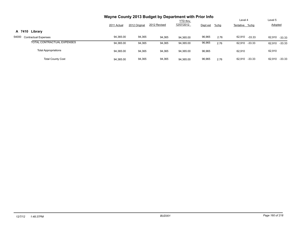|                                      |             |               | Wayne County 2013 Budget by Department with Prior Info |                 |          |         |                  |                    |
|--------------------------------------|-------------|---------------|--------------------------------------------------------|-----------------|----------|---------|------------------|--------------------|
|                                      |             |               |                                                        | <b>YTD</b> thru |          |         | Level 4          | Level 5            |
|                                      | 2011 Actual | 2012 Original | 2012 Revised                                           | 12/07/2012      | Dept est | $%$ chg | Tentative %chg   | <b>Adopted</b>     |
| A 7410 Library                       |             |               |                                                        |                 |          |         |                  |                    |
| 54000<br><b>Contractual Expenses</b> | 94,365.00   | 94,365        | 94,365                                                 | 94.365.00       | 96,965   | 2.76    | 62,910 -33.33    | 62,910<br>$-33.33$ |
| TOTAL CONTRACTUAL EXPENSES           | 94,365.00   | 94,365        | 94,365                                                 | 94.365.00       | 96,965   | 2.76    | 62,910 -33.33    | 62,910<br>-33.33   |
| <b>Total Appropriations</b>          | 94,365.00   | 94,365        | 94,365                                                 | 94,365.00       | 96,965   |         | 62.910           | 62,910             |
| <b>Total County Cost</b>             | 94,365.00   | 94,365        | 94,365                                                 | 94.365.00       | 96,965   | 2.76    | 62.910<br>-33.33 | 62,910<br>$-33.33$ |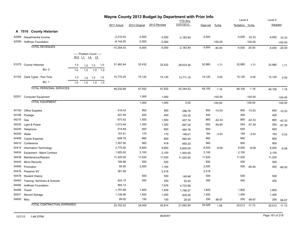|            |                                                | Wayne County 2013 Budget by Department with Prior Info<br><b>YTD</b> thru |     |                                                                                            |     |              |               |              | Level 4     |          | Level 5   |                |               |          |                 |
|------------|------------------------------------------------|---------------------------------------------------------------------------|-----|--------------------------------------------------------------------------------------------|-----|--------------|---------------|--------------|-------------|----------|-----------|----------------|---------------|----------|-----------------|
|            |                                                |                                                                           |     |                                                                                            |     | 2011 Actual  | 2012 Original | 2012 Revised | 12/07/2012  | Dept est | %chg      | Tentative %chg |               | Adopted  |                 |
|            | A 7510 County Historian                        |                                                                           |     |                                                                                            |     |              |               |              |             |          |           |                |               |          |                 |
| 42089      | Departmental Income                            |                                                                           |     |                                                                                            |     | $-2,210.53$  | $-3,000$      | $-3,000$     | $-2,183.90$ | $-3,000$ |           | $-4,000$       | 33.33         | $-4,000$ | 33.33           |
|            | 42090 Hoffman Foundation                       |                                                                           |     |                                                                                            |     | $-8,144.00$  | $-2,000$      | $-2,000$     |             |          | $-100.00$ |                | $-100.00$     |          | $-100.00$       |
|            | <b>TOTAL REVENUES</b>                          |                                                                           |     |                                                                                            |     | $-10,354.53$ | $-5,000$      | $-5,000$     | $-2,183.90$ | $-3,000$ | $-40.00$  | $-4,000$       | $-20.00$      |          | $-4,000 -20.00$ |
|            |                                                |                                                                           |     | ----- Position Count -----<br>B <sub>12</sub> L <sub>1</sub> L <sub>4</sub> L <sub>5</sub> |     |              |               |              |             |          |           |                |               |          |                 |
|            | 51075 County Historian                         | 1.0                                                                       | 1.0 | 1.0                                                                                        | 1.0 | 31,462.44    | 32,432        | 32,432       | 28,633.36   | 32,985   | 1.71      | 32,985         | 1.71          | 32,985   | 1.71            |
|            | <b>BU: 0</b>                                   | 1.0                                                                       | 1.0 | 1.0                                                                                        | 1.0 |              |               |              |             |          |           |                |               |          |                 |
|            |                                                |                                                                           |     |                                                                                            |     |              |               |              |             |          |           |                |               |          |                 |
|            | 51105 Clerk Typist - Part Time<br><b>BU: 1</b> | 1.0                                                                       | 1.0 | 1.0                                                                                        | 1.0 | 14,770.25    | 15,120        | 15,120       | 13,711.16   | 15,120   | 0.00      | 15,120         | 0.00          | 15,120   | 0.00            |
|            |                                                | 1.0                                                                       | 1.0 | 1.0                                                                                        | 1.0 |              |               |              |             |          |           |                |               |          |                 |
|            | <b>TOTAL PERSONAL SERVICES</b>                 |                                                                           |     |                                                                                            |     | 46,232.69    | 47,552        | 47,552       | 42,344.52   | 48,105   | 1.16      | 48,105         | 1.16          | 48,105   | 1.16            |
|            | 52201 Computer Equipment                       |                                                                           |     |                                                                                            |     |              | 1,000         | 1,000        |             |          | $-100.00$ |                | $-100.00$     |          | $-100.00$       |
|            | <b>TOTAL EQUIPMENT</b>                         |                                                                           |     |                                                                                            |     |              | 1,000         | 1,000        | 0.00        |          |           |                | $-100.00$     |          | $-100.00$       |
|            |                                                |                                                                           |     |                                                                                            |     |              |               |              |             |          | $-100.00$ |                |               |          |                 |
| 54150      | <b>Office Supplies</b>                         |                                                                           |     |                                                                                            |     | 419.42       | 950           | 950          | 296.76      | 850      | $-10.53$  | 850            | $-10.53$      |          | 850 -10.53      |
| 54166      | Postage                                        |                                                                           |     |                                                                                            |     | 207.49       | 400           | 400          | 152.35      | 400      |           | 400            |               | 400      |                 |
| 54210 Gas  |                                                |                                                                           |     |                                                                                            |     | 673.42       | 1,500         | 1,500        | 457.74      | 865      | $-42.33$  | 865            | $-42.33$      | 865      | $-42.33$        |
| 54220      | Light & Power                                  |                                                                           |     |                                                                                            |     | 1,013.49     | 1,300         | 1,300        | 687.04      | 652      | $-49.85$  | 554            | $-57.38$      | 554      | $-57.38$        |
| 54230      | Telephone                                      |                                                                           |     |                                                                                            |     | 514.69       | 600           | 600          | 484.79      | 600      |           | 600            |               | 600      |                 |
|            | 54240 Water                                    |                                                                           |     |                                                                                            |     | 107.61       | 170           | 170          | 146.61      | 164      | $-3.53$   | 164            | $-3.53$       | 164      | $-3.53$         |
| 54408      | Copier Expense                                 |                                                                           |     |                                                                                            |     | 609.76       | 660           | 660          | 565.00      | 660      |           | 660            |               | 660      |                 |
| 54410      | Conference                                     |                                                                           |     |                                                                                            |     | 1,357.50     | 900           | 918          | 659.20      | 900      |           | 900            |               | 900      |                 |
| 54414      | Information Technology                         |                                                                           |     |                                                                                            |     | 2,775.00     | 6,600         | 6,600        | 6,600.00    | 6,000    | $-9.09$   | 6,000          | $-9.09$       | 6,000    | $-9.09$         |
| 54424      | Equipment - Maint Contract                     |                                                                           |     |                                                                                            |     | 1,920.00     | 2,100         | 2,100        | 1,920.00    | 2,100    |           | 2,100          |               | 2,100    |                 |
| 54438      | Maintenance/Repairs                            |                                                                           |     |                                                                                            |     | 11,520.00    | 11,520        | 11,520       | 11,520.00   | 11,520   |           | 11,520         |               | 11,520   |                 |
| 54442      | Micro Records                                  |                                                                           |     |                                                                                            |     | 169.98       | 500           | 500          |             | 500      |           | 500            |               | 500      |                 |
| 54460      | Promotion                                      |                                                                           |     |                                                                                            |     | 50.00        | 2,500         | 1,164        |             | 2,500    |           | 500            | $-80.00$      | 500      | $-80.00$        |
| 54476      | Preserve NY                                    |                                                                           |     |                                                                                            |     | 381.90       |               | 2,418        |             | 2,418    |           |                |               |          |                 |
| 54478      | <b>Student History</b>                         |                                                                           |     |                                                                                            |     |              | 500           | 500          | 149.96      | 500      |           | 500            |               | 500      |                 |
| 54483      | Training- Seminars & Schools                   |                                                                           |     |                                                                                            |     | 424.10       | 450           | 450          | 35.00       | 450      |           | 450            |               | 450      |                 |
| 54484      | <b>Hoffman Foundation</b>                      |                                                                           |     |                                                                                            |     | 565.12       |               | 7,676        | 4,733.88    |          |           |                |               |          |                 |
| 54485      | Travel                                         |                                                                           |     |                                                                                            |     | 1,757.68     | 1,800         | 1,839        | 1,796.57    | 1,800    |           | 1,800          |               | 1,800    |                 |
| 54521      | Record Storage                                 |                                                                           |     |                                                                                            |     | 1,146.06     | 1,400         | 1,400        | 830.00      | 1,400    |           | 1,400          |               | 1,400    |                 |
| 54600 Misc |                                                |                                                                           |     |                                                                                            |     | 89.00        | 150           | 150          | 28.00       | 250      | 66.67     | 250            | 66.67         | 250      | 66.67           |
|            | TOTAL CONTRACTUAL EXPENSES                     |                                                                           |     |                                                                                            |     | 25,702.22    | 34,000        | 42,814       | 31,062.90   | 34,529   | 1.56      |                | 30,013 -11.73 |          | 30,013 -11.73   |
|            |                                                |                                                                           |     |                                                                                            |     |              |               |              |             |          |           |                |               |          |                 |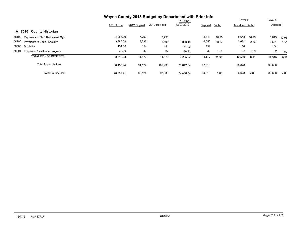|                                             | Wayne County 2013 Budget by Department with Prior Info | Level 4       |              | Level 5                       |          |         |                |         |         |         |
|---------------------------------------------|--------------------------------------------------------|---------------|--------------|-------------------------------|----------|---------|----------------|---------|---------|---------|
|                                             | 2011 Actual                                            | 2012 Original | 2012 Revised | <b>YTD thru</b><br>12/07/2012 | Dept est | $%$ chg | Tentative %chg |         | Adopted |         |
| <b>County Historian</b><br>A 7510           |                                                        |               |              |                               |          |         |                |         |         |         |
| 58100 Payments to NYS Retirement Sys        | 4,955.00                                               | 7,790         | 7,790        |                               | 8,643    | 10.95   | 8,643          | 10.95   | 8,643   | 10.95   |
| 58200 Payments to Social Security           | 3,380.03                                               | 3,596         | 3,596        | 3,063.40                      | 6,050    | 68.23   | 3,681          | 2.36    | 3,681   | 2.36    |
| 58600 Disability                            | 154.00                                                 | 154           | 154          | 141.00                        | 154      |         | 154            |         | 154     |         |
| 58901<br><b>Employee Assistance Program</b> | 30.00                                                  | 32            | 32           | 30.82                         | 32       | 1.59    | 32             | 1.59    | 32      | 1.59    |
| <b>TOTAL FRINGE BENEFITS</b>                | 8,519.03                                               | 11,572        | 11,572       | 3,235.22                      | 14,879   | 28.58   | 12,510         | 8.11    | 12,510  | 8.11    |
| <b>Total Appropriations</b>                 | 80,453.94                                              | 94,124        | 102,938      | 76.642.64                     | 97,513   |         | 90,628         |         | 90,628  |         |
| <b>Total County Cost</b>                    | 70.099.41                                              | 89,124        | 97,938       | 74.458.74                     | 94,513   | 6.05    | 86,628         | $-2.80$ | 86,628  | $-2.80$ |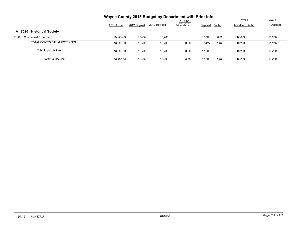|                                      | Wayne County 2013 Budget by Department with Prior Info |               |              |                 |          |         |                |         |
|--------------------------------------|--------------------------------------------------------|---------------|--------------|-----------------|----------|---------|----------------|---------|
|                                      |                                                        |               |              | <b>YTD thru</b> |          |         | Level 4        | Level 5 |
|                                      | 2011 Actual                                            | 2012 Original | 2012 Revised | 12/07/2012      | Dept est | $%$ chg | Tentative %chg | Adopted |
| <b>Historical Society</b><br>A 7520  |                                                        |               |              |                 |          |         |                |         |
| 54000<br><b>Contractual Expenses</b> | 16,200.00                                              | 16,200        | 16.200       |                 | 17,500   | 8.02    | 16,200         | 16,200  |
| TOTAL CONTRACTUAL EXPENSES           | 16,200.00                                              | 16,200        | 16,200       | 0.00            | 17,500   | 8.02    | 16,200         | 16,200  |
| <b>Total Appropriations</b>          | 16,200.00                                              | 16,200        | 16,200       | 0.00            | 17,500   |         | 16,200         | 16,200  |
| <b>Total County Cost</b>             | 16.200.00                                              | 16,200        | 16,200       | 0.00            | 17,500   | 8.02    | 16,200         | 16,200  |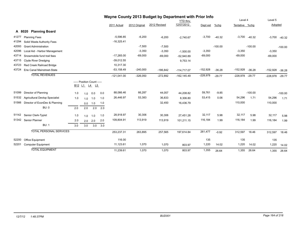|       |                                       | Wayne County 2013 Budget by Department with Prior Info |                            |                 |     |               |               |              |                |            |           |                |           |            |           |
|-------|---------------------------------------|--------------------------------------------------------|----------------------------|-----------------|-----|---------------|---------------|--------------|----------------|------------|-----------|----------------|-----------|------------|-----------|
|       |                                       |                                                        |                            |                 |     |               |               |              | YTD thru       |            |           | Level 4        |           | Level 5    |           |
|       |                                       |                                                        |                            |                 |     | 2011 Actual   | 2012 Original | 2012 Revised | 12/07/2012     | Dept est   | $%$ chg   | Tentative %chq |           | Adopted    |           |
|       | A 8020<br><b>Planning Board</b>       |                                                        |                            |                 |     |               |               |              |                |            |           |                |           |            |           |
| 41277 | <b>Planning Fees</b>                  |                                                        |                            |                 |     | $-5,596.85$   | $-6,200$      | $-6,200$     | $-2,740.67$    | $-3,700$   | $-40.32$  | $-3,700$       | $-40.32$  | $-3,700$   | $-40.32$  |
| 41294 | Solid Waste Authority Fees            |                                                        |                            |                 |     | $-16,325.41$  |               |              |                |            |           |                |           |            |           |
| 42093 | <b>Grant Administration</b>           |                                                        |                            |                 |     |               | $-7,500$      | $-7,500$     |                |            | $-100.00$ |                | $-100.00$ |            | $-100.00$ |
| 42096 | Local Aid - Harbor Management         |                                                        |                            |                 |     |               | $-3,350$      | $-3,350$     | $-1,500.00$    | $-3,350$   |           | $-3,350$       |           | $-3,350$   |           |
| 43714 | Snowmobile fund trail fees            |                                                        |                            |                 |     | $-17,265.00$  | $-69,000$     | $-69,000$    | $-52.940.89$   | $-69,000$  |           | $-69,000$      |           | $-69,000$  |           |
| 43715 | <b>Clyde River Dredging</b>           |                                                        |                            |                 |     | $-39,012.55$  |               |              | 9,753.14       |            |           |                |           |            |           |
| 43723 | Red Creek Railroad Bridge             |                                                        |                            |                 |     | 10,317.30     |               |              |                |            |           |                |           |            |           |
| 43724 | Erie Canal Mainstreet-State           |                                                        |                            |                 |     | $-53,158.49$  | $-240,000$    | $-186,842$   | $-114,717.07$  | $-152,928$ | $-36.28$  | $-152,928$     | $-36.28$  | $-152,928$ | $-36.28$  |
|       | <b>TOTAL REVENUES</b>                 |                                                        |                            |                 |     | $-121,041.00$ | $-326,050$    | $-272,892$   | $-162, 145.49$ | $-228,978$ | $-29.77$  | $-228,978$     | $-29.77$  | $-228,978$ | $-29.77$  |
|       |                                       | B <sub>12</sub> L <sub>1</sub>                         | ----- Position Count ----- | <u>L4</u><br>L5 |     |               |               |              |                |            |           |                |           |            |           |
| 51099 | Director of Planning                  | 1.0                                                    | 1.0                        | 0.0             | 0.0 | 88,066.46     | 66,287        | 44,057       | 44,208.82      | 59,761     | $-9.85$   |                | $-100.00$ |            | $-100.00$ |
| 51532 | <b>Agricultural Devlop Specialist</b> | 1.0                                                    | 1.0                        | 1.0             | 1.0 | 26,446.97     | 53,383        | 36,833       | 8,306.80       | 53,415     | 0.06      | 54,296         | 1.71      | 54,296     | 1.71      |
| 51566 | Director of EconDev & Planning        |                                                        | 0.0                        | 1.0             | 1.0 |               |               | 32,450       | 16,436.79      |            |           | 110,000        |           | 110,000    |           |
|       | <b>BU: 0</b>                          | 2.0                                                    | 2.0                        | 2.0             | 2.0 |               |               |              |                |            |           |                |           |            |           |
| 51142 | Senior Clerk-Typist                   | 1.0                                                    | 1.0                        | 1.0             | 1.0 | 28,918.97     | 30,306        | 30,306       | 27,451.28      | 32,117     | 5.98      | 32,117         | 5.98      | 32,117     | 5.98      |
| 51342 | Senior Planner                        | 2.0                                                    | 2.0                        | 2.0             | 2.0 | 109,804.91    | 113,919       | 113,919      | 101,211.15     | 116,184    | 1.99      | 116,184        | 1.99      | 116,184    | 1.99      |
|       | <b>BU: 1</b>                          | 3.0                                                    | 3.0                        | 3.0             | 3.0 |               |               |              |                |            |           |                |           |            |           |
|       | <b>TOTAL PERSONAL SERVICES</b>        |                                                        |                            |                 |     | 253,237.31    | 263,895       | 257,565      | 197,614.84     | 261,477    | $-0.92$   | 312,597        | 18.46     | 312,597    | 18.46     |
| 52200 | Office Equipment                      |                                                        |                            |                 |     | 116.00        |               |              |                | 135        |           | 135            |           | 135        |           |
| 52201 | <b>Computer Equipment</b>             |                                                        |                            |                 |     | 11,123.61     | 1,070         | 1,070        | 803.97         | 1,220      | 14.02     | 1,220          | 14.02     | 1,220      | 14.02     |
|       | <b>TOTAL EQUIPMENT</b>                |                                                        |                            |                 |     | 11,239.61     | 1,070         | 1,070        | 803.97         | 1,355      | 26.64     | 1,355          | 26.64     | 1,355      | 26.64     |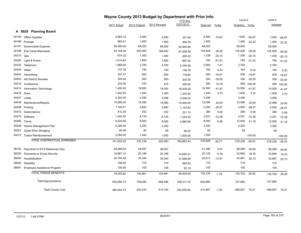|       |                                |             | Wayne County 2013 Budget by Department with Prior Info |              |                 |          |          |                |           |         |           |
|-------|--------------------------------|-------------|--------------------------------------------------------|--------------|-----------------|----------|----------|----------------|-----------|---------|-----------|
|       |                                |             |                                                        |              | <b>YTD</b> thru |          |          | Level 4        |           | Level 5 |           |
|       |                                | 2011 Actual | 2012 Original                                          | 2012 Revised | 12/07/2012      | Dept est | $%$ chg  | Tentative %chg |           | Adopted |           |
|       | A 8020 Planning Board          |             |                                                        |              |                 |          |          |                |           |         |           |
| 54150 | <b>Office Supplies</b>         | 3,983.15    | 3,000                                                  | 3,000        | 321.48          | 2,500    | $-16.67$ | 1,000          | $-66.67$  | 1,000   | $-66.67$  |
| 54166 | Postage                        | 683.51      | 1,800                                                  | 1,800        | 464.78          | 1,800    |          | 1,400          | $-22.22$  | 1,400   | $-22.22$  |
| 54191 | Snowmobile Expense             | 59,090.00   | 69,000                                                 | 69,000       | 52,940.89       | 69,000   |          | 69,000         |           | 69,000  |           |
| 54196 | <b>Erie Canal Mainstreet</b>   | 53,158.49   | 240,000                                                | 186,842      | 61,558.58       | 152,928  | $-36.28$ | 152,928        | $-36.28$  | 152,928 | $-36.28$  |
| 54210 | Gas                            | 674.22      | 1,300                                                  | 1,300        | 458.22          | 1,038    | $-20.15$ | 1,038          | $-20.15$  | 1,038   | $-20.15$  |
| 54220 | Light & Power                  | 1,014.64    | 1,600                                                  | 1,600        | 687.92          | 784      | $-51.03$ | 784            | $-51.03$  | 784     | $-51.03$  |
| 54230 | Telephone                      | 1,969.95    | 2,700                                                  | 2,700        | 2,245.46        | 2,900    | 7.41     | 2,700          |           | 2,700   |           |
| 54240 | Water                          | 107.76      | 150                                                    | 150          | 146.79          | 164      | 9.33     | 164            | 9.33      | 164     | 9.33      |
|       | 54402 Advertising              | 337.47      | 600                                                    | 600          | 119.60          | 500      | $-16.67$ | 500            | $-16.67$  | 500     | $-16.67$  |
| 54403 | <b>AG District Reviews</b>     | 305.64      | 500                                                    | 500          | 202.05          | 350      | $-30.00$ | 350            | $-30.00$  | 350     | $-30.00$  |
| 54410 | Conference                     | 275.00      | 475                                                    | 475          | 265.00          | 550      | 15.79    | 950            | 100.00    | 950     | 100.00    |
| 54414 | Information Technology         | 7,400.00    | 18,000                                                 | 18,000       | 18,000.00       | 10,500   | $-41.67$ | 10,500         | $-41.67$  | 10,500  | $-41.67$  |
| 54418 | Dues                           | 1,342.00    | 1,350                                                  | 1,350        | 1,353.00        | 1,400    | 3.70     | 1,400          | 3.70      | 1,400   | 3.70      |
| 54437 | Lease                          | 2,304.00    | 3,456                                                  | 3,456        | 3,456.00        | 3,456    |          | 3,456          |           | 3,456   |           |
| 54438 | Maintenance/Repairs            | 10,080.00   | 10,080                                                 | 10,080       | 10,080.00       | 12,096   | 20.00    | 12,096         | 20.00     | 12,096  | 20.00     |
| 54456 | Printing                       | 1,165.01    | 2,800                                                  | 2,800        | 1,142.62        | 2,000    | $-28.57$ | 2,000          | $-28.57$  | 2,000   | $-28.57$  |
| 54472 | Subscriptions                  | 410.28      | 252                                                    | 252          | 221.10          | 266      | 5.56     | 266            | 5.56      | 266     | 5.56      |
| 54475 | Software                       | 1,452.00    | 8,150                                                  | 8,150        | 1,224.00        | 2,251    | $-72.38$ | 2,251          | $-72.38$  | 2,251   | $-72.38$  |
| 54485 | Travel                         | 8,425.08    | 8,500                                                  | 8,500        | 4,880.95        | 8,000    | $-5.88$  | 12,000         | 41.18     | 12,000  | 41.18     |
| 54548 | Harbor Management Plan         | 5,280.00    | 3,350                                                  | 3,350        |                 | 3,350    |          | 3,350          |           | 3,350   |           |
| 54551 | <b>Clyde River Dredging</b>    | 95.00       | 95                                                     | 95           | 95.00           | 95       |          | 95             |           | 95      |           |
|       | 54572 Tuition Reimbursement    | 2,000.00    | 1,000                                                  | 1,000        | 1,000.00        | 1,000    |          |                | $-100.00$ |         | $-100.00$ |
|       | TOTAL CONTRACTUAL EXPENSES     | 161,553.20  | 378,158                                                | 325,000      | 160,863.44      | 276,928  | $-26.77$ | 278,228        | $-26.43$  | 278,228 | $-26.43$  |
| 58100 | Payments to NYS Retirement Sys | 28,588.00   | 48,557                                                 | 48,557       |                 | 51,308   | 5.67     | 68,269         | 40.60     | 68,269  | 40.60     |
| 58200 | Payments to Social Security    | 18,867.14   | 20,189                                                 | 20,189       | 14,690.21       | 20,129   | $-0.30$  | 23,894         | 18.35     | 23,894  | 18.35     |
| 58400 | Hospitalization                | 30,794.48   | 35,340                                                 | 35,340       | 31,566.68       | 30,813   | $-12.81$ | 42,667         | 20.73     | 42,667  | 20.73     |
| 58600 | <b>Disability</b>              | 706.00      | 770                                                    | 770          | 590.00          | 770      |          | 770            |           | 770     |           |
| 58901 | Employee Assistance Program    | 100.00      | 105                                                    | 105          | 82.19           | 105      |          | 105            |           | 105     |           |
|       | <b>TOTAL FRINGE BENEFITS</b>   | 79,055.62   | 104,961                                                | 104,961      | 46,929.08       | 103,125  | $-1.75$  | 135,705        | 29.29     | 135,705 | 29.29     |
|       | <b>Total Appropriations</b>    | 505,085.74  | 748,084                                                | 688,596      | 406,211.33      | 642,885  |          | 727,885        |           | 727,885 |           |
|       | <b>Total County Cost</b>       | 384,044.74  | 422,034                                                | 415,704      | 244.065.84      | 413,907  | $-1.93$  | 498,907        | 18.21     | 498,907 | 18.21     |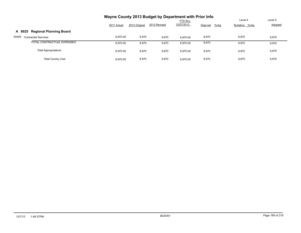|                                          |             |               | Wayne County 2013 Budget by Department with Prior Info | <b>YTD thru</b> |                     | Level 4        | Level 5        |
|------------------------------------------|-------------|---------------|--------------------------------------------------------|-----------------|---------------------|----------------|----------------|
|                                          | 2011 Actual | 2012 Original | 2012 Revised                                           | 12/07/2012      | Dept est<br>$%$ chg | Tentative %chg | <b>Adopted</b> |
| <b>Regional Planning Board</b><br>A 8025 |             |               |                                                        |                 |                     |                |                |
| 54400<br><b>Contracted Services</b>      | 9.970.00    | 9,970         | 9,970                                                  | 9.970.00        | 9,970               | 9,970          | 9,970          |
| TOTAL CONTRACTUAL EXPENSES               | 9.970.00    | 9,970         | 9,970                                                  | 9.970.00        | 9,970               | 9.970          | 9,970          |
| <b>Total Appropriations</b>              | 9.970.00    | 9,970         | 9,970                                                  | 9.970.00        | 9,970               | 9,970          | 9,970          |
| <b>Total County Cost</b>                 | 9.970.00    | 9,970         | 9,970                                                  | 9.970.00        | 9,970               | 9,970          | 9,970          |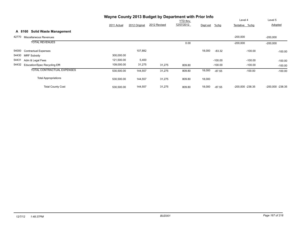|                                               | Wayne County 2013 Budget by Department with Prior Info |               |              |            |          |           |                  |                  |
|-----------------------------------------------|--------------------------------------------------------|---------------|--------------|------------|----------|-----------|------------------|------------------|
|                                               |                                                        |               |              | YTD thru   |          |           | Level 4          | Level 5          |
|                                               | 2011 Actual                                            | 2012 Original | 2012 Revised | 12/07/2012 | Dept est | $%$ chg   | Tentative %chg   | Adopted          |
| <b>Solid Waste Management</b><br>A 8160       |                                                        |               |              |            |          |           |                  |                  |
| 42770<br>Miscellaneous Revenues               |                                                        |               |              |            |          |           | $-200,000$       | $-200,000$       |
| <b>TOTAL REVENUES</b>                         |                                                        |               |              | 0.00       |          |           | $-200,000$       | $-200,000$       |
| 54000<br><b>Contractual Expenses</b>          |                                                        | 107,882       |              |            | 18,000   | $-83.32$  | $-100.00$        | $-100.00$        |
| 54430<br><b>MRF Subsidy</b>                   | 300,000.00                                             |               |              |            |          |           |                  |                  |
| 54431<br>Adm & Legal Fees                     | 121,500.00                                             | 5,400         |              |            |          | $-100.00$ | $-100.00$        | $-100.00$        |
| 54432<br><b>Education/Spec Recycling Efft</b> | 109,000.00                                             | 31,275        | 31,275       | 809.80     |          | $-100.00$ | $-100.00$        | $-100.00$        |
| <b>TOTAL CONTRACTUAL EXPENSES</b>             | 530,500.00                                             | 144,557       | 31,275       | 809.80     | 18,000   | $-87.55$  | $-100.00$        | $-100.00$        |
| <b>Total Appropriations</b>                   | 530,500.00                                             | 144,557       | 31,275       | 809.80     | 18,000   |           |                  |                  |
| <b>Total County Cost</b>                      | 530,500.00                                             | 144,557       | 31,275       | 809.80     | 18,000   | $-87.55$  | -200,000 -238.35 | -200,000 -238.35 |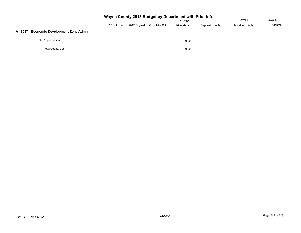|                                                 | Wayne County 2013 Budget by Department with Prior Info |               |              |            |                  |                |         |  |  |  |  |  |
|-------------------------------------------------|--------------------------------------------------------|---------------|--------------|------------|------------------|----------------|---------|--|--|--|--|--|
|                                                 |                                                        |               | Level 4      | Level 5    |                  |                |         |  |  |  |  |  |
|                                                 | 2011 Actual                                            | 2012 Original | 2012 Revised | 12/07/2012 | %chg<br>Dept est | Tentative %chg | Adopted |  |  |  |  |  |
| <b>Economic Development Zone Admn</b><br>A 8687 |                                                        |               |              |            |                  |                |         |  |  |  |  |  |
| <b>Total Appropriations</b>                     |                                                        |               |              | 0.00       |                  |                |         |  |  |  |  |  |
| <b>Total County Cost</b>                        |                                                        |               |              | 0.00       |                  |                |         |  |  |  |  |  |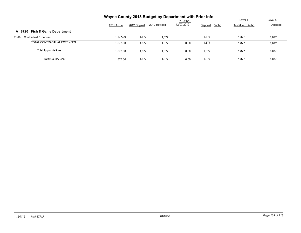|                                      | Wayne County 2013 Budget by Department with Prior Info |               |              |                 |                     |                |         |
|--------------------------------------|--------------------------------------------------------|---------------|--------------|-----------------|---------------------|----------------|---------|
|                                      |                                                        |               |              | <b>YTD thru</b> |                     | Level 4        | Level 5 |
|                                      | 2011 Actual                                            | 2012 Original | 2012 Revised | 12/07/2012      | $%$ chg<br>Dept est | Tentative %chg | Adopted |
| A 8720 Fish & Game Department        |                                                        |               |              |                 |                     |                |         |
| 54000<br><b>Contractual Expenses</b> | 1.877.00                                               | 1,877         | 1.877        |                 | 1,877               | 1,877          | 1,877   |
| TOTAL CONTRACTUAL EXPENSES           | 1.877.00                                               | 1,877         | 1,877        | 0.00            | 1,877               | 1,877          | 1,877   |
| <b>Total Appropriations</b>          | 1,877.00                                               | 1,877         | 1,877        | 0.00            | 1,877               | 1,877          | 1,877   |
| <b>Total County Cost</b>             | 1.877.00                                               | 1,877         | 1.877        | 0.00            | 1,877               | 1,877          | 1,877   |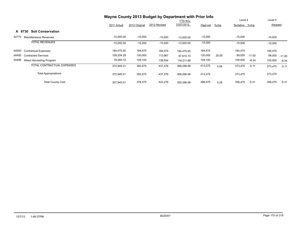|                                      | Wayne County 2013 Budget by Department with Prior Info |               |              |                 |           |         |                |          |           |          |
|--------------------------------------|--------------------------------------------------------|---------------|--------------|-----------------|-----------|---------|----------------|----------|-----------|----------|
|                                      |                                                        |               |              | <b>YTD</b> thru |           |         | Level 4        |          | Level 5   |          |
|                                      | 2011 Actual                                            | 2012 Original | 2012 Revised | 12/07/2012      | Dept est  | $%$ chg | Tentative %chq |          | Adopted   |          |
| <b>Soil Conservation</b><br>A 8730   |                                                        |               |              |                 |           |         |                |          |           |          |
| 42770<br>Miscellaneous Revenues      | $-15,000.00$                                           | $-15,000$     | $-15,000$    | $-13.000.00$    | $-15,000$ |         | $-15,000$      |          | $-15,000$ |          |
| <b>TOTAL REVENUES</b>                | $-15,000.00$                                           | $-15,000$     | $-15,000$    | $-13,000.00$    | $-15,000$ |         | $-15,000$      |          | $-15,000$ |          |
| 54000<br><b>Contractual Expenses</b> | 184,475.00                                             | 184,475       | 184,475      | 184.475.00      | 184,475   |         | 184,475        |          | 184,475   |          |
| 54400<br><b>Contracted Services</b>  | 109,204.29                                             | 100,000       | 113,867      | 67.610.10       | 120,000   | 20.00   | 89,000         | $-11.00$ | 89,000    | $-11.00$ |
| 54496<br>Weed Harvesting Program     | 79,265.72                                              | 109,100       | 138,934      | 116,211.89      | 109,100   |         | 100,000        | $-8.34$  | 100,000   | $-8.34$  |
| TOTAL CONTRACTUAL EXPENSES           | 372,945.01                                             | 393,575       | 437,276      | 368,296.99      | 413,575   | 5.08    | 373,475        | $-5.11$  | 373,475   | $-5.11$  |
| <b>Total Appropriations</b>          | 372,945.01                                             | 393,575       | 437,276      | 368,296.99      | 413,575   |         | 373,475        |          | 373,475   |          |
| <b>Total County Cost</b>             | 357,945.01                                             | 378,575       | 422,276      | 355.296.99      | 398,575   | 5.28    | 358,475        | $-5.31$  | 358,475   | $-5.31$  |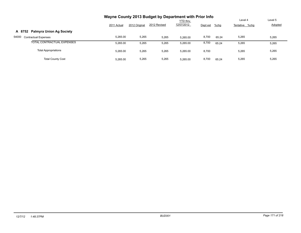|                                      | Wayne County 2013 Budget by Department with Prior Info |               |              |                 |          |         |                |         |
|--------------------------------------|--------------------------------------------------------|---------------|--------------|-----------------|----------|---------|----------------|---------|
|                                      |                                                        |               |              | <b>YTD thru</b> |          |         | Level 4        | Level 5 |
|                                      | 2011 Actual                                            | 2012 Original | 2012 Revised | 12/07/2012      | Dept est | $%$ chg | Tentative %chg | Adopted |
| A 8752 Palmyra Union Ag Society      |                                                        |               |              |                 |          |         |                |         |
| 54000<br><b>Contractual Expenses</b> | 5.265.00                                               | 5,265         | 5,265        | 5.265.00        | 8,700    | 65.24   | 5,265          | 5,265   |
| TOTAL CONTRACTUAL EXPENSES           | 5.265.00                                               | 5,265         | 5,265        | 5.265.00        | 8,700    | 65.24   | 5,265          | 5,265   |
| <b>Total Appropriations</b>          | 5.265.00                                               | 5,265         | 5,265        | 5,265.00        | 8,700    |         | 5,265          | 5,265   |
| <b>Total County Cost</b>             | 5.265.00                                               | 5,265         | 5,265        | 5.265.00        | 8,700    | 65.24   | 5,265          | 5,265   |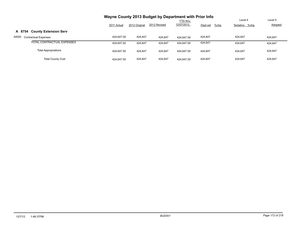|                                      |             |               |              | <b>YTD thru</b> |                     | Level 4        | Level 5 |
|--------------------------------------|-------------|---------------|--------------|-----------------|---------------------|----------------|---------|
|                                      | 2011 Actual | 2012 Original | 2012 Revised | 12/07/2012      | $%$ chg<br>Dept est | Tentative %chg | Adopted |
| A 8754 County Extension Serv         |             |               |              |                 |                     |                |         |
| 54000<br><b>Contractual Expenses</b> | 424.647.00  | 424,647       | 424.647      | 424.647.00      | 424,647             | 424,647        | 424.647 |
| TOTAL CONTRACTUAL EXPENSES           | 424.647.00  | 424.647       | 424.647      | 424.647.00      | 424.647             | 424.647        | 424.647 |
| <b>Total Appropriations</b>          | 424.647.00  | 424.647       | 424.647      | 424.647.00      | 424.647             | 424.647        | 424,647 |
| <b>Total County Cost</b>             | 424.647.00  | 424.647       | 424.647      | 424.647.00      | 424.647             | 424.647        | 424.647 |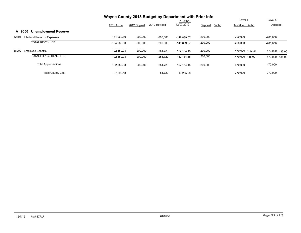|                                       | Wayne County 2013 Budget by Department with Prior Info |               |              |                 |                     |                |                   |
|---------------------------------------|--------------------------------------------------------|---------------|--------------|-----------------|---------------------|----------------|-------------------|
|                                       |                                                        |               |              | <b>YTD thru</b> |                     | Level 4        | Level 5           |
|                                       | 2011 Actual                                            | 2012 Original | 2012 Revised | 12/07/2012      | Dept est<br>$%$ chg | Tentative %chg | Adopted           |
| <b>Unemployment Reserve</b><br>A 9050 |                                                        |               |              |                 |                     |                |                   |
| 42801<br>Interfund Reimb of Expenses  | $-154,969.80$                                          | $-200,000$    | $-200,000$   | $-148.889.07$   | $-200,000$          | $-200,000$     | $-200,000$        |
| <b>TOTAL REVENUES</b>                 | -154,969.80                                            | $-200,000$    | $-200,000$   | $-148,889.07$   | $-200,000$          | $-200,000$     | $-200.000$        |
| 58000<br><b>Employee Benefits</b>     | 192,859.93                                             | 200,000       | 251,729      | 162.154.15      | 200,000             | 470,000 135.00 | 470,000<br>135.00 |
| <b>TOTAL FRINGE BENEFITS</b>          | 192,859.93                                             | 200,000       | 251,729      | 162,154.15      | 200,000             | 470.000 135.00 | 135.00<br>470,000 |
| <b>Total Appropriations</b>           | 192.859.93                                             | 200,000       | 251,729      | 162.154.15      | 200,000             | 470,000        | 470,000           |
| <b>Total County Cost</b>              | 37,890.13                                              |               | 51,729       | 13.265.08       |                     | 270,000        | 270,000           |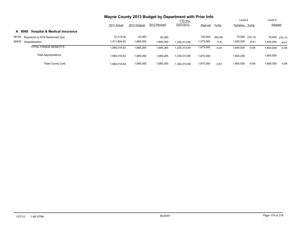|                                                   | Wayne County 2013 Budget by Department with Prior Info |               |              |                 |           |         |                |               |                |         |
|---------------------------------------------------|--------------------------------------------------------|---------------|--------------|-----------------|-----------|---------|----------------|---------------|----------------|---------|
|                                                   |                                                        |               |              | <b>YTD thru</b> |           |         | Level 4        |               | Level 5        |         |
|                                                   | 2011 Actual                                            | 2012 Original | 2012 Revised | 12/07/2012      | Dept est  | $%$ chg | Tentative %chg |               | <b>Adopted</b> |         |
| <b>Hospital &amp; Medical Insurance</b><br>A 9060 |                                                        |               |              |                 |           |         |                |               |                |         |
| 58100<br>Payments to NYS Retirement Sys           | 72.214.00                                              | 20,265        | 20.265       |                 | 100,000   | 393.46  |                | 75,000 270.10 | 75,000 270.10  |         |
| 58400<br>Hospitalization                          | 1,511,804.62                                           | 1,665,000     | 1,665,000    | 1.330.313.69    | 1,575,000 | $-5.41$ | 1,525,000      | $-8.41$       | 1,525,000      | $-8.41$ |
| <b>TOTAL FRINGE BENEFITS</b>                      | 1,584,018.62                                           | 1,685,265     | 1,685,265    | 330,313.69      | 1,675,000 | $-0.61$ | 1,600,000      | $-5.06$       | 1,600,000      | $-5.06$ |
| <b>Total Appropriations</b>                       | 1.584.018.62                                           | 1.685.265     | 1.685.265    | 1.330.313.69    | 1,675,000 |         | 1,600,000      |               | 000,000,1      |         |
| <b>Total County Cost</b>                          | 1.584.018.62                                           | 1,685,265     | 1,685,265    | 1.330.313.69    | 1,675,000 | $-0.61$ | 1,600,000      | $-5.06$       | 1,600,000      | $-5.06$ |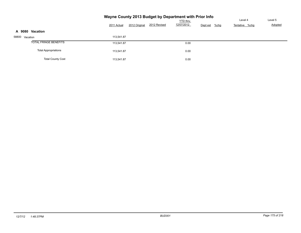|                              |             |               | Wayne County 2013 Budget by Department with Prior Info |                               | Level 4             | Level 5        |         |
|------------------------------|-------------|---------------|--------------------------------------------------------|-------------------------------|---------------------|----------------|---------|
|                              | 2011 Actual | 2012 Original | 2012 Revised                                           | <b>YTD thru</b><br>12/07/2012 | $%$ chg<br>Dept est | Tentative %chg | Adopted |
| Vacation<br>A 9080           |             |               |                                                        |                               |                     |                |         |
| 58800 Vacation               | 113,541.87  |               |                                                        |                               |                     |                |         |
| <b>TOTAL FRINGE BENEFITS</b> | 113,541.87  |               |                                                        | 0.00                          |                     |                |         |
| <b>Total Appropriations</b>  | 113,541.87  |               |                                                        | 0.00                          |                     |                |         |
| <b>Total County Cost</b>     | 113,541.87  |               |                                                        | 0.00                          |                     |                |         |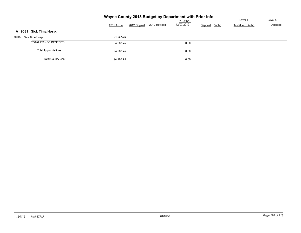|                              | Wayne County 2013 Budget by Department with Prior Info |               |              |            |                     |                |         |
|------------------------------|--------------------------------------------------------|---------------|--------------|------------|---------------------|----------------|---------|
|                              |                                                        |               |              |            | Level 4             | Level 5        |         |
|                              | 2011 Actual                                            | 2012 Original | 2012 Revised | 12/07/2012 | $%$ chg<br>Dept est | Tentative %chg | Adopted |
| Sick Time/Hosp.<br>A 9081    |                                                        |               |              |            |                     |                |         |
| 58802 Sick Time/Hosp.        | 94,267.75                                              |               |              |            |                     |                |         |
| <b>TOTAL FRINGE BENEFITS</b> | 94.267.75                                              |               |              | 0.00       |                     |                |         |
| <b>Total Appropriations</b>  | 94,267.75                                              |               |              | 0.00       |                     |                |         |
| <b>Total County Cost</b>     | 94.267.75                                              |               |              | 0.00       |                     |                |         |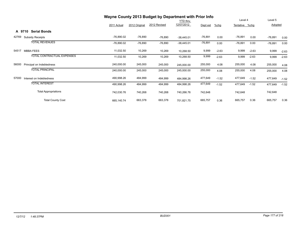|       |                               |              |               | Wayne County 2013 Budget by Department with Prior Info |                 |           |         |                |         |           |         |
|-------|-------------------------------|--------------|---------------|--------------------------------------------------------|-----------------|-----------|---------|----------------|---------|-----------|---------|
|       |                               |              |               |                                                        | <b>YTD</b> thru |           |         | Level 4        |         | Level 5   |         |
|       |                               | 2011 Actual  | 2012 Original | 2012 Revised                                           | 12/07/2012      | Dept est  | $%$ chg | Tentative %chg |         | Adopted   |         |
|       | <b>Serial Bonds</b><br>A 9710 |              |               |                                                        |                 |           |         |                |         |           |         |
| 42769 | <b>Subsidy Receipts</b>       | $-76,890.02$ | $-76,890$     | $-76,890$                                              | $-38,445.01$    | $-76,891$ | 0.00    | $-76,891$      | 0.00    | $-76,891$ | 0.00    |
|       | <b>TOTAL REVENUES</b>         | $-76,890.02$ | $-76,890$     | $-76,890$                                              | $-38,445.01$    | $-76,891$ | 0.00    | $-76,891$      | 0.00    | $-76,891$ | 0.00    |
| 54517 | <b>MBBA FEES</b>              | 11,032.50    | 10,269        | 10,269                                                 | 10,268.50       | 9,999     | $-2.63$ | 9,999          | $-2.63$ | 9,999     | $-2.63$ |
|       | TOTAL CONTRACTUAL EXPENSES    | 11,032.50    | 10,269        | 10,269                                                 | 10,268.50       | 9,999     | $-2.63$ | 9,999          | $-2.63$ | 9,999     | $-2.63$ |
| 56000 | Principal on Indebtedness     | 240,000.00   | 245,000       | 245,000                                                | 245,000.00      | 255,000   | 4.08    | 255,000        | 4.08    | 255,000   | 4.08    |
|       | <b>TOTAL PRINCIPAL</b>        | 240,000.00   | 245,000       | 245,000                                                | 245,000.00      | 255,000   | 4.08    | 255,000        | 4.08    | 255,000   | 4.08    |
| 57000 | Interest on Indebtedness      | 490,998.26   | 484,999       | 484,999                                                | 484,998.26      | 477,649   | $-1.52$ | 477,649        | $-1.52$ | 477,649   | $-1.52$ |
|       | <b>TOTAL INTEREST</b>         | 490,998.26   | 484,999       | 484,999                                                | 484,998.26      | 477,649   | $-1.52$ | 477,649        | $-1.52$ | 477,649   | $-1.52$ |
|       | <b>Total Appropriations</b>   | 742,030.76   | 740,268       | 740,268                                                | 740,266.76      | 742,648   |         | 742,648        |         | 742,648   |         |
|       | <b>Total County Cost</b>      | 665,140.74   | 663,378       | 663,378                                                | 701,821.75      | 665,757   | 0.36    | 665,757        | 0.36    | 665,757   | 0.36    |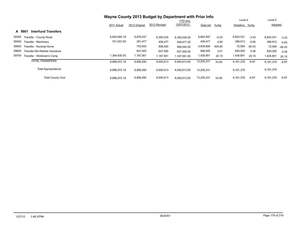|                                        | Wayne County 2013 Budget by Department with Prior Info |               |              |              |            |         |                |          |                |          |
|----------------------------------------|--------------------------------------------------------|---------------|--------------|--------------|------------|---------|----------------|----------|----------------|----------|
|                                        |                                                        |               | Level 4      |              | Level 5    |         |                |          |                |          |
|                                        | 2011 Actual                                            | 2012 Original | 2012 Revised | 12/07/2012   | Dept est   | %chg    | Tentative %chq |          | <b>Adopted</b> |          |
| A 9901<br><b>Interfund Transfers</b>   |                                                        |               |              |              |            |         |                |          |                |          |
| 59300<br>Transfer - County Road        | 6,830,580.19                                           | 6,879,247     | 6,350,035    | 6,350,035.00 | 6,863,597  | $-0.23$ | 6,643,531      | $-3.43$  | 6,643,531      | $-3.43$  |
| 59400<br>Transfer - Machinery          | 701,557.00                                             | 391,477       | 409,477      | 409.477.00   | 409,477    | 4.60    | 388,913        | $-0.65$  | 388,913        | $-0.65$  |
| 59500<br>Transfer - Nursing Home       |                                                        | 753,000       | 906,540      | 906.540.00   | 3,838,806  | 409.80  | 72,084         | $-90.43$ | 72,084         | $-90.43$ |
| 59600<br>Transfer-NH-Retiree Insurance |                                                        | 647,000       | 647,000      | 647,000.00   | 666,500    | 3.01    | 650,000        | 0.46     | 650,000        | 0.46     |
| 59700<br>Transfer - Workmen's Comp     | 1,364,835.00                                           | 1,187,561     | 1,187,561    | 1,187,561.00 | 1,426,851  | 20.15   | 1,426,851      | 20.15    | 1,426,851      | 20.15    |
| <b>TOTAL TRANSFERS</b>                 | 8,896,972.19                                           | 9,858,285     | 9,500,613    | 9,500,613.00 | 13,205,231 | 33.95   | 9,181,379      | $-6.87$  | 9,181,379      | $-6.87$  |
| <b>Total Appropriations</b>            | 8,896,972.19                                           | 9,858,285     | 9,500,613    | 9,500,613.00 | 13,205,231 |         | 9,181,379      |          | 9,181,379      |          |
| <b>Total County Cost</b>               | 8.896.972.19                                           | 9,858,285     | 9,500,613    | 9.500.613.00 | 13,205,231 | 33.95   | 9,181,379      | $-6.87$  | 9,181,379      | $-6.87$  |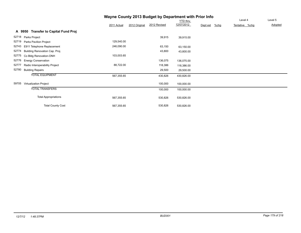## **Wayne County 2013 Budget by Department with Prior Info**

|       |                                      |             |               |              | <b>YTD</b> thru |          |         | Level 4        | Level 5 |
|-------|--------------------------------------|-------------|---------------|--------------|-----------------|----------|---------|----------------|---------|
|       |                                      | 2011 Actual | 2012 Original | 2012 Revised | 12/07/2012      | Dept est | $%$ chg | Tentative %chg | Adopted |
|       | A 9950 Transfer to Capital Fund Proj |             |               |              |                 |          |         |                |         |
| 52718 | Parks Project                        |             |               | 39,915       | 39,915.00       |          |         |                |         |
| 52719 | Parks Pavilion Project               | 129,540.00  |               |              |                 |          |         |                |         |
| 52743 | E911 Telephone Replacement           | 246,090.00  |               | 63,150       | 63,150.00       |          |         |                |         |
| 52774 | Building Renovation Cap. Proj.       |             |               | 43,800       | 43,800.00       |          |         |                |         |
| 52775 | Co Bldg Renovation-ONH               | 103,003.65  |               |              |                 |          |         |                |         |
| 52776 | <b>Energy Conservation</b>           |             |               | 136,075      | 136,075.00      |          |         |                |         |
| 52777 | Radio Interoperability Project       | 88,722.00   |               | 118,386      | 118,386.00      |          |         |                |         |
| 52780 | <b>Building Repairs</b>              |             |               | 29,500       | 29,500.00       |          |         |                |         |
|       | <b>TOTAL EQUIPMENT</b>               | 567,355.65  |               | 430,826      | 430,826.00      |          |         |                |         |
| 59705 | <b>Virtualization Project</b>        |             |               | 100,000      | 100,000.00      |          |         |                |         |
|       | <b>TOTAL TRANSFERS</b>               |             |               | 100,000      | 100,000.00      |          |         |                |         |
|       | <b>Total Appropriations</b>          | 567,355.65  |               | 530,826      | 530,826.00      |          |         |                |         |
|       | <b>Total County Cost</b>             | 567,355.65  |               | 530,826      | 530,826.00      |          |         |                |         |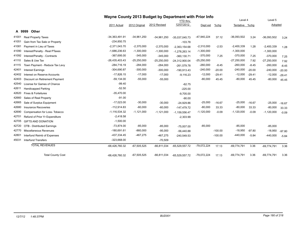|        |                                | Wayne County 2013 Budget by Department with Prior Info |               |               |                  |               |           |                |          |               |          |
|--------|--------------------------------|--------------------------------------------------------|---------------|---------------|------------------|---------------|-----------|----------------|----------|---------------|----------|
|        |                                |                                                        |               |               | <b>YTD thru</b>  |               |           | Level 4        |          | Level 5       |          |
|        |                                | 2011 Actual                                            | 2012 Original | 2012 Revised  | 12/07/2012       | Dept est      | $%$ chg   | Tentative %chg |          | Adopted       |          |
| A 9999 | Other                          |                                                        |               |               |                  |               |           |                |          |               |          |
| 41001  | <b>Real Property Taxes</b>     | $-34,363,491.91$                                       | $-34,961,250$ | $-34,961,250$ | $-35,037,045.73$ | -47,940,224   | 37.12     | $-36,093,502$  | 3.24     | $-36,093,502$ | 3.24     |
| 41051  | Gain from Tax Sale or Property | $-234,850.75$                                          |               |               | $-103.78$        |               |           |                |          |               |          |
| 41081  | Payment in Lieu of Taxes       | $-2,371,043.70$                                        | $-2,370,000$  | $-2,370,000$  | $-2,363,154.68$  | $-2,310,000$  | $-2.53$   | $-2,400,339$   | 1.28     | $-2,400,339$  | 1.28     |
| 41090  | Interest/Penalty - Real PTaxes | $-1,686,236.63$                                        | $-1,300,000$  | $-1,300,000$  | $-1,278,263.14$  | $-1,300,000$  |           | $-1,300,000$   |          | $-1,300,000$  |          |
| 41092  | Interest/Penalty - Contracts   | $-367,695.00$                                          | $-345,000$    | $-345,000$    | $-360, 130.71$   | $-370,000$    | 7.25      | $-370,000$     | 7.25     | $-370,000$    | 7.25     |
| 41110  | Sales & Use Tax                | $-26,435,403.43$                                       | $-25,250,000$ | $-25,250,000$ | -24,312,900.04   | $-25,250,000$ |           | $-27,250,000$  | 7.92     | $-27,250,000$ | 7.92     |
| 41115  | Town Payment - Reduce Tax Levy | $-284,716.19$                                          | $-284,000$    | $-284,000$    | $-261,579.78$    | $-260,000$    | $-8.45$   | $-260,000$     | $-8.45$  | $-260,000$    | $-8.45$  |
| 42401  | <b>Interest Earnings</b>       | $-304,690.87$                                          | $-300,000$    | $-300,000$    | $-190,913.43$    | $-240,000$    | $-20.00$  | $-240,000$     | $-20.00$ | $-240,000$    | $-20.00$ |
| 42402  | Interest on Reserve Accounts   | $-17,826.15$                                           | $-17,000$     | $-17,000$     | $-9,116.23$      | $-12,000$     | $-29.41$  | $-12,000$      | $-29.41$ | $-12,000$     | $-29.41$ |
| 42403  | Discount on Retirement Payment | $-59,134.00$                                           | $-55,000$     | $-55,000$     |                  | $-80,000$     | 45.45     | $-80,000$      | 45.45    | $-80,000$     | 45.45    |
| 42540  | License for Games of Chance    | $-99.40$                                               |               |               | $-62.75$         |               |           |                |          |               |          |
| 42611  | <b>Handicapped Parking</b>     | $-52.50$                                               |               |               | $-225.00$        |               |           |                |          |               |          |
| 42620  | Fines & Forteitures            | $-35,470.00$                                           |               |               | $-9,705.00$      |               |           |                |          |               |          |
| 42660  | Sales of Real Property         | $-91.00$                                               |               |               | $-90.00$         |               |           |                |          |               |          |
| 42665  | Sale of Surplus Equipment      | $-17,023.00$                                           | $-30,000$     | $-30,000$     | $-24,929.86$     | $-25,000$     | $-16.67$  | $-25,000$      | $-16.67$ | $-25,000$     | $-16.67$ |
| 42680  | <b>Insurance Recoveries</b>    | $-112,914.83$                                          | $-60,000$     | $-60,000$     | $-147.479.72$    | $-80,000$     | 33.33     | $-80,000$      | 33.33    | $-80,000$     | 33.33    |
| 42690  | Compensation for Loss-Tobacco  | $-1,116,534.32$                                        | $-1,121,000$  | $-1,121,000$  | $-1,159,556.47$  | $-1,120,000$  | $-0.09$   | $-1,120,000$   | $-0.09$  | $-1,120,000$  | $-0.09$  |
| 42701  | Refund of Prior Yr Expenditure | $-2,418.58$                                            |               |               | $-2,303.99$      |               |           |                |          |               |          |
| 42705  | <b>GIFTS AND DONATION</b>      | $-1,500.00$                                            |               |               |                  |               |           |                |          |               |          |
| 42720  | OTB - Distributed Earnings     | $-73,874.00$                                           | $-85,000$     | $-85,000$     | $-75,007.00$     | $-85,000$     |           | $-85,000$      |          | $-85,000$     |          |
| 42770  | <b>Miscellaneous Revenues</b>  | $-180,691.61$                                          | $-860,000$    | $-95,000$     | $-56,440.88$     |               | $-100.00$ | $-18,950$      | $-97.80$ | $-18,950$     | $-97.80$ |
| 42801  | Interfund Reimb of Expenses    | -437,334.45                                            | $-467,275$    | $-467,275$    | $-240,549.53$    |               | $-100.00$ | $-440,000$     | $-5.84$  | $-440,000$    | $-5.84$  |
| 45031  | <b>Interfund Transfers</b>     | $-323,668.00$                                          |               | $-70,509$     |                  |               |           |                |          |               |          |
|        | <b>TOTAL REVENUES</b>          | -68,426,760.32                                         | $-67,505,525$ | $-66,811,034$ | $-65,529,557.72$ | $-79,072,224$ | 17.13     | $-69,774,791$  | 3.36     | $-69,774,791$ | 3.36     |
|        | <b>Total County Cost</b>       | -68,426,760.32                                         | $-67,505,525$ | $-66,811,034$ | $-65,529,557.72$ | $-79,072,224$ | 17.13     | $-69,774,791$  | 3.36     | $-69,774,791$ | 3.36     |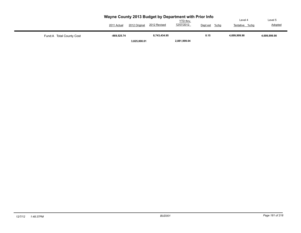|                           | 2011 Actual   | 2012 Original | Wayne County 2013 Budget by Department with Prior Info<br>2012 Revised | <b>YTD</b> thru<br>12/07/2012 | Dept est<br>%chg | Level 4<br>%chq<br>Tentative | Level 5<br>Adopted |
|---------------------------|---------------|---------------|------------------------------------------------------------------------|-------------------------------|------------------|------------------------------|--------------------|
| Fund: A Total County Cost | $-869,525.74$ |               | 8,743,434.95                                                           |                               | 0.15             | 4.699.999.90                 | 4,699,999.90       |
|                           |               | 3,825,000.01  |                                                                        | 2,881,999.04                  |                  |                              |                    |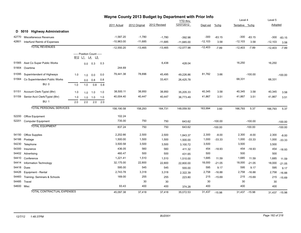|       |                                   |                                |                            |                 |     |              |               | Wayne County 2013 Budget by Department with Prior Info |                 |           |           |                |           |           |               |
|-------|-----------------------------------|--------------------------------|----------------------------|-----------------|-----|--------------|---------------|--------------------------------------------------------|-----------------|-----------|-----------|----------------|-----------|-----------|---------------|
|       |                                   |                                |                            |                 |     |              |               |                                                        | <b>YTD</b> thru |           |           | Level 4        |           | Level 5   |               |
|       |                                   |                                |                            |                 |     | 2011 Actual  | 2012 Original | 2012 Revised                                           | 12/07/2012      | Dept est  | $%$ chg   | Tentative %chg |           | Adopted   |               |
|       | D 5010 Highway Administration     |                                |                            |                 |     |              |               |                                                        |                 |           |           |                |           |           |               |
| 42770 | Miscellaneous Revenues            |                                |                            |                 |     | $-1,587.20$  | $-1,780$      | $-1,780$                                               | $-392.98$       | $-300$    | $-83.15$  | $-300$         | $-83.15$  | $-300$    | $-83.15$      |
| 42801 | Interfund Reimb of Expenses       |                                |                            |                 |     | $-10,963.00$ | $-11,685$     | $-11,685$                                              | $-11,685.00$    | $-12,103$ | 3.58      | $-12,103$      | 3.58      | $-12,103$ | 3.58          |
|       | <b>TOTAL REVENUES</b>             |                                |                            |                 |     | $-12,550.20$ | $-13,465$     | $-13,465$                                              | $-12,077.98$    | $-12,403$ | $-7.89$   | $-12,403$      | $-7.89$   | $-12,403$ | $-7.89$       |
|       |                                   |                                | ----- Position Count ----- |                 |     |              |               |                                                        |                 |           |           |                |           |           |               |
|       |                                   | B <sub>12</sub> L <sub>1</sub> |                            | <u>L4</u><br>L5 |     |              |               |                                                        |                 |           |           |                |           |           |               |
| 51565 | Asst Co Super Public Works        |                                | 0.0                        | 0.3             | 0.3 |              |               | 6,438                                                  | 428.04          |           |           | 16,250         |           | 16,250    |               |
| 51904 | Overtime                          |                                |                            |                 |     | 244.69       |               |                                                        |                 |           |           |                |           |           |               |
| 51095 | Superintendent of Highways        | 1.0                            | 1.0                        | 0.0             | 0.0 | 79,441.38    | 78,896        | 45,495                                                 | 49,226.86       | 81,782    | 3.66      |                | $-100.00$ |           | $-100.00$     |
| 51564 | Co Superintendent Public Works    |                                | 0.0                        | 0.8             | 0.8 |              |               | 33,401                                                 | 26,425.78       |           |           | 68,331         |           | 68,331    |               |
|       | <b>BU: 0</b>                      | 1.0                            | 1.0                        | 0.8             | 0.8 |              |               |                                                        |                 |           |           |                |           |           |               |
| 51151 | Account Clerk-Typist (8hr)        | 1.0                            | 1.0                        | 1.0             | 1.0 | 38,500.11    | 38,950        | 38,950                                                 | 35,205.33       | 40,345    | 3.58      | 40,345         | 3.58      | 40,345    | 3.58          |
| 51159 | Senior Acct Clerk/Typist (8hr)    | 1.0                            |                            | $1.0$ 1.0       | 1.0 | 40,004.40    | 40,447        | 40,447                                                 | 36,773.49       | 41,867    | 3.51      | 41,867         | 3.51      | 41,867    | 3.51          |
|       | <b>BU: 1</b>                      | 2.0                            | $2.0\,$                    | 2.0             | 2.0 |              |               |                                                        |                 |           |           |                |           |           |               |
|       | <b>TOTAL PERSONAL SERVICES</b>    |                                |                            |                 |     | 158,190.58   | 158,293       | 164,731                                                | 148,059.50      | 163,994   | 3.60      | 166,793        | 5.37      | 166,793   | 5.37          |
| 52200 | Office Equipment                  |                                |                            |                 |     | 102.24       |               |                                                        |                 |           |           |                |           |           |               |
| 52201 | <b>Computer Equipment</b>         |                                |                            |                 |     | 735.00       | 750           | 750                                                    | 643.62          |           | $-100.00$ |                | $-100.00$ |           | $-100.00$     |
|       | <b>TOTAL EQUIPMENT</b>            |                                |                            |                 |     | 837.24       | 750           | 750                                                    | 643.62          |           | $-100.00$ |                | $-100.00$ |           | $-100.00$     |
| 54150 | <b>Office Supplies</b>            |                                |                            |                 |     | 2,202.66     | 2,500         | 2,500                                                  | 1,843.37        | 2,300     | $-8.00$   | 2,300          | $-8.00$   | 2,300     | $-8.00$       |
| 54166 | Postage                           |                                |                            |                 |     | 1,500.00     | 1,500         | 1,500                                                  | 1,500.00        | 1,000     | $-33.33$  | 1,000          | $-33.33$  | 1,000     | $-33.33$      |
| 54230 | Telephone                         |                                |                            |                 |     | 3,500.58     | 3,500         | 3,500                                                  | 3,100.72        | 3,500     |           | 3,500          |           | 3,500     |               |
| 54300 | Insurance                         |                                |                            |                 |     | 436.05       | 560           | 560                                                    | 411.32          | 454       | $-18.93$  | 454            | $-18.93$  | 454       | $-18.93$      |
| 54402 | Advertising                       |                                |                            |                 |     | 460.47       | 500           | 500                                                    | 431.65          | 500       |           | 500            |           | 500       |               |
| 54410 | Conference                        |                                |                            |                 |     | 1,221.41     | 1,510         | 1,510                                                  | 1,510.00        | 1,685     | 11.59     | 1,685          | 11.59     | 1,685     | 11.59         |
| 54414 | Information Technology            |                                |                            |                 |     | 32,175.00    | 22,800        | 22,800                                                 | 22,800.00       | 18,000    | $-21.05$  | 18,000         | $-21.05$  | 18,000    | $-21.05$      |
| 54418 | Dues                              |                                |                            |                 |     | 595.00       | 545           | 545                                                    | 555.00          | 595       | 9.17      | 595            | 9.17      | 595       | 9.17          |
| 54426 | Equipment - Rental                |                                |                            |                 |     | 2,743.78     | 3,318         | 3,318                                                  | 2,322.39        | 2,758     | $-16.88$  | 2,758          | $-16.88$  | 2,758     | $-16.88$      |
| 54483 | Training- Seminars & Schools      |                                |                            |                 |     | 169.00       | 255           | 255                                                    | 223.80          | 215       | $-15.69$  | 215            | $-15.69$  | 215       | $-15.69$      |
| 54485 | Travel                            |                                |                            |                 |     |              | 30            | 30                                                     |                 | 30        |           | 30             |           | 30        |               |
|       | 54600 Misc                        |                                |                            |                 |     | 93.43        | 400           | 400                                                    | 374.28          | 400       |           | 400            |           | 400       |               |
|       | <b>TOTAL CONTRACTUAL EXPENSES</b> |                                |                            |                 |     | 45.097.38    | 37,418        | 37,418                                                 | 35,072.53       | 31,437    | $-15.98$  | 31,437 -15.98  |           |           | 31,437 -15.98 |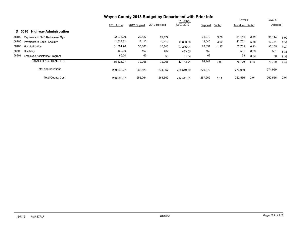|                                         | Wayne County 2013 Budget by Department with Prior Info |               |              |                 |          |         |                |      |         |      |
|-----------------------------------------|--------------------------------------------------------|---------------|--------------|-----------------|----------|---------|----------------|------|---------|------|
|                                         |                                                        |               |              | <b>YTD thru</b> |          |         | Level 4        |      | Level 5 |      |
|                                         | 2011 Actual                                            | 2012 Original | 2012 Revised | 12/07/2012      | Dept est | $%$ chg | Tentative %chg |      | Adopted |      |
| <b>Highway Administration</b><br>D 5010 |                                                        |               |              |                 |          |         |                |      |         |      |
| 58100 Payments to NYS Retirement Sys    | 22,276.00                                              | 29,127        | 29,127       |                 | 31,979   | 9.79    | 31,144         | 6.92 | 31,144  | 6.92 |
| 58200 Payments to Social Security       | 11,533.31                                              | 12,110        | 12,110       | 10,893.06       | 12,546   | 3.60    | 12,761         | 5.38 | 12,761  | 5.38 |
| 58400<br>Hospitalization                | 31,091.76                                              | 30,306        | 30,306       | 29,366.24       | 29,891   | $-1.37$ | 32,255         | 6.43 | 32,255  | 6.43 |
| 58600<br>Disability                     | 462.00                                                 | 462           | 462          | 423.00          | 462      |         | 501            | 8.33 | 501     | 8.33 |
| 58901<br>Employee Assistance Program    | 60.00                                                  | 63            | 63           | 61.64           | 63       |         | 68             | 8.33 | 68      | 8.33 |
| <b>TOTAL FRINGE BENEFITS</b>            | 65,423.07                                              | 72,068        | 72,068       | 40.743.94       | 74,941   | 3.99    | 76,729         | 6.47 | 76,729  | 6.47 |
| <b>Total Appropriations</b>             | 269,548.27                                             | 268,529       | 274,967      | 224,519.59      | 270,372  |         | 274,959        |      | 274,959 |      |
| <b>Total County Cost</b>                | 256.998.07                                             | 255,064       | 261,502      | 212.441.61      | 257,969  | 1.14    | 262,556        | 2.94 | 262,556 | 2.94 |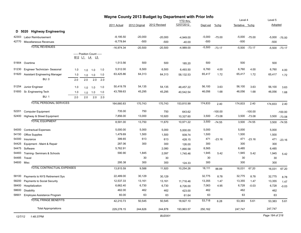|            |                                      |     |                            |             |     |              |               | Wayne County 2013 Budget by Department with Prior Info |                               |          |           | Level 4        |                   | Level 5  |                 |
|------------|--------------------------------------|-----|----------------------------|-------------|-----|--------------|---------------|--------------------------------------------------------|-------------------------------|----------|-----------|----------------|-------------------|----------|-----------------|
|            |                                      |     |                            |             |     | 2011 Actual  | 2012 Original | 2012 Revised                                           | <b>YTD</b> thru<br>12/07/2012 | Dept est | $%$ chg   | Tentative %chg |                   | Adopted  |                 |
|            |                                      |     |                            |             |     |              |               |                                                        |                               |          |           |                |                   |          |                 |
|            | D 5020 Highway Engineering           |     |                            |             |     |              |               |                                                        |                               |          |           |                |                   |          |                 |
| 42303      | Labor Reimbursement                  |     |                            |             |     | $-8,195.50$  | $-20,000$     | $-20,000$                                              | $-4,949.00$                   | $-5,000$ | $-75.00$  |                | $-5,000$ $-75.00$ | $-5,000$ | $-75.00$        |
| 42770      | Miscellaneous Revenues               |     |                            |             |     | $-8,778.84$  | $-500$        | $-500$                                                 | $-40.00$                      | $-500$   |           | $-500$         |                   | $-500$   |                 |
|            | <b>TOTAL REVENUES</b>                |     |                            |             |     | $-16,974.34$ | $-20,500$     | $-20,500$                                              | $-4,989.00$                   | $-5,500$ | $-73.17$  |                | $-5,500 -73.17$   |          | $-5,500 -73.17$ |
|            |                                      |     | ----- Position Count ----- |             |     |              |               |                                                        |                               |          |           |                |                   |          |                 |
|            |                                      |     | <u>B12 L1 L4 L5</u>        |             |     |              |               |                                                        |                               |          |           |                |                   |          |                 |
| 51904      | Overtime                             |     |                            |             |     | 1,513.56     | 500           | 500                                                    | 185.20                        | 500      |           | 500            |                   | 500      |                 |
| 51230      | Engineer Technician- Seasonal        | 1.0 | 1.0                        | 1.0         | 1.0 | 5,512.00     | 6,500         | 6,500                                                  | 6,493.50                      | 6,760    | 4.00      | 6,760          | 4.00              | 6,760    | 4.00            |
| 51920      | <b>Assistant Engineering Manager</b> | 1.0 |                            | $1.0$ $1.0$ | 1.0 | 63,425.86    | 64,313        | 64,313                                                 | 58,132.53                     | 65,417   | 1.72      | 65,417         | 1.72              | 65,417   | 1.72            |
|            | <b>BU: 0</b>                         | 2.0 | 2.0                        | 2.0         | 2.0 |              |               |                                                        |                               |          |           |                |                   |          |                 |
| 51254      | Junior Engineer                      | 1.0 | 1.0                        | 1.0         | 1.0 | 50,419.78    | 54,135        | 54,135                                                 | 48,457.22                     | 56,100   | 3.63      | 56,100         | 3.63              | 56,100   | 3.63            |
| 51693      | Sr. Engineering Tech                 | 1.0 |                            | 1.0         | 1.0 | 43,789.63    | 45,295        | 45,295                                                 | 40,542.54                     | 46,056   | 1.68      | 46,056         | 1.68              | 46,056   | 1.68            |
|            | <b>BU: 1</b>                         | 2.0 | 1.0<br>2.0                 | 2.0         | 2.0 |              |               |                                                        |                               |          |           |                |                   |          |                 |
|            | <b>TOTAL PERSONAL SERVICES</b>       |     |                            |             |     |              |               |                                                        |                               |          |           |                |                   |          |                 |
|            |                                      |     |                            |             |     | 164,660.83   | 170,743       | 170,743                                                | 153,810.99                    | 174,833  | 2.40      | 174,833        | 2.40              | 174,833  | 2.40            |
| 52201      | <b>Computer Equipment</b>            |     |                            |             |     | 735.00       | 750           | 750                                                    | 643.62                        |          | $-100.00$ |                | $-100.00$         |          | $-100.00$       |
| 52400      | Highway & Street Equipment           |     |                            |             |     | 7,856.00     | 13,000        | 10,920                                                 | 10,327.60                     | 3,500    | $-73.08$  |                | 3,500 -73.08      | 3,500    | $-73.08$        |
|            | <b>TOTAL EQUIPMENT</b>               |     |                            |             |     | 8,591.00     | 13,750        | 11,670                                                 | 10,971.22                     | 3,500    | $-74.55$  |                | 3,500 -74.55      | 3,500    | $-74.55$        |
| 54000      | <b>Contractual Expenses</b>          |     |                            |             |     | 5,000.00     | 5,000         | 5,000                                                  | 5,000.00                      | 5,000    |           | 5,000          |                   | 5,000    |                 |
| 54150      | <b>Office Supplies</b>               |     |                            |             |     | 1,479.69     | 1,500         | 1,500                                                  | 939.74                        | 1,500    |           | 1,500          |                   | 1,500    |                 |
| 54300      | Insurance                            |     |                            |             |     | 399.65       | 613           | 613                                                    | 428.15                        | 471      | $-23.16$  | 471            | $-23.16$          | 471      | $-23.16$        |
| 54425      | Equipment - Maint & Repair           |     |                            |             |     | 287.06       | 300           | 300                                                    | 126.00                        | 300      |           | 300            |                   | 300      |                 |
| 54475      | Software                             |     |                            |             |     | 5,762.91     |               | 2,080                                                  | 1,890.58                      | 8,565    |           | 6,485          |                   | 6,485    |                 |
| 54483      | Training-Seminars & Schools          |     |                            |             |     | 590.90       | 1,845         | 2,097                                                  | 1,745.46                      | 1,945    | 5.42      | 1,945          | 5.42              | 1,945    | 5.42            |
| 54485      | Travel                               |     |                            |             |     |              | 30            | 30                                                     |                               | 30       |           | 30             |                   | 30       |                 |
| 54600 Misc |                                      |     |                            |             |     | 295.38       | 300           | 300                                                    | 124.33                        | 300      |           | 300            |                   | 300      |                 |
|            | <b>TOTAL CONTRACTUAL EXPENSES</b>    |     |                            |             |     | 13,815.59    | 9,588         | 11,920                                                 | 10,254.26                     | 18,111   | 88.89     | 16,031         | 67.20             | 16,031   | 67.20           |
| 58100      | Payments to NYS Retirement Sys       |     |                            |             |     | 22,489.00    | 30,129        | 30,129                                                 |                               | 32,775   | 8.78      | 32,775         | 8.78              | 32,775   | 8.78            |
| 58200      | Payments to Social Security          |     |                            |             |     | 12,537.33    | 13,161        | 13,161                                                 | 11,716.46                     | 13,355   | 1.47      | 13,355         | 1.47              | 13,355   | 1.47            |
| 58400      | Hospitalization                      |     |                            |             |     | 6,662.40     | 6,730         | 6,730                                                  | 6,726.00                      | 7,063    | 4.95      | 6,728          | $-0.03$           | 6,728    | $-0.03$         |
| 58600      | Disability                           |     |                            |             |     | 462.00       | 462           | 462                                                    | 423.00                        | 462      |           | 462            |                   | 462      |                 |
| 58901      | Employee Assistance Program          |     |                            |             |     | 60.00        | 63            | 63                                                     | 61.64                         | 63       |           | 63             |                   | 63       |                 |
|            | <b>TOTAL FRINGE BENEFITS</b>         |     |                            |             |     | 42,210.73    | 50,545        | 50,545                                                 | 18,927.10                     | 53,718   | 6.28      | 53,383         | 5.61              | 53,383   | 5.61            |
|            | <b>Total Appropriations</b>          |     |                            |             |     | 229,278.15   | 244,626       | 244,878                                                | 193,963.57                    | 250,162  |           | 247,747        |                   | 247,747  |                 |
|            |                                      |     |                            |             |     |              |               |                                                        |                               |          |           |                |                   |          |                 |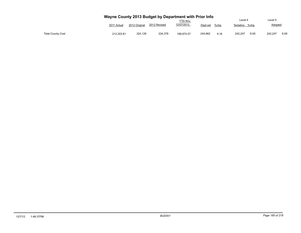|                          |             |               |              | Wayne County 2013 Budget by Department with Prior Info |                  | Level 4           | Level 5         |
|--------------------------|-------------|---------------|--------------|--------------------------------------------------------|------------------|-------------------|-----------------|
|                          | 2011 Actual | 2012 Original | 2012 Revised | <b>YTD thru</b><br>12/07/2012                          | %chg<br>Dept est | Tentative<br>%cha | Adopted         |
| <b>Total County Cost</b> | 212.303.81  | 224.126       | 224.378      | 188.974.57                                             | 244,662<br>9.16  | 242.247<br>8.09   | 8.09<br>242.247 |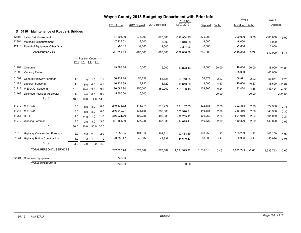|       |                                                                            |      |                                            |           |           |              |            | Wayne County 2013 Budget by Department with Prior Info |               |            |           |                |           |            |           |
|-------|----------------------------------------------------------------------------|------|--------------------------------------------|-----------|-----------|--------------|------------|--------------------------------------------------------|---------------|------------|-----------|----------------|-----------|------------|-----------|
|       | <b>YTD</b> thru<br>12/07/2012<br>2012 Revised<br>2012 Original<br>Dept est |      |                                            |           |           |              |            |                                                        |               |            | Level 4   |                | Level 5   |            |           |
|       |                                                                            |      |                                            |           |           | 2011 Actual  |            |                                                        |               |            | %chg      | Tentative %chg |           | Adopted    |           |
|       | <b>Maintenance of Roads &amp; Bridges</b><br>D 5110                        |      |                                            |           |           |              |            |                                                        |               |            |           |                |           |            |           |
| 42303 | <b>Labor Reimbursement</b>                                                 |      |                                            |           |           | $-34,304.19$ | $-275,000$ | $-275,000$                                             | $-326,904.85$ | $-275,000$ |           | $-300,000$     | 9.09      | $-300,000$ | 9.09      |
| 42304 | <b>Material Reimbursement</b>                                              |      |                                            |           |           | $-7,238.51$  | $-8,000$   | $-8,000$                                               | $-6,646.58$   | $-8,000$   |           | $-8,000$       |           | $-8,000$   |           |
| 42416 | Rental of Equipment Other Govt                                             |      |                                            |           |           | $-80.15$     | $-2,000$   | $-2,000$                                               | $-6,334.96$   | $-2,000$   |           | $-2,000$       |           | $-2,000$   |           |
|       | <b>TOTAL REVENUES</b>                                                      |      |                                            |           |           | $-41,622.85$ | $-285,000$ | $-285,000$                                             | -339,886.39   | $-285,000$ |           | $-310,000$     | 8.77      | $-310,000$ | 8.77      |
|       |                                                                            |      | ----- Position Count -----<br>B12 L1 L4 L5 |           |           |              |            |                                                        |               |            |           |                |           |            |           |
| 51904 | Overtime                                                                   |      |                                            |           |           | 49,788.88    | 15,000     | 15,000                                                 | 19,873.43     | 18,000     | 20.00     | 18,000         | 20.00     | 18,000     | 20.00     |
| 51999 | Vacancy Factor                                                             |      |                                            |           |           |              |            |                                                        |               |            |           | $-65,000$      |           | $-65,000$  |           |
| 51097 | General Highway Foreman                                                    | 1.0  | 1.0                                        | 1.0       | 1.0       | 56,434.28    | 55,628     | 55,628                                                 | 50,718.25     | 56,871     | 2.23      | 56,871         | 2.23      | 56,871     | 2.23      |
| 51181 | Laborer- Seasonal                                                          | 4.0  | 5.0                                        | 4.0       | 4.0       | 16,433.38    | 18,720     | 18,720                                                 | 18,613.50     | 19,500     | 4.17      | 15,600         | $-16.67$  | 15,600     | $-16.67$  |
| 51213 | M E O #2- Seasonal                                                         | 10.0 | 10.0                                       | 9.0       | 9.0       | 96,587.94    | 150,000    | 150,000                                                | 150,133.43    | 159,360    | 6.24      | 143,424        | $-4.38$   | 143,424    | $-4.38$   |
| 51468 | <b>Licensed Pesticide Applicator</b>                                       | 1.0  | 0.0                                        | 0.0       | 0.0       | 5,756.00     | 6,500      |                                                        |               |            | $-100.00$ |                | $-100.00$ |            | $-100.00$ |
|       | <b>BU: 0</b>                                                               | 16.0 | 16.0                                       | 14.0      | 14.0      |              |            |                                                        |               |            |           |                |           |            |           |
|       | 51212 MEO#2                                                                | 8.0  | 8.0                                        | 8.0       | 8.0       | 240,535.32   | 313,774    | 313,774                                                | 281,107.05    | 322,388    | 2.75      | 322,388        | 2.75      | 322,388    | 2.75      |
| 51244 | M E O #1                                                                   | 8.0  | 8.0                                        | 8.0       | 8.0       | 246,249.27   | 338,588    | 338,588                                                | 302,970.81    | 346,386    | 2.30      | 346,386        | 2.30      | 346,386    | 2.30      |
| 51268 | HEO                                                                        | 11.0 |                                            | 11.0 11.0 | 11.0      | 366,021.70   | 490,086    | 490,086                                                | 438,709.12    | 501,059    | 2.24      | 501,059        | 2.24      | 501,059    | 2.24      |
|       | 51270 Working Foreman                                                      | 3.0  | 3.0                                        | 3.0       | 3.0       | 117,554.19   | 137,935    | 137,935                                                | 124,095.41    | 140,820    | 2.09      | 140,820        | 2.09      | 140,820    | 2.09      |
|       | <b>BU: 1</b>                                                               | 30.0 | 30.0                                       |           | 30.0 30.0 |              |            |                                                        |               |            |           |                |           |            |           |
| 51315 | <b>Highway Construction Foreman</b>                                        | 2.0  | 2.0                                        | 2.0       | 2.0       | 67,859.35    | 101,314    | 101,314                                                | 90,468.59     | 103,259    | 1.92      | 103,259        | 1.92      | 103,259    | 1.92      |
| 51544 | <b>Highway Bridge Construction</b>                                         | 1.0  | 1.0                                        | 1.0       | 1.0       | 23,780.47    | 49,837     | 49,837                                                 | 44,640.33     | 50,936     | 2.21      | 50,936         | 2.21      | 50,936     | 2.21      |
|       | BU: 4                                                                      | 3.0  | 3.0                                        | 3.0       | 3.0       |              |            |                                                        |               |            |           |                |           |            |           |
|       | <b>TOTAL PERSONAL SERVICES</b>                                             |      |                                            |           |           | 1,287,000.78 | 1,677,382  | 1,670,882                                              | 1,521,329.92  | 1,718,579  | 2.46      | 1,633,743      | $-2.60$   | 1,633,743  | $-2.60$   |
| 52201 | <b>Computer Equipment</b>                                                  |      |                                            |           |           | 735.00       |            |                                                        |               |            |           |                |           |            |           |
|       | <b>TOTAL EQUIPMENT</b>                                                     |      |                                            |           |           | 735.00       |            |                                                        | 0.00          |            |           |                |           |            |           |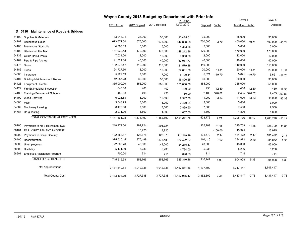|       | Wayne County 2013 Budget by Department with Prior Info |              |               |              |                 |           |           |                  |          |           |          |
|-------|--------------------------------------------------------|--------------|---------------|--------------|-----------------|-----------|-----------|------------------|----------|-----------|----------|
|       |                                                        |              |               |              | <b>YTD</b> thru |           |           | Level 4          |          | Level 5   |          |
|       |                                                        | 2011 Actual  | 2012 Original | 2012 Revised | 12/07/2012      | Dept est  | %chg      | Tentative %chg   |          | Adopted   |          |
|       | <b>Maintenance of Roads &amp; Bridges</b><br>D 5110    |              |               |              |                 |           |           |                  |          |           |          |
| 54100 | Supplies & Materials                                   | 33,213.04    | 35,000        | 35,000       | 33,425.51       | 35,000    |           | 35,000           |          | 35,000    |          |
| 54107 | <b>Bituminous Liquid</b>                               | 673,671.04   | 675,000       | 675,000      | 644,838.28      | 700,000   | 3.70      | 400,000          | $-40.74$ | 400,000   | $-40.74$ |
| 54108 | <b>Bituminous Stockpile</b>                            | 4,797.69     | 5,000         | 5,000        | 4,313.65        | 5,000     |           | 5,000            |          | 5,000     |          |
| 54109 | <b>Bituminous Hot Mix</b>                              | 161,030.43   | 170,000       | 170,000      | 149,212.36      | 170,000   |           | 170,000          |          | 170,000   |          |
| 54132 | <b>Guide Rail &amp; Posts</b>                          | 7,034.00     | 12,000        | 12,000       | 9,350.00        | 12,000    |           | 12,000           |          | 12,000    |          |
| 54164 | Pipe & Pipe Arches                                     | 41,024.08    | 40,000        | 40,000       | 37,087.77       | 40,000    |           | 40,000           |          | 40,000    |          |
| 54175 | Stone                                                  | 102,276.47   | 110,000       | 110,000      | 121,579.48      | 110,000   |           | 110,000          |          | 110,000   |          |
| 54186 | <b>Trees</b>                                           | 24,727.50    | 18,000        | 18,000       | 22,631.00       | 20,000    | 11.11     | 20,000           | 11.11    | 20,000    | 11.11    |
| 54300 | Insurance                                              | 5,929.19     | 7,000         | 7,000        | 5,109.44        | 5,621     | $-19.70$  | 5,621            | $-19.70$ | 5,621     | $-19.70$ |
| 54407 | <b>Building Maintenance &amp; Repair</b>               | 12.287.28    | 30,000        | 30,000       | 16,800.55       | 30,000    |           | 30,000           |          | 30,000    |          |
| 54426 | Equipment - Rental                                     | 355,000.00   | 355,000       | 355,000      | 355,000.00      | 355,000   |           | 355,000          |          | 355,000   |          |
| 54429 | Fire Extinguisher Inspection                           | 340.00       | 400           | 400          | 430.00          | 450       | 12.50     | 450              | 12.50    | 450       | 12.50    |
| 54483 | Training- Seminars & Schools                           | 409.00       | 490           | 490          | 80.00           | 2,405     | 390.82    | 2,405            | 390.82   | 2,405     | 390.82   |
| 54490 | Weed Spraying                                          | 6,026.83     | 6,000         | 12,500       | 9,947.00        | 11,000    | 83.33     | 11,000           | 83.33    | 11,000    | 83.33    |
| 54600 | Misc                                                   | 3,048.73     | 3,000         | 3,000        | 2,470.24        | 3,000     |           | 3,000            |          | 3,000     |          |
| 54689 | <b>Machinery Leasing</b>                               | 8,478.00     | 7,500         | 7,500        | 7,899.50        | 7,500     |           | 7,500            |          | 7,500     |          |
| 54784 | Drug Testing                                           | 2,271.00     | 1,800         | 1,800        | 1,057.00        | 1,800     |           | 1,800            |          | 1,800     |          |
|       | <b>TOTAL CONTRACTUAL EXPENSES</b>                      | 1,441,564.28 | 1,476,190     | 1,482,690    | 1,421,231.78    | 1,508,776 | 2.21      | 1,208,776 -18.12 |          | 1,208,776 | $-18.12$ |
| 58100 | Payments to NYS Retirement Sys                         | 218,974.00   | 291,724       | 291,724      |                 | 325,709   | 11.65     | 325,709          | 11.65    | 325,709   | 11.65    |
| 58101 | <b>EARLY RETIREMENT PAYMENT</b>                        |              | 13,925        | 13,925       |                 |           | $-100.00$ | 13,925           |          | 13,925    |          |
| 58200 | Payments to Social Security                            | 122.858.67   | 128,678       | 128,678      | 111,119.49      | 131,472   | 2.17      | 131,472          | 2.17     | 131,472   | 2.17     |
| 58400 | Hospitalization                                        | 375,510.15   | 375,489       | 375,489      | 384,422.67      | 404,116   | 7.62      | 384,872          | 2.50     | 384,872   | 2.50     |
| 58500 | Unemployment                                           | 22,305.76    | 43,000        | 43,000       | 24,275.37       | 43,000    |           | 43,000           |          | 43,000    |          |
| 58600 | <b>Disability</b>                                      | 5,171.00     | 5,236         | 5,236        | 4,794.00        | 5,236     |           | 5,236            |          | 5,236     |          |
| 58901 | Employee Assistance Program                            | 700.00       | 714           | 714          | 698.63          | 714       |           | 714              |          | 714       |          |
|       | <b>TOTAL FRINGE BENEFITS</b>                           | 745,519.58   | 858,766       | 858,766      | 525,310.16      | 910,247   | 5.99      | 904,928          | 5.38     | 904,928   | 5.38     |
|       | <b>Total Appropriations</b>                            | 3,474,819.64 | 4,012,338     | 4,012,338    | 3,467,871.86    | 4,137,602 |           | 3,747,447        |          | 3,747,447 |          |
|       | <b>Total County Cost</b>                               | 3,433,196.79 | 3,727,338     | 3,727,338    | 3,127,985.47    | 3,852,602 | 3.36      | 3,437,447        | $-7.78$  | 3,437,447 | $-7.78$  |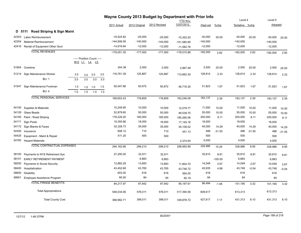|                |                                      | Wayne County 2013 Budget by Department with Prior Info<br><b>YTD</b> thru |                               |                         | Level 4      |               | Level 5    |           |                         |          |            |          |
|----------------|--------------------------------------|---------------------------------------------------------------------------|-------------------------------|-------------------------|--------------|---------------|------------|-----------|-------------------------|----------|------------|----------|
|                |                                      |                                                                           | 2011 Actual                   | 2012 Original           | 2012 Revised | 12/07/2012    | Dept est   | $%$ chg   | Tentative %chg          |          | Adopted    |          |
|                | Road Striping & Sign Maint<br>D 5111 |                                                                           |                               |                         |              |               |            |           |                         |          |            |          |
|                |                                      |                                                                           |                               |                         |              |               |            |           |                         |          |            |          |
| 42303<br>42304 | Labor Reimbursement                  |                                                                           | $-19,524.82$<br>$-144,906.59$ | $-25,000$               | $-25,000$    | $-15,352.20$  | $-30,000$  | 20.00     | $-30,000$<br>$-140,000$ | 20.00    | $-30,000$  | 20.00    |
|                | <b>Material Reimbursement</b>        |                                                                           | $-14,619.94$                  | $-140,000$<br>$-12,000$ | $-140,000$   | -151,580.90   | $-140,000$ |           | $-12,000$               |          | $-140,000$ |          |
|                | 42416 Rental of Equipment Other Govt |                                                                           |                               |                         | $-12,000$    | $-11,582.76$  | $-12,000$  |           |                         |          | $-12,000$  |          |
|                | <b>TOTAL REVENUES</b>                |                                                                           | $-179,051.35$                 | $-177,000$              | $-177,000$   | $-178,515.86$ | $-182,000$ | 2.82      | $-182,000$              | 2.82     | $-182,000$ | 2.82     |
|                |                                      | ----- Position Count -----                                                |                               |                         |              |               |            |           |                         |          |            |          |
|                |                                      | B12 L1 L4 L5                                                              |                               |                         |              |               |            |           |                         |          |            |          |
| 51904          | Overtime                             |                                                                           | 344.38                        | 2,000                   | 2,000        | 2,867.48      | 2,500      | 25.00     | 2,500                   | 25.00    | 2,500      | 25.00    |
| 51214          | Sign Maintenance Worker              | 3.0<br>3.0<br>3.0                                                         | 118,761.39<br>3.0             | 125,887                 | 125,887      | 112,662.30    | 128,814    | 2.33      | 128,814                 | 2.33     | 128,814    | 2.33     |
|                | <b>BU: 1</b>                         | 3.0<br>3.0<br>3.0                                                         | 3.0                           |                         |              |               |            |           |                         |          |            |          |
|                |                                      |                                                                           |                               |                         |              |               |            |           |                         |          |            |          |
| 51547          | Sign Maintenance Foreman             | 1.0<br>1.0<br>1.0                                                         | 50,547.66<br>1.0              | 50,972                  | 50,972       | 46,716.30     | 51,823     | 1.67      | 51,823                  | 1.67     | 51,823     | 1.67     |
|                | <b>BU: 4</b>                         | 1.0<br>1.0<br>1.0                                                         | 1.0                           |                         |              |               |            |           |                         |          |            |          |
|                | <b>TOTAL PERSONAL SERVICES</b>       |                                                                           | 169,653.43                    | 178,859                 | 178,859      | 162,246.08    | 183,137    | 2.39      | 183,137                 | 2.39     | 183,137    | 2.39     |
|                |                                      |                                                                           |                               |                         |              |               |            |           |                         |          |            |          |
| 54100          | Supplies & Materials                 |                                                                           | 10,249.95                     | 10,000                  | 10,000       | 12,079.77     | 11,000     | 10.00     | 11,000                  | 10.00    | 11,000     | 10.00    |
| 54129          | Glass Beads                          |                                                                           | 52,879.60                     | 50,000                  | 50,000       | 46,539.75     | 55,000     | 10.00     | 55,000                  | 10.00    | 55,000     | 10.00    |
| 54160          | Paint - Road Striping                |                                                                           | 178,229.20                    | 185,000                 | 185,000      | 185,265.06    | 200,000    | 8.11      | 200,000                 | 8.11     | 200,000    | 8.11     |
| 54171          | Sign Posts                           |                                                                           | 19,355.86                     | 18,000                  | 18,000       | 17,145.16     | 18,000     |           | 18,000                  |          | 18,000     |          |
| 54172          | Sign Blanks & Faces                  |                                                                           | 32,328.73                     | 35,000                  | 35,000       | 35,106.02     | 40,000     | 14.29     | 40,000                  | 14.29    | 40,000     | 14.29    |
| 54300          | Insurance                            |                                                                           | 608.12                        | 710                     | 710          | 441.13        | 486        | $-31.55$  | 486                     | $-31.55$ | 486        | $-31.55$ |
| 54425          | Equipment - Maint & Repair           |                                                                           | 511.20                        | 500                     | 500          |               | 500        |           | 500                     |          | 500        |          |
|                | 54783 Hazard Materials               |                                                                           |                               |                         |              | 2,374.00      | 5,000      |           | 4,000                   |          | 4,000      |          |
|                | <b>TOTAL CONTRACTUAL EXPENSES</b>    |                                                                           | 294,162.66                    | 299,210                 | 299,210      | 298,950.89    | 329,986    | 10.29     | 328,986                 | 9.95     | 328,986    | 9.95     |
| 58100          | Payments to NYS Retirement Sys       |                                                                           | 27,200.00                     | 32,911                  | 32,911       |               | 35,810     | 8.81      | 35,810                  | 8.81     | 35,810     | 8.81     |
| 58101          | <b>EARLY RETIREMENT PAYMENT</b>      |                                                                           |                               | 6,883                   | 6,883        |               |            | $-100.00$ | 6,883                   |          | 6,883      |          |
| 58200          | Payments to Social Security          |                                                                           | 12,882.29                     | 13,683                  | 13,683       | 11,804.70     | 14,049     | 2.67      | 14,049                  | 2.67     | 14,049     | 2.67     |
| 58400          | Hospitalization                      |                                                                           | 43,452.68                     | 43,765                  | 43,765       | 43,746.72     | 45,935     | 4.96      | 43,748                  | $-0.04$  | 43,748     | $-0.04$  |
| 58600          | Disability                           |                                                                           | 603.00                        | 616                     | 616          | 564.00        | 616        |           | 616                     |          | 616        |          |
| 58901          | Employee Assistance Program          |                                                                           | 80.00                         | 84                      | 84           | 82.19         | 84         |           | 84                      |          | 84         |          |
|                | <b>TOTAL FRINGE BENEFITS</b>         |                                                                           | 84,217.97                     | 97,942                  | 97,942       | 56,197.61     | 96,494     | $-1.48$   | 101,190                 | 3.32     | 101,190    | 3.32     |
|                | <b>Total Appropriations</b>          |                                                                           | 548,034.06                    | 576,011                 | 576,011      | 517,394.58    | 609,617    |           | 613,313                 |          | 613,313    |          |
|                | <b>Total County Cost</b>             |                                                                           | 368,982.71                    | 399,011                 | 399,011      | 338,878.72    | 427,617    | 7.17      | 431,313                 | 8.10     | 431,313    | 8.10     |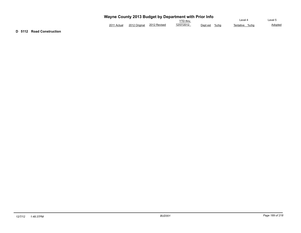| Wayne County 2013 Budget by Department with Prior Info |  |
|--------------------------------------------------------|--|
|                                                        |  |

|             |               |              | $\alpha$ , and source, so is suaged by supermising main rior and |               |                   |                |
|-------------|---------------|--------------|------------------------------------------------------------------|---------------|-------------------|----------------|
|             |               |              | '∕TD thru                                                        |               | ∟evel 4           | evel 5         |
| 2011 Actual | 2012 Original | 2012 Revised | 12/07/2012                                                       | Dept est %cha | %cha<br>Tentative | <b>Adopted</b> |

**D 5112 Road Construction**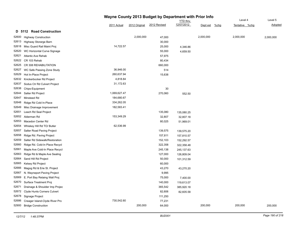|       |                                |              |               | Wayne County 2013 Budget by Department with Prior Info |                 |                     |                |           |
|-------|--------------------------------|--------------|---------------|--------------------------------------------------------|-----------------|---------------------|----------------|-----------|
|       |                                |              |               |                                                        | <b>YTD</b> thru |                     | Level 4        | Level 5   |
|       |                                | 2011 Actual  | 2012 Original | 2012 Revised                                           | 12/07/2012      | Dept est<br>$%$ chg | Tentative %chg | Adopted   |
|       | D 5112 Road Construction       |              |               |                                                        |                 |                     |                |           |
| 52600 | <b>Highway Construction</b>    |              | 2,000,000     | 47,000                                                 |                 | 2,000,000           | 2,000,000      | 2,000,000 |
| 52613 | Highway Storarge Barn          |              |               | 30,000                                                 |                 |                     |                |           |
| 52618 | Misc Guard Rail Maint Proj     | 14,722.57    |               | 25,000                                                 | 4,346.86        |                     |                |           |
| 52620 | WC Horizontal Curve Signage    |              |               | 55,000                                                 | 4,659.50        |                     |                |           |
| 52621 | Atlantic Ave Rehab             |              |               | 57,975                                                 |                 |                     |                |           |
| 52622 | CR 103 Rehab                   |              |               | 80,434                                                 |                 |                     |                |           |
| 52625 | CR 308 REHABILITATION          |              |               | 660,000                                                |                 |                     |                |           |
| 52627 | WC Safe Passing Zone Study     | 36,946.00    |               | 514                                                    |                 |                     |                |           |
| 52629 | Hot In-Place Project           | 260,637.94   |               | 15,638                                                 |                 |                     |                |           |
| 52632 | Knickerbocker Rd Project       | 4,818.84     |               |                                                        |                 |                     |                |           |
| 52637 | Sodus Ctr Rd Culvert Project   | 31,172.63    |               |                                                        |                 |                     |                |           |
| 52638 | Chips-Equipment                |              |               | 30                                                     |                 |                     |                |           |
| 52644 | Salter Rd Project              | 1,069,627.47 |               | 270,060                                                | 552.50          |                     |                |           |
| 52647 | Minsteed Rd                    | 184,680.67   |               |                                                        |                 |                     |                |           |
| 52648 | Ridge Rd Cold In-Place         | 334,262.05   |               |                                                        |                 |                     |                |           |
| 52649 | Misc Drainage Improvement      | 182,583.41   |               |                                                        |                 |                     |                |           |
| 52651 | Leach Rd Seal Project          |              |               | 135,080                                                | 135,080.25      |                     |                |           |
| 52652 | Alderman Rd                    | 153,349.29   |               | 32,807                                                 | 32,807.18       |                     |                |           |
| 52653 | Macedon Center Rd              |              |               | 80,025                                                 | 51,969.01       |                     |                |           |
| 52654 | Whiskey Hill Rd TO/ Butler     | 62,536.99    |               |                                                        |                 |                     |                |           |
| 52657 | Salter Road Paving Project     |              |               | 139,575                                                | 139,575.20      |                     |                |           |
| 52658 | Ridge Rd. Paving Project       |              |               | 157,811                                                | 157,810.57      |                     |                |           |
| 52659 | Salter Rd Sidewalk/Restoration |              |               | 152,103                                                | 152,292.57      |                     |                |           |
| 52660 | Ridge Rd. Cold-In Place Recycl |              |               | 322,358                                                | 322,358.48      |                     |                |           |
| 52661 | Maple Ave Cold-In Place Recycl |              |               | 245,138                                                | 245,137.63      |                     |                |           |
| 52663 | Ridge Rd & Maple Ave Sealing   |              |               | 127,000                                                | 126,809.04      |                     |                |           |
| 52664 | Sand Hill Rd Project           |              |               | 50,000                                                 | 101,312.59      |                     |                |           |
| 52665 | Kelsey Rd Project              |              |               | 60,000                                                 |                 |                     |                |           |
| 52666 | Magog Rd & Erie St. Project    |              |               | 43,270                                                 | 43,270.20       |                     |                |           |
| 52667 | N. Wayneport Paving Project    |              |               | 9,995                                                  |                 |                     |                |           |
| 52669 | E. Port Bay Retaing Wall Proj  |              |               | 75,000                                                 | 7,400.00        |                     |                |           |
| 52670 | Surface Treatment Proj         |              |               | 140,000                                                | 119,613.07      |                     |                |           |
| 52671 | Drainage & Shoulder Imp Projec |              |               | 365,542                                                | 385,920.18      |                     |                |           |
| 52672 | Clyde Hunts Corners Culvert    |              |               | 82,606                                                 | 82,605.58       |                     |                |           |
| 52678 | Signage Project                |              |               | 111,250                                                |                 |                     |                |           |
| 52686 | Creager Island-Clyde River Pro | 730,542.60   |               | 77,231                                                 |                 |                     |                |           |
| 52900 | <b>Bridge Construction</b>     |              | 200,000       | 64,000                                                 |                 | 200,000             | 200,000        | 200,000   |
|       |                                |              |               |                                                        |                 |                     |                |           |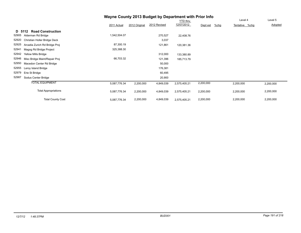## **Wayne County 2013 Budget by Department with Prior Info**

|                                        |              |               |              | <b>YTD thru</b> |           |      | Level 4        | Level 5   |
|----------------------------------------|--------------|---------------|--------------|-----------------|-----------|------|----------------|-----------|
|                                        | 2011 Actual  | 2012 Original | 2012 Revised | 12/07/2012      | Dept est  | %chg | Tentative %chg | Adopted   |
| <b>Road Construction</b><br>D 5112     |              |               |              |                 |           |      |                |           |
| 52905<br>Alderman Rd Bridge            | 1,542,504.07 |               | 270,527      | 22,408.76       |           |      |                |           |
| 52920<br>Christian Holler Bridge Deck  |              |               | 3,037        |                 |           |      |                |           |
| 52925<br>Arcadia Zurich Rd Bridge Proj | 87,300.19    |               | 121,861      | 120,381.36      |           |      |                |           |
| 52941<br>Magog Rd Bridge Project       | 325,388.30   |               |              |                 |           |      |                |           |
| 52942<br>Yellow Mills Bridge           |              |               | 312,000      | 133,380.89      |           |      |                |           |
| 52946<br>Misc Bridge Maint/Repair Proj | 66,703.32    |               | 121,396      | 185,713.79      |           |      |                |           |
| 52950<br>Macedon Center Rd Bridge      |              |               | 50,000       |                 |           |      |                |           |
| 52955<br>Leroy Island Bridge           |              |               | 176,381      |                 |           |      |                |           |
| 52979<br>Erie St Bridge                |              |               | 60,495       |                 |           |      |                |           |
| 52987<br>Sodus Center Bridge           |              |               | 20,900       |                 |           |      |                |           |
| <b>TOTAL EQUIPMENT</b>                 | 5,087,776.34 | 2,200,000     | 4,849,039    | 2,575,405.21    | 2,200,000 |      | 2,200,000      | 2,200,000 |
| <b>Total Appropriations</b>            | 5,087,776.34 | 2,200,000     | 4,849,039    | 2,575,405.21    | 2,200,000 |      | 2,200,000      | 2,200,000 |
| <b>Total County Cost</b>               | 5,087,776.34 | 2,200,000     | 4,849,039    | 2,575,405.21    | 2,200,000 |      | 2,200,000      | 2,200,000 |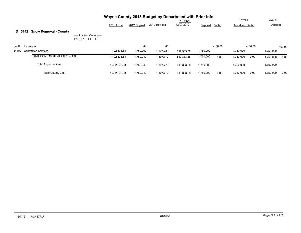|       |                                                                                            |              |               | Wayne County 2013 Budget by Department with Prior Info |                 |           |           |                |           |           |           |
|-------|--------------------------------------------------------------------------------------------|--------------|---------------|--------------------------------------------------------|-----------------|-----------|-----------|----------------|-----------|-----------|-----------|
|       |                                                                                            |              |               |                                                        | <b>YTD</b> thru |           |           | Level 4        |           | Level 5   |           |
|       |                                                                                            | 2011 Actual  | 2012 Original | 2012 Revised                                           | 12/07/2012      | Dept est  | $%$ chg   | Tentative %chg |           | Adopted   |           |
|       | <b>Snow Removal - County</b><br>D 5142                                                     |              |               |                                                        |                 |           |           |                |           |           |           |
|       | ----- Position Count -----<br>B <sub>12</sub> L <sub>1</sub> L <sub>4</sub> L <sub>5</sub> |              |               |                                                        |                 |           |           |                |           |           |           |
|       | 54300 Insurance                                                                            |              | 40            | 40                                                     |                 |           | $-100.00$ |                | $-100.00$ |           | $-100.00$ |
| 54400 | <b>Contracted Services</b>                                                                 | 1,402,635.83 | 1,750,000     | 1,397,739                                              | 819,333.88      | 1,750,000 |           | 1,750,000      |           | 1,750,000 |           |
|       | TOTAL CONTRACTUAL EXPENSES                                                                 | 1,402,635.83 | 1,750,040     | 1,397,779                                              | 819,333.88      | 1,750,000 | 0.00      | 1,750,000      | 0.00      | 1,750,000 | 0.00      |
|       | <b>Total Appropriations</b>                                                                | 1,402,635.83 | 1,750,040     | 1,397,779                                              | 819,333.88      | 1,750,000 |           | 1,750,000      |           | 1,750,000 |           |
|       | <b>Total County Cost</b>                                                                   | 1,402,635.83 | 1,750,040     | 1,397,779                                              | 819.333.88      | 1,750,000 | 0.00      | 1,750,000      | 0.00      | 1,750,000 | 0.00      |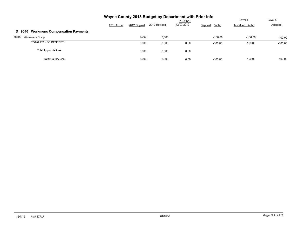|                                                 | Wayne County 2013 Budget by Department with Prior Info |               |              | Level 4                       | Level 5             |                |           |
|-------------------------------------------------|--------------------------------------------------------|---------------|--------------|-------------------------------|---------------------|----------------|-----------|
|                                                 | 2011 Actual                                            | 2012 Original | 2012 Revised | <b>YTD thru</b><br>12/07/2012 | $%$ chg<br>Dept est | Tentative %chg | Adopted   |
| <b>Workmens Compensation Payments</b><br>D 9040 |                                                        |               |              |                               |                     |                |           |
| 58300<br><b>Workmens Comp</b>                   |                                                        | 3,000         | 3,000        |                               | $-100.00$           | $-100.00$      | $-100.00$ |
| <b>TOTAL FRINGE BENEFITS</b>                    |                                                        | 3,000         | 3,000        | 0.00                          | $-100.00$           | $-100.00$      | $-100.00$ |
| <b>Total Appropriations</b>                     |                                                        | 3,000         | 3,000        | 0.00                          |                     |                |           |
| <b>Total County Cost</b>                        |                                                        | 3,000         | 3,000        | 0.00                          | $-100.00$           | $-100.00$      | $-100.00$ |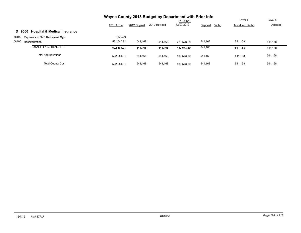|                                                   | Wayne County 2013 Budget by Department with Prior Info |               |              |                 |                  |                |         |
|---------------------------------------------------|--------------------------------------------------------|---------------|--------------|-----------------|------------------|----------------|---------|
|                                                   |                                                        |               |              | <b>YTD thru</b> |                  | Level 4        | Level 5 |
|                                                   | 2011 Actual                                            | 2012 Original | 2012 Revised | 12/07/2012      | %chg<br>Dept est | Tentative %chg | Adopted |
| <b>Hospital &amp; Medical Insurance</b><br>D 9060 |                                                        |               |              |                 |                  |                |         |
| 58100 Payments to NYS Retirement Sys              | 1,639.00                                               |               |              |                 |                  |                |         |
| 58400<br>Hospitalization                          | 521.045.91                                             | 541,168       | 541,168      | 439.573.59      | 541,168          | 541.168        | 541,168 |
| <b>TOTAL FRINGE BENEFITS</b>                      | 522.684.91                                             | 541,168       | 541,168      | 439.573.59      | 541,168          | 541.168        | 541,168 |
| <b>Total Appropriations</b>                       | 522.684.91                                             | 541,168       | 541,168      | 439.573.59      | 541,168          | 541,168        | 541,168 |
| <b>Total County Cost</b>                          | 522.684.91                                             | 541,168       | 541,168      | 439.573.59      | 541,168          | 541,168        | 541,168 |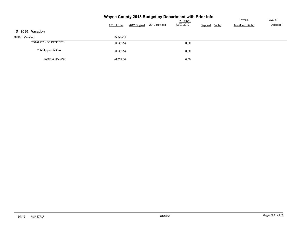|                              | Wayne County 2013 Budget by Department with Prior Info |               |              |                                               |  | Level 4        | Level 5 |
|------------------------------|--------------------------------------------------------|---------------|--------------|-----------------------------------------------|--|----------------|---------|
|                              | 2011 Actual                                            | 2012 Original | 2012 Revised | YTD thru<br>12/07/2012<br>Dept est<br>$%$ chg |  | Tentative %chg | Adopted |
| Vacation<br>D 9080           |                                                        |               |              |                                               |  |                |         |
| 58800 Vacation               | $-6,529.14$                                            |               |              |                                               |  |                |         |
| <b>TOTAL FRINGE BENEFITS</b> | $-6,529.14$                                            |               |              | 0.00                                          |  |                |         |
| <b>Total Appropriations</b>  | $-6,529.14$                                            |               |              | 0.00                                          |  |                |         |
| <b>Total County Cost</b>     | $-6,529.14$                                            |               |              | 0.00                                          |  |                |         |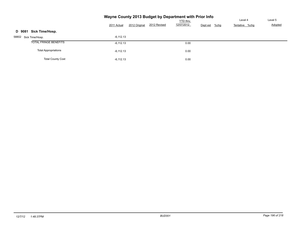|                             |             |               | Wayne County 2013 Budget by Department with Prior Info |            |                     |                |         |
|-----------------------------|-------------|---------------|--------------------------------------------------------|------------|---------------------|----------------|---------|
|                             |             |               |                                                        | YTD thru   |                     | Level 4        | Level 5 |
|                             | 2011 Actual | 2012 Original | 2012 Revised                                           | 12/07/2012 | $%$ chg<br>Dept est | Tentative %chg | Adopted |
| Sick Time/Hosp.<br>D 9081   |             |               |                                                        |            |                     |                |         |
| 58802<br>Sick Time/Hosp.    | $-6,112.13$ |               |                                                        |            |                     |                |         |
| TOTAL FRINGE BENEFITS       | $-6.112.13$ |               |                                                        | 0.00       |                     |                |         |
| <b>Total Appropriations</b> | $-6,112.13$ |               |                                                        | 0.00       |                     |                |         |
| <b>Total County Cost</b>    | $-6,112.13$ |               |                                                        | 0.00       |                     |                |         |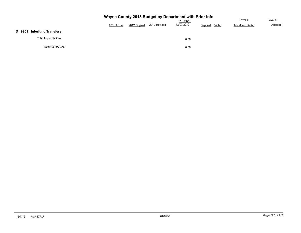|        |                             | Wayne County 2013 Budget by Department with Prior Info |                 |              |            |                  |                |         |
|--------|-----------------------------|--------------------------------------------------------|-----------------|--------------|------------|------------------|----------------|---------|
|        |                             |                                                        | <b>YTD thru</b> |              |            |                  |                | Level 5 |
|        |                             | 2011 Actual                                            | 2012 Original   | 2012 Revised | 12/07/2012 | %chg<br>Dept est | Tentative %chg | Adopted |
| D 9901 | <b>Interfund Transfers</b>  |                                                        |                 |              |            |                  |                |         |
|        | <b>Total Appropriations</b> |                                                        |                 |              | 0.00       |                  |                |         |
|        | <b>Total County Cost</b>    |                                                        |                 |              | 0.00       |                  |                |         |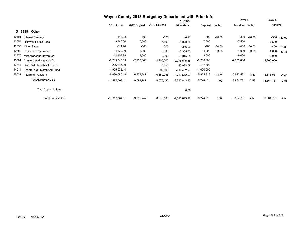|       |                                | Wayne County 2013 Budget by Department with Prior Info |               |              |                 |              |          |                |          |              |          |
|-------|--------------------------------|--------------------------------------------------------|---------------|--------------|-----------------|--------------|----------|----------------|----------|--------------|----------|
|       |                                |                                                        |               |              | <b>YTD</b> thru |              |          | Level 4        |          | Level 5      |          |
|       |                                | 2011 Actual                                            | 2012 Original | 2012 Revised | 12/07/2012      | Dept est     | $%$ chg  | Tentative %chg |          | Adopted      |          |
|       | <b>Other</b><br>D 9999         |                                                        |               |              |                 |              |          |                |          |              |          |
| 42401 | <b>Interest Earnings</b>       | $-416.98$                                              | -500          | $-500$       | $-6.42$         | $-300$       | $-40.00$ | $-300$         | $-40.00$ | $-300$       | $-40.00$ |
| 42654 | <b>Highway Permit Fees</b>     | $-9,740.00$                                            | $-7,500$      | $-7,500$     | $-9,320.00$     | $-7,500$     |          | $-7,500$       |          | $-7,500$     |          |
| 42655 | <b>Minor Sales</b>             | $-714.94$                                              | -500          | $-500$       | $-356.90$       | -400         | $-20.00$ | $-400$         | $-20.00$ | $-400$       | $-20.00$ |
| 42680 | Insurance Recoveries           | $-4,522.00$                                            | $-3,000$      | $-3,000$     | $-5,355.70$     | $-4,000$     | 33.33    | $-4,000$       | 33.33    | $-4,000$     | 33.33    |
| 42770 | Miscellaneous Revenues         | $-12,407.98$                                           | $-9,000$      | $-9,000$     | $-9,345.55$     | $-9,000$     |          | $-9,000$       |          | $-9,000$     |          |
| 43501 | Consolidated Highway Aid       | $-2,235,345.69$                                        | $-2,200,000$  | $-2,200,000$ | $-2,276,545.55$ | $-2,200,000$ |          | $-2,200,000$   |          | $-2,200,000$ |          |
| 43511 | State Aid - Marchiselli Funds  | $-226,647.89$                                          |               | $-7,050$     | $-37,938.08$    | $-187,500$   |          |                |          |              |          |
| 44511 | Federal Aid - Marchiselli Fund | $-1,965,633.44$                                        |               | $-92,600$    | $-212,462.97$   | $-1,000,000$ |          |                |          |              |          |
| 45031 | <b>Interfund Transfers</b>     | $-6,830,580.19$                                        | $-6,879,247$  | $-6,350,035$ | $-6,759,512.00$ | $-5,865,318$ | $-14.74$ | $-6,643,531$   | $-3.43$  | $-6,643,531$ | $-3.43$  |
|       | <b>TOTAL REVENUES</b>          | $-11,286,009.11$                                       | $-9,099,747$  | $-8,670,185$ | $-9,310,843.17$ | $-9,274,018$ | 1.92     | $-8,864,731$   | $-2.58$  | $-8,864,731$ | $-2.58$  |
|       | <b>Total Appropriations</b>    |                                                        |               |              | 0.00            |              |          |                |          |              |          |
|       | <b>Total County Cost</b>       | $-11,286,009.11$                                       | $-9,099,747$  | $-8,670,185$ | $-9,310,843.17$ | $-9,274,018$ | 1.92     | $-8,864,731$   | $-2.58$  | $-8,864,731$ | $-2.58$  |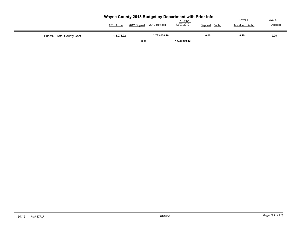|                           | Wayne County 2013 Budget by Department with Prior Info<br>2012 Original<br>2011 Actual | 2012 Revised | <b>YTD thru</b><br>12/07/2012 | Dept est<br>$%$ chg | Level 4<br>%chq<br>Tentative | Level 5<br>Adopted |
|---------------------------|----------------------------------------------------------------------------------------|--------------|-------------------------------|---------------------|------------------------------|--------------------|
| Fund: D Total County Cost | -14.071.92                                                                             | 2,733,030.20 |                               | 0.00                | $-0.25$                      | $-0.25$            |
|                           | 0.00                                                                                   |              | $-1.608.250.12$               |                     |                              |                    |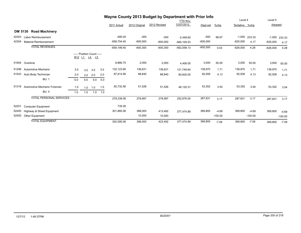|                |                                |               |     |                                            | Wayne County 2013 Budget by Department with Prior Info |                |               |              |                 |            |           |            |                 |            |           |
|----------------|--------------------------------|---------------|-----|--------------------------------------------|--------------------------------------------------------|----------------|---------------|--------------|-----------------|------------|-----------|------------|-----------------|------------|-----------|
|                |                                |               |     |                                            |                                                        |                |               |              | <b>YTD thru</b> |            |           | Level 4    |                 | Level 5    |           |
|                |                                |               |     |                                            |                                                        | 2011 Actual    | 2012 Original | 2012 Revised | 12/07/2012      | Dept est   | $%$ chg   | Tentative  | %chq            | Adopted    |           |
| <b>DM 5130</b> | <b>Road Machinery</b>          |               |     |                                            |                                                        |                |               |              |                 |            |           |            |                 |            |           |
| 42303          | Labor Reimbursement            |               |     |                                            |                                                        | $-495.00$      | $-300$        | $-300$       | $-2,448.60$     | $-500$     | 66.67     |            | $-1,000$ 233.33 | $-1,000$   | 233.33    |
| 42304          | <b>Material Reimbursement</b>  |               |     |                                            |                                                        | $-658,704.40$  | $-600,000$    | $-600,000$   | $-560, 109.53$  | $-600,000$ |           | $-625,000$ | 4.17            | $-625,000$ | 4.17      |
|                | <b>TOTAL REVENUES</b>          |               |     |                                            |                                                        | $-659, 199.40$ | $-600,300$    | $-600,300$   | $-562,558.13$   | $-600,500$ | 0.03      | $-626,000$ | 4.28            | $-626,000$ | 4.28      |
|                |                                | <u>B12 L1</u> |     | ----- Position Count -----<br><u>L4</u> L5 |                                                        |                |               |              |                 |            |           |            |                 |            |           |
| 51904          | Overtime                       |               |     |                                            |                                                        | 8,866.75       | 2,000         | 2,000        | 4,406.55        | 3,000      | 50.00     | 3,000      | 50.00           | 3,000      | 50.00     |
| 51298          | Automotive Mechanic            | 3.0           | 3.0 | 3.0                                        | 3.0                                                    | 132,123.80     | 136,631       | 136,631      | 121,749.64      | 138,970    | 1.71      | 138,970    | 1.71            | 138,970    | 1.71      |
| 51543          | Auto Body Technician           | 2.0           | 2.0 | 2.0                                        | 2.0                                                    | 87,614.95      | 88,840        | 88,840       | 80,600.05       | 92,509     | 4.13      | 92,509     | 4.13            | 92,509     | 4.13      |
|                | <b>BU: 1</b>                   | 5.0           | 5.0 | 5.0                                        | 5.0                                                    |                |               |              |                 |            |           |            |                 |            |           |
| 51318          | Automotive Mechanic Foreman    | 1.0           | 1.0 | 1.0                                        | 1.0                                                    | 50,732.56      | 51,526        | 51,526       | 46,120.31       | 53,352     | 3.54      | 53,352     | 3.54            | 53,352     | 3.54      |
|                | <b>BU: 4</b>                   | 1.0           | 1.0 | 1.0                                        | 1.0                                                    |                |               |              |                 |            |           |            |                 |            |           |
|                | <b>TOTAL PERSONAL SERVICES</b> |               |     |                                            |                                                        | 279,338.06     | 278,997       | 278,997      | 252,876.55      | 287,831    | 3.17      | 287,831    | 3.17            | 287,831    | 3.17      |
| 52201          | <b>Computer Equipment</b>      |               |     |                                            |                                                        | 735.00         |               |              |                 |            |           |            |                 |            |           |
| 52400          | Highway & Street Equipment     |               |     |                                            |                                                        | 301,860.06     | 388,000       | 413,492      | 377.474.89      | 369,800    | $-4.69$   | 369,800    | $-4.69$         | 369,800    | $-4.69$   |
| 52500          | Other Equipment                |               |     |                                            |                                                        |                | 10,000        | 10,000       |                 |            | $-100.00$ |            | $-100.00$       |            | $-100.00$ |
|                | <b>TOTAL EQUIPMENT</b>         |               |     |                                            |                                                        | 302,595.06     | 398,000       | 423,492      | 377,474.89      | 369,800    | $-7.09$   | 369,800    | $-7.09$         | 369,800    | $-7.09$   |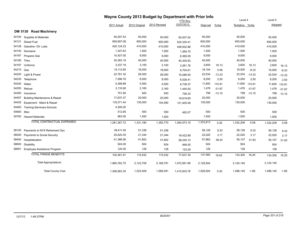|       |                                          |              | Wayne County 2013 Budget by Department with Prior Info |              |                 |           |          |                |          |           |          |
|-------|------------------------------------------|--------------|--------------------------------------------------------|--------------|-----------------|-----------|----------|----------------|----------|-----------|----------|
|       |                                          |              |                                                        |              | <b>YTD</b> thru |           |          | Level 4        |          | Level 5   |          |
|       |                                          | 2011 Actual  | 2012 Original                                          | 2012 Revised | 12/07/2012      | Dept est  | $%$ chg  | Tentative %chg |          | Adopted   |          |
|       | DM 5130 Road Machinery                   |              |                                                        |              |                 |           |          |                |          |           |          |
| 54100 | Supplies & Materials                     | 50,007.53    | 50,000                                                 | 50,000       | 50,007.54       | 50,000    |          | 50,000         |          | 50,000    |          |
| 54121 | Diesel Fuel                              | 565,697.08   | 600,000                                                | 600,000      | 524,330.41      | 600,000   |          | 600,000        |          | 600,000   |          |
| 54128 | Gasoline- Oil- Lube                      | 420,124.23   | 410,000                                                | 410,000      | 448,932.86      | 410,000   |          | 410,000        |          | 410,000   |          |
| 54140 | Kerosene                                 | 1,347.63     | 1,500                                                  | 1,500        | 1,264.75        | 1,500     |          | 1,500          |          | 1,500     |          |
| 54167 | Propane Gas                              | 10,427.00    | 9,000                                                  | 9,000        | 8,365.05        | 9,000     |          | 9,000          |          | 9,000     |          |
| 54180 | <b>Tires</b>                             | 35,383.19    | 40,000                                                 | 40,000       | 40,300.83       | 40,000    |          | 40,000         |          | 40,000    |          |
| 54187 | Uniforms                                 | 3,337.19     | 3,100                                                  | 3,100        | 3,261.76        | 3,600     | 16.13    | 3,600          | 16.13    | 3,600     | 16.13    |
| 54210 | Gas                                      | 15,112.65    | 18,000                                                 | 18,000       | 8,704.61        | 18,104    | 0.58     | 16,500         | $-8.33$  | 16,500    | $-8.33$  |
| 54220 | Light & Power                            | 22,781.32    | 26,000                                                 | 26,000       | 19,286.50       | 22,534    | $-13.33$ | 22,534         | $-13.33$ | 22,534    | $-13.33$ |
| 54230 | Telephone                                | 7,096.76     | 8,000                                                  | 8,000        | 6,526.41        | 8,200     | 2.50     | 8,200          | 2.50     | 8,200     | 2.50     |
| 54240 | Water                                    | 5,399.88     | 5,500                                                  | 5,500        | 9,739.37        | 11,600    | 110.91   | 11,600         | 110.91   | 11,600    | 110.91   |
| 54250 | Refuse                                   | 2,116.90     | 2,160                                                  | 2,160        | 1,440.00        | 1,476     | $-31.67$ | 1,476          | $-31.67$ | 1,476     | $-31.67$ |
| 54300 | Insurance                                | 751.85       | 920                                                    | 920          | 726.33          | 799       | $-13.15$ | 799            | $-13.15$ | 799       | $-13.15$ |
| 54407 | <b>Building Maintenance &amp; Repair</b> | 17,637.27    | 20,000                                                 | 20,000       | 19,819.60       | 20,000    |          | 20,000         |          | 20,000    |          |
| 54425 | Equipment - Maint & Repair               | 118,371.44   | 135,000                                                | 154,590      | 121,405.06      | 135,000   |          | 135,000        |          | 135,000   |          |
| 54483 | Training-Seminars-Schools                | 4,300.00     |                                                        |              |                 |           |          |                |          |           |          |
| 54600 | Misc                                     | 512.80       | 500                                                    | 500          | 462.07          | 500       |          | 500            |          | 500       |          |
| 54783 | <b>Hazard Materials</b>                  | 963.00       | 1,500                                                  | 1,500        |                 | 1,500     |          | 1,500          |          | 1,500     |          |
|       | <b>TOTAL CONTRACTUAL EXPENSES</b>        | 1,281,367.72 | 1,331,180                                              | 1,350,770    | 1,264,573.15    | 1,333,813 | 0.20     | 1,332,209      | 0.08     | 1,332,209 | 0.08     |
| 58100 | Payments to NYS Retirement Sys           | 39,411.00    | 51,336                                                 | 51,336       |                 | 56,128    | 9.33     | 56,128         | 9.33     | 56,128    | 9.33     |
| 58200 | Payments to Social Security              | 20,620.35    | 21,344                                                 | 21,344       | 18,422.89       | 22,020    | 3.17     | 22,020         | 3.17     | 22,020    | 3.17     |
| 58400 | Hospitalization                          | 41,386.56    | 41,802                                                 | 41,802       | 58,245.12       | 57,862    | 38.42    | 55,107         | 31.83    | 55,107    | 31.83    |
| 58600 | Disability                               | 924.00       | 924                                                    | 924          | 846.00          | 924       |          | 924            |          | 924       |          |
| 58901 | Employee Assistance Program              | 120.00       | 126                                                    | 126          | 123.29          | 126       |          | 126            |          | 126       |          |
|       | <b>TOTAL FRINGE BENEFITS</b>             | 102,461.91   | 115,532                                                | 115,532      | 77,637.30       | 137,060   | 18.63    | 134,305        | 16.25    | 134,305   | 16.25    |
|       | <b>Total Appropriations</b>              | 1,965,762.75 | 2,123,709                                              | 2,168,791    | 1,972,561.89    | 2,128,504 |          | 2,124,145      |          | 2,124,145 |          |
|       | <b>Total County Cost</b>                 | 1,306,563.35 | 1,523,409                                              | 1,568,491    | 1,410,003.76    | 1,528,004 | 0.30     | 1,498,145      | $-1.66$  | 1,498,145 | $-1.66$  |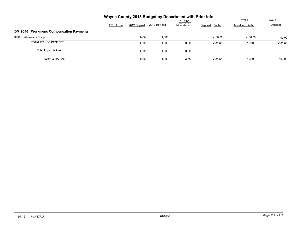|                                                         | Wayne County 2013 Budget by Department with Prior Info |               |              | Level 4                       | Level 5             |                |           |
|---------------------------------------------------------|--------------------------------------------------------|---------------|--------------|-------------------------------|---------------------|----------------|-----------|
|                                                         | 2011 Actual                                            | 2012 Original | 2012 Revised | <b>YTD thru</b><br>12/07/2012 | $%$ chg<br>Dept est | Tentative %chg | Adopted   |
| <b>Workmens Compensation Payments</b><br><b>DM 9040</b> |                                                        |               |              |                               |                     |                |           |
| 58300<br><b>Workmens Comp</b>                           |                                                        | 1,000         | 1,000        |                               | $-100.00$           | $-100.00$      | $-100.00$ |
| <b>TOTAL FRINGE BENEFITS</b>                            |                                                        | 1,000         | 1,000        | 0.00                          | $-100.00$           | $-100.00$      | $-100.00$ |
| <b>Total Appropriations</b>                             |                                                        | 1,000         | 1,000        | 0.00                          |                     |                |           |
| <b>Total County Cost</b>                                |                                                        | 1,000         | 1,000        | 0.00                          | $-100.00$           | $-100.00$      | $-100.00$ |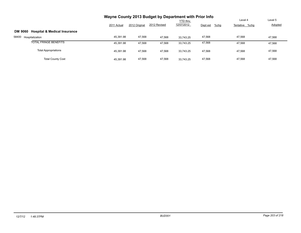|                                                           |             |               |              | <b>YTD thru</b> |                     | Level 4        | Level 5 |
|-----------------------------------------------------------|-------------|---------------|--------------|-----------------|---------------------|----------------|---------|
|                                                           | 2011 Actual | 2012 Original | 2012 Revised | 12/07/2012      | $%$ chg<br>Dept est | Tentative %chg | Adopted |
| <b>Hospital &amp; Medical Insurance</b><br><b>DM 9060</b> |             |               |              |                 |                     |                |         |
| 58400<br>Hospitalization                                  | 45,391.98   | 47,568        | 47.568       | 33.743.25       | 47,568              | 47,568         | 47.568  |
| <b>TOTAL FRINGE BENEFITS</b>                              | 45.391.98   | 47,568        | 47.568       | 33.743.25       | 47,568              | 47,568         | 47,568  |
| <b>Total Appropriations</b>                               | 45.391.98   | 47.568        | 47.568       | 33.743.25       | 47,568              | 47.568         | 47,568  |
| <b>Total County Cost</b>                                  | 45.391.98   | 47.568        | 47.568       | 33.743.25       | 47,568              | 47.568         | 47,568  |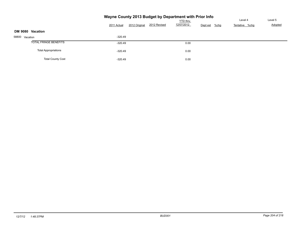| Wayne County 2013 Budget by Department with Prior Info |             |               |              |            |                     |                |         |  |  |  |  |
|--------------------------------------------------------|-------------|---------------|--------------|------------|---------------------|----------------|---------|--|--|--|--|
|                                                        |             |               |              | YTD thru   |                     | Level 4        | Level 5 |  |  |  |  |
|                                                        | 2011 Actual | 2012 Original | 2012 Revised | 12/07/2012 | Dept est<br>$%$ chg | Tentative %chg | Adopted |  |  |  |  |
| Vacation<br><b>DM 9080</b>                             |             |               |              |            |                     |                |         |  |  |  |  |
| 58800<br>Vacation                                      | $-320.49$   |               |              |            |                     |                |         |  |  |  |  |
| <b>TOTAL FRINGE BENEFITS</b>                           | $-320.49$   |               |              | 0.00       |                     |                |         |  |  |  |  |
| <b>Total Appropriations</b>                            | $-320.49$   |               |              | 0.00       |                     |                |         |  |  |  |  |
| <b>Total County Cost</b>                               | $-320.49$   |               |              | 0.00       |                     |                |         |  |  |  |  |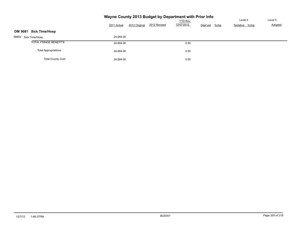|                                         |             |               | Wayne County 2013 Budget by Department with Prior Info | <b>YTD thru</b> |          |         | Level 4        | Level 5 |
|-----------------------------------------|-------------|---------------|--------------------------------------------------------|-----------------|----------|---------|----------------|---------|
|                                         | 2011 Actual | 2012 Original | 2012 Revised                                           | 12/07/2012      | Dept est | $%$ chg | Tentative %chg | Adopted |
| <b>Sick Time/Hosp</b><br><b>DM 9081</b> |             |               |                                                        |                 |          |         |                |         |
| 58802 Sick Time/Hosp.                   | 24,684.00   |               |                                                        |                 |          |         |                |         |
| <b>TOTAL FRINGE BENEFITS</b>            | 24,684.00   |               |                                                        | 0.00            |          |         |                |         |
| <b>Total Appropriations</b>             | 24,684.00   |               |                                                        | 0.00            |          |         |                |         |
| <b>Total County Cost</b>                | 24,684.00   |               |                                                        | 0.00            |          |         |                |         |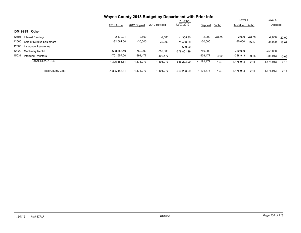|                                     | Wayne County 2013 Budget by Department with Prior Info |               |              |                 |              |          |              |          |              |          |
|-------------------------------------|--------------------------------------------------------|---------------|--------------|-----------------|--------------|----------|--------------|----------|--------------|----------|
|                                     |                                                        |               |              | <b>YTD thru</b> |              |          | Level 4      |          | Level 5      |          |
|                                     | 2011 Actual                                            | 2012 Original | 2012 Revised | 12/07/2012      | Dept est     | %chg     | Tentative    | %chq     | Adopted      |          |
| <b>DM 9999</b><br>Other             |                                                        |               |              |                 |              |          |              |          |              |          |
| 42401<br><b>Interest Earnings</b>   | $-2,479.21$                                            | $-2,500$      | $-2,500$     | $-1.355.80$     | $-2,000$     | $-20.00$ | $-2,000$     | $-20.00$ | $-2,000$     | $-20.00$ |
| 42665<br>Sale of Surplus Equipment  | $-82,561.00$                                           | $-30,000$     | $-30,000$    | $-75.456.00$    | $-30,000$    |          | $-35,000$    | 16.67    | $-35,000$    | 16.67    |
| 42680<br>Insurance Recoveries       |                                                        |               |              | $-680.00$       |              |          |              |          |              |          |
| 42822<br><b>Machinery Rental</b>    | $-608,556.40$                                          | $-750,000$    | $-750,000$   | -578.801.29     | $-750,000$   |          | $-750,000$   |          | $-750.000$   |          |
| 45031<br><b>Interfund Transfers</b> | -701.557.00                                            | $-391.477$    | $-409.477$   |                 | $-409,477$   | 4.60     | $-388,913$   | $-0.65$  | $-388,913$   | $-0.65$  |
| <b>TOTAL REVENUES</b>               | $-1,395,153.61$                                        | $-1,173,977$  | $-1,191,977$ | $-656.293.09$   | $-1,191,477$ | 1.49     | $-1,175,913$ | 0.16     | $-1,175,913$ | 0.16     |
| <b>Total County Cost</b>            | $-1,395,153.61$                                        | $-1.173.977$  | $-1.191.977$ | $-656.293.09$   | $-1,191,477$ | 1.49     | $-1,175,913$ | 0.16     | $-1,175,913$ | 0.16     |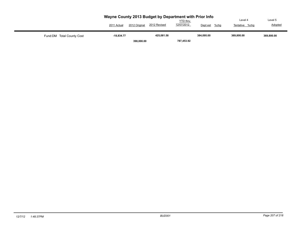|                            | Wayne County 2013 Budget by Department with Prior Info<br>2011 Actual | 2012 Original | 2012 Revised | <b>YTD</b> thru<br>12/07/2012 | Dept est<br>%chg | Level 4<br>%chq<br>Tentative | Level 5<br>Adopted |
|----------------------------|-----------------------------------------------------------------------|---------------|--------------|-------------------------------|------------------|------------------------------|--------------------|
| Fund: DM Total County Cost | $-18.834.77$                                                          | 398,000.00    | 425,081.58   | 787,453.92                    | 384,095.00       | 369.800.00                   | 369,800.00         |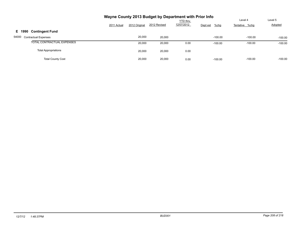|                                      | Wayne County 2013 Budget by Department with Prior Info |               |              |                 |                     |                |           |
|--------------------------------------|--------------------------------------------------------|---------------|--------------|-----------------|---------------------|----------------|-----------|
|                                      |                                                        |               |              | <b>YTD thru</b> |                     | Level 4        | Level 5   |
|                                      | 2011 Actual                                            | 2012 Original | 2012 Revised | 12/07/2012      | $%$ chg<br>Dept est | Tentative %chg | Adopted   |
| <b>Contingent Fund</b><br>E 1990     |                                                        |               |              |                 |                     |                |           |
| 54000<br><b>Contractual Expenses</b> |                                                        | 20,000        | 20,000       |                 | $-100.00$           | $-100.00$      | $-100.00$ |
| TOTAL CONTRACTUAL EXPENSES           |                                                        | 20,000        | 20,000       | 0.00            | $-100.00$           | $-100.00$      | $-100.00$ |
| <b>Total Appropriations</b>          |                                                        | 20,000        | 20,000       | 0.00            |                     |                |           |
| <b>Total County Cost</b>             |                                                        | 20,000        | 20,000       | 0.00            | $-100.00$           | $-100.00$      | $-100.00$ |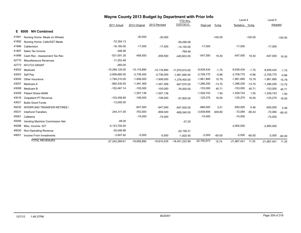|       |                                | Wayne County 2013 Budget by Department with Prior Info |                 |                 |                  |               |           |                |           |               |           |
|-------|--------------------------------|--------------------------------------------------------|-----------------|-----------------|------------------|---------------|-----------|----------------|-----------|---------------|-----------|
|       |                                |                                                        |                 |                 | <b>YTD</b> thru  |               |           | Level 4        |           | Level 5       |           |
|       |                                | 2011 Actual                                            | 2012 Original   | 2012 Revised    | 12/07/2012       | Dept est      | $%$ chg   | Tentative %chg |           | Adopted       |           |
|       | <b>NH Combined</b><br>E 6000   |                                                        |                 |                 |                  |               |           |                |           |               |           |
| 41891 | Nursing Home- Meals on Wheels  |                                                        | $-30,000$       | $-30,000$       |                  |               | $-100.00$ |                | $-100.00$ |               | $-100.00$ |
| 41892 | Nursing Home- Cafe/GST Meals   | $-72,354.13$                                           |                 |                 | $-59,296.08$     |               |           |                |           |               |           |
| 41896 | Cablevision                    | $-16,160.00$                                           | $-17,000$       | $-17,000$       | $-14,150.00$     | $-17,000$     |           | $-17,000$      |           | $-17,000$     |           |
| 41897 | Sales Tax Income               | $-346.06$                                              |                 |                 | $-769.48$        |               |           |                |           |               |           |
| 41898 | Cash Rec - Assessment Tax Rev  | $-531,591.35$                                          | $-458,500$      | $-458,500$      | $-445,603.05$    | $-547,000$    | 19.30     | $-547,000$     | 19.30     | $-547,000$    | 19.30     |
| 42770 | Miscellaneous Revenues         | $-11,253.48$                                           |                 |                 |                  |               |           |                |           |               |           |
| 42773 | <b>NYLTCII GRANT</b>           | $-265.00$                                              |                 |                 |                  |               |           |                |           |               |           |
| 43002 | Medicaid                       | $-15,289,120.00$                                       | $-10, 116, 890$ | $-10, 116, 890$ | $-11,979,910.00$ | $-9,939,434$  | $-1.75$   | $-9,939,434$   | $-1.75$   | $-9,939,434$  | $-1.75$   |
| 43003 | Self Pay                       | $-2,858,660.00$                                        | $-2,736,000$    | $-2,736,000$    | $-1,961,690.00$  | $-2,709,770$  | $-0.96$   | $-2,709,770$   | $-0.96$   | $-2,709,770$  | $-0.96$   |
| 43004 | Other Insurance                | $-1,794,210.00$                                        | $-1,608,000$    | $-1,608,000$    | $-1,378,400.00$  | $-1,861,895$  | 15.79     | $-1,861,895$   | 15.79     | $-1,861,895$  | 15.79     |
| 43007 | Medicare A                     | $-992,430.00$                                          | $-1,491,369$    | $-1,491,369$    | $-847,570.00$    | $-1,286,250$  | $-13.75$  | $-1,286,250$   | $-13.75$  | $-1,286,250$  | $-13.75$  |
| 43008 | Medicare B                     | $-152,467.14$                                          | $-105,000$      | $-105,000$      | $-76,500.00$     | $-153,000$    | 45.71     | $-153,000$     | 45.71     | $-153,000$    | 45.71     |
| 43009 | <b>Patient Share-NAMI</b>      |                                                        | $-1,507,136$    | $-1,507,136$    |                  | $-1,529,743$  | 1.50      | $-1,529,743$   | 1.50      | $-1,529,743$  | 1.50      |
| 43016 | <b>Outpatient PT Revenue</b>   | $-103,458.85$                                          | $-108,000$      | $-108,000$      | $-57,600.00$     | $-125,275$    | 16.00     | $-125,275$     | 16.00     | $-125,275$    | 16.00     |
| 43021 | <b>Bullis Grant Funds</b>      | $-13,000.00$                                           |                 |                 |                  |               |           |                |           |               |           |
| 45030 | INTERFUND TRANSFER-RETIREE     |                                                        | $-647,000$      | $-647,000$      | $-647,000.00$    | $-666,500$    | 3.01      | $-650,000$     | 0.46      | $-650,000$    | 0.46      |
| 45031 | <b>Interfund Transfers</b>     | $-244,311.00$                                          | $-753,000$      | $-906,540$      | $-906,540.00$    | $-3,838,806$  | 409.80    | $-72,084$      | $-90.43$  | $-72,084$     | $-90.43$  |
| 45061 | Cafeteria                      |                                                        | $-74,000$       | $-74,000$       |                  | $-74,000$     |           | $-74,000$      |           | $-74,000$     |           |
| 45095 | Vending Machine Commission Net | $-48.00$                                               |                 |                 | $-37.25$         |               |           |                |           |               |           |
| 45096 | Misc. Income- IGT              | $-5,123,700.00$                                        |                 |                 |                  |               |           | $-2,900,000$   |           | $-2,900,000$  |           |
| 49030 | Non-Operating Revenue          | $-35,046.98$                                           |                 |                 | $-22,156.21$     |               |           |                |           |               |           |
| 49051 | Income From Investments        | $-3,847.62$                                            | $-5,000$        | $-5,000$        | $-1,820.45$      | $-2,000$      | $-60.00$  | $-2,000$       | $-60.00$  | $-2,000$      | $-60.00$  |
|       | <b>TOTAL REVENUES</b>          | -27,242,269.61                                         | $-19,656,895$   | $-19,810,435$   | -18,401,222.99   | $-22,750,673$ | 15.74     | $-21,867,451$  | 11.25     | $-21,867,451$ | 11.25     |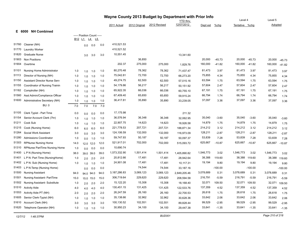|       |                                      |                                |                            |           |      |                |                 | Wayne County 2013 Budget by Department with Prior Info |              |           |           |                |           |                |           |
|-------|--------------------------------------|--------------------------------|----------------------------|-----------|------|----------------|-----------------|--------------------------------------------------------|--------------|-----------|-----------|----------------|-----------|----------------|-----------|
|       |                                      |                                |                            |           |      |                | <b>YTD</b> thru |                                                        |              |           |           | Level 4        |           | Level 5        |           |
|       |                                      |                                |                            |           |      | 2011 Actual    | 2012 Original   | 2012 Revised                                           | 12/07/2012   | Dept est  | %chg      | Tentative %chg |           | <b>Adopted</b> |           |
|       | <b>NH Combined</b><br>E 6000         |                                |                            |           |      |                |                 |                                                        |              |           |           |                |           |                |           |
|       |                                      |                                | ----- Position Count ----- |           |      |                |                 |                                                        |              |           |           |                |           |                |           |
|       |                                      | B <sub>12</sub> L <sub>1</sub> |                            | L4<br>L5  |      |                |                 |                                                        |              |           |           |                |           |                |           |
| 51760 | Cleaner (NH)                         |                                | 0.0                        | 0.0       | 0.0  | 410,521.53     |                 |                                                        |              |           |           |                |           |                |           |
| 51770 | <b>Laundry Worker</b>                |                                |                            |           |      | 410,521.52     |                 |                                                        |              |           |           |                |           |                |           |
| 51820 | <b>Graduate Nurse</b>                |                                | 3.0                        | 3.0       | 3.0  | 10,551.45      |                 |                                                        | 13,341.60    |           |           |                |           |                |           |
| 51903 | <b>Non Positions</b>                 |                                |                            |           |      |                | 36,850          |                                                        |              | 20,000    | $-45.73$  | 20,000         | $-45.73$  | 20,000         | $-45.73$  |
| 51904 | Overtime                             |                                |                            |           |      | 202.37         | 275,000         | 275,000                                                | 1,829.76     | 160,000   | $-41.82$  | 160,000        | $-41.82$  | 160,000        | $-41.82$  |
| 51101 | Nursing Home Administrator           | 1.0                            | 1.0                        | 1.0       | 1.0  | 80,270.48      | 78,362          | 78,362                                                 | 71,437.47    | 81,473    | 3.97      | 81,473         | 3.97      | 81,473         | 3.97      |
| 51113 | Director of Nursing (NH)             | 1.0                            | 1.0                        | 1.0       | 1.0  | 75,042.81      | 72,700          | 72,700                                                 | 66,273.20    | 75,855    | 4.34      | 75,855         | 4.34      | 75,855         | 4.34      |
| 51150 | Assistant Director Nurse Serv        | 1.0                            | 1.0                        | 1.0       | 1.0  | 49,274.75      | 62,500          | 62,500                                                 | 57,015.16    | 63,594    | 1.75      | 63,594         | 1.75      | 63,594         | 1.75      |
| 51155 | Coordinator of Nursing Trainin       | 1.0                            | 1.0                        | 1.0       | 1.0  | 54,179.86      | 56,217          | 56,217                                                 | 50,151.92    | 57,604    | 2.47      | 57,604         | 2.47      | 57,604         | 2.47      |
| 51182 | Comptroller (NH)                     | 1.0                            | 1.0                        | 1.0       | 1.0  | 65,922.35      | 66,036          | 66,036                                                 | 60,755.10    | 67,191    | 1.75      | 67,191         | 1.75      | 67,191         | 1.75      |
| 51560 | Asst Admin/Compliance Officer        | 1.0                            | 1.0                        | 1.0       | 1.0  | 67,409.40      | 65,650          | 65,650                                                 | 59,915.24    | 66,794    | 1.74      | 66,794         | 1.74      | 66,794         | 1.74      |
| 51600 | Administrative Secretary (NH)        | 1.0                            | 1.0                        | 1.0       | 1.0  | 36,417.81      | 35,890          | 35,890                                                 | 33,239.05    | 37,097    | 3.36      | 37,097         | 3.36      | 37,097         | 3.36      |
|       | <b>BU: 0</b>                         | 7.0                            | 7.0                        | 7.0       | 7.0  |                |                 |                                                        |              |           |           |                |           |                |           |
| 51105 | Clerk Typist - Part Time             | 0.0                            | 0.0                        | 0.0       | 0.0  | 17,175.98      |                 |                                                        | 211.32       |           |           |                |           |                |           |
| 51154 | Senior Account Clerk (7hr)           | 1.0                            | 1.0                        | 1.0       | 1.0  | 36,576.94      | 36,348          | 36,348                                                 | 32,062.95    | 35,040    | $-3.60$   | 35,040         | $-3.60$   | 35,040         | $-3.60$   |
| 51211 | Cook Sub                             | 1.0                            | 1.0                        | 1.0       | 1.0  | 22,907.75      | 14,623          | 14,623                                                 | 18,926.58    | 14,879    | 1.75      | 14,879         | 1.75      | 14,879         | 1.75      |
| 51215 | Cook (Nursing Home)                  | 6.0                            | 6.0                        | 6.0       | 6.0  | 221,778.53     | 207,721         | 207,721                                                | 188,871.34   | 214,212   | 3.12      | 214,212        | 3.12      | 214,212        | 3.12      |
| 51264 | Social Work Assistant                | 3.0                            | 0.0                        | 3.0       | 3.0  | 124,106.59     | 132,000         | 132,000                                                | 116,973.09   | 128,211   | $-2.87$   | 128,211        | $-2.87$   | 128,211        | $-2.87$   |
| 51280 | <b>Admissions Coordinator</b>        | 1.0                            | 0.0                        | 1.0       | 1.0  | 59,747.93      | 50,187          | 50,187                                                 | 50,097.37    | 53,839    | 7.28      | 53,839         | 7.28      | 53,839         | 7.28      |
| 51303 | <b>RPNurse Nursing Home</b>          | 14.0                           |                            | 12.0 12.0 | 12.0 | 521,917.01     | 702,000         | 702,000                                                | 515,093.72   | 625,667   | $-10.87$  | 625,667        | $-10.87$  | 625,667        | $-10.87$  |
| 51310 | RPNurse PartTime Nursing Home        | 1.0                            | 0.0                        | 0.0       | 0.0  | 10,690.74      |                 |                                                        |              |           |           |                |           |                |           |
| 51400 | L P N (Nursing Home)                 | 38.0                           |                            | 39.0 39.0 | 39.0 | 1,573,332.90   | 1,501,414       | 1,501,414                                              | 1,405,890.82 | 1,546,773 | 3.02      | 1,546,773      | 3.02      | 1,546,773      | 3.02      |
| 51401 | L P N- Part Time (NursingHome)       | 1.0                            | 2.0                        | 2.0       | 2.0  | 20,812.66      | 17,481          | 17,481                                                 | 28,942.64    | 38,388    | 119.60    | 38,388         | 119.60    | 38,388         | 119.60    |
| 51402 | L P N- Sub (Nursing Home)            | 1.0                            | 1.0                        | 1.0       | 1.0  | 24,901.08      | 17,481          | 17,481                                                 | 10,117.31    | 19,194    | 9.80      | 19,194         | 9.80      | 19,194         | 9.80      |
| 51403 | L P N-Temp (Nursing Home)            |                                | 0.0                        | 0.0       | 0.0  |                | 74,544          | 74,544                                                 | 33,187.16    |           | $-100.00$ |                | $-100.00$ |                | $-100.00$ |
| 51500 | <b>Nursing Assistant</b>             | 94.0                           |                            | 94.0 94.0 | 94.0 | 3, 187, 286.83 | 3,069,123       | 3,069,123                                              | 2,849,205.46 | 3,078,689 | 0.31      | 3,078,689      | 0.31      | 3,078,689      | 0.31      |
| 51501 | <b>Nursing Assistant- PartTime</b>   | 15.0                           |                            | 15.0 15.0 | 15.0 | 306,719.64     | 229,620         | 229,620                                                | 208,594.58   | 216,791   | $-5.59$   | 216,791        | $-5.59$   | 216,791        | $-5.59$   |
| 51502 | <b>Nursing Assistant- Substitute</b> | 1.0                            |                            | 2.0       | 2.0  | 15,122.20      | 15,308          | 15,308                                                 | 18,168.40    | 32,071    | 109.50    | 32,071         | 109.50    | 32,071         | 109.50    |
| 51510 | <b>Activity Aide</b>                 | 4.0                            | 2.0                        | 4.0       | 4.0  | 130,451.15     | 131,425         | 131,425                                                | 122,533.76   | 137,359   | 4.52      | 137,359        | 4.52      | 137,359        | 4.52      |
| 51553 | Activity Aide PT (NH)                | 2.0                            | 4.0                        |           | 2.0  | 26,247.59      | 26,160          | 26,160                                                 | 22,700.53    | 26,618    | 1.75      | 26,618         | 1.75      | 26,618         | 1.75      |
| 51605 | Senior Clerk-Typist (NH)             | 1.0                            | 2.0                        | 2.0       | 1.0  | 35,138.66      | 32,962          | 32,962                                                 | 30,628.36    | 33,642    | 2.06      | 33,642         | 2.06      | 33,642         | 2.06      |
| 51610 | Account Clerk (NH)                   | 3.0                            | 1.0                        | 1.0       | 3.0  | 100,130.52     | 102,551         | 102,551                                                | 89,828.44    | 99,529    | $-2.95$   | 99,529         | $-2.95$   | 99,529         | $-2.95$   |
| 51620 | Telephone Operator (NH)              |                                | 3.0                        | 3.0       | 1.0  | 30,950.23      | 34,100          | 34,100                                                 | 29,447.38    | 33,641    | $-1.35$   | 33,641         | $-1.35$   | 33,641         |           |
|       |                                      | 1.0                            | 1.0                        | 1.0       |      |                |                 |                                                        |              |           |           |                |           |                | $-1.35$   |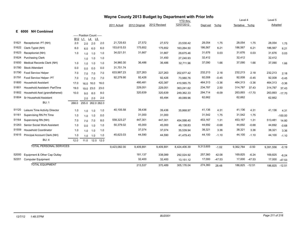|       |                                |            | Wayne County 2013 Budget by Department with Prior Info |                   |           |              |               |              |                 |           |          |                |          |           |           |
|-------|--------------------------------|------------|--------------------------------------------------------|-------------------|-----------|--------------|---------------|--------------|-----------------|-----------|----------|----------------|----------|-----------|-----------|
|       |                                |            |                                                        |                   |           |              |               |              | <b>YTD thru</b> |           |          | Level 4        |          | Level 5   |           |
|       |                                |            |                                                        |                   |           | 2011 Actual  | 2012 Original | 2012 Revised | 12/07/2012      | Dept est  | %chg     | Tentative %chg |          | Adopted   |           |
|       | E 6000 NH Combined             |            |                                                        |                   |           |              |               |              |                 |           |          |                |          |           |           |
|       |                                | <b>B12</b> | ----- Position Count -----<br>L1                       | L4<br>L5          |           |              |               |              |                 |           |          |                |          |           |           |
| 51621 | Receptionist- PT (NH)          | 2.0        | 2.0                                                    | 2.0               | 2.0       | 21,725.63    | 27,572        | 27,572       | 23,530.42       | 28,054    | 1.75     | 28,054         | 1.75     | 28,054    | 1.75      |
| 51622 | Clerk-Typist (NH)              | 6.0        | 6.0                                                    | 6.0               | 6.0       | 153,615.53   | 175,652       | 175,652      | 163,264.50      | 186,567   | 6.21     | 186,567        | 6.21     | 186,567   | 6.21      |
| 51623 | Receptionist (NH)              | 1.0        | 1.0                                                    | 1.0               | 1.0       | 34,021.51    | 31,667        | 31,667       | 29,675.46       | 31,676    | 0.03     | 31,676         | 0.03     | 31,676    | 0.03      |
| 51624 | <b>Purchasing Clerk</b>        |            | 1.0                                                    | 1.0               | 1.0       |              |               | 31,450       | 27,240.93       | 32,412    |          | 32,412         |          | 32,412    |           |
| 51650 | Medical Records Clerk (NH)     | 1.0        | 1.0                                                    | 1.0               | 1.0       | 34,960.30    | 36,486        | 36,486       | 32,711.96       | 37,090    | 1.66     | 37,090         | 1.66     | 37,090    | 1.66      |
| 51780 | <b>Stock Attendant</b>         | 0.0        | 0.0                                                    | 0.0               | 0.0       | 31,751.74    |               |              |                 |           |          |                |          |           |           |
| 51790 | Food Service Helper            | 7.0        | 7.0                                                    | 7.0               | 7.0       | 633,987.23   | 227,263       | 227,263      | 202,677.42      | 232,213   | 2.18     | 232,213        | 2.18     | 232,213   | 2.18      |
| 51791 | Food Service Helper- PT        | 7.0        | 7.0                                                    | 7.0               | 7.0       | 92,279.90    | 92,426        | 92,426       | 73,980.76       | 92,008    | $-0.45$  | 92,008         | $-0.45$  | 92,008    | $-0.45$   |
| 51800 | <b>Household Assistant</b>     | 17.0       |                                                        | 16.0 16.0         | 16.0      |              | 480,481       | 420,387      | 410,565.75      | 464,313   | $-3.36$  | 464,313        | $-3.36$  | 464,313   | $-3.36$   |
| 51801 | Household Assistant- PartTime  | 19.0       |                                                        | 19.0 23.0         | 23.0      |              | 229,051       | 229,051      | 363,241.62      | 234,787   | 2.50     | 314,787        | 37.43    | 314,787   | 37.43     |
| 51802 | Household Asst (grandfathered) | 10.0       | 9.0                                                    | 8.0               | 8.0       |              | 320,639       | 320,639      | 249,362.33      | 294,714   | $-8.09$  | 263,893        | $-17.70$ | 263,893   | $-17.70$  |
| 51804 | Sr Household Assistant         |            | 2.0                                                    | 2.0               | 2.0       |              |               | 65,494       | 49,089.96       | 62,662    |          | 62,662         |          | 62,662    |           |
|       | <b>BU: 1</b>                   | 268.0      |                                                        | 255.0 262.0 262.0 |           |              |               |              |                 |           |          |                |          |           |           |
| 51120 | Leisure Time Activity Director | 1.0        | 1.0                                                    | 1.0               | 1.0       | 40,105.58    | 39,436        | 39,436       | 35,868.97       | 41,136    | 4.31     | 41,136         | 4.31     | 41,136    | 4.31      |
| 51161 | Supervising RN Prt Time        | 1.0        | 1.0                                                    | 1.0               | 0.0       |              | 31,000        | 31,000       |                 | 31,542    | 1.75     | 31,542         | 1.75     |           | $-100.00$ |
| 51164 | Supervising RN (NH)            | 7.0        | 7.0                                                    | 7.0               | 8.0       | 558,323.27   | 447,301       | 447,301      | 454,598.40      | 453,167   | 1.31     | 453,167        | 1.31     | 513,481   | 14.80     |
| 51263 | Senior Social Work Assistant   | 1.0        | 0.0                                                    | 1.0               | 1.0       | 50,379.02    | 45,000        | 45,000       | 46,138.83       | 44,692    | $-0.68$  | 44,692         | $-0.68$  | 44,692    | $-0.68$   |
| 51559 | <b>Household Coordinator</b>   | 1.0        | 1.0                                                    | 1.0               | 1.0       |              | 37,074        | 37,074       | 35,539.94       | 38,321    | 3.36     | 38,321         | 3.36     | 38,321    | 3.36      |
| 51615 | Principal Account Clerk (NH)   | 1.0        | 1.0                                                    | 1.0               | 1.0       | 45,623.03    | 44,590        | 44,590       | 41,479.43       | 44,100    | $-1.10$  | 44,100         | $-1.10$  | 44,100    | $-1.10$   |
|       | <b>BU: 4</b>                   | 12.0       | 11.0                                                   |                   | 12.0 12.0 |              |               |              |                 |           |          |                |          |           |           |
|       | <b>TOTAL PERSONAL SERVICES</b> |            |                                                        |                   |           | 9,423,082.00 | 9.409.891     | 9,409,891    | 8,424,406.39    | 9,313,605 | $-1.02$  | 9,362,784      | $-0.50$  | 9,391,556 | $-0.19$   |
| 52000 | Equipment & Other Cap Outlay   |            |                                                        |                   |           |              | 181,137       | 338,089      | 292,024.92      | 257,360   | 42.08    | 169,825        | $-6.24$  | 169,825   | $-6.24$   |
| 52201 | <b>Computer Equipment</b>      |            |                                                        |                   |           |              | 32,400        | 32,400       | 13,151.12       | 17,000    | $-47.53$ | 17,000         | $-47.53$ | 17,000    | $-47.53$  |
|       | <b>TOTAL EQUIPMENT</b>         |            |                                                        |                   |           |              | 213,537       | 370.489      | 305.176.04      | 274,360   | 28.48    | 186.825        | $-12.51$ | 186,825   | $-12.51$  |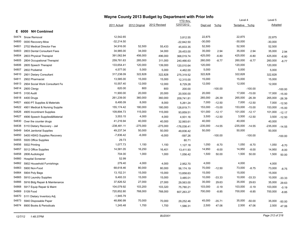|       |                                |               | Wayne County 2013 Budget by Department with Prior Info<br><b>YTD thru</b> |              |               |            | Level 4   |                |           |            |           |
|-------|--------------------------------|---------------|---------------------------------------------------------------------------|--------------|---------------|------------|-----------|----------------|-----------|------------|-----------|
|       |                                | 2011 Actual   | 2012 Original                                                             | 2012 Revised | 12/07/2012    | Dept est   | $%$ chg   | Tentative %chg |           | Adopted    |           |
| Е.    | <b>NH Combined</b><br>6000     |               |                                                                           |              |               |            |           |                |           |            |           |
|       |                                |               |                                                                           |              |               |            |           |                |           |            |           |
| 54474 | Snow Removal                   | 12,542.65     |                                                                           |              | 3,812.55      | 22,875     |           | 22,875         |           | 22,875     |           |
| 54800 | 0000 Recovery-Mow              | $-32,214.50$  |                                                                           |              | $-22,842.50$  | $-30,000$  |           | $-30,000$      |           | $-30,000$  |           |
| 54801 | 2702 Medical Director Fee      | 34,916.00     | 52,500                                                                    | 55,433       | 45,833.35     | 52,500     |           | 52,500         |           | 52,500     |           |
| 54803 | 2803 Dental Consultant Fees    | 34,985.00     | 34,000                                                                    | 34,000       | 29,453.00     | 35,000     | 2.94      | 35,000         | 2.94      | 35,000     | 2.94      |
| 54804 | 2803 Physical Therapist        | 391,062.84    | 456,000                                                                   | 496,000      | 368,019.74    | 425,000    | $-6.80$   | 425,000        | $-6.80$   | 425,000    | $-6.80$   |
| 54805 | 2804 Occupational Therapist    | 259,781.63    | 285,000                                                                   | 311,000      | 240,466.63    | 260,000    | $-8.77$   | 260,000        | $-8.77$   | 260,000    | $-8.77$   |
| 54806 | 2805 Speech Therapist          | 133,654.41    | 120,000                                                                   | 139,000      | 120,010.64    | 120,000    |           | 120,000        |           | 120,000    |           |
| 54807 | 2802 Podiatrist                | 4,577.00      | 5,000                                                                     | 5,000        | 4,462.00      | 5,000      |           | 5,000          |           | 5,000      |           |
| 54810 | 2901 Dietary Consultant        | 317,238.09    | 322,828                                                                   | 322,828      | 275,319.52    | 322,828    |           | 322,828        |           | 322,828    |           |
| 54811 | 2902 Pharmacist                | 13,585.00     | 15,000                                                                    | 15,000       | 12,315.00     | 15,000     |           | 15,000         |           | 15,000     |           |
| 54813 | 2904 Social Work Consultant Fe | 10,557.40     | 12,000                                                                    | 12,000       | 8,729.28      | 12,000     |           | 12,000         |           | 12,000     |           |
| 54814 | 2905 Clergy                    | 620.00        | 800                                                                       | 800          | 200.00        |            | $-100.00$ |                | $-100.00$ |            | $-100.00$ |
| 54815 | 3100 Audit                     | 11,900.00     | 20,000                                                                    | 20,000       | 20,500.00     | 20,000     |           | 17,000         | $-15.00$  | 17,000     | $-15.00$  |
| 54818 | 4400 Drugs                     | 261,239.00    | 360,000                                                                   | 360,000      | 209,741.81    | 265,000    | $-26.39$  | 265,000        | $-26.39$  | 265,000    | $-26.39$  |
| 54821 | 4900 PT Supplies & Materials   | 8,495.09      | 8,000                                                                     | 8,000        | 5,261.24      | 7,000      | $-12.50$  | 7,000          | $-12.50$  | 7,000      | $-12.50$  |
| 54822 | 4901 Medical & Nursing Supplie | 155, 174.42   | 180,000                                                                   | 180,000      | 128,819.71    | 153,000    | $-15.00$  | 153,000        | $-15.00$  | 153,000    | $-15.00$  |
| 54826 | 4905 Incontinent Supplies      | 109,894.73    | 115,000                                                                   | 115,000      | 93,859.51     | 101,000    | $-12.17$  | 101,000        | $-12.17$  | 101,000    | $-12.17$  |
| 54827 | 4906 Speech Supplies&Material  | 3,553.15      | 4,000                                                                     | 4,000        | 4,931.16      | 3,500      | $-12.50$  | 3,500          | $-12.50$  | 3,500      | $-12.50$  |
| 54830 | Over the counter drugs         | 41,216.94     | 40,000                                                                    | 40,000       | 32,993.61     | 40,000     |           | 40,000         |           | 40,000     |           |
| 54838 | 5110 Dietary Recovery - Jail   | $-238,481.11$ | $-275,000$                                                                | $-275,000$   | $-176,038.41$ | $-235,000$ | $-14.55$  | $-235,000$     | $-14.55$  | $-235,000$ | $-14.55$  |
| 54849 | 5404 Janitorial Supplies       | 49,237.34     | 50,000                                                                    | 50,000       | 49,836.42     | 50,000     |           | 50,000         |           | 50,000     |           |
| 54850 | 5405 HSKG Supplies Recovery    | $-7,836.42$   | $-6,000$                                                                  | $-6,000$     | $-597.26$     |            | $-100.00$ |                | $-100.00$ |            | $-100.00$ |
| 54855 | 5505 Office Supplies           | 29.73         |                                                                           |              | 80.71         |            |           |                |           |            |           |
| 54856 | 5502 Printing                  | 1,077.73      | 1,150                                                                     | 1,150        | 1,127.18      | 1,050      | $-8.70$   | 1,050          | $-8.70$   | 1,050      | $-8.70$   |
| 54857 | 5512 Office Supplies           | 14,581.05     | 16,250                                                                    | 16,401       | 13,411.93     | 14,950     | $-8.00$   | 14,950         | $-8.00$   | 14,950     | $-8.00$   |
| 54858 | 2806 Audiologist               | 704.00        | 1,000                                                                     | 1,000        | 1,056.42      | 1,500      | 50.00     | 1,500          | 50.00     | 1,500      | 50.00     |
| 54860 | <b>Hospital Screener</b>       | 52.99         |                                                                           |              |               |            |           |                |           |            |           |
| 54862 | 5902 Household Furnishings     | 279.40        | 4,000                                                                     | 4,000        | 2,952.70      | 4,000      |           | 4,000          |           | 4,000      |           |
| 54863 | 5900 Non-Food                  | 68,618.46     | 80,000                                                                    | 80,000       | 56,174.19     | 70,000     | $-12.50$  | 73,000         | $-8.75$   | 73,000     | $-8.75$   |
| 54864 | 5904 Poly Bags                 | 13,152.31     | 15,000                                                                    | 15,000       | 13,858.63     | 15,000     |           | 15,000         |           | 15,000     |           |
| 54865 | 5910 Laundry Supplies          | 9,493.33      | 15,000                                                                    | 15,000       | 3,485.01      | 10,000     | $-33.33$  | 10,000         | $-33.33$  | 10,000     | $-33.33$  |
| 54866 | 5916 Bldg Repair & Maintenance | 37,826.52     | 27,000                                                                    | 27,000       | 29,563.00     | 35,000     | 29.63     | 35,000         | 29.63     | 35,000     | 29.63     |
| 54868 | 5917 Equip Repair & Maint      | 104,079.92    | 103,200                                                                   | 103,320      | 75,780.21     | 103,000    | $-0.19$   | 103,000        | $-0.19$   | 103,000    | $-0.19$   |
| 54869 | 5109 Food                      | 720,852.80    | 768,000                                                                   | 768,000      | 607,263.27    | 700,000    | $-8.85$   | 700,000        | $-8.85$   | 700,000    | $-8.85$   |
| 54870 | 5111 Dietary Inventory Adj.    | $-1,945.79$   |                                                                           |              |               |            |           |                |           |            |           |
| 54873 | 5940 Disposable Paper          | 48,890.99     | 70,000                                                                    | 70,000       | 29,252.46     | 45,000     | $-35.71$  | 35,000         | $-50.00$  | 35,000     | $-50.00$  |
| 54874 | 8900 Books & Periodicals       | 1,245.48      | 1,700                                                                     | 1,700        | 1,586.31      | 2,500      | 47.06     | 2,500          | 47.06     | 2,500      | 47.06     |
|       |                                |               |                                                                           |              |               |            |           |                |           |            |           |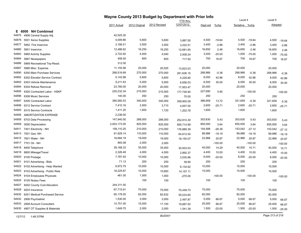|       | Wayne County 2013 Budget by Department with Prior Info |              |               |              |                               |          |           | Level 4        |              |         |           |
|-------|--------------------------------------------------------|--------------|---------------|--------------|-------------------------------|----------|-----------|----------------|--------------|---------|-----------|
|       |                                                        |              |               |              | <b>YTD thru</b><br>12/07/2012 |          |           |                |              | Level 5 |           |
|       |                                                        | 2011 Actual  | 2012 Original | 2012 Revised |                               | Dept est | $%$ chg   | Tentative %chg |              | Adopted |           |
|       | E 6000 NH Combined                                     |              |               |              |                               |          |           |                |              |         |           |
| 54875 | 4906 Central Supply Adj.                               | 42,025.30    |               |              |                               |          |           |                |              |         |           |
| 54876 | 5501 Xerox Supplies                                    | 4,009.86     | 5,600         | 5,600        | 3,887.55                      | 4,500    | $-19.64$  | 4,500          | $-19.64$     | 4,500   | $-19.64$  |
| 54877 | 5952 Fire Inservice                                    | 3,166.51     | 3,500         | 3,500        | 3,222.51                      | 3,400    | $-2.86$   | 3,400          | $-2.86$      | 3,400   | $-2.86$   |
| 54880 | 5951 Inservice                                         | 12,486.62    | 16,250        | 16,250       | 12,681.65                     | 16,650   | 2.46      | 16,650         | 2.46         | 16,650  | 2.46      |
| 54883 | 5965 Activity Supplies                                 | 2,722.92     | 4,000         | 4,040        | 2,938.24                      | 3,000    | $-25.00$  | 1,000          | $-75.00$     | 1,000   | $-75.00$  |
| 54884 | 5967 Newspapers                                        | 458.00       | 600           | 600          | 717.50                        | 700      | 16.67     | 700            | 16.67        | 700     | 16.67     |
| 54886 | 5969 Recreational Trip-Resid.                          | 312.00       |               |              |                               |          |           |                |              |         |           |
| 54887 | 5980 Misc. Expense                                     | 11,155.99    | 20,000        | 20,025       | 13,823.03                     | 20,000   |           | 20,000         |              | 20,000  |           |
| 54890 | 6300 Main Purchase Services                            | 268,516.69   | 270,000       | 270,000      | 261,636.15                    | 268,966  | $-0.38$   | 268,966        | $-0.38$      | 268,966 | $-0.38$   |
| 54892 | 6302 Elavator Service Contract                         | 5,142.88     | 5,600         | 5,600        | 4,226.80                      | 8,000    | 42.86     | 8,000          | 42.86        | 8,000   | 42.86     |
| 54893 | 6303 Vehicle Maintenance                               | 6,211.63     | 5,000         | 5,000        | 6,656.03                      | 6,500    | 30.00     | 6,500          | 30.00        | 6,500   | 30.00     |
| 54894 | 6304 Refuse Removal                                    | 23,780.00    | 20,000        | 20,000       | 17,953.47                     | 20,000   |           | 20,000         |              | 20,000  |           |
| 54895 | 6305 Contracted Labor - HSKP                           | 220,232.34   | 215,000       | 215,000      | 177,728.94                    | 227,690  | 5.90      |                | $-100.00$    |         | $-100.00$ |
| 54896 | 6306 Music Services                                    | 140.00       | 250           | 250          | 70.00                         | 250      |           | 250            |              | 250     |           |
| 54897 | 6305 Contracted Labor                                  | 385,560.53   | 340,000       | 340,000      | 359,905.09                    | 386,659  | 13.72     | 321,659        | $-5.39$      | 321,659 | $-5.39$   |
| 54898 | 6312 Service Contract                                  | 7,410.16     | 3,500         | 3,710        | 4,657.00                      | 2,600    | $-25.71$  | 2,600          | $-25.71$     | 2,600   | $-25.71$  |
| 54900 | 6315 Service Contracts                                 | 1,411.25     | 1,600         | 1,720        | 1,202.78                      | 1,600    |           | 1,600          |              | 1,600   |           |
| 54906 | AMORTIZATION EXPENSE                                   | 2,236.00     |               |              |                               |          |           |                |              |         |           |
| 54908 | 6703 Data Processing                                   | 147,940.50   | 288,000       | 288,000      | 252,814.30                    | 303,630  | 5.43      | 303,630        | 5.43         | 303,630 | 5.43      |
| 54909 | 0000 Depreciation                                      | 2,003,173.00 | 825,000       | 825,000      | 955,714.99                    | 855,000  | 3.64      | 855,000        | 3.64         | 855,000 | 3.64      |
| 54911 | 7401 Electricity - NH                                  | 158,110.25   | 210,000       | 210,000      | 176,889.39                    | 154,588  | $-26.39$  | 153,042        | $-27.12$     | 153,042 | $-27.12$  |
| 54913 | 7501 Gas-NH                                            | 91,929.14    | 110,000       | 110,000      | 64,812.54                     | 89,986   | $-18.19$  | 89,986         | $-18.19$     | 89,986  | $-18.19$  |
| 54915 | 7601 Water - NH                                        | 18,684.19    | 19,000        | 19,000       | 18,150.07                     | 22,966   | 20.87     | 22,966         | 20.87        | 22,966  | 20.87     |
| 54917 | 7701 Oil - NH                                          | 993.08       | 2,000         | 2,000        |                               |          | $-100.00$ |                | $-100.00$    |         | $-100.00$ |
| 54918 | 8400 Telephone                                         | 39,168.33    | 35,000        | 35,000       | 30,503.03                     | 40,000   | 14.29     | 40,500         | 15.71        | 40,500  | 15.71     |
| 54919 | 8800 Mileage/Travel                                    | 2,326.48     | 4,000         | 4,000        | 2,892.37                      | 4,400    | 10.00     | 4,400          | 10.00        | 4,400   | 10.00     |
| 54920 | 9100 Postage                                           | 7,787.93     | 10,000        | 10,000       | 3,530.96                      | 8,000    | $-20.00$  | 8,000          | $-20.00$     | 8,000   | $-20.00$  |
| 54921 | 9101 Advertising - Bids                                | 71.13        | 200           | 200          | 39.90                         | 200      |           | 200            |              | 200     |           |
| 54922 | 9102 Advertising - Help Wanted                         | 8,972.79     | 10,000        | 10,000       | 6,134.62                      | 10,000   |           | 10,000         |              | 10,000  |           |
| 54923 | 9103 Advertising - Public Rela                         | 18,225.67    | 15,000        | 15,850       | 14, 157. 11                   | 15,000   |           | 15,000         |              | 15,000  |           |
| 54924 | 9104 Employees Physicals                               | 461.00       | 1,000         | 1,000        | $-270.00$                     |          | $-100.00$ |                | $-100.00$    |         | $-100.00$ |
| 54925 | 9105 Notary Fees                                       |              | 100           | 100          |                               | 100      |           | 100            |              | 100     |           |
| 54927 | 9202 County Cost Allocation                            | 244,311.00   |               |              |                               |          |           |                |              |         |           |
| 54928 | 9203 Insurance                                         | 67,715.91    | 75,000        | 75,000       | 70,449.73                     | 75,000   |           | 75,000         |              | 75,000  |           |
| 54930 | 6201 Medical Purchased Service                         | 65,178.55    | 82,000        | 82,632       | 55,033.65                     | 82,000   |           | 82,000         |              | 82,000  |           |
| 54932 | 2906 Psychiatrist                                      | 1,530.00     | 3,000         | 3,000        | 2,497.87                      | 5,000    | 66.67     | 5,000          | 66.67        | 5,000   | 66.67     |
| 54933 | 2908 Account Consultant                                | 14,751.00    | 15,000        | 17,100       | 19,887.00                     | 25,000   | 66.67     | 25,000         | 66.67        | 25,000  | 66.67     |
|       | 54935 4907 OT Supplies & Materials                     | 1,649.75     | 2,000         | 2,000        | 1,541.39                      | 1,500    | $-25.00$  |                | 1,500 -25.00 | 1,500   | $-25.00$  |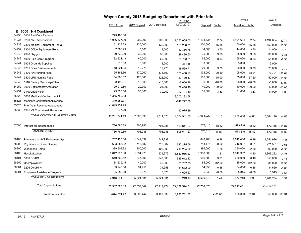|       |                                     |               | Wayne County 2013 Budget by Department with Prior Info<br>YTD thru |              |               |            |           |                | Level 4  |                |          |
|-------|-------------------------------------|---------------|--------------------------------------------------------------------|--------------|---------------|------------|-----------|----------------|----------|----------------|----------|
|       |                                     | 2011 Actual   | 2012 Original                                                      | 2012 Revised | 12/07/2012    | Dept est   | %chg      | Tentative %chg |          | Adopted        |          |
| E.    | <b>NH Combined</b><br>6000          |               |                                                                    |              |               |            |           |                |          |                |          |
| 54936 | 0000 Bad Debt Expense               | 273,483.00    |                                                                    |              |               |            |           |                |          |                |          |
| 54937 | 9200 NYS Assessment                 | 1,036,327.00  | 900,000                                                            | 900,000      | 1,060,005.00  | 1,194,634  | 32.74     | 1,194,634      | 32.74    | 1,194,634      | 32.74    |
| 54938 | 7300 Medical Equipment Rental       | 151,937.29    | 130,000                                                            | 130,000      | 128,238.71    | 150,000    | 15.38     | 150,000        | 15.38    | 150,000        | 15.38    |
| 54939 | 7300 Office Equipment Rental        | 7,386.23      | 13,500                                                             | 13,500       | 10,356.78     | 14,000     | 3.70      | 14,000         | 3.70     | 14,000         | 3.70     |
| 54940 | 4908 Oxygen                         | 29,532.00     | 32,000                                                             | 32,000       | 29,496.60     | 35,000     | 9.38      | 35,000         | 9.38     | 35,000         | 9.38     |
| 54942 | 4909 Skin Care Program              | 32,321.13     | 60,000                                                             | 60,000       | 59,768.81     | 55,000     | $-8.33$   | 55,000         | $-8.33$  | 55,000         | $-8.33$  |
| 54944 | 5925 Grounds Supplies               | 615.83        | 3,000                                                              | 3,000        | 374.85        | 3,000      |           | 3,000          |          | 3,000          |          |
| 54945 | 9201 Dues & Assessments             | 18,921.94     | 19,270                                                             | 19,270       | 18,559.71     | 20,000     | 3.79      | 20,000         | 3.79     | 20,000         | 3.79     |
| 54946 | 3400 RN Nursing Fees                | 195,463.66    | 170,000                                                            | 175,800      | 128,458.27    | 135,000    | $-20.59$  | 105,000        | $-38.24$ | 73,704         | $-56.64$ |
| 54947 | 3500 LPN Nursing Fees               | 154,206.57    | 120,000                                                            | 123,200      | 59,479.47     | 102,000    | $-15.00$  | 75,000         | $-37.50$ | 50,000         | $-58.33$ |
| 54949 | 5110 Dietary Recovery-Other         | $-8,490.01$   | $-10,000$                                                          | $-10,000$    | $-6,060.96$   | $-6,000$   | $-40.00$  | $-6,000$       | $-40.00$ | $-6,000$       | $-40.00$ |
| 54950 | 0000 Settlements/Arbitration        | 29,919.80     | 20,000                                                             | 24,000       | 39,410.18     | 40,000     | 100.00    | 40,000         | 100.00   | 40,000         | 100.00   |
| 54951 | 91xx Cablevision                    | 29,525.50     | 30,000                                                             | 30,000       | 27,704.49     | 31,000     | 3.33      | 31,000         | 3.33     | 31,000         | 3.33     |
| 55520 | 0000 Medicaid Contractual Allo      | 4,355,780.13  |                                                                    |              | 3,702,192.58  |            |           |                |          |                |          |
| 55521 | Medicare Contractual Allowance      | $-349,252.71$ |                                                                    |              | $-247,272.00$ |            |           |                |          |                |          |
| 55525 | Prior Year Revenue Adjustment       | -1,049,251.93 |                                                                    |              |               |            |           |                |          |                |          |
|       | 55530 TPHI VA Contractual Allowance | $-131,277.20$ |                                                                    |              | $-12,975.29$  |            |           |                |          |                |          |
|       | <b>TOTAL CONTRACTUAL EXPENSES</b>   | 11,261,744.19 | 7,006,398                                                          | 7,111,578    | 9,834,501.88  | 7,083,222  | 1.10      | 6,720,486      | $-4.08$  | 6,664,190      | $-4.88$  |
| 57000 | Interest on Indebtedness            | 736,780.89    | 705,985                                                            | 705,985      | 506,641.27    | 573,116    | $-18.82$  | 573,116        | $-18.82$ | 573,116        | $-18.82$ |
|       | <b>TOTAL INTEREST</b>               | 736,780.89    | 705,985                                                            | 705,985      | 506,641.27    | 573,116    | $-18.82$  | 573,116 -18.82 |          | 573,116 -18.82 |          |
| 58100 | Payments to NYS Retirement Sys      | 1,257,400.00  | 1,542,339                                                          | 1,542,339    |               | 1,648,400  | 6.88      | 1,642,406      | 6.49     | 1,651,996      | 7.11     |
| 58200 | Payments to Social Security         | 693,285.92    | 716,882                                                            | 716,882      | 620,275.56    | 713,175    | $-0.52$   | 716,937        | 0.01     | 721,551        | 0.65     |
| 58300 | <b>Workmens Comp</b>                | 389,603.82    | 400,000                                                            | 400,000      | 219,264.92    | 395,000    | $-1.25$   | 390,000        | $-2.50$  | 390,000        | $-2.50$  |
| 58400 | Hospitalization                     | 1,842,207.30  | 1,934,976                                                          | 1,934,976    | 1,850,966.27  | 1,958,300  | 1.21      | 1,849,902      | $-4.40$  | 1,863,222      | $-3.71$  |
| 58401 | 1800 BS/BC                          | 640,362.12    | 647,000                                                            | 647,000      | 535,612.42    | 666,500    | 3.01      | 650,000        | 0.46     | 650,000        | 0.46     |
| 58500 | Unemployment                        | 84,239.15     | 40,000                                                             | 40,000       | 66,762.73     | 85,000     | 112.50    | 85,000         | 112.50   | 85,000         | 112.50   |
| 58601 | 9206 Disability                     | 33,943.00     | 34,958                                                             | 34,958       | 31,672.00     | 34,650     | $-0.88$   | 34,650         | $-0.88$  | 34,650         | $-0.88$  |
| 58901 | Employee Assistance Program         | 5,050.00      | 5,376                                                              | 5,376        | 4,695.23      | 5,345      | $-0.58$   | 5,345          | $-0.58$  | 5,345          | $-0.58$  |
|       | <b>TOTAL FRINGE BENEFITS</b>        | 4,946,091.31  | 5,321,531                                                          | 5,321,531    | 3,329,249.13  | 5,506,370  | 3.47      | 5,374,240      | 0.99     | 5,401,764      | 1.51     |
|       | <b>Total Appropriations</b>         | 26,367,698.39 | 22,657,342                                                         | 22,919,474   | 22,399,974.71 | 22,750,673 |           | 22,217,451     |          | 22,217,451     |          |
|       | <b>Total County Cost</b>            | $-874,571.22$ | 3,000,447                                                          | 3,109,039    | 3,998,751.72  |            | $-100.00$ | 350,000        | $-88.34$ | 350,000 -88.34 |          |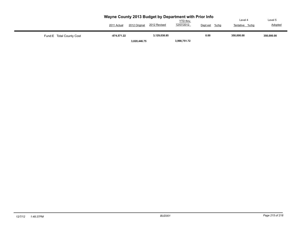|                           | Wayne County 2013 Budget by Department with Prior Info<br>2012 Original<br>2011 Actual | 2012 Revised | <b>YTD</b> thru<br>12/07/2012 | $%$ chg<br>Dept est | Level 4<br>Tentative %chg | Level 5<br>Adopted |
|---------------------------|----------------------------------------------------------------------------------------|--------------|-------------------------------|---------------------|---------------------------|--------------------|
| Fund: E Total County Cost | -874.571.22                                                                            | 3.129.038.85 |                               | 0.00                | 350.000.00                | 350,000.00         |
|                           | 3,020,446.75                                                                           |              | 3,998,751.72                  |                     |                           |                    |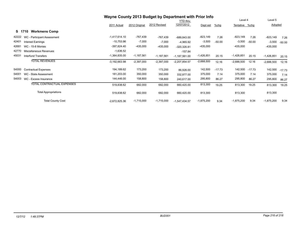|       |                                |                 | Wayne County 2013 Budget by Department with Prior Info |              |                 |              |          |                |          |              |          |
|-------|--------------------------------|-----------------|--------------------------------------------------------|--------------|-----------------|--------------|----------|----------------|----------|--------------|----------|
|       |                                |                 |                                                        |              | <b>YTD</b> thru |              |          | Level 4        |          | Level 5      |          |
|       |                                | 2011 Actual     | 2012 Original                                          | 2012 Revised | 12/07/2012      | Dept est     | $%$ chg  | Tentative %chg |          | Adopted      |          |
|       | <b>Workmens Comp</b><br>S 1710 |                 |                                                        |              |                 |              |          |                |          |              |          |
| 42222 | WC - Participant Assessment    | $-1,417,614.10$ | $-767,439$                                             | -767,439     | $-689,843.00$   | $-823,149$   | 7.26     | $-823,149$     | 7.26     | $-823,149$   | 7.26     |
| 42401 | <b>Interest Earnings</b>       | $-10,753.96$    | $-7,000$                                               | $-7,000$     | $-4,965.92$     | $-3,500$     | $-50.00$ | $-3,500$       | $-50.00$ | $-3,500$     | $-50.00$ |
| 42681 | <b>WC - 15-8 Monies</b>        | $-397,824.40$   | $-435,000$                                             | $-435,000$   | $-320,326.81$   | $-435,000$   |          | $-435,000$     |          | $-435,000$   |          |
| 42770 | Miscellaneous Revenues         | $-1,636.52$     |                                                        |              | $-157.84$       |              |          |                |          |              |          |
| 45031 | <b>Interfund Transfers</b>     | $-1,364,835.00$ | $-1,187,561$                                           | $-1,187,561$ | $-1,187,561.00$ | $-1,426,851$ | 20.15    | $-1,426,851$   | 20.15    | $-1,426,851$ | 20.15    |
|       | <b>TOTAL REVENUES</b>          | $-3,192,663.98$ | $-2,397,000$                                           | $-2,397,000$ | $-2,207,854.57$ | $-2,688,500$ | 12.16    | $-2,688,500$   | 12.16    | $-2,688,500$ | 12.16    |
| 54000 | <b>Contractual Expenses</b>    | 194,189.62      | 173,200                                                | 173,200      | 86,926.00       | 142,500      | $-17.73$ | 142,500        | $-17.73$ | 142,500      | $-17.73$ |
| 54001 | WC - State Assessment          | 181,203.00      | 350,000                                                | 350,000      | 332,877.00      | 375,000      | 7.14     | 375,000        | 7.14     | 375,000      | 7.14     |
| 54003 | WC - Excess Insurance          | 144,446.00      | 158,800                                                | 158,800      | 240,617.00      | 295,800      | 86.27    | 295,800        | 86.27    | 295,800      | 86.27    |
|       | TOTAL CONTRACTUAL EXPENSES     | 519,838.62      | 682,000                                                | 682,000      | 660,420.00      | 813,300      | 19.25    | 813,300        | 19.25    | 813,300      | 19.25    |
|       | <b>Total Appropriations</b>    | 519,838.62      | 682,000                                                | 682,000      | 660,420.00      | 813,300      |          | 813,300        |          | 813,300      |          |
|       | <b>Total County Cost</b>       | $-2,672,825.36$ | $-1,715,000$                                           | $-1,715,000$ | $-1,547,434.57$ | $-1,875,200$ | 9.34     | $-1,875,200$   | 9.34     | $-1,875,200$ | 9.34     |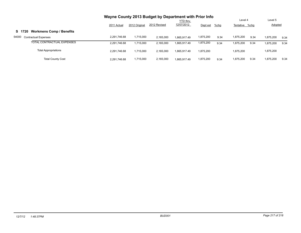|                                           | Wayne County 2013 Budget by Department with Prior Info |               |              |                 |           |         |                |         |                |      |
|-------------------------------------------|--------------------------------------------------------|---------------|--------------|-----------------|-----------|---------|----------------|---------|----------------|------|
|                                           |                                                        |               |              | <b>YTD</b> thru |           |         |                | Level 4 |                |      |
|                                           | 2011 Actual                                            | 2012 Original | 2012 Revised | 12/07/2012      | Dept est  | $%$ chg | Tentative %chg |         | <b>Adopted</b> |      |
| <b>Workmens Comp / Benefits</b><br>S 1720 |                                                        |               |              |                 |           |         |                |         |                |      |
| 54000<br><b>Contractual Expenses</b>      | 2.291.746.68                                           | 1,715,000     | 2,165,000    | 1.865.917.49    | 1,875,200 | 9.34    | 1,875,200      | 9.34    | 1,875,200      | 9.34 |
| TOTAL CONTRACTUAL EXPENSES                | 2.291.746.68                                           | 1,715,000     | 2,165,000    | 1.865.917.49    | 1,875,200 | 9.34    | 1,875,200      | 9.34    | 1,875,200      | 9.34 |
| <b>Total Appropriations</b>               | 2.291.746.68                                           | 1.715.000     | 2,165,000    | 1.865.917.49    | 1.875.200 |         | 1,875,200      |         | 1,875,200      |      |
| <b>Total County Cost</b>                  | 2,291,746.68                                           | 1,715,000     | 2,165,000    | 1.865.917.49    | 1,875,200 | 9.34    | 1,875,200      | 9.34    | 1.875.200      | 9.34 |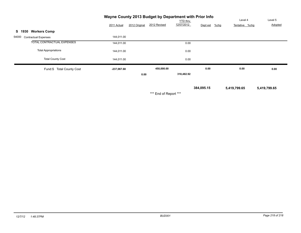| Wayne County 2013 Budget by Department with Prior Info |             |               |              |            |                     |                |         |
|--------------------------------------------------------|-------------|---------------|--------------|------------|---------------------|----------------|---------|
|                                                        |             |               |              | YTD thru   |                     | Level 4        | Level 5 |
|                                                        | 2011 Actual | 2012 Original | 2012 Revised | 12/07/2012 | $%$ chg<br>Dept est | Tentative %chg | Adopted |
| <b>Workers Comp</b><br>S 1930                          |             |               |              |            |                     |                |         |
| 54000<br><b>Contractual Expenses</b>                   | 144,011.00  |               |              |            |                     |                |         |
| TOTAL CONTRACTUAL EXPENSES                             | 144,011.00  |               |              | 0.00       |                     |                |         |
| <b>Total Appropriations</b>                            | 144,011.00  |               |              | 0.00       |                     |                |         |
| <b>Total County Cost</b>                               | 144,011.00  |               |              | 0.00       |                     |                |         |
| Fund:S Total County Cost                               | -237,067.68 |               | 450,000.00   |            | 0.00                | 0.00           | 0.00    |
|                                                        |             | 0.00          |              | 318,482.92 |                     |                |         |

 **384,095.15 5,419,799.65 5,419,799.65**

\*\*\* End of Report \*\*\*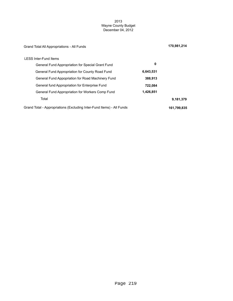### 2013 Wayne County Budget December 04, 2012

| Grand Total All Appropriations - All Funds                            |           | 170,981,214 |
|-----------------------------------------------------------------------|-----------|-------------|
| <b>LESS Inter-Fund Items</b>                                          |           |             |
| General Fund Appropriation for Special Grant Fund                     | 0         |             |
| General Fund Appropriation for County Road Fund                       | 6,643,531 |             |
| General Fund Appopriation for Road Machinery Fund                     | 388,913   |             |
| General fund Appropriation for Enterprise Fund                        | 722,084   |             |
| General Fund Appropriation for Workers Comp Fund                      | 1,426,851 |             |
| Total                                                                 |           | 9,181,379   |
| Grand Total - Appropriations (Excluding Inter-Fund Items) - All Funds |           | 161,799,835 |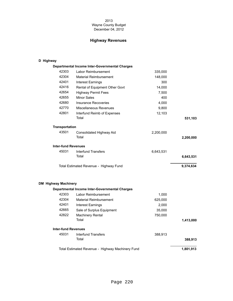### 2013 Wayne County Budget December 04, 2012

# **Highway Revenues**

## **D Highway**

|                             |                            | Departmental Income Inter-Governmental Charges |           |           |
|-----------------------------|----------------------------|------------------------------------------------|-----------|-----------|
|                             | 42303                      | Labor Reimbursement                            | 335,000   |           |
|                             | 42304                      | <b>Material Reimbursement</b>                  | 148,000   |           |
|                             | 42401                      | <b>Interest Earnings</b>                       | 300       |           |
|                             | 42416                      | Rental of Equipment Other Govt                 | 14,000    |           |
|                             | 42654                      | <b>Highway Permit Fees</b>                     | 7,500     |           |
|                             | 42655                      | <b>Minor Sales</b>                             | 400       |           |
|                             | 42680                      | <b>Insurance Recoveries</b>                    | 4,000     |           |
|                             | 42770                      | Miscellaneous Revenues                         | 9,800     |           |
|                             | 42801                      | Interfund Reimb of Expenses                    | 12,103    |           |
|                             |                            | Total                                          |           | 531,103   |
|                             | <b>Transportation</b>      |                                                |           |           |
|                             | 43501                      | Consolidated Highway Aid<br>Total              | 2,200,000 | 2,200,000 |
|                             | <b>Inter-fund Revenues</b> |                                                |           |           |
|                             | 45031                      | <b>Interfund Transfers</b><br>Total            | 6,643,531 | 6,643,531 |
|                             |                            | Total Estimated Revenue - Highway Fund         |           | 9,374,634 |
| <b>DM Highway Machinery</b> |                            |                                                |           |           |
|                             |                            | Departmental Income Inter-Governmental Charges |           |           |
|                             | 42303                      | Labor Reimbursement                            | 1,000     |           |
|                             | 42304                      | <b>Material Reimbursement</b>                  | 625,000   |           |
|                             | 42401                      | <b>Interest Earnings</b>                       | 2,000     |           |
|                             | 42665                      | Sale of Surplus Equipment                      | 35,000    |           |
|                             | 42822                      | <b>Machinery Rental</b>                        | 750,000   |           |
|                             |                            | Total                                          |           | 1,413,000 |

**Inter-fund Revenues** 45031 Interfund Transfers 388,913

| Total                                            | 388.913   |
|--------------------------------------------------|-----------|
| Total Estimated Revenue - Highway Machinery Fund | 1.801.913 |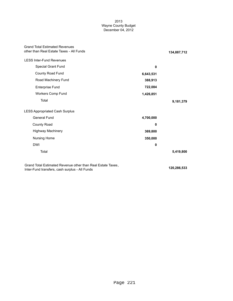### 2013 Wayne County Budget December 04, 2012

| <b>Grand Total Estimated Revenues</b><br>other than Real Estate Taxes - All Funds |           | 134,887,712              |
|-----------------------------------------------------------------------------------|-----------|--------------------------|
| <b>LESS Inter-Fund Revenues</b>                                                   |           |                          |
| Special Grant Fund                                                                | 0         |                          |
| County Road Fund                                                                  | 6,643,531 |                          |
| Road Machinery Fund                                                               | 388,913   |                          |
| Enterprise Fund                                                                   | 722,084   |                          |
| Workers Comp Fund                                                                 | 1,426,851 |                          |
| Total                                                                             |           | 9,181,379                |
| <b>LESS Appropriated Cash Surplus</b>                                             |           |                          |
| <b>General Fund</b>                                                               | 4,700,000 |                          |
| County Road                                                                       | 0         |                          |
| <b>Highway Machinery</b>                                                          | 369,800   |                          |
| Nursing Home                                                                      | 350,000   |                          |
| <b>DWI</b>                                                                        | 0         |                          |
| Total                                                                             |           | 5,419,800                |
| Grand Total Estimated Revenue other than Real Estate Taxes,                       |           | $\overline{100}$ and ran |

Inter-Fund transfers, cash surplus - All Funds<br>
120,286,533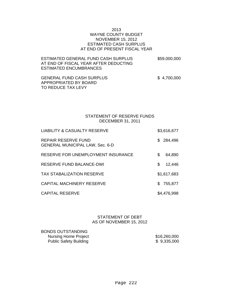## 2013 WAYNE COUNTY BUDGET NOVEMBER 15, 2012 ESTIMATED CASH SURPLUS AT END OF PRESENT FISCAL YEAR

| ESTIMATED GENERAL FUND CASH SURPLUS.  | \$59,000,000 |
|---------------------------------------|--------------|
| AT END OF FISCAL YEAR AFTER DEDUCTING |              |
| ESTIMATED ENCUMBRANCES                |              |

GENERAL FUND CASH SURPLUS  $$4,700,000$ APPROPRIATED BY BOARD TO REDUCE TAX LEVY

# STATEMENT OF RESERVE FUNDS DECEMBER 31, 2011

| <b>LIABILITY &amp; CASUALTY RESERVE</b>                       | \$3,616,677  |
|---------------------------------------------------------------|--------------|
| REPAIR RESERVE FUND<br><b>GENERAL MUNICIPAL LAW, Sec. 6-D</b> | \$284,496    |
| RESERVE FOR UNEMPLOYMENT INSURANCE                            | \$<br>64,890 |
| <b>RESERVE FUND BALANCE-DWI</b>                               | \$<br>12,446 |
| <b>TAX STABALIZATION RESERVE</b>                              | \$1,617,683  |
| <b>CAPITAL MACHINERY RESERVE</b>                              | \$755,877    |
| <b>CAPITAL RESERVE</b>                                        | \$4,476,998  |

## STATEMENT OF DEBT AS OF NOVEMBER 15, 2012

BONDS OUTSTANDING Nursing Home Project \$16,260,000 Public Safety Building \$ 9,335,000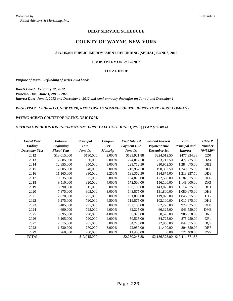## **DEBT SERVICE SCHEDULE**

# **COUNTY OF WAYNE, NEW YORK**

#### **\$13,015,000 PUBLIC IMPROVEMENT REFUNDING (SERIAL) BONDS, 2012**

#### **BOOK ENTRY ONLY BONDS**

#### **TOTAL ISSUE**

*Purpose of Issue: Refunding of series 2004 bonds*

*Bonds Dated: February 22, 2012 Principal Due: June 1, 2012 - 2029 Interest Due: June 1, 2012 and December 1, 2012 and semi-annually thereafter on June 1 and December 1*

*REGISTRAR: CEDE & CO, NEW YORK, NEW YORK AS NOMINEE OF THE DEPOSITORY TRUST COMPANY*

*PAYING AGENT: COUNTY OF WAYNE, NEW YORK*

*OPTIONAL REDEMPTION INFORMATION: FIRST CALL DATE JUNE 1, 2022 @ PAR (100.00%)*

| <b>Fiscal Year</b> | <b>Balance</b>     | Principal    | Coupon          | <b>First Interest</b> | <b>Second Interest</b> | <b>Total</b>    | <b>CUSIP</b>                |
|--------------------|--------------------|--------------|-----------------|-----------------------|------------------------|-----------------|-----------------------------|
| Ending             | <b>Beginning</b>   | Due          | Per             | <b>Payment Due</b>    | <b>Payment Due</b>     | Principal and   | <b>Number</b>               |
| December 31st      | <b>Fiscal Year</b> | June 1st     | <b>Maturity</b> | June 1st              | December 1st           | <i>Interest</i> | *945829*                    |
| 2012               | \$13,015,000       | \$130,000    | 2.000%          | \$123,921.88          | \$224,012.50           | \$477,934.38    | CZ0                         |
| 2013               | 12,885,000         | 30,000       | 2.000%          | 224,012.50            | 223,712.50             | 477,725.00      | DA4                         |
| 2014               | 12,855,000         | 850,000      | 3.000%          | 223,712.50            | 210,962.50             | 1,284,675.00    | D <sub>B</sub> 2            |
| 2015               | 12,005,000         | 840,000      | 3.000%          | 210,962.50            | 198,362.50             | 1,249,325.00    | DC <sub>0</sub>             |
| 2016               | 11,165,000         | 830,000      | 3.250%          | 198,362.50            | 184,875.00             | 1,213,237.50    | D <sub>D</sub> <sub>8</sub> |
| 2017               | 10,335,000         | 825,000      | 3.000%          | 184,875.00            | 172,500.00             | 1,182,375.00    | DE <sub>6</sub>             |
| 2018               | 9,510,000          | 820,000      | 4.000%          | 172,500.00            | 156,100.00             | 1,148,600.00    | DF3                         |
| 2019               | 8,690,000          | 815,000      | 3.000%          | 156,100.00            | 143,875.00             | 1,114,975.00    | DG1                         |
| 2020               | 7,875,000          | 805,000      | 3.000%          | 143,875.00            | 131,800.00             | 1,080,675.00    | DH <sub>9</sub>             |
| 2021               | 7,070,000          | 795,000      | 3.000%          | 131,800.00            | 119,875.00             | 1,046,675.00    | DJ <sub>5</sub>             |
| 2022               | 6,275,000          | 790,000      | 4.500%          | 119,875.00            | 102,100.00             | 1,011,975.00    | DK <sub>2</sub>             |
| 2023               | 5,485,000          | 795,000      | 5.000%          | 102,100.00            | 82,225.00              | 979,325.00      | DL <sub>0</sub>             |
| 2024               | 4,690,000          | 795,000      | 4.000%          | 82,225.00             | 66,325.00              | 943,550.00      | DM <sub>8</sub>             |
| 2025               | 3,895,000          | 790,000      | 4.000%          | 66,325.00             | 50,525.00              | 906,850.00      | DN <sub>6</sub>             |
| 2026               | 3,105,000          | 790,000      | 4.000%          | 50,525.00             | 34,725.00              | 875,250.00      | DP1                         |
| 2027               | 2,315,000          | 785,000      | 3.000%          | 34,725.00             | 22,950.00              | 842,675.00      | DQ <sub>9</sub>             |
| 2028               | 1,530,000          | 770,000      | 3.000%          | 22,950.00             | 11,400.00              | 804,350.00      | DR7                         |
| 2029               | 760,000            | 760,000      | 3.000%          | 11,400.00             | 0.00                   | 771,400.00      | DS <sub>5</sub>             |
| <b>TOTAL</b>       |                    | \$13,015,000 |                 | \$2,260,246.88        | \$2,136,325.00         | \$17,411,571.88 |                             |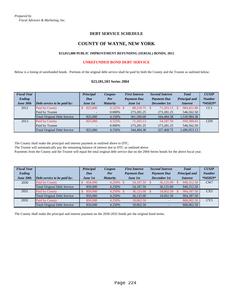## **DEBT SERVICE SCHEDULE**

# **COUNTY OF WAYNE, NEW YORK**

### **\$13,015,000 PUBLIC IMPROVEMENT REFUNDING (SERIAL) BONDS, 2012**

### **UNREFUNDED BOND DEBT SERVICE**

Below is a listing of unrefunded bonds. Portions of the original debt service shall be paid by both the County and the Trustee as outlined below:

### **\$23,181,503 Series 2004**

| <b>Fiscal Year</b> |                                      | Principal         | Coupon          | <b>First Interest</b> | <b>Second Interest</b> | <b>Total</b>    | <b>CUSIP</b>  |
|--------------------|--------------------------------------|-------------------|-----------------|-----------------------|------------------------|-----------------|---------------|
| Ending             |                                      | Due               | Per             | <b>Payment Due</b>    | <b>Payment Due</b>     | Principal and   | <b>Number</b> |
| June 30th          | $\Delta$ Debt service to be paid by: | <b>June 1st</b>   | <b>Maturity</b> | <b>June 1st</b>       | <b>December 1st</b>    | <i>Interest</i> | *945829*      |
| 2012               | Paid by County                       | 825,000           | 4.125% \$       | 88.218.75 \$          | 71,203.13              | 984,421.88      | CC1           |
|                    | Paid by Trustee                      |                   | $0.000\%$       | 273.281.25            | 273.281.25             | 546,562.50      |               |
|                    | <b>Total Original Debt Service</b>   | 825,000           | 4.150%          | 361,500.00            | 344,484.38             | 1,530,984.38    |               |
| 2013               | Paid by County                       | 825,000           | 4.125%          | 71.203.13             | 54,187.50              | 950.390.63      | CD9           |
|                    | Paid by Trustee                      | $\qquad \qquad -$ | $0.000\%$       | 273, 281. 25          | 273,281.25             | 546,562.50      |               |
|                    | <b>Total Original Debt Service</b>   | 825,000           | 4.150%          | 344,484.38            | 327,468.75             | 1.496.953.13    |               |

The County shall make the principal and interest payment as outlined above to DTC.

The Trustee will automatically pay the remaining balance of interest due to DTC as outlined above.

Payments from the County and the Trustee will equal the total original debt service due on the 2004 Series bonds for the above fiscal year.

| <b>Fiscal Year</b><br>Ending |                                      | Principal<br>Due | Coupon<br>Per   | <b>First Interest</b><br><b>Payment Due</b> | <b>Second Interest</b><br><b>Payment Due</b> | <b>Total</b><br><b>Principal</b> and | <b>CUSIP</b><br><b>Number</b> |
|------------------------------|--------------------------------------|------------------|-----------------|---------------------------------------------|----------------------------------------------|--------------------------------------|-------------------------------|
| June 30th                    | $\Delta$ Debt service to be paid by: | <b>June 1st</b>  | <i>Maturity</i> | <b>June 1st</b>                             | December 1st                                 | <i>Interest</i>                      | $*945829*$                    |
| 2030                         | <b>Paid by County</b>                | 850,000          | 4.250%          | 54,187.50                                   | 36,125,00                                    | 940.312.50                           | CW7                           |
|                              | <b>Total Original Debt Service</b>   | 850,000          | 4.250%          | 54,187.50                                   | 36,125,00                                    | 940.312.50                           |                               |
| 2031                         | <b>Paid by County</b>                | 850,000          | 4.250%          | 36,125,00                                   | 18,062.50                                    | 904.187.50                           | CX <sub>5</sub>               |
|                              | <b>Total Original Debt Service</b>   | 850,000          | 4.250%          | 36,125.00                                   | 18,062.50                                    | 904, 187. 50                         |                               |
| 2032                         | Paid by County                       | 850,000          | 4.250%          | 18,062.50                                   |                                              | 868,062.50                           | CY3                           |
|                              | <b>Total Original Debt Service</b>   | 850,000          | 4.250%          | 18,062.50                                   |                                              | 868,062.50                           |                               |

The County shall make the principal and interest payment on the 2030-2032 bonds per the original bond terms.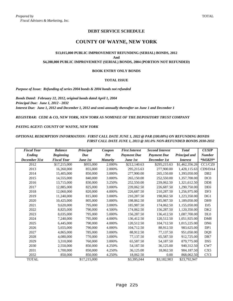# **DEBT SERVICE SCHEDULE**

# **COUNTY OF WAYNE, NEW YORK**

### **\$13,015,000 PUBLIC IMPROVEMENT REFUNDING (SERIAL) BONDS, 2012 And \$4,200,000 PUBLIC IMPROVEMENT (SERIAL) BONDS, 2004 (PORTION NOT REFUNDED)**

#### **BOOK ENTRY ONLY BONDS**

#### **TOTAL ISSUE**

*Purpose of Issue: Refunding of series 2004 bonds & 2004 bonds not refunded*

*Bonds Dated: February 22, 2012, original bonds dated April 1, 2004 Principal Due: June 1, 2012 - 2032 Interest Due: June 1, 2012 and December 1, 2012 and semi-annually thereafter on June 1 and December 1*

*REGISTRAR: CEDE & CO, NEW YORK, NEW YORK AS NOMINEE OF THE DEPOSITORY TRUST COMPANY*

#### *PAYING AGENT: COUNTY OF WAYNE, NEW YORK*

### *OPTIONAL REDEMPTION INFORMATION: FIRST CALL DATE JUNE 1, 2022 @ PAR (100.00%) ON REFUNDING BONDS FIRST CALL DATE JUNE 1, 2013 @ 101.0% NON-REFUNDED BONDS 2030-2032*

| <b>Fiscal Year</b> | <b>Balance</b>     | Principal    | Coupon          | <b>First Interest</b> | <b>Second Interest</b> | <b>Total</b>    | <b>CUSIP</b>                |
|--------------------|--------------------|--------------|-----------------|-----------------------|------------------------|-----------------|-----------------------------|
| <b>Ending</b>      | <b>Beginning</b>   | Due          | <b>Per</b>      | <b>Payment Due</b>    | <b>Payment Due</b>     | Principal and   | <b>Number</b>               |
| December 31st      | <b>Fiscal Year</b> | June 1st     | <b>Maturity</b> | June 1st              | December 1st           | <i>Interest</i> | *945829*                    |
| 2012               | \$17,215,000       | \$955,000    | 2.000%          | \$212,140.63          | \$295,215.63           | \$1,462,356.26  | CC1/CZ0                     |
| 2013               | 16,260,000         | 855,000      | 2.000%          | 295,215.63            | 277,900.00             | 1,428,115.63    | CD9/DA4                     |
| 2014               | 15,405,000         | 850,000      | 3.000%          | 277,900.00            | 265,150.00             | 1,393,050.00    | D <sub>B</sub> 2            |
| 2015               | 14,555,000         | 840,000      | 3.000%          | 265,150.00            | 252,550.00             | 1,357,700.00    | DC <sub>0</sub>             |
| 2016               | 13,715,000         | 830,000      | 3.250%          | 252,550.00            | 239,062.50             | 1,321,612.50    | D <sub>D</sub> <sup>8</sup> |
| 2017               | 12,885,000         | 825,000      | 3.000%          | 239,062.50            | 226,687.50             | 1,290,750.00    | DE <sub>6</sub>             |
| 2018               | 12,060,000         | 820,000      | 4.000%          | 226,687.50            | 210,287.50             | 1,256,975.00    | DF3                         |
| 2019               | 11,240,000         | 815,000      | 3.000%          | 210,287.50            | 198,062.50             | 1,223,350.00    | DG1                         |
| 2020               | 10,425,000         | 805,000      | 3.000%          | 198,062.50            | 185,987.50             | 1,189,050.00    | DH <sub>9</sub>             |
| 2021               | 9,620,000          | 795,000      | 3.000%          | 185,987.50            | 174,062.50             | 1,155,050.00    | DJ <sub>5</sub>             |
| 2022               | 8,825,000          | 790,000      | 4.500%          | 174,062.50            | 156,287.50             | 1,120,350.00    | DK <sub>2</sub>             |
| 2023               | 8,035,000          | 795,000      | 5.000%          | 156,287.50            | 136,412.50             | 1,087,700.00    | DL <sub>0</sub>             |
| 2024               | 7,240,000          | 795,000      | 4.000%          | 136,412.50            | 120,512.50             | 1,051,925.00    | DM <sub>8</sub>             |
| 2025               | 6,445,000          | 790,000      | 4.000%          | 120,512.50            | 104,712.50             | 1,015,225.00    | DN <sub>6</sub>             |
| 2026               | 5,655,000          | 790,000      | 4.000%          | 104,712.50            | 88,912.50              | 983,625.00      | DP1                         |
| 2027               | 4,865,000          | 785,000      | 3.000%          | 88,912.50             | 77,137.50              | 951,050.00      | DQ <sub>9</sub>             |
| 2028               | 4,080,000          | 770,000      | 3.000%          | 77,137.50             | 65,587.50              | 912,725.00      | DR7                         |
| 2029               | 3,310,000          | 760,000      | 3.000%          | 65,587.50             | 54,187.50              | 879,775.00      | DS5                         |
| 2030               | 2,550,000          | 850,000      | 4.250%          | 54,187.50             | 36,125.00              | 940,312.50      | CW7                         |
| 2031               | 1,700,000          | 850,000      | 4.250%          | 36,125.00             | 18,062.50              | 904,187.50      | CX <sub>5</sub>             |
| 2032               | 850,000            | 850,000      | 4.250%          | 18,062.50             | 0.00                   | 868,062.50      | CY3                         |
| <b>TOTAL</b>       |                    | \$17,215,000 |                 | \$3,395,044           | \$3,182,903            | \$23,792,947    |                             |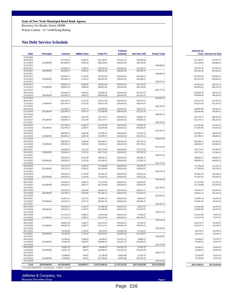#### **State of New York Municipal Bond Bank Agency**

Recovery Act Bonds, Series 2009B

Wayne County - A+ Underlying Rating

#### **Net Debt Service Schedule**

| Date                     | <b>Principal</b>                                                | <b>Interest</b>          | <b>MBBA Fees</b>     | <b>Total P+I</b>           | Federal<br><b>Subsidy</b>    | <b>Net New D/S</b>       | <b>Fiscal Total</b> | Interest w/                  | <b>Fees Interest w/ Sub</b> |
|--------------------------|-----------------------------------------------------------------|--------------------------|----------------------|----------------------------|------------------------------|--------------------------|---------------------|------------------------------|-----------------------------|
| 12/30/2009               |                                                                 |                          |                      |                            |                              |                          |                     |                              |                             |
| 06/10/2010               |                                                                 | 227,195.04               | 4,945.87             | 232,140.91                 | (35, 241.27)                 | 196,899.64               |                     | 232,140.91                   | 191,953.77                  |
| 12/10/2010               | 235,000.00                                                      | 247,849.13               | 5,395.50             | 488,244.63                 | (38, 445.01)                 | 449,799.62               |                     | 253,244.63                   | 209,404.12                  |
| 12/31/2010               |                                                                 |                          |                      |                            |                              |                          | 646,699.26          |                              |                             |
| 06/10/2011               |                                                                 | 245,499.13               | 5,266.25             | 250,765.38                 | (38, 445.01)                 | 212,320.37<br>452,320.37 |                     | 250,765.38                   | 207,054.12                  |
| 12/10/2011<br>12/31/2011 | 240,000.00                                                      | 245,499.13               | 5,266.25             | 490,765.38                 | (38, 445.01)                 |                          | 664,640.74          | 250,765.38                   | 207,054.12                  |
| 06/10/2012               |                                                                 | 242,499.13               | 5,134.25             | 247,633.38                 | (38, 445.01)                 | 209,188.37               |                     | 247,633.38                   | 204,054.12                  |
| 12/10/2012               | 245,000.00                                                      | 242,499.13               | 5,134.25             | 492,633.38                 | (38, 445.01)                 | 454,188.37               |                     | 247,633.38                   | 204,054.12                  |
| 12/31/2012               |                                                                 |                          |                      |                            |                              |                          | 663,376.74          |                              |                             |
| 06/10/2013               |                                                                 | 238,824.13               | 4,999.50             | 243,823.63                 | (38, 445.01)                 | 205,378.62               |                     | 243,823.63                   | 200,379.12                  |
| 12/10/2013<br>12/31/2013 | 255,000.00                                                      | 238,824.13               | 4,999.50             | 498,823.63                 | (38, 445.01)                 | 460,378.62               | 665,757.24          | 243,823.63                   | 200,379.12                  |
| 06/10/2014               |                                                                 | 234,999.13               | 4,859.25             | 239,858.38                 | (38, 445.01)                 | 201,413.37               |                     | 239,858.38                   | 196,554.12                  |
| 12/10/2014               | 260,000.00                                                      | 234,999.13               | 4,859.25             | 499,858.38                 | (38, 445.01)                 | 461,413.37               |                     | 239,858.38                   | 196,554.12                  |
| 12/31/2014               |                                                                 |                          |                      |                            |                              |                          | 662,826.74          |                              |                             |
| 06/10/2015               |                                                                 | 229,799.13               | 4,716.25             | 234,515.38                 | (38, 445.01)                 | 196,070.37               |                     | 234,515.38                   | 191,354.12                  |
| 12/10/2015<br>12/31/2015 | 270,000.00                                                      | 229,799.13               | 4,716.25             | 504,515.38                 | (38, 445.01)                 | 466,070.37               | 662,140.74          | 234,515.38                   | 191,354.12                  |
| 06/10/2016               |                                                                 | 224,399.13               | 4,567.75             | 228,966.88                 | (38, 445.01)                 | 190,521.87               |                     | 228,966.88                   | 185,954.12                  |
| 12/10/2016               | 285,000.00                                                      | 224,399.13               | 4,567.75             | 513,966.88                 | (38, 445.01)                 | 475,521.87               |                     | 228,966.88                   | 185,954.12                  |
| 12/31/2016               |                                                                 |                          |                      |                            |                              |                          | 666,043.74          |                              |                             |
| 06/10/2017               |                                                                 | 218,699.13               | 4,411.00             | 223,110.13                 | (38, 445.01)                 | 184,665.12               |                     | 223,110.13                   | 180,254.12                  |
| 12/10/2017               | 295,000.00                                                      | 218,699.13               | 4,411.00             | 518,110.13                 | (38, 445.01)                 | 479,665.12               |                     | 223,110.13                   | 180,254.12                  |
| 12/31/2017<br>06/10/2018 |                                                                 | 212,799.13               | 4,248.75             | 217,047.88                 | (38, 445.01)                 | 178,602.87               | 664,330.24          | 217,047.88                   | 174,354.12                  |
| 12/10/2018               | 305,000.00                                                      | 212,799.13               | 4,248.75             | 522,047.88                 | (38, 445.01)                 | 483,602.87               |                     | 217,047.88                   | 174,354.12                  |
| 12/31/2018               |                                                                 |                          |                      |                            |                              |                          | 662,205.74          |                              |                             |
| 06/10/2019               |                                                                 | 206,699.13               | 4,081.00             | 210,780.13                 | (38, 445.01)                 | 172,335.12               |                     | 210,780.13                   | 168,254.12                  |
| 12/10/2019               | 320,000.00                                                      | 206,699.13               | 4,081.00             | 530,780.13                 | (38, 445.01)                 | 492,335.12               |                     | 210,780.13                   | 168,254.12                  |
| 12/31/2019               |                                                                 |                          |                      |                            |                              |                          | 664,670.24          |                              |                             |
| 06/10/2020<br>12/10/2020 | 330,000.00                                                      | 200,299.13<br>200,299.13 | 3,905.00             | 204, 204. 13<br>534,204.13 | (38, 445.01)                 | 165,759.12<br>495,759.12 |                     | 204, 204. 13<br>204, 204. 13 | 161,854.12                  |
| 12/31/2020               |                                                                 |                          | 3,905.00             |                            | (38, 445.01)                 |                          | 661,518.24          |                              | 161,854.12                  |
| 06/10/2021               |                                                                 | 192,049.13               | 3,723.50             | 195,772.63                 | (38, 445.01)                 | 157,327.62               |                     | 195,772.63                   | 153,604.12                  |
| 12/10/2021               | 350,000.00                                                      | 192,049.13               | 3,723.50             | 545,772.63                 | (38, 445.01)                 | 507,327.62               |                     | 195,772.63                   | 153,604.12                  |
| 12/31/2021               |                                                                 |                          |                      |                            |                              |                          | 664, 655.24         |                              |                             |
| 06/10/2022               |                                                                 | 183,299.13               | 3,531.00             | 186,830.13                 | (38, 445.01)                 | 148,385.12               |                     | 186,830.13                   | 144,854.12                  |
| 12/10/2022<br>12/31/2022 | 365,000.00                                                      | 183,299.13               | 3,531.00             | 551,830.13                 | (38, 445.01)                 | 513,385.12               | 661,770.24          | 186,830.13                   | 144,854.12                  |
| 06/10/2023               |                                                                 | 174, 174. 13             | 3,330.25             | 177,504.38                 | (38, 445.01)                 | 139,059.37               |                     | 177,504.38                   | 135,729.12                  |
| 12/10/2023               | 385,000.00                                                      | 174,174.13               | 3,330.25             | 562,504.38                 | (38, 445.01)                 | 524,059.37               |                     | 177,504.38                   | 135,729.12                  |
| 12/31/2023               |                                                                 |                          |                      |                            |                              |                          | 663,118.74          |                              |                             |
| 06/10/2024               |                                                                 | 164,549.13               | 3,118.50             | 167,667.63                 | (38, 445.01)                 | 129,222.62               |                     | 167,667.63                   | 126,104.12                  |
| 12/10/2024               | 405,000.00                                                      | 164,549.13               | 3,118.50             | 572,667.63                 | (38, 445.01)                 | 534,222.62               |                     | 167,667.63                   | 126,104.12                  |
| 12/31/2024<br>06/10/2025 |                                                                 | 154,424.13               | 2,895.75             | 157,319.88                 |                              | 118,874.87               | 663,445.24          | 157,319.88                   | 115,979.12                  |
| 12/10/2025               | 425,000.00                                                      | 154,424.13               | 2,895.75             | 582,319.88                 | (38, 445.01)<br>(38, 445.01) | 543,874.87               |                     | 157,319.88                   | 115,979.12                  |
| 12/31/2025               |                                                                 |                          |                      |                            |                              |                          | 662,749.74          |                              |                             |
| 06/10/2026               |                                                                 | 143,799.13               | 2,662.00             | 146,461.13                 | (38, 445.01)                 | 108,016.12               |                     | 146,461.13                   | 105,354.12                  |
| 12/10/2026               | 445,000.00                                                      | 143,799.13               | 2,662.00             | 591,461.13                 | (38, 445.01)                 | 553,016.12               |                     | 146,461.13                   | 105,354.12                  |
| 12/31/2026               |                                                                 |                          |                      |                            |                              |                          | 661,032.24          |                              |                             |
| 06/10/2027               |                                                                 | 132,674.13               | 2,417.25             | 135,091.38                 | (38, 445.01)                 | 96,646.37                |                     | 135,091.38                   | 94,229.12                   |
| 12/10/2027<br>12/31/2027 | 470,000.00                                                      | 132,674.13               | 2,417.25             | 605,091.38                 | (38, 445.01)                 | 566,646.37               | 663,292.74          | 135,091.38                   | 94,229.12                   |
| 06/10/2028               |                                                                 | 120,924.13               | 2,158.75             | 123,082.88                 | (38, 445.01)                 | 84,637.87                |                     | 123,082.88                   | 82,479.12                   |
| 12/10/2028               | 490,000.00                                                      | 120,924.13               | 2,158.75             | 613,082.88                 | (38, 445.01)                 | 574,637.87               |                     | 123,082.88                   | 82,479.12                   |
| 12/31/2028               |                                                                 |                          |                      |                            |                              |                          | 659,275.74          |                              |                             |
| 06/10/2029               |                                                                 | 111,124.13               | 1,889.25             | 113,013.38                 | (38, 445.01)                 | 74,568.37                |                     | 113,013.38                   | 72,679.12                   |
| 12/10/2029               | 510,000.00                                                      | 111,124.13               | 1,889.25             | 623,013.38                 | (38, 445.01)                 | 584, 568. 37             |                     | 113,013.38                   | 72,679.12                   |
| 12/31/2029<br>06/10/2030 |                                                                 | 100,605.38               | 1,608.75             | 102,214.13                 | (38, 445.01)                 | 63,769.12                | 659,136.74          | 102,214.13                   | 62,160.37                   |
| 12/10/2030               | 535,000.00                                                      | 100,605.38               | 1,608.75             | 637,214.13                 | (38, 445.01)                 | 598,769.12               |                     | 102,214.13                   | 62,160.37                   |
| 12/31/2030               |                                                                 |                          |                      |                            |                              |                          | 662,538.24          |                              |                             |
| 06/10/2031               |                                                                 | 82,204.05                | 1.314.50             | 83.518.55                  | (32,004.54)                  | 51,514.01                |                     | 83,518.55                    | 50,199.51                   |
| 12/10/2031               | 560,000.00                                                      | 82,204.05                | 1,314.50             | 643,518.55                 | (32,004.54)                  | 611,514.01               |                     | 83,518.55                    | 50,199.51                   |
| 12/31/2031               |                                                                 |                          |                      |                            |                              |                          | 663,028.02          |                              |                             |
| 06/10/2032               | $\sim$<br>585,000.00                                            | 62,942.85<br>62,942.85   | 1,006.50<br>1,006.50 | 63,949.35<br>648,949.35    | (25, 263.12)<br>(25, 263.12) | 38,686.23<br>623,686.23  |                     | 63,949.35<br>63,949.35       | 37,679.73<br>37,679.73      |
| 12/10/2032<br>12/31/2032 |                                                                 |                          |                      |                            |                              |                          | 662,372.46          |                              |                             |
| 06/10/2033               |                                                                 | 42,821.78                | 684.75               | 43,506.53                  | (18,220.75)                  | 25,285.78                |                     | 43,506.53                    | 24,601.03                   |
| 12/10/2033               | 610,000.00                                                      | 42,821.78                | 684.75               | 653,506.53                 | (18, 220.75)                 | 635,285.78               |                     | 43,506.53                    | 24,601.03                   |
| 12/31/2033               |                                                                 |                          | $\sim$               |                            |                              |                          | 660,571.56          |                              |                             |
| 06/10/2034               |                                                                 | 21,840.83                | 349.25               | 22,190.08                  | (9,828.38)                   | 12,361.70                |                     | 22,190.08                    | 12,012.45                   |
| 12/10/2034               | 635,000.00                                                      | 21,840.83                | 349.25               | 657,190.08                 | (9,828.38)                   | 647,361.70               |                     | 22,190.08                    | 12,012.45                   |
| 12/31/2034               |                                                                 |                          |                      |                            |                              |                          | 659,723.40          |                              |                             |
| Total                    | \$9,810,000.00                                                  | \$8,358,940.89           | \$164,099.37         | \$18,333,040.26            | (1,782,120.26)               | \$16,550,920.00          | \$16,550,920.00     | \$8,523,040.26               | \$6,576,820.63              |
|                          | 1-10-10 Series 2009 WAYNE   Issue Summary   1/15/2010   9:51 AM |                          |                      |                            |                              |                          |                     |                              |                             |

| Jefferies & Company, Inc.         |        |
|-----------------------------------|--------|
| <b>Municipal Securities Group</b> | Page 4 |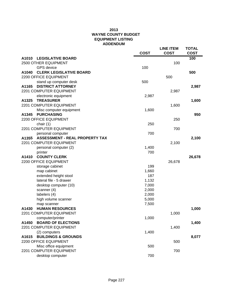|                                                | <b>COST</b> | <b>LINE ITEM</b><br><b>COST</b> | <b>TOTAL</b><br><b>COST</b> |
|------------------------------------------------|-------------|---------------------------------|-----------------------------|
| A1010<br><b>LEGISLATIVE BOARD</b>              |             |                                 | 100                         |
| 2500 OTHER EQUIPMENT                           |             | 100                             |                             |
| <b>GPS</b> device                              | 100         |                                 |                             |
| <b>CLERK LEGISLATIVE BOARD</b><br>A1040        |             |                                 | 500                         |
| 2200 OFFICE EQUIPMENT                          |             | 500                             |                             |
| stand up computer desk                         | 500         |                                 |                             |
| <b>DISTRICT ATTORNEY</b><br>A1165              |             |                                 | 2,987                       |
| 2201 COMPUTER EQUIPMENT                        |             | 2,987                           |                             |
| electronic equipment                           | 2,987       |                                 |                             |
| A1325<br><b>TREASURER</b>                      |             |                                 | 1,600                       |
| 2201 COMPUTER EQUIPMENT                        |             | 1,600                           |                             |
| Misc computer equipment                        | 1,600       |                                 |                             |
| <b>PURCHASING</b><br>A1345                     |             |                                 | 950                         |
| 2200 OFFICE EQUIPMENT                          |             | 250                             |                             |
| chair (1)                                      | 250         |                                 |                             |
| 2201 COMPUTER EQUIPMENT                        |             | 700                             |                             |
| personal computer                              | 700         |                                 |                             |
| <b>ASSESSMENT - REAL PROPERTY TAX</b><br>A1355 |             |                                 | 2,100                       |
| 2201 COMPUTER EQUIPMENT                        |             | 2,100                           |                             |
| personal computer (2)                          | 1,400       |                                 |                             |
| printer                                        | 700         |                                 |                             |
| A1410<br><b>COUNTY CLERK</b>                   |             |                                 | 26,678                      |
| 2200 OFFICE EQUIPMENT                          |             | 26,678                          |                             |
| storage cabinet                                | 199         |                                 |                             |
| map cabinet                                    | 1,660       |                                 |                             |
| extended height stool                          | 187         |                                 |                             |
| lateral file - 5 drawer                        | 1,132       |                                 |                             |
| desktop computer (10)                          | 7,000       |                                 |                             |
| scanner (4)                                    | 2,000       |                                 |                             |
| labelers (4)                                   | 2,000       |                                 |                             |
| high volume scanner                            | 5,000       |                                 |                             |
| map scanner                                    | 7,500       |                                 |                             |
| <b>HUMAN RESOURCES</b><br>A1430                |             |                                 | 1,000                       |
| 2201 COMPUTER EQUIPMENT                        |             | 1,000                           |                             |
| computer/printer                               | 1,000       |                                 |                             |
| <b>BOARD OF ELECTIONS</b><br>A1450             |             |                                 | 1,400                       |
| 2201 COMPUTER EQUIPMENT                        |             | 1,400                           |                             |
| (2) computers                                  | 1,400       |                                 |                             |
| <b>BUILDINGS &amp; GROUNDS</b><br>A1615        |             |                                 | 8,077                       |
| 2200 OFFICE EQUIPMENT                          |             | 500                             |                             |
| Misc office equipment                          | 500         |                                 |                             |
| 2201 COMPUTER EQUIPMENT                        |             | 700                             |                             |
| desktop computer                               | 700         |                                 |                             |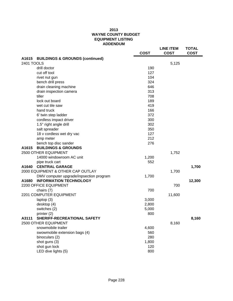|            |                                            | <b>COST</b> | <b>LINE ITEM</b><br><b>COST</b> | <b>TOTAL</b><br><b>COST</b> |
|------------|--------------------------------------------|-------------|---------------------------------|-----------------------------|
| A1615      | <b>BUILDINGS &amp; GROUNDS (continued)</b> |             |                                 |                             |
| 2401 TOOLS |                                            |             | 5,125                           |                             |
|            | drill doctor                               | 190         |                                 |                             |
|            | cut off tool                               | 127         |                                 |                             |
|            | rivet nut gun                              | 104         |                                 |                             |
|            | bench drill press                          | 324         |                                 |                             |
|            | drain cleaning machine                     | 646         |                                 |                             |
|            | drain inspection camera                    | 313         |                                 |                             |
|            | tiller                                     | 708         |                                 |                             |
|            | lock out board                             | 189         |                                 |                             |
|            | wet cut tile saw                           | 419         |                                 |                             |
|            | hand truck                                 | 166         |                                 |                             |
|            | 6' twin step ladder                        | 372         |                                 |                             |
|            | cordless impact driver                     | 300         |                                 |                             |
|            | 1.5" right angle drill                     | 302         |                                 |                             |
|            | salt spreader                              | 350         |                                 |                             |
|            | 18 v cordless wet dry vac                  | 127         |                                 |                             |
|            | amp meter                                  | 212         |                                 |                             |
|            | bench top disc sander                      | 276         |                                 |                             |
| A1615      | <b>BUILDINGS &amp; GROUNDS</b>             |             |                                 |                             |
|            | 2500 OTHER EQUIPMENT                       |             | 1,752                           |                             |
|            | 14000 windowroom AC unit                   | 1,200       |                                 |                             |
|            | pipe truck cart                            | 552         |                                 |                             |
| A1640      | <b>CENTRAL GARAGE</b>                      |             |                                 | 1,700                       |
|            | 2000 EQUIPMENT & OTHER CAP OUTLAY          |             | 1,700                           |                             |
|            | DMV computer upgrade/inpsection program    | 1,700       |                                 |                             |
| A1680      | <b>INFORMATION TECHNOLOGY</b>              |             |                                 | 12,300                      |
|            | 2200 OFFICE EQUIPMENT                      |             | 700                             |                             |
|            | chairs (7)                                 | 700         |                                 |                             |
|            | 2201 COMPUTER EQUIPMENT                    |             | 11,600                          |                             |
|            | laptop (3)                                 | 3,000       |                                 |                             |
|            | desktop (4)                                | 2,800       |                                 |                             |
|            | switches (2)                               | 5,000       |                                 |                             |
|            | printer (2)                                | 800         |                                 |                             |
| A3111      | SHERIFF-RECREATIONAL SAFETY                |             |                                 | 8,160                       |
|            | 2500 OTHER EQUIPMENT                       |             | 8,160                           |                             |
|            | snowmobile trailer                         | 4,600       |                                 |                             |
|            | swowmobile extension bags (4)              | 560         |                                 |                             |
|            | binoculars (2)                             | 280         |                                 |                             |
|            | shot guns (3)                              | 1,800       |                                 |                             |
|            | shot gun lock                              | 120         |                                 |                             |
|            | LED dive lights (5)                        | 800         |                                 |                             |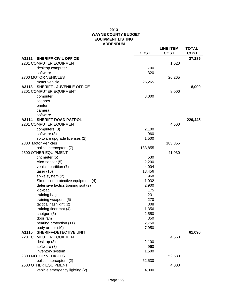|                                            | <b>COST</b>  | <b>LINE ITEM</b><br><b>COST</b> | <b>TOTAL</b><br><b>COST</b> |
|--------------------------------------------|--------------|---------------------------------|-----------------------------|
| A3112 SHERIFF-CIVIL OFFICE                 |              |                                 | 27,285                      |
| 2201 COMPUTER EQUIPMENT                    |              | 1,020                           |                             |
| desktop computer                           | 700          |                                 |                             |
| software                                   | 320          |                                 |                             |
| 2300 MOTOR VEHICLES                        |              | 26,265                          |                             |
| motor vehicle                              | 26,265       |                                 |                             |
| <b>SHERIFF - JUVENILE OFFICE</b><br>A3113  |              |                                 | 8,000                       |
| 2201 COMPUTER EQUIPMENT                    |              | 8,000                           |                             |
| computer                                   | 8,000        |                                 |                             |
| scanner                                    |              |                                 |                             |
| printer                                    |              |                                 |                             |
| camera                                     |              |                                 |                             |
| software                                   |              |                                 |                             |
| <b>SHERIFF-ROAD PATROL</b><br>A3114        |              |                                 | 229,445                     |
| 2201 COMPUTER EQUIPMENT                    |              | 4,560                           |                             |
| computers (3)                              | 2,100        |                                 |                             |
| software (3)                               | 960          |                                 |                             |
| software upgrade licenses (2)              | 1,500        |                                 |                             |
| 2300 Motor Vehicles                        |              | 183,855                         |                             |
| police interceptors (7)                    | 183,855      |                                 |                             |
| 2500 OTHER EQUIPMENT                       |              | 41,030                          |                             |
| tint meter $(5)$                           | 530          |                                 |                             |
| Alco-sensor (5)                            | 2,200        |                                 |                             |
| vehicle partition (7)                      | 4,004        |                                 |                             |
| taser $(16)$                               | 13,456       |                                 |                             |
| spike system (2)                           | 968          |                                 |                             |
| Simunition protective equipment (4)        | 1,032        |                                 |                             |
| defensive tactics training suit (2)        | 2,900        |                                 |                             |
| kickbag                                    | 175          |                                 |                             |
| training bag                               | 231          |                                 |                             |
| training weapons (5)                       | 270          |                                 |                             |
| tactical flashlight (2)                    | 308          |                                 |                             |
| training floor mat (4)                     | 1,356        |                                 |                             |
| shotgun (5)                                | 2,550        |                                 |                             |
| door ram                                   | 350<br>2,750 |                                 |                             |
| hearing protection (11)<br>body armor (10) | 7,950        |                                 |                             |
| <b>SHERIFF-DETECTIVE UNIT</b><br>A3115     |              |                                 | 61,090                      |
| 2201 COMPUTER EQUIPMENT                    |              | 4,560                           |                             |
| desktop (3)                                | 2,100        |                                 |                             |
| software (3)                               | 960          |                                 |                             |
| inventory system                           | 1,500        |                                 |                             |
| 2300 MOTOR VEHICLES                        |              | 52,530                          |                             |
| police interceptors (2)                    | 52,530       |                                 |                             |
| 2500 OTHER EQUIPMENT                       |              | 4,000                           |                             |
| vehicle emergency lighting (2)             | 4,000        |                                 |                             |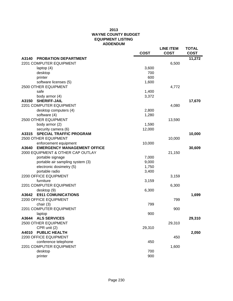|       |                                    | <b>COST</b> | <b>LINE ITEM</b><br><b>COST</b> | <b>TOTAL</b><br><b>COST</b> |
|-------|------------------------------------|-------------|---------------------------------|-----------------------------|
| A3140 | <b>PROBATION DEPARTMENT</b>        |             |                                 | 11,272                      |
|       | 2201 COMPUTER EQUIPMENT            |             | 6,500                           |                             |
|       | laptop $(4)$                       | 3,600       |                                 |                             |
|       | desktop                            | 700         |                                 |                             |
|       | printer                            | 600         |                                 |                             |
|       | software licenses (5)              | 1,600       |                                 |                             |
|       | 2500 OTHER EQUIPMENT               |             | 4,772                           |                             |
|       | safe                               | 1,400       |                                 |                             |
|       | body armor (4)                     | 3,372       |                                 |                             |
| A3150 | <b>SHERIFF-JAIL</b>                |             |                                 | 17,670                      |
|       | 2201 COMPUTER EQUIPMENT            |             | 4,080                           |                             |
|       | desktop computers (4)              | 2,800       |                                 |                             |
|       | software (4)                       | 1,280       |                                 |                             |
|       | 2500 OTHER EQUIPMENT               |             | 13,590                          |                             |
|       | body armor (2)                     | 1,590       |                                 |                             |
|       | security camera (6)                | 12,000      |                                 |                             |
| A3315 | <b>SPECIAL TRAFFIC PROGRAM</b>     |             |                                 | 10,000                      |
|       | 2500 OTHER EQUIPMENT               |             | 10,000                          |                             |
|       | enforcement equipment              | 10,000      |                                 |                             |
| A3640 | <b>EMERGENCY MANAGEMENT OFFICE</b> |             |                                 | 30,609                      |
|       | 2000 EQUIPMENT & OTHER CAP OUTLAY  |             | 21,150                          |                             |
|       | portable signage                   | 7,000       |                                 |                             |
|       | portable air sampling system (3)   | 9,000       |                                 |                             |
|       | electronic dosimetry (5)           | 1,750       |                                 |                             |
|       | portable radio                     | 3,400       |                                 |                             |
|       | 2200 OFFICE EQUIPMENT              |             | 3,159                           |                             |
|       | furniture                          | 3,159       |                                 |                             |
|       | 2201 COMPUTER EQUIPMENT            |             | 6,300                           |                             |
|       | desktop (9)                        | 6,300       |                                 |                             |
| A3642 | <b>E911 COMUNICATIONS</b>          |             |                                 | 1,699                       |
|       | 2200 OFFICE EQUIPMENT              |             | 799                             |                             |
|       | chair $(3)$                        | 799         |                                 |                             |
|       | 2201 COMPUTER EQUIPMENT            |             | 900                             |                             |
|       | laptop                             | 900         |                                 |                             |
| A3644 | <b>ALS SERVICES</b>                |             |                                 | 29,310                      |
|       | 2500 OTHER EQUIPMENT               |             | 29,310                          |                             |
|       | CPR unit (2)                       | 29,310      |                                 |                             |
| A4010 | <b>PUBLIC HEALTH</b>               |             |                                 | 2,050                       |
|       | 2200 OFFICE EQUIPMENT              |             | 450                             |                             |
|       | conference telephone               | 450         |                                 |                             |
|       | 2201 COMPUTER EQUIPMENT            |             | 1,600                           |                             |
|       | desktop                            | 700         |                                 |                             |
|       | printer                            | 900         |                                 |                             |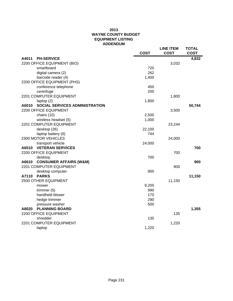|                                                | <b>COST</b> | <b>LINE ITEM</b><br><b>COST</b> | <b>TOTAL</b><br><b>COST</b> |
|------------------------------------------------|-------------|---------------------------------|-----------------------------|
| A4011<br><b>PH-SERVICE</b>                     |             |                                 | 4,832                       |
| 2200 OFFICE EQUIPMENT (BIO)                    |             | 3,032                           |                             |
| smartboard                                     | 720         |                                 |                             |
| digital camera (2)                             | 262         |                                 |                             |
| barcode reader (4)                             | 1,400       |                                 |                             |
| 2200 OFFICE EQUIPMENT (PHS)                    |             |                                 |                             |
| conference telephone                           | 450         |                                 |                             |
| centrifuge                                     | 200         |                                 |                             |
| 2201 COMPUTER EQUIPMENT                        |             | 1,800                           |                             |
| laptop (2)                                     | 1,800       |                                 |                             |
| <b>SOCIAL SERVICES ADMINISTRATION</b><br>A6010 |             |                                 | 50,744                      |
| 2200 OFFICE EQUIPMENT                          |             | 3,500                           |                             |
| chairs (10)                                    | 2,500       |                                 |                             |
| wireless headset (5)                           | 1,000       |                                 |                             |
| 2201 COMPUTER EQUIPMENT                        |             | 23,244                          |                             |
| desktop (26)                                   | 22,100      |                                 |                             |
| laptop battery (6)                             | 744         |                                 |                             |
| 2300 MOTOR VEHICLES                            |             | 24,000                          |                             |
| transport vehicle                              | 24,000      |                                 |                             |
| <b>VETERAN SERVICES</b><br>A6510               |             |                                 | 700                         |
| 2200 OFFICE EQUIPMENT                          |             | 700                             |                             |
| desktop                                        | 700         |                                 |                             |
| <b>CONSUMER AFFAIRS (W&amp;M)</b><br>A6610     |             |                                 | 900                         |
| 2201 COMPUTER EQUIPMENT                        |             | 900                             |                             |
| desktop computer                               | 900         |                                 |                             |
| A7110<br><b>PARKS</b>                          |             |                                 | 11,150                      |
| 2500 OTHER EQUIPMENT                           |             | 11,150                          |                             |
| mower                                          | 9,200       |                                 |                             |
| trimmer $(5)$                                  | 990         |                                 |                             |
| handheld blower                                | 170         |                                 |                             |
| hedge trimmer                                  | 290         |                                 |                             |
| pressure washer                                | 500         |                                 |                             |
| A8020<br><b>PLANNING BOARD</b>                 |             |                                 | 1,355                       |
| 2200 OFFICE EQUIPMENT                          |             | 135                             |                             |
| shredder                                       | 135         |                                 |                             |
| 2201 COMPUTER EQUIPMENT                        |             | 1,220                           |                             |
| laptop                                         | 1,220       |                                 |                             |